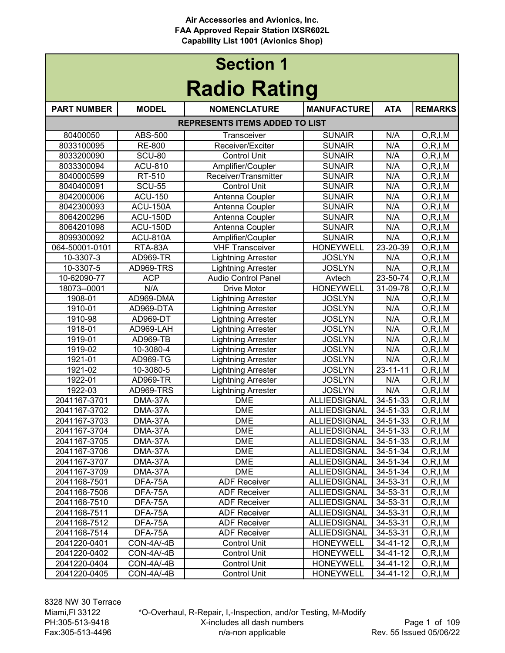| <b>Section 1</b>    |                 |                                       |                     |                |                          |
|---------------------|-----------------|---------------------------------------|---------------------|----------------|--------------------------|
| <b>Radio Rating</b> |                 |                                       |                     |                |                          |
| <b>PART NUMBER</b>  | <b>MODEL</b>    | <b>NOMENCLATURE</b>                   | <b>MANUFACTURE</b>  | <b>ATA</b>     | <b>REMARKS</b>           |
|                     |                 | <b>REPRESENTS ITEMS ADDED TO LIST</b> |                     |                |                          |
| 80400050            | ABS-500         | Transceiver                           | <b>SUNAIR</b>       | N/A            | O, R, I, M               |
| 8033100095          | <b>RE-800</b>   | Receiver/Exciter                      | <b>SUNAIR</b>       | N/A            | O, R, I, M               |
| 8033200090          | SCU-80          | <b>Control Unit</b>                   | <b>SUNAIR</b>       | N/A            | O, R, I, M               |
| 8033300094          | ACU-810         | Amplifier/Coupler                     | <b>SUNAIR</b>       | N/A            | O, R, I, M               |
| 8040000599          | RT-510          | Receiver/Transmitter                  | <b>SUNAIR</b>       | N/A            | O, R, I, M               |
| 8040400091          | <b>SCU-55</b>   | <b>Control Unit</b>                   | <b>SUNAIR</b>       | N/A            | O, R, I, M               |
| 8042000006          | <b>ACU-150</b>  | Antenna Coupler                       | <b>SUNAIR</b>       | N/A            | O, R, I, M               |
| 8042300093          | <b>ACU-150A</b> | Antenna Coupler                       | <b>SUNAIR</b>       | N/A            | O, R, I, M               |
| 8064200296          | <b>ACU-150D</b> | Antenna Coupler                       | <b>SUNAIR</b>       | N/A            | O, R, I, M               |
| 8064201098          | <b>ACU-150D</b> | Antenna Coupler                       | <b>SUNAIR</b>       | N/A            | O, R, I, M               |
| 8099300092          | <b>ACU-810A</b> | Amplifier/Coupler                     | <b>SUNAIR</b>       | N/A            | O, R, I, M               |
| 064-50001-0101      | RTA-83A         | <b>VHF Transceiver</b>                | <b>HONEYWELL</b>    | 23-20-39       | O, R, I, M               |
| 10-3307-3           | <b>AD969-TR</b> | <b>Lightning Arrester</b>             | <b>JOSLYN</b>       | N/A            | O, R, I, M               |
| 10-3307-5           | AD969-TRS       | <b>Lightning Arrester</b>             | <b>JOSLYN</b>       | N/A            | $\overline{O}$ , R, I, M |
| 10-62090-77         | <b>ACP</b>      | <b>Audio Control Panel</b>            | Avtech              | 23-50-74       | O, R, I, M               |
| 18073--0001         | N/A             | <b>Drive Motor</b>                    | <b>HONEYWELL</b>    | 31-09-78       | O, R, I, M               |
| 1908-01             | AD969-DMA       | <b>Lightning Arrester</b>             | <b>JOSLYN</b>       | N/A            | O, R, I, M               |
| 1910-01             | AD969-DTA       | <b>Lightning Arrester</b>             | <b>JOSLYN</b>       | N/A            | O, R, I, M               |
| 1910-98             | AD969-DT        | <b>Lightning Arrester</b>             | <b>JOSLYN</b>       | N/A            | O, R, I, M               |
| 1918-01             | AD969-LAH       | <b>Lightning Arrester</b>             | <b>JOSLYN</b>       | N/A            | O, R, I, M               |
| 1919-01             | AD969-TB        | <b>Lightning Arrester</b>             | <b>JOSLYN</b>       | N/A            | O, R, I, M               |
| 1919-02             | 10-3080-4       | <b>Lightning Arrester</b>             | <b>JOSLYN</b>       | N/A            | O, R, I, M               |
| 1921-01             | AD969-TG        | <b>Lightning Arrester</b>             | <b>JOSLYN</b>       | N/A            | O, R, I, M               |
| 1921-02             | 10-3080-5       | <b>Lightning Arrester</b>             | <b>JOSLYN</b>       | $23 - 11 - 11$ | O, R, I, M               |
| 1922-01             | <b>AD969-TR</b> | <b>Lightning Arrester</b>             | <b>JOSLYN</b>       | N/A            | O, R, I, M               |
| 1922-03             | AD969-TRS       | <b>Lightning Arrester</b>             | <b>JOSLYN</b>       | N/A            | O, R, I, M               |
| 2041167-3701        | DMA-37A         | <b>DME</b>                            | <b>ALLIEDSIGNAL</b> | 34-51-33       | O, R, I, M               |
| 2041167-3702        | DMA-37A         | <b>DME</b>                            | <b>ALLIEDSIGNAL</b> | 34-51-33       | O, R, I, M               |
| 2041167-3703        | DMA-37A         | <b>DME</b>                            | ALLIEDSIGNAL        | 34-51-33       | O, R, I, M               |
| 2041167-3704        | DMA-37A         | <b>DME</b>                            | <b>ALLIEDSIGNAL</b> | 34-51-33       | O, R, I, M               |
| 2041167-3705        | DMA-37A         | <b>DME</b>                            | ALLIEDSIGNAL        | 34-51-33       | O, R, I, M               |
| 2041167-3706        | DMA-37A         | <b>DME</b>                            | <b>ALLIEDSIGNAL</b> | 34-51-34       | O, R, I, M               |
| 2041167-3707        | DMA-37A         | <b>DME</b>                            | ALLIEDSIGNAL        | 34-51-34       | O, R, I, M               |
| 2041167-3709        | DMA-37A         | <b>DME</b>                            | <b>ALLIEDSIGNAL</b> | 34-51-34       | O, R, I, M               |
| 2041168-7501        | DFA-75A         | <b>ADF Receiver</b>                   | ALLIEDSIGNAL        | 34-53-31       | O, R, I, M               |
| 2041168-7506        | DFA-75A         | <b>ADF Receiver</b>                   | ALLIEDSIGNAL        | 34-53-31       | O, R, I, M               |
| 2041168-7510        | DFA-75A         | <b>ADF Receiver</b>                   | ALLIEDSIGNAL        | 34-53-31       | O, R, I, M               |
| 2041168-7511        | DFA-75A         | <b>ADF Receiver</b>                   | <b>ALLIEDSIGNAL</b> | 34-53-31       | O, R, I, M               |
| 2041168-7512        | DFA-75A         | <b>ADF Receiver</b>                   | <b>ALLIEDSIGNAL</b> | 34-53-31       | O, R, I, M               |
| 2041168-7514        | DFA-75A         | <b>ADF Receiver</b>                   | <b>ALLIEDSIGNAL</b> | 34-53-31       | O, R, I, M               |
| 2041220-0401        | CON-4A/-4B      | Control Unit                          | <b>HONEYWELL</b>    | 34-41-12       | O, R, I, M               |
| 2041220-0402        | CON-4A/-4B      | <b>Control Unit</b>                   | <b>HONEYWELL</b>    | 34-41-12       | O, R, I, M               |
| 2041220-0404        | CON-4A/-4B      | <b>Control Unit</b>                   | <b>HONEYWELL</b>    | 34-41-12       | O, R, I, M               |
| 2041220-0405        | CON-4A/-4B      | <b>Control Unit</b>                   | <b>HONEYWELL</b>    | 34-41-12       | O, R, I, M               |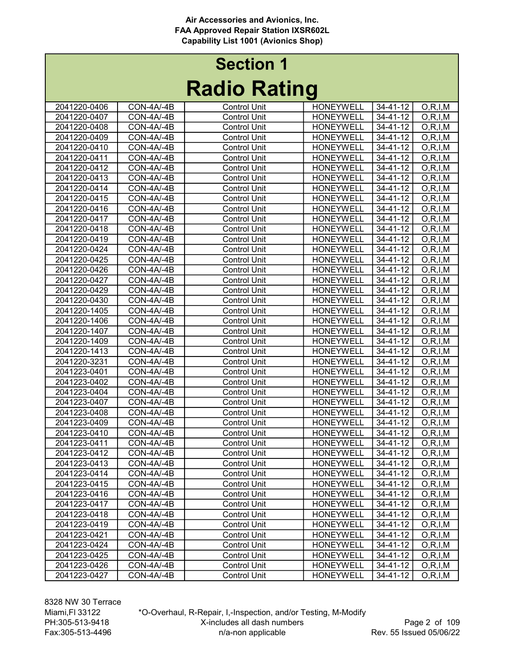| <b>Section 1</b> |                     |  |  |  |  |
|------------------|---------------------|--|--|--|--|
|                  | <b>Radio Rating</b> |  |  |  |  |

|              |            |                     | J                |                |            |
|--------------|------------|---------------------|------------------|----------------|------------|
| 2041220-0406 | CON-4A/-4B | <b>Control Unit</b> | <b>HONEYWELL</b> | 34-41-12       | O, R, I, M |
| 2041220-0407 | CON-4A/-4B | <b>Control Unit</b> | <b>HONEYWELL</b> | $34 - 41 - 12$ | O, R, I, M |
| 2041220-0408 | CON-4A/-4B | <b>Control Unit</b> | <b>HONEYWELL</b> | 34-41-12       | O, R, I, M |
| 2041220-0409 | CON-4A/-4B | <b>Control Unit</b> | <b>HONEYWELL</b> | 34-41-12       | O, R, I, M |
| 2041220-0410 | CON-4A/-4B | <b>Control Unit</b> | <b>HONEYWELL</b> | 34-41-12       | O, R, I, M |
| 2041220-0411 | CON-4A/-4B | <b>Control Unit</b> | <b>HONEYWELL</b> | 34-41-12       | O, R, I, M |
| 2041220-0412 | CON-4A/-4B | <b>Control Unit</b> | <b>HONEYWELL</b> | 34-41-12       | O, R, I, M |
| 2041220-0413 | CON-4A/-4B | <b>Control Unit</b> | <b>HONEYWELL</b> | 34-41-12       | O, R, I, M |
| 2041220-0414 | CON-4A/-4B | <b>Control Unit</b> | <b>HONEYWELL</b> | 34-41-12       | O, R, I, M |
| 2041220-0415 | CON-4A/-4B | <b>Control Unit</b> | <b>HONEYWELL</b> | 34-41-12       | O, R, I, M |
| 2041220-0416 | CON-4A/-4B | <b>Control Unit</b> | <b>HONEYWELL</b> | 34-41-12       |            |
|              |            |                     | <b>HONEYWELL</b> |                | O, R, I, M |
| 2041220-0417 | CON-4A/-4B | <b>Control Unit</b> |                  | 34-41-12       | O, R, I, M |
| 2041220-0418 | CON-4A/-4B | <b>Control Unit</b> | <b>HONEYWELL</b> | 34-41-12       | O, R, I, M |
| 2041220-0419 | CON-4A/-4B | <b>Control Unit</b> | <b>HONEYWELL</b> | 34-41-12       | O, R, I, M |
| 2041220-0424 | CON-4A/-4B | <b>Control Unit</b> | <b>HONEYWELL</b> | 34-41-12       | O, R, I, M |
| 2041220-0425 | CON-4A/-4B | <b>Control Unit</b> | <b>HONEYWELL</b> | 34-41-12       | O, R, I, M |
| 2041220-0426 | CON-4A/-4B | <b>Control Unit</b> | <b>HONEYWELL</b> | 34-41-12       | O, R, I, M |
| 2041220-0427 | CON-4A/-4B | <b>Control Unit</b> | <b>HONEYWELL</b> | 34-41-12       | O, R, I, M |
| 2041220-0429 | CON-4A/-4B | <b>Control Unit</b> | <b>HONEYWELL</b> | 34-41-12       | O, R, I, M |
| 2041220-0430 | CON-4A/-4B | <b>Control Unit</b> | <b>HONEYWELL</b> | 34-41-12       | O, R, I, M |
| 2041220-1405 | CON-4A/-4B | <b>Control Unit</b> | <b>HONEYWELL</b> | 34-41-12       | O, R, I, M |
| 2041220-1406 | CON-4A/-4B | <b>Control Unit</b> | <b>HONEYWELL</b> | 34-41-12       | O, R, I, M |
| 2041220-1407 | CON-4A/-4B | <b>Control Unit</b> | <b>HONEYWELL</b> | 34-41-12       | O, R, I, M |
| 2041220-1409 | CON-4A/-4B | <b>Control Unit</b> | <b>HONEYWELL</b> | 34-41-12       | O, R, I, M |
| 2041220-1413 | CON-4A/-4B | <b>Control Unit</b> | <b>HONEYWELL</b> | 34-41-12       | O, R, I, M |
| 2041220-3231 | CON-4A/-4B | <b>Control Unit</b> | <b>HONEYWELL</b> | 34-41-12       | O, R, I, M |
| 2041223-0401 | CON-4A/-4B | <b>Control Unit</b> | <b>HONEYWELL</b> | 34-41-12       | O, R, I, M |
| 2041223-0402 | CON-4A/-4B | <b>Control Unit</b> | <b>HONEYWELL</b> | 34-41-12       | O, R, I, M |
| 2041223-0404 | CON-4A/-4B | <b>Control Unit</b> | <b>HONEYWELL</b> | 34-41-12       | O, R, I, M |
| 2041223-0407 | CON-4A/-4B | <b>Control Unit</b> | <b>HONEYWELL</b> | 34-41-12       | O, R, I, M |
| 2041223-0408 | CON-4A/-4B | <b>Control Unit</b> | <b>HONEYWELL</b> | 34-41-12       | O, R, I, M |
| 2041223-0409 | CON-4A/-4B | <b>Control Unit</b> | <b>HONEYWELL</b> | 34-41-12       | O, R, I, M |
| 2041223-0410 | CON-4A/-4B | <b>Control Unit</b> | <b>HONEYWELL</b> | 34-41-12       | O, R, I, M |
| 2041223-0411 | CON-4A/-4B | <b>Control Unit</b> | <b>HONEYWELL</b> | $34 - 41 - 12$ | O, R, I, M |
| 2041223-0412 | CON-4A/-4B | <b>Control Unit</b> | <b>HONEYWELL</b> | 34-41-12       | O, R, I, M |
| 2041223-0413 | CON-4A/-4B | Control Unit        | <b>HONEYWELL</b> | 34-41-12       | O, R, I, M |
| 2041223-0414 | CON-4A/-4B | <b>Control Unit</b> | <b>HONEYWELL</b> | 34-41-12       | O, R, I, M |
| 2041223-0415 | CON-4A/-4B | Control Unit        | <b>HONEYWELL</b> | 34-41-12       | O, R, I, M |
| 2041223-0416 | CON-4A/-4B | Control Unit        | <b>HONEYWELL</b> | 34-41-12       | O, R, I, M |
| 2041223-0417 | CON-4A/-4B | Control Unit        | <b>HONEYWELL</b> | 34-41-12       | O, R, I, M |
| 2041223-0418 | CON-4A/-4B | <b>Control Unit</b> | <b>HONEYWELL</b> | 34-41-12       | O, R, I, M |
| 2041223-0419 | CON-4A/-4B | <b>Control Unit</b> | <b>HONEYWELL</b> | 34-41-12       | O, R, I, M |
| 2041223-0421 | CON-4A/-4B | <b>Control Unit</b> | <b>HONEYWELL</b> | 34-41-12       | O, R, I, M |
| 2041223-0424 | CON-4A/-4B | <b>Control Unit</b> | <b>HONEYWELL</b> | 34-41-12       | O, R, I, M |
| 2041223-0425 | CON-4A/-4B | <b>Control Unit</b> | <b>HONEYWELL</b> | 34-41-12       | O, R, I, M |
| 2041223-0426 | CON-4A/-4B | <b>Control Unit</b> | <b>HONEYWELL</b> | 34-41-12       | O, R, I, M |
| 2041223-0427 | CON-4A/-4B | <b>Control Unit</b> | <b>HONEYWELL</b> | 34-41-12       | O, R, I, M |
|              |            |                     |                  |                |            |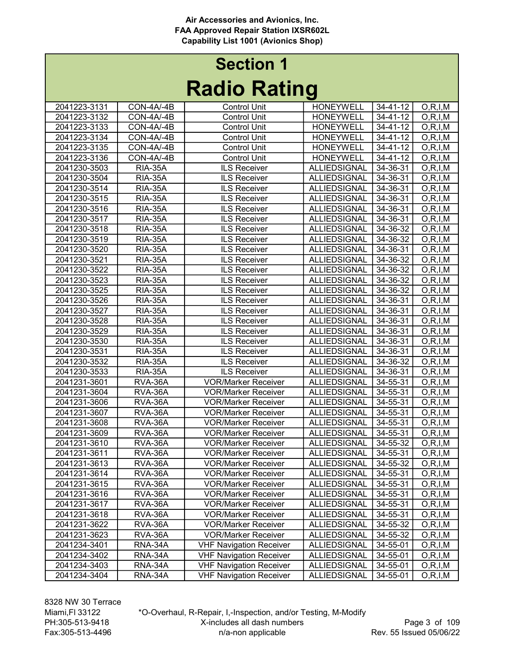| <b>Section 1</b> |                     |  |  |  |  |
|------------------|---------------------|--|--|--|--|
|                  | <b>Radio Rating</b> |  |  |  |  |

|              |                    |                                | J                   |                      |            |
|--------------|--------------------|--------------------------------|---------------------|----------------------|------------|
| 2041223-3131 | CON-4A/-4B         | <b>Control Unit</b>            | <b>HONEYWELL</b>    | 34-41-12             | O, R, I, M |
| 2041223-3132 | CON-4A/-4B         | <b>Control Unit</b>            | <b>HONEYWELL</b>    | 34-41-12             | O, R, I, M |
| 2041223-3133 | CON-4A/-4B         | <b>Control Unit</b>            | <b>HONEYWELL</b>    | 34-41-12             | O, R, I, M |
| 2041223-3134 | CON-4A/-4B         | <b>Control Unit</b>            | <b>HONEYWELL</b>    | 34-41-12             | O, R, I, M |
| 2041223-3135 | CON-4A/-4B         | <b>Control Unit</b>            | <b>HONEYWELL</b>    | 34-41-12             | O, R, I, M |
| 2041223-3136 | CON-4A/-4B         | <b>Control Unit</b>            | <b>HONEYWELL</b>    | 34-41-12             | O, R, I, M |
| 2041230-3503 | <b>RIA-35A</b>     | <b>ILS Receiver</b>            | <b>ALLIEDSIGNAL</b> | 34-36-31             | O, R, I, M |
| 2041230-3504 | <b>RIA-35A</b>     | <b>ILS Receiver</b>            | ALLIEDSIGNAL        | 34-36-31             | O, R, I, M |
| 2041230-3514 | <b>RIA-35A</b>     | <b>ILS Receiver</b>            | <b>ALLIEDSIGNAL</b> | 34-36-31             | O, R, I, M |
| 2041230-3515 | <b>RIA-35A</b>     | <b>ILS Receiver</b>            | <b>ALLIEDSIGNAL</b> | 34-36-31             | O, R, I, M |
| 2041230-3516 | <b>RIA-35A</b>     | <b>ILS Receiver</b>            | ALLIEDSIGNAL        | 34-36-31             | O, R, I, M |
| 2041230-3517 | <b>RIA-35A</b>     | <b>ILS Receiver</b>            | ALLIEDSIGNAL        | 34-36-31             | O, R, I, M |
| 2041230-3518 | <b>RIA-35A</b>     | <b>ILS Receiver</b>            | ALLIEDSIGNAL        | 34-36-32             | O, R, I, M |
| 2041230-3519 | <b>RIA-35A</b>     | <b>ILS Receiver</b>            | ALLIEDSIGNAL        | 34-36-32             | O, R, I, M |
| 2041230-3520 | <b>RIA-35A</b>     | <b>ILS Receiver</b>            | ALLIEDSIGNAL        | 34-36-31             | O, R, I, M |
| 2041230-3521 | <b>RIA-35A</b>     | <b>ILS Receiver</b>            | ALLIEDSIGNAL        | 34-36-32             | O, R, I, M |
| 2041230-3522 | <b>RIA-35A</b>     | <b>ILS Receiver</b>            | ALLIEDSIGNAL        | 34-36-32             | O, R, I, M |
| 2041230-3523 | <b>RIA-35A</b>     | <b>ILS Receiver</b>            | <b>ALLIEDSIGNAL</b> | 34-36-32             | O, R, I, M |
| 2041230-3525 | <b>RIA-35A</b>     | <b>ILS Receiver</b>            | ALLIEDSIGNAL        | 34-36-32             | O, R, I, M |
| 2041230-3526 | <b>RIA-35A</b>     | <b>ILS Receiver</b>            | <b>ALLIEDSIGNAL</b> | 34-36-31             | O, R, I, M |
| 2041230-3527 | <b>RIA-35A</b>     | <b>ILS Receiver</b>            | ALLIEDSIGNAL        | 34-36-31             | O, R, I, M |
| 2041230-3528 | <b>RIA-35A</b>     | <b>ILS Receiver</b>            | ALLIEDSIGNAL        | 34-36-31             | O, R, I, M |
| 2041230-3529 | <b>RIA-35A</b>     | <b>ILS Receiver</b>            | ALLIEDSIGNAL        | 34-36-31             | O, R, I, M |
| 2041230-3530 | <b>RIA-35A</b>     | <b>ILS Receiver</b>            | ALLIEDSIGNAL        | 34-36-31             | O, R, I, M |
| 2041230-3531 | <b>RIA-35A</b>     | <b>ILS Receiver</b>            | ALLIEDSIGNAL        | 34-36-31             | O, R, I, M |
| 2041230-3532 | <b>RIA-35A</b>     | <b>ILS Receiver</b>            | ALLIEDSIGNAL        | 34-36-32             | O, R, I, M |
| 2041230-3533 | <b>RIA-35A</b>     | <b>ILS Receiver</b>            | <b>ALLIEDSIGNAL</b> | 34-36-31             | O, R, I, M |
| 2041231-3601 | RVA-36A            | <b>VOR/Marker Receiver</b>     | <b>ALLIEDSIGNAL</b> | 34-55-31             | O, R, I, M |
| 2041231-3604 | RVA-36A            | <b>VOR/Marker Receiver</b>     | <b>ALLIEDSIGNAL</b> | 34-55-31             | O, R, I, M |
| 2041231-3606 | RVA-36A            | <b>VOR/Marker Receiver</b>     | <b>ALLIEDSIGNAL</b> | 34-55-31             | O, R, I, M |
| 2041231-3607 | RVA-36A            | <b>VOR/Marker Receiver</b>     | ALLIEDSIGNAL        | 34-55-31             | O, R, I, M |
| 2041231-3608 | RVA-36A            | <b>VOR/Marker Receiver</b>     | <b>ALLIEDSIGNAL</b> | 34-55-31             | O, R, I, M |
| 2041231-3609 | RVA-36A            | <b>VOR/Marker Receiver</b>     | ALLIEDSIGNAL        | 34-55-31             | O, R, I, M |
| 2041231-3610 | RVA-36A            | <b>VOR/Marker Receiver</b>     | ALLIEDSIGNAL        | 34-55-32             | O, R, I, M |
| 2041231-3611 | RVA-36A            | <b>VOR/Marker Receiver</b>     | <b>ALLIEDSIGNAL</b> | 34-55-31             | O, R, I, M |
| 2041231-3613 | RVA-36A            | <b>VOR/Marker Receiver</b>     | ALLIEDSIGNAL        | 34-55-32             | O, R, I, M |
| 2041231-3614 | RVA-36A            | <b>VOR/Marker Receiver</b>     | ALLIEDSIGNAL        | 34-55-31             | O, R, I, M |
| 2041231-3615 | RVA-36A            | <b>VOR/Marker Receiver</b>     | ALLIEDSIGNAL        | 34-55-31             | O, R, I, M |
| 2041231-3616 | RVA-36A            | <b>VOR/Marker Receiver</b>     | ALLIEDSIGNAL        | 34-55-31             | O, R, I, M |
| 2041231-3617 | RVA-36A            | <b>VOR/Marker Receiver</b>     | ALLIEDSIGNAL        | 34-55-31             | O, R, I, M |
| 2041231-3618 | RVA-36A            | <b>VOR/Marker Receiver</b>     | ALLIEDSIGNAL        | 34-55-31             | O, R, I, M |
| 2041231-3622 |                    | <b>VOR/Marker Receiver</b>     | ALLIEDSIGNAL        |                      |            |
| 2041231-3623 | RVA-36A<br>RVA-36A | <b>VOR/Marker Receiver</b>     | ALLIEDSIGNAL        | 34-55-32<br>34-55-32 | O, R, I, M |
| 2041234-3401 |                    | <b>VHF Navigation Receiver</b> | ALLIEDSIGNAL        |                      | O, R, I, M |
| 2041234-3402 | RNA-34A            | <b>VHF Navigation Receiver</b> |                     | 34-55-01             | O, R, I, M |
|              | RNA-34A            |                                | ALLIEDSIGNAL        | 34-55-01             | O, R, I, M |
| 2041234-3403 | RNA-34A            | <b>VHF Navigation Receiver</b> | ALLIEDSIGNAL        | 34-55-01             | O, R, I, M |
| 2041234-3404 | RNA-34A            | <b>VHF Navigation Receiver</b> | ALLIEDSIGNAL        | 34-55-01             | O, R, I, M |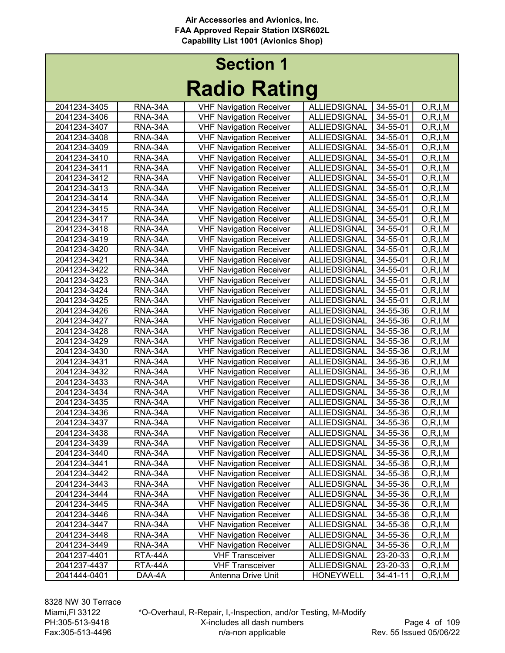# Radio Rating Section 1

|              |                | naano naung                    |                     |          |            |
|--------------|----------------|--------------------------------|---------------------|----------|------------|
| 2041234-3405 | RNA-34A        | <b>VHF Navigation Receiver</b> | <b>ALLIEDSIGNAL</b> | 34-55-01 | O, R, I, M |
| 2041234-3406 | RNA-34A        | <b>VHF Navigation Receiver</b> | <b>ALLIEDSIGNAL</b> | 34-55-01 | O, R, I, M |
| 2041234-3407 | RNA-34A        | <b>VHF Navigation Receiver</b> | ALLIEDSIGNAL        | 34-55-01 | O, R, I, M |
| 2041234-3408 | RNA-34A        | <b>VHF Navigation Receiver</b> | <b>ALLIEDSIGNAL</b> | 34-55-01 | O, R, I, M |
| 2041234-3409 | RNA-34A        | <b>VHF Navigation Receiver</b> | <b>ALLIEDSIGNAL</b> | 34-55-01 | O, R, I, M |
| 2041234-3410 | RNA-34A        | <b>VHF Navigation Receiver</b> | <b>ALLIEDSIGNAL</b> | 34-55-01 | O, R, I, M |
| 2041234-3411 | RNA-34A        | <b>VHF Navigation Receiver</b> | <b>ALLIEDSIGNAL</b> | 34-55-01 | O, R, I, M |
| 2041234-3412 | RNA-34A        | <b>VHF Navigation Receiver</b> | <b>ALLIEDSIGNAL</b> | 34-55-01 | O, R, I, M |
| 2041234-3413 | RNA-34A        | <b>VHF Navigation Receiver</b> | ALLIEDSIGNAL        | 34-55-01 | O, R, I, M |
| 2041234-3414 | RNA-34A        | <b>VHF Navigation Receiver</b> | ALLIEDSIGNAL        | 34-55-01 | O, R, I, M |
| 2041234-3415 | RNA-34A        | <b>VHF Navigation Receiver</b> | ALLIEDSIGNAL        | 34-55-01 | O, R, I, M |
| 2041234-3417 | RNA-34A        | <b>VHF Navigation Receiver</b> | ALLIEDSIGNAL        | 34-55-01 | O, R, I, M |
| 2041234-3418 | RNA-34A        | <b>VHF Navigation Receiver</b> | <b>ALLIEDSIGNAL</b> | 34-55-01 | O, R, I, M |
| 2041234-3419 | RNA-34A        | <b>VHF Navigation Receiver</b> | <b>ALLIEDSIGNAL</b> | 34-55-01 | O, R, I, M |
| 2041234-3420 | <b>RNA-34A</b> | <b>VHF Navigation Receiver</b> | ALLIEDSIGNAL        | 34-55-01 | O, R, I, M |
| 2041234-3421 | RNA-34A        | <b>VHF Navigation Receiver</b> | <b>ALLIEDSIGNAL</b> | 34-55-01 | O, R, I, M |
| 2041234-3422 | <b>RNA-34A</b> | <b>VHF Navigation Receiver</b> | <b>ALLIEDSIGNAL</b> | 34-55-01 | O, R, I, M |
| 2041234-3423 | <b>RNA-34A</b> | <b>VHF Navigation Receiver</b> | <b>ALLIEDSIGNAL</b> | 34-55-01 | O, R, I, M |
| 2041234-3424 | RNA-34A        | <b>VHF Navigation Receiver</b> | <b>ALLIEDSIGNAL</b> | 34-55-01 | O, R, I, M |
| 2041234-3425 | RNA-34A        | <b>VHF Navigation Receiver</b> | <b>ALLIEDSIGNAL</b> | 34-55-01 | O, R, I, M |
| 2041234-3426 | RNA-34A        | <b>VHF Navigation Receiver</b> | <b>ALLIEDSIGNAL</b> | 34-55-36 | O, R, I, M |
| 2041234-3427 | RNA-34A        | <b>VHF Navigation Receiver</b> | <b>ALLIEDSIGNAL</b> | 34-55-36 | O, R, I, M |
| 2041234-3428 | RNA-34A        | <b>VHF Navigation Receiver</b> | ALLIEDSIGNAL        | 34-55-36 | O, R, I, M |
| 2041234-3429 | RNA-34A        | <b>VHF Navigation Receiver</b> | <b>ALLIEDSIGNAL</b> | 34-55-36 | O, R, I, M |
| 2041234-3430 | RNA-34A        | <b>VHF Navigation Receiver</b> | <b>ALLIEDSIGNAL</b> | 34-55-36 | O, R, I, M |
| 2041234-3431 | RNA-34A        | <b>VHF Navigation Receiver</b> | <b>ALLIEDSIGNAL</b> | 34-55-36 | O, R, I, M |
| 2041234-3432 | RNA-34A        | <b>VHF Navigation Receiver</b> | ALLIEDSIGNAL        | 34-55-36 | O, R, I, M |
| 2041234-3433 | RNA-34A        | <b>VHF Navigation Receiver</b> | ALLIEDSIGNAL        | 34-55-36 | O, R, I, M |
| 2041234-3434 | RNA-34A        | <b>VHF Navigation Receiver</b> | ALLIEDSIGNAL        | 34-55-36 | O, R, I, M |
| 2041234-3435 | RNA-34A        | <b>VHF Navigation Receiver</b> | <b>ALLIEDSIGNAL</b> | 34-55-36 | O, R, I, M |
| 2041234-3436 | <b>RNA-34A</b> | <b>VHF Navigation Receiver</b> | <b>ALLIEDSIGNAL</b> | 34-55-36 | O, R, I, M |
| 2041234-3437 | RNA-34A        | <b>VHF Navigation Receiver</b> | <b>ALLIEDSIGNAL</b> | 34-55-36 | O, R, I, M |
| 2041234-3438 | <b>RNA-34A</b> | <b>VHF Navigation Receiver</b> | <b>ALLIEDSIGNAL</b> | 34-55-36 | O, R, I, M |
| 2041234-3439 | RNA-34A        | <b>VHF Navigation Receiver</b> | <b>ALLIEDSIGNAL</b> | 34-55-36 | O, R, I, M |
| 2041234-3440 | RNA-34A        | <b>VHF Navigation Receiver</b> | <b>ALLIEDSIGNAL</b> | 34-55-36 | O, R, I, M |
| 2041234-3441 | RNA-34A        | VHF Navigation Receiver        | ALLIEDSIGNAL        | 34-55-36 | O, R, I, M |
| 2041234-3442 | RNA-34A        | <b>VHF Navigation Receiver</b> | ALLIEDSIGNAL        | 34-55-36 | O, R, I, M |
| 2041234-3443 | RNA-34A        | <b>VHF Navigation Receiver</b> | ALLIEDSIGNAL        | 34-55-36 | O, R, I, M |
| 2041234-3444 | RNA-34A        | <b>VHF Navigation Receiver</b> | <b>ALLIEDSIGNAL</b> | 34-55-36 | O, R, I, M |
| 2041234-3445 | RNA-34A        | <b>VHF Navigation Receiver</b> | ALLIEDSIGNAL        | 34-55-36 | O, R, I, M |
| 2041234-3446 | RNA-34A        | <b>VHF Navigation Receiver</b> | ALLIEDSIGNAL        | 34-55-36 | O, R, I, M |
| 2041234-3447 | RNA-34A        | <b>VHF Navigation Receiver</b> | ALLIEDSIGNAL        | 34-55-36 | O, R, I, M |
| 2041234-3448 | RNA-34A        | <b>VHF Navigation Receiver</b> | ALLIEDSIGNAL        | 34-55-36 | O, R, I, M |
| 2041234-3449 | RNA-34A        | <b>VHF Navigation Receiver</b> | <b>ALLIEDSIGNAL</b> | 34-55-36 | O, R, I, M |
| 2041237-4401 | RTA-44A        | <b>VHF Transceiver</b>         | ALLIEDSIGNAL        | 23-20-33 | O, R, I, M |
| 2041237-4437 | RTA-44A        | <b>VHF Transceiver</b>         | <b>ALLIEDSIGNAL</b> | 23-20-33 | O, R, I, M |
| 2041444-0401 | DAA-4A         | Antenna Drive Unit             | <b>HONEYWELL</b>    | 34-41-11 | O, R, I, M |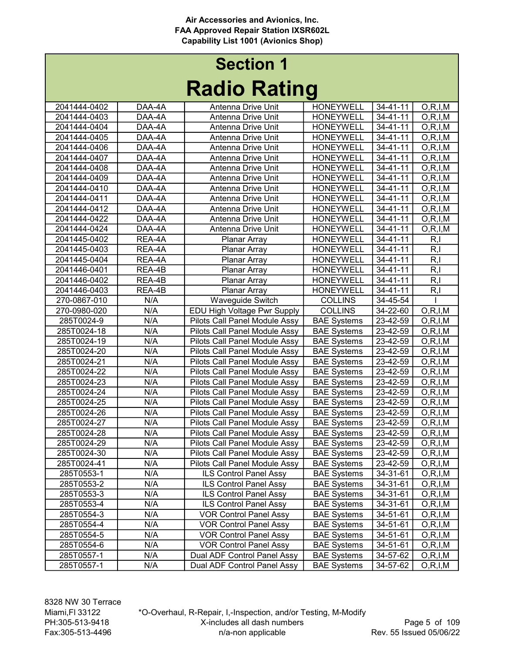|              |        | I waiv Twelly                        |                    |                |            |
|--------------|--------|--------------------------------------|--------------------|----------------|------------|
| 2041444-0402 | DAA-4A | Antenna Drive Unit                   | <b>HONEYWELL</b>   | 34-41-11       | O, R, I, M |
| 2041444-0403 | DAA-4A | Antenna Drive Unit                   | <b>HONEYWELL</b>   | 34-41-11       | O, R, I, M |
| 2041444-0404 | DAA-4A | Antenna Drive Unit                   | <b>HONEYWELL</b>   | 34-41-11       | O, R, I, M |
| 2041444-0405 | DAA-4A | Antenna Drive Unit                   | <b>HONEYWELL</b>   | $34 - 41 - 11$ | O, R, I, M |
| 2041444-0406 | DAA-4A | Antenna Drive Unit                   | <b>HONEYWELL</b>   | 34-41-11       | O, R, I, M |
| 2041444-0407 | DAA-4A | Antenna Drive Unit                   | <b>HONEYWELL</b>   | 34-41-11       | O, R, I, M |
| 2041444-0408 | DAA-4A | Antenna Drive Unit                   | <b>HONEYWELL</b>   | 34-41-11       | O, R, I, M |
| 2041444-0409 | DAA-4A | Antenna Drive Unit                   | <b>HONEYWELL</b>   | 34-41-11       | O, R, I, M |
| 2041444-0410 | DAA-4A | Antenna Drive Unit                   | <b>HONEYWELL</b>   | $34 - 41 - 11$ | O, R, I, M |
| 2041444-0411 | DAA-4A | Antenna Drive Unit                   | <b>HONEYWELL</b>   | 34-41-11       | O, R, I, M |
| 2041444-0412 | DAA-4A | Antenna Drive Unit                   | <b>HONEYWELL</b>   | 34-41-11       | O, R, I, M |
| 2041444-0422 | DAA-4A | Antenna Drive Unit                   | <b>HONEYWELL</b>   | 34-41-11       | O, R, I, M |
| 2041444-0424 | DAA-4A | Antenna Drive Unit                   | <b>HONEYWELL</b>   | $34 - 41 - 11$ | O, R, I, M |
| 2041445-0402 | REA-4A | Planar Array                         | <b>HONEYWELL</b>   | 34-41-11       | R,I        |
| 2041445-0403 | REA-4A | Planar Array                         | <b>HONEYWELL</b>   | 34-41-11       | R, I       |
| 2041445-0404 | REA-4A | Planar Array                         | <b>HONEYWELL</b>   | $34 - 41 - 11$ | R, I       |
| 2041446-0401 | REA-4B | Planar Array                         | <b>HONEYWELL</b>   | $34 - 41 - 11$ | R, I       |
| 2041446-0402 | REA-4B | Planar Array                         | <b>HONEYWELL</b>   | $34 - 41 - 11$ | R, I       |
| 2041446-0403 | REA-4B | Planar Array                         | <b>HONEYWELL</b>   | 34-41-11       | R, I       |
| 270-0867-010 | N/A    | Waveguide Switch                     | <b>COLLINS</b>     | 34-45-54       |            |
| 270-0980-020 | N/A    | EDU High Voltage Pwr Supply          | <b>COLLINS</b>     | 34-22-60       | O, R, I, M |
| 285T0024-9   | N/A    | Pilots Call Panel Module Assy        | <b>BAE Systems</b> | 23-42-59       | O, R, I, M |
| 285T0024-18  | N/A    | Pilots Call Panel Module Assy        | <b>BAE Systems</b> | 23-42-59       | O, R, I, M |
| 285T0024-19  | N/A    | Pilots Call Panel Module Assy        | <b>BAE Systems</b> | 23-42-59       | O, R, I, M |
| 285T0024-20  | N/A    | Pilots Call Panel Module Assy        | <b>BAE Systems</b> | 23-42-59       | O, R, I, M |
| 285T0024-21  | N/A    | Pilots Call Panel Module Assy        | <b>BAE Systems</b> | 23-42-59       | O, R, I, M |
| 285T0024-22  | N/A    | Pilots Call Panel Module Assy        | <b>BAE Systems</b> | 23-42-59       | O, R, I, M |
| 285T0024-23  | N/A    | <b>Pilots Call Panel Module Assy</b> | <b>BAE Systems</b> | 23-42-59       | O, R, I, M |
| 285T0024-24  | N/A    | <b>Pilots Call Panel Module Assy</b> | <b>BAE Systems</b> | 23-42-59       | O, R, I, M |
| 285T0024-25  | N/A    | Pilots Call Panel Module Assy        | <b>BAE Systems</b> | 23-42-59       | O, R, I, M |
| 285T0024-26  | N/A    | Pilots Call Panel Module Assy        | <b>BAE Systems</b> | 23-42-59       | O, R, I, M |
| 285T0024-27  | N/A    | Pilots Call Panel Module Assy        | <b>BAE Systems</b> | 23-42-59       | O, R, I, M |
| 285T0024-28  | N/A    | Pilots Call Panel Module Assy        | <b>BAE Systems</b> | 23-42-59       | O, R, I, M |
| 285T0024-29  | N/A    | Pilots Call Panel Module Assy        | <b>BAE Systems</b> | 23-42-59       | O, R, I, M |
| 285T0024-30  | N/A    | Pilots Call Panel Module Assy        | <b>BAE Systems</b> | 23-42-59       | O, R, I, M |
| 285T0024-41  | N/A    | Pilots Call Panel Module Assy        | <b>BAE</b> Systems | 23-42-59       | O, R, I, M |
| 285T0553-1   | N/A    | ILS Control Panel Assy               | <b>BAE Systems</b> | 34-31-61       | O, R, I, M |
| 285T0553-2   | N/A    | <b>ILS Control Panel Assy</b>        | <b>BAE Systems</b> | 34-31-61       | O, R, I, M |
| 285T0553-3   | N/A    | ILS Control Panel Assy               | <b>BAE Systems</b> | 34-31-61       | O, R, I, M |
| 285T0553-4   | N/A    | <b>ILS Control Panel Assy</b>        | <b>BAE Systems</b> | 34-31-61       | O, R, I, M |
| 285T0554-3   | N/A    | <b>VOR Control Panel Assy</b>        | <b>BAE Systems</b> | 34-51-61       | O, R, I, M |
| 285T0554-4   | N/A    | <b>VOR Control Panel Assy</b>        | <b>BAE Systems</b> | 34-51-61       | O, R, I, M |
| 285T0554-5   | N/A    | <b>VOR Control Panel Assy</b>        | <b>BAE Systems</b> | 34-51-61       | O, R, I, M |
| 285T0554-6   | N/A    | <b>VOR Control Panel Assy</b>        | <b>BAE Systems</b> | 34-51-61       | O, R, I, M |
| 285T0557-1   | N/A    | Dual ADF Control Panel Assy          | <b>BAE Systems</b> | 34-57-62       | O, R, I, M |
| 285T0557-1   | N/A    | Dual ADF Control Panel Assy          | <b>BAE Systems</b> | 34-57-62       | O, R, I, M |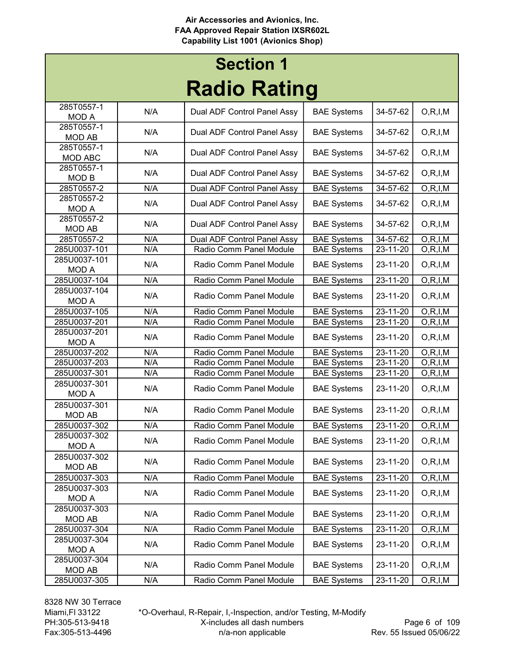## Radio Rating Section 1

| INAMIY INAHIIY                 |     |                             |                    |                |                          |  |
|--------------------------------|-----|-----------------------------|--------------------|----------------|--------------------------|--|
| 285T0557-1<br><b>MOD A</b>     | N/A | Dual ADF Control Panel Assy | <b>BAE Systems</b> | 34-57-62       | O, R, I, M               |  |
| 285T0557-1<br><b>MOD AB</b>    | N/A | Dual ADF Control Panel Assy | <b>BAE Systems</b> | 34-57-62       | O, R, I, M               |  |
| 285T0557-1<br>MOD ABC          | N/A | Dual ADF Control Panel Assy | <b>BAE Systems</b> | 34-57-62       | O, R, I, M               |  |
| 285T0557-1<br>MOD <sub>B</sub> | N/A | Dual ADF Control Panel Assy | <b>BAE Systems</b> | 34-57-62       | O, R, I, M               |  |
| 285T0557-2                     | N/A | Dual ADF Control Panel Assy | <b>BAE Systems</b> | 34-57-62       | O, R, I, M               |  |
| 285T0557-2<br><b>MOD A</b>     | N/A | Dual ADF Control Panel Assy | <b>BAE Systems</b> | 34-57-62       | O, R, I, M               |  |
| 285T0557-2<br><b>MOD AB</b>    | N/A | Dual ADF Control Panel Assy | <b>BAE Systems</b> | 34-57-62       | O, R, I, M               |  |
| 285T0557-2                     | N/A | Dual ADF Control Panel Assy | <b>BAE Systems</b> | 34-57-62       | O, R, I, M               |  |
| 285U0037-101                   | N/A | Radio Comm Panel Module     | <b>BAE Systems</b> | 23-11-20       | $\overline{O}$ , R, I, M |  |
| 285U0037-101<br><b>MOD A</b>   | N/A | Radio Comm Panel Module     | <b>BAE Systems</b> | 23-11-20       | O, R, I, M               |  |
| 285U0037-104                   | N/A | Radio Comm Panel Module     | <b>BAE Systems</b> | 23-11-20       | O, R, I, M               |  |
| 285U0037-104<br><b>MOD A</b>   | N/A | Radio Comm Panel Module     | <b>BAE Systems</b> | 23-11-20       | O, R, I, M               |  |
| 285U0037-105                   | N/A | Radio Comm Panel Module     | <b>BAE Systems</b> | $23 - 11 - 20$ | O, R, I, M               |  |
| 285U0037-201                   | N/A | Radio Comm Panel Module     | <b>BAE Systems</b> | $23 - 11 - 20$ | O, R, I, M               |  |
| 285U0037-201<br><b>MOD A</b>   | N/A | Radio Comm Panel Module     | <b>BAE Systems</b> | 23-11-20       | O, R, I, M               |  |
| 285U0037-202                   | N/A | Radio Comm Panel Module     | <b>BAE Systems</b> | 23-11-20       | O, R, I, M               |  |
| 285U0037-203                   | N/A | Radio Comm Panel Module     | <b>BAE Systems</b> | 23-11-20       | O, R, I, M               |  |
| 285U0037-301                   | N/A | Radio Comm Panel Module     | <b>BAE Systems</b> | 23-11-20       | O, R, I, M               |  |
| 285U0037-301<br><b>MOD A</b>   | N/A | Radio Comm Panel Module     | <b>BAE Systems</b> | 23-11-20       | O, R, I, M               |  |
| 285U0037-301<br><b>MOD AB</b>  | N/A | Radio Comm Panel Module     | <b>BAE Systems</b> | 23-11-20       | O, R, I, M               |  |
| 285U0037-302                   | N/A | Radio Comm Panel Module     | <b>BAE Systems</b> | $23 - 11 - 20$ | O, R, I, M               |  |
| 285U0037-302<br><b>MOD A</b>   | N/A | Radio Comm Panel Module     | <b>BAE Systems</b> | 23-11-20       | O, R, I, M               |  |
| 285U0037-302<br><b>MOD AB</b>  | N/A | Radio Comm Panel Module     | <b>BAE Systems</b> | 23-11-20       | O, R, I, M               |  |
| 285U0037-303                   | N/A | Radio Comm Panel Module     | <b>BAE Systems</b> | 23-11-20       | O, R, I, M               |  |
| 285U0037-303<br><b>MOD A</b>   | N/A | Radio Comm Panel Module     | <b>BAE Systems</b> | 23-11-20       | O, R, I, M               |  |
| 285U0037-303<br><b>MOD AB</b>  | N/A | Radio Comm Panel Module     | <b>BAE Systems</b> | 23-11-20       | O, R, I, M               |  |
| 285U0037-304                   | N/A | Radio Comm Panel Module     | <b>BAE Systems</b> | 23-11-20       | O, R, I, M               |  |
| 285U0037-304<br><b>MOD A</b>   | N/A | Radio Comm Panel Module     | <b>BAE Systems</b> | 23-11-20       | O, R, I, M               |  |
| 285U0037-304<br>MOD AB         | N/A | Radio Comm Panel Module     | <b>BAE Systems</b> | 23-11-20       | O, R, I, M               |  |
| 285U0037-305                   | N/A | Radio Comm Panel Module     | <b>BAE Systems</b> | 23-11-20       | $\overline{O}$ , R, I, M |  |

8328 NW 30 Terrace Miami,Fl 33122 PH:305-513-9418 Fax:305-513-4496

\*O-Overhaul, R-Repair, I,-Inspection, and/or Testing, M-Modify X-includes all dash numbers n/a-non applicable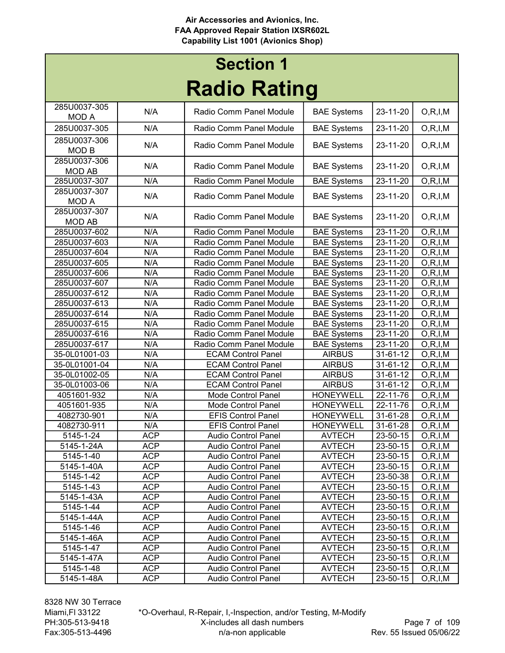## Radio Rating Section 1

| INAVIV INAUIIŲ               |            |                            |                    |                           |            |
|------------------------------|------------|----------------------------|--------------------|---------------------------|------------|
| 285U0037-305                 | N/A        | Radio Comm Panel Module    | <b>BAE Systems</b> | 23-11-20                  | O, R, I, M |
| <b>MOD A</b>                 |            |                            |                    |                           |            |
| 285U0037-305                 | N/A        | Radio Comm Panel Module    | <b>BAE Systems</b> | 23-11-20                  | O, R, I, M |
| 285U0037-306                 | N/A        | Radio Comm Panel Module    | <b>BAE Systems</b> | 23-11-20                  | O, R, I, M |
| MOD B                        |            |                            |                    |                           |            |
| 285U0037-306                 | N/A        | Radio Comm Panel Module    | <b>BAE Systems</b> | 23-11-20                  | O, R, I, M |
| <b>MOD AB</b>                |            |                            |                    |                           |            |
| 285U0037-307                 | N/A        | Radio Comm Panel Module    | <b>BAE Systems</b> | $23 - 11 - 20$            | O, R, I, M |
| 285U0037-307                 | N/A        | Radio Comm Panel Module    | <b>BAE Systems</b> | 23-11-20                  | O, R, I, M |
| <b>MOD A</b><br>285U0037-307 |            |                            |                    |                           |            |
| <b>MOD AB</b>                | N/A        | Radio Comm Panel Module    | <b>BAE Systems</b> | 23-11-20                  | O, R, I, M |
| 285U0037-602                 | N/A        | Radio Comm Panel Module    | <b>BAE Systems</b> | 23-11-20                  | O, R, I, M |
| 285U0037-603                 | N/A        | Radio Comm Panel Module    | <b>BAE</b> Systems | $23 - 11 - 20$            | O, R, I, M |
| 285U0037-604                 | N/A        | Radio Comm Panel Module    | <b>BAE Systems</b> | 23-11-20                  | O, R, I, M |
| 285U0037-605                 | N/A        | Radio Comm Panel Module    | <b>BAE Systems</b> | 23-11-20                  | O, R, I, M |
| 285U0037-606                 | N/A        | Radio Comm Panel Module    | <b>BAE Systems</b> | $23 - 11 - 20$            | O, R, I, M |
| 285U0037-607                 | N/A        | Radio Comm Panel Module    | <b>BAE Systems</b> | $23 - 11 - 20$            | O, R, I, M |
| 285U0037-612                 | N/A        | Radio Comm Panel Module    | <b>BAE Systems</b> | 23-11-20                  | O, R, I, M |
| 285U0037-613                 | N/A        | Radio Comm Panel Module    | <b>BAE Systems</b> | 23-11-20                  | O, R, I, M |
| 285U0037-614                 | N/A        | Radio Comm Panel Module    | <b>BAE Systems</b> | 23-11-20                  | O, R, I, M |
| 285U0037-615                 | N/A        | Radio Comm Panel Module    | <b>BAE Systems</b> | 23-11-20                  | O, R, I, M |
| 285U0037-616                 | N/A        | Radio Comm Panel Module    | <b>BAE Systems</b> | 23-11-20                  | O, R, I, M |
| 285U0037-617                 | N/A        | Radio Comm Panel Module    | <b>BAE Systems</b> | 23-11-20                  | O, R, I, M |
| 35-0L01001-03                | N/A        | <b>ECAM Control Panel</b>  | <b>AIRBUS</b>      | 31-61-12                  | O, R, I, M |
| 35-0L01001-04                | N/A        | <b>ECAM Control Panel</b>  | <b>AIRBUS</b>      | 31-61-12                  | O, R, I, M |
| 35-0L01002-05                | N/A        | <b>ECAM Control Panel</b>  | <b>AIRBUS</b>      | 31-61-12                  | O, R, I, M |
| 35-0L01003-06                | N/A        | <b>ECAM Control Panel</b>  | <b>AIRBUS</b>      | 31-61-12                  | O, R, I, M |
| 4051601-932                  | N/A        | Mode Control Panel         | <b>HONEYWELL</b>   | $\overline{22} - 11 - 76$ | O, R, I, M |
| 4051601-935                  | N/A        | Mode Control Panel         | <b>HONEYWELL</b>   | 22-11-76                  | O, R, I, M |
| 4082730-901                  | N/A        | <b>EFIS Control Panel</b>  | <b>HONEYWELL</b>   | 31-61-28                  | O, R, I, M |
| 4082730-911                  | N/A        | <b>EFIS Control Panel</b>  | <b>HONEYWELL</b>   | 31-61-28                  | O, R, I, M |
| 5145-1-24                    | <b>ACP</b> | Audio Control Panel        | <b>AVTECH</b>      | 23-50-15                  | O, R, I, M |
| 5145-1-24A                   | <b>ACP</b> | Audio Control Panel        | <b>AVTECH</b>      | 23-50-15                  | O, R, I, M |
| 5145-1-40                    | <b>ACP</b> | <b>Audio Control Panel</b> | <b>AVTECH</b>      | 23-50-15                  | O, R, I, M |
| 5145-1-40A                   | <b>ACP</b> | Audio Control Panel        | <b>AVTECH</b>      | 23-50-15                  | O, R, I, M |
| 5145-1-42                    | <b>ACP</b> | <b>Audio Control Panel</b> | <b>AVTECH</b>      | 23-50-38                  | O, R, I, M |
| 5145-1-43                    | <b>ACP</b> | <b>Audio Control Panel</b> | <b>AVTECH</b>      | 23-50-15                  | O, R, I, M |
| 5145-1-43A                   | <b>ACP</b> | <b>Audio Control Panel</b> | <b>AVTECH</b>      | 23-50-15                  | O, R, I, M |
| 5145-1-44                    | <b>ACP</b> | <b>Audio Control Panel</b> | <b>AVTECH</b>      | 23-50-15                  | O, R, I, M |
| 5145-1-44A                   | <b>ACP</b> | <b>Audio Control Panel</b> | <b>AVTECH</b>      | 23-50-15                  | O, R, I, M |
| 5145-1-46                    | <b>ACP</b> | <b>Audio Control Panel</b> | <b>AVTECH</b>      | 23-50-15                  | O, R, I, M |
| 5145-1-46A                   | <b>ACP</b> | <b>Audio Control Panel</b> | <b>AVTECH</b>      | 23-50-15                  | O, R, I, M |
| 5145-1-47                    | <b>ACP</b> | <b>Audio Control Panel</b> | <b>AVTECH</b>      | 23-50-15                  | O, R, I, M |
| 5145-1-47A                   | <b>ACP</b> | <b>Audio Control Panel</b> | <b>AVTECH</b>      | 23-50-15                  | O, R, I, M |
| 5145-1-48                    | <b>ACP</b> | <b>Audio Control Panel</b> | <b>AVTECH</b>      | 23-50-15                  | O, R, I, M |
| 5145-1-48A                   | <b>ACP</b> | <b>Audio Control Panel</b> | <b>AVTECH</b>      | 23-50-15                  | O, R, I, M |

8328 NW 30 Terrace Miami,Fl 33122 PH:305-513-9418 Fax:305-513-4496

\*O-Overhaul, R-Repair, I,-Inspection, and/or Testing, M-Modify X-includes all dash numbers n/a-non applicable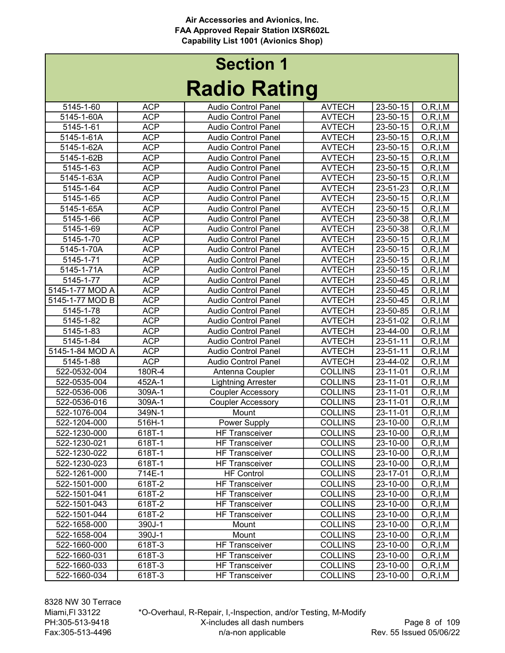|                 |            |                            | J              |                |            |
|-----------------|------------|----------------------------|----------------|----------------|------------|
| 5145-1-60       | <b>ACP</b> | <b>Audio Control Panel</b> | <b>AVTECH</b>  | 23-50-15       | O, R, I, M |
| 5145-1-60A      | <b>ACP</b> | <b>Audio Control Panel</b> | <b>AVTECH</b>  | 23-50-15       | O, R, I, M |
| 5145-1-61       | <b>ACP</b> | Audio Control Panel        | <b>AVTECH</b>  | 23-50-15       | O, R, I, M |
| 5145-1-61A      | <b>ACP</b> | <b>Audio Control Panel</b> | <b>AVTECH</b>  | 23-50-15       | O, R, I, M |
| 5145-1-62A      | <b>ACP</b> | <b>Audio Control Panel</b> | <b>AVTECH</b>  | 23-50-15       | O, R, I, M |
| 5145-1-62B      | <b>ACP</b> | <b>Audio Control Panel</b> | <b>AVTECH</b>  | 23-50-15       | O, R, I, M |
| 5145-1-63       | <b>ACP</b> | <b>Audio Control Panel</b> | <b>AVTECH</b>  | 23-50-15       | O, R, I, M |
| 5145-1-63A      | <b>ACP</b> | <b>Audio Control Panel</b> | <b>AVTECH</b>  | 23-50-15       | O, R, I, M |
| 5145-1-64       | <b>ACP</b> | <b>Audio Control Panel</b> | <b>AVTECH</b>  | 23-51-23       | O, R, I, M |
| 5145-1-65       | <b>ACP</b> | <b>Audio Control Panel</b> | <b>AVTECH</b>  | 23-50-15       | O, R, I, M |
| 5145-1-65A      | <b>ACP</b> | <b>Audio Control Panel</b> | <b>AVTECH</b>  | 23-50-15       | O, R, I, M |
| 5145-1-66       | <b>ACP</b> | <b>Audio Control Panel</b> | <b>AVTECH</b>  | 23-50-38       | O, R, I, M |
| 5145-1-69       | <b>ACP</b> | <b>Audio Control Panel</b> | <b>AVTECH</b>  | 23-50-38       | O, R, I, M |
| 5145-1-70       | <b>ACP</b> | <b>Audio Control Panel</b> | <b>AVTECH</b>  | 23-50-15       | O, R, I, M |
| 5145-1-70A      | <b>ACP</b> | <b>Audio Control Panel</b> | <b>AVTECH</b>  | 23-50-15       | O, R, I, M |
| 5145-1-71       | <b>ACP</b> | <b>Audio Control Panel</b> | <b>AVTECH</b>  | $23 - 50 - 15$ | O, R, I, M |
| 5145-1-71A      | <b>ACP</b> | Audio Control Panel        | <b>AVTECH</b>  | 23-50-15       | O, R, I, M |
| 5145-1-77       | <b>ACP</b> | <b>Audio Control Panel</b> | <b>AVTECH</b>  | 23-50-45       | O, R, I, M |
| 5145-1-77 MOD A | <b>ACP</b> | <b>Audio Control Panel</b> | <b>AVTECH</b>  | $23 - 50 - 45$ | O, R, I, M |
| 5145-1-77 MOD B | <b>ACP</b> | <b>Audio Control Panel</b> | <b>AVTECH</b>  | 23-50-45       | O, R, I, M |
| 5145-1-78       | <b>ACP</b> | <b>Audio Control Panel</b> | <b>AVTECH</b>  | 23-50-85       | O, R, I, M |
| 5145-1-82       | <b>ACP</b> | <b>Audio Control Panel</b> | <b>AVTECH</b>  | 23-51-02       | O, R, I, M |
| 5145-1-83       | <b>ACP</b> | <b>Audio Control Panel</b> | <b>AVTECH</b>  | 23-44-00       | O, R, I, M |
| 5145-1-84       | <b>ACP</b> | <b>Audio Control Panel</b> | <b>AVTECH</b>  | 23-51-11       | O, R, I, M |
| 5145-1-84 MOD A | <b>ACP</b> | Audio Control Panel        | <b>AVTECH</b>  | 23-51-11       | O, R, I, M |
| 5145-1-88       | <b>ACP</b> | <b>Audio Control Panel</b> | <b>AVTECH</b>  | 23-44-02       | O, R, I, M |
| 522-0532-004    | 180R-4     | Antenna Coupler            | <b>COLLINS</b> | 23-11-01       | O, R, I, M |
| 522-0535-004    | 452A-1     | <b>Lightning Arrester</b>  | <b>COLLINS</b> | 23-11-01       | O, R, I, M |
| 522-0536-006    | 309A-1     | <b>Coupler Accessory</b>   | <b>COLLINS</b> | 23-11-01       | O, R, I, M |
| 522-0536-016    | 309A-1     | <b>Coupler Accessory</b>   | <b>COLLINS</b> | 23-11-01       | O, R, I, M |
| 522-1076-004    | 349N-1     | Mount                      | <b>COLLINS</b> | 23-11-01       | O, R, I, M |
| 522-1204-000    | 516H-1     | <b>Power Supply</b>        | <b>COLLINS</b> | 23-10-00       | O, R, I, M |
| 522-1230-000    | 618T-1     | <b>HF Transceiver</b>      | <b>COLLINS</b> | 23-10-00       | O, R, I, M |
| 522-1230-021    | 618T-1     | <b>HF Transceiver</b>      | <b>COLLINS</b> | 23-10-00       | O, R, I, M |
| 522-1230-022    | 618T-1     | <b>HF Transceiver</b>      | <b>COLLINS</b> | 23-10-00       | O, R, I, M |
| 522-1230-023    | 618T-1     | <b>HF Transceiver</b>      | <b>COLLINS</b> | 23-10-00       | O, R, I, M |
| 522-1261-000    | 714E-1     | HF Control                 | <b>COLLINS</b> | 23-17-01       | O, R, I, M |
| 522-1501-000    | 618T-2     | <b>HF Transceiver</b>      | <b>COLLINS</b> | 23-10-00       | O, R, I, M |
| 522-1501-041    | 618T-2     | <b>HF Transceiver</b>      | <b>COLLINS</b> | 23-10-00       | O, R, I, M |
| 522-1501-043    | 618T-2     | <b>HF Transceiver</b>      | <b>COLLINS</b> | 23-10-00       | O, R, I, M |
| 522-1501-044    | 618T-2     | <b>HF Transceiver</b>      | <b>COLLINS</b> | 23-10-00       | O, R, I, M |
| 522-1658-000    | 390J-1     | Mount                      | <b>COLLINS</b> | 23-10-00       | O, R, I, M |
| 522-1658-004    | 390J-1     | Mount                      | <b>COLLINS</b> | 23-10-00       | O, R, I, M |
| 522-1660-000    | 618T-3     | <b>HF Transceiver</b>      | <b>COLLINS</b> | 23-10-00       | O, R, I, M |
| 522-1660-031    | 618T-3     | <b>HF Transceiver</b>      | <b>COLLINS</b> | 23-10-00       | O, R, I, M |
| 522-1660-033    | 618T-3     | <b>HF Transceiver</b>      | <b>COLLINS</b> | 23-10-00       | O, R, I, M |
| 522-1660-034    | 618T-3     | <b>HF Transceiver</b>      | <b>COLLINS</b> | 23-10-00       | O, R, I, M |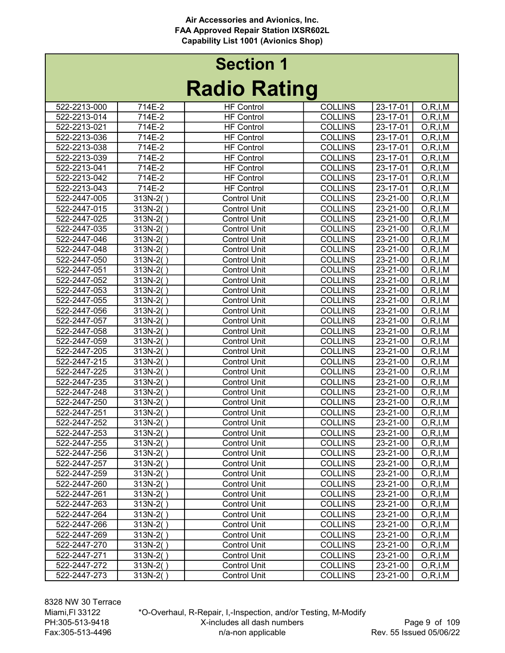# Radio Rating Section 1

|              |            | INAUIU INAUIIY      |                |          |            |
|--------------|------------|---------------------|----------------|----------|------------|
| 522-2213-000 | 714E-2     | <b>HF Control</b>   | <b>COLLINS</b> | 23-17-01 | O, R, I, M |
| 522-2213-014 | 714E-2     | <b>HF Control</b>   | <b>COLLINS</b> | 23-17-01 | O, R, I, M |
| 522-2213-021 | 714E-2     | <b>HF Control</b>   | <b>COLLINS</b> | 23-17-01 | O, R, I, M |
| 522-2213-036 | 714E-2     | <b>HF Control</b>   | <b>COLLINS</b> | 23-17-01 | O, R, I, M |
| 522-2213-038 | 714E-2     | <b>HF Control</b>   | <b>COLLINS</b> | 23-17-01 | O, R, I, M |
| 522-2213-039 | 714E-2     | <b>HF Control</b>   | <b>COLLINS</b> | 23-17-01 | O, R, I, M |
| 522-2213-041 | 714E-2     | <b>HF Control</b>   | <b>COLLINS</b> | 23-17-01 | O, R, I, M |
| 522-2213-042 | 714E-2     | <b>HF Control</b>   | <b>COLLINS</b> | 23-17-01 | O, R, I, M |
| 522-2213-043 | 714E-2     | <b>HF Control</b>   | <b>COLLINS</b> | 23-17-01 | O, R, I, M |
| 522-2447-005 | $313N-2()$ | <b>Control Unit</b> | <b>COLLINS</b> | 23-21-00 | O, R, I, M |
| 522-2447-015 | 313N-2()   | <b>Control Unit</b> | <b>COLLINS</b> | 23-21-00 | O, R, I, M |
| 522-2447-025 | 313N-2()   | <b>Control Unit</b> | <b>COLLINS</b> | 23-21-00 | O, R, I, M |
| 522-2447-035 | 313N-2()   | <b>Control Unit</b> | <b>COLLINS</b> | 23-21-00 | O, R, I, M |
| 522-2447-046 | 313N-2()   | <b>Control Unit</b> | <b>COLLINS</b> | 23-21-00 | O, R, I, M |
| 522-2447-048 | 313N-2()   | <b>Control Unit</b> | <b>COLLINS</b> | 23-21-00 | O, R, I, M |
| 522-2447-050 | $313N-2()$ | <b>Control Unit</b> | <b>COLLINS</b> | 23-21-00 | O, R, I, M |
| 522-2447-051 | 313N-2()   | <b>Control Unit</b> | <b>COLLINS</b> | 23-21-00 | O, R, I, M |
| 522-2447-052 | 313N-2()   | <b>Control Unit</b> | <b>COLLINS</b> | 23-21-00 | O, R, I, M |
| 522-2447-053 | 313N-2()   | <b>Control Unit</b> | <b>COLLINS</b> | 23-21-00 | O, R, I, M |
| 522-2447-055 | $313N-2()$ | <b>Control Unit</b> | <b>COLLINS</b> | 23-21-00 | O, R, I, M |
| 522-2447-056 | 313N-2()   | <b>Control Unit</b> | <b>COLLINS</b> | 23-21-00 | O, R, I, M |
| 522-2447-057 | $313N-2()$ | <b>Control Unit</b> | <b>COLLINS</b> | 23-21-00 | O, R, I, M |
| 522-2447-058 | 313N-2()   | <b>Control Unit</b> | <b>COLLINS</b> | 23-21-00 | O, R, I, M |
| 522-2447-059 | $313N-2()$ | <b>Control Unit</b> | <b>COLLINS</b> | 23-21-00 | O, R, I, M |
| 522-2447-205 | 313N-2()   | <b>Control Unit</b> | <b>COLLINS</b> | 23-21-00 | O, R, I, M |
| 522-2447-215 | 313N-2()   | <b>Control Unit</b> | <b>COLLINS</b> | 23-21-00 | O, R, I, M |
| 522-2447-225 | $313N-2()$ | <b>Control Unit</b> | <b>COLLINS</b> | 23-21-00 | O, R, I, M |
| 522-2447-235 | 313N-2()   | <b>Control Unit</b> | <b>COLLINS</b> | 23-21-00 | O, R, I, M |
| 522-2447-248 | 313N-2()   | <b>Control Unit</b> | <b>COLLINS</b> | 23-21-00 | O, R, I, M |
| 522-2447-250 | 313N-2()   | <b>Control Unit</b> | <b>COLLINS</b> | 23-21-00 | O, R, I, M |
| 522-2447-251 | 313N-2()   | <b>Control Unit</b> | <b>COLLINS</b> | 23-21-00 | O, R, I, M |
| 522-2447-252 | $313N-2()$ | <b>Control Unit</b> | <b>COLLINS</b> | 23-21-00 | O, R, I, M |
| 522-2447-253 | 313N-2()   | <b>Control Unit</b> | <b>COLLINS</b> | 23-21-00 | O, R, I, M |
| 522-2447-255 | $313N-2()$ | <b>Control Unit</b> | <b>COLLINS</b> | 23-21-00 | O, R, I, M |
| 522-2447-256 | 313N-2()   | <b>Control Unit</b> | <b>COLLINS</b> | 23-21-00 | O, R, I, M |
| 522-2447-257 | 313N-2()   | <b>Control Unit</b> | <b>COLLINS</b> | 23-21-00 | O, R, I, M |
| 522-2447-259 | $313N-2()$ | <b>Control Unit</b> | <b>COLLINS</b> | 23-21-00 | O, R, I, M |
| 522-2447-260 | 313N-2()   | <b>Control Unit</b> | <b>COLLINS</b> | 23-21-00 | O, R, I, M |
| 522-2447-261 | 313N-2()   | <b>Control Unit</b> | <b>COLLINS</b> | 23-21-00 | O, R, I, M |
| 522-2447-263 | $313N-2()$ | <b>Control Unit</b> | <b>COLLINS</b> | 23-21-00 | O, R, I, M |
| 522-2447-264 | 313N-2()   | <b>Control Unit</b> | <b>COLLINS</b> | 23-21-00 | O, R, I, M |
| 522-2447-266 | 313N-2()   | <b>Control Unit</b> | <b>COLLINS</b> | 23-21-00 | O, R, I, M |
| 522-2447-269 | 313N-2()   | <b>Control Unit</b> | <b>COLLINS</b> | 23-21-00 | O, R, I, M |
| 522-2447-270 | $313N-2()$ | <b>Control Unit</b> | <b>COLLINS</b> | 23-21-00 | O, R, I, M |
| 522-2447-271 | 313N-2()   | <b>Control Unit</b> | <b>COLLINS</b> | 23-21-00 | O, R, I, M |
| 522-2447-272 | 313N-2()   | <b>Control Unit</b> | <b>COLLINS</b> | 23-21-00 | O, R, I, M |
| 522-2447-273 | $313N-2($  | <b>Control Unit</b> | <b>COLLINS</b> | 23-21-00 | O, R, I, M |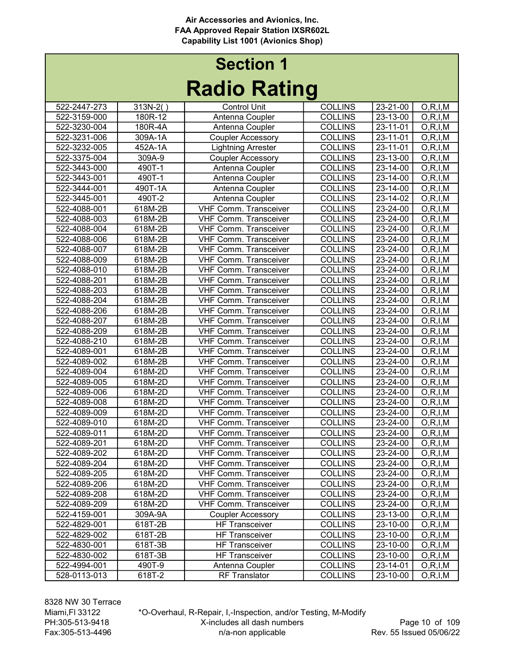# Radio Rating Section 1

| INUMIV INUMING |            |                              |                |                |            |  |
|----------------|------------|------------------------------|----------------|----------------|------------|--|
| 522-2447-273   | $313N-2()$ | <b>Control Unit</b>          | <b>COLLINS</b> | 23-21-00       | O, R, I, M |  |
| 522-3159-000   | 180R-12    | Antenna Coupler              | <b>COLLINS</b> | 23-13-00       | O, R, I, M |  |
| 522-3230-004   | 180R-4A    | Antenna Coupler              | <b>COLLINS</b> | 23-11-01       | O, R, I, M |  |
| 522-3231-006   | 309A-1A    | <b>Coupler Accessory</b>     | <b>COLLINS</b> | 23-11-01       | O, R, I, M |  |
| 522-3232-005   | 452A-1A    | <b>Lightning Arrester</b>    | <b>COLLINS</b> | 23-11-01       | O, R, I, M |  |
| 522-3375-004   | 309A-9     | <b>Coupler Accessory</b>     | <b>COLLINS</b> | 23-13-00       | O, R, I, M |  |
| 522-3443-000   | 490T-1     | Antenna Coupler              | <b>COLLINS</b> | 23-14-00       | O, R, I, M |  |
| 522-3443-001   | 490T-1     | Antenna Coupler              | <b>COLLINS</b> | 23-14-00       | O, R, I, M |  |
| 522-3444-001   | 490T-1A    | Antenna Coupler              | <b>COLLINS</b> | 23-14-00       | O, R, I, M |  |
| 522-3445-001   | 490T-2     | Antenna Coupler              | <b>COLLINS</b> | 23-14-02       | O, R, I, M |  |
| 522-4088-001   | 618M-2B    | <b>VHF Comm. Transceiver</b> | <b>COLLINS</b> | 23-24-00       | O, R, I, M |  |
| 522-4088-003   | 618M-2B    | <b>VHF Comm. Transceiver</b> | <b>COLLINS</b> | 23-24-00       | O, R, I, M |  |
| 522-4088-004   | 618M-2B    | <b>VHF Comm. Transceiver</b> | <b>COLLINS</b> | 23-24-00       | O, R, I, M |  |
| 522-4088-006   | 618M-2B    | <b>VHF Comm. Transceiver</b> | <b>COLLINS</b> | $23 - 24 - 00$ | O, R, I, M |  |
| 522-4088-007   | 618M-2B    | <b>VHF Comm. Transceiver</b> | <b>COLLINS</b> | 23-24-00       | O, R, I, M |  |
| 522-4088-009   | 618M-2B    | <b>VHF Comm. Transceiver</b> | <b>COLLINS</b> | 23-24-00       | O, R, I, M |  |
| 522-4088-010   | 618M-2B    | <b>VHF Comm. Transceiver</b> | <b>COLLINS</b> | 23-24-00       | O, R, I, M |  |
| 522-4088-201   | 618M-2B    | VHF Comm. Transceiver        | <b>COLLINS</b> | 23-24-00       | O, R, I, M |  |
| 522-4088-203   | 618M-2B    | <b>VHF Comm. Transceiver</b> | <b>COLLINS</b> | 23-24-00       | O, R, I, M |  |
| 522-4088-204   | 618M-2B    | <b>VHF Comm. Transceiver</b> | <b>COLLINS</b> | 23-24-00       | O, R, I, M |  |
| 522-4088-206   | 618M-2B    | <b>VHF Comm. Transceiver</b> | <b>COLLINS</b> | 23-24-00       | O, R, I, M |  |
| 522-4088-207   | 618M-2B    | <b>VHF Comm. Transceiver</b> | <b>COLLINS</b> | 23-24-00       | O, R, I, M |  |
| 522-4088-209   | 618M-2B    | <b>VHF Comm. Transceiver</b> | <b>COLLINS</b> | 23-24-00       | O, R, I, M |  |
| 522-4088-210   | 618M-2B    | <b>VHF Comm. Transceiver</b> | <b>COLLINS</b> | 23-24-00       | O, R, I, M |  |
| 522-4089-001   | 618M-2B    | <b>VHF Comm. Transceiver</b> | <b>COLLINS</b> | 23-24-00       | O, R, I, M |  |
| 522-4089-002   | 618M-2B    | <b>VHF Comm. Transceiver</b> | <b>COLLINS</b> | 23-24-00       | O, R, I, M |  |
| 522-4089-004   | 618M-2D    | <b>VHF Comm. Transceiver</b> | <b>COLLINS</b> | 23-24-00       | O, R, I, M |  |
| 522-4089-005   | 618M-2D    | <b>VHF Comm. Transceiver</b> | <b>COLLINS</b> | 23-24-00       | O, R, I, M |  |
| 522-4089-006   | 618M-2D    | <b>VHF Comm. Transceiver</b> | <b>COLLINS</b> | 23-24-00       | O, R, I, M |  |
| 522-4089-008   | 618M-2D    | <b>VHF Comm. Transceiver</b> | <b>COLLINS</b> | 23-24-00       | O, R, I, M |  |
| 522-4089-009   | 618M-2D    | <b>VHF Comm. Transceiver</b> | <b>COLLINS</b> | 23-24-00       | O, R, I, M |  |
| 522-4089-010   | 618M-2D    | <b>VHF Comm. Transceiver</b> | <b>COLLINS</b> | 23-24-00       | O, R, I, M |  |
| 522-4089-011   | 618M-2D    | <b>VHF Comm. Transceiver</b> | <b>COLLINS</b> | 23-24-00       | O, R, I, M |  |
| 522-4089-201   | 618M-2D    | <b>VHF Comm. Transceiver</b> | <b>COLLINS</b> | 23-24-00       | O, R, I, M |  |
| 522-4089-202   | 618M-2D    | <b>VHF Comm. Transceiver</b> | <b>COLLINS</b> | 23-24-00       | O, R, I, M |  |
| 522-4089-204   | 618M-2D    | <b>VHF Comm. Transceiver</b> | <b>COLLINS</b> | $23 - 24 - 00$ | O, R, I, M |  |
| 522-4089-205   | 618M-2D    | <b>VHF Comm. Transceiver</b> | <b>COLLINS</b> | 23-24-00       | O, R, I, M |  |
| 522-4089-206   | 618M-2D    | <b>VHF Comm. Transceiver</b> | <b>COLLINS</b> | 23-24-00       | O, R, I, M |  |
| 522-4089-208   | 618M-2D    | <b>VHF Comm. Transceiver</b> | <b>COLLINS</b> | 23-24-00       | O, R, I, M |  |
| 522-4089-209   | 618M-2D    | <b>VHF Comm. Transceiver</b> | <b>COLLINS</b> | 23-24-00       | O, R, I, M |  |
| 522-4159-001   | 309A-9A    | <b>Coupler Accessory</b>     | <b>COLLINS</b> | 23-13-00       | O, R, I, M |  |
| 522-4829-001   | 618T-2B    | <b>HF Transceiver</b>        | <b>COLLINS</b> | 23-10-00       | O, R, I, M |  |
| 522-4829-002   | 618T-2B    | <b>HF Transceiver</b>        | <b>COLLINS</b> | 23-10-00       | O, R, I, M |  |
| 522-4830-001   | 618T-3B    | <b>HF Transceiver</b>        | <b>COLLINS</b> | 23-10-00       | O, R, I, M |  |
| 522-4830-002   | 618T-3B    | <b>HF Transceiver</b>        | <b>COLLINS</b> | 23-10-00       | O, R, I, M |  |
| 522-4994-001   | 490T-9     | Antenna Coupler              | <b>COLLINS</b> | 23-14-01       | O, R, I, M |  |
| 528-0113-013   | 618T-2     | <b>RF Translator</b>         | <b>COLLINS</b> | 23-10-00       | O, R, I, M |  |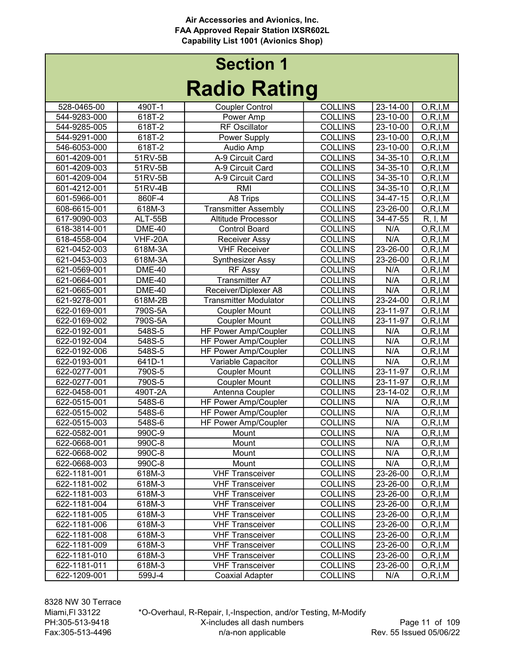# Radio Rating Section 1

|              |                | I wulu Turitiy               |                |                |            |
|--------------|----------------|------------------------------|----------------|----------------|------------|
| 528-0465-00  | 490T-1         | <b>Coupler Control</b>       | <b>COLLINS</b> | 23-14-00       | O, R, I, M |
| 544-9283-000 | 618T-2         | Power Amp                    | <b>COLLINS</b> | 23-10-00       | O, R, I, M |
| 544-9285-005 | 618T-2         | <b>RF Oscillator</b>         | <b>COLLINS</b> | 23-10-00       | O, R, I, M |
| 544-9291-000 | 618T-2         | Power Supply                 | <b>COLLINS</b> | 23-10-00       | O, R, I, M |
| 546-6053-000 | 618T-2         | Audio Amp                    | <b>COLLINS</b> | 23-10-00       | O, R, I, M |
| 601-4209-001 | 51RV-5B        | A-9 Circuit Card             | <b>COLLINS</b> | $34 - 35 - 10$ | O, R, I, M |
| 601-4209-003 | 51RV-5B        | A-9 Circuit Card             | <b>COLLINS</b> | 34-35-10       | O, R, I, M |
| 601-4209-004 | 51RV-5B        | A-9 Circuit Card             | <b>COLLINS</b> | 34-35-10       | O, R, I, M |
| 601-4212-001 | 51RV-4B        | <b>RMI</b>                   | <b>COLLINS</b> | 34-35-10       | O, R, I, M |
| 601-5966-001 | 860F-4         | A8 Trips                     | <b>COLLINS</b> | $34 - 47 - 15$ | O, R, I, M |
| 608-6615-001 | 618M-3         | <b>Transmitter Assembly</b>  | <b>COLLINS</b> | 23-26-00       | O, R, I, M |
| 617-9090-003 | ALT-55B        | Altitude Processor           | <b>COLLINS</b> | 34-47-55       | R, I, M    |
| 618-3814-001 | <b>DME-40</b>  | <b>Control Board</b>         | <b>COLLINS</b> | N/A            | O, R, I, M |
| 618-4558-004 | <b>VHF-20A</b> | <b>Receiver Assy</b>         | <b>COLLINS</b> | N/A            | O, R, I, M |
| 621-0452-003 | 618M-3A        | <b>VHF Receiver</b>          | <b>COLLINS</b> | $23 - 26 - 00$ | O, R, I, M |
| 621-0453-003 | 618M-3A        | Synthesizer Assy             | <b>COLLINS</b> | 23-26-00       | O, R, I, M |
| 621-0569-001 | <b>DME-40</b>  | <b>RF Assy</b>               | <b>COLLINS</b> | N/A            | O, R, I, M |
| 621-0664-001 | <b>DME-40</b>  | <b>Transmitter A7</b>        | <b>COLLINS</b> | N/A            | O, R, I, M |
| 621-0665-001 | <b>DME-40</b>  | Receiver/Diplexer A8         | <b>COLLINS</b> | N/A            | O, R, I, M |
| 621-9278-001 | 618M-2B        | <b>Transmitter Modulator</b> | <b>COLLINS</b> | 23-24-00       | O, R, I, M |
| 622-0169-001 | 790S-5A        | <b>Coupler Mount</b>         | <b>COLLINS</b> | 23-11-97       | O, R, I, M |
| 622-0169-002 | 790S-5A        | Coupler Mount                | <b>COLLINS</b> | 23-11-97       | O, R, I, M |
| 622-0192-001 | 548S-5         | HF Power Amp/Coupler         | <b>COLLINS</b> | N/A            | O, R, I, M |
| 622-0192-004 | 548S-5         | HF Power Amp/Coupler         | <b>COLLINS</b> | N/A            | O, R, I, M |
| 622-0192-006 | 548S-5         | HF Power Amp/Coupler         | <b>COLLINS</b> | N/A            | O, R, I, M |
| 622-0193-001 | 641D-1         | Variable Capacitor           | <b>COLLINS</b> | N/A            | O, R, I, M |
| 622-0277-001 | 790S-5         | <b>Coupler Mount</b>         | <b>COLLINS</b> | 23-11-97       | O, R, I, M |
| 622-0277-001 | 790S-5         | <b>Coupler Mount</b>         | <b>COLLINS</b> | 23-11-97       | O, R, I, M |
| 622-0458-001 | 490T-2A        | Antenna Coupler              | <b>COLLINS</b> | 23-14-02       | O, R, I, M |
| 622-0515-001 | 548S-6         | HF Power Amp/Coupler         | <b>COLLINS</b> | N/A            | O, R, I, M |
| 622-0515-002 | 548S-6         | HF Power Amp/Coupler         | <b>COLLINS</b> | N/A            | O, R, I, M |
| 622-0515-003 | 548S-6         | HF Power Amp/Coupler         | <b>COLLINS</b> | N/A            | O, R, I, M |
| 622-0582-001 | 990C-9         | Mount                        | <b>COLLINS</b> | N/A            | O, R, I, M |
| 622-0668-001 | 990C-8         | Mount                        | <b>COLLINS</b> | N/A            | O, R, I, M |
| 622-0668-002 | 990C-8         | Mount                        | <b>COLLINS</b> | N/A            | O, R, I, M |
| 622-0668-003 | 990C-8         | Mount                        | <b>COLLINS</b> | N/A            | O, R, I, M |
| 622-1181-001 | 618M-3         | <b>VHF Transceiver</b>       | <b>COLLINS</b> | 23-26-00       | O, R, I, M |
| 622-1181-002 | 618M-3         | <b>VHF Transceiver</b>       | <b>COLLINS</b> | 23-26-00       | O, R, I, M |
| 622-1181-003 | 618M-3         | <b>VHF Transceiver</b>       | <b>COLLINS</b> | 23-26-00       | O, R, I, M |
| 622-1181-004 | 618M-3         | <b>VHF Transceiver</b>       | <b>COLLINS</b> | 23-26-00       | O, R, I, M |
| 622-1181-005 | 618M-3         | <b>VHF Transceiver</b>       | <b>COLLINS</b> | 23-26-00       | O, R, I, M |
| 622-1181-006 | 618M-3         | <b>VHF Transceiver</b>       | <b>COLLINS</b> | 23-26-00       | O, R, I, M |
| 622-1181-008 | 618M-3         | <b>VHF Transceiver</b>       | <b>COLLINS</b> | 23-26-00       | O, R, I, M |
| 622-1181-009 | 618M-3         | <b>VHF Transceiver</b>       | <b>COLLINS</b> | 23-26-00       | O, R, I, M |
| 622-1181-010 | 618M-3         | <b>VHF Transceiver</b>       | <b>COLLINS</b> | 23-26-00       | O, R, I, M |
| 622-1181-011 | 618M-3         | <b>VHF Transceiver</b>       | <b>COLLINS</b> | 23-26-00       | O, R, I, M |
| 622-1209-001 | 599J-4         | <b>Coaxial Adapter</b>       | <b>COLLINS</b> | N/A            | O, R, I, M |
|              |                |                              |                |                |            |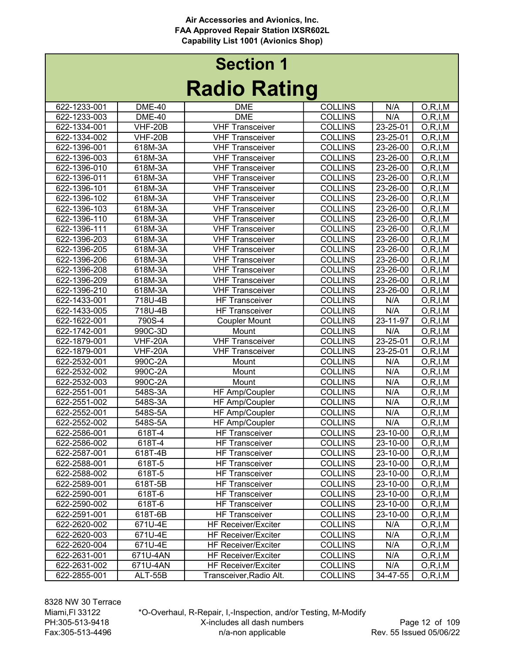# Radio Rating Section 1

| I wulu Turitiy |                |                            |                |                |            |  |
|----------------|----------------|----------------------------|----------------|----------------|------------|--|
| 622-1233-001   | <b>DME-40</b>  | <b>DME</b>                 | <b>COLLINS</b> | N/A            | O, R, I, M |  |
| 622-1233-003   | <b>DME-40</b>  | <b>DME</b>                 | <b>COLLINS</b> | N/A            | O, R, I, M |  |
| 622-1334-001   | <b>VHF-20B</b> | <b>VHF Transceiver</b>     | <b>COLLINS</b> | 23-25-01       | O, R, I, M |  |
| 622-1334-002   | <b>VHF-20B</b> | <b>VHF Transceiver</b>     | <b>COLLINS</b> | 23-25-01       | O, R, I, M |  |
| 622-1396-001   | 618M-3A        | <b>VHF Transceiver</b>     | <b>COLLINS</b> | 23-26-00       | O, R, I, M |  |
| 622-1396-003   | 618M-3A        | <b>VHF Transceiver</b>     | <b>COLLINS</b> | 23-26-00       | O, R, I, M |  |
| 622-1396-010   | 618M-3A        | <b>VHF Transceiver</b>     | <b>COLLINS</b> | 23-26-00       | O, R, I, M |  |
| 622-1396-011   | 618M-3A        | <b>VHF Transceiver</b>     | <b>COLLINS</b> | 23-26-00       | O, R, I, M |  |
| 622-1396-101   | 618M-3A        | <b>VHF Transceiver</b>     | <b>COLLINS</b> | 23-26-00       | O, R, I, M |  |
| 622-1396-102   | 618M-3A        | <b>VHF Transceiver</b>     | <b>COLLINS</b> | 23-26-00       | O, R, I, M |  |
| 622-1396-103   | 618M-3A        | <b>VHF Transceiver</b>     | <b>COLLINS</b> | 23-26-00       | O, R, I, M |  |
| 622-1396-110   | 618M-3A        | <b>VHF Transceiver</b>     | <b>COLLINS</b> | 23-26-00       | O, R, I, M |  |
| 622-1396-111   | 618M-3A        | <b>VHF Transceiver</b>     | <b>COLLINS</b> | 23-26-00       | O, R, I, M |  |
| 622-1396-203   | 618M-3A        | <b>VHF Transceiver</b>     | <b>COLLINS</b> | 23-26-00       | O, R, I, M |  |
| 622-1396-205   | 618M-3A        | <b>VHF Transceiver</b>     | <b>COLLINS</b> | 23-26-00       | O, R, I, M |  |
| 622-1396-206   | 618M-3A        | <b>VHF Transceiver</b>     | <b>COLLINS</b> | 23-26-00       | O, R, I, M |  |
| 622-1396-208   | 618M-3A        | <b>VHF Transceiver</b>     | <b>COLLINS</b> | 23-26-00       | O, R, I, M |  |
| 622-1396-209   | 618M-3A        | <b>VHF Transceiver</b>     | <b>COLLINS</b> | 23-26-00       | O, R, I, M |  |
| 622-1396-210   | 618M-3A        | <b>VHF Transceiver</b>     | <b>COLLINS</b> | 23-26-00       | O, R, I, M |  |
| 622-1433-001   | 718U-4B        | <b>HF Transceiver</b>      | <b>COLLINS</b> | N/A            | O, R, I, M |  |
| 622-1433-005   | 718U-4B        | <b>HF Transceiver</b>      | <b>COLLINS</b> | N/A            | O, R, I, M |  |
| 622-1622-001   | 790S-4         | <b>Coupler Mount</b>       | <b>COLLINS</b> | $23 - 11 - 97$ | O, R, I, M |  |
| 622-1742-001   | 990C-3D        | Mount                      | <b>COLLINS</b> | N/A            | O, R, I, M |  |
| 622-1879-001   | <b>VHF-20A</b> | <b>VHF Transceiver</b>     | <b>COLLINS</b> | 23-25-01       | O, R, I, M |  |
| 622-1879-001   | VHF-20A        | <b>VHF Transceiver</b>     | <b>COLLINS</b> | 23-25-01       | O, R, I, M |  |
| 622-2532-001   | 990C-2A        | Mount                      | <b>COLLINS</b> | N/A            | O, R, I, M |  |
| 622-2532-002   | 990C-2A        | Mount                      | <b>COLLINS</b> | N/A            | O, R, I, M |  |
| 622-2532-003   | 990C-2A        | Mount                      | <b>COLLINS</b> | N/A            | O, R, I, M |  |
| 622-2551-001   | 548S-3A        | HF Amp/Coupler             | <b>COLLINS</b> | N/A            | O, R, I, M |  |
| 622-2551-002   | 548S-3A        | HF Amp/Coupler             | <b>COLLINS</b> | N/A            | O, R, I, M |  |
| 622-2552-001   | 548S-5A        | HF Amp/Coupler             | <b>COLLINS</b> | N/A            | O, R, I, M |  |
| 622-2552-002   | 548S-5A        | HF Amp/Coupler             | <b>COLLINS</b> | N/A            | O, R, I, M |  |
| 622-2586-001   | 618T-4         | <b>HF Transceiver</b>      | <b>COLLINS</b> | 23-10-00       | O, R, I, M |  |
| 622-2586-002   | 618T-4         | <b>HF Transceiver</b>      | <b>COLLINS</b> | 23-10-00       | O, R, I, M |  |
| 622-2587-001   | 618T-4B        | <b>HF Transceiver</b>      | <b>COLLINS</b> | 23-10-00       | O, R, I, M |  |
| 622-2588-001   | 618T-5         | <b>HF Transceiver</b>      | <b>COLLINS</b> | $23 - 10 - 00$ | O, R, I, M |  |
| 622-2588-002   | 618T-5         | <b>HF Transceiver</b>      | <b>COLLINS</b> | 23-10-00       | O, R, I, M |  |
| 622-2589-001   | 618T-5B        | <b>HF Transceiver</b>      | <b>COLLINS</b> | 23-10-00       | O, R, I, M |  |
| 622-2590-001   | 618T-6         | <b>HF Transceiver</b>      | <b>COLLINS</b> | 23-10-00       | O, R, I, M |  |
| 622-2590-002   | 618T-6         | <b>HF Transceiver</b>      | <b>COLLINS</b> | 23-10-00       | O, R, I, M |  |
| 622-2591-001   | 618T-6B        | <b>HF Transceiver</b>      | <b>COLLINS</b> | 23-10-00       | O, R, I, M |  |
| 622-2620-002   | 671U-4E        | <b>HF Receiver/Exciter</b> | <b>COLLINS</b> | N/A            | O, R, I, M |  |
| 622-2620-003   | 671U-4E        | <b>HF Receiver/Exciter</b> | <b>COLLINS</b> | N/A            | O, R, I, M |  |
| 622-2620-004   | 671U-4E        | <b>HF Receiver/Exciter</b> | <b>COLLINS</b> | N/A            | O, R, I, M |  |
| 622-2631-001   | 671U-4AN       | <b>HF Receiver/Exciter</b> | <b>COLLINS</b> | N/A            | O, R, I, M |  |
| 622-2631-002   | 671U-4AN       | <b>HF Receiver/Exciter</b> | <b>COLLINS</b> | N/A            | O, R, I, M |  |
| 622-2855-001   | ALT-55B        | Transceiver, Radio Alt.    | <b>COLLINS</b> | 34-47-55       | O, R, I, M |  |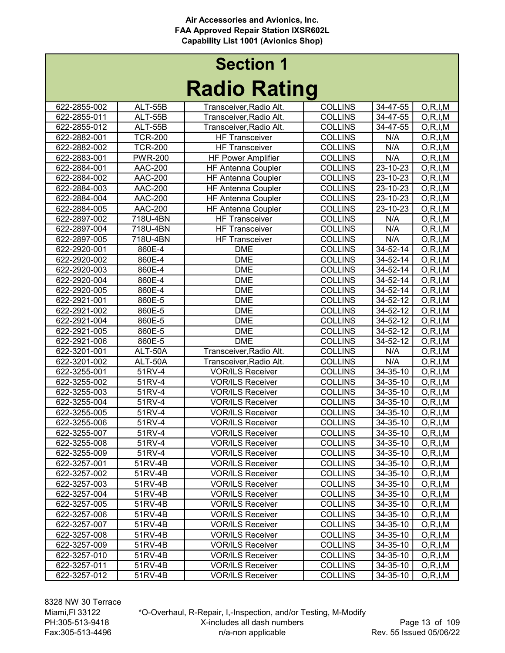# Radio Rating Section 1

|              |                | I MAIN THAILIN            |                |                    |            |
|--------------|----------------|---------------------------|----------------|--------------------|------------|
| 622-2855-002 | ALT-55B        | Transceiver, Radio Alt.   | <b>COLLINS</b> | 34-47-55           | O, R, I, M |
| 622-2855-011 | ALT-55B        | Transceiver, Radio Alt.   | <b>COLLINS</b> | 34-47-55           | O, R, I, M |
| 622-2855-012 | ALT-55B        | Transceiver, Radio Alt.   | <b>COLLINS</b> | 34-47-55           | O, R, I, M |
| 622-2882-001 | <b>TCR-200</b> | <b>HF Transceiver</b>     | <b>COLLINS</b> | N/A                | O, R, I, M |
| 622-2882-002 | <b>TCR-200</b> | <b>HF Transceiver</b>     | <b>COLLINS</b> | N/A                | O, R, I, M |
| 622-2883-001 | <b>PWR-200</b> | <b>HF Power Amplifier</b> | <b>COLLINS</b> | N/A                | O, R, I, M |
| 622-2884-001 | <b>AAC-200</b> | <b>HF Antenna Coupler</b> | <b>COLLINS</b> | 23-10-23           | O, R, I, M |
| 622-2884-002 | <b>AAC-200</b> | <b>HF Antenna Coupler</b> | <b>COLLINS</b> | 23-10-23           | O, R, I, M |
| 622-2884-003 | AAC-200        | <b>HF Antenna Coupler</b> | <b>COLLINS</b> | 23-10-23           | O, R, I, M |
| 622-2884-004 | <b>AAC-200</b> | <b>HF Antenna Coupler</b> | <b>COLLINS</b> | 23-10-23           | O, R, I, M |
| 622-2884-005 | AAC-200        | <b>HF Antenna Coupler</b> | <b>COLLINS</b> | 23-10-23           | O, R, I, M |
| 622-2897-002 | 718U-4BN       | <b>HF Transceiver</b>     | <b>COLLINS</b> | N/A                | O, R, I, M |
| 622-2897-004 | 718U-4BN       | <b>HF Transceiver</b>     | <b>COLLINS</b> | N/A                | O, R, I, M |
| 622-2897-005 | 718U-4BN       | <b>HF Transceiver</b>     | <b>COLLINS</b> | N/A                | O, R, I, M |
| 622-2920-001 | 860E-4         | <b>DME</b>                | <b>COLLINS</b> | 34-52-14           | O, R, I, M |
| 622-2920-002 | 860E-4         | <b>DME</b>                | <b>COLLINS</b> | 34-52-14           | O, R, I, M |
| 622-2920-003 | 860E-4         | <b>DME</b>                | <b>COLLINS</b> | 34-52-14           | O, R, I, M |
| 622-2920-004 | 860E-4         | <b>DME</b>                | <b>COLLINS</b> | 34-52-14           | O, R, I, M |
| 622-2920-005 | 860E-4         | <b>DME</b>                | <b>COLLINS</b> | 34-52-14           | O, R, I, M |
| 622-2921-001 | 860E-5         | <b>DME</b>                | <b>COLLINS</b> | 34-52-12           | O, R, I, M |
| 622-2921-002 | 860E-5         | <b>DME</b>                | <b>COLLINS</b> | $34 - 52 - 12$     | O, R, I, M |
| 622-2921-004 | 860E-5         | <b>DME</b>                | <b>COLLINS</b> | 34-52-12           | O, R, I, M |
| 622-2921-005 | 860E-5         | <b>DME</b>                | <b>COLLINS</b> | 34-52-12           | O, R, I, M |
| 622-2921-006 | 860E-5         | <b>DME</b>                | <b>COLLINS</b> | 34-52-12           | O, R, I, M |
| 622-3201-001 | ALT-50A        | Transceiver, Radio Alt.   | <b>COLLINS</b> | N/A                | O, R, I, M |
| 622-3201-002 | ALT-50A        | Transceiver, Radio Alt.   | <b>COLLINS</b> | N/A                | O, R, I, M |
| 622-3255-001 | 51RV-4         | <b>VOR/ILS Receiver</b>   | <b>COLLINS</b> | 34-35-10           | O, R, I, M |
| 622-3255-002 | 51RV-4         | <b>VOR/ILS Receiver</b>   | <b>COLLINS</b> | 34-35-10           | O, R, I, M |
| 622-3255-003 | 51RV-4         | <b>VOR/ILS Receiver</b>   | <b>COLLINS</b> | 34-35-10           | O, R, I, M |
| 622-3255-004 | 51RV-4         | <b>VOR/ILS Receiver</b>   | <b>COLLINS</b> | 34-35-10           | O, R, I, M |
| 622-3255-005 | 51RV-4         | <b>VOR/ILS Receiver</b>   | <b>COLLINS</b> | 34-35-10           | O, R, I, M |
| 622-3255-006 | 51RV-4         | <b>VOR/ILS Receiver</b>   | <b>COLLINS</b> | 34-35-10           | O, R, I, M |
| 622-3255-007 | 51RV-4         | <b>VOR/ILS Receiver</b>   | <b>COLLINS</b> | 34-35-10           | O, R, I, M |
| 622-3255-008 | 51RV-4         | <b>VOR/ILS Receiver</b>   | <b>COLLINS</b> | 34-35-10           | O, R, I, M |
| 622-3255-009 | 51RV-4         | <b>VOR/ILS Receiver</b>   | <b>COLLINS</b> | 34-35-10           | O, R, I, M |
| 622-3257-001 | 51RV-4B        | <b>VOR/ILS Receiver</b>   | <b>COLLINS</b> | $34-35-10$ O,R,I,M |            |
| 622-3257-002 | 51RV-4B        | <b>VOR/ILS Receiver</b>   | <b>COLLINS</b> | 34-35-10           | O, R, I, M |
| 622-3257-003 | 51RV-4B        | <b>VOR/ILS Receiver</b>   | <b>COLLINS</b> | 34-35-10           | O, R, I, M |
| 622-3257-004 | 51RV-4B        | <b>VOR/ILS Receiver</b>   | <b>COLLINS</b> | 34-35-10           | O, R, I, M |
| 622-3257-005 | 51RV-4B        | <b>VOR/ILS Receiver</b>   | <b>COLLINS</b> | 34-35-10           | O, R, I, M |
| 622-3257-006 | 51RV-4B        | <b>VOR/ILS Receiver</b>   | <b>COLLINS</b> | 34-35-10           | O, R, I, M |
| 622-3257-007 | 51RV-4B        | <b>VOR/ILS Receiver</b>   | <b>COLLINS</b> | 34-35-10           | O, R, I, M |
| 622-3257-008 | 51RV-4B        | <b>VOR/ILS Receiver</b>   | <b>COLLINS</b> | 34-35-10           | O, R, I, M |
| 622-3257-009 | 51RV-4B        | <b>VOR/ILS Receiver</b>   | <b>COLLINS</b> | 34-35-10           | O, R, I, M |
| 622-3257-010 | 51RV-4B        | <b>VOR/ILS Receiver</b>   | <b>COLLINS</b> | 34-35-10           | O, R, I, M |
| 622-3257-011 | 51RV-4B        | <b>VOR/ILS Receiver</b>   | <b>COLLINS</b> | 34-35-10           | O, R, I, M |
| 622-3257-012 | 51RV-4B        | <b>VOR/ILS Receiver</b>   | <b>COLLINS</b> | 34-35-10           | O, R, I, M |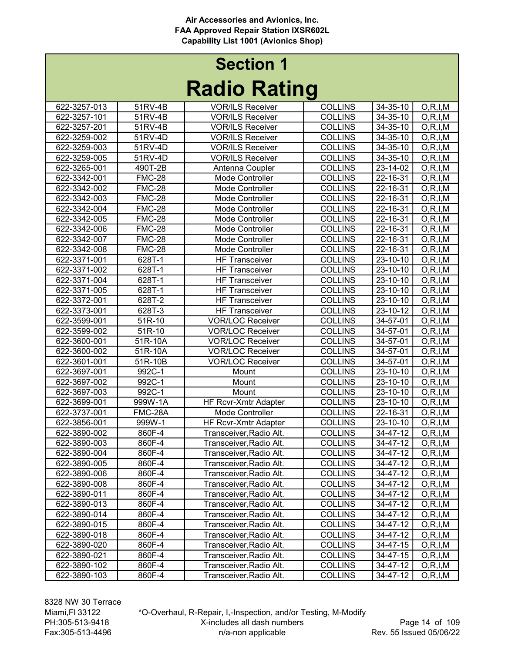# Radio Rating Section 1

|              |               | nauno naung             |                |          |                          |
|--------------|---------------|-------------------------|----------------|----------|--------------------------|
| 622-3257-013 | 51RV-4B       | <b>VOR/ILS Receiver</b> | <b>COLLINS</b> | 34-35-10 | O, R, I, M               |
| 622-3257-101 | 51RV-4B       | <b>VOR/ILS Receiver</b> | <b>COLLINS</b> | 34-35-10 | O, R, I, M               |
| 622-3257-201 | 51RV-4B       | <b>VOR/ILS Receiver</b> | <b>COLLINS</b> | 34-35-10 | O, R, I, M               |
| 622-3259-002 | 51RV-4D       | <b>VOR/ILS Receiver</b> | <b>COLLINS</b> | 34-35-10 | O, R, I, M               |
| 622-3259-003 | 51RV-4D       | <b>VOR/ILS Receiver</b> | <b>COLLINS</b> | 34-35-10 | O, R, I, M               |
| 622-3259-005 | 51RV-4D       | <b>VOR/ILS Receiver</b> | <b>COLLINS</b> | 34-35-10 | O, R, I, M               |
| 622-3265-001 | 490T-2B       | Antenna Coupler         | <b>COLLINS</b> | 23-14-02 | O, R, I, M               |
| 622-3342-001 | <b>FMC-28</b> | Mode Controller         | <b>COLLINS</b> | 22-16-31 | O, R, I, M               |
| 622-3342-002 | <b>FMC-28</b> | Mode Controller         | <b>COLLINS</b> | 22-16-31 | O, R, I, M               |
| 622-3342-003 | <b>FMC-28</b> | Mode Controller         | <b>COLLINS</b> | 22-16-31 | O, R, I, M               |
| 622-3342-004 | <b>FMC-28</b> | Mode Controller         | <b>COLLINS</b> | 22-16-31 | O, R, I, M               |
| 622-3342-005 | <b>FMC-28</b> | Mode Controller         | <b>COLLINS</b> | 22-16-31 | O, R, I, M               |
| 622-3342-006 | $FMC-28$      | Mode Controller         | <b>COLLINS</b> | 22-16-31 | O, R, I, M               |
| 622-3342-007 | <b>FMC-28</b> | Mode Controller         | <b>COLLINS</b> | 22-16-31 | $\overline{O}$ , R, I, M |
| 622-3342-008 | <b>FMC-28</b> | Mode Controller         | <b>COLLINS</b> | 22-16-31 | O, R, I, M               |
| 622-3371-001 | 628T-1        | <b>HF Transceiver</b>   | <b>COLLINS</b> | 23-10-10 | O, R, I, M               |
| 622-3371-002 | 628T-1        | <b>HF Transceiver</b>   | <b>COLLINS</b> | 23-10-10 | O, R, I, M               |
| 622-3371-004 | 628T-1        | <b>HF Transceiver</b>   | <b>COLLINS</b> | 23-10-10 | O, R, I, M               |
| 622-3371-005 | 628T-1        | <b>HF Transceiver</b>   | <b>COLLINS</b> | 23-10-10 | O, R, I, M               |
| 622-3372-001 | 628T-2        | <b>HF Transceiver</b>   | <b>COLLINS</b> | 23-10-10 | O, R, I, M               |
| 622-3373-001 | 628T-3        | <b>HF Transceiver</b>   | <b>COLLINS</b> | 23-10-12 | O, R, I, M               |
| 622-3599-001 | 51R-10        | <b>VOR/LOC Receiver</b> | <b>COLLINS</b> | 34-57-01 | O, R, I, M               |
| 622-3599-002 | 51R-10        | <b>VOR/LOC Receiver</b> | <b>COLLINS</b> | 34-57-01 | O, R, I, M               |
| 622-3600-001 | 51R-10A       | <b>VOR/LOC Receiver</b> | <b>COLLINS</b> | 34-57-01 | O, R, I, M               |
| 622-3600-002 | 51R-10A       | <b>VOR/LOC Receiver</b> | <b>COLLINS</b> | 34-57-01 | O, R, I, M               |
| 622-3601-001 | 51R-10B       | <b>VOR/LOC Receiver</b> | <b>COLLINS</b> | 34-57-01 | O, R, I, M               |
| 622-3697-001 | 992C-1        | Mount                   | <b>COLLINS</b> | 23-10-10 | O, R, I, M               |
| 622-3697-002 | 992C-1        | Mount                   | <b>COLLINS</b> | 23-10-10 | O, R, I, M               |
| 622-3697-003 | 992C-1        | Mount                   | <b>COLLINS</b> | 23-10-10 | O, R, I, M               |
| 622-3699-001 | 999W-1A       | HF Rcvr-Xmtr Adapter    | <b>COLLINS</b> | 23-10-10 | O, R, I, M               |
| 622-3737-001 | FMC-28A       | Mode Controller         | <b>COLLINS</b> | 22-16-31 | O, R, I, M               |
| 622-3856-001 | 999W-1        | HF Rcvr-Xmtr Adapter    | <b>COLLINS</b> | 23-10-10 | O, R, I, M               |
| 622-3890-002 | 860F-4        | Transceiver, Radio Alt. | <b>COLLINS</b> | 34-47-12 | O, R, I, M               |
| 622-3890-003 | 860F-4        | Transceiver, Radio Alt. | <b>COLLINS</b> | 34-47-12 | O, R, I, M               |
| 622-3890-004 | 860F-4        | Transceiver, Radio Alt. | <b>COLLINS</b> | 34-47-12 | O, R, I, M               |
| 622-3890-005 | 860F-4        | Transceiver,Radio Alt.  | <b>COLLINS</b> | 34-47-12 | O, R, I, M               |
| 622-3890-006 | 860F-4        | Transceiver, Radio Alt. | <b>COLLINS</b> | 34-47-12 | O, R, I, M               |
| 622-3890-008 | 860F-4        | Transceiver, Radio Alt. | <b>COLLINS</b> | 34-47-12 | O, R, I, M               |
| 622-3890-011 | 860F-4        | Transceiver, Radio Alt. | <b>COLLINS</b> | 34-47-12 | O, R, I, M               |
| 622-3890-013 | 860F-4        | Transceiver, Radio Alt. | <b>COLLINS</b> | 34-47-12 | O, R, I, M               |
| 622-3890-014 | 860F-4        | Transceiver, Radio Alt. | <b>COLLINS</b> | 34-47-12 | O, R, I, M               |
| 622-3890-015 | 860F-4        | Transceiver, Radio Alt. | <b>COLLINS</b> | 34-47-12 | O, R, I, M               |
| 622-3890-018 | 860F-4        | Transceiver, Radio Alt. | <b>COLLINS</b> | 34-47-12 | O, R, I, M               |
| 622-3890-020 | 860F-4        | Transceiver, Radio Alt. | <b>COLLINS</b> | 34-47-15 | O, R, I, M               |
| 622-3890-021 | 860F-4        | Transceiver, Radio Alt. | <b>COLLINS</b> | 34-47-15 | O, R, I, M               |
| 622-3890-102 | 860F-4        | Transceiver, Radio Alt. | <b>COLLINS</b> | 34-47-12 | O, R, I, M               |
| 622-3890-103 | 860F-4        | Transceiver, Radio Alt. | <b>COLLINS</b> | 34-47-12 | O, R, I, M               |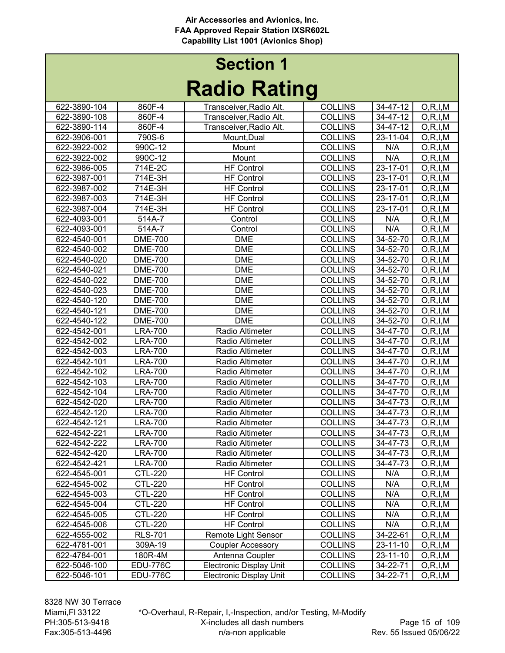# Radio Rating Section 1

| naano naanny |                      |                                |                |                |            |  |
|--------------|----------------------|--------------------------------|----------------|----------------|------------|--|
| 622-3890-104 | 860F-4               | Transceiver, Radio Alt.        | <b>COLLINS</b> | 34-47-12       | O, R, I, M |  |
| 622-3890-108 | 860F-4               | Transceiver, Radio Alt.        | <b>COLLINS</b> | 34-47-12       | O, R, I, M |  |
| 622-3890-114 | 860F-4               | Transceiver, Radio Alt.        | <b>COLLINS</b> | 34-47-12       | O, R, I, M |  |
| 622-3906-001 | 790S-6               | Mount, Dual                    | <b>COLLINS</b> | 23-11-04       | O, R, I, M |  |
| 622-3922-002 | 990C-12              | Mount                          | <b>COLLINS</b> | N/A            | O, R, I, M |  |
| 622-3922-002 | 990C-12              | Mount                          | <b>COLLINS</b> | N/A            | O, R, I, M |  |
| 622-3986-005 | 714E-2C              | <b>HF Control</b>              | <b>COLLINS</b> | 23-17-01       | O, R, I, M |  |
| 622-3987-001 | 714E-3H              | <b>HF Control</b>              | <b>COLLINS</b> | 23-17-01       | O, R, I, M |  |
| 622-3987-002 | 714E-3H              | <b>HF Control</b>              | <b>COLLINS</b> | 23-17-01       | O, R, I, M |  |
| 622-3987-003 | 714E-3H              | <b>HF Control</b>              | <b>COLLINS</b> | 23-17-01       | O, R, I, M |  |
| 622-3987-004 | 714E-3H              | <b>HF Control</b>              | <b>COLLINS</b> | 23-17-01       | O, R, I, M |  |
| 622-4093-001 | $\overline{5}$ 14A-7 | Control                        | <b>COLLINS</b> | N/A            | O, R, I, M |  |
| 622-4093-001 | 514A-7               | Control                        | <b>COLLINS</b> | N/A            | O, R, I, M |  |
| 622-4540-001 | <b>DME-700</b>       | <b>DME</b>                     | <b>COLLINS</b> | 34-52-70       | O, R, I, M |  |
| 622-4540-002 | <b>DME-700</b>       | <b>DME</b>                     | <b>COLLINS</b> | 34-52-70       | O, R, I, M |  |
| 622-4540-020 | <b>DME-700</b>       | <b>DME</b>                     | <b>COLLINS</b> | 34-52-70       | O, R, I, M |  |
| 622-4540-021 | <b>DME-700</b>       | <b>DME</b>                     | <b>COLLINS</b> | 34-52-70       | O, R, I, M |  |
| 622-4540-022 | <b>DME-700</b>       | <b>DME</b>                     | <b>COLLINS</b> | 34-52-70       | O, R, I, M |  |
| 622-4540-023 | <b>DME-700</b>       | <b>DME</b>                     | <b>COLLINS</b> | 34-52-70       | O, R, I, M |  |
| 622-4540-120 | <b>DME-700</b>       | <b>DME</b>                     | <b>COLLINS</b> | 34-52-70       | O, R, I, M |  |
| 622-4540-121 | <b>DME-700</b>       | <b>DME</b>                     | <b>COLLINS</b> | 34-52-70       | O, R, I, M |  |
| 622-4540-122 | <b>DME-700</b>       | <b>DME</b>                     | <b>COLLINS</b> | 34-52-70       | O, R, I, M |  |
| 622-4542-001 | <b>LRA-700</b>       | Radio Altimeter                | <b>COLLINS</b> | 34-47-70       | O, R, I, M |  |
| 622-4542-002 | <b>LRA-700</b>       | Radio Altimeter                | <b>COLLINS</b> | 34-47-70       | O, R, I, M |  |
| 622-4542-003 | <b>LRA-700</b>       | Radio Altimeter                | <b>COLLINS</b> | 34-47-70       | O, R, I, M |  |
| 622-4542-101 | <b>LRA-700</b>       | Radio Altimeter                | <b>COLLINS</b> | 34-47-70       | O, R, I, M |  |
| 622-4542-102 | <b>LRA-700</b>       | Radio Altimeter                | <b>COLLINS</b> | 34-47-70       | O, R, I, M |  |
| 622-4542-103 | <b>LRA-700</b>       | Radio Altimeter                | <b>COLLINS</b> | 34-47-70       | O, R, I, M |  |
| 622-4542-104 | <b>LRA-700</b>       | Radio Altimeter                | <b>COLLINS</b> | 34-47-70       | O, R, I, M |  |
| 622-4542-020 | <b>LRA-700</b>       | Radio Altimeter                | <b>COLLINS</b> | 34-47-73       | O, R, I, M |  |
| 622-4542-120 | <b>LRA-700</b>       | Radio Altimeter                | <b>COLLINS</b> | 34-47-73       | O, R, I, M |  |
| 622-4542-121 | <b>LRA-700</b>       | Radio Altimeter                | <b>COLLINS</b> | 34-47-73       | O, R, I, M |  |
| 622-4542-221 | <b>LRA-700</b>       | Radio Altimeter                | <b>COLLINS</b> | 34-47-73       | O, R, I, M |  |
| 622-4542-222 | <b>LRA-700</b>       | Radio Altimeter                | <b>COLLINS</b> | 34-47-73       | O, R, I, M |  |
| 622-4542-420 | <b>LRA-700</b>       | Radio Altimeter                | <b>COLLINS</b> | 34-47-73       | O, R, I, M |  |
| 622-4542-421 | <b>LRA-700</b>       | Radio Altimeter                | <b>COLLINS</b> | $34 - 47 - 73$ | O, R, I, M |  |
| 622-4545-001 | <b>CTL-220</b>       | <b>HF Control</b>              | <b>COLLINS</b> | N/A            | O, R, I, M |  |
| 622-4545-002 | CTL-220              | <b>HF Control</b>              | <b>COLLINS</b> | N/A            | O, R, I, M |  |
| 622-4545-003 | <b>CTL-220</b>       | <b>HF Control</b>              | <b>COLLINS</b> | N/A            | O, R, I, M |  |
| 622-4545-004 | CTL-220              | <b>HF Control</b>              | <b>COLLINS</b> | N/A            | O, R, I, M |  |
| 622-4545-005 | <b>CTL-220</b>       | <b>HF Control</b>              | <b>COLLINS</b> | N/A            | O, R, I, M |  |
| 622-4545-006 | CTL-220              | <b>HF Control</b>              | <b>COLLINS</b> | N/A            | O, R, I, M |  |
| 622-4555-002 | <b>RLS-701</b>       | Remote Light Sensor            | <b>COLLINS</b> | 34-22-61       | O, R, I, M |  |
| 622-4781-001 | 309A-19              | <b>Coupler Accessory</b>       | <b>COLLINS</b> | 23-11-10       | O, R, I, M |  |
| 622-4784-001 | 180R-4M              | Antenna Coupler                | <b>COLLINS</b> | 23-11-10       | O, R, I, M |  |
| 622-5046-100 | <b>EDU-776C</b>      | <b>Electronic Display Unit</b> | <b>COLLINS</b> | 34-22-71       | O, R, I, M |  |
| 622-5046-101 | <b>EDU-776C</b>      | <b>Electronic Display Unit</b> | <b>COLLINS</b> | 34-22-71       | O, R, I, M |  |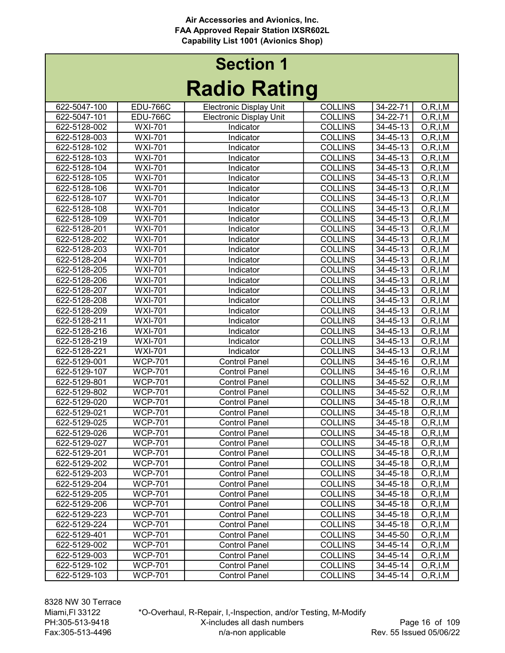|              |                             | <b>TAAIA LIAMILIA</b>          |                |                |            |
|--------------|-----------------------------|--------------------------------|----------------|----------------|------------|
| 622-5047-100 | <b>EDU-766C</b>             | <b>Electronic Display Unit</b> | <b>COLLINS</b> | 34-22-71       | O, R, I, M |
| 622-5047-101 | <b>EDU-766C</b>             | <b>Electronic Display Unit</b> | <b>COLLINS</b> | 34-22-71       | O, R, I, M |
| 622-5128-002 | <b>WXI-701</b>              | Indicator                      | <b>COLLINS</b> | 34-45-13       | O, R, I, M |
| 622-5128-003 | <b>WXI-701</b>              | Indicator                      | <b>COLLINS</b> | 34-45-13       | O, R, I, M |
| 622-5128-102 | <b>WXI-701</b>              | Indicator                      | <b>COLLINS</b> | $34 - 45 - 13$ | O, R, I, M |
| 622-5128-103 | <b>WXI-701</b>              | Indicator                      | <b>COLLINS</b> | 34-45-13       | O, R, I, M |
| 622-5128-104 | <b>WXI-701</b>              | Indicator                      | <b>COLLINS</b> | 34-45-13       | O, R, I, M |
| 622-5128-105 | <b>WXI-701</b>              | Indicator                      | <b>COLLINS</b> | 34-45-13       | O, R, I, M |
| 622-5128-106 | <b>WXI-701</b>              | Indicator                      | <b>COLLINS</b> | 34-45-13       | O, R, I, M |
| 622-5128-107 | <b>WXI-701</b>              | Indicator                      | <b>COLLINS</b> | 34-45-13       | O, R, I, M |
| 622-5128-108 | <b>WXI-701</b>              | Indicator                      | <b>COLLINS</b> | 34-45-13       | O, R, I, M |
| 622-5128-109 | <b>WXI-701</b>              | Indicator                      | <b>COLLINS</b> | $34 - 45 - 13$ | O, R, I, M |
| 622-5128-201 | <b>WXI-701</b>              | Indicator                      | <b>COLLINS</b> | 34-45-13       | O, R, I, M |
| 622-5128-202 | <b>WXI-701</b>              | Indicator                      | <b>COLLINS</b> | 34-45-13       | O, R, I, M |
| 622-5128-203 | <b>WXI-701</b>              | Indicator                      | <b>COLLINS</b> | 34-45-13       | O, R, I, M |
| 622-5128-204 | <b>WXI-701</b>              | Indicator                      | <b>COLLINS</b> | $34 - 45 - 13$ | O, R, I, M |
| 622-5128-205 | <b>WXI-701</b>              | Indicator                      | <b>COLLINS</b> | 34-45-13       | O, R, I, M |
| 622-5128-206 | <b>WXI-701</b>              | Indicator                      | <b>COLLINS</b> | 34-45-13       | O, R, I, M |
| 622-5128-207 | <b>WXI-701</b>              | Indicator                      | <b>COLLINS</b> | 34-45-13       | O, R, I, M |
| 622-5128-208 | <b>WXI-701</b>              | Indicator                      | <b>COLLINS</b> | 34-45-13       | O, R, I, M |
| 622-5128-209 | $\overline{\text{WX}}$ -701 | Indicator                      | <b>COLLINS</b> | 34-45-13       | O, R, I, M |
| 622-5128-211 | <b>WXI-701</b>              | Indicator                      | <b>COLLINS</b> | 34-45-13       | O, R, I, M |
| 622-5128-216 | <b>WXI-701</b>              | Indicator                      | <b>COLLINS</b> | 34-45-13       | O, R, I, M |
| 622-5128-219 | <b>WXI-701</b>              | Indicator                      | <b>COLLINS</b> | 34-45-13       | O, R, I, M |
| 622-5128-221 | <b>WXI-701</b>              | Indicator                      | <b>COLLINS</b> | 34-45-13       | O, R, I, M |
| 622-5129-001 | <b>WCP-701</b>              | <b>Control Panel</b>           | <b>COLLINS</b> | 34-45-16       | O, R, I, M |
| 622-5129-107 | <b>WCP-701</b>              | <b>Control Panel</b>           | <b>COLLINS</b> | 34-45-16       | O, R, I, M |
| 622-5129-801 | <b>WCP-701</b>              | <b>Control Panel</b>           | <b>COLLINS</b> | 34-45-52       | O, R, I, M |
| 622-5129-802 | <b>WCP-701</b>              | <b>Control Panel</b>           | <b>COLLINS</b> | 34-45-52       | O, R, I, M |
| 622-5129-020 | <b>WCP-701</b>              | <b>Control Panel</b>           | <b>COLLINS</b> | 34-45-18       | O, R, I, M |
| 622-5129-021 | <b>WCP-701</b>              | <b>Control Panel</b>           | <b>COLLINS</b> | 34-45-18       | O, R, I, M |
| 622-5129-025 | <b>WCP-701</b>              | <b>Control Panel</b>           | <b>COLLINS</b> | 34-45-18       | O, R, I, M |
| 622-5129-026 | <b>WCP-701</b>              | <b>Control Panel</b>           | <b>COLLINS</b> | 34-45-18       | O, R, I, M |
| 622-5129-027 | <b>WCP-701</b>              | <b>Control Panel</b>           | <b>COLLINS</b> | 34-45-18       | O, R, I, M |
| 622-5129-201 | <b>WCP-701</b>              | <b>Control Panel</b>           | <b>COLLINS</b> | 34-45-18       | O, R, I, M |
| 622-5129-202 | <b>WCP-701</b>              | <b>Control Panel</b>           | <b>COLLINS</b> | $34 - 45 - 18$ | O, R, I, M |
| 622-5129-203 | <b>WCP-701</b>              | <b>Control Panel</b>           | <b>COLLINS</b> | 34-45-18       | O, R, I, M |
| 622-5129-204 | <b>WCP-701</b>              | <b>Control Panel</b>           | <b>COLLINS</b> | 34-45-18       | O, R, I, M |
| 622-5129-205 | <b>WCP-701</b>              | <b>Control Panel</b>           | <b>COLLINS</b> | 34-45-18       | O, R, I, M |
| 622-5129-206 | <b>WCP-701</b>              | <b>Control Panel</b>           | <b>COLLINS</b> | 34-45-18       | O, R, I, M |
| 622-5129-223 | <b>WCP-701</b>              | <b>Control Panel</b>           | <b>COLLINS</b> | 34-45-18       | O, R, I, M |
| 622-5129-224 | <b>WCP-701</b>              | <b>Control Panel</b>           | <b>COLLINS</b> | 34-45-18       | O, R, I, M |
| 622-5129-401 | <b>WCP-701</b>              | <b>Control Panel</b>           | <b>COLLINS</b> | 34-45-50       | O, R, I, M |
| 622-5129-002 | <b>WCP-701</b>              | <b>Control Panel</b>           | <b>COLLINS</b> | 34-45-14       | O, R, I, M |
| 622-5129-003 | <b>WCP-701</b>              | <b>Control Panel</b>           | <b>COLLINS</b> | 34-45-14       | O, R, I, M |
| 622-5129-102 | <b>WCP-701</b>              | <b>Control Panel</b>           | <b>COLLINS</b> | 34-45-14       | O, R, I, M |
| 622-5129-103 | <b>WCP-701</b>              | <b>Control Panel</b>           | <b>COLLINS</b> | 34-45-14       | O, R, I, M |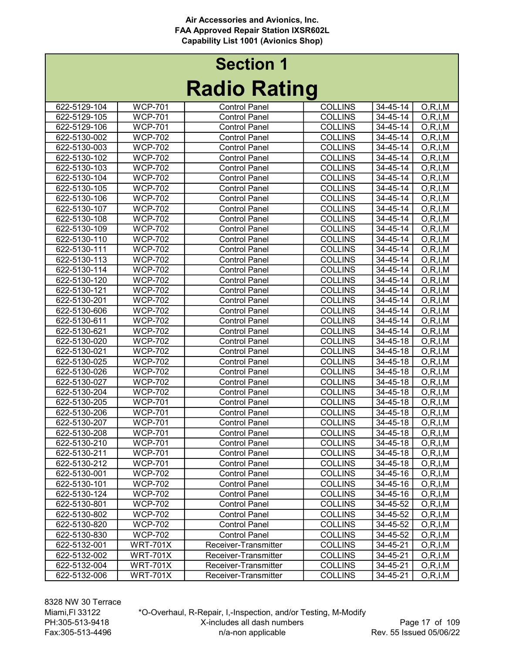| <b>Section 1</b> |                     |  |  |  |  |
|------------------|---------------------|--|--|--|--|
|                  | <b>Radio Rating</b> |  |  |  |  |

| 622-5129-104 | <b>WCP-701</b>  | <b>Control Panel</b> | <b>COLLINS</b> | 34-45-14       | O, R, I, M               |
|--------------|-----------------|----------------------|----------------|----------------|--------------------------|
| 622-5129-105 | <b>WCP-701</b>  | <b>Control Panel</b> | <b>COLLINS</b> | 34-45-14       | O, R, I, M               |
| 622-5129-106 | <b>WCP-701</b>  | <b>Control Panel</b> | <b>COLLINS</b> | 34-45-14       | O, R, I, M               |
| 622-5130-002 | <b>WCP-702</b>  | <b>Control Panel</b> | <b>COLLINS</b> | 34-45-14       | O, R, I, M               |
| 622-5130-003 | <b>WCP-702</b>  | <b>Control Panel</b> | <b>COLLINS</b> | 34-45-14       | O, R, I, M               |
| 622-5130-102 | <b>WCP-702</b>  | <b>Control Panel</b> | <b>COLLINS</b> | 34-45-14       | O, R, I, M               |
| 622-5130-103 | <b>WCP-702</b>  | <b>Control Panel</b> | <b>COLLINS</b> | 34-45-14       | O, R, I, M               |
| 622-5130-104 | <b>WCP-702</b>  | <b>Control Panel</b> | <b>COLLINS</b> | 34-45-14       | O, R, I, M               |
| 622-5130-105 | <b>WCP-702</b>  | <b>Control Panel</b> | <b>COLLINS</b> | 34-45-14       | O, R, I, M               |
| 622-5130-106 | <b>WCP-702</b>  | <b>Control Panel</b> | <b>COLLINS</b> | 34-45-14       | O, R, I, M               |
| 622-5130-107 | <b>WCP-702</b>  | <b>Control Panel</b> | <b>COLLINS</b> | 34-45-14       | O, R, I, M               |
| 622-5130-108 | <b>WCP-702</b>  | <b>Control Panel</b> | <b>COLLINS</b> | 34-45-14       | O, R, I, M               |
| 622-5130-109 | <b>WCP-702</b>  | <b>Control Panel</b> | <b>COLLINS</b> | $34 - 45 - 14$ | O, R, I, M               |
| 622-5130-110 | <b>WCP-702</b>  | <b>Control Panel</b> | <b>COLLINS</b> | 34-45-14       | $\overline{O}$ , R, I, M |
| 622-5130-111 | <b>WCP-702</b>  | <b>Control Panel</b> | <b>COLLINS</b> | 34-45-14       | O, R, I, M               |
| 622-5130-113 | <b>WCP-702</b>  | <b>Control Panel</b> | <b>COLLINS</b> | 34-45-14       | O, R, I, M               |
| 622-5130-114 | <b>WCP-702</b>  | <b>Control Panel</b> | <b>COLLINS</b> | 34-45-14       | O, R, I, M               |
| 622-5130-120 | <b>WCP-702</b>  | <b>Control Panel</b> | <b>COLLINS</b> | 34-45-14       | O, R, I, M               |
| 622-5130-121 | <b>WCP-702</b>  | <b>Control Panel</b> | <b>COLLINS</b> | 34-45-14       | O, R, I, M               |
| 622-5130-201 | <b>WCP-702</b>  | <b>Control Panel</b> | <b>COLLINS</b> | 34-45-14       | O, R, I, M               |
| 622-5130-606 | <b>WCP-702</b>  | <b>Control Panel</b> | <b>COLLINS</b> | 34-45-14       | O, R, I, M               |
| 622-5130-611 | <b>WCP-702</b>  | <b>Control Panel</b> | <b>COLLINS</b> | 34-45-14       | O, R, I, M               |
| 622-5130-621 | <b>WCP-702</b>  | <b>Control Panel</b> | <b>COLLINS</b> | 34-45-14       | O, R, I, M               |
| 622-5130-020 | <b>WCP-702</b>  | <b>Control Panel</b> | <b>COLLINS</b> | 34-45-18       | O, R, I, M               |
| 622-5130-021 | <b>WCP-702</b>  | <b>Control Panel</b> | <b>COLLINS</b> | 34-45-18       | O, R, I, M               |
| 622-5130-025 | <b>WCP-702</b>  | <b>Control Panel</b> | <b>COLLINS</b> | 34-45-18       | O, R, I, M               |
| 622-5130-026 | <b>WCP-702</b>  | <b>Control Panel</b> | <b>COLLINS</b> | 34-45-18       | O, R, I, M               |
| 622-5130-027 | <b>WCP-702</b>  | <b>Control Panel</b> | <b>COLLINS</b> | 34-45-18       | O, R, I, M               |
| 622-5130-204 | <b>WCP-702</b>  | <b>Control Panel</b> | <b>COLLINS</b> | 34-45-18       | O, R, I, M               |
| 622-5130-205 | <b>WCP-701</b>  | <b>Control Panel</b> | <b>COLLINS</b> | 34-45-18       | O, R, I, M               |
| 622-5130-206 | <b>WCP-701</b>  | <b>Control Panel</b> | <b>COLLINS</b> | 34-45-18       | O, R, I, M               |
| 622-5130-207 | <b>WCP-701</b>  | <b>Control Panel</b> | <b>COLLINS</b> | 34-45-18       | O, R, I, M               |
| 622-5130-208 | <b>WCP-701</b>  | <b>Control Panel</b> | <b>COLLINS</b> | 34-45-18       | O, R, I, M               |
| 622-5130-210 | <b>WCP-701</b>  | <b>Control Panel</b> | <b>COLLINS</b> | 34-45-18       | O, R, I, M               |
| 622-5130-211 | <b>WCP-701</b>  | <b>Control Panel</b> | <b>COLLINS</b> | 34-45-18       | O, R, I, M               |
| 622-5130-212 | <b>WCP-701</b>  | <b>Control Panel</b> | <b>COLLINS</b> | $34 - 45 - 18$ | O, R, I, M               |
| 622-5130-001 | <b>WCP-702</b>  | <b>Control Panel</b> | <b>COLLINS</b> | 34-45-16       | O, R, I, M               |
| 622-5130-101 | <b>WCP-702</b>  | <b>Control Panel</b> | <b>COLLINS</b> | 34-45-16       | O, R, I, M               |
| 622-5130-124 | <b>WCP-702</b>  | <b>Control Panel</b> | <b>COLLINS</b> | 34-45-16       | O, R, I, M               |
| 622-5130-801 | <b>WCP-702</b>  | <b>Control Panel</b> | <b>COLLINS</b> | 34-45-52       | O, R, I, M               |
| 622-5130-802 | <b>WCP-702</b>  | <b>Control Panel</b> | <b>COLLINS</b> | 34-45-52       | O, R, I, M               |
| 622-5130-820 | <b>WCP-702</b>  | <b>Control Panel</b> | <b>COLLINS</b> | 34-45-52       | O, R, I, M               |
| 622-5130-830 | <b>WCP-702</b>  | <b>Control Panel</b> | <b>COLLINS</b> | 34-45-52       | O, R, I, M               |
| 622-5132-001 | <b>WRT-701X</b> | Receiver-Transmitter | <b>COLLINS</b> | 34-45-21       | O, R, I, M               |
| 622-5132-002 | <b>WRT-701X</b> | Receiver-Transmitter | <b>COLLINS</b> | 34-45-21       | O, R, I, M               |
| 622-5132-004 | <b>WRT-701X</b> | Receiver-Transmitter | <b>COLLINS</b> | 34-45-21       | O, R, I, M               |
| 622-5132-006 | <b>WRT-701X</b> | Receiver-Transmitter | <b>COLLINS</b> | 34-45-21       | O, R, I, M               |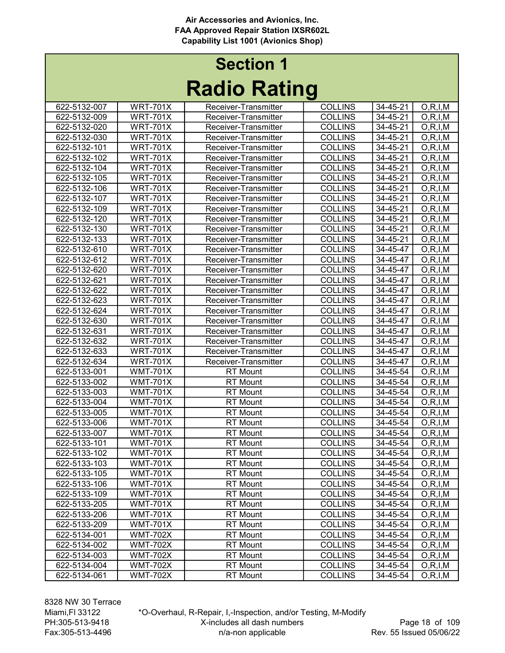|              |                 | INAUIU INAUIIY       |                |          |            |
|--------------|-----------------|----------------------|----------------|----------|------------|
| 622-5132-007 | <b>WRT-701X</b> | Receiver-Transmitter | <b>COLLINS</b> | 34-45-21 | O, R, I, M |
| 622-5132-009 | <b>WRT-701X</b> | Receiver-Transmitter | <b>COLLINS</b> | 34-45-21 | O, R, I, M |
| 622-5132-020 | <b>WRT-701X</b> | Receiver-Transmitter | <b>COLLINS</b> | 34-45-21 | O, R, I, M |
| 622-5132-030 | <b>WRT-701X</b> | Receiver-Transmitter | <b>COLLINS</b> | 34-45-21 | O, R, I, M |
| 622-5132-101 | <b>WRT-701X</b> | Receiver-Transmitter | <b>COLLINS</b> | 34-45-21 | O, R, I, M |
| 622-5132-102 | <b>WRT-701X</b> | Receiver-Transmitter | <b>COLLINS</b> | 34-45-21 | O, R, I, M |
| 622-5132-104 | <b>WRT-701X</b> | Receiver-Transmitter | <b>COLLINS</b> | 34-45-21 | O, R, I, M |
| 622-5132-105 | <b>WRT-701X</b> | Receiver-Transmitter | <b>COLLINS</b> | 34-45-21 | O, R, I, M |
| 622-5132-106 | <b>WRT-701X</b> | Receiver-Transmitter | <b>COLLINS</b> | 34-45-21 | O, R, I, M |
| 622-5132-107 | <b>WRT-701X</b> | Receiver-Transmitter | <b>COLLINS</b> | 34-45-21 | O, R, I, M |
| 622-5132-109 | <b>WRT-701X</b> | Receiver-Transmitter | <b>COLLINS</b> | 34-45-21 | O, R, I, M |
| 622-5132-120 | <b>WRT-701X</b> | Receiver-Transmitter | <b>COLLINS</b> | 34-45-21 | O, R, I, M |
| 622-5132-130 | <b>WRT-701X</b> | Receiver-Transmitter | <b>COLLINS</b> | 34-45-21 | O, R, I, M |
| 622-5132-133 | <b>WRT-701X</b> | Receiver-Transmitter | <b>COLLINS</b> | 34-45-21 | O, R, I, M |
| 622-5132-610 | <b>WRT-701X</b> | Receiver-Transmitter | <b>COLLINS</b> | 34-45-47 | O, R, I, M |
| 622-5132-612 | <b>WRT-701X</b> | Receiver-Transmitter | <b>COLLINS</b> | 34-45-47 | O, R, I, M |
| 622-5132-620 | <b>WRT-701X</b> | Receiver-Transmitter | <b>COLLINS</b> | 34-45-47 | O, R, I, M |
| 622-5132-621 | <b>WRT-701X</b> | Receiver-Transmitter | <b>COLLINS</b> | 34-45-47 | O, R, I, M |
| 622-5132-622 | <b>WRT-701X</b> | Receiver-Transmitter | <b>COLLINS</b> | 34-45-47 | O, R, I, M |
| 622-5132-623 | <b>WRT-701X</b> | Receiver-Transmitter | <b>COLLINS</b> | 34-45-47 | O, R, I, M |
| 622-5132-624 | <b>WRT-701X</b> | Receiver-Transmitter | <b>COLLINS</b> | 34-45-47 | O, R, I, M |
| 622-5132-630 | <b>WRT-701X</b> | Receiver-Transmitter | <b>COLLINS</b> | 34-45-47 | O, R, I, M |
| 622-5132-631 | <b>WRT-701X</b> | Receiver-Transmitter | <b>COLLINS</b> | 34-45-47 | O, R, I, M |
| 622-5132-632 | <b>WRT-701X</b> | Receiver-Transmitter | <b>COLLINS</b> | 34-45-47 | O, R, I, M |
| 622-5132-633 | <b>WRT-701X</b> | Receiver-Transmitter | <b>COLLINS</b> | 34-45-47 | O, R, I, M |
| 622-5132-634 | <b>WRT-701X</b> | Receiver-Transmitter | <b>COLLINS</b> | 34-45-47 | O, R, I, M |
| 622-5133-001 | <b>WMT-701X</b> | <b>RT</b> Mount      | <b>COLLINS</b> | 34-45-54 | O, R, I, M |
| 622-5133-002 | <b>WMT-701X</b> | <b>RT</b> Mount      | <b>COLLINS</b> | 34-45-54 | O, R, I, M |
| 622-5133-003 | <b>WMT-701X</b> | <b>RT</b> Mount      | <b>COLLINS</b> | 34-45-54 | O, R, I, M |
| 622-5133-004 | <b>WMT-701X</b> | <b>RT</b> Mount      | <b>COLLINS</b> | 34-45-54 | O, R, I, M |
| 622-5133-005 | <b>WMT-701X</b> | <b>RT</b> Mount      | <b>COLLINS</b> | 34-45-54 | O, R, I, M |
| 622-5133-006 | <b>WMT-701X</b> | <b>RT</b> Mount      | <b>COLLINS</b> | 34-45-54 | O, R, I, M |
| 622-5133-007 | <b>WMT-701X</b> | <b>RT</b> Mount      | <b>COLLINS</b> | 34-45-54 | O, R, I, M |
| 622-5133-101 | <b>WMT-701X</b> | <b>RT</b> Mount      | <b>COLLINS</b> | 34-45-54 | O, R, I, M |
| 622-5133-102 | <b>WMT-701X</b> | <b>RT</b> Mount      | <b>COLLINS</b> | 34-45-54 | O, R, I, M |
| 622-5133-103 | <b>WMT-701X</b> | <b>RT</b> Mount      | <b>COLLINS</b> | 34-45-54 | O, R, I, M |
| 622-5133-105 | <b>WMT-701X</b> | <b>RT</b> Mount      | <b>COLLINS</b> | 34-45-54 | O, R, I, M |
| 622-5133-106 | <b>WMT-701X</b> | <b>RT</b> Mount      | <b>COLLINS</b> | 34-45-54 | O, R, I, M |
| 622-5133-109 | <b>WMT-701X</b> | <b>RT</b> Mount      | <b>COLLINS</b> | 34-45-54 | O, R, I, M |
| 622-5133-205 | <b>WMT-701X</b> | <b>RT</b> Mount      | <b>COLLINS</b> | 34-45-54 | O, R, I, M |
| 622-5133-206 | <b>WMT-701X</b> | <b>RT</b> Mount      | <b>COLLINS</b> | 34-45-54 | O, R, I, M |
| 622-5133-209 | <b>WMT-701X</b> | <b>RT</b> Mount      | <b>COLLINS</b> | 34-45-54 | O, R, I, M |
| 622-5134-001 | <b>WMT-702X</b> | <b>RT</b> Mount      | <b>COLLINS</b> | 34-45-54 | O, R, I, M |
| 622-5134-002 | <b>WMT-702X</b> | <b>RT</b> Mount      | <b>COLLINS</b> | 34-45-54 | O, R, I, M |
| 622-5134-003 | <b>WMT-702X</b> | <b>RT</b> Mount      | <b>COLLINS</b> | 34-45-54 | O, R, I, M |
| 622-5134-004 | <b>WMT-702X</b> | <b>RT</b> Mount      | <b>COLLINS</b> | 34-45-54 | O, R, I, M |
| 622-5134-061 | <b>WMT-702X</b> | <b>RT</b> Mount      | <b>COLLINS</b> | 34-45-54 | O, R, I, M |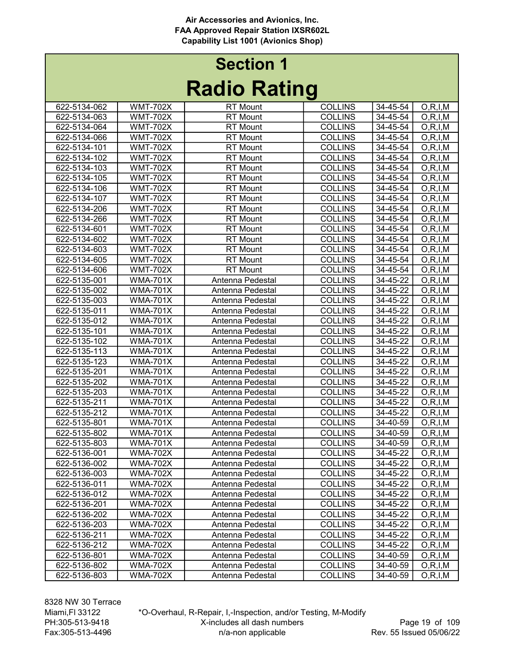| INGUIV INGUILY |                 |                  |                |                |            |  |
|----------------|-----------------|------------------|----------------|----------------|------------|--|
| 622-5134-062   | <b>WMT-702X</b> | <b>RT</b> Mount  | <b>COLLINS</b> | 34-45-54       | O, R, I, M |  |
| 622-5134-063   | <b>WMT-702X</b> | <b>RT</b> Mount  | <b>COLLINS</b> | 34-45-54       | O, R, I, M |  |
| 622-5134-064   | <b>WMT-702X</b> | <b>RT</b> Mount  | <b>COLLINS</b> | 34-45-54       | O, R, I, M |  |
| 622-5134-066   | <b>WMT-702X</b> | <b>RT</b> Mount  | <b>COLLINS</b> | 34-45-54       | O, R, I, M |  |
| 622-5134-101   | <b>WMT-702X</b> | <b>RT</b> Mount  | <b>COLLINS</b> | 34-45-54       | O, R, I, M |  |
| 622-5134-102   | <b>WMT-702X</b> | <b>RT</b> Mount  | <b>COLLINS</b> | 34-45-54       | O, R, I, M |  |
| 622-5134-103   | <b>WMT-702X</b> | <b>RT</b> Mount  | <b>COLLINS</b> | 34-45-54       | O, R, I, M |  |
| 622-5134-105   | <b>WMT-702X</b> | <b>RT</b> Mount  | <b>COLLINS</b> | 34-45-54       | O, R, I, M |  |
| 622-5134-106   | <b>WMT-702X</b> | <b>RT</b> Mount  | <b>COLLINS</b> | 34-45-54       | O, R, I, M |  |
| 622-5134-107   | <b>WMT-702X</b> | <b>RT</b> Mount  | <b>COLLINS</b> | 34-45-54       | O, R, I, M |  |
| 622-5134-206   | <b>WMT-702X</b> | <b>RT</b> Mount  | <b>COLLINS</b> | 34-45-54       | O, R, I, M |  |
| 622-5134-266   | <b>WMT-702X</b> | <b>RT</b> Mount  | <b>COLLINS</b> | 34-45-54       | O, R, I, M |  |
| 622-5134-601   | <b>WMT-702X</b> | <b>RT</b> Mount  | <b>COLLINS</b> | 34-45-54       | O, R, I, M |  |
| 622-5134-602   | <b>WMT-702X</b> | <b>RT</b> Mount  | <b>COLLINS</b> | 34-45-54       | O, R, I, M |  |
| 622-5134-603   | <b>WMT-702X</b> | <b>RT</b> Mount  | <b>COLLINS</b> | 34-45-54       | O, R, I, M |  |
| 622-5134-605   | <b>WMT-702X</b> | <b>RT</b> Mount  | <b>COLLINS</b> | 34-45-54       | O, R, I, M |  |
| 622-5134-606   | <b>WMT-702X</b> | <b>RT</b> Mount  | <b>COLLINS</b> | 34-45-54       | O, R, I, M |  |
| 622-5135-001   | <b>WMA-701X</b> | Antenna Pedestal | <b>COLLINS</b> | 34-45-22       | O, R, I, M |  |
| 622-5135-002   | <b>WMA-701X</b> | Antenna Pedestal | <b>COLLINS</b> | 34-45-22       | O, R, I, M |  |
| 622-5135-003   | <b>WMA-701X</b> | Antenna Pedestal | <b>COLLINS</b> | $34 - 45 - 22$ | O, R, I, M |  |
| 622-5135-011   | <b>WMA-701X</b> | Antenna Pedestal | <b>COLLINS</b> | 34-45-22       | O, R, I, M |  |
| 622-5135-012   | <b>WMA-701X</b> | Antenna Pedestal | <b>COLLINS</b> | 34-45-22       | O, R, I, M |  |
| 622-5135-101   | <b>WMA-701X</b> | Antenna Pedestal | <b>COLLINS</b> | $34 - 45 - 22$ | O, R, I, M |  |
| 622-5135-102   | <b>WMA-701X</b> | Antenna Pedestal | <b>COLLINS</b> | 34-45-22       | O, R, I, M |  |
| 622-5135-113   | <b>WMA-701X</b> | Antenna Pedestal | <b>COLLINS</b> | 34-45-22       | O, R, I, M |  |
| 622-5135-123   | <b>WMA-701X</b> | Antenna Pedestal | <b>COLLINS</b> | 34-45-22       | O, R, I, M |  |
| 622-5135-201   | <b>WMA-701X</b> | Antenna Pedestal | <b>COLLINS</b> | 34-45-22       | O, R, I, M |  |
| 622-5135-202   | <b>WMA-701X</b> | Antenna Pedestal | <b>COLLINS</b> | 34-45-22       | O, R, I, M |  |
| 622-5135-203   | <b>WMA-701X</b> | Antenna Pedestal | <b>COLLINS</b> | 34-45-22       | O, R, I, M |  |
| 622-5135-211   | <b>WMA-701X</b> | Antenna Pedestal | <b>COLLINS</b> | 34-45-22       | O, R, I, M |  |
| 622-5135-212   | <b>WMA-701X</b> | Antenna Pedestal | <b>COLLINS</b> | 34-45-22       | O, R, I, M |  |
| 622-5135-801   | <b>WMA-701X</b> | Antenna Pedestal | <b>COLLINS</b> | 34-40-59       | O, R, I, M |  |
| 622-5135-802   | <b>WMA-701X</b> | Antenna Pedestal | <b>COLLINS</b> | 34-40-59       | O, R, I, M |  |
| 622-5135-803   | <b>WMA-701X</b> | Antenna Pedestal | <b>COLLINS</b> | 34-40-59       | O, R, I, M |  |
| 622-5136-001   | <b>WMA-702X</b> | Antenna Pedestal | <b>COLLINS</b> | 34-45-22       | O, R, I, M |  |
| 622-5136-002   | <b>WMA-702X</b> | Antenna Pedestal | <b>COLLINS</b> | $34 - 45 - 22$ | O, R, I, M |  |
| 622-5136-003   | <b>WMA-702X</b> | Antenna Pedestal | <b>COLLINS</b> | 34-45-22       | O, R, I, M |  |
| 622-5136-011   | WMA-702X        | Antenna Pedestal | <b>COLLINS</b> | 34-45-22       | O, R, I, M |  |
| 622-5136-012   | <b>WMA-702X</b> | Antenna Pedestal | <b>COLLINS</b> | 34-45-22       | O, R, I, M |  |
| 622-5136-201   | <b>WMA-702X</b> | Antenna Pedestal | <b>COLLINS</b> | 34-45-22       | O, R, I, M |  |
| 622-5136-202   | <b>WMA-702X</b> | Antenna Pedestal | <b>COLLINS</b> | 34-45-22       | O, R, I, M |  |
| 622-5136-203   | <b>WMA-702X</b> | Antenna Pedestal | <b>COLLINS</b> | 34-45-22       | O, R, I, M |  |
| 622-5136-211   | <b>WMA-702X</b> | Antenna Pedestal | <b>COLLINS</b> | 34-45-22       | O, R, I, M |  |
| 622-5136-212   | <b>WMA-702X</b> | Antenna Pedestal | <b>COLLINS</b> | 34-45-22       | O, R, I, M |  |
| 622-5136-801   | <b>WMA-702X</b> | Antenna Pedestal | <b>COLLINS</b> | 34-40-59       | O, R, I, M |  |
| 622-5136-802   | <b>WMA-702X</b> | Antenna Pedestal | <b>COLLINS</b> | 34-40-59       | O, R, I, M |  |
| 622-5136-803   | <b>WMA-702X</b> | Antenna Pedestal | <b>COLLINS</b> | 34-40-59       | O, R, I, M |  |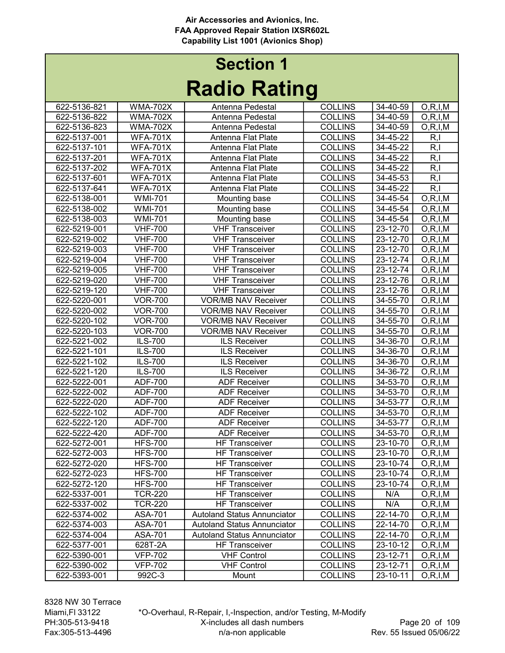| nauno naung  |                 |                                    |                |                |                          |  |
|--------------|-----------------|------------------------------------|----------------|----------------|--------------------------|--|
| 622-5136-821 | <b>WMA-702X</b> | Antenna Pedestal                   | <b>COLLINS</b> | 34-40-59       | O, R, I, M               |  |
| 622-5136-822 | <b>WMA-702X</b> | Antenna Pedestal                   | <b>COLLINS</b> | 34-40-59       | O, R, I, M               |  |
| 622-5136-823 | <b>WMA-702X</b> | Antenna Pedestal                   | <b>COLLINS</b> | 34-40-59       | O, R, I, M               |  |
| 622-5137-001 | <b>WFA-701X</b> | Antenna Flat Plate                 | <b>COLLINS</b> | 34-45-22       | R, I                     |  |
| 622-5137-101 | <b>WFA-701X</b> | Antenna Flat Plate                 | <b>COLLINS</b> | $34 - 45 - 22$ | R, I                     |  |
| 622-5137-201 | <b>WFA-701X</b> | Antenna Flat Plate                 | <b>COLLINS</b> | 34-45-22       | R, I                     |  |
| 622-5137-202 | <b>WFA-701X</b> | Antenna Flat Plate                 | <b>COLLINS</b> | 34-45-22       | R, I                     |  |
| 622-5137-601 | <b>WFA-701X</b> | Antenna Flat Plate                 | <b>COLLINS</b> | 34-45-53       | R, I                     |  |
| 622-5137-641 | <b>WFA-701X</b> | Antenna Flat Plate                 | <b>COLLINS</b> | 34-45-22       | R, I                     |  |
| 622-5138-001 | <b>WMI-701</b>  | Mounting base                      | <b>COLLINS</b> | 34-45-54       | O, R, I, M               |  |
| 622-5138-002 | <b>WMI-701</b>  | Mounting base                      | <b>COLLINS</b> | 34-45-54       | O, R, I, M               |  |
| 622-5138-003 | <b>WMI-701</b>  | Mounting base                      | <b>COLLINS</b> | 34-45-54       | $\overline{O}$ , R, I, M |  |
| 622-5219-001 | <b>VHF-700</b>  | <b>VHF Transceiver</b>             | <b>COLLINS</b> | 23-12-70       | O, R, I, M               |  |
| 622-5219-002 | <b>VHF-700</b>  | <b>VHF Transceiver</b>             | <b>COLLINS</b> | 23-12-70       | O, R, I, M               |  |
| 622-5219-003 | <b>VHF-700</b>  | <b>VHF Transceiver</b>             | <b>COLLINS</b> | 23-12-70       | O, R, I, M               |  |
| 622-5219-004 | <b>VHF-700</b>  | <b>VHF Transceiver</b>             | <b>COLLINS</b> | 23-12-74       | O, R, I, M               |  |
| 622-5219-005 | <b>VHF-700</b>  | <b>VHF Transceiver</b>             | <b>COLLINS</b> | 23-12-74       | O, R, I, M               |  |
| 622-5219-020 | <b>VHF-700</b>  | <b>VHF Transceiver</b>             | <b>COLLINS</b> | 23-12-76       | O, R, I, M               |  |
| 622-5219-120 | <b>VHF-700</b>  | <b>VHF Transceiver</b>             | <b>COLLINS</b> | 23-12-76       | O, R, I, M               |  |
| 622-5220-001 | <b>VOR-700</b>  | <b>VOR/MB NAV Receiver</b>         | <b>COLLINS</b> | 34-55-70       | O, R, I, M               |  |
| 622-5220-002 | <b>VOR-700</b>  | <b>VOR/MB NAV Receiver</b>         | <b>COLLINS</b> | 34-55-70       | O, R, I, M               |  |
| 622-5220-102 | <b>VOR-700</b>  | <b>VOR/MB NAV Receiver</b>         | <b>COLLINS</b> | 34-55-70       | O, R, I, M               |  |
| 622-5220-103 | <b>VOR-700</b>  | <b>VOR/MB NAV Receiver</b>         | <b>COLLINS</b> | $34 - 55 - 70$ | O, R, I, M               |  |
| 622-5221-002 | ILS-700         | <b>ILS Receiver</b>                | <b>COLLINS</b> | 34-36-70       | O, R, I, M               |  |
| 622-5221-101 | ILS-700         | <b>ILS Receiver</b>                | <b>COLLINS</b> | 34-36-70       | O, R, I, M               |  |
| 622-5221-102 | ILS-700         | <b>ILS Receiver</b>                | <b>COLLINS</b> | 34-36-70       | O, R, I, M               |  |
| 622-5221-120 | <b>ILS-700</b>  | ILS Receiver                       | <b>COLLINS</b> | 34-36-72       | O, R, I, M               |  |
| 622-5222-001 | ADF-700         | <b>ADF Receiver</b>                | <b>COLLINS</b> | 34-53-70       | O, R, I, M               |  |
| 622-5222-002 | ADF-700         | <b>ADF Receiver</b>                | <b>COLLINS</b> | 34-53-70       | O, R, I, M               |  |
| 622-5222-020 | ADF-700         | <b>ADF Receiver</b>                | <b>COLLINS</b> | 34-53-77       | O, R, I, M               |  |
| 622-5222-102 | <b>ADF-700</b>  | <b>ADF Receiver</b>                | <b>COLLINS</b> | 34-53-70       | O, R, I, M               |  |
| 622-5222-120 | ADF-700         | <b>ADF Receiver</b>                | <b>COLLINS</b> | 34-53-77       | O, R, I, M               |  |
| 622-5222-420 | ADF-700         | <b>ADF Receiver</b>                | <b>COLLINS</b> | 34-53-70       | O, R, I, M               |  |
| 622-5272-001 | <b>HFS-700</b>  | <b>HF Transceiver</b>              | <b>COLLINS</b> | 23-10-70       | O, R, I, M               |  |
| 622-5272-003 | <b>HFS-700</b>  | <b>HF Transceiver</b>              | <b>COLLINS</b> | 23-10-70       | O, R, I, M               |  |
| 622-5272-020 | <b>HFS-700</b>  | <b>HF</b> Transceiver              | <b>COLLINS</b> | 23-10-74       | O, R, I, M               |  |
| 622-5272-023 | <b>HFS-700</b>  | <b>HF Transceiver</b>              | <b>COLLINS</b> | 23-10-74       | O, R, I, M               |  |
| 622-5272-120 | <b>HFS-700</b>  | <b>HF Transceiver</b>              | <b>COLLINS</b> | 23-10-74       | O, R, I, M               |  |
| 622-5337-001 | <b>TCR-220</b>  | <b>HF Transceiver</b>              | <b>COLLINS</b> | N/A            | O, R, I, M               |  |
| 622-5337-002 | <b>TCR-220</b>  | <b>HF Transceiver</b>              | <b>COLLINS</b> | N/A            | O, R, I, M               |  |
| 622-5374-002 | ASA-701         | <b>Autoland Status Annunciator</b> | <b>COLLINS</b> | 22-14-70       | O, R, I, M               |  |
| 622-5374-003 | ASA-701         | <b>Autoland Status Annunciator</b> | <b>COLLINS</b> | 22-14-70       | O, R, I, M               |  |
| 622-5374-004 | ASA-701         | <b>Autoland Status Annunciator</b> | <b>COLLINS</b> | 22-14-70       | O, R, I, M               |  |
| 622-5377-001 | 628T-2A         | <b>HF Transceiver</b>              | <b>COLLINS</b> | 23-10-12       | O, R, I, M               |  |
| 622-5390-001 | <b>VFP-702</b>  | <b>VHF Control</b>                 | <b>COLLINS</b> | 23-12-71       | O, R, I, M               |  |
| 622-5390-002 | <b>VFP-702</b>  | <b>VHF Control</b>                 | <b>COLLINS</b> | $23 - 12 - 71$ | O, R, I, M               |  |
| 622-5393-001 | 992C-3          | Mount                              | <b>COLLINS</b> | 23-10-11       | O, R, I, M               |  |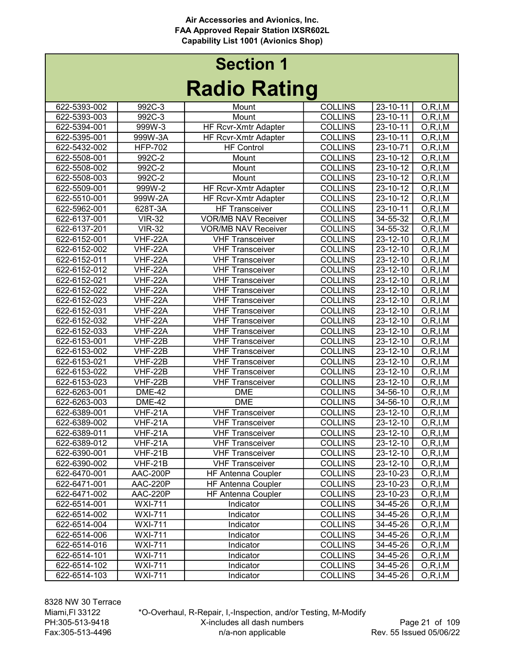|              |                |                             | J              |                |                          |
|--------------|----------------|-----------------------------|----------------|----------------|--------------------------|
| 622-5393-002 | 992C-3         | Mount                       | <b>COLLINS</b> | 23-10-11       | O, R, I, M               |
| 622-5393-003 | 992C-3         | Mount                       | <b>COLLINS</b> | $23 - 10 - 11$ | O, R, I, M               |
| 622-5394-001 | 999W-3         | <b>HF Rcvr-Xmtr Adapter</b> | <b>COLLINS</b> | 23-10-11       | O, R, I, M               |
| 622-5395-001 | 999W-3A        | HF Rcvr-Xmtr Adapter        | <b>COLLINS</b> | 23-10-11       | O, R, I, M               |
| 622-5432-002 | <b>HFP-702</b> | <b>HF Control</b>           | <b>COLLINS</b> | 23-10-71       | O, R, I, M               |
| 622-5508-001 | 992C-2         | Mount                       | <b>COLLINS</b> | 23-10-12       | O, R, I, M               |
| 622-5508-002 | 992C-2         | Mount                       | <b>COLLINS</b> | 23-10-12       | O, R, I, M               |
| 622-5508-003 | 992C-2         | Mount                       | <b>COLLINS</b> | 23-10-12       | O, R, I, M               |
| 622-5509-001 | 999W-2         | HF Rcvr-Xmtr Adapter        | <b>COLLINS</b> | 23-10-12       | O, R, I, M               |
| 622-5510-001 | 999W-2A        | HF Rcvr-Xmtr Adapter        | <b>COLLINS</b> | 23-10-12       | O, R, I, M               |
| 622-5962-001 | 628T-3A        | <b>HF Transceiver</b>       | <b>COLLINS</b> | 23-10-11       | O, R, I, M               |
| 622-6137-001 | <b>VIR-32</b>  | <b>VOR/MB NAV Receiver</b>  | <b>COLLINS</b> | 34-55-32       | O, R, I, M               |
| 622-6137-201 | <b>VIR-32</b>  | <b>VOR/MB NAV Receiver</b>  | <b>COLLINS</b> | $34 - 55 - 32$ | O, R, I, M               |
| 622-6152-001 | VHF-22A        | <b>VHF Transceiver</b>      | <b>COLLINS</b> | 23-12-10       | O, R, I, M               |
| 622-6152-002 | VHF-22A        | <b>VHF Transceiver</b>      | <b>COLLINS</b> | 23-12-10       | O, R, I, M               |
| 622-6152-011 | VHF-22A        | <b>VHF Transceiver</b>      | <b>COLLINS</b> | 23-12-10       | $\overline{O}$ , R, I, M |
| 622-6152-012 | VHF-22A        | <b>VHF Transceiver</b>      | <b>COLLINS</b> | 23-12-10       | O, R, I, M               |
| 622-6152-021 | VHF-22A        | <b>VHF Transceiver</b>      | <b>COLLINS</b> | 23-12-10       | O, R, I, M               |
| 622-6152-022 | VHF-22A        | <b>VHF Transceiver</b>      | <b>COLLINS</b> | 23-12-10       | O, R, I, M               |
| 622-6152-023 | VHF-22A        | <b>VHF Transceiver</b>      | <b>COLLINS</b> | 23-12-10       | O, R, I, M               |
| 622-6152-031 | VHF-22A        | <b>VHF Transceiver</b>      | <b>COLLINS</b> | 23-12-10       | O, R, I, M               |
| 622-6152-032 | $VHF-22A$      | <b>VHF Transceiver</b>      | <b>COLLINS</b> | 23-12-10       | O, R, I, M               |
| 622-6152-033 | VHF-22A        | <b>VHF Transceiver</b>      | <b>COLLINS</b> | 23-12-10       | O, R, I, M               |
| 622-6153-001 | <b>VHF-22B</b> | <b>VHF Transceiver</b>      | <b>COLLINS</b> | 23-12-10       | O, R, I, M               |
| 622-6153-002 | <b>VHF-22B</b> | <b>VHF Transceiver</b>      | <b>COLLINS</b> | 23-12-10       | O, R, I, M               |
| 622-6153-021 | <b>VHF-22B</b> | <b>VHF Transceiver</b>      | <b>COLLINS</b> | 23-12-10       | O, R, I, M               |
| 622-6153-022 | <b>VHF-22B</b> | <b>VHF Transceiver</b>      | <b>COLLINS</b> | 23-12-10       | O, R, I, M               |
| 622-6153-023 | <b>VHF-22B</b> | <b>VHF Transceiver</b>      | <b>COLLINS</b> | 23-12-10       | O, R, I, M               |
| 622-6263-001 | <b>DME-42</b>  | <b>DME</b>                  | <b>COLLINS</b> | 34-56-10       | O, R, I, M               |
| 622-6263-003 | <b>DME-42</b>  | <b>DME</b>                  | <b>COLLINS</b> | 34-56-10       | O, R, I, M               |
| 622-6389-001 | <b>VHF-21A</b> | <b>VHF Transceiver</b>      | <b>COLLINS</b> | 23-12-10       | O, R, I, M               |
| 622-6389-002 | VHF-21A        | <b>VHF Transceiver</b>      | <b>COLLINS</b> | 23-12-10       | O, R, I, M               |
| 622-6389-011 | VHF-21A        | <b>VHF Transceiver</b>      | <b>COLLINS</b> | 23-12-10       | O, R, I, M               |
| 622-6389-012 | VHF-21A        | <b>VHF Transceiver</b>      | <b>COLLINS</b> | 23-12-10       | O, R, I, M               |
| 622-6390-001 | <b>VHF-21B</b> | <b>VHF Transceiver</b>      | <b>COLLINS</b> | 23-12-10       | O, R, I, M               |
| 622-6390-002 | VHF-21B        | <b>VHF Transceiver</b>      | <b>COLLINS</b> | $23 - 12 - 10$ | O, R, I, M               |
| 622-6470-001 | AAC-200P       | <b>HF Antenna Coupler</b>   | <b>COLLINS</b> | 23-10-23       | O, R, I, M               |
| 622-6471-001 | AAC-220P       | HF Antenna Coupler          | <b>COLLINS</b> | 23-10-23       | O, R, I, M               |
| 622-6471-002 | AAC-220P       | HF Antenna Coupler          | <b>COLLINS</b> | 23-10-23       | O, R, I, M               |
| 622-6514-001 | <b>WXI-711</b> | Indicator                   | <b>COLLINS</b> | 34-45-26       | O, R, I, M               |
| 622-6514-002 | <b>WXI-711</b> | Indicator                   | <b>COLLINS</b> | 34-45-26       | O, R, I, M               |
| 622-6514-004 | <b>WXI-711</b> | Indicator                   | <b>COLLINS</b> | 34-45-26       | O, R, I, M               |
| 622-6514-006 | <b>WXI-711</b> | Indicator                   | <b>COLLINS</b> | 34-45-26       | O, R, I, M               |
| 622-6514-016 | <b>WXI-711</b> | Indicator                   | <b>COLLINS</b> | 34-45-26       | O, R, I, M               |
| 622-6514-101 | <b>WXI-711</b> | Indicator                   | <b>COLLINS</b> | 34-45-26       | O, R, I, M               |
| 622-6514-102 | <b>WXI-711</b> | Indicator                   | <b>COLLINS</b> | 34-45-26       | O, R, I, M               |
| 622-6514-103 | <b>WXI-711</b> | Indicator                   | <b>COLLINS</b> | 34-45-26       | O, R, I, M               |
|              |                |                             |                |                |                          |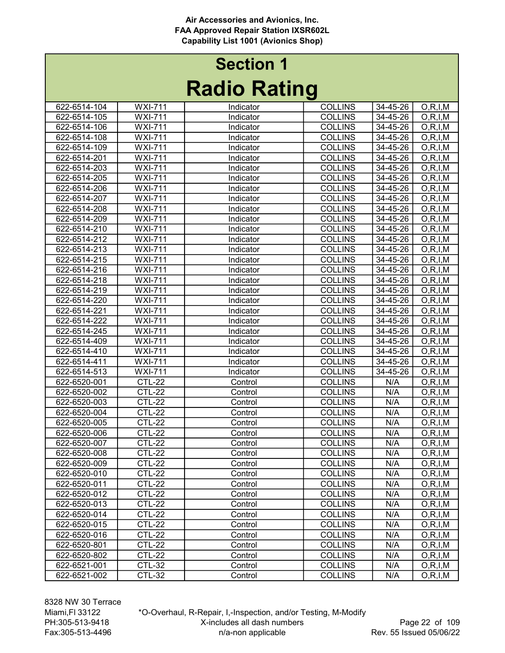|              |                | nauno naung |                |                |                          |
|--------------|----------------|-------------|----------------|----------------|--------------------------|
| 622-6514-104 | <b>WXI-711</b> | Indicator   | <b>COLLINS</b> | 34-45-26       | O, R, I, M               |
| 622-6514-105 | <b>WXI-711</b> | Indicator   | <b>COLLINS</b> | 34-45-26       | O, R, I, M               |
| 622-6514-106 | <b>WXI-711</b> | Indicator   | <b>COLLINS</b> | 34-45-26       | O, R, I, M               |
| 622-6514-108 | <b>WXI-711</b> | Indicator   | <b>COLLINS</b> | 34-45-26       | O, R, I, M               |
| 622-6514-109 | <b>WXI-711</b> | Indicator   | <b>COLLINS</b> | 34-45-26       | O, R, I, M               |
| 622-6514-201 | <b>WXI-711</b> | Indicator   | <b>COLLINS</b> | 34-45-26       | O, R, I, M               |
| 622-6514-203 | <b>WXI-711</b> | Indicator   | <b>COLLINS</b> | 34-45-26       | O, R, I, M               |
| 622-6514-205 | <b>WXI-711</b> | Indicator   | <b>COLLINS</b> | 34-45-26       | O, R, I, M               |
| 622-6514-206 | <b>WXI-711</b> | Indicator   | <b>COLLINS</b> | 34-45-26       | O, R, I, M               |
| 622-6514-207 | <b>WXI-711</b> | Indicator   | <b>COLLINS</b> | 34-45-26       | O, R, I, M               |
| 622-6514-208 | <b>WXI-711</b> | Indicator   | <b>COLLINS</b> | 34-45-26       | O, R, I, M               |
| 622-6514-209 | <b>WXI-711</b> | Indicator   | <b>COLLINS</b> | $34 - 45 - 26$ | O, R, I, M               |
| 622-6514-210 | <b>WXI-711</b> | Indicator   | <b>COLLINS</b> | 34-45-26       | $\overline{O}$ , R, I, M |
| 622-6514-212 | <b>WXI-711</b> | Indicator   | <b>COLLINS</b> | 34-45-26       | O, R, I, M               |
| 622-6514-213 | <b>WXI-711</b> | Indicator   | <b>COLLINS</b> | 34-45-26       | O, R, I, M               |
| 622-6514-215 | <b>WXI-711</b> | Indicator   | <b>COLLINS</b> | 34-45-26       | O, R, I, M               |
| 622-6514-216 | <b>WXI-711</b> | Indicator   | <b>COLLINS</b> | 34-45-26       | O, R, I, M               |
| 622-6514-218 | <b>WXI-711</b> | Indicator   | <b>COLLINS</b> | 34-45-26       | O, R, I, M               |
| 622-6514-219 | <b>WXI-711</b> | Indicator   | <b>COLLINS</b> | 34-45-26       | O, R, I, M               |
| 622-6514-220 | <b>WXI-711</b> | Indicator   | <b>COLLINS</b> | 34-45-26       | O, R, I, M               |
| 622-6514-221 | <b>WXI-711</b> | Indicator   | <b>COLLINS</b> | 34-45-26       | O, R, I, M               |
| 622-6514-222 | <b>WXI-711</b> | Indicator   | <b>COLLINS</b> | 34-45-26       | O, R, I, M               |
| 622-6514-245 | <b>WXI-711</b> | Indicator   | <b>COLLINS</b> | 34-45-26       | O, R, I, M               |
| 622-6514-409 | <b>WXI-711</b> | Indicator   | <b>COLLINS</b> | 34-45-26       | O, R, I, M               |
| 622-6514-410 | <b>WXI-711</b> | Indicator   | <b>COLLINS</b> | 34-45-26       | O, R, I, M               |
| 622-6514-411 | <b>WXI-711</b> | Indicator   | <b>COLLINS</b> | 34-45-26       | O, R, I, M               |
| 622-6514-513 | <b>WXI-711</b> | Indicator   | <b>COLLINS</b> | 34-45-26       | O, R, I, M               |
| 622-6520-001 | <b>CTL-22</b>  | Control     | <b>COLLINS</b> | N/A            | O, R, I, M               |
| 622-6520-002 | <b>CTL-22</b>  | Control     | <b>COLLINS</b> | N/A            | O, R, I, M               |
| 622-6520-003 | <b>CTL-22</b>  | Control     | <b>COLLINS</b> | N/A            | O, R, I, M               |
| 622-6520-004 | <b>CTL-22</b>  | Control     | <b>COLLINS</b> | N/A            | O, R, I, M               |
| 622-6520-005 | <b>CTL-22</b>  | Control     | <b>COLLINS</b> | N/A            | O, R, I, M               |
| 622-6520-006 | <b>CTL-22</b>  | Control     | <b>COLLINS</b> | N/A            | O, R, I, M               |
| 622-6520-007 | <b>CTL-22</b>  | Control     | <b>COLLINS</b> | N/A            | O, R, I, M               |
| 622-6520-008 | <b>CTL-22</b>  | Control     | <b>COLLINS</b> | N/A            | O, R, I, M               |
| 622-6520-009 | <b>CTL-22</b>  | Control     | <b>COLLINS</b> | N/A            | O, R, I, M               |
| 622-6520-010 | <b>CTL-22</b>  | Control     | <b>COLLINS</b> | N/A            | O, R, I, M               |
| 622-6520-011 | CTL-22         | Control     | <b>COLLINS</b> | N/A            | O, R, I, M               |
| 622-6520-012 | <b>CTL-22</b>  | Control     | <b>COLLINS</b> | N/A            | O, R, I, M               |
| 622-6520-013 | <b>CTL-22</b>  | Control     | <b>COLLINS</b> | N/A            | O, R, I, M               |
| 622-6520-014 | <b>CTL-22</b>  | Control     | <b>COLLINS</b> | N/A            | O, R, I, M               |
| 622-6520-015 | <b>CTL-22</b>  | Control     | <b>COLLINS</b> | N/A            | O, R, I, M               |
| 622-6520-016 | <b>CTL-22</b>  | Control     | <b>COLLINS</b> | N/A            | O, R, I, M               |
| 622-6520-801 | <b>CTL-22</b>  | Control     | <b>COLLINS</b> | N/A            | O, R, I, M               |
| 622-6520-802 | <b>CTL-22</b>  | Control     | <b>COLLINS</b> | N/A            | O, R, I, M               |
| 622-6521-001 | <b>CTL-32</b>  | Control     | <b>COLLINS</b> | N/A            | O, R, I, M               |
| 622-6521-002 | <b>CTL-32</b>  | Control     | <b>COLLINS</b> | N/A            | O, R, I, M               |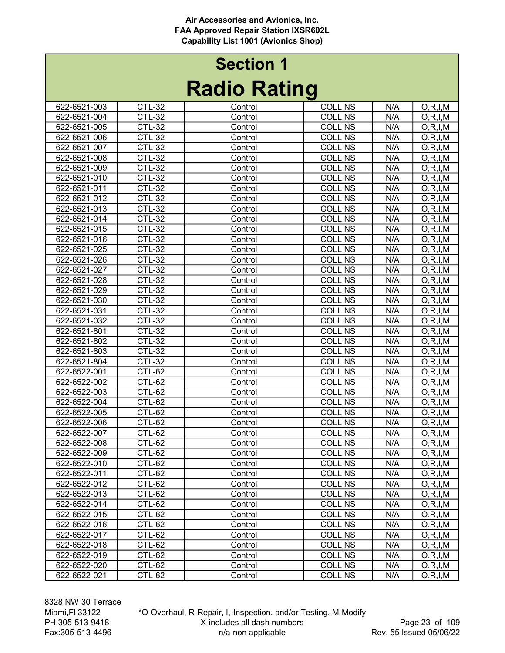# Radio Rating Section 1

| Naulu Natiliy |               |         |                |     |            |  |
|---------------|---------------|---------|----------------|-----|------------|--|
| 622-6521-003  | CTL-32        | Control | <b>COLLINS</b> | N/A | O, R, I, M |  |
| 622-6521-004  | <b>CTL-32</b> | Control | <b>COLLINS</b> | N/A | O, R, I, M |  |
| 622-6521-005  | <b>CTL-32</b> | Control | <b>COLLINS</b> | N/A | O, R, I, M |  |
| 622-6521-006  | <b>CTL-32</b> | Control | <b>COLLINS</b> | N/A | O, R, I, M |  |
| 622-6521-007  | <b>CTL-32</b> | Control | <b>COLLINS</b> | N/A | O, R, I, M |  |
| 622-6521-008  | <b>CTL-32</b> | Control | <b>COLLINS</b> | N/A | O, R, I, M |  |
| 622-6521-009  | <b>CTL-32</b> | Control | <b>COLLINS</b> | N/A | O, R, I, M |  |
| 622-6521-010  | <b>CTL-32</b> | Control | <b>COLLINS</b> | N/A | O, R, I, M |  |
| 622-6521-011  | <b>CTL-32</b> | Control | <b>COLLINS</b> | N/A | O, R, I, M |  |
| 622-6521-012  | <b>CTL-32</b> | Control | <b>COLLINS</b> | N/A | O, R, I, M |  |
| 622-6521-013  | $CTL-32$      | Control | <b>COLLINS</b> | N/A | O, R, I, M |  |
| 622-6521-014  | <b>CTL-32</b> | Control | <b>COLLINS</b> | N/A | O, R, I, M |  |
| 622-6521-015  | <b>CTL-32</b> | Control | <b>COLLINS</b> | N/A | O, R, I, M |  |
| 622-6521-016  | <b>CTL-32</b> | Control | <b>COLLINS</b> | N/A | O, R, I, M |  |
| 622-6521-025  | <b>CTL-32</b> | Control | <b>COLLINS</b> | N/A | O, R, I, M |  |
| 622-6521-026  | <b>CTL-32</b> | Control | <b>COLLINS</b> | N/A | O, R, I, M |  |
| 622-6521-027  | <b>CTL-32</b> | Control | <b>COLLINS</b> | N/A | O, R, I, M |  |
| 622-6521-028  | <b>CTL-32</b> | Control | <b>COLLINS</b> | N/A | O, R, I, M |  |
| 622-6521-029  | <b>CTL-32</b> | Control | <b>COLLINS</b> | N/A | O, R, I, M |  |
| 622-6521-030  | <b>CTL-32</b> | Control | <b>COLLINS</b> | N/A | O, R, I, M |  |
| 622-6521-031  | <b>CTL-32</b> | Control | <b>COLLINS</b> | N/A | O, R, I, M |  |
| 622-6521-032  | <b>CTL-32</b> | Control | <b>COLLINS</b> | N/A | O, R, I, M |  |
| 622-6521-801  | <b>CTL-32</b> | Control | <b>COLLINS</b> | N/A | O, R, I, M |  |
| 622-6521-802  | <b>CTL-32</b> | Control | <b>COLLINS</b> | N/A | O, R, I, M |  |
| 622-6521-803  | <b>CTL-32</b> | Control | <b>COLLINS</b> | N/A | O, R, I, M |  |
| 622-6521-804  | <b>CTL-32</b> | Control | <b>COLLINS</b> | N/A | O, R, I, M |  |
| 622-6522-001  | <b>CTL-62</b> | Control | <b>COLLINS</b> | N/A | O, R, I, M |  |
| 622-6522-002  | <b>CTL-62</b> | Control | <b>COLLINS</b> | N/A | O, R, I, M |  |
| 622-6522-003  | CTL-62        | Control | <b>COLLINS</b> | N/A | O, R, I, M |  |
| 622-6522-004  | <b>CTL-62</b> | Control | <b>COLLINS</b> | N/A | O, R, I, M |  |
| 622-6522-005  | <b>CTL-62</b> | Control | <b>COLLINS</b> | N/A | O, R, I, M |  |
| 622-6522-006  | CTL-62        | Control | <b>COLLINS</b> | N/A | O, R, I, M |  |
| 622-6522-007  | CTL-62        | Control | <b>COLLINS</b> | N/A | O, R, I, M |  |
| 622-6522-008  | CTL-62        | Control | <b>COLLINS</b> | N/A | O, R, I, M |  |
| 622-6522-009  | CTL-62        | Control | <b>COLLINS</b> | N/A | O, R, I, M |  |
| 622-6522-010  | <b>CTL-62</b> | Control | <b>COLLINS</b> | N/A | O, R, I, M |  |
| 622-6522-011  | <b>CTL-62</b> | Control | <b>COLLINS</b> | N/A | O, R, I, M |  |
| 622-6522-012  | CTL-62        | Control | <b>COLLINS</b> | N/A | O, R, I, M |  |
| 622-6522-013  | CTL-62        | Control | <b>COLLINS</b> | N/A | O, R, I, M |  |
| 622-6522-014  | CTL-62        | Control | <b>COLLINS</b> | N/A | O, R, I, M |  |
| 622-6522-015  | CTL-62        | Control | <b>COLLINS</b> | N/A | O, R, I, M |  |
| 622-6522-016  | CTL-62        | Control | <b>COLLINS</b> | N/A | O, R, I, M |  |
| 622-6522-017  | <b>CTL-62</b> | Control | <b>COLLINS</b> | N/A | O, R, I, M |  |
| 622-6522-018  | $CTL-62$      | Control | <b>COLLINS</b> | N/A | O, R, I, M |  |
| 622-6522-019  | CTL-62        | Control | <b>COLLINS</b> | N/A | O, R, I, M |  |
| 622-6522-020  | CTL-62        | Control | <b>COLLINS</b> | N/A | O, R, I, M |  |
| 622-6522-021  | CTL-62        | Control | <b>COLLINS</b> | N/A | O, R, I, M |  |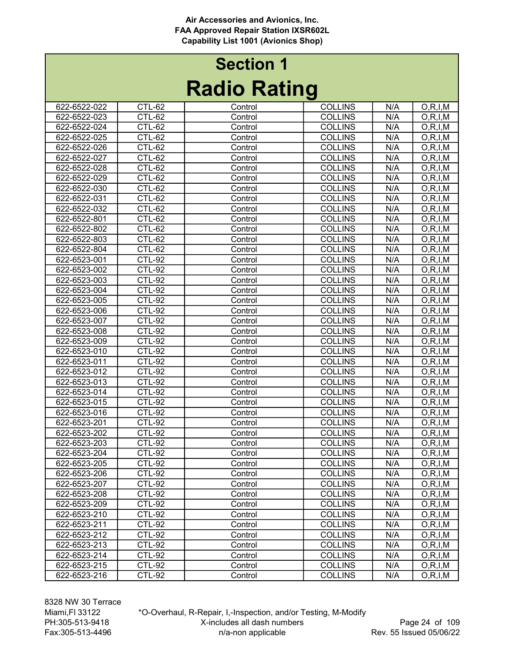|                              |                                | INAUIU INAUIIY |                                  |            |            |
|------------------------------|--------------------------------|----------------|----------------------------------|------------|------------|
| 622-6522-022                 | CTL-62                         | Control        | <b>COLLINS</b>                   | N/A        | O, R, I, M |
| 622-6522-023                 | CTL-62                         | Control        | <b>COLLINS</b>                   | N/A        | O, R, I, M |
| 622-6522-024                 | CTL-62                         | Control        | <b>COLLINS</b>                   | N/A        | O, R, I, M |
| 622-6522-025                 | <b>CTL-62</b>                  | Control        | <b>COLLINS</b>                   | N/A        | O, R, I, M |
| 622-6522-026                 | CTL-62                         | Control        | <b>COLLINS</b>                   | N/A        | O, R, I, M |
| 622-6522-027                 | <b>CTL-62</b>                  | Control        | <b>COLLINS</b>                   | N/A        | O, R, I, M |
| 622-6522-028                 | <b>CTL-62</b>                  | Control        | <b>COLLINS</b>                   | N/A        | O, R, I, M |
| 622-6522-029                 | CTL-62                         | Control        | <b>COLLINS</b>                   | N/A        | O, R, I, M |
| 622-6522-030                 | CTL-62                         | Control        | <b>COLLINS</b>                   | N/A        | O, R, I, M |
| 622-6522-031                 | <b>CTL-62</b>                  | Control        | <b>COLLINS</b>                   | N/A        | O, R, I, M |
| 622-6522-032                 | CTL-62                         | Control        | <b>COLLINS</b>                   | N/A        | O, R, I, M |
| 622-6522-801                 | <b>CTL-62</b>                  | Control        | <b>COLLINS</b>                   | N/A        | O, R, I, M |
| 622-6522-802                 | CTL-62                         | Control        | <b>COLLINS</b>                   | N/A        | O, R, I, M |
| 622-6522-803                 | CTL-62                         | Control        | <b>COLLINS</b>                   | N/A        | O, R, I, M |
| 622-6522-804                 | CTL-62                         | Control        | <b>COLLINS</b>                   | N/A        | O, R, I, M |
| 622-6523-001                 | <b>CTL-92</b>                  | Control        | <b>COLLINS</b>                   | N/A        | O, R, I, M |
| 622-6523-002                 | <b>CTL-92</b>                  | Control        | <b>COLLINS</b>                   | N/A        | O, R, I, M |
| 622-6523-003                 | <b>CTL-92</b>                  | Control        | <b>COLLINS</b>                   | N/A        | O, R, I, M |
| 622-6523-004                 | <b>CTL-92</b>                  | Control        | <b>COLLINS</b>                   | N/A        | O, R, I, M |
| 622-6523-005                 | $CTL-92$                       | Control        | <b>COLLINS</b>                   | N/A        | O, R, I, M |
| 622-6523-006                 | <b>CTL-92</b>                  | Control        | <b>COLLINS</b>                   | N/A        | O, R, I, M |
| 622-6523-007                 | <b>CTL-92</b>                  | Control        | <b>COLLINS</b>                   | N/A        | O, R, I, M |
| 622-6523-008                 | <b>CTL-92</b>                  | Control        | <b>COLLINS</b>                   | N/A        | O, R, I, M |
| 622-6523-009                 | <b>CTL-92</b>                  | Control        | <b>COLLINS</b>                   | N/A        | O, R, I, M |
| 622-6523-010                 | <b>CTL-92</b>                  | Control        | <b>COLLINS</b>                   | N/A        | O, R, I, M |
| 622-6523-011                 | <b>CTL-92</b>                  | Control        | <b>COLLINS</b>                   | N/A        | O, R, I, M |
| 622-6523-012                 | <b>CTL-92</b>                  | Control        | <b>COLLINS</b>                   | N/A        | O, R, I, M |
| 622-6523-013                 | <b>CTL-92</b>                  | Control        | <b>COLLINS</b>                   | N/A        | O, R, I, M |
| 622-6523-014                 | <b>CTL-92</b>                  | Control        | <b>COLLINS</b>                   | N/A        | O, R, I, M |
| 622-6523-015                 | <b>CTL-92</b>                  | Control        | <b>COLLINS</b>                   | N/A        | O, R, I, M |
| 622-6523-016                 | <b>CTL-92</b>                  | Control        | <b>COLLINS</b>                   | N/A        | O, R, I, M |
| 622-6523-201                 | <b>CTL-92</b>                  | Control        | <b>COLLINS</b>                   | N/A        | O, R, I, M |
| 622-6523-202                 | <b>CTL-92</b>                  | Control        | <b>COLLINS</b>                   | N/A        | O, R, I, M |
| 622-6523-203                 | <b>CTL-92</b>                  | Control        | <b>COLLINS</b>                   | N/A        | O, R, I, M |
| 622-6523-204                 | <b>CTL-92</b>                  | Control        | <b>COLLINS</b>                   | N/A        | O, R, I, M |
| 622-6523-205                 | CTL-92                         | Control        | <b>COLLINS</b>                   | N/A        | O, R, I, M |
| 622-6523-206                 | <b>CTL-92</b><br><b>CTL-92</b> | Control        | <b>COLLINS</b>                   | N/A        | O, R, I, M |
| 622-6523-207                 |                                | Control        | <b>COLLINS</b>                   | N/A        | O, R, I, M |
| 622-6523-208                 | CTL-92                         | Control        | <b>COLLINS</b>                   | N/A        | O, R, I, M |
| 622-6523-209                 | <b>CTL-92</b>                  | Control        | <b>COLLINS</b>                   | N/A        | O, R, I, M |
| 622-6523-210<br>622-6523-211 | <b>CTL-92</b><br><b>CTL-92</b> | Control        | <b>COLLINS</b>                   | N/A        | O, R, I, M |
|                              |                                | Control        | <b>COLLINS</b>                   | N/A        | O, R, I, M |
| 622-6523-212                 | <b>CTL-92</b><br><b>CTL-92</b> | Control        | <b>COLLINS</b>                   | N/A        | O, R, I, M |
| 622-6523-213                 |                                | Control        | <b>COLLINS</b><br><b>COLLINS</b> | N/A<br>N/A | O, R, I, M |
| 622-6523-214<br>622-6523-215 | <b>CTL-92</b><br><b>CTL-92</b> | Control        | <b>COLLINS</b>                   | N/A        | O, R, I, M |
|                              |                                | Control        |                                  |            | O, R, I, M |
| 622-6523-216                 | CTL-92                         | Control        | <b>COLLINS</b>                   | N/A        | O, R, I, M |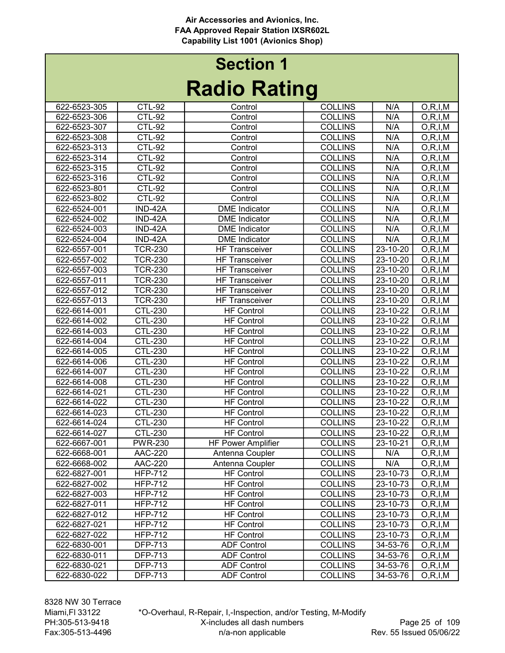# Radio Rating Section 1

| Naulu Natiliy |                |                           |                |                |                          |  |
|---------------|----------------|---------------------------|----------------|----------------|--------------------------|--|
| 622-6523-305  | <b>CTL-92</b>  | Control                   | <b>COLLINS</b> | N/A            | O, R, I, M               |  |
| 622-6523-306  | <b>CTL-92</b>  | Control                   | <b>COLLINS</b> | N/A            | O, R, I, M               |  |
| 622-6523-307  | <b>CTL-92</b>  | Control                   | <b>COLLINS</b> | N/A            | O, R, I, M               |  |
| 622-6523-308  | <b>CTL-92</b>  | Control                   | <b>COLLINS</b> | N/A            | O, R, I, M               |  |
| 622-6523-313  | <b>CTL-92</b>  | Control                   | <b>COLLINS</b> | N/A            | O, R, I, M               |  |
| 622-6523-314  | <b>CTL-92</b>  | Control                   | <b>COLLINS</b> | N/A            | O, R, I, M               |  |
| 622-6523-315  | <b>CTL-92</b>  | Control                   | <b>COLLINS</b> | N/A            | O, R, I, M               |  |
| 622-6523-316  | <b>CTL-92</b>  | Control                   | <b>COLLINS</b> | N/A            | O, R, I, M               |  |
| 622-6523-801  | <b>CTL-92</b>  | Control                   | <b>COLLINS</b> | N/A            | O, R, I, M               |  |
| 622-6523-802  | <b>CTL-92</b>  | Control                   | <b>COLLINS</b> | N/A            | O, R, I, M               |  |
| 622-6524-001  | IND-42A        | <b>DME</b> Indicator      | <b>COLLINS</b> | N/A            | O, R, I, M               |  |
| 622-6524-002  | IND-42A        | <b>DME</b> Indicator      | <b>COLLINS</b> | N/A            | O, R, I, M               |  |
| 622-6524-003  | IND-42A        | <b>DME</b> Indicator      | <b>COLLINS</b> | N/A            | O, R, I, M               |  |
| 622-6524-004  | IND-42A        | <b>DME</b> Indicator      | <b>COLLINS</b> | N/A            | O, R, I, M               |  |
| 622-6557-001  | <b>TCR-230</b> | <b>HF Transceiver</b>     | <b>COLLINS</b> | $23 - 10 - 20$ | O, R, I, M               |  |
| 622-6557-002  | <b>TCR-230</b> | <b>HF Transceiver</b>     | <b>COLLINS</b> | 23-10-20       | O, R, I, M               |  |
| 622-6557-003  | <b>TCR-230</b> | <b>HF Transceiver</b>     | <b>COLLINS</b> | 23-10-20       | O, R, I, M               |  |
| 622-6557-011  | <b>TCR-230</b> | <b>HF Transceiver</b>     | <b>COLLINS</b> | 23-10-20       | O, R, I, M               |  |
| 622-6557-012  | <b>TCR-230</b> | <b>HF Transceiver</b>     | <b>COLLINS</b> | 23-10-20       | $\overline{O}$ , R, I, M |  |
| 622-6557-013  | <b>TCR-230</b> | <b>HF Transceiver</b>     | <b>COLLINS</b> | 23-10-20       | O, R, I, M               |  |
| 622-6614-001  | <b>CTL-230</b> | <b>HF Control</b>         | <b>COLLINS</b> | 23-10-22       | O, R, I, M               |  |
| 622-6614-002  | <b>CTL-230</b> | <b>HF Control</b>         | <b>COLLINS</b> | 23-10-22       | O, R, I, M               |  |
| 622-6614-003  | <b>CTL-230</b> | <b>HF Control</b>         | <b>COLLINS</b> | 23-10-22       | O, R, I, M               |  |
| 622-6614-004  | <b>CTL-230</b> | <b>HF Control</b>         | <b>COLLINS</b> | 23-10-22       | O, R, I, M               |  |
| 622-6614-005  | <b>CTL-230</b> | <b>HF Control</b>         | <b>COLLINS</b> | 23-10-22       | O, R, I, M               |  |
| 622-6614-006  | <b>CTL-230</b> | <b>HF Control</b>         | <b>COLLINS</b> | 23-10-22       | O, R, I, M               |  |
| 622-6614-007  | <b>CTL-230</b> | <b>HF Control</b>         | <b>COLLINS</b> | 23-10-22       | O, R, I, M               |  |
| 622-6614-008  | <b>CTL-230</b> | <b>HF Control</b>         | <b>COLLINS</b> | 23-10-22       | O, R, I, M               |  |
| 622-6614-021  | <b>CTL-230</b> | <b>HF Control</b>         | <b>COLLINS</b> | 23-10-22       | O, R, I, M               |  |
| 622-6614-022  | <b>CTL-230</b> | <b>HF Control</b>         | <b>COLLINS</b> | 23-10-22       | O, R, I, M               |  |
| 622-6614-023  | <b>CTL-230</b> | <b>HF Control</b>         | <b>COLLINS</b> | 23-10-22       | O, R, I, M               |  |
| 622-6614-024  | CTL-230        | <b>HF Control</b>         | <b>COLLINS</b> | 23-10-22       | O, R, I, M               |  |
| 622-6614-027  | <b>CTL-230</b> | <b>HF Control</b>         | <b>COLLINS</b> | 23-10-22       | O, R, I, M               |  |
| 622-6667-001  | <b>PWR-230</b> | <b>HF Power Amplifier</b> | <b>COLLINS</b> | 23-10-21       | O, R, I, M               |  |
| 622-6668-001  | <b>AAC-220</b> | Antenna Coupler           | <b>COLLINS</b> | N/A            | O, R, I, M               |  |
| 622-6668-002  | <b>AAC-220</b> | Antenna Coupler           | <b>COLLINS</b> | N/A            | O, R, I, M               |  |
| 622-6827-001  | <b>HFP-712</b> | <b>HF Control</b>         | <b>COLLINS</b> | 23-10-73       | O, R, I, M               |  |
| 622-6827-002  | <b>HFP-712</b> | <b>HF Control</b>         | <b>COLLINS</b> | 23-10-73       | O, R, I, M               |  |
| 622-6827-003  | <b>HFP-712</b> | <b>HF Control</b>         | <b>COLLINS</b> | 23-10-73       | O, R, I, M               |  |
| 622-6827-011  | <b>HFP-712</b> | <b>HF Control</b>         | <b>COLLINS</b> | 23-10-73       | O, R, I, M               |  |
| 622-6827-012  | <b>HFP-712</b> | <b>HF Control</b>         | <b>COLLINS</b> | 23-10-73       | O, R, I, M               |  |
| 622-6827-021  | <b>HFP-712</b> | <b>HF Control</b>         | <b>COLLINS</b> | 23-10-73       | O, R, I, M               |  |
| 622-6827-022  | <b>HFP-712</b> | <b>HF Control</b>         | <b>COLLINS</b> | 23-10-73       | O, R, I, M               |  |
| 622-6830-001  | <b>DFP-713</b> | <b>ADF Control</b>        | <b>COLLINS</b> | 34-53-76       | O, R, I, M               |  |
| 622-6830-011  | <b>DFP-713</b> | <b>ADF Control</b>        | <b>COLLINS</b> | 34-53-76       | O, R, I, M               |  |
| 622-6830-021  | <b>DFP-713</b> | <b>ADF Control</b>        | <b>COLLINS</b> | 34-53-76       | O, R, I, M               |  |
| 622-6830-022  | <b>DFP-713</b> | <b>ADF Control</b>        | <b>COLLINS</b> | 34-53-76       | O, R, I, M               |  |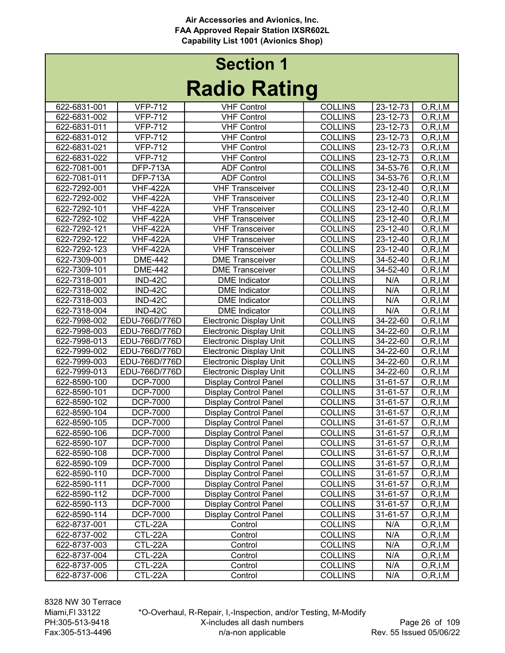| naano naanny |                       |                                |                |                |            |  |  |
|--------------|-----------------------|--------------------------------|----------------|----------------|------------|--|--|
| 622-6831-001 | <b>VFP-712</b>        | <b>VHF Control</b>             | <b>COLLINS</b> | 23-12-73       | O, R, I, M |  |  |
| 622-6831-002 | <b>VFP-712</b>        | <b>VHF Control</b>             | <b>COLLINS</b> | 23-12-73       | O, R, I, M |  |  |
| 622-6831-011 | <b>VFP-712</b>        | <b>VHF Control</b>             | <b>COLLINS</b> | 23-12-73       | O, R, I, M |  |  |
| 622-6831-012 | <b>VFP-712</b>        | <b>VHF Control</b>             | <b>COLLINS</b> | 23-12-73       | O, R, I, M |  |  |
| 622-6831-021 | <b>VFP-712</b>        | <b>VHF Control</b>             | <b>COLLINS</b> | 23-12-73       | O, R, I, M |  |  |
| 622-6831-022 | <b>VFP-712</b>        | <b>VHF Control</b>             | <b>COLLINS</b> | 23-12-73       | O, R, I, M |  |  |
| 622-7081-001 | <b>DFP-713A</b>       | <b>ADF Control</b>             | <b>COLLINS</b> | 34-53-76       | O, R, I, M |  |  |
| 622-7081-011 | <b>DFP-713A</b>       | <b>ADF Control</b>             | <b>COLLINS</b> | 34-53-76       | O, R, I, M |  |  |
| 622-7292-001 | <b>VHF-422A</b>       | <b>VHF Transceiver</b>         | <b>COLLINS</b> | 23-12-40       | O, R, I, M |  |  |
| 622-7292-002 | <b>VHF-422A</b>       | <b>VHF Transceiver</b>         | <b>COLLINS</b> | 23-12-40       | O, R, I, M |  |  |
| 622-7292-101 | <b>VHF-422A</b>       | <b>VHF Transceiver</b>         | <b>COLLINS</b> | 23-12-40       | O, R, I, M |  |  |
| 622-7292-102 | <b>VHF-422A</b>       | <b>VHF Transceiver</b>         | <b>COLLINS</b> | 23-12-40       | O, R, I, M |  |  |
| 622-7292-121 | <b>VHF-422A</b>       | <b>VHF Transceiver</b>         | <b>COLLINS</b> | 23-12-40       | O, R, I, M |  |  |
| 622-7292-122 | <b>VHF-422A</b>       | <b>VHF Transceiver</b>         | <b>COLLINS</b> | 23-12-40       | O, R, I, M |  |  |
| 622-7292-123 | <b>VHF-422A</b>       | <b>VHF Transceiver</b>         | <b>COLLINS</b> | 23-12-40       | O, R, I, M |  |  |
| 622-7309-001 | <b>DME-442</b>        | <b>DME Transceiver</b>         | <b>COLLINS</b> | 34-52-40       | O, R, I, M |  |  |
| 622-7309-101 | <b>DME-442</b>        | <b>DME</b> Transceiver         | <b>COLLINS</b> | 34-52-40       | O, R, I, M |  |  |
| 622-7318-001 | IND-42C               | <b>DME</b> Indicator           | <b>COLLINS</b> | N/A            | O, R, I, M |  |  |
| 622-7318-002 | <b>IND-42C</b>        | <b>DME</b> Indicator           | <b>COLLINS</b> | N/A            | O, R, I, M |  |  |
| 622-7318-003 | IND-42C               | <b>DME</b> Indicator           | <b>COLLINS</b> | N/A            | O, R, I, M |  |  |
| 622-7318-004 | $\overline{IND}$ -42C | <b>DME</b> Indicator           | <b>COLLINS</b> | N/A            | O, R, I, M |  |  |
| 622-7998-002 | EDU-766D/776D         | <b>Electronic Display Unit</b> | <b>COLLINS</b> | $34 - 22 - 60$ | O, R, I, M |  |  |
| 622-7998-003 | EDU-766D/776D         | <b>Electronic Display Unit</b> | <b>COLLINS</b> | 34-22-60       | O, R, I, M |  |  |
| 622-7998-013 | EDU-766D/776D         | <b>Electronic Display Unit</b> | <b>COLLINS</b> | 34-22-60       | O, R, I, M |  |  |
| 622-7999-002 | EDU-766D/776D         | <b>Electronic Display Unit</b> | <b>COLLINS</b> | 34-22-60       | O, R, I, M |  |  |
| 622-7999-003 | EDU-766D/776D         | <b>Electronic Display Unit</b> | <b>COLLINS</b> | 34-22-60       | O, R, I, M |  |  |
| 622-7999-013 | EDU-766D/776D         | <b>Electronic Display Unit</b> | <b>COLLINS</b> | 34-22-60       | O, R, I, M |  |  |
| 622-8590-100 | <b>DCP-7000</b>       | <b>Display Control Panel</b>   | <b>COLLINS</b> | 31-61-57       | O, R, I, M |  |  |
| 622-8590-101 | <b>DCP-7000</b>       | <b>Display Control Panel</b>   | <b>COLLINS</b> | 31-61-57       | O, R, I, M |  |  |
| 622-8590-102 | <b>DCP-7000</b>       | <b>Display Control Panel</b>   | <b>COLLINS</b> | 31-61-57       | O, R, I, M |  |  |
| 622-8590-104 | <b>DCP-7000</b>       | <b>Display Control Panel</b>   | <b>COLLINS</b> | 31-61-57       | O, R, I, M |  |  |
| 622-8590-105 | <b>DCP-7000</b>       | <b>Display Control Panel</b>   | <b>COLLINS</b> | 31-61-57       | O, R, I, M |  |  |
| 622-8590-106 | <b>DCP-7000</b>       | <b>Display Control Panel</b>   | <b>COLLINS</b> | 31-61-57       | O, R, I, M |  |  |
| 622-8590-107 | DCP-7000              | <b>Display Control Panel</b>   | <b>COLLINS</b> | 31-61-57       | O, R, I, M |  |  |
| 622-8590-108 | <b>DCP-7000</b>       | <b>Display Control Panel</b>   | <b>COLLINS</b> | 31-61-57       | O, R, I, M |  |  |
| 622-8590-109 | <b>DCP-7000</b>       | <b>Display Control Panel</b>   | <b>COLLINS</b> | $31 - 61 - 57$ | O, R, I, M |  |  |
| 622-8590-110 | DCP-7000              | <b>Display Control Panel</b>   | <b>COLLINS</b> | 31-61-57       | O, R, I, M |  |  |
| 622-8590-111 | DCP-7000              | <b>Display Control Panel</b>   | <b>COLLINS</b> | 31-61-57       | O, R, I, M |  |  |
| 622-8590-112 | DCP-7000              | <b>Display Control Panel</b>   | <b>COLLINS</b> | 31-61-57       | O, R, I, M |  |  |
| 622-8590-113 | DCP-7000              | <b>Display Control Panel</b>   | <b>COLLINS</b> | 31-61-57       | O, R, I, M |  |  |
| 622-8590-114 | DCP-7000              | <b>Display Control Panel</b>   | <b>COLLINS</b> | 31-61-57       | O, R, I, M |  |  |
| 622-8737-001 | CTL-22A               | Control                        | <b>COLLINS</b> | N/A            | O, R, I, M |  |  |
| 622-8737-002 | CTL-22A               | Control                        | <b>COLLINS</b> | N/A            | O, R, I, M |  |  |
| 622-8737-003 | CTL-22A               | Control                        | <b>COLLINS</b> | N/A            | O, R, I, M |  |  |
| 622-8737-004 | CTL-22A               | Control                        | <b>COLLINS</b> | N/A            | O, R, I, M |  |  |
| 622-8737-005 | CTL-22A               | Control                        | <b>COLLINS</b> | N/A            | O, R, I, M |  |  |
| 622-8737-006 | CTL-22A               | Control                        | <b>COLLINS</b> | N/A            | O, R, I, M |  |  |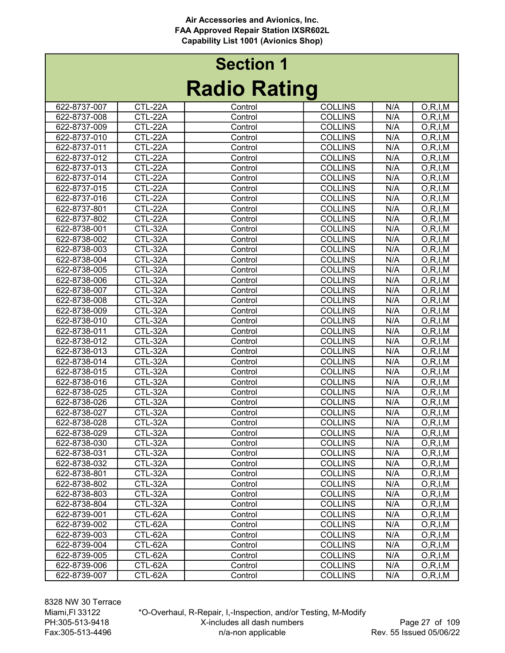# Radio Rating Section 1

| Naulu Natiliy |                |         |                |     |            |  |
|---------------|----------------|---------|----------------|-----|------------|--|
| 622-8737-007  | CTL-22A        | Control | <b>COLLINS</b> | N/A | O, R, I, M |  |
| 622-8737-008  | CTL-22A        | Control | <b>COLLINS</b> | N/A | O, R, I, M |  |
| 622-8737-009  | CTL-22A        | Control | <b>COLLINS</b> | N/A | O, R, I, M |  |
| 622-8737-010  | CTL-22A        | Control | <b>COLLINS</b> | N/A | O, R, I, M |  |
| 622-8737-011  | CTL-22A        | Control | <b>COLLINS</b> | N/A | O, R, I, M |  |
| 622-8737-012  | CTL-22A        | Control | <b>COLLINS</b> | N/A | O, R, I, M |  |
| 622-8737-013  | CTL-22A        | Control | <b>COLLINS</b> | N/A | O, R, I, M |  |
| 622-8737-014  | CTL-22A        | Control | <b>COLLINS</b> | N/A | O, R, I, M |  |
| 622-8737-015  | CTL-22A        | Control | <b>COLLINS</b> | N/A | O, R, I, M |  |
| 622-8737-016  | CTL-22A        | Control | <b>COLLINS</b> | N/A | O, R, I, M |  |
| 622-8737-801  | CTL-22A        | Control | <b>COLLINS</b> | N/A | O, R, I, M |  |
| 622-8737-802  | CTL-22A        | Control | <b>COLLINS</b> | N/A | O, R, I, M |  |
| 622-8738-001  | CTL-32A        | Control | <b>COLLINS</b> | N/A | O, R, I, M |  |
| 622-8738-002  | CTL-32A        | Control | <b>COLLINS</b> | N/A | O, R, I, M |  |
| 622-8738-003  | CTL-32A        | Control | <b>COLLINS</b> | N/A | O, R, I, M |  |
| 622-8738-004  | CTL-32A        | Control | <b>COLLINS</b> | N/A | O, R, I, M |  |
| 622-8738-005  | CTL-32A        | Control | <b>COLLINS</b> | N/A | O, R, I, M |  |
| 622-8738-006  | CTL-32A        | Control | <b>COLLINS</b> | N/A | O, R, I, M |  |
| 622-8738-007  | CTL-32A        | Control | <b>COLLINS</b> | N/A | O, R, I, M |  |
| 622-8738-008  | CTL-32A        | Control | <b>COLLINS</b> | N/A | O, R, I, M |  |
| 622-8738-009  | CTL-32A        | Control | <b>COLLINS</b> | N/A | O, R, I, M |  |
| 622-8738-010  | <b>CTL-32A</b> | Control | <b>COLLINS</b> | N/A | O, R, I, M |  |
| 622-8738-011  | CTL-32A        | Control | <b>COLLINS</b> | N/A | O, R, I, M |  |
| 622-8738-012  | CTL-32A        | Control | <b>COLLINS</b> | N/A | O, R, I, M |  |
| 622-8738-013  | CTL-32A        | Control | <b>COLLINS</b> | N/A | O, R, I, M |  |
| 622-8738-014  | CTL-32A        | Control | <b>COLLINS</b> | N/A | O, R, I, M |  |
| 622-8738-015  | CTL-32A        | Control | <b>COLLINS</b> | N/A | O, R, I, M |  |
| 622-8738-016  | CTL-32A        | Control | <b>COLLINS</b> | N/A | O, R, I, M |  |
| 622-8738-025  | CTL-32A        | Control | <b>COLLINS</b> | N/A | O, R, I, M |  |
| 622-8738-026  | CTL-32A        | Control | <b>COLLINS</b> | N/A | O, R, I, M |  |
| 622-8738-027  | CTL-32A        | Control | <b>COLLINS</b> | N/A | O, R, I, M |  |
| 622-8738-028  | CTL-32A        | Control | <b>COLLINS</b> | N/A | O, R, I, M |  |
| 622-8738-029  | CTL-32A        | Control | <b>COLLINS</b> | N/A | O, R, I, M |  |
| 622-8738-030  | CTL-32A        | Control | <b>COLLINS</b> | N/A | O, R, I, M |  |
| 622-8738-031  | CTL-32A        | Control | <b>COLLINS</b> | N/A | O, R, I, M |  |
| 622-8738-032  | CTL-32A        | Control | <b>COLLINS</b> | N/A | O, R, I, M |  |
| 622-8738-801  | CTL-32A        | Control | <b>COLLINS</b> | N/A | O, R, I, M |  |
| 622-8738-802  | CTL-32A        | Control | <b>COLLINS</b> | N/A | O, R, I, M |  |
| 622-8738-803  | CTL-32A        | Control | <b>COLLINS</b> | N/A | O, R, I, M |  |
| 622-8738-804  | CTL-32A        | Control | <b>COLLINS</b> | N/A | O, R, I, M |  |
| 622-8739-001  | CTL-62A        | Control | <b>COLLINS</b> | N/A | O, R, I, M |  |
| 622-8739-002  | CTL-62A        | Control | <b>COLLINS</b> | N/A | O, R, I, M |  |
| 622-8739-003  | CTL-62A        | Control | <b>COLLINS</b> | N/A | O, R, I, M |  |
| 622-8739-004  | CTL-62A        | Control | <b>COLLINS</b> | N/A | O, R, I, M |  |
| 622-8739-005  | CTL-62A        | Control | <b>COLLINS</b> | N/A | O, R, I, M |  |
| 622-8739-006  | CTL-62A        | Control | <b>COLLINS</b> | N/A | O, R, I, M |  |
| 622-8739-007  | CTL-62A        | Control | <b>COLLINS</b> | N/A | O, R, I, M |  |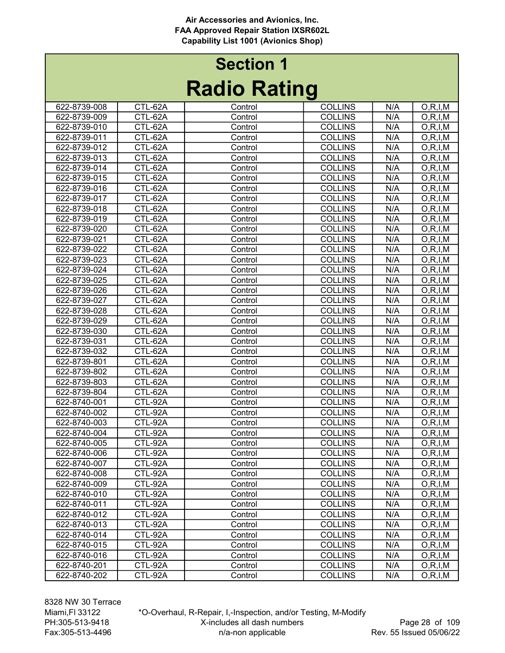# Radio Rating Section 1

| Naulu Natiliy |         |         |                |     |                          |  |
|---------------|---------|---------|----------------|-----|--------------------------|--|
| 622-8739-008  | CTL-62A | Control | <b>COLLINS</b> | N/A | O, R, I, M               |  |
| 622-8739-009  | CTL-62A | Control | <b>COLLINS</b> | N/A | O, R, I, M               |  |
| 622-8739-010  | CTL-62A | Control | <b>COLLINS</b> | N/A | O, R, I, M               |  |
| 622-8739-011  | CTL-62A | Control | <b>COLLINS</b> | N/A | O, R, I, M               |  |
| 622-8739-012  | CTL-62A | Control | <b>COLLINS</b> | N/A | O, R, I, M               |  |
| 622-8739-013  | CTL-62A | Control | <b>COLLINS</b> | N/A | O, R, I, M               |  |
| 622-8739-014  | CTL-62A | Control | <b>COLLINS</b> | N/A | O, R, I, M               |  |
| 622-8739-015  | CTL-62A | Control | <b>COLLINS</b> | N/A | O, R, I, M               |  |
| 622-8739-016  | CTL-62A | Control | <b>COLLINS</b> | N/A | O, R, I, M               |  |
| 622-8739-017  | CTL-62A | Control | <b>COLLINS</b> | N/A | O, R, I, M               |  |
| 622-8739-018  | CTL-62A | Control | <b>COLLINS</b> | N/A | O, R, I, M               |  |
| 622-8739-019  | CTL-62A | Control | <b>COLLINS</b> | N/A | O, R, I, M               |  |
| 622-8739-020  | CTL-62A | Control | <b>COLLINS</b> | N/A | O, R, I, M               |  |
| 622-8739-021  | CTL-62A | Control | <b>COLLINS</b> | N/A | O, R, I, M               |  |
| 622-8739-022  | CTL-62A | Control | <b>COLLINS</b> | N/A | O, R, I, M               |  |
| 622-8739-023  | CTL-62A | Control | <b>COLLINS</b> | N/A | O, R, I, M               |  |
| 622-8739-024  | CTL-62A | Control | <b>COLLINS</b> | N/A | $\overline{O}$ , R, I, M |  |
| 622-8739-025  | CTL-62A | Control | <b>COLLINS</b> | N/A | O, R, I, M               |  |
| 622-8739-026  | CTL-62A | Control | <b>COLLINS</b> | N/A | O, R, I, M               |  |
| 622-8739-027  | CTL-62A | Control | <b>COLLINS</b> | N/A | O, R, I, M               |  |
| 622-8739-028  | CTL-62A | Control | <b>COLLINS</b> | N/A | O, R, I, M               |  |
| 622-8739-029  | CTL-62A | Control | <b>COLLINS</b> | N/A | O, R, I, M               |  |
| 622-8739-030  | CTL-62A | Control | <b>COLLINS</b> | N/A | O, R, I, M               |  |
| 622-8739-031  | CTL-62A | Control | <b>COLLINS</b> | N/A | O, R, I, M               |  |
| 622-8739-032  | CTL-62A | Control | <b>COLLINS</b> | N/A | O, R, I, M               |  |
| 622-8739-801  | CTL-62A | Control | <b>COLLINS</b> | N/A | O, R, I, M               |  |
| 622-8739-802  | CTL-62A | Control | <b>COLLINS</b> | N/A | O, R, I, M               |  |
| 622-8739-803  | CTL-62A | Control | <b>COLLINS</b> | N/A | O, R, I, M               |  |
| 622-8739-804  | CTL-62A | Control | <b>COLLINS</b> | N/A | O, R, I, M               |  |
| 622-8740-001  | CTL-92A | Control | <b>COLLINS</b> | N/A | O, R, I, M               |  |
| 622-8740-002  | CTL-92A | Control | <b>COLLINS</b> | N/A | O, R, I, M               |  |
| 622-8740-003  | CTL-92A | Control | <b>COLLINS</b> | N/A | O, R, I, M               |  |
| 622-8740-004  | CTL-92A | Control | <b>COLLINS</b> | N/A | O, R, I, M               |  |
| 622-8740-005  | CTL-92A | Control | <b>COLLINS</b> | N/A | O, R, I, M               |  |
| 622-8740-006  | CTL-92A | Control | <b>COLLINS</b> | N/A | O, R, I, M               |  |
| 622-8740-007  | CTL-92A | Control | <b>COLLINS</b> | N/A | O, R, I, M               |  |
| 622-8740-008  | CTL-92A | Control | <b>COLLINS</b> | N/A | O, R, I, M               |  |
| 622-8740-009  | CTL-92A | Control | <b>COLLINS</b> | N/A | O, R, I, M               |  |
| 622-8740-010  | CTL-92A | Control | <b>COLLINS</b> | N/A | O, R, I, M               |  |
| 622-8740-011  | CTL-92A | Control | <b>COLLINS</b> | N/A | O, R, I, M               |  |
| 622-8740-012  | CTL-92A | Control | <b>COLLINS</b> | N/A | O, R, I, M               |  |
| 622-8740-013  | CTL-92A | Control | <b>COLLINS</b> | N/A | O, R, I, M               |  |
| 622-8740-014  | CTL-92A | Control | <b>COLLINS</b> | N/A | O, R, I, M               |  |
| 622-8740-015  | CTL-92A | Control | <b>COLLINS</b> | N/A | O, R, I, M               |  |
| 622-8740-016  | CTL-92A | Control | <b>COLLINS</b> | N/A | O, R, I, M               |  |
| 622-8740-201  | CTL-92A | Control | <b>COLLINS</b> | N/A | O, R, I, M               |  |
| 622-8740-202  | CTL-92A | Control | <b>COLLINS</b> | N/A | O, R, I, M               |  |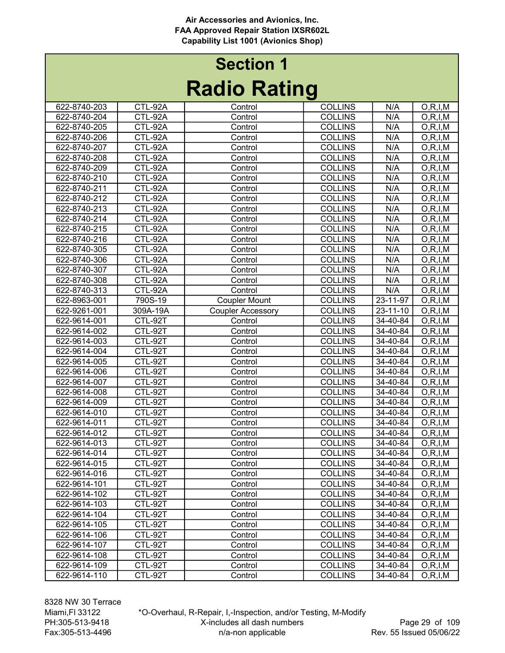# Radio Rating Section 1

| Naulu Natiliy |           |                          |                |            |            |  |
|---------------|-----------|--------------------------|----------------|------------|------------|--|
| 622-8740-203  | CTL-92A   | Control                  | <b>COLLINS</b> | N/A        | O, R, I, M |  |
| 622-8740-204  | CTL-92A   | Control                  | <b>COLLINS</b> | N/A        | O, R, I, M |  |
| 622-8740-205  | CTL-92A   | Control                  | <b>COLLINS</b> | N/A        | O, R, I, M |  |
| 622-8740-206  | CTL-92A   | Control                  | <b>COLLINS</b> | N/A        | O, R, I, M |  |
| 622-8740-207  | CTL-92A   | Control                  | <b>COLLINS</b> | N/A        | O, R, I, M |  |
| 622-8740-208  | CTL-92A   | Control                  | <b>COLLINS</b> | N/A        | O, R, I, M |  |
| 622-8740-209  | CTL-92A   | Control                  | <b>COLLINS</b> | N/A        | O, R, I, M |  |
| 622-8740-210  | CTL-92A   | Control                  | <b>COLLINS</b> | N/A        | O, R, I, M |  |
| 622-8740-211  | CTL-92A   | Control                  | <b>COLLINS</b> | N/A        | O, R, I, M |  |
| 622-8740-212  | CTL-92A   | Control                  | <b>COLLINS</b> | N/A        | O, R, I, M |  |
| 622-8740-213  | CTL-92A   | Control                  | <b>COLLINS</b> | N/A        | O, R, I, M |  |
| 622-8740-214  | CTL-92A   | Control                  | <b>COLLINS</b> | N/A        | O, R, I, M |  |
| 622-8740-215  | CTL-92A   | Control                  | <b>COLLINS</b> | N/A        | O, R, I, M |  |
| 622-8740-216  | CTL-92A   | Control                  | <b>COLLINS</b> | N/A        | O, R, I, M |  |
| 622-8740-305  | CTL-92A   | Control                  | <b>COLLINS</b> | N/A        | O, R, I, M |  |
| 622-8740-306  | CTL-92A   | Control                  | <b>COLLINS</b> | N/A        | O, R, I, M |  |
| 622-8740-307  | CTL-92A   | Control                  | <b>COLLINS</b> | N/A        | O, R, I, M |  |
| 622-8740-308  | CTL-92A   | Control                  | <b>COLLINS</b> | N/A        | O, R, I, M |  |
| 622-8740-313  | $CTL-92A$ | Control                  | <b>COLLINS</b> | N/A        | O, R, I, M |  |
| 622-8963-001  | 790S-19   | <b>Coupler Mount</b>     | <b>COLLINS</b> | 23-11-97   | O, R, I, M |  |
| 622-9261-001  | 309A-19A  | <b>Coupler Accessory</b> | <b>COLLINS</b> | 23-11-10   | O, R, I, M |  |
| 622-9614-001  | CTL-92T   | Control                  | <b>COLLINS</b> | 34-40-84   | O, R, I, M |  |
| 622-9614-002  | CTL-92T   | Control                  | <b>COLLINS</b> | 34-40-84   | O, R, I, M |  |
| 622-9614-003  | CTL-92T   | Control                  | <b>COLLINS</b> | 34-40-84   | O, R, I, M |  |
| 622-9614-004  | CTL-92T   | Control                  | <b>COLLINS</b> | 34-40-84   | O, R, I, M |  |
| 622-9614-005  | CTL-92T   | Control                  | <b>COLLINS</b> | 34-40-84   | O, R, I, M |  |
| 622-9614-006  | CTL-92T   | Control                  | <b>COLLINS</b> | 34-40-84   | O, R, I, M |  |
| 622-9614-007  | CTL-92T   | Control                  | <b>COLLINS</b> | 34-40-84   | O, R, I, M |  |
| 622-9614-008  | CTL-92T   | Control                  | <b>COLLINS</b> | 34-40-84   | O, R, I, M |  |
| 622-9614-009  | CTL-92T   | Control                  | <b>COLLINS</b> | 34-40-84   | O, R, I, M |  |
| 622-9614-010  | CTL-92T   | Control                  | <b>COLLINS</b> | 34-40-84   | O, R, I, M |  |
| 622-9614-011  | CTL-92T   | Control                  | <b>COLLINS</b> | 34-40-84   | O, R, I, M |  |
| 622-9614-012  | CTL-92T   | Control                  | <b>COLLINS</b> | 34-40-84   | O, R, I, M |  |
| 622-9614-013  | CTL-92T   | Control                  | <b>COLLINS</b> | 34-40-84   | O, R, I, M |  |
| 622-9614-014  | CTL-92T   | Control                  | <b>COLLINS</b> | 34-40-84   | O, R, I, M |  |
| 622-9614-015  | CTL-92T   | Control                  | <b>COLLINS</b> | 34-40-84   | O, R, I, M |  |
| 622-9614-016  | CTL-92T   | Control                  | <b>COLLINS</b> | 34-40-84   | O, R, I, M |  |
| 622-9614-101  | CTL-92T   | Control                  | <b>COLLINS</b> | 34-40-84   | O, R, I, M |  |
| 622-9614-102  | CTL-92T   | Control                  | <b>COLLINS</b> | 34-40-84   | O, R, I, M |  |
| 622-9614-103  | CTL-92T   | Control                  | <b>COLLINS</b> | 34-40-84   | O, R, I, M |  |
| 622-9614-104  | CTL-92T   | Control                  | <b>COLLINS</b> | 34-40-84   | O, R, I, M |  |
| 622-9614-105  | CTL-92T   | Control                  | <b>COLLINS</b> | $34-40-84$ | O, R, I, M |  |
| 622-9614-106  | $CTL-92T$ | Control                  | <b>COLLINS</b> | 34-40-84   | O, R, I, M |  |
| 622-9614-107  | CTL-92T   | Control                  | <b>COLLINS</b> | 34-40-84   | O, R, I, M |  |
| 622-9614-108  | CTL-92T   | Control                  | <b>COLLINS</b> | 34-40-84   | O, R, I, M |  |
| 622-9614-109  | CTL-92T   | Control                  | <b>COLLINS</b> | 34-40-84   | O, R, I, M |  |
| 622-9614-110  | CTL-92T   | Control                  | <b>COLLINS</b> | 34-40-84   | O, R, I, M |  |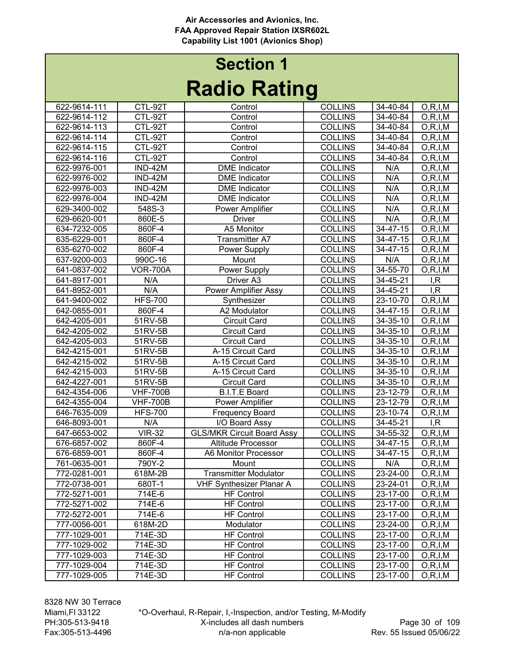| naulu natiliy |                 |                                   |                |                |                          |  |
|---------------|-----------------|-----------------------------------|----------------|----------------|--------------------------|--|
| 622-9614-111  | CTL-92T         | Control                           | <b>COLLINS</b> | 34-40-84       | O, R, I, M               |  |
| 622-9614-112  | CTL-92T         | Control                           | <b>COLLINS</b> | 34-40-84       | O, R, I, M               |  |
| 622-9614-113  | CTL-92T         | Control                           | <b>COLLINS</b> | 34-40-84       | O, R, I, M               |  |
| 622-9614-114  | CTL-92T         | Control                           | <b>COLLINS</b> | 34-40-84       | O, R, I, M               |  |
| 622-9614-115  | CTL-92T         | Control                           | <b>COLLINS</b> | $34 - 40 - 84$ | O, R, I, M               |  |
| 622-9614-116  | CTL-92T         | Control                           | <b>COLLINS</b> | 34-40-84       | O, R, I, M               |  |
| 622-9976-001  | IND-42M         | <b>DME</b> Indicator              | <b>COLLINS</b> | N/A            | O, R, I, M               |  |
| 622-9976-002  | <b>IND-42M</b>  | <b>DME</b> Indicator              | <b>COLLINS</b> | N/A            | O, R, I, M               |  |
| 622-9976-003  | IND-42M         | <b>DME</b> Indicator              | <b>COLLINS</b> | N/A            | O, R, I, M               |  |
| 622-9976-004  | IND-42M         | <b>DME</b> Indicator              | <b>COLLINS</b> | N/A            | O, R, I, M               |  |
| 629-3400-002  | 548S-3          | Power Amplifier                   | <b>COLLINS</b> | N/A            | O, R, I, M               |  |
| 629-6620-001  | 860E-5          | <b>Driver</b>                     | <b>COLLINS</b> | N/A            | O, R, I, M               |  |
| 634-7232-005  | 860F-4          | A5 Monitor                        | <b>COLLINS</b> | 34-47-15       | $\overline{O}$ , R, I, M |  |
| 635-6229-001  | 860F-4          | <b>Transmitter A7</b>             | <b>COLLINS</b> | 34-47-15       | O, R, I, M               |  |
| 635-6270-002  | 860F-4          | Power Supply                      | <b>COLLINS</b> | 34-47-15       | O, R, I, M               |  |
| 637-9200-003  | 990C-16         | Mount                             | <b>COLLINS</b> | N/A            | O, R, I, M               |  |
| 641-0837-002  | <b>VOR-700A</b> | Power Supply                      | <b>COLLINS</b> | 34-55-70       | O, R, I, M               |  |
| 641-8917-001  | N/A             | Driver A3                         | <b>COLLINS</b> | 34-45-21       | I, R                     |  |
| 641-8952-001  | N/A             | <b>Power Amplifier Assy</b>       | <b>COLLINS</b> | 34-45-21       | I, R                     |  |
| 641-9400-002  | <b>HFS-700</b>  | Synthesizer                       | <b>COLLINS</b> | 23-10-70       | $\overline{O}$ , R, I, M |  |
| 642-0855-001  | 860F-4          | A2 Modulator                      | <b>COLLINS</b> | $34 - 47 - 15$ | O, R, I, M               |  |
| 642-4205-001  | 51RV-5B         | <b>Circuit Card</b>               | <b>COLLINS</b> | $34 - 35 - 10$ | O, R, I, M               |  |
| 642-4205-002  | 51RV-5B         | <b>Circuit Card</b>               | <b>COLLINS</b> | $34 - 35 - 10$ | O, R, I, M               |  |
| 642-4205-003  | 51RV-5B         | <b>Circuit Card</b>               | <b>COLLINS</b> | 34-35-10       | O, R, I, M               |  |
| 642-4215-001  | 51RV-5B         | A-15 Circuit Card                 | <b>COLLINS</b> | 34-35-10       | O, R, I, M               |  |
| 642-4215-002  | 51RV-5B         | A-15 Circuit Card                 | <b>COLLINS</b> | $34 - 35 - 10$ | O, R, I, M               |  |
| 642-4215-003  | 51RV-5B         | A-15 Circuit Card                 | <b>COLLINS</b> | 34-35-10       | O, R, I, M               |  |
| 642-4227-001  | 51RV-5B         | <b>Circuit Card</b>               | <b>COLLINS</b> | 34-35-10       | O, R, I, M               |  |
| 642-4354-006  | <b>VHF-700B</b> | <b>B.I.T.E Board</b>              | <b>COLLINS</b> | 23-12-79       | O, R, I, M               |  |
| 642-4355-004  | <b>VHF-700B</b> | Power Amplifier                   | <b>COLLINS</b> | 23-12-79       | O, R, I, M               |  |
| 646-7635-009  | <b>HFS-700</b>  | <b>Frequency Board</b>            | <b>COLLINS</b> | 23-10-74       | O, R, I, M               |  |
| 646-8093-001  | N/A             | I/O Board Assy                    | <b>COLLINS</b> | 34-45-21       | I, R                     |  |
| 647-6653-002  | <b>VIR-32</b>   | <b>GLS/MKR Circuit Board Assy</b> | <b>COLLINS</b> | 34-55-32       | O, R, I, M               |  |
| 676-6857-002  | 860F-4          | <b>Altitude Processor</b>         | <b>COLLINS</b> | 34-47-15       | O, R, I, M               |  |
| 676-6859-001  | 860F-4          | A6 Monitor Processor              | <b>COLLINS</b> | 34-47-15       | O, R, I, M               |  |
| 761-0635-001  | 790Y-2          | Mount                             | <b>COLLINS</b> | N/A            | O, R, I, M               |  |
| 772-0281-001  | 618M-2B         | <b>Transmitter Modulator</b>      | <b>COLLINS</b> | 23-24-00       | O, R, I, M               |  |
| 772-0738-001  | 680T-1          | <b>VHF Synthesizer Planar A</b>   | <b>COLLINS</b> | 23-24-01       | O, R, I, M               |  |
| 772-5271-001  | 714E-6          | <b>HF Control</b>                 | <b>COLLINS</b> | 23-17-00       | O, R, I, M               |  |
| 772-5271-002  | 714E-6          | <b>HF Control</b>                 | <b>COLLINS</b> | 23-17-00       | O, R, I, M               |  |
| 772-5272-001  | 714E-6          | <b>HF Control</b>                 | <b>COLLINS</b> | 23-17-00       | O, R, I, M               |  |
| 777-0056-001  | 618M-2D         | Modulator                         | <b>COLLINS</b> | 23-24-00       | O, R, I, M               |  |
| 777-1029-001  | 714E-3D         | <b>HF Control</b>                 | <b>COLLINS</b> | 23-17-00       | O, R, I, M               |  |
| 777-1029-002  | 714E-3D         | <b>HF Control</b>                 | <b>COLLINS</b> | 23-17-00       | O, R, I, M               |  |
| 777-1029-003  | 714E-3D         | <b>HF Control</b>                 | <b>COLLINS</b> | 23-17-00       | O, R, I, M               |  |
| 777-1029-004  | 714E-3D         | <b>HF Control</b>                 | <b>COLLINS</b> | 23-17-00       | O, R, I, M               |  |
| 777-1029-005  | 714E-3D         | <b>HF Control</b>                 | <b>COLLINS</b> | 23-17-00       | O, R, I, M               |  |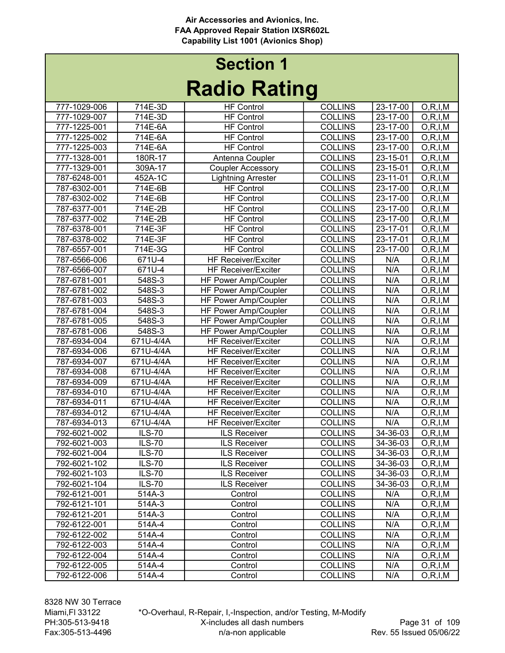| naulu natiliy |               |                            |                |          |                          |  |
|---------------|---------------|----------------------------|----------------|----------|--------------------------|--|
| 777-1029-006  | 714E-3D       | <b>HF Control</b>          | <b>COLLINS</b> | 23-17-00 | O, R, I, M               |  |
| 777-1029-007  | 714E-3D       | <b>HF Control</b>          | <b>COLLINS</b> | 23-17-00 | O, R, I, M               |  |
| 777-1225-001  | 714E-6A       | <b>HF Control</b>          | <b>COLLINS</b> | 23-17-00 | O, R, I, M               |  |
| 777-1225-002  | 714E-6A       | <b>HF Control</b>          | <b>COLLINS</b> | 23-17-00 | O, R, I, M               |  |
| 777-1225-003  | 714E-6A       | <b>HF Control</b>          | <b>COLLINS</b> | 23-17-00 | O, R, I, M               |  |
| 777-1328-001  | 180R-17       | Antenna Coupler            | <b>COLLINS</b> | 23-15-01 | O, R, I, M               |  |
| 777-1329-001  | 309A-17       | <b>Coupler Accessory</b>   | <b>COLLINS</b> | 23-15-01 | O, R, I, M               |  |
| 787-6248-001  | 452A-1C       | <b>Lightning Arrester</b>  | <b>COLLINS</b> | 23-11-01 | O, R, I, M               |  |
| 787-6302-001  | 714E-6B       | <b>HF Control</b>          | <b>COLLINS</b> | 23-17-00 | O, R, I, M               |  |
| 787-6302-002  | 714E-6B       | <b>HF Control</b>          | <b>COLLINS</b> | 23-17-00 | O, R, I, M               |  |
| 787-6377-001  | 714E-2B       | <b>HF Control</b>          | <b>COLLINS</b> | 23-17-00 | O, R, I, M               |  |
| 787-6377-002  | 714E-2B       | <b>HF Control</b>          | <b>COLLINS</b> | 23-17-00 | $\overline{O}$ , R, I, M |  |
| 787-6378-001  | 714E-3F       | <b>HF Control</b>          | <b>COLLINS</b> | 23-17-01 | O, R, I, M               |  |
| 787-6378-002  | 714E-3F       | <b>HF</b> Control          | <b>COLLINS</b> | 23-17-01 | O, R, I, M               |  |
| 787-6557-001  | 714E-3G       | <b>HF Control</b>          | <b>COLLINS</b> | 23-17-00 | O, R, I, M               |  |
| 787-6566-006  | 671U-4        | <b>HF Receiver/Exciter</b> | <b>COLLINS</b> | N/A      | O, R, I, M               |  |
| 787-6566-007  | 671U-4        | <b>HF Receiver/Exciter</b> | <b>COLLINS</b> | N/A      | O, R, I, M               |  |
| 787-6781-001  | 548S-3        | HF Power Amp/Coupler       | <b>COLLINS</b> | N/A      | O, R, I, M               |  |
| 787-6781-002  | 548S-3        | HF Power Amp/Coupler       | <b>COLLINS</b> | N/A      | O, R, I, M               |  |
| 787-6781-003  | 548S-3        | HF Power Amp/Coupler       | <b>COLLINS</b> | N/A      | O, R, I, M               |  |
| 787-6781-004  | 548S-3        | HF Power Amp/Coupler       | <b>COLLINS</b> | N/A      | O, R, I, M               |  |
| 787-6781-005  | 548S-3        | HF Power Amp/Coupler       | <b>COLLINS</b> | N/A      | O, R, I, M               |  |
| 787-6781-006  | 548S-3        | HF Power Amp/Coupler       | <b>COLLINS</b> | N/A      | O, R, I, M               |  |
| 787-6934-004  | 671U-4/4A     | <b>HF Receiver/Exciter</b> | <b>COLLINS</b> | N/A      | O, R, I, M               |  |
| 787-6934-006  | 671U-4/4A     | <b>HF Receiver/Exciter</b> | <b>COLLINS</b> | N/A      | O, R, I, M               |  |
| 787-6934-007  | 671U-4/4A     | <b>HF Receiver/Exciter</b> | <b>COLLINS</b> | N/A      | O, R, I, M               |  |
| 787-6934-008  | 671U-4/4A     | <b>HF Receiver/Exciter</b> | <b>COLLINS</b> | N/A      | O, R, I, M               |  |
| 787-6934-009  | 671U-4/4A     | <b>HF Receiver/Exciter</b> | <b>COLLINS</b> | N/A      | O, R, I, M               |  |
| 787-6934-010  | 671U-4/4A     | <b>HF Receiver/Exciter</b> | <b>COLLINS</b> | N/A      | O, R, I, M               |  |
| 787-6934-011  | 671U-4/4A     | <b>HF Receiver/Exciter</b> | <b>COLLINS</b> | N/A      | O, R, I, M               |  |
| 787-6934-012  | 671U-4/4A     | <b>HF Receiver/Exciter</b> | <b>COLLINS</b> | N/A      | O, R, I, M               |  |
| 787-6934-013  | 671U-4/4A     | <b>HF Receiver/Exciter</b> | <b>COLLINS</b> | N/A      | O, R, I, M               |  |
| 792-6021-002  | <b>ILS-70</b> | <b>ILS Receiver</b>        | <b>COLLINS</b> | 34-36-03 | O, R, I, M               |  |
| 792-6021-003  | <b>ILS-70</b> | <b>ILS Receiver</b>        | <b>COLLINS</b> | 34-36-03 | O, R, I, M               |  |
| 792-6021-004  | <b>ILS-70</b> | <b>ILS Receiver</b>        | <b>COLLINS</b> | 34-36-03 | O, R, I, M               |  |
| 792-6021-102  | $ILS-70$      | <b>ILS Receiver</b>        | <b>COLLINS</b> | 34-36-03 | O, R, I, M               |  |
| 792-6021-103  | <b>ILS-70</b> | <b>ILS Receiver</b>        | <b>COLLINS</b> | 34-36-03 | O, R, I, M               |  |
| 792-6021-104  | <b>ILS-70</b> | <b>ILS Receiver</b>        | <b>COLLINS</b> | 34-36-03 | O, R, I, M               |  |
| 792-6121-001  | 514A-3        | Control                    | <b>COLLINS</b> | N/A      | O, R, I, M               |  |
| 792-6121-101  | 514A-3        | Control                    | <b>COLLINS</b> | N/A      | O, R, I, M               |  |
| 792-6121-201  | 514A-3        | Control                    | <b>COLLINS</b> | N/A      | O, R, I, M               |  |
| 792-6122-001  | 514A-4        | Control                    | <b>COLLINS</b> | N/A      | O, R, I, M               |  |
| 792-6122-002  | 514A-4        | Control                    | <b>COLLINS</b> | N/A      | O, R, I, M               |  |
| 792-6122-003  | 514A-4        | Control                    | <b>COLLINS</b> | N/A      | O, R, I, M               |  |
| 792-6122-004  | 514A-4        | Control                    | <b>COLLINS</b> | N/A      | O, R, I, M               |  |
| 792-6122-005  | 514A-4        | Control                    | <b>COLLINS</b> | N/A      | O, R, I, M               |  |
| 792-6122-006  | 514A-4        | Control                    | <b>COLLINS</b> | N/A      | O, R, I, M               |  |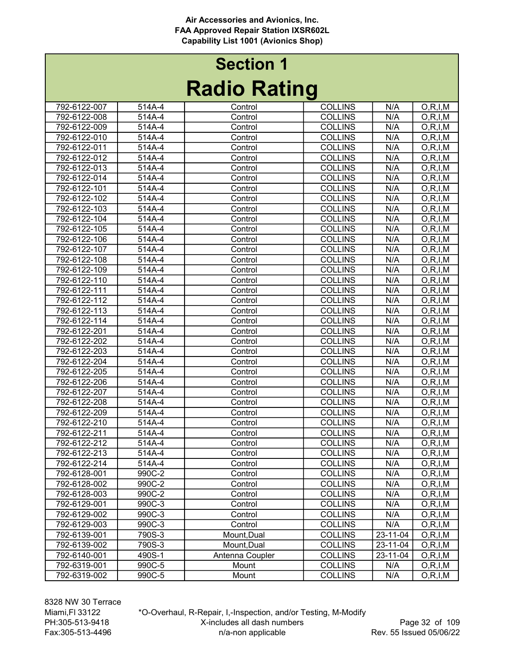# Radio Rating Section 1

| INAUIU INAUIIY |        |                 |                |          |            |  |
|----------------|--------|-----------------|----------------|----------|------------|--|
| 792-6122-007   | 514A-4 | Control         | <b>COLLINS</b> | N/A      | O, R, I, M |  |
| 792-6122-008   | 514A-4 | Control         | <b>COLLINS</b> | N/A      | O, R, I, M |  |
| 792-6122-009   | 514A-4 | Control         | <b>COLLINS</b> | N/A      | O, R, I, M |  |
| 792-6122-010   | 514A-4 | Control         | <b>COLLINS</b> | N/A      | O, R, I, M |  |
| 792-6122-011   | 514A-4 | Control         | <b>COLLINS</b> | N/A      | O, R, I, M |  |
| 792-6122-012   | 514A-4 | Control         | <b>COLLINS</b> | N/A      | O, R, I, M |  |
| 792-6122-013   | 514A-4 | Control         | <b>COLLINS</b> | N/A      | O, R, I, M |  |
| 792-6122-014   | 514A-4 | Control         | <b>COLLINS</b> | N/A      | O, R, I, M |  |
| 792-6122-101   | 514A-4 | Control         | <b>COLLINS</b> | N/A      | O, R, I, M |  |
| 792-6122-102   | 514A-4 | Control         | <b>COLLINS</b> | N/A      | O, R, I, M |  |
| 792-6122-103   | 514A-4 | Control         | <b>COLLINS</b> | N/A      | O, R, I, M |  |
| 792-6122-104   | 514A-4 | Control         | <b>COLLINS</b> | N/A      | O, R, I, M |  |
| 792-6122-105   | 514A-4 | Control         | <b>COLLINS</b> | N/A      | O, R, I, M |  |
| 792-6122-106   | 514A-4 | Control         | <b>COLLINS</b> | N/A      | O, R, I, M |  |
| 792-6122-107   | 514A-4 | Control         | <b>COLLINS</b> | N/A      | O, R, I, M |  |
| 792-6122-108   | 514A-4 | Control         | <b>COLLINS</b> | N/A      | O, R, I, M |  |
| 792-6122-109   | 514A-4 | Control         | <b>COLLINS</b> | N/A      | O, R, I, M |  |
| 792-6122-110   | 514A-4 | Control         | <b>COLLINS</b> | N/A      | O, R, I, M |  |
| 792-6122-111   | 514A-4 | Control         | <b>COLLINS</b> | N/A      | O, R, I, M |  |
| 792-6122-112   | 514A-4 | Control         | <b>COLLINS</b> | N/A      | O, R, I, M |  |
| 792-6122-113   | 514A-4 | Control         | <b>COLLINS</b> | N/A      | O, R, I, M |  |
| 792-6122-114   | 514A-4 | Control         | <b>COLLINS</b> | N/A      | O, R, I, M |  |
| 792-6122-201   | 514A-4 | Control         | <b>COLLINS</b> | N/A      | O, R, I, M |  |
| 792-6122-202   | 514A-4 | Control         | <b>COLLINS</b> | N/A      | O, R, I, M |  |
| 792-6122-203   | 514A-4 | Control         | <b>COLLINS</b> | N/A      | O, R, I, M |  |
| 792-6122-204   | 514A-4 | Control         | <b>COLLINS</b> | N/A      | O, R, I, M |  |
| 792-6122-205   | 514A-4 | Control         | <b>COLLINS</b> | N/A      | O, R, I, M |  |
| 792-6122-206   | 514A-4 | Control         | <b>COLLINS</b> | N/A      | O, R, I, M |  |
| 792-6122-207   | 514A-4 | Control         | <b>COLLINS</b> | N/A      | O, R, I, M |  |
| 792-6122-208   | 514A-4 | Control         | <b>COLLINS</b> | N/A      | O, R, I, M |  |
| 792-6122-209   | 514A-4 | Control         | <b>COLLINS</b> | N/A      | O, R, I, M |  |
| 792-6122-210   | 514A-4 | Control         | <b>COLLINS</b> | N/A      | O, R, I, M |  |
| 792-6122-211   | 514A-4 | Control         | <b>COLLINS</b> | N/A      | O, R, I, M |  |
| 792-6122-212   | 514A-4 | Control         | <b>COLLINS</b> | N/A      | O, R, I, M |  |
| 792-6122-213   | 514A-4 | Control         | <b>COLLINS</b> | N/A      | O, R, I, M |  |
| 792-6122-214   | 514A-4 | Control         | <b>COLLINS</b> | N/A      | O, R, I, M |  |
| 792-6128-001   | 990C-2 | Control         | <b>COLLINS</b> | N/A      | O, R, I, M |  |
| 792-6128-002   | 990C-2 | Control         | <b>COLLINS</b> | N/A      | O, R, I, M |  |
| 792-6128-003   | 990C-2 | Control         | <b>COLLINS</b> | N/A      | O, R, I, M |  |
| 792-6129-001   | 990C-3 | Control         | <b>COLLINS</b> | N/A      | O, R, I, M |  |
| 792-6129-002   | 990C-3 | Control         | <b>COLLINS</b> | N/A      | O, R, I, M |  |
| 792-6129-003   | 990C-3 | Control         | <b>COLLINS</b> | N/A      | O, R, I, M |  |
| 792-6139-001   | 790S-3 | Mount, Dual     | <b>COLLINS</b> | 23-11-04 | O, R, I, M |  |
| 792-6139-002   | 790S-3 | Mount, Dual     | <b>COLLINS</b> | 23-11-04 | O, R, I, M |  |
| 792-6140-001   | 490S-1 | Antenna Coupler | <b>COLLINS</b> | 23-11-04 | O, R, I, M |  |
| 792-6319-001   | 990C-5 | Mount           | <b>COLLINS</b> | N/A      | O, R, I, M |  |
| 792-6319-002   | 990C-5 | Mount           | <b>COLLINS</b> | N/A      | O, R, I, M |  |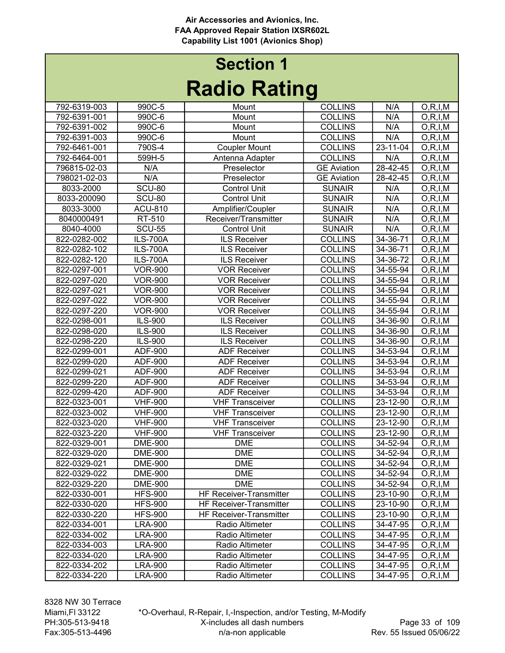| INAMIY INAHIIY |                 |                                |                    |                  |            |  |
|----------------|-----------------|--------------------------------|--------------------|------------------|------------|--|
| 792-6319-003   | 990C-5          | Mount                          | <b>COLLINS</b>     | N/A              | O, R, I, M |  |
| 792-6391-001   | 990C-6          | Mount                          | <b>COLLINS</b>     | N/A              | O, R, I, M |  |
| 792-6391-002   | 990C-6          | Mount                          | <b>COLLINS</b>     | N/A              | O, R, I, M |  |
| 792-6391-003   | 990C-6          | Mount                          | <b>COLLINS</b>     | N/A              | O, R, I, M |  |
| 792-6461-001   | 790S-4          | <b>Coupler Mount</b>           | <b>COLLINS</b>     | 23-11-04         | O, R, I, M |  |
| 792-6464-001   | 599H-5          | Antenna Adapter                | <b>COLLINS</b>     | N/A              | O, R, I, M |  |
| 796815-02-03   | N/A             | Preselector                    | <b>GE Aviation</b> | 28-42-45         | O, R, I, M |  |
| 798021-02-03   | N/A             | Preselector                    | <b>GE Aviation</b> | 28-42-45         | O, R, I, M |  |
| 8033-2000      | <b>SCU-80</b>   | <b>Control Unit</b>            | <b>SUNAIR</b>      | N/A              | O, R, I, M |  |
| 8033-200090    | <b>SCU-80</b>   | <b>Control Unit</b>            | <b>SUNAIR</b>      | N/A              | O, R, I, M |  |
| 8033-3000      | <b>ACU-810</b>  | Amplifier/Coupler              | <b>SUNAIR</b>      | N/A              | O, R, I, M |  |
| 8040000491     | RT-510          | Receiver/Transmitter           | <b>SUNAIR</b>      | N/A              | O, R, I, M |  |
| 8040-4000      | <b>SCU-55</b>   | <b>Control Unit</b>            | <b>SUNAIR</b>      | $\overline{N}/A$ | O, R, I, M |  |
| 822-0282-002   | <b>ILS-700A</b> | <b>ILS Receiver</b>            | <b>COLLINS</b>     | 34-36-71         | O, R, I, M |  |
| 822-0282-102   | <b>ILS-700A</b> | ILS Receiver                   | <b>COLLINS</b>     | $34 - 36 - 71$   | O, R, I, M |  |
| 822-0282-120   | <b>ILS-700A</b> | <b>ILS Receiver</b>            | <b>COLLINS</b>     | 34-36-72         | O, R, I, M |  |
| 822-0297-001   | <b>VOR-900</b>  | <b>VOR Receiver</b>            | <b>COLLINS</b>     | 34-55-94         | O, R, I, M |  |
| 822-0297-020   | <b>VOR-900</b>  | <b>VOR Receiver</b>            | <b>COLLINS</b>     | 34-55-94         | O, R, I, M |  |
| 822-0297-021   | <b>VOR-900</b>  | <b>VOR Receiver</b>            | <b>COLLINS</b>     | 34-55-94         | O, R, I, M |  |
| 822-0297-022   | <b>VOR-900</b>  | <b>VOR Receiver</b>            | <b>COLLINS</b>     | 34-55-94         | O, R, I, M |  |
| 822-0297-220   | <b>VOR-900</b>  | <b>VOR Receiver</b>            | <b>COLLINS</b>     | 34-55-94         | O, R, I, M |  |
| 822-0298-001   | ILS-900         | <b>ILS Receiver</b>            | <b>COLLINS</b>     | 34-36-90         | O, R, I, M |  |
| 822-0298-020   | ILS-900         | <b>ILS Receiver</b>            | <b>COLLINS</b>     | 34-36-90         | O, R, I, M |  |
| 822-0298-220   | ILS-900         | <b>ILS Receiver</b>            | <b>COLLINS</b>     | 34-36-90         | O, R, I, M |  |
| 822-0299-001   | ADF-900         | <b>ADF Receiver</b>            | <b>COLLINS</b>     | 34-53-94         | O, R, I, M |  |
| 822-0299-020   | ADF-900         | <b>ADF Receiver</b>            | <b>COLLINS</b>     | 34-53-94         | O, R, I, M |  |
| 822-0299-021   | ADF-900         | <b>ADF Receiver</b>            | <b>COLLINS</b>     | 34-53-94         | O, R, I, M |  |
| 822-0299-220   | <b>ADF-900</b>  | <b>ADF Receiver</b>            | <b>COLLINS</b>     | 34-53-94         | O, R, I, M |  |
| 822-0299-420   | ADF-900         | <b>ADF Receiver</b>            | <b>COLLINS</b>     | 34-53-94         | O, R, I, M |  |
| 822-0323-001   | <b>VHF-900</b>  | <b>VHF Transceiver</b>         | <b>COLLINS</b>     | 23-12-90         | O, R, I, M |  |
| 822-0323-002   | <b>VHF-900</b>  | <b>VHF Transceiver</b>         | <b>COLLINS</b>     | 23-12-90         | O, R, I, M |  |
| 822-0323-020   | <b>VHF-900</b>  | <b>VHF Transceiver</b>         | <b>COLLINS</b>     | 23-12-90         | O, R, I, M |  |
| 822-0323-220   | <b>VHF-900</b>  | <b>VHF Transceiver</b>         | <b>COLLINS</b>     | 23-12-90         | O, R, I, M |  |
| 822-0329-001   | <b>DME-900</b>  | <b>DME</b>                     | <b>COLLINS</b>     | 34-52-94         | O, R, I, M |  |
| 822-0329-020   | <b>DME-900</b>  | <b>DME</b>                     | <b>COLLINS</b>     | 34-52-94         | O, R, I, M |  |
| 822-0329-021   | <b>DME-900</b>  | <b>DME</b>                     | <b>COLLINS</b>     | $34 - 52 - 94$   | O, R, I, M |  |
| 822-0329-022   | <b>DME-900</b>  | <b>DME</b>                     | <b>COLLINS</b>     | 34-52-94         | O, R, I, M |  |
| 822-0329-220   | <b>DME-900</b>  | <b>DME</b>                     | <b>COLLINS</b>     | 34-52-94         | O, R, I, M |  |
| 822-0330-001   | <b>HFS-900</b>  | <b>HF Receiver-Transmitter</b> | <b>COLLINS</b>     | 23-10-90         | O, R, I, M |  |
| 822-0330-020   | <b>HFS-900</b>  | <b>HF Receiver-Transmitter</b> | <b>COLLINS</b>     | 23-10-90         | O, R, I, M |  |
| 822-0330-220   | <b>HFS-900</b>  | <b>HF Receiver-Transmitter</b> | <b>COLLINS</b>     | 23-10-90         | O, R, I, M |  |
| 822-0334-001   | <b>LRA-900</b>  | Radio Altimeter                | <b>COLLINS</b>     | 34-47-95         | O, R, I, M |  |
| 822-0334-002   | <b>LRA-900</b>  | Radio Altimeter                | <b>COLLINS</b>     | 34-47-95         | O, R, I, M |  |
| 822-0334-003   | <b>LRA-900</b>  | Radio Altimeter                | <b>COLLINS</b>     | 34-47-95         | O, R, I, M |  |
| 822-0334-020   | <b>LRA-900</b>  | Radio Altimeter                | <b>COLLINS</b>     | 34-47-95         | O, R, I, M |  |
| 822-0334-202   | <b>LRA-900</b>  | Radio Altimeter                | <b>COLLINS</b>     | 34-47-95         | O, R, I, M |  |
| 822-0334-220   | <b>LRA-900</b>  | Radio Altimeter                | <b>COLLINS</b>     | 34-47-95         | O, R, I, M |  |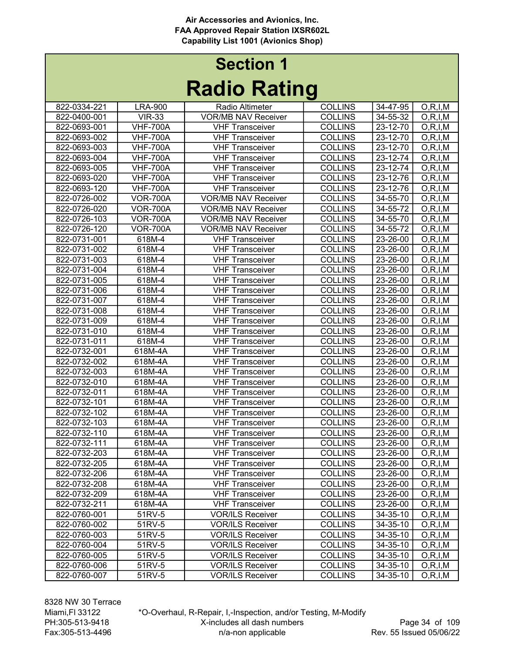| 822-0334-221<br><b>LRA-900</b><br>Radio Altimeter<br><b>COLLINS</b><br>34-47-95<br>O, R, I, M<br><b>VIR-33</b><br><b>VOR/MB NAV Receiver</b><br><b>COLLINS</b><br>822-0400-001<br>34-55-32<br>O, R, I, M<br>822-0693-001<br><b>COLLINS</b><br>23-12-70<br><b>VHF-700A</b><br><b>VHF Transceiver</b><br>O, R, I, M<br>822-0693-002<br><b>VHF-700A</b><br><b>COLLINS</b><br>23-12-70<br>O, R, I, M<br><b>VHF Transceiver</b><br><b>VHF-700A</b><br><b>COLLINS</b><br>23-12-70<br>822-0693-003<br>O, R, I, M<br><b>VHF Transceiver</b><br>822-0693-004<br><b>VHF-700A</b><br><b>VHF Transceiver</b><br><b>COLLINS</b><br>23-12-74<br>O, R, I, M<br>822-0693-005<br><b>VHF-700A</b><br><b>COLLINS</b><br>23-12-74<br><b>VHF Transceiver</b><br>O, R, I, M<br>822-0693-020<br><b>VHF-700A</b><br><b>VHF Transceiver</b><br><b>COLLINS</b><br>23-12-76<br>O, R, I, M<br><b>VHF-700A</b><br><b>COLLINS</b><br>822-0693-120<br><b>VHF Transceiver</b><br>23-12-76<br>O, R, I, M<br>822-0726-002<br><b>VOR-700A</b><br><b>VOR/MB NAV Receiver</b><br><b>COLLINS</b><br>34-55-70<br>O, R, I, M<br>822-0726-020<br><b>VOR-700A</b><br><b>VOR/MB NAV Receiver</b><br><b>COLLINS</b><br>34-55-72<br>O, R, I, M<br><b>COLLINS</b><br>822-0726-103<br><b>VOR-700A</b><br><b>VOR/MB NAV Receiver</b><br>34-55-70<br>O, R, I, M<br>822-0726-120<br><b>VOR-700A</b><br><b>VOR/MB NAV Receiver</b><br><b>COLLINS</b><br>34-55-72<br>O, R, I, M<br>822-0731-001<br><b>COLLINS</b><br>$23 - 26 - 00$<br>618M-4<br><b>VHF Transceiver</b><br>O, R, I, M<br>822-0731-002<br>618M-4<br><b>VHF Transceiver</b><br><b>COLLINS</b><br>23-26-00<br>O, R, I, M<br>822-0731-003<br>618M-4<br><b>COLLINS</b><br><b>VHF Transceiver</b><br>23-26-00<br>O, R, I, M<br>822-0731-004<br>618M-4<br><b>COLLINS</b><br><b>VHF Transceiver</b><br>23-26-00<br>O, R, I, M<br>822-0731-005<br><b>COLLINS</b><br>618M-4<br><b>VHF Transceiver</b><br>23-26-00<br>O, R, I, M<br>822-0731-006<br>618M-4<br><b>COLLINS</b><br>23-26-00<br>O, R, I, M<br><b>VHF Transceiver</b><br>822-0731-007<br>618M-4<br><b>COLLINS</b><br>23-26-00<br>O, R, I, M<br><b>VHF Transceiver</b><br>822-0731-008<br>618M-4<br><b>COLLINS</b><br>23-26-00<br>O, R, I, M<br><b>VHF Transceiver</b><br>822-0731-009<br>618M-4<br><b>COLLINS</b><br>O, R, I, M<br><b>VHF Transceiver</b><br>23-26-00<br>618M-4<br>822-0731-010<br><b>VHF Transceiver</b><br><b>COLLINS</b><br>23-26-00<br>O, R, I, M<br>822-0731-011<br>618M-4<br><b>COLLINS</b><br>23-26-00<br><b>VHF Transceiver</b><br>O, R, I, M<br>618M-4A<br><b>COLLINS</b><br>822-0732-001<br><b>VHF Transceiver</b><br>23-26-00<br>O, R, I, M<br>822-0732-002<br>618M-4A<br><b>COLLINS</b><br><b>VHF Transceiver</b><br>23-26-00<br>O, R, I, M<br>822-0732-003<br><b>COLLINS</b><br>618M-4A<br><b>VHF Transceiver</b><br>23-26-00<br>O, R, I, M<br>822-0732-010<br><b>COLLINS</b><br>618M-4A<br><b>VHF Transceiver</b><br>23-26-00<br>O, R, I, M<br>822-0732-011<br>618M-4A<br><b>COLLINS</b><br>23-26-00<br><b>VHF Transceiver</b><br>O, R, I, M<br>23-26-00<br>822-0732-101<br>618M-4A<br><b>COLLINS</b><br>O, R, I, M<br><b>VHF Transceiver</b><br>822-0732-102<br>618M-4A<br><b>COLLINS</b><br>23-26-00<br>O, R, I, M<br><b>VHF Transceiver</b><br>822-0732-103<br>618M-4A<br><b>COLLINS</b><br>23-26-00<br>O, R, I, M<br><b>VHF Transceiver</b><br>822-0732-110<br>618M-4A<br><b>COLLINS</b><br>23-26-00<br><b>VHF Transceiver</b><br>O, R, I, M<br>822-0732-111<br>23-26-00<br>618M-4A<br><b>VHF Transceiver</b><br><b>COLLINS</b><br>O, R, I, M<br>822-0732-203<br>618M-4A<br><b>COLLINS</b><br>23-26-00<br><b>VHF Transceiver</b><br>O, R, I, M<br>822-0732-205<br><b>COLLINS</b><br>23-26-00<br>$\overline{O,R}, I,M$<br>618M-4A<br><b>VHF Transceiver</b><br><b>COLLINS</b><br>23-26-00<br>822-0732-206<br>618M-4A<br><b>VHF Transceiver</b><br>O, R, I, M<br>23-26-00<br>822-0732-208<br>618M-4A<br><b>VHF Transceiver</b><br><b>COLLINS</b><br>O, R, I, M<br>822-0732-209<br>618M-4A<br><b>COLLINS</b><br>23-26-00<br><b>VHF Transceiver</b><br>O, R, I, M<br>822-0732-211<br>618M-4A<br><b>COLLINS</b><br>23-26-00<br>O, R, I, M<br><b>VHF Transceiver</b><br>822-0760-001<br>51RV-5<br><b>COLLINS</b><br>34-35-10<br><b>VOR/ILS Receiver</b><br>O, R, I, M<br>51RV-5<br><b>COLLINS</b><br>34-35-10<br>822-0760-002<br><b>VOR/ILS Receiver</b><br>O, R, I, M<br>822-0760-003<br>51RV-5<br><b>VOR/ILS Receiver</b><br><b>COLLINS</b><br>34-35-10<br>O, R, I, M<br>51RV-5<br>822-0760-004<br><b>VOR/ILS Receiver</b><br><b>COLLINS</b><br>34-35-10<br>O, R, I, M<br>51RV-5<br>34-35-10<br>822-0760-005<br><b>VOR/ILS Receiver</b><br><b>COLLINS</b><br>O, R, I, M<br><b>VOR/ILS Receiver</b><br>34-35-10<br>822-0760-006<br>51RV-5<br><b>COLLINS</b><br>O, R, I, M<br>822-0760-007<br>51RV-5<br><b>VOR/ILS Receiver</b><br><b>COLLINS</b><br>34-35-10<br>O, R, I, M |  | $\sim$ | Э |  |
|---------------------------------------------------------------------------------------------------------------------------------------------------------------------------------------------------------------------------------------------------------------------------------------------------------------------------------------------------------------------------------------------------------------------------------------------------------------------------------------------------------------------------------------------------------------------------------------------------------------------------------------------------------------------------------------------------------------------------------------------------------------------------------------------------------------------------------------------------------------------------------------------------------------------------------------------------------------------------------------------------------------------------------------------------------------------------------------------------------------------------------------------------------------------------------------------------------------------------------------------------------------------------------------------------------------------------------------------------------------------------------------------------------------------------------------------------------------------------------------------------------------------------------------------------------------------------------------------------------------------------------------------------------------------------------------------------------------------------------------------------------------------------------------------------------------------------------------------------------------------------------------------------------------------------------------------------------------------------------------------------------------------------------------------------------------------------------------------------------------------------------------------------------------------------------------------------------------------------------------------------------------------------------------------------------------------------------------------------------------------------------------------------------------------------------------------------------------------------------------------------------------------------------------------------------------------------------------------------------------------------------------------------------------------------------------------------------------------------------------------------------------------------------------------------------------------------------------------------------------------------------------------------------------------------------------------------------------------------------------------------------------------------------------------------------------------------------------------------------------------------------------------------------------------------------------------------------------------------------------------------------------------------------------------------------------------------------------------------------------------------------------------------------------------------------------------------------------------------------------------------------------------------------------------------------------------------------------------------------------------------------------------------------------------------------------------------------------------------------------------------------------------------------------------------------------------------------------------------------------------------------------------------------------------------------------------------------------------------------------------------------------------------------------------------------------------------------------------------------------------------------------------------------------------------------------------------------------------------------------------------------------------------------------------------------------------------------------------------------------------------------------------------------------------------------------------------------------------------------------------------------------------------------------------------------------------------------------------------------------------------------------------------------------------------------------------------------------------------------------------------------------------------------------------------------------------------------------------------------------------|--|--------|---|--|
|                                                                                                                                                                                                                                                                                                                                                                                                                                                                                                                                                                                                                                                                                                                                                                                                                                                                                                                                                                                                                                                                                                                                                                                                                                                                                                                                                                                                                                                                                                                                                                                                                                                                                                                                                                                                                                                                                                                                                                                                                                                                                                                                                                                                                                                                                                                                                                                                                                                                                                                                                                                                                                                                                                                                                                                                                                                                                                                                                                                                                                                                                                                                                                                                                                                                                                                                                                                                                                                                                                                                                                                                                                                                                                                                                                                                                                                                                                                                                                                                                                                                                                                                                                                                                                                                                                                                                                                                                                                                                                                                                                                                                                                                                                                                                                                                                                                                     |  |        |   |  |
|                                                                                                                                                                                                                                                                                                                                                                                                                                                                                                                                                                                                                                                                                                                                                                                                                                                                                                                                                                                                                                                                                                                                                                                                                                                                                                                                                                                                                                                                                                                                                                                                                                                                                                                                                                                                                                                                                                                                                                                                                                                                                                                                                                                                                                                                                                                                                                                                                                                                                                                                                                                                                                                                                                                                                                                                                                                                                                                                                                                                                                                                                                                                                                                                                                                                                                                                                                                                                                                                                                                                                                                                                                                                                                                                                                                                                                                                                                                                                                                                                                                                                                                                                                                                                                                                                                                                                                                                                                                                                                                                                                                                                                                                                                                                                                                                                                                                     |  |        |   |  |
|                                                                                                                                                                                                                                                                                                                                                                                                                                                                                                                                                                                                                                                                                                                                                                                                                                                                                                                                                                                                                                                                                                                                                                                                                                                                                                                                                                                                                                                                                                                                                                                                                                                                                                                                                                                                                                                                                                                                                                                                                                                                                                                                                                                                                                                                                                                                                                                                                                                                                                                                                                                                                                                                                                                                                                                                                                                                                                                                                                                                                                                                                                                                                                                                                                                                                                                                                                                                                                                                                                                                                                                                                                                                                                                                                                                                                                                                                                                                                                                                                                                                                                                                                                                                                                                                                                                                                                                                                                                                                                                                                                                                                                                                                                                                                                                                                                                                     |  |        |   |  |
|                                                                                                                                                                                                                                                                                                                                                                                                                                                                                                                                                                                                                                                                                                                                                                                                                                                                                                                                                                                                                                                                                                                                                                                                                                                                                                                                                                                                                                                                                                                                                                                                                                                                                                                                                                                                                                                                                                                                                                                                                                                                                                                                                                                                                                                                                                                                                                                                                                                                                                                                                                                                                                                                                                                                                                                                                                                                                                                                                                                                                                                                                                                                                                                                                                                                                                                                                                                                                                                                                                                                                                                                                                                                                                                                                                                                                                                                                                                                                                                                                                                                                                                                                                                                                                                                                                                                                                                                                                                                                                                                                                                                                                                                                                                                                                                                                                                                     |  |        |   |  |
|                                                                                                                                                                                                                                                                                                                                                                                                                                                                                                                                                                                                                                                                                                                                                                                                                                                                                                                                                                                                                                                                                                                                                                                                                                                                                                                                                                                                                                                                                                                                                                                                                                                                                                                                                                                                                                                                                                                                                                                                                                                                                                                                                                                                                                                                                                                                                                                                                                                                                                                                                                                                                                                                                                                                                                                                                                                                                                                                                                                                                                                                                                                                                                                                                                                                                                                                                                                                                                                                                                                                                                                                                                                                                                                                                                                                                                                                                                                                                                                                                                                                                                                                                                                                                                                                                                                                                                                                                                                                                                                                                                                                                                                                                                                                                                                                                                                                     |  |        |   |  |
|                                                                                                                                                                                                                                                                                                                                                                                                                                                                                                                                                                                                                                                                                                                                                                                                                                                                                                                                                                                                                                                                                                                                                                                                                                                                                                                                                                                                                                                                                                                                                                                                                                                                                                                                                                                                                                                                                                                                                                                                                                                                                                                                                                                                                                                                                                                                                                                                                                                                                                                                                                                                                                                                                                                                                                                                                                                                                                                                                                                                                                                                                                                                                                                                                                                                                                                                                                                                                                                                                                                                                                                                                                                                                                                                                                                                                                                                                                                                                                                                                                                                                                                                                                                                                                                                                                                                                                                                                                                                                                                                                                                                                                                                                                                                                                                                                                                                     |  |        |   |  |
|                                                                                                                                                                                                                                                                                                                                                                                                                                                                                                                                                                                                                                                                                                                                                                                                                                                                                                                                                                                                                                                                                                                                                                                                                                                                                                                                                                                                                                                                                                                                                                                                                                                                                                                                                                                                                                                                                                                                                                                                                                                                                                                                                                                                                                                                                                                                                                                                                                                                                                                                                                                                                                                                                                                                                                                                                                                                                                                                                                                                                                                                                                                                                                                                                                                                                                                                                                                                                                                                                                                                                                                                                                                                                                                                                                                                                                                                                                                                                                                                                                                                                                                                                                                                                                                                                                                                                                                                                                                                                                                                                                                                                                                                                                                                                                                                                                                                     |  |        |   |  |
|                                                                                                                                                                                                                                                                                                                                                                                                                                                                                                                                                                                                                                                                                                                                                                                                                                                                                                                                                                                                                                                                                                                                                                                                                                                                                                                                                                                                                                                                                                                                                                                                                                                                                                                                                                                                                                                                                                                                                                                                                                                                                                                                                                                                                                                                                                                                                                                                                                                                                                                                                                                                                                                                                                                                                                                                                                                                                                                                                                                                                                                                                                                                                                                                                                                                                                                                                                                                                                                                                                                                                                                                                                                                                                                                                                                                                                                                                                                                                                                                                                                                                                                                                                                                                                                                                                                                                                                                                                                                                                                                                                                                                                                                                                                                                                                                                                                                     |  |        |   |  |
|                                                                                                                                                                                                                                                                                                                                                                                                                                                                                                                                                                                                                                                                                                                                                                                                                                                                                                                                                                                                                                                                                                                                                                                                                                                                                                                                                                                                                                                                                                                                                                                                                                                                                                                                                                                                                                                                                                                                                                                                                                                                                                                                                                                                                                                                                                                                                                                                                                                                                                                                                                                                                                                                                                                                                                                                                                                                                                                                                                                                                                                                                                                                                                                                                                                                                                                                                                                                                                                                                                                                                                                                                                                                                                                                                                                                                                                                                                                                                                                                                                                                                                                                                                                                                                                                                                                                                                                                                                                                                                                                                                                                                                                                                                                                                                                                                                                                     |  |        |   |  |
|                                                                                                                                                                                                                                                                                                                                                                                                                                                                                                                                                                                                                                                                                                                                                                                                                                                                                                                                                                                                                                                                                                                                                                                                                                                                                                                                                                                                                                                                                                                                                                                                                                                                                                                                                                                                                                                                                                                                                                                                                                                                                                                                                                                                                                                                                                                                                                                                                                                                                                                                                                                                                                                                                                                                                                                                                                                                                                                                                                                                                                                                                                                                                                                                                                                                                                                                                                                                                                                                                                                                                                                                                                                                                                                                                                                                                                                                                                                                                                                                                                                                                                                                                                                                                                                                                                                                                                                                                                                                                                                                                                                                                                                                                                                                                                                                                                                                     |  |        |   |  |
|                                                                                                                                                                                                                                                                                                                                                                                                                                                                                                                                                                                                                                                                                                                                                                                                                                                                                                                                                                                                                                                                                                                                                                                                                                                                                                                                                                                                                                                                                                                                                                                                                                                                                                                                                                                                                                                                                                                                                                                                                                                                                                                                                                                                                                                                                                                                                                                                                                                                                                                                                                                                                                                                                                                                                                                                                                                                                                                                                                                                                                                                                                                                                                                                                                                                                                                                                                                                                                                                                                                                                                                                                                                                                                                                                                                                                                                                                                                                                                                                                                                                                                                                                                                                                                                                                                                                                                                                                                                                                                                                                                                                                                                                                                                                                                                                                                                                     |  |        |   |  |
|                                                                                                                                                                                                                                                                                                                                                                                                                                                                                                                                                                                                                                                                                                                                                                                                                                                                                                                                                                                                                                                                                                                                                                                                                                                                                                                                                                                                                                                                                                                                                                                                                                                                                                                                                                                                                                                                                                                                                                                                                                                                                                                                                                                                                                                                                                                                                                                                                                                                                                                                                                                                                                                                                                                                                                                                                                                                                                                                                                                                                                                                                                                                                                                                                                                                                                                                                                                                                                                                                                                                                                                                                                                                                                                                                                                                                                                                                                                                                                                                                                                                                                                                                                                                                                                                                                                                                                                                                                                                                                                                                                                                                                                                                                                                                                                                                                                                     |  |        |   |  |
|                                                                                                                                                                                                                                                                                                                                                                                                                                                                                                                                                                                                                                                                                                                                                                                                                                                                                                                                                                                                                                                                                                                                                                                                                                                                                                                                                                                                                                                                                                                                                                                                                                                                                                                                                                                                                                                                                                                                                                                                                                                                                                                                                                                                                                                                                                                                                                                                                                                                                                                                                                                                                                                                                                                                                                                                                                                                                                                                                                                                                                                                                                                                                                                                                                                                                                                                                                                                                                                                                                                                                                                                                                                                                                                                                                                                                                                                                                                                                                                                                                                                                                                                                                                                                                                                                                                                                                                                                                                                                                                                                                                                                                                                                                                                                                                                                                                                     |  |        |   |  |
|                                                                                                                                                                                                                                                                                                                                                                                                                                                                                                                                                                                                                                                                                                                                                                                                                                                                                                                                                                                                                                                                                                                                                                                                                                                                                                                                                                                                                                                                                                                                                                                                                                                                                                                                                                                                                                                                                                                                                                                                                                                                                                                                                                                                                                                                                                                                                                                                                                                                                                                                                                                                                                                                                                                                                                                                                                                                                                                                                                                                                                                                                                                                                                                                                                                                                                                                                                                                                                                                                                                                                                                                                                                                                                                                                                                                                                                                                                                                                                                                                                                                                                                                                                                                                                                                                                                                                                                                                                                                                                                                                                                                                                                                                                                                                                                                                                                                     |  |        |   |  |
|                                                                                                                                                                                                                                                                                                                                                                                                                                                                                                                                                                                                                                                                                                                                                                                                                                                                                                                                                                                                                                                                                                                                                                                                                                                                                                                                                                                                                                                                                                                                                                                                                                                                                                                                                                                                                                                                                                                                                                                                                                                                                                                                                                                                                                                                                                                                                                                                                                                                                                                                                                                                                                                                                                                                                                                                                                                                                                                                                                                                                                                                                                                                                                                                                                                                                                                                                                                                                                                                                                                                                                                                                                                                                                                                                                                                                                                                                                                                                                                                                                                                                                                                                                                                                                                                                                                                                                                                                                                                                                                                                                                                                                                                                                                                                                                                                                                                     |  |        |   |  |
|                                                                                                                                                                                                                                                                                                                                                                                                                                                                                                                                                                                                                                                                                                                                                                                                                                                                                                                                                                                                                                                                                                                                                                                                                                                                                                                                                                                                                                                                                                                                                                                                                                                                                                                                                                                                                                                                                                                                                                                                                                                                                                                                                                                                                                                                                                                                                                                                                                                                                                                                                                                                                                                                                                                                                                                                                                                                                                                                                                                                                                                                                                                                                                                                                                                                                                                                                                                                                                                                                                                                                                                                                                                                                                                                                                                                                                                                                                                                                                                                                                                                                                                                                                                                                                                                                                                                                                                                                                                                                                                                                                                                                                                                                                                                                                                                                                                                     |  |        |   |  |
|                                                                                                                                                                                                                                                                                                                                                                                                                                                                                                                                                                                                                                                                                                                                                                                                                                                                                                                                                                                                                                                                                                                                                                                                                                                                                                                                                                                                                                                                                                                                                                                                                                                                                                                                                                                                                                                                                                                                                                                                                                                                                                                                                                                                                                                                                                                                                                                                                                                                                                                                                                                                                                                                                                                                                                                                                                                                                                                                                                                                                                                                                                                                                                                                                                                                                                                                                                                                                                                                                                                                                                                                                                                                                                                                                                                                                                                                                                                                                                                                                                                                                                                                                                                                                                                                                                                                                                                                                                                                                                                                                                                                                                                                                                                                                                                                                                                                     |  |        |   |  |
|                                                                                                                                                                                                                                                                                                                                                                                                                                                                                                                                                                                                                                                                                                                                                                                                                                                                                                                                                                                                                                                                                                                                                                                                                                                                                                                                                                                                                                                                                                                                                                                                                                                                                                                                                                                                                                                                                                                                                                                                                                                                                                                                                                                                                                                                                                                                                                                                                                                                                                                                                                                                                                                                                                                                                                                                                                                                                                                                                                                                                                                                                                                                                                                                                                                                                                                                                                                                                                                                                                                                                                                                                                                                                                                                                                                                                                                                                                                                                                                                                                                                                                                                                                                                                                                                                                                                                                                                                                                                                                                                                                                                                                                                                                                                                                                                                                                                     |  |        |   |  |
|                                                                                                                                                                                                                                                                                                                                                                                                                                                                                                                                                                                                                                                                                                                                                                                                                                                                                                                                                                                                                                                                                                                                                                                                                                                                                                                                                                                                                                                                                                                                                                                                                                                                                                                                                                                                                                                                                                                                                                                                                                                                                                                                                                                                                                                                                                                                                                                                                                                                                                                                                                                                                                                                                                                                                                                                                                                                                                                                                                                                                                                                                                                                                                                                                                                                                                                                                                                                                                                                                                                                                                                                                                                                                                                                                                                                                                                                                                                                                                                                                                                                                                                                                                                                                                                                                                                                                                                                                                                                                                                                                                                                                                                                                                                                                                                                                                                                     |  |        |   |  |
|                                                                                                                                                                                                                                                                                                                                                                                                                                                                                                                                                                                                                                                                                                                                                                                                                                                                                                                                                                                                                                                                                                                                                                                                                                                                                                                                                                                                                                                                                                                                                                                                                                                                                                                                                                                                                                                                                                                                                                                                                                                                                                                                                                                                                                                                                                                                                                                                                                                                                                                                                                                                                                                                                                                                                                                                                                                                                                                                                                                                                                                                                                                                                                                                                                                                                                                                                                                                                                                                                                                                                                                                                                                                                                                                                                                                                                                                                                                                                                                                                                                                                                                                                                                                                                                                                                                                                                                                                                                                                                                                                                                                                                                                                                                                                                                                                                                                     |  |        |   |  |
|                                                                                                                                                                                                                                                                                                                                                                                                                                                                                                                                                                                                                                                                                                                                                                                                                                                                                                                                                                                                                                                                                                                                                                                                                                                                                                                                                                                                                                                                                                                                                                                                                                                                                                                                                                                                                                                                                                                                                                                                                                                                                                                                                                                                                                                                                                                                                                                                                                                                                                                                                                                                                                                                                                                                                                                                                                                                                                                                                                                                                                                                                                                                                                                                                                                                                                                                                                                                                                                                                                                                                                                                                                                                                                                                                                                                                                                                                                                                                                                                                                                                                                                                                                                                                                                                                                                                                                                                                                                                                                                                                                                                                                                                                                                                                                                                                                                                     |  |        |   |  |
|                                                                                                                                                                                                                                                                                                                                                                                                                                                                                                                                                                                                                                                                                                                                                                                                                                                                                                                                                                                                                                                                                                                                                                                                                                                                                                                                                                                                                                                                                                                                                                                                                                                                                                                                                                                                                                                                                                                                                                                                                                                                                                                                                                                                                                                                                                                                                                                                                                                                                                                                                                                                                                                                                                                                                                                                                                                                                                                                                                                                                                                                                                                                                                                                                                                                                                                                                                                                                                                                                                                                                                                                                                                                                                                                                                                                                                                                                                                                                                                                                                                                                                                                                                                                                                                                                                                                                                                                                                                                                                                                                                                                                                                                                                                                                                                                                                                                     |  |        |   |  |
|                                                                                                                                                                                                                                                                                                                                                                                                                                                                                                                                                                                                                                                                                                                                                                                                                                                                                                                                                                                                                                                                                                                                                                                                                                                                                                                                                                                                                                                                                                                                                                                                                                                                                                                                                                                                                                                                                                                                                                                                                                                                                                                                                                                                                                                                                                                                                                                                                                                                                                                                                                                                                                                                                                                                                                                                                                                                                                                                                                                                                                                                                                                                                                                                                                                                                                                                                                                                                                                                                                                                                                                                                                                                                                                                                                                                                                                                                                                                                                                                                                                                                                                                                                                                                                                                                                                                                                                                                                                                                                                                                                                                                                                                                                                                                                                                                                                                     |  |        |   |  |
|                                                                                                                                                                                                                                                                                                                                                                                                                                                                                                                                                                                                                                                                                                                                                                                                                                                                                                                                                                                                                                                                                                                                                                                                                                                                                                                                                                                                                                                                                                                                                                                                                                                                                                                                                                                                                                                                                                                                                                                                                                                                                                                                                                                                                                                                                                                                                                                                                                                                                                                                                                                                                                                                                                                                                                                                                                                                                                                                                                                                                                                                                                                                                                                                                                                                                                                                                                                                                                                                                                                                                                                                                                                                                                                                                                                                                                                                                                                                                                                                                                                                                                                                                                                                                                                                                                                                                                                                                                                                                                                                                                                                                                                                                                                                                                                                                                                                     |  |        |   |  |
|                                                                                                                                                                                                                                                                                                                                                                                                                                                                                                                                                                                                                                                                                                                                                                                                                                                                                                                                                                                                                                                                                                                                                                                                                                                                                                                                                                                                                                                                                                                                                                                                                                                                                                                                                                                                                                                                                                                                                                                                                                                                                                                                                                                                                                                                                                                                                                                                                                                                                                                                                                                                                                                                                                                                                                                                                                                                                                                                                                                                                                                                                                                                                                                                                                                                                                                                                                                                                                                                                                                                                                                                                                                                                                                                                                                                                                                                                                                                                                                                                                                                                                                                                                                                                                                                                                                                                                                                                                                                                                                                                                                                                                                                                                                                                                                                                                                                     |  |        |   |  |
|                                                                                                                                                                                                                                                                                                                                                                                                                                                                                                                                                                                                                                                                                                                                                                                                                                                                                                                                                                                                                                                                                                                                                                                                                                                                                                                                                                                                                                                                                                                                                                                                                                                                                                                                                                                                                                                                                                                                                                                                                                                                                                                                                                                                                                                                                                                                                                                                                                                                                                                                                                                                                                                                                                                                                                                                                                                                                                                                                                                                                                                                                                                                                                                                                                                                                                                                                                                                                                                                                                                                                                                                                                                                                                                                                                                                                                                                                                                                                                                                                                                                                                                                                                                                                                                                                                                                                                                                                                                                                                                                                                                                                                                                                                                                                                                                                                                                     |  |        |   |  |
|                                                                                                                                                                                                                                                                                                                                                                                                                                                                                                                                                                                                                                                                                                                                                                                                                                                                                                                                                                                                                                                                                                                                                                                                                                                                                                                                                                                                                                                                                                                                                                                                                                                                                                                                                                                                                                                                                                                                                                                                                                                                                                                                                                                                                                                                                                                                                                                                                                                                                                                                                                                                                                                                                                                                                                                                                                                                                                                                                                                                                                                                                                                                                                                                                                                                                                                                                                                                                                                                                                                                                                                                                                                                                                                                                                                                                                                                                                                                                                                                                                                                                                                                                                                                                                                                                                                                                                                                                                                                                                                                                                                                                                                                                                                                                                                                                                                                     |  |        |   |  |
|                                                                                                                                                                                                                                                                                                                                                                                                                                                                                                                                                                                                                                                                                                                                                                                                                                                                                                                                                                                                                                                                                                                                                                                                                                                                                                                                                                                                                                                                                                                                                                                                                                                                                                                                                                                                                                                                                                                                                                                                                                                                                                                                                                                                                                                                                                                                                                                                                                                                                                                                                                                                                                                                                                                                                                                                                                                                                                                                                                                                                                                                                                                                                                                                                                                                                                                                                                                                                                                                                                                                                                                                                                                                                                                                                                                                                                                                                                                                                                                                                                                                                                                                                                                                                                                                                                                                                                                                                                                                                                                                                                                                                                                                                                                                                                                                                                                                     |  |        |   |  |
|                                                                                                                                                                                                                                                                                                                                                                                                                                                                                                                                                                                                                                                                                                                                                                                                                                                                                                                                                                                                                                                                                                                                                                                                                                                                                                                                                                                                                                                                                                                                                                                                                                                                                                                                                                                                                                                                                                                                                                                                                                                                                                                                                                                                                                                                                                                                                                                                                                                                                                                                                                                                                                                                                                                                                                                                                                                                                                                                                                                                                                                                                                                                                                                                                                                                                                                                                                                                                                                                                                                                                                                                                                                                                                                                                                                                                                                                                                                                                                                                                                                                                                                                                                                                                                                                                                                                                                                                                                                                                                                                                                                                                                                                                                                                                                                                                                                                     |  |        |   |  |
|                                                                                                                                                                                                                                                                                                                                                                                                                                                                                                                                                                                                                                                                                                                                                                                                                                                                                                                                                                                                                                                                                                                                                                                                                                                                                                                                                                                                                                                                                                                                                                                                                                                                                                                                                                                                                                                                                                                                                                                                                                                                                                                                                                                                                                                                                                                                                                                                                                                                                                                                                                                                                                                                                                                                                                                                                                                                                                                                                                                                                                                                                                                                                                                                                                                                                                                                                                                                                                                                                                                                                                                                                                                                                                                                                                                                                                                                                                                                                                                                                                                                                                                                                                                                                                                                                                                                                                                                                                                                                                                                                                                                                                                                                                                                                                                                                                                                     |  |        |   |  |
|                                                                                                                                                                                                                                                                                                                                                                                                                                                                                                                                                                                                                                                                                                                                                                                                                                                                                                                                                                                                                                                                                                                                                                                                                                                                                                                                                                                                                                                                                                                                                                                                                                                                                                                                                                                                                                                                                                                                                                                                                                                                                                                                                                                                                                                                                                                                                                                                                                                                                                                                                                                                                                                                                                                                                                                                                                                                                                                                                                                                                                                                                                                                                                                                                                                                                                                                                                                                                                                                                                                                                                                                                                                                                                                                                                                                                                                                                                                                                                                                                                                                                                                                                                                                                                                                                                                                                                                                                                                                                                                                                                                                                                                                                                                                                                                                                                                                     |  |        |   |  |
|                                                                                                                                                                                                                                                                                                                                                                                                                                                                                                                                                                                                                                                                                                                                                                                                                                                                                                                                                                                                                                                                                                                                                                                                                                                                                                                                                                                                                                                                                                                                                                                                                                                                                                                                                                                                                                                                                                                                                                                                                                                                                                                                                                                                                                                                                                                                                                                                                                                                                                                                                                                                                                                                                                                                                                                                                                                                                                                                                                                                                                                                                                                                                                                                                                                                                                                                                                                                                                                                                                                                                                                                                                                                                                                                                                                                                                                                                                                                                                                                                                                                                                                                                                                                                                                                                                                                                                                                                                                                                                                                                                                                                                                                                                                                                                                                                                                                     |  |        |   |  |
|                                                                                                                                                                                                                                                                                                                                                                                                                                                                                                                                                                                                                                                                                                                                                                                                                                                                                                                                                                                                                                                                                                                                                                                                                                                                                                                                                                                                                                                                                                                                                                                                                                                                                                                                                                                                                                                                                                                                                                                                                                                                                                                                                                                                                                                                                                                                                                                                                                                                                                                                                                                                                                                                                                                                                                                                                                                                                                                                                                                                                                                                                                                                                                                                                                                                                                                                                                                                                                                                                                                                                                                                                                                                                                                                                                                                                                                                                                                                                                                                                                                                                                                                                                                                                                                                                                                                                                                                                                                                                                                                                                                                                                                                                                                                                                                                                                                                     |  |        |   |  |
|                                                                                                                                                                                                                                                                                                                                                                                                                                                                                                                                                                                                                                                                                                                                                                                                                                                                                                                                                                                                                                                                                                                                                                                                                                                                                                                                                                                                                                                                                                                                                                                                                                                                                                                                                                                                                                                                                                                                                                                                                                                                                                                                                                                                                                                                                                                                                                                                                                                                                                                                                                                                                                                                                                                                                                                                                                                                                                                                                                                                                                                                                                                                                                                                                                                                                                                                                                                                                                                                                                                                                                                                                                                                                                                                                                                                                                                                                                                                                                                                                                                                                                                                                                                                                                                                                                                                                                                                                                                                                                                                                                                                                                                                                                                                                                                                                                                                     |  |        |   |  |
|                                                                                                                                                                                                                                                                                                                                                                                                                                                                                                                                                                                                                                                                                                                                                                                                                                                                                                                                                                                                                                                                                                                                                                                                                                                                                                                                                                                                                                                                                                                                                                                                                                                                                                                                                                                                                                                                                                                                                                                                                                                                                                                                                                                                                                                                                                                                                                                                                                                                                                                                                                                                                                                                                                                                                                                                                                                                                                                                                                                                                                                                                                                                                                                                                                                                                                                                                                                                                                                                                                                                                                                                                                                                                                                                                                                                                                                                                                                                                                                                                                                                                                                                                                                                                                                                                                                                                                                                                                                                                                                                                                                                                                                                                                                                                                                                                                                                     |  |        |   |  |
|                                                                                                                                                                                                                                                                                                                                                                                                                                                                                                                                                                                                                                                                                                                                                                                                                                                                                                                                                                                                                                                                                                                                                                                                                                                                                                                                                                                                                                                                                                                                                                                                                                                                                                                                                                                                                                                                                                                                                                                                                                                                                                                                                                                                                                                                                                                                                                                                                                                                                                                                                                                                                                                                                                                                                                                                                                                                                                                                                                                                                                                                                                                                                                                                                                                                                                                                                                                                                                                                                                                                                                                                                                                                                                                                                                                                                                                                                                                                                                                                                                                                                                                                                                                                                                                                                                                                                                                                                                                                                                                                                                                                                                                                                                                                                                                                                                                                     |  |        |   |  |
|                                                                                                                                                                                                                                                                                                                                                                                                                                                                                                                                                                                                                                                                                                                                                                                                                                                                                                                                                                                                                                                                                                                                                                                                                                                                                                                                                                                                                                                                                                                                                                                                                                                                                                                                                                                                                                                                                                                                                                                                                                                                                                                                                                                                                                                                                                                                                                                                                                                                                                                                                                                                                                                                                                                                                                                                                                                                                                                                                                                                                                                                                                                                                                                                                                                                                                                                                                                                                                                                                                                                                                                                                                                                                                                                                                                                                                                                                                                                                                                                                                                                                                                                                                                                                                                                                                                                                                                                                                                                                                                                                                                                                                                                                                                                                                                                                                                                     |  |        |   |  |
|                                                                                                                                                                                                                                                                                                                                                                                                                                                                                                                                                                                                                                                                                                                                                                                                                                                                                                                                                                                                                                                                                                                                                                                                                                                                                                                                                                                                                                                                                                                                                                                                                                                                                                                                                                                                                                                                                                                                                                                                                                                                                                                                                                                                                                                                                                                                                                                                                                                                                                                                                                                                                                                                                                                                                                                                                                                                                                                                                                                                                                                                                                                                                                                                                                                                                                                                                                                                                                                                                                                                                                                                                                                                                                                                                                                                                                                                                                                                                                                                                                                                                                                                                                                                                                                                                                                                                                                                                                                                                                                                                                                                                                                                                                                                                                                                                                                                     |  |        |   |  |
|                                                                                                                                                                                                                                                                                                                                                                                                                                                                                                                                                                                                                                                                                                                                                                                                                                                                                                                                                                                                                                                                                                                                                                                                                                                                                                                                                                                                                                                                                                                                                                                                                                                                                                                                                                                                                                                                                                                                                                                                                                                                                                                                                                                                                                                                                                                                                                                                                                                                                                                                                                                                                                                                                                                                                                                                                                                                                                                                                                                                                                                                                                                                                                                                                                                                                                                                                                                                                                                                                                                                                                                                                                                                                                                                                                                                                                                                                                                                                                                                                                                                                                                                                                                                                                                                                                                                                                                                                                                                                                                                                                                                                                                                                                                                                                                                                                                                     |  |        |   |  |
|                                                                                                                                                                                                                                                                                                                                                                                                                                                                                                                                                                                                                                                                                                                                                                                                                                                                                                                                                                                                                                                                                                                                                                                                                                                                                                                                                                                                                                                                                                                                                                                                                                                                                                                                                                                                                                                                                                                                                                                                                                                                                                                                                                                                                                                                                                                                                                                                                                                                                                                                                                                                                                                                                                                                                                                                                                                                                                                                                                                                                                                                                                                                                                                                                                                                                                                                                                                                                                                                                                                                                                                                                                                                                                                                                                                                                                                                                                                                                                                                                                                                                                                                                                                                                                                                                                                                                                                                                                                                                                                                                                                                                                                                                                                                                                                                                                                                     |  |        |   |  |
|                                                                                                                                                                                                                                                                                                                                                                                                                                                                                                                                                                                                                                                                                                                                                                                                                                                                                                                                                                                                                                                                                                                                                                                                                                                                                                                                                                                                                                                                                                                                                                                                                                                                                                                                                                                                                                                                                                                                                                                                                                                                                                                                                                                                                                                                                                                                                                                                                                                                                                                                                                                                                                                                                                                                                                                                                                                                                                                                                                                                                                                                                                                                                                                                                                                                                                                                                                                                                                                                                                                                                                                                                                                                                                                                                                                                                                                                                                                                                                                                                                                                                                                                                                                                                                                                                                                                                                                                                                                                                                                                                                                                                                                                                                                                                                                                                                                                     |  |        |   |  |
|                                                                                                                                                                                                                                                                                                                                                                                                                                                                                                                                                                                                                                                                                                                                                                                                                                                                                                                                                                                                                                                                                                                                                                                                                                                                                                                                                                                                                                                                                                                                                                                                                                                                                                                                                                                                                                                                                                                                                                                                                                                                                                                                                                                                                                                                                                                                                                                                                                                                                                                                                                                                                                                                                                                                                                                                                                                                                                                                                                                                                                                                                                                                                                                                                                                                                                                                                                                                                                                                                                                                                                                                                                                                                                                                                                                                                                                                                                                                                                                                                                                                                                                                                                                                                                                                                                                                                                                                                                                                                                                                                                                                                                                                                                                                                                                                                                                                     |  |        |   |  |
|                                                                                                                                                                                                                                                                                                                                                                                                                                                                                                                                                                                                                                                                                                                                                                                                                                                                                                                                                                                                                                                                                                                                                                                                                                                                                                                                                                                                                                                                                                                                                                                                                                                                                                                                                                                                                                                                                                                                                                                                                                                                                                                                                                                                                                                                                                                                                                                                                                                                                                                                                                                                                                                                                                                                                                                                                                                                                                                                                                                                                                                                                                                                                                                                                                                                                                                                                                                                                                                                                                                                                                                                                                                                                                                                                                                                                                                                                                                                                                                                                                                                                                                                                                                                                                                                                                                                                                                                                                                                                                                                                                                                                                                                                                                                                                                                                                                                     |  |        |   |  |
|                                                                                                                                                                                                                                                                                                                                                                                                                                                                                                                                                                                                                                                                                                                                                                                                                                                                                                                                                                                                                                                                                                                                                                                                                                                                                                                                                                                                                                                                                                                                                                                                                                                                                                                                                                                                                                                                                                                                                                                                                                                                                                                                                                                                                                                                                                                                                                                                                                                                                                                                                                                                                                                                                                                                                                                                                                                                                                                                                                                                                                                                                                                                                                                                                                                                                                                                                                                                                                                                                                                                                                                                                                                                                                                                                                                                                                                                                                                                                                                                                                                                                                                                                                                                                                                                                                                                                                                                                                                                                                                                                                                                                                                                                                                                                                                                                                                                     |  |        |   |  |
|                                                                                                                                                                                                                                                                                                                                                                                                                                                                                                                                                                                                                                                                                                                                                                                                                                                                                                                                                                                                                                                                                                                                                                                                                                                                                                                                                                                                                                                                                                                                                                                                                                                                                                                                                                                                                                                                                                                                                                                                                                                                                                                                                                                                                                                                                                                                                                                                                                                                                                                                                                                                                                                                                                                                                                                                                                                                                                                                                                                                                                                                                                                                                                                                                                                                                                                                                                                                                                                                                                                                                                                                                                                                                                                                                                                                                                                                                                                                                                                                                                                                                                                                                                                                                                                                                                                                                                                                                                                                                                                                                                                                                                                                                                                                                                                                                                                                     |  |        |   |  |
|                                                                                                                                                                                                                                                                                                                                                                                                                                                                                                                                                                                                                                                                                                                                                                                                                                                                                                                                                                                                                                                                                                                                                                                                                                                                                                                                                                                                                                                                                                                                                                                                                                                                                                                                                                                                                                                                                                                                                                                                                                                                                                                                                                                                                                                                                                                                                                                                                                                                                                                                                                                                                                                                                                                                                                                                                                                                                                                                                                                                                                                                                                                                                                                                                                                                                                                                                                                                                                                                                                                                                                                                                                                                                                                                                                                                                                                                                                                                                                                                                                                                                                                                                                                                                                                                                                                                                                                                                                                                                                                                                                                                                                                                                                                                                                                                                                                                     |  |        |   |  |
|                                                                                                                                                                                                                                                                                                                                                                                                                                                                                                                                                                                                                                                                                                                                                                                                                                                                                                                                                                                                                                                                                                                                                                                                                                                                                                                                                                                                                                                                                                                                                                                                                                                                                                                                                                                                                                                                                                                                                                                                                                                                                                                                                                                                                                                                                                                                                                                                                                                                                                                                                                                                                                                                                                                                                                                                                                                                                                                                                                                                                                                                                                                                                                                                                                                                                                                                                                                                                                                                                                                                                                                                                                                                                                                                                                                                                                                                                                                                                                                                                                                                                                                                                                                                                                                                                                                                                                                                                                                                                                                                                                                                                                                                                                                                                                                                                                                                     |  |        |   |  |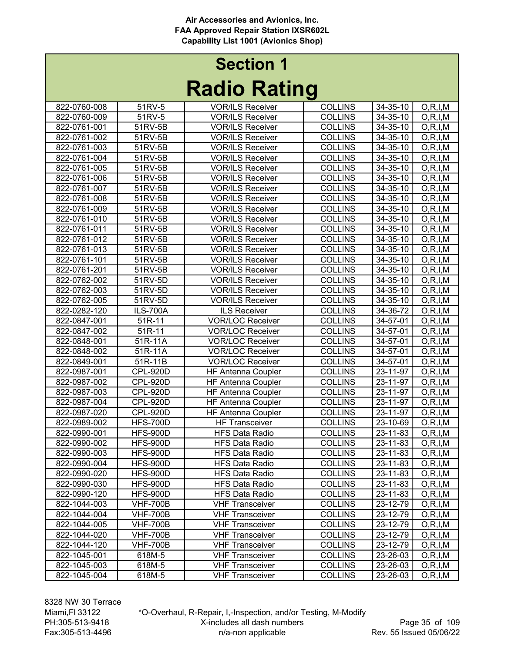| INAMIY INAHIIY |                 |                           |                |                |                          |  |
|----------------|-----------------|---------------------------|----------------|----------------|--------------------------|--|
| 822-0760-008   | 51RV-5          | <b>VOR/ILS Receiver</b>   | <b>COLLINS</b> | 34-35-10       | O, R, I, M               |  |
| 822-0760-009   | 51RV-5          | <b>VOR/ILS Receiver</b>   | <b>COLLINS</b> | 34-35-10       | O, R, I, M               |  |
| 822-0761-001   | 51RV-5B         | <b>VOR/ILS Receiver</b>   | <b>COLLINS</b> | 34-35-10       | O, R, I, M               |  |
| 822-0761-002   | 51RV-5B         | <b>VOR/ILS Receiver</b>   | <b>COLLINS</b> | 34-35-10       | O, R, I, M               |  |
| 822-0761-003   | 51RV-5B         | <b>VOR/ILS Receiver</b>   | <b>COLLINS</b> | 34-35-10       | O, R, I, M               |  |
| 822-0761-004   | 51RV-5B         | <b>VOR/ILS Receiver</b>   | <b>COLLINS</b> | 34-35-10       | O, R, I, M               |  |
| 822-0761-005   | 51RV-5B         | <b>VOR/ILS Receiver</b>   | <b>COLLINS</b> | 34-35-10       | O, R, I, M               |  |
| 822-0761-006   | 51RV-5B         | <b>VOR/ILS Receiver</b>   | <b>COLLINS</b> | 34-35-10       | O, R, I, M               |  |
| 822-0761-007   | 51RV-5B         | <b>VOR/ILS Receiver</b>   | <b>COLLINS</b> | 34-35-10       | O, R, I, M               |  |
| 822-0761-008   | 51RV-5B         | <b>VOR/ILS Receiver</b>   | <b>COLLINS</b> | 34-35-10       | O, R, I, M               |  |
| 822-0761-009   | 51RV-5B         | <b>VOR/ILS Receiver</b>   | <b>COLLINS</b> | 34-35-10       | O, R, I, M               |  |
| 822-0761-010   | 51RV-5B         | <b>VOR/ILS Receiver</b>   | <b>COLLINS</b> | 34-35-10       | O, R, I, M               |  |
| 822-0761-011   | 51RV-5B         | <b>VOR/ILS Receiver</b>   | <b>COLLINS</b> | 34-35-10       | O, R, I, M               |  |
| 822-0761-012   | 51RV-5B         | <b>VOR/ILS Receiver</b>   | <b>COLLINS</b> | 34-35-10       | O, R, I, M               |  |
| 822-0761-013   | 51RV-5B         | <b>VOR/ILS Receiver</b>   | <b>COLLINS</b> | 34-35-10       | O, R, I, M               |  |
| 822-0761-101   | 51RV-5B         | <b>VOR/ILS Receiver</b>   | <b>COLLINS</b> | 34-35-10       | O, R, I, M               |  |
| 822-0761-201   | 51RV-5B         | <b>VOR/ILS Receiver</b>   | <b>COLLINS</b> | 34-35-10       | $\overline{O}$ , R, I, M |  |
| 822-0762-002   | 51RV-5D         | <b>VOR/ILS Receiver</b>   | <b>COLLINS</b> | 34-35-10       | O, R, I, M               |  |
| 822-0762-003   | $51RV-5D$       | <b>VOR/ILS Receiver</b>   | <b>COLLINS</b> | 34-35-10       | O, R, I, M               |  |
| 822-0762-005   | 51RV-5D         | <b>VOR/ILS Receiver</b>   | <b>COLLINS</b> | 34-35-10       | O, R, I, M               |  |
| 822-0282-120   | <b>ILS-700A</b> | <b>ILS Receiver</b>       | <b>COLLINS</b> | 34-36-72       | O, R, I, M               |  |
| 822-0847-001   | 51R-11          | <b>VOR/LOC Receiver</b>   | <b>COLLINS</b> | 34-57-01       | O, R, I, M               |  |
| 822-0847-002   | 51R-11          | <b>VOR/LOC Receiver</b>   | <b>COLLINS</b> | 34-57-01       | O, R, I, M               |  |
| 822-0848-001   | 51R-11A         | <b>VOR/LOC Receiver</b>   | <b>COLLINS</b> | 34-57-01       | O, R, I, M               |  |
| 822-0848-002   | 51R-11A         | <b>VOR/LOC Receiver</b>   | <b>COLLINS</b> | 34-57-01       | O, R, I, M               |  |
| 822-0849-001   | 51R-11B         | <b>VOR/LOC Receiver</b>   | <b>COLLINS</b> | 34-57-01       | O, R, I, M               |  |
| 822-0987-001   | <b>CPL-920D</b> | <b>HF Antenna Coupler</b> | <b>COLLINS</b> | 23-11-97       | O, R, I, M               |  |
| 822-0987-002   | <b>CPL-920D</b> | <b>HF Antenna Coupler</b> | <b>COLLINS</b> | 23-11-97       | O, R, I, M               |  |
| 822-0987-003   | <b>CPL-920D</b> | <b>HF Antenna Coupler</b> | <b>COLLINS</b> | 23-11-97       | O, R, I, M               |  |
| 822-0987-004   | <b>CPL-920D</b> | <b>HF Antenna Coupler</b> | <b>COLLINS</b> | 23-11-97       | O, R, I, M               |  |
| 822-0987-020   | <b>CPL-920D</b> | HF Antenna Coupler        | <b>COLLINS</b> | 23-11-97       | O, R, I, M               |  |
| 822-0989-002   | <b>HFS-700D</b> | <b>HF Transceiver</b>     | <b>COLLINS</b> | 23-10-69       | O, R, I, M               |  |
| 822-0990-001   | <b>HFS-900D</b> | <b>HFS Data Radio</b>     | <b>COLLINS</b> | 23-11-83       | O, R, I, M               |  |
| 822-0990-002   | <b>HFS-900D</b> | <b>HFS Data Radio</b>     | <b>COLLINS</b> | 23-11-83       | O, R, I, M               |  |
| 822-0990-003   | <b>HFS-900D</b> | <b>HFS Data Radio</b>     | <b>COLLINS</b> | 23-11-83       | O, R, I, M               |  |
| 822-0990-004   | <b>HFS-900D</b> | <b>HFS Data Radio</b>     | <b>COLLINS</b> | $23 - 11 - 83$ | O, R, I, M               |  |
| 822-0990-020   | <b>HFS-900D</b> | <b>HFS Data Radio</b>     | <b>COLLINS</b> | 23-11-83       | O, R, I, M               |  |
| 822-0990-030   | <b>HFS-900D</b> | <b>HFS Data Radio</b>     | <b>COLLINS</b> | 23-11-83       | O, R, I, M               |  |
| 822-0990-120   | HFS-900D        | <b>HFS Data Radio</b>     | <b>COLLINS</b> | 23-11-83       | O, R, I, M               |  |
| 822-1044-003   | <b>VHF-700B</b> | <b>VHF Transceiver</b>    | <b>COLLINS</b> | 23-12-79       | O, R, I, M               |  |
| 822-1044-004   | <b>VHF-700B</b> | <b>VHF Transceiver</b>    | <b>COLLINS</b> | 23-12-79       | O, R, I, M               |  |
| 822-1044-005   | <b>VHF-700B</b> | <b>VHF Transceiver</b>    | <b>COLLINS</b> | 23-12-79       | O, R, I, M               |  |
| 822-1044-020   | <b>VHF-700B</b> | <b>VHF Transceiver</b>    | <b>COLLINS</b> | 23-12-79       | O, R, I, M               |  |
| 822-1044-120   | <b>VHF-700B</b> | <b>VHF Transceiver</b>    | <b>COLLINS</b> | 23-12-79       | O, R, I, M               |  |
| 822-1045-001   | 618M-5          | <b>VHF Transceiver</b>    | <b>COLLINS</b> | 23-26-03       | O, R, I, M               |  |
| 822-1045-003   | 618M-5          | <b>VHF Transceiver</b>    | <b>COLLINS</b> | 23-26-03       | O, R, I, M               |  |
| 822-1045-004   | 618M-5          | <b>VHF Transceiver</b>    | <b>COLLINS</b> | 23-26-03       | O, R, I, M               |  |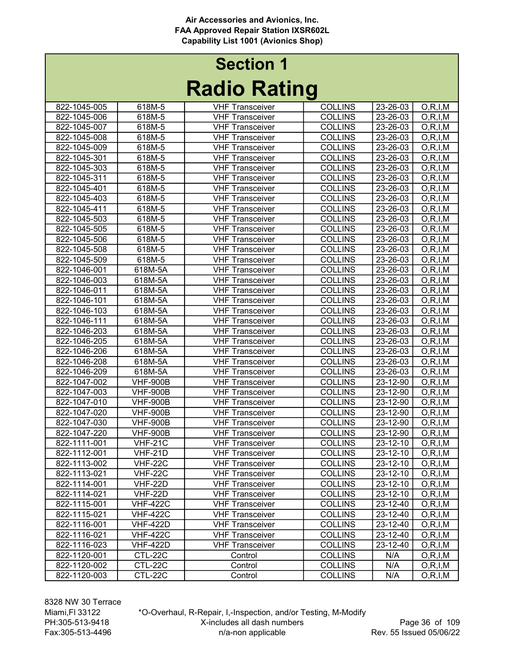|              |                       | INAMIY INAHIIY         |                |                    |            |
|--------------|-----------------------|------------------------|----------------|--------------------|------------|
| 822-1045-005 | 618M-5                | <b>VHF Transceiver</b> | <b>COLLINS</b> | 23-26-03           | O, R, I, M |
| 822-1045-006 | 618M-5                | <b>VHF Transceiver</b> | <b>COLLINS</b> | 23-26-03           | O, R, I, M |
| 822-1045-007 | 618M-5                | <b>VHF Transceiver</b> | <b>COLLINS</b> | 23-26-03           | O, R, I, M |
| 822-1045-008 | 618M-5                | <b>VHF Transceiver</b> | <b>COLLINS</b> | 23-26-03           | O, R, I, M |
| 822-1045-009 | 618M-5                | <b>VHF Transceiver</b> | <b>COLLINS</b> | 23-26-03           | O, R, I, M |
| 822-1045-301 | 618M-5                | <b>VHF Transceiver</b> | <b>COLLINS</b> | 23-26-03           | O, R, I, M |
| 822-1045-303 | 618M-5                | <b>VHF Transceiver</b> | <b>COLLINS</b> | 23-26-03           | O, R, I, M |
| 822-1045-311 | 618M-5                | <b>VHF Transceiver</b> | <b>COLLINS</b> | 23-26-03           | O, R, I, M |
| 822-1045-401 | 618M-5                | <b>VHF Transceiver</b> | <b>COLLINS</b> | 23-26-03           | O, R, I, M |
| 822-1045-403 | 618M-5                | <b>VHF Transceiver</b> | <b>COLLINS</b> | 23-26-03           | O, R, I, M |
| 822-1045-411 | 618M-5                | <b>VHF Transceiver</b> | <b>COLLINS</b> | 23-26-03           | O, R, I, M |
| 822-1045-503 | 618M-5                | <b>VHF Transceiver</b> | <b>COLLINS</b> | 23-26-03           | O, R, I, M |
| 822-1045-505 | 618M-5                | <b>VHF Transceiver</b> | <b>COLLINS</b> | 23-26-03           | O, R, I, M |
| 822-1045-506 | 618M-5                | <b>VHF Transceiver</b> | <b>COLLINS</b> | 23-26-03           | O, R, I, M |
| 822-1045-508 | 618M-5                | <b>VHF Transceiver</b> | <b>COLLINS</b> | 23-26-03           | O, R, I, M |
| 822-1045-509 | 618M-5                | <b>VHF Transceiver</b> | <b>COLLINS</b> | 23-26-03           | O, R, I, M |
| 822-1046-001 | 618M-5A               | <b>VHF Transceiver</b> | <b>COLLINS</b> | 23-26-03           | O, R, I, M |
| 822-1046-003 | 618M-5A               | <b>VHF Transceiver</b> | <b>COLLINS</b> | 23-26-03           | O, R, I, M |
| 822-1046-011 | 618M-5A               | <b>VHF Transceiver</b> | <b>COLLINS</b> | 23-26-03           | O, R, I, M |
| 822-1046-101 | 618M-5A               | <b>VHF Transceiver</b> | <b>COLLINS</b> | 23-26-03           | O, R, I, M |
| 822-1046-103 | 618M-5A               | <b>VHF Transceiver</b> | <b>COLLINS</b> | 23-26-03           | O, R, I, M |
| 822-1046-111 | 618M-5A               | <b>VHF Transceiver</b> | <b>COLLINS</b> | 23-26-03           | O, R, I, M |
| 822-1046-203 | 618M-5A               | <b>VHF Transceiver</b> | <b>COLLINS</b> | 23-26-03           | O, R, I, M |
| 822-1046-205 | 618M-5A               | <b>VHF Transceiver</b> | <b>COLLINS</b> | 23-26-03           | O, R, I, M |
| 822-1046-206 | 618M-5A               | <b>VHF Transceiver</b> | <b>COLLINS</b> | 23-26-03           | O, R, I, M |
| 822-1046-208 | 618M-5A               | <b>VHF Transceiver</b> | <b>COLLINS</b> | 23-26-03           | O, R, I, M |
| 822-1046-209 | 618M-5A               | <b>VHF Transceiver</b> | <b>COLLINS</b> | 23-26-03           | O, R, I, M |
| 822-1047-002 | <b>VHF-900B</b>       | <b>VHF Transceiver</b> | <b>COLLINS</b> | 23-12-90           | O, R, I, M |
| 822-1047-003 | <b>VHF-900B</b>       | <b>VHF Transceiver</b> | <b>COLLINS</b> | 23-12-90           | O, R, I, M |
| 822-1047-010 | <b>VHF-900B</b>       | <b>VHF Transceiver</b> | <b>COLLINS</b> | 23-12-90           | O, R, I, M |
| 822-1047-020 | <b>VHF-900B</b>       | <b>VHF Transceiver</b> | <b>COLLINS</b> | 23-12-90           | O, R, I, M |
| 822-1047-030 | <b>VHF-900B</b>       | <b>VHF Transceiver</b> | <b>COLLINS</b> | 23-12-90           | O, R, I, M |
| 822-1047-220 | <b>VHF-900B</b>       | <b>VHF Transceiver</b> | <b>COLLINS</b> | 23-12-90           | O, R, I, M |
| 822-1111-001 | <b>VHF-21C</b>        | <b>VHF Transceiver</b> | <b>COLLINS</b> | 23-12-10           | O, R, I, M |
| 822-1112-001 | $\overline{V}$ HF-21D | <b>VHF Transceiver</b> | <b>COLLINS</b> | 23-12-10           | O, R, I, M |
| 822-1113-002 | <b>VHF-22C</b>        | <b>VHF Transceiver</b> | <b>COLLINS</b> | $23-12-10$ O,R,I,M |            |
| 822-1113-021 | VHF-22C               | <b>VHF Transceiver</b> | <b>COLLINS</b> | 23-12-10           | O, R, I, M |
| 822-1114-001 | VHF-22D               | <b>VHF Transceiver</b> | <b>COLLINS</b> | 23-12-10           | O, R, I, M |
| 822-1114-021 | <b>VHF-22D</b>        | <b>VHF Transceiver</b> | <b>COLLINS</b> | 23-12-10           | O, R, I, M |
| 822-1115-001 | <b>VHF-422C</b>       | <b>VHF Transceiver</b> | <b>COLLINS</b> | 23-12-40           | O, R, I, M |
| 822-1115-021 | <b>VHF-422C</b>       | <b>VHF Transceiver</b> | <b>COLLINS</b> | 23-12-40           | O, R, I, M |
| 822-1116-001 | <b>VHF-422D</b>       | <b>VHF Transceiver</b> | <b>COLLINS</b> | 23-12-40           | O, R, I, M |
| 822-1116-021 | <b>VHF-422C</b>       | <b>VHF Transceiver</b> | <b>COLLINS</b> | 23-12-40           | O, R, I, M |
| 822-1116-023 | <b>VHF-422D</b>       | <b>VHF Transceiver</b> | <b>COLLINS</b> | 23-12-40           | O, R, I, M |
| 822-1120-001 | CTL-22C               | Control                | <b>COLLINS</b> | N/A                | O, R, I, M |
| 822-1120-002 | CTL-22C               | Control                | <b>COLLINS</b> | N/A                | O, R, I, M |
| 822-1120-003 | CTL-22C               | Control                | <b>COLLINS</b> | N/A                | O, R, I, M |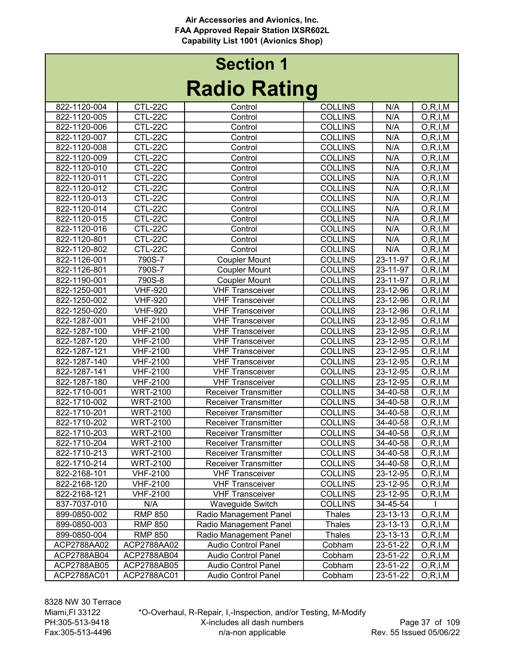#### Radio Rating Section 1

| INAUIU INAUIIY |                 |                             |                |          |            |  |  |
|----------------|-----------------|-----------------------------|----------------|----------|------------|--|--|
| 822-1120-004   | CTL-22C         | Control                     | <b>COLLINS</b> | N/A      | O, R, I, M |  |  |
| 822-1120-005   | CTL-22C         | Control                     | <b>COLLINS</b> | N/A      | O, R, I, M |  |  |
| 822-1120-006   | CTL-22C         | Control                     | <b>COLLINS</b> | N/A      | O, R, I, M |  |  |
| 822-1120-007   | CTL-22C         | Control                     | <b>COLLINS</b> | N/A      | O, R, I, M |  |  |
| 822-1120-008   | CTL-22C         | Control                     | <b>COLLINS</b> | N/A      | O, R, I, M |  |  |
| 822-1120-009   | CTL-22C         | Control                     | <b>COLLINS</b> | N/A      | O, R, I, M |  |  |
| 822-1120-010   | CTL-22C         | Control                     | <b>COLLINS</b> | N/A      | O, R, I, M |  |  |
| 822-1120-011   | CTL-22C         | Control                     | <b>COLLINS</b> | N/A      | O, R, I, M |  |  |
| 822-1120-012   | CTL-22C         | Control                     | <b>COLLINS</b> | N/A      | O, R, I, M |  |  |
| 822-1120-013   | CTL-22C         | Control                     | <b>COLLINS</b> | N/A      | O, R, I, M |  |  |
| 822-1120-014   | CTL-22C         | Control                     | <b>COLLINS</b> | N/A      | O, R, I, M |  |  |
| 822-1120-015   | CTL-22C         | Control                     | <b>COLLINS</b> | N/A      | O, R, I, M |  |  |
| 822-1120-016   | CTL-22C         | Control                     | <b>COLLINS</b> | N/A      | O, R, I, M |  |  |
| 822-1120-801   | CTL-22C         | Control                     | <b>COLLINS</b> | N/A      | O, R, I, M |  |  |
| 822-1120-802   | CTL-22C         | Control                     | <b>COLLINS</b> | N/A      | O, R, I, M |  |  |
| 822-1126-001   | 790S-7          | <b>Coupler Mount</b>        | <b>COLLINS</b> | 23-11-97 | O, R, I, M |  |  |
| 822-1126-801   | 790S-7          | <b>Coupler Mount</b>        | <b>COLLINS</b> | 23-11-97 | O, R, I, M |  |  |
| 822-1190-001   | 790S-8          | <b>Coupler Mount</b>        | <b>COLLINS</b> | 23-11-97 | O, R, I, M |  |  |
| 822-1250-001   | <b>VHF-920</b>  | <b>VHF Transceiver</b>      | <b>COLLINS</b> | 23-12-96 | O, R, I, M |  |  |
| 822-1250-002   | <b>VHF-920</b>  | <b>VHF Transceiver</b>      | <b>COLLINS</b> | 23-12-96 | O, R, I, M |  |  |
| 822-1250-020   | <b>VHF-920</b>  | <b>VHF Transceiver</b>      | <b>COLLINS</b> | 23-12-96 | O, R, I, M |  |  |
| 822-1287-001   | <b>VHF-2100</b> | <b>VHF Transceiver</b>      | <b>COLLINS</b> | 23-12-95 | O, R, I, M |  |  |
| 822-1287-100   | <b>VHF-2100</b> | <b>VHF Transceiver</b>      | <b>COLLINS</b> | 23-12-95 | O, R, I, M |  |  |
| 822-1287-120   | <b>VHF-2100</b> | <b>VHF Transceiver</b>      | <b>COLLINS</b> | 23-12-95 | O, R, I, M |  |  |
| 822-1287-121   | <b>VHF-2100</b> | <b>VHF Transceiver</b>      | <b>COLLINS</b> | 23-12-95 | O, R, I, M |  |  |
| 822-1287-140   | <b>VHF-2100</b> | <b>VHF Transceiver</b>      | <b>COLLINS</b> | 23-12-95 | O, R, I, M |  |  |
| 822-1287-141   | <b>VHF-2100</b> | <b>VHF Transceiver</b>      | <b>COLLINS</b> | 23-12-95 | O, R, I, M |  |  |
| 822-1287-180   | <b>VHF-2100</b> | <b>VHF Transceiver</b>      | <b>COLLINS</b> | 23-12-95 | O, R, I, M |  |  |
| 822-1710-001   | <b>WRT-2100</b> | <b>Receiver Transmitter</b> | <b>COLLINS</b> | 34-40-58 | O, R, I, M |  |  |
| 822-1710-002   | <b>WRT-2100</b> | <b>Receiver Transmitter</b> | <b>COLLINS</b> | 34-40-58 | O, R, I, M |  |  |
| 822-1710-201   | <b>WRT-2100</b> | <b>Receiver Transmitter</b> | <b>COLLINS</b> | 34-40-58 | O, R, I, M |  |  |
| 822-1710-202   | <b>WRT-2100</b> | <b>Receiver Transmitter</b> | <b>COLLINS</b> | 34-40-58 | O, R, I, M |  |  |
| 822-1710-203   | <b>WRT-2100</b> | <b>Receiver Transmitter</b> | <b>COLLINS</b> | 34-40-58 | O, R, I, M |  |  |
| 822-1710-204   | <b>WRT-2100</b> | <b>Receiver Transmitter</b> | <b>COLLINS</b> | 34-40-58 | O, R, I, M |  |  |
| 822-1710-213   | <b>WRT-2100</b> | <b>Receiver Transmitter</b> | <b>COLLINS</b> | 34-40-58 | O, R, I, M |  |  |
| 822-1710-214   | <b>WRT-2100</b> | <b>Receiver Transmitter</b> | <b>COLLINS</b> | 34-40-58 | O, R, I, M |  |  |
| 822-2168-101   | <b>VHF-2100</b> | <b>VHF Transceiver</b>      | <b>COLLINS</b> | 23-12-95 | O, R, I, M |  |  |
| 822-2168-120   | <b>VHF-2100</b> | <b>VHF Transceiver</b>      | <b>COLLINS</b> | 23-12-95 | O, R, I, M |  |  |
| 822-2168-121   | <b>VHF-2100</b> | <b>VHF Transceiver</b>      | <b>COLLINS</b> | 23-12-95 | O, R, I, M |  |  |
| 837-7037-010   | N/A             | Waveguide Switch            | <b>COLLINS</b> | 34-45-54 |            |  |  |
| 899-0850-002   | <b>RMP 850</b>  | Radio Management Panel      | Thales         | 23-13-13 | O, R, I, M |  |  |
| 899-0850-003   | <b>RMP 850</b>  | Radio Management Panel      | Thales         | 23-13-13 | O, R, I, M |  |  |
| 899-0850-004   | <b>RMP 850</b>  | Radio Management Panel      | <b>Thales</b>  | 23-13-13 | O, R, I, M |  |  |
| ACP2788AA02    | ACP2788AA02     | <b>Audio Control Panel</b>  | Cobham         | 23-51-22 | O, R, I, M |  |  |
| ACP2788AB04    | ACP2788AB04     | <b>Audio Control Panel</b>  | Cobham         | 23-51-22 | O, R, I, M |  |  |
| ACP2788AB05    | ACP2788AB05     | Audio Control Panel         | Cobham         | 23-51-22 | O, R, I, M |  |  |
| ACP2788AC01    | ACP2788AC01     | <b>Audio Control Panel</b>  | Cobham         | 23-51-22 | O, R, I, M |  |  |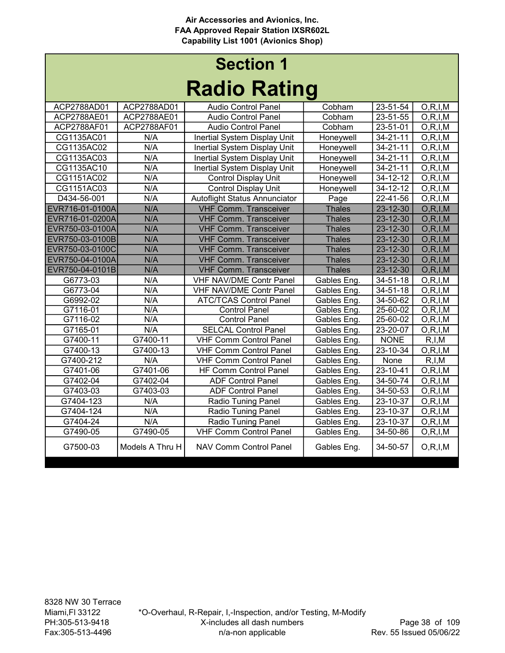#### Radio Rating Section 1

| naulu natiliy   |                 |                                |               |                |            |  |  |
|-----------------|-----------------|--------------------------------|---------------|----------------|------------|--|--|
| ACP2788AD01     | ACP2788AD01     | <b>Audio Control Panel</b>     | Cobham        | 23-51-54       | O, R, I, M |  |  |
| ACP2788AE01     | ACP2788AE01     | <b>Audio Control Panel</b>     | Cobham        | 23-51-55       | O, R, I, M |  |  |
| ACP2788AF01     | ACP2788AF01     | <b>Audio Control Panel</b>     | Cobham        | 23-51-01       | O, R, I, M |  |  |
| CG1135AC01      | N/A             | Inertial System Display Unit   | Honeywell     | 34-21-11       | O, R, I, M |  |  |
| CG1135AC02      | N/A             | Inertial System Display Unit   | Honeywell     | 34-21-11       | O, R, I, M |  |  |
| CG1135AC03      | N/A             | Inertial System Display Unit   | Honeywell     | 34-21-11       | O, R, I, M |  |  |
| CG1135AC10      | N/A             | Inertial System Display Unit   | Honeywell     | 34-21-11       | O, R, I, M |  |  |
| CG1151AC02      | N/A             | <b>Control Display Unit</b>    | Honeywell     | 34-12-12       | O, R, I, M |  |  |
| CG1151AC03      | N/A             | <b>Control Display Unit</b>    | Honeywell     | 34-12-12       | O, R, I, M |  |  |
| D434-56-001     | N/A             | Autoflight Status Annunciator  | Page          | 22-41-56       | O, R, I, M |  |  |
| EVR716-01-0100A | N/A             | <b>VHF Comm. Transceiver</b>   | <b>Thales</b> | 23-12-30       | O, R, I, M |  |  |
| EVR716-01-0200A | N/A             | <b>VHF Comm. Transceiver</b>   | <b>Thales</b> | 23-12-30       | O, R, I, M |  |  |
| EVR750-03-0100A | N/A             | <b>VHF Comm. Transceiver</b>   | <b>Thales</b> | 23-12-30       | O, R, I, M |  |  |
| EVR750-03-0100B | N/A             | <b>VHF Comm. Transceiver</b>   | <b>Thales</b> | 23-12-30       | O, R, I, M |  |  |
| EVR750-03-0100C | N/A             | <b>VHF Comm. Transceiver</b>   | <b>Thales</b> | 23-12-30       | O, R, I, M |  |  |
| EVR750-04-0100A | N/A             | <b>VHF Comm. Transceiver</b>   | <b>Thales</b> | 23-12-30       | O, R, I, M |  |  |
| EVR750-04-0101B | N/A             | <b>VHF Comm. Transceiver</b>   | <b>Thales</b> | $23 - 12 - 30$ | O, R, I, M |  |  |
| G6773-03        | N/A             | <b>VHF NAV/DME Contr Panel</b> | Gables Eng.   | 34-51-18       | O, R, I, M |  |  |
| G6773-04        | N/A             | <b>VHF NAV/DME Contr Panel</b> | Gables Eng.   | 34-51-18       | O, R, I, M |  |  |
| G6992-02        | N/A             | <b>ATC/TCAS Control Panel</b>  | Gables Eng.   | 34-50-62       | O, R, I, M |  |  |
| G7116-01        | N/A             | <b>Control Panel</b>           | Gables Eng.   | $25 - 60 - 02$ | O, R, I, M |  |  |
| G7116-02        | N/A             | <b>Control Panel</b>           | Gables Eng.   | 25-60-02       | O, R, I, M |  |  |
| G7165-01        | N/A             | <b>SELCAL Control Panel</b>    | Gables Eng.   | 23-20-07       | O, R, I, M |  |  |
| G7400-11        | G7400-11        | <b>VHF Comm Control Panel</b>  | Gables Eng.   | <b>NONE</b>    | R, I, M    |  |  |
| G7400-13        | G7400-13        | <b>VHF Comm Control Panel</b>  | Gables Eng.   | 23-10-34       | O, R, I, M |  |  |
| G7400-212       | N/A             | <b>VHF Comm Control Panel</b>  | Gables Eng.   | None           | R, I, M    |  |  |
| G7401-06        | G7401-06        | <b>HF Comm Control Panel</b>   | Gables Eng.   | $23 - 10 - 41$ | O, R, I, M |  |  |
| G7402-04        | G7402-04        | <b>ADF Control Panel</b>       | Gables Eng.   | 34-50-74       | O, R, I, M |  |  |
| G7403-03        | G7403-03        | <b>ADF Control Panel</b>       | Gables Eng.   | 34-50-53       | O, R, I, M |  |  |
| G7404-123       | N/A             | <b>Radio Tuning Panel</b>      | Gables Eng.   | 23-10-37       | O, R, I, M |  |  |
| G7404-124       | N/A             | <b>Radio Tuning Panel</b>      | Gables Eng.   | 23-10-37       | O, R, I, M |  |  |
| G7404-24        | N/A             | <b>Radio Tuning Panel</b>      | Gables Eng.   | 23-10-37       | O, R, I, M |  |  |
| G7490-05        | G7490-05        | <b>VHF Comm Control Panel</b>  | Gables Eng.   | 34-50-86       | O, R, I, M |  |  |
| G7500-03        | Models A Thru H | <b>NAV Comm Control Panel</b>  | Gables Eng.   | 34-50-57       | O, R, I, M |  |  |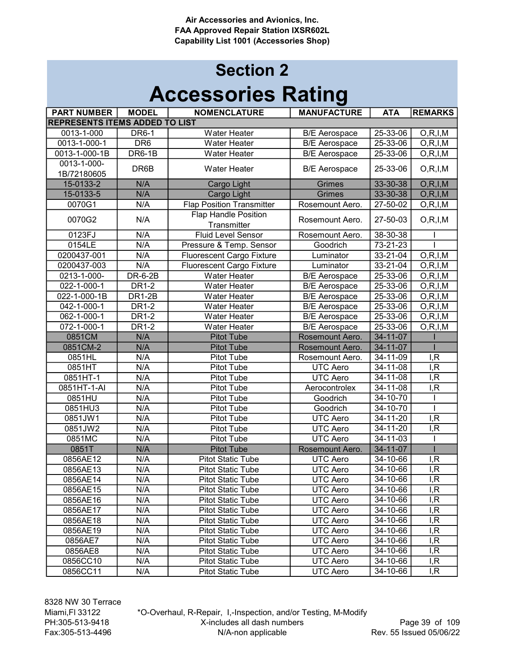| <b>PART NUMBER</b>                    | <b>MODEL</b>     | <b>NOMENCLATURE</b>                        | <b>MANUFACTURE</b>   | <b>ATA</b>     | <b>REMARKS</b>           |
|---------------------------------------|------------------|--------------------------------------------|----------------------|----------------|--------------------------|
| <b>REPRESENTS ITEMS ADDED TO LIST</b> |                  |                                            |                      |                |                          |
| 0013-1-000                            | <b>DR6-1</b>     | <b>Water Heater</b>                        | <b>B/E</b> Aerospace | 25-33-06       | O, R, I, M               |
| 0013-1-000-1                          | DR <sub>6</sub>  | <b>Water Heater</b>                        | <b>B/E</b> Aerospace | 25-33-06       | O, R, I, M               |
| 0013-1-000-1B                         | DR6-1B           | <b>Water Heater</b>                        | <b>B/E</b> Aerospace | $25 - 33 - 06$ | O, R, I, M               |
| 0013-1-000-                           | DR6B             | <b>Water Heater</b>                        |                      | 25-33-06       |                          |
| 1B/72180605                           |                  |                                            | <b>B/E</b> Aerospace |                | O, R, I, M               |
| 15-0133-2                             | N/A              | Cargo Light                                | <b>Grimes</b>        | 33-30-38       | O, R, I, M               |
| 15-0133-5                             | N/A              | Cargo Light                                | Grimes               | 33-30-38       | O, R, I, M               |
| 0070G1                                | N/A              | <b>Flap Position Transmitter</b>           | Rosemount Aero.      | 27-50-02       | O, R, I, M               |
| 0070G2                                | N/A              | <b>Flap Handle Position</b><br>Transmitter | Rosemount Aero.      | 27-50-03       | O, R, I, M               |
| 0123FJ                                | N/A              | <b>Fluid Level Sensor</b>                  | Rosemount Aero.      | 38-30-38       |                          |
| 0154LE                                | N/A              | Pressure & Temp. Sensor                    | Goodrich             | 73-21-23       |                          |
| 0200437-001                           | N/A              | Fluorescent Cargo Fixture                  | Luminator            | 33-21-04       | O, R, I, M               |
| 0200437-003                           | N/A              | <b>Fluorescent Cargo Fixture</b>           | Luminator            | 33-21-04       | $\overline{O}$ , R, I, M |
| 0213-1-000-                           | <b>DR-6-2B</b>   | Water Heater                               | <b>B/E</b> Aerospace | $25 - 33 - 06$ | O, R, I, M               |
| 022-1-000-1                           | <b>DR1-2</b>     | <b>Water Heater</b>                        | <b>B/E</b> Aerospace | 25-33-06       | O, R, I, M               |
| 022-1-000-1B                          | <b>DR1-2B</b>    | <b>Water Heater</b>                        | <b>B/E</b> Aerospace | 25-33-06       | O, R, I, M               |
| 042-1-000-1                           | <b>DR1-2</b>     | <b>Water Heater</b>                        | <b>B/E</b> Aerospace | 25-33-06       | O, R, I, M               |
| 062-1-000-1                           | <b>DR1-2</b>     | <b>Water Heater</b>                        | <b>B/E</b> Aerospace | $25 - 33 - 06$ | O, R, I, M               |
| 072-1-000-1                           | <b>DR1-2</b>     | <b>Water Heater</b>                        | <b>B/E</b> Aerospace | 25-33-06       | $\overline{O}$ , R, I, M |
| 0851CM                                | N/A              | <b>Pitot Tube</b>                          | Rosemount Aero.      | $34 - 11 - 07$ |                          |
| 0851CM-2                              | N/A              | <b>Pitot Tube</b>                          | Rosemount Aero.      | 34-11-07       |                          |
| 0851HL                                | N/A              | <b>Pitot Tube</b>                          | Rosemount Aero.      | 34-11-09       | $\overline{I,R}$         |
| 0851HT                                | N/A              | Pitot Tube                                 | <b>UTC Aero</b>      | $34 - 11 - 08$ | $\overline{I,R}$         |
| 0851HT-1                              | N/A              | Pitot Tube                                 | <b>UTC Aero</b>      | $34 - 11 - 08$ | $\overline{I,R}$         |
| 0851HT-1-AI                           | N/A              | Pitot Tube                                 | Aerocontrolex        | $34 - 11 - 08$ | I, R                     |
| 0851HU                                | N/A              | Pitot Tube                                 | Goodrich             | 34-10-70       |                          |
| 0851HU3                               | N/A              | Pitot Tube                                 | Goodrich             | 34-10-70       |                          |
| 0851JW1                               | N/A              | Pitot Tube                                 | <b>UTC Aero</b>      | $34 - 11 - 20$ | I, R                     |
| 0851JW2                               | N/A              | Pitot Tube                                 | <b>UTC Aero</b>      | 34-11-20       | I, R                     |
| 0851MC                                | N/A              | <b>Pitot Tube</b>                          | <b>UTC Aero</b>      | $34 - 11 - 03$ |                          |
| 0851T                                 | N/A              | <b>Pitot Tube</b>                          | Rosemount Aero.      | 34-11-07       |                          |
| 0856AE12                              | N/A              | <b>Pitot Static Tube</b>                   | <b>UTC Aero</b>      | $34 - 10 - 66$ | I, R                     |
| 0856AE13                              | N/A              | <b>Pitot Static Tube</b>                   | <b>UTC Aero</b>      | 34-10-66       | I, R                     |
| 0856AE14                              | N/A              | <b>Pitot Static Tube</b>                   | <b>UTC Aero</b>      | 34-10-66       | I,R                      |
| 0856AE15                              | N/A              | <b>Pitot Static Tube</b>                   | <b>UTC Aero</b>      | 34-10-66       | I,R                      |
| 0856AE16                              | N/A              | <b>Pitot Static Tube</b>                   | <b>UTC Aero</b>      | 34-10-66       | I,R                      |
| 0856AE17                              | N/A              | <b>Pitot Static Tube</b>                   | UTC Aero             | 34-10-66       | I,R                      |
| 0856AE18                              | $N/\overline{A}$ | <b>Pitot Static Tube</b>                   | <b>UTC Aero</b>      | 34-10-66       | I,R                      |
| 0856AE19                              | N/A              | <b>Pitot Static Tube</b>                   | <b>UTC Aero</b>      | 34-10-66       | I,R                      |
| 0856AE7                               | N/A              | <b>Pitot Static Tube</b>                   | <b>UTC Aero</b>      | 34-10-66       | I,R                      |
| 0856AE8                               | N/A              | <b>Pitot Static Tube</b>                   | <b>UTC Aero</b>      | 34-10-66       | I,R                      |
| 0856CC10                              | N/A              | <b>Pitot Static Tube</b>                   | UTC Aero             | 34-10-66       | I,R                      |
| 0856CC11                              | N/A              | <b>Pitot Static Tube</b>                   | <b>UTC Aero</b>      | 34-10-66       | I,R                      |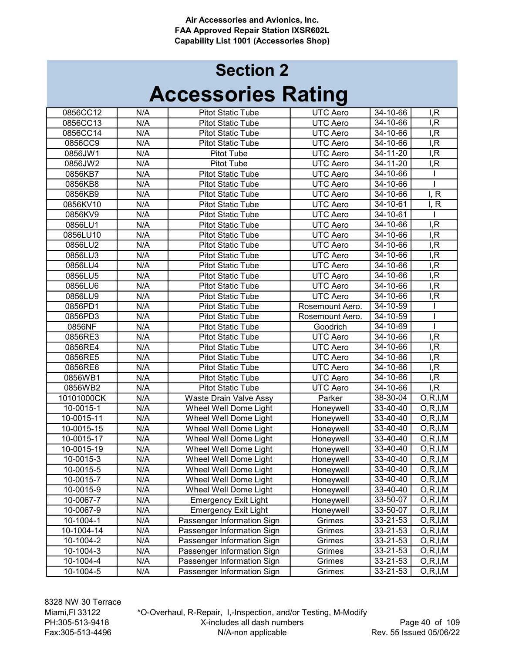## Accessories Rating Section 2

| 0856CC12   | N/A | <b>Pitot Static Tube</b>    | <b>UTC Aero</b> | $34 - 10 - 66$ | I, R                    |
|------------|-----|-----------------------------|-----------------|----------------|-------------------------|
| 0856CC13   | N/A | <b>Pitot Static Tube</b>    | <b>UTC Aero</b> | 34-10-66       | I, R                    |
| 0856CC14   | N/A | <b>Pitot Static Tube</b>    | <b>UTC Aero</b> | 34-10-66       | I, R                    |
| 0856CC9    | N/A | <b>Pitot Static Tube</b>    | <b>UTC Aero</b> | 34-10-66       | I, R                    |
| 0856JW1    | N/A | Pitot Tube                  | <b>UTC Aero</b> | 34-11-20       | I, R                    |
| 0856JW2    | N/A | Pitot Tube                  | <b>UTC Aero</b> | 34-11-20       | I, R                    |
| 0856KB7    | N/A | <b>Pitot Static Tube</b>    | <b>UTC Aero</b> | 34-10-66       |                         |
| 0856KB8    | N/A | <b>Pitot Static Tube</b>    | <b>UTC Aero</b> | 34-10-66       |                         |
| 0856KB9    | N/A | <b>Pitot Static Tube</b>    | <b>UTC Aero</b> | 34-10-66       | I, R                    |
| 0856KV10   | N/A | <b>Pitot Static Tube</b>    | <b>UTC Aero</b> | 34-10-61       | I, R                    |
| 0856KV9    | N/A | <b>Pitot Static Tube</b>    | <b>UTC Aero</b> | 34-10-61       |                         |
| 0856LU1    | N/A | <b>Pitot Static Tube</b>    | UTC Aero        | $34 - 10 - 66$ | I, R                    |
| 0856LU10   | N/A | <b>Pitot Static Tube</b>    | UTC Aero        | 34-10-66       | I, R                    |
| 0856LU2    | N/A | <b>Pitot Static Tube</b>    | <b>UTC Aero</b> | 34-10-66       | I, R                    |
| 0856LU3    | N/A | <b>Pitot Static Tube</b>    | <b>UTC Aero</b> | 34-10-66       | I, R                    |
| 0856LU4    | N/A | <b>Pitot Static Tube</b>    | <b>UTC Aero</b> | 34-10-66       | I, R                    |
| 0856LU5    | N/A | <b>Pitot Static Tube</b>    | <b>UTC Aero</b> | 34-10-66       | I, R                    |
| 0856LU6    | N/A | <b>Pitot Static Tube</b>    | <b>UTC Aero</b> | 34-10-66       | I, R                    |
| 0856LU9    | N/A | <b>Pitot Static Tube</b>    | <b>UTC Aero</b> | 34-10-66       | I, R                    |
| 0856PD1    | N/A | <b>Pitot Static Tube</b>    | Rosemount Aero. | 34-10-59       |                         |
| 0856PD3    | N/A | <b>Pitot Static Tube</b>    | Rosemount Aero. | 34-10-59       |                         |
| 0856NF     | N/A | <b>Pitot Static Tube</b>    | Goodrich        | 34-10-69       |                         |
| 0856RE3    | N/A | <b>Pitot Static Tube</b>    | <b>UTC Aero</b> | 34-10-66       | I, R                    |
| 0856RE4    | N/A | <b>Pitot Static Tube</b>    | <b>UTC Aero</b> | 34-10-66       | I, R                    |
| 0856RE5    | N/A | <b>Pitot Static Tube</b>    | <b>UTC Aero</b> | $34 - 10 - 66$ | I, R                    |
| 0856RE6    | N/A | <b>Pitot Static Tube</b>    | <b>UTC Aero</b> | 34-10-66       | I, R                    |
| 0856WB1    | N/A | <b>Pitot Static Tube</b>    | <b>UTC Aero</b> | 34-10-66       | I, R                    |
| 0856WB2    | N/A | <b>Pitot Static Tube</b>    | <b>UTC Aero</b> | 34-10-66       | I, R                    |
| 10101000CK | N/A | Waste Drain Valve Assy      | Parker          | $38 - 30 - 04$ | $\overline{O, R, I, M}$ |
| 10-0015-1  | N/A | Wheel Well Dome Light       | Honeywell       | 33-40-40       | O, R, I, M              |
| 10-0015-11 | N/A | Wheel Well Dome Light       | Honeywell       | 33-40-40       | O, R, I, M              |
| 10-0015-15 | N/A | Wheel Well Dome Light       | Honeywell       | 33-40-40       | O, R, I, M              |
| 10-0015-17 | N/A | Wheel Well Dome Light       | Honeywell       | 33-40-40       | O, R, I, M              |
| 10-0015-19 | N/A | Wheel Well Dome Light       | Honeywell       | 33-40-40       | O, R, I, M              |
| 10-0015-3  | N/A | Wheel Well Dome Light       | Honeywell       | 33-40-40       | O, R, I, M              |
| 10-0015-5  | N/A | Wheel Well Dome Light       | Honeywell       | 33-40-40       | O, R, I, M              |
| 10-0015-7  | N/A | Wheel Well Dome Light       | Honeywell       | 33-40-40       | O, R, I, M              |
| 10-0015-9  | N/A | Wheel Well Dome Light       | Honeywell       | 33-40-40       | O, R, I, M              |
| 10-0067-7  | N/A | <b>Emergency Exit Light</b> | Honeywell       | 33-50-07       | O, R, I, M              |
| 10-0067-9  | N/A | <b>Emergency Exit Light</b> | Honeywell       | 33-50-07       | O, R, I, M              |
| 10-1004-1  | N/A | Passenger Information Sign  | Grimes          | 33-21-53       | O, R, I, M              |
| 10-1004-14 | N/A | Passenger Information Sign  | Grimes          | 33-21-53       | O, R, I, M              |
| 10-1004-2  | N/A | Passenger Information Sign  | Grimes          | 33-21-53       | O, R, I, M              |
| 10-1004-3  | N/A | Passenger Information Sign  | Grimes          | 33-21-53       | O, R, I, M              |
| 10-1004-4  | N/A | Passenger Information Sign  | Grimes          | 33-21-53       | O, R, I, M              |
| 10-1004-5  | N/A | Passenger Information Sign  | Grimes          | 33-21-53       | O, R, I, M              |
|            |     |                             |                 |                |                         |

8328 NW 30 Terrace Miami,Fl 33122 PH:305-513-9418 Fax:305-513-4496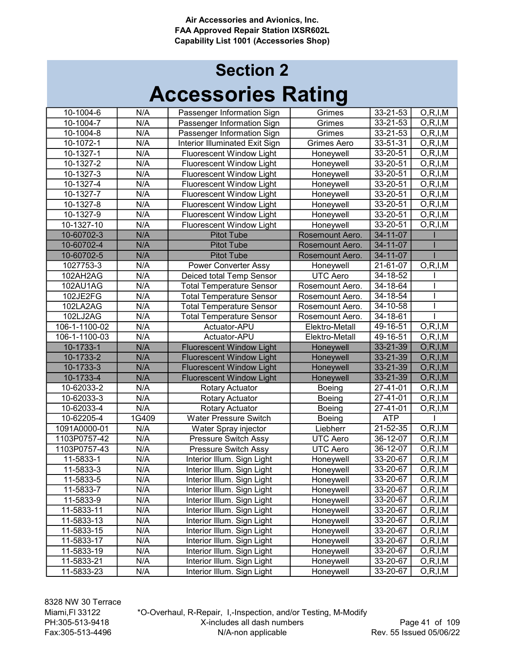## Accessories Rating Section 2

| 10-1004-6     | N/A   | Passenger Information Sign            | Grimes             | $33 - 21 - 53$ | O, R, I, M               |
|---------------|-------|---------------------------------------|--------------------|----------------|--------------------------|
| 10-1004-7     | N/A   | Passenger Information Sign            | Grimes             | 33-21-53       | $\overline{O,R}$ , I, M  |
| $10-1004-8$   | N/A   | Passenger Information Sign            | Grimes             | 33-21-53       | O, R, I, M               |
| 10-1072-1     | N/A   | <b>Interior Illuminated Exit Sign</b> | <b>Grimes Aero</b> | 33-51-31       | O, R, I, M               |
| 10-1327-1     | N/A   | <b>Fluorescent Window Light</b>       | Honeywell          | 33-20-51       | O, R, I, M               |
| 10-1327-2     | N/A   | <b>Fluorescent Window Light</b>       | Honeywell          | 33-20-51       | O, R, I, M               |
| 10-1327-3     | N/A   | <b>Fluorescent Window Light</b>       | Honeywell          | 33-20-51       | $\overline{O}$ , R, I, M |
| 10-1327-4     | N/A   | <b>Fluorescent Window Light</b>       | Honeywell          | 33-20-51       | O, R, I, M               |
| 10-1327-7     | N/A   | <b>Fluorescent Window Light</b>       | Honeywell          | 33-20-51       | O, R, I, M               |
| 10-1327-8     | N/A   | Fluorescent Window Light              | Honeywell          | 33-20-51       | O, R, I, M               |
| 10-1327-9     | N/A   | Fluorescent Window Light              | Honeywell          | 33-20-51       | O, R, I, M               |
| 10-1327-10    | N/A   | Fluorescent Window Light              | Honeywell          | 33-20-51       | O, R, I, M               |
| 10-60702-3    | N/A   | <b>Pitot Tube</b>                     | Rosemount Aero.    | 34-11-07       |                          |
| 10-60702-4    | N/A   | <b>Pitot Tube</b>                     | Rosemount Aero.    | 34-11-07       |                          |
| 10-60702-5    | N/A   | <b>Pitot Tube</b>                     | Rosemount Aero.    | 34-11-07       |                          |
| 1027753-3     | N/A   | <b>Power Converter Assy</b>           | Honeywell          | 21-61-07       | O, R, I, M               |
| 102AH2AG      | N/A   | Deiced total Temp Sensor              | <b>UTC Aero</b>    | 34-18-52       |                          |
| 102AU1AG      | N/A   | <b>Total Temperature Sensor</b>       | Rosemount Aero.    | 34-18-64       |                          |
| 102JE2FG      | N/A   | <b>Total Temperature Sensor</b>       | Rosemount Aero.    | 34-18-54       |                          |
| 102LA2AG      | N/A   | <b>Total Temperature Sensor</b>       | Rosemount Aero.    | 34-10-58       |                          |
| 102LJ2AG      | N/A   | <b>Total Temperature Sensor</b>       | Rosemount Aero.    | 34-18-61       |                          |
| 106-1-1100-02 | N/A   | Actuator-APU                          | Elektro-Metall     | 49-16-51       | O, R, I, M               |
| 106-1-1100-03 | N/A   | Actuator-APU                          | Elektro-Metall     | 49-16-51       | O, R, I, M               |
| 10-1733-1     | N/A   | <b>Fluorescent Window Light</b>       | Honeywell          | 33-21-39       | O, R, I, M               |
| 10-1733-2     | N/A   | <b>Fluorescent Window Light</b>       | Honeywell          | 33-21-39       | O, R, I, M               |
| 10-1733-3     | N/A   | <b>Fluorescent Window Light</b>       | Honeywell          | $33 - 21 - 39$ | O, R, I, M               |
| 10-1733-4     | N/A   | <b>Fluorescent Window Light</b>       | Honeywell          | 33-21-39       | O, R, I, M               |
| 10-62033-2    | N/A   | Rotary Actuator                       | Boeing             | 27-41-01       | $\overline{O,R,I,M}$     |
| 10-62033-3    | N/A   | <b>Rotary Actuator</b>                | Boeing             | 27-41-01       | O, R, I, M               |
| 10-62033-4    | N/A   | <b>Rotary Actuator</b>                | Boeing             | 27-41-01       | O, R, I, M               |
| 10-62205-4    | 1G409 | <b>Water Pressure Switch</b>          | Boeing             | <b>ATP</b>     |                          |
| 1091A0000-01  | N/A   | Water Spray injector                  | Liebherr           | 21-52-35       | O, R, I, M               |
| 1103P0757-42  | N/A   | <b>Pressure Switch Assy</b>           | <b>UTC Aero</b>    | 36-12-07       | O, R, I, M               |
| 1103P0757-43  | N/A   | Pressure Switch Assy                  | UTC Aero           | $36 - 12 - 07$ | O, R, I, M               |
| 11-5833-1     | N/A   | Interior Illum. Sign Light            | Honeywell          | 33-20-67       | $\overline{O}$ , R, I, M |
| 11-5833-3     | N/A   | Interior Illum. Sign Light            | Honeywell          | 33-20-67       | O, R, I, M               |
| 11-5833-5     | N/A   | Interior Illum. Sign Light            | Honeywell          | 33-20-67       | O, R, I, M               |
| 11-5833-7     | N/A   | Interior Illum. Sign Light            | Honeywell          | 33-20-67       | O, R, I, M               |
| 11-5833-9     | N/A   | Interior Illum. Sign Light            | Honeywell          | 33-20-67       | O, R, I, M               |
| 11-5833-11    | N/A   | Interior Illum. Sign Light            | Honeywell          | 33-20-67       | O, R, I, M               |
| 11-5833-13    | N/A   | Interior Illum. Sign Light            | Honeywell          | 33-20-67       | O, R, I, M               |
| 11-5833-15    | N/A   | Interior Illum. Sign Light            | Honeywell          | 33-20-67       | O, R, I, M               |
| 11-5833-17    | N/A   | Interior Illum. Sign Light            | Honeywell          | 33-20-67       | O, R, I, M               |
| 11-5833-19    | N/A   | Interior Illum. Sign Light            | Honeywell          | 33-20-67       | O, R, I, M               |
| 11-5833-21    | N/A   | Interior Illum. Sign Light            | Honeywell          | 33-20-67       | O, R, I, M               |
| 11-5833-23    | N/A   | Interior Illum. Sign Light            | Honeywell          | 33-20-67       | O, R, I, M               |

8328 NW 30 Terrace Miami,Fl 33122 PH:305-513-9418 Fax:305-513-4496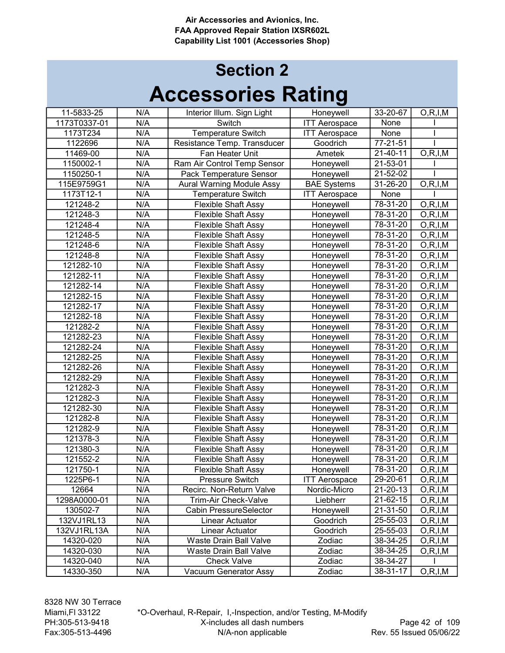## Accessories Rating Section 2

| 11-5833-25   | N/A | Interior Illum. Sign Light       | Honeywell            | $33 - 20 - 67$ | O, R, I, M              |
|--------------|-----|----------------------------------|----------------------|----------------|-------------------------|
| 1173T0337-01 | N/A | Switch                           | <b>ITT Aerospace</b> | None           |                         |
| 1173T234     | N/A | <b>Temperature Switch</b>        | <b>ITT Aerospace</b> | None           |                         |
| 1122696      | N/A | Resistance Temp. Transducer      | Goodrich             | $77 - 21 - 51$ |                         |
| 11469-00     | N/A | Fan Heater Unit                  | Ametek               | 21-40-11       | $\overline{O,R}$ , I, M |
| 1150002-1    | N/A | Ram Air Control Temp Sensor      | Honeywell            | 21-53-01       |                         |
| 1150250-1    | N/A | Pack Temperature Sensor          | Honeywell            | 21-52-02       |                         |
| 115E9759G1   | N/A | <b>Aural Warning Module Assy</b> | <b>BAE Systems</b>   | 31-26-20       | O, R, I, M              |
| 1173T12-1    | N/A | <b>Temperature Switch</b>        | <b>ITT Aerospace</b> | None           |                         |
| 121248-2     | N/A | <b>Flexible Shaft Assy</b>       | Honeywell            | $78 - 31 - 20$ | O, R, I, M              |
| 121248-3     | N/A | <b>Flexible Shaft Assy</b>       | Honeywell            | 78-31-20       | O, R, I, M              |
| 121248-4     | N/A | <b>Flexible Shaft Assy</b>       | Honeywell            | 78-31-20       | O, R, I, M              |
| 121248-5     | N/A | <b>Flexible Shaft Assy</b>       | Honeywell            | 78-31-20       | O, R, I, M              |
| 121248-6     | N/A | <b>Flexible Shaft Assy</b>       | Honeywell            | 78-31-20       | O, R, I, M              |
| 121248-8     | N/A | <b>Flexible Shaft Assy</b>       | Honeywell            | 78-31-20       | O, R, I, M              |
| 121282-10    | N/A | <b>Flexible Shaft Assy</b>       | Honeywell            | 78-31-20       | O, R, I, M              |
| 121282-11    | N/A | <b>Flexible Shaft Assy</b>       | Honeywell            | 78-31-20       | O, R, I, M              |
| 121282-14    | N/A | <b>Flexible Shaft Assy</b>       | Honeywell            | 78-31-20       | O, R, I, M              |
| 121282-15    | N/A | <b>Flexible Shaft Assy</b>       | Honeywell            | 78-31-20       | O, R, I, M              |
| 121282-17    | N/A | <b>Flexible Shaft Assy</b>       | Honeywell            | 78-31-20       | O, R, I, M              |
| 121282-18    | N/A | <b>Flexible Shaft Assy</b>       | Honeywell            | 78-31-20       | O, R, I, M              |
| 121282-2     | N/A | <b>Flexible Shaft Assy</b>       | Honeywell            | 78-31-20       | O, R, I, M              |
| 121282-23    | N/A | <b>Flexible Shaft Assy</b>       | Honeywell            | 78-31-20       | O, R, I, M              |
| 121282-24    | N/A | <b>Flexible Shaft Assy</b>       | Honeywell            | 78-31-20       | O, R, I, M              |
| 121282-25    | N/A | <b>Flexible Shaft Assy</b>       | Honeywell            | 78-31-20       | O, R, I, M              |
| 121282-26    | N/A | <b>Flexible Shaft Assy</b>       | Honeywell            | 78-31-20       | O, R, I, M              |
| 121282-29    | N/A | <b>Flexible Shaft Assy</b>       | Honeywell            | 78-31-20       | O, R, I, M              |
| 121282-3     | N/A | <b>Flexible Shaft Assy</b>       | Honeywell            | 78-31-20       | O, R, I, M              |
| 121282-3     | N/A | <b>Flexible Shaft Assy</b>       | Honeywell            | 78-31-20       | O, R, I, M              |
| 121282-30    | N/A | <b>Flexible Shaft Assy</b>       | Honeywell            | $78 - 31 - 20$ | O, R, I, M              |
| 121282-8     | N/A | <b>Flexible Shaft Assy</b>       | Honeywell            | $78 - 31 - 20$ | O, R, I, M              |
| 121282-9     | N/A | <b>Flexible Shaft Assy</b>       | Honeywell            | $78 - 31 - 20$ | O, R, I, M              |
| 121378-3     | N/A | <b>Flexible Shaft Assy</b>       | Honeywell            | $78 - 31 - 20$ | O, R, I, M              |
| 121380-3     | N/A | <b>Flexible Shaft Assy</b>       | Honeywell            | 78-31-20       | O, R, I, M              |
| 121552-2     | N/A | <b>Flexible Shaft Assy</b>       | Honeywell            | 78-31-20       | O, R, I, M              |
| 121750-1     | N/A | <b>Flexible Shaft Assy</b>       | Honeywell            | 78-31-20       | O, R, I, M              |
| 1225P6-1     | N/A | Pressure Switch                  | <b>ITT Aerospace</b> | 29-20-61       | O, R, I, M              |
| 12664        | N/A | Recirc. Non-Return Valve         | Nordic-Micro         | 21-20-13       | O, R, I, M              |
| 1298A0000-01 | N/A | <b>Trim-Air Check-Valve</b>      | Liebherr             | 21-62-15       | O, R, I, M              |
| 130502-7     | N/A | <b>Cabin PressureSelector</b>    | Honeywell            | 21-31-50       | O, R, I, M              |
| 132VJ1RL13   | N/A | Linear Actuator                  | Goodrich             | 25-55-03       | O, R, I, M              |
| 132VJ1RL13A  | N/A | Linear Actuator                  | Goodrich             | 25-55-03       | O, R, I, M              |
| 14320-020    | N/A | Waste Drain Ball Valve           | Zodiac               | 38-34-25       | O, R, I, M              |
| 14320-030    | N/A | Waste Drain Ball Valve           | Zodiac               | 38-34-25       | O, R, I, M              |
| 14320-040    | N/A | <b>Check Valve</b>               | Zodiac               | 38-34-27       |                         |
| 14330-350    | N/A | Vacuum Generator Assy            | Zodiac               | 38-31-17       | O, R, I, M              |

8328 NW 30 Terrace Miami,Fl 33122 PH:305-513-9418 Fax:305-513-4496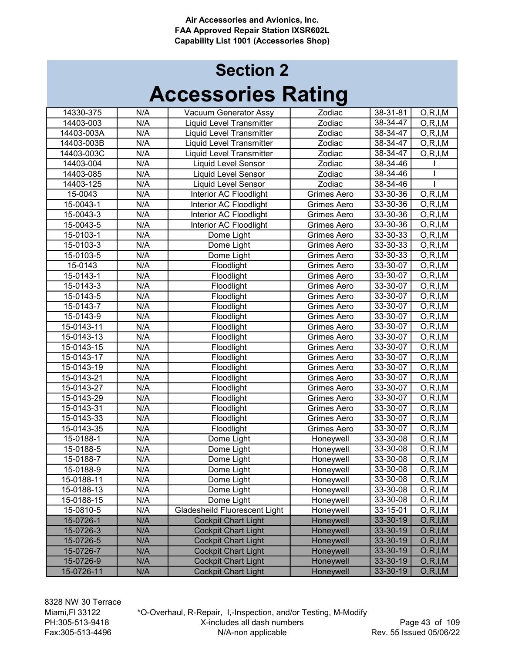## Accessories Rating Section 2

| 14330-375        | N/A              |                                 | Zodiac             | 38-31-81       |                          |
|------------------|------------------|---------------------------------|--------------------|----------------|--------------------------|
| 14403-003        | N/A              | Vacuum Generator Assy           | Zodiac             | 38-34-47       | O, R, I, M               |
| 14403-003A       | N/A              | <b>Liquid Level Transmitter</b> |                    | 38-34-47       | O, R, I, M<br>O, R, I, M |
|                  |                  | <b>Liquid Level Transmitter</b> | Zodiac             | 38-34-47       |                          |
| 14403-003B       | N/A              | <b>Liquid Level Transmitter</b> | Zodiac             |                | O, R, I, M               |
| 14403-003C       | N/A              | <b>Liquid Level Transmitter</b> | Zodiac             | 38-34-47       | O, R, I, M               |
| 14403-004        | N/A              | <b>Liquid Level Sensor</b>      | Zodiac             | $38 - 34 - 46$ |                          |
| 14403-085        | N/A              | <b>Liquid Level Sensor</b>      | Zodiac             | 38-34-46       |                          |
| 14403-125        | N/A              | <b>Liquid Level Sensor</b>      | Zodiac             | 38-34-46       |                          |
| 15-0043          | $\overline{N/A}$ | Interior AC Floodlight          | <b>Grimes Aero</b> | 33-30-36       | O, R, I, M               |
| 15-0043-1        | N/A              | Interior AC Floodlight          | <b>Grimes Aero</b> | 33-30-36       | O, R, I, M               |
| 15-0043-3        | N/A              | Interior AC Floodlight          | <b>Grimes Aero</b> | 33-30-36       | $\overline{O}$ , R, I, M |
| 15-0043-5        | N/A              | Interior AC Floodlight          | Grimes Aero        | 33-30-36       | O, R, I, M               |
| 15-0103-1        | N/A              | Dome Light                      | Grimes Aero        | 33-30-33       | O, R, I, M               |
| 15-0103-3        | N/A              | Dome Light                      | Grimes Aero        | 33-30-33       | O, R, I, M               |
| 15-0103-5        | N/A              | Dome Light                      | Grimes Aero        | 33-30-33       | O, R, I, M               |
| 15-0143          | N/A              | Floodlight                      | Grimes Aero        | 33-30-07       | O, R, I, M               |
| 15-0143-1        | N/A              | Floodlight                      | Grimes Aero        | 33-30-07       | O, R, I, M               |
| 15-0143-3        | N/A              | Floodlight                      | <b>Grimes Aero</b> | 33-30-07       | O, R, I, M               |
| 15-0143-5        | N/A              | Floodlight                      | <b>Grimes Aero</b> | 33-30-07       | O, R, I, M               |
| 15-0143-7        | N/A              | Floodlight                      | Grimes Aero        | 33-30-07       | O, R, I, M               |
| 15-0143-9        | N/A              | Floodlight                      | Grimes Aero        | 33-30-07       | O, R, I, M               |
| 15-0143-11       | N/A              | Floodlight                      | Grimes Aero        | 33-30-07       | O, R, I, M               |
| 15-0143-13       | N/A              | Floodlight                      | <b>Grimes Aero</b> | 33-30-07       | O, R, I, M               |
| 15-0143-15       | N/A              | Floodlight                      | Grimes Aero        | 33-30-07       | O, R, I, M               |
| 15-0143-17       | N/A              | Floodlight                      | Grimes Aero        | 33-30-07       | O, R, I, M               |
| $15 - 0143 - 19$ | N/A              | Floodlight                      | <b>Grimes Aero</b> | 33-30-07       | O, R, I, M               |
| 15-0143-21       | N/A              | Floodlight                      | Grimes Aero        | 33-30-07       | O, R, I, M               |
| 15-0143-27       | N/A              | Floodlight                      | Grimes Aero        | 33-30-07       | O, R, I, M               |
| 15-0143-29       | N/A              | Floodlight                      | Grimes Aero        | 33-30-07       | $\overline{O},R,I,M$     |
| 15-0143-31       | N/A              | Floodlight                      | Grimes Aero        | 33-30-07       | O, R, I, M               |
| 15-0143-33       | N/A              | Floodlight                      | Grimes Aero        | 33-30-07       | O, R, I, M               |
| 15-0143-35       | N/A              | Floodlight                      | Grimes Aero        | 33-30-07       | O, R, I, M               |
| 15-0188-1        | N/A              | Dome Light                      | Honeywell          | $33 - 30 - 08$ | O, R, I, M               |
| 15-0188-5        | N/A              | Dome Light                      | Honeywell          | 33-30-08       | $\overline{O,R}$ , I, M  |
| 15-0188-7        | N/A              | Dome Light                      | Honeywell          | 33-30-08       | O, R, I, M               |
| 15-0188-9        | N/A              | Dome Light                      | Honeywell          | 33-30-08       | O, R, I, M               |
| 15-0188-11       | N/A              | Dome Light                      | Honeywell          | 33-30-08       | O, R, I, M               |
| 15-0188-13       | N/A              | Dome Light                      | Honeywell          | 33-30-08       | O, R, I, M               |
| 15-0188-15       | N/A              | Dome Light                      | Honeywell          | 33-30-08       | O, R, I, M               |
| 15-0810-5        | N/A              | Gladesheild Fluorescent Light   | Honeywell          | 33-15-01       | O, R, I, M               |
| 15-0726-1        | N/A              | <b>Cockpit Chart Light</b>      | Honeywell          | 33-30-19       | O, R, I, M               |
| 15-0726-3        | N/A              | <b>Cockpit Chart Light</b>      | Honeywell          | 33-30-19       | O, R, I, M               |
| 15-0726-5        | N/A              | <b>Cockpit Chart Light</b>      | Honeywell          | 33-30-19       | O, R, I, M               |
| 15-0726-7        | N/A              | <b>Cockpit Chart Light</b>      | Honeywell          | 33-30-19       | O, R, I, M               |
| 15-0726-9        | N/A              | <b>Cockpit Chart Light</b>      | Honeywell          | 33-30-19       | O, R, I, M               |
| 15-0726-11       | N/A              | <b>Cockpit Chart Light</b>      | Honeywell          | 33-30-19       | O, R, I, M               |
|                  |                  |                                 |                    |                |                          |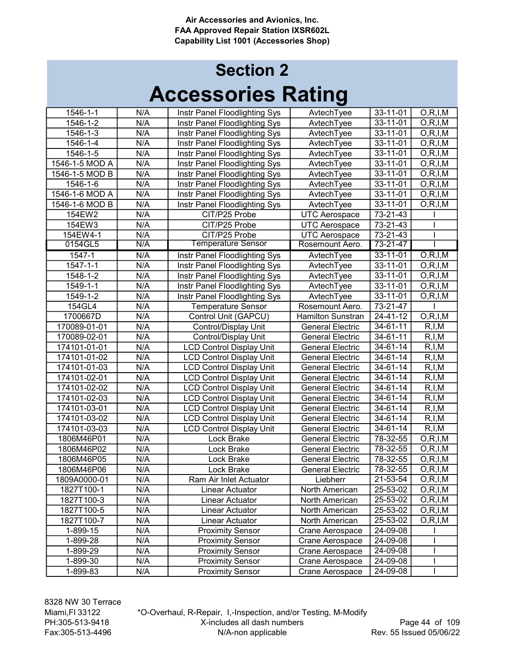| 1546-1-1       | N/A | Instr Panel Floodlighting Sys   | AvtechTyee               | 33-11-01       | O, R, I, M              |
|----------------|-----|---------------------------------|--------------------------|----------------|-------------------------|
| 1546-1-2       | N/A | Instr Panel Floodlighting Sys   | AvtechTyee               | 33-11-01       | O, R, I, M              |
| 1546-1-3       | N/A | Instr Panel Floodlighting Sys   | AvtechTyee               | 33-11-01       | O, R, I, M              |
| 1546-1-4       | N/A | Instr Panel Floodlighting Sys   | AvtechTyee               | 33-11-01       | O, R, I, M              |
| 1546-1-5       | N/A | Instr Panel Floodlighting Sys   | AvtechTyee               | 33-11-01       | $\overline{O,R}$ , I, M |
| 1546-1-5 MOD A | N/A | Instr Panel Floodlighting Sys   | AvtechTyee               | 33-11-01       | O, R, I, M              |
| 1546-1-5 MOD B | N/A | Instr Panel Floodlighting Sys   | AvtechTyee               | 33-11-01       | O, R, I, M              |
| 1546-1-6       | N/A | Instr Panel Floodlighting Sys   | AvtechTyee               | 33-11-01       | O, R, I, M              |
| 1546-1-6 MOD A | N/A | Instr Panel Floodlighting Sys   | AvtechTyee               | 33-11-01       | O, R, I, M              |
| 1546-1-6 MOD B | N/A | Instr Panel Floodlighting Sys   | AvtechTyee               | 33-11-01       | O, R, I, M              |
| 154EW2         | N/A | CIT/P25 Probe                   | <b>UTC Aerospace</b>     | 73-21-43       |                         |
| 154EW3         | N/A | CIT/P25 Probe                   | <b>UTC Aerospace</b>     | 73-21-43       |                         |
| 154EW4-1       | N/A | CIT/P25 Probe                   | <b>UTC Aerospace</b>     | 73-21-43       |                         |
| 0154GL5        | N/A | <b>Temperature Sensor</b>       | Rosemount Aero.          | 73-21-47       |                         |
| 1547-1         | N/A | Instr Panel Floodlighting Sys   | AvtechTyee               | 33-11-01       | O, R, I, M              |
| 1547-1-1       | N/A | Instr Panel Floodlighting Sys   | AvtechTyee               | 33-11-01       | O, R, I, M              |
| 1548-1-2       | N/A | Instr Panel Floodlighting Sys   | AvtechTyee               | 33-11-01       | O, R, I, M              |
| 1549-1-1       | N/A | Instr Panel Floodlighting Sys   | AvtechTyee               | $33 - 11 - 01$ | O, R, I, M              |
| 1549-1-2       | N/A | Instr Panel Floodlighting Sys   | AvtechTyee               | 33-11-01       | O, R, I, M              |
| 154GL4         | N/A | <b>Temperature Sensor</b>       | Rosemount Aero.          | 73-21-47       |                         |
| 1700667D       | N/A | Control Unit (GAPCU)            | <b>Hamilton Sunstran</b> | 24-41-12       | O, R, I, M              |
| 170089-01-01   | N/A | Control/Display Unit            | <b>General Electric</b>  | 34-61-11       | R, I, M                 |
| 170089-02-01   | N/A | Control/Display Unit            | <b>General Electric</b>  | 34-61-11       | R, I, M                 |
| 174101-01-01   | N/A | <b>LCD Control Display Unit</b> | <b>General Electric</b>  | 34-61-14       | R, I, M                 |
| 174101-01-02   | N/A | <b>LCD Control Display Unit</b> | <b>General Electric</b>  | $34 - 61 - 14$ | R, I, M                 |
| 174101-01-03   | N/A | <b>LCD Control Display Unit</b> | <b>General Electric</b>  | 34-61-14       | R, I, M                 |
| 174101-02-01   | N/A | <b>LCD Control Display Unit</b> | <b>General Electric</b>  | 34-61-14       | R, I, M                 |
| 174101-02-02   | N/A | <b>LCD Control Display Unit</b> | <b>General Electric</b>  | $34 - 61 - 14$ | R, I, M                 |
| 174101-02-03   | N/A | <b>LCD Control Display Unit</b> | <b>General Electric</b>  | 34-61-14       | R, I, M                 |
| 174101-03-01   | N/A | <b>LCD Control Display Unit</b> | <b>General Electric</b>  | $34 - 61 - 14$ | R, I, M                 |
| 174101-03-02   | N/A | <b>LCD Control Display Unit</b> | <b>General Electric</b>  | 34-61-14       | R, I, M                 |
| 174101-03-03   | N/A | <b>LCD Control Display Unit</b> | <b>General Electric</b>  | 34-61-14       | R, I, M                 |
| 1806M46P01     | N/A | Lock Brake                      | <b>General Electric</b>  | 78-32-55       | O, R, I, M              |
| 1806M46P02     | N/A | Lock Brake                      | <b>General Electric</b>  | 78-32-55       | O, R, I, M              |
| 1806M46P05     | N/A | Lock Brake                      | <b>General Electric</b>  | 78-32-55       | O, R, I, M              |
| 1806M46P06     | N/A | Lock Brake                      | <b>General Electric</b>  | 78-32-55       | O, R, I, M              |
| 1809A0000-01   | N/A | Ram Air Inlet Actuator          | Liebherr                 | 21-53-54       | O, R, I, M              |
| 1827T100-1     | N/A | Linear Actuator                 | North American           | 25-53-02       | O, R, I, M              |
| 1827T100-3     | N/A | Linear Actuator                 | North American           | 25-53-02       | O, R, I, M              |
| 1827T100-5     | N/A | Linear Actuator                 | North American           | 25-53-02       | O, R, I, M              |
| 1827T100-7     | N/A | Linear Actuator                 | North American           | 25-53-02       | O, R, I, M              |
| 1-899-15       | N/A | <b>Proximity Sensor</b>         | Crane Aerospace          | 24-09-08       |                         |
| 1-899-28       | N/A | <b>Proximity Sensor</b>         | Crane Aerospace          | 24-09-08       |                         |
| 1-899-29       | N/A | <b>Proximity Sensor</b>         | Crane Aerospace          | 24-09-08       |                         |
| 1-899-30       | N/A | <b>Proximity Sensor</b>         | Crane Aerospace          | 24-09-08       |                         |
| 1-899-83       | N/A | <b>Proximity Sensor</b>         | Crane Aerospace          | 24-09-08       |                         |
|                |     |                                 |                          |                |                         |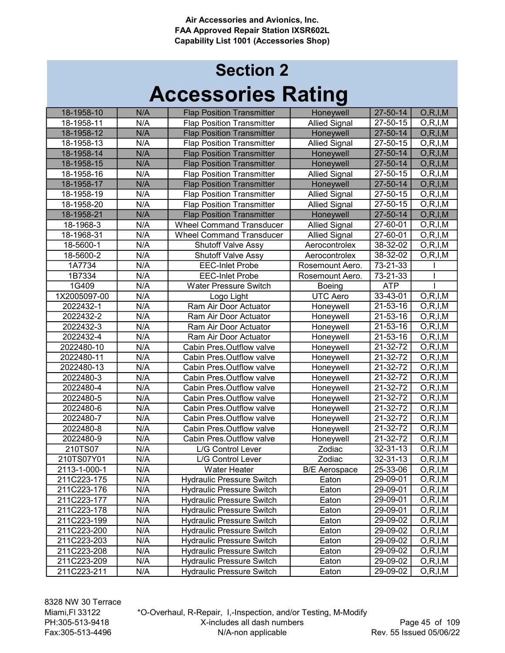## Accessories Rating Section 2

| 18-1958-10   | N/A | <b>Flap Position Transmitter</b> | Honeywell            | 27-50-14               | O, R, I, M               |
|--------------|-----|----------------------------------|----------------------|------------------------|--------------------------|
| 18-1958-11   | N/A | <b>Flap Position Transmitter</b> | <b>Allied Signal</b> | 27-50-15               | O, R, I, M               |
| 18-1958-12   | N/A | <b>Flap Position Transmitter</b> | Honeywell            | 27-50-14               | O, R, I, M               |
| 18-1958-13   | N/A | <b>Flap Position Transmitter</b> | <b>Allied Signal</b> | 27-50-15               | O, R, I, M               |
| 18-1958-14   | N/A | <b>Flap Position Transmitter</b> | Honeywell            | 27-50-14               | O, R, I, M               |
| 18-1958-15   | N/A | <b>Flap Position Transmitter</b> | Honeywell            | 27-50-14               | O, R, I, M               |
| 18-1958-16   | N/A | <b>Flap Position Transmitter</b> | <b>Allied Signal</b> | 27-50-15               | O, R, I, M               |
| 18-1958-17   | N/A | <b>Flap Position Transmitter</b> | Honeywell            | 27-50-14               | O, R, I, M               |
| 18-1958-19   | N/A | <b>Flap Position Transmitter</b> | <b>Allied Signal</b> | 27-50-15               | O, R, I, M               |
| 18-1958-20   | N/A | <b>Flap Position Transmitter</b> | <b>Allied Signal</b> | 27-50-15               | O, R, I, M               |
| 18-1958-21   | N/A | <b>Flap Position Transmitter</b> | Honeywell            | 27-50-14               | O, R, I, M               |
| 18-1968-3    | N/A | <b>Wheel Command Transducer</b>  | <b>Allied Signal</b> | 27-60-01               | O, R, I, M               |
| 18-1968-31   | N/A | <b>Wheel Command Transducer</b>  | <b>Allied Signal</b> | 27-60-01               | O, R, I, M               |
| 18-5600-1    | N/A | <b>Shutoff Valve Assy</b>        | Aerocontrolex        | 38-32-02               | O, R, I, M               |
| 18-5600-2    | N/A | <b>Shutoff Valve Assy</b>        | Aerocontrolex        | $38 - 32 - 02$         | O, R, I, M               |
| 1A7734       | N/A | <b>EEC-Inlet Probe</b>           | Rosemount Aero.      | 73-21-33               |                          |
| 1B7334       | N/A | <b>EEC-Inlet Probe</b>           | Rosemount Aero.      | $\overline{7}$ 3-21-33 |                          |
| 1G409        | N/A | <b>Water Pressure Switch</b>     | <b>Boeing</b>        | <b>ATP</b>             |                          |
| 1X2005097-00 | N/A | Logo Light                       | <b>UTC Aero</b>      | 33-43-01               | O, R, I, M               |
| 2022432-1    | N/A | Ram Air Door Actuator            | Honeywell            | 21-53-16               | O, R, I, M               |
| 2022432-2    | N/A | Ram Air Door Actuator            | Honeywell            | 21-53-16               | O, R, I, M               |
| 2022432-3    | N/A | Ram Air Door Actuator            | Honeywell            | 21-53-16               | O, R, I, M               |
| 2022432-4    | N/A | Ram Air Door Actuator            | Honeywell            | 21-53-16               | O, R, I, M               |
| 2022480-10   | N/A | Cabin Pres.Outflow valve         | Honeywell            | 21-32-72               | O, R, I, M               |
| 2022480-11   | N/A | Cabin Pres.Outflow valve         | Honeywell            | 21-32-72               | O, R, I, M               |
| 2022480-13   | N/A | Cabin Pres.Outflow valve         | Honeywell            | 21-32-72               | $\overline{O},R,I,M$     |
| 2022480-3    | N/A | Cabin Pres.Outflow valve         | Honeywell            | 21-32-72               | $\overline{O}$ , R, I, M |
| 2022480-4    | N/A | Cabin Pres.Outflow valve         | Honeywell            | 21-32-72               | O, R, I, M               |
| 2022480-5    | N/A | Cabin Pres.Outflow valve         | Honeywell            | 21-32-72               | O, R, I, M               |
| 2022480-6    | N/A | Cabin Pres.Outflow valve         | Honeywell            | 21-32-72               | O, R, I, M               |
| 2022480-7    | N/A | Cabin Pres.Outflow valve         | Honeywell            | $21 - 32 - 72$         | O, R, I, M               |
| 2022480-8    | N/A | Cabin Pres.Outflow valve         | Honeywell            | 21-32-72               | O, R, I, M               |
| 2022480-9    | N/A | Cabin Pres.Outflow valve         | Honeywell            | 21-32-72               | O, R, I, M               |
| 210TS07      | N/A | L/G Control Lever                | Zodiac               | 32-31-13               | O, R, I, M               |
| 210TS07Y01   | N/A | L/G Control Lever                | Zodiac               | 32-31-13               | O, R, I, M               |
| 2113-1-000-1 | N/A | <b>Water Heater</b>              | <b>B/E</b> Aerospace | 25-33-06               | O, R, I, M               |
| 211C223-175  | N/A | <b>Hydraulic Pressure Switch</b> | Eaton                | 29-09-01               | O, R, I, M               |
| 211C223-176  | N/A | <b>Hydraulic Pressure Switch</b> | Eaton                | 29-09-01               | O, R, I, M               |
| 211C223-177  | N/A | <b>Hydraulic Pressure Switch</b> | Eaton                | 29-09-01               | O, R, I, M               |
| 211C223-178  | N/A | <b>Hydraulic Pressure Switch</b> | Eaton                | 29-09-01               | O, R, I, M               |
| 211C223-199  | N/A | <b>Hydraulic Pressure Switch</b> | Eaton                | 29-09-02               | O, R, I, M               |
| 211C223-200  | N/A | <b>Hydraulic Pressure Switch</b> | Eaton                | 29-09-02               | O, R, I, M               |
| 211C223-203  | N/A | <b>Hydraulic Pressure Switch</b> | Eaton                | 29-09-02               | O, R, I, M               |
| 211C223-208  | N/A | <b>Hydraulic Pressure Switch</b> | Eaton                | 29-09-02               | O, R, I, M               |
| 211C223-209  | N/A | <b>Hydraulic Pressure Switch</b> | Eaton                | 29-09-02               | O, R, I, M               |
| 211C223-211  | N/A | <b>Hydraulic Pressure Switch</b> | Eaton                | 29-09-02               | O, R, I, M               |
|              |     |                                  |                      |                        |                          |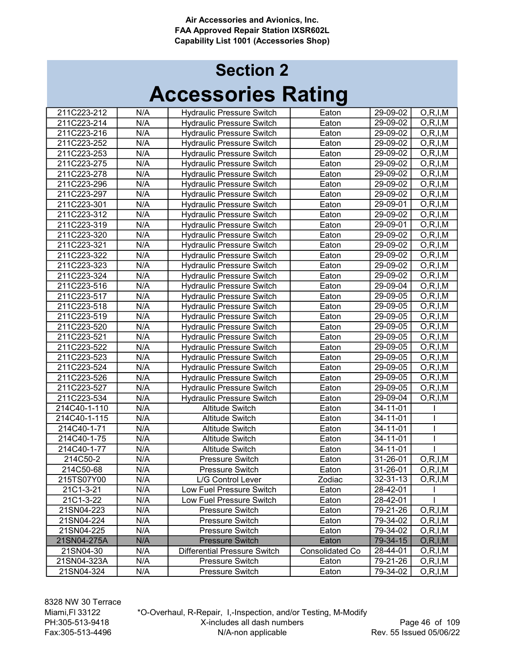# Accessories Rating Section 2

| 211C223-212             | N/A | <b>Hydraulic Pressure Switch</b>    | Eaton           | 29-09-02             | O, R, I, M               |
|-------------------------|-----|-------------------------------------|-----------------|----------------------|--------------------------|
| 211C223-214             | N/A | <b>Hydraulic Pressure Switch</b>    | Eaton           | 29-09-02             | O, R, I, M               |
| 211C223-216             | N/A | <b>Hydraulic Pressure Switch</b>    | Eaton           | 29-09-02             | O, R, I, M               |
| 211C223-252             | N/A | <b>Hydraulic Pressure Switch</b>    | Eaton           | 29-09-02             | O, R, I, M               |
| 211C223-253             | N/A | <b>Hydraulic Pressure Switch</b>    | Eaton           | 29-09-02             | O, R, I, M               |
| 211C223-275             | N/A | <b>Hydraulic Pressure Switch</b>    | Eaton           | 29-09-02             | O, R, I, M               |
| 211C223-278             | N/A | <b>Hydraulic Pressure Switch</b>    | Eaton           | 29-09-02             | O, R, I, M               |
| 211C223-296             | N/A | <b>Hydraulic Pressure Switch</b>    | Eaton           | 29-09-02             | O, R, I, M               |
| 211C223-297             | N/A | <b>Hydraulic Pressure Switch</b>    | Eaton           | 29-09-02             | O, R, I, M               |
| 211C223-301             | N/A | <b>Hydraulic Pressure Switch</b>    | Eaton           | 29-09-01             | O, R, I, M               |
| 211C223-312             | N/A | <b>Hydraulic Pressure Switch</b>    | Eaton           | 29-09-02             | O, R, I, M               |
| 211C223-319             | N/A | Hydraulic Pressure Switch           | Eaton           | 29-09-01             | O, R, I, M               |
| 211C223-320             | N/A | <b>Hydraulic Pressure Switch</b>    | Eaton           | 29-09-02             | O, R, I, M               |
| 211C223-321             | N/A | <b>Hydraulic Pressure Switch</b>    | Eaton           | 29-09-02             | O, R, I, M               |
| 211C223-322             | N/A | <b>Hydraulic Pressure Switch</b>    | Eaton           | 29-09-02             | O, R, I, M               |
| 211C223-323             | N/A | <b>Hydraulic Pressure Switch</b>    | Eaton           | 29-09-02             | O, R, I, M               |
| 211C223-324             | N/A | <b>Hydraulic Pressure Switch</b>    | Eaton           | 29-09-02             | O, R, I, M               |
| 211C223-516             | N/A | <b>Hydraulic Pressure Switch</b>    | Eaton           | 29-09-04             | O, R, I, M               |
| 211C223-517             | N/A | <b>Hydraulic Pressure Switch</b>    | Eaton           | 29-09-05             | O, R, I, M               |
| 211C223-518             | N/A | <b>Hydraulic Pressure Switch</b>    | Eaton           | 29-09-05             | O, R, I, M               |
| 211C223-519             | N/A | <b>Hydraulic Pressure Switch</b>    | Eaton           | 29-09-05             | O, R, I, M               |
| 211C223-520             | N/A | <b>Hydraulic Pressure Switch</b>    | Eaton           | 29-09-05             | O, R, I, M               |
| 211C223-521             | N/A | <b>Hydraulic Pressure Switch</b>    | Eaton           | 29-09-05             | O, R, I, M               |
| 211C223-522             | N/A | <b>Hydraulic Pressure Switch</b>    | Eaton           | 29-09-05             | O, R, I, M               |
| 211C223-523             | N/A | Hydraulic Pressure Switch           | Eaton           | 29-09-05             | O, R, I, M               |
| 211C223-524             | N/A | <b>Hydraulic Pressure Switch</b>    | Eaton           | 29-09-05             | O, R, I, M               |
| 211C223-526             | N/A | <b>Hydraulic Pressure Switch</b>    | Eaton           | 29-09-05             | O, R, I, M               |
| 211C223-527             | N/A | <b>Hydraulic Pressure Switch</b>    | Eaton           | 29-09-05             | O, R, I, M               |
| 211C223-534             | N/A | <b>Hydraulic Pressure Switch</b>    | Eaton           | 29-09-04             | O, R, I, M               |
| 214C40-1-110            | N/A | <b>Altitude Switch</b>              | Eaton           | 34-11-01             |                          |
| 214C40-1-115            | N/A | <b>Altitude Switch</b>              | Eaton           | 34-11-01             |                          |
| 214C40-1-71             | N/A | <b>Altitude Switch</b>              | Eaton           | $34 - 11 - 01$       |                          |
| 214C40-1-75             | N/A | <b>Altitude Switch</b>              | Eaton           | 34-11-01             |                          |
| 214C40-1-77             | N/A | <b>Altitude Switch</b>              | Eaton           | 34-11-01             |                          |
| 214C50-2                | N/A | Pressure Switch                     | Eaton           | 31-26-01             | O, R, I, M               |
| 214C50-68               | N/A | Pressure Switch                     | Eaton           | 31-26-01             | O, R, I, M               |
| 215TS07Y00              | N/A | L/G Control Lever                   | Zodiac          | 32-31-13             | O, R, I, M               |
| 21C1-3-21               | N/A | Low Fuel Pressure Switch            | Eaton           | 28-42-01             |                          |
|                         | N/A | Low Fuel Pressure Switch            | Eaton           |                      |                          |
| 21C1-3-22<br>21SN04-223 | N/A | Pressure Switch                     | Eaton           | 28-42-01<br>79-21-26 |                          |
| 21SN04-224              | N/A | Pressure Switch                     | Eaton           | 79-34-02             | O, R, I, M<br>O, R, I, M |
| 21SN04-225              | N/A | Pressure Switch                     |                 | 79-34-02             |                          |
|                         | N/A | <b>Pressure Switch</b>              | Eaton           |                      | O, R, I, M               |
| 21SN04-275A             |     |                                     | Eaton           | 79-34-15             | O, R, I, M               |
| 21SN04-30               | N/A | <b>Differential Pressure Switch</b> | Consolidated Co | 28-44-01             | O, R, I, M               |
| 21SN04-323A             | N/A | Pressure Switch                     | Eaton           | 79-21-26             | O, R, I, M               |
| 21SN04-324              | N/A | Pressure Switch                     | Eaton           | 79-34-02             | O, R, I, M               |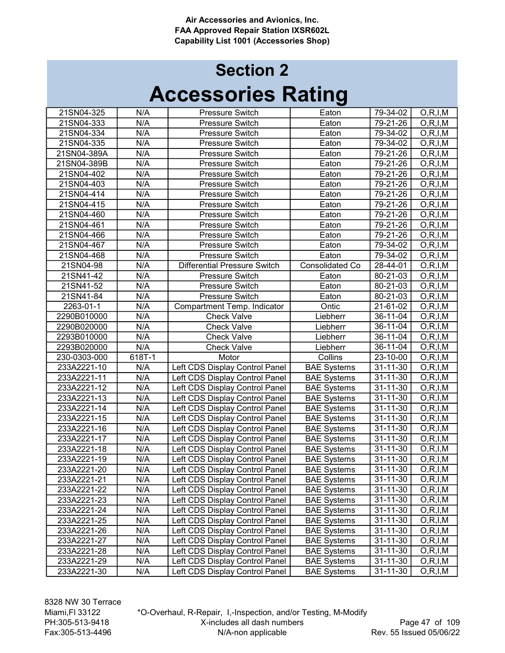| 21SN04-325   | N/A    | Pressure Switch                     | Eaton                  | 79-34-02       | O, R, I, M |
|--------------|--------|-------------------------------------|------------------------|----------------|------------|
| 21SN04-333   | N/A    | Pressure Switch                     | Eaton                  | 79-21-26       | O, R, I, M |
| 21SN04-334   | N/A    | Pressure Switch                     | Eaton                  | 79-34-02       | O, R, I, M |
| 21SN04-335   | N/A    | Pressure Switch                     | Eaton                  | 79-34-02       | O, R, I, M |
| 21SN04-389A  | N/A    | Pressure Switch                     | Eaton                  | 79-21-26       | O, R, I, M |
| 21SN04-389B  | N/A    | Pressure Switch                     | Eaton                  | 79-21-26       | O, R, I, M |
| 21SN04-402   | N/A    | Pressure Switch                     | Eaton                  | 79-21-26       | O, R, I, M |
| 21SN04-403   | N/A    | Pressure Switch                     | Eaton                  | 79-21-26       | O, R, I, M |
| 21SN04-414   | N/A    | <b>Pressure Switch</b>              | Eaton                  | 79-21-26       | O, R, I, M |
| 21SN04-415   | N/A    | Pressure Switch                     | Eaton                  | 79-21-26       | O, R, I, M |
| 21SN04-460   | N/A    | Pressure Switch                     | Eaton                  | 79-21-26       | O, R, I, M |
| 21SN04-461   | N/A    | Pressure Switch                     | Eaton                  | 79-21-26       | O, R, I, M |
| 21SN04-466   | N/A    | Pressure Switch                     | Eaton                  | 79-21-26       | O, R, I, M |
| 21SN04-467   | N/A    | Pressure Switch                     | Eaton                  | 79-34-02       | O, R, I, M |
| 21SN04-468   | N/A    | Pressure Switch                     | Eaton                  | 79-34-02       | O, R, I, M |
| 21SN04-98    | N/A    | <b>Differential Pressure Switch</b> | <b>Consolidated Co</b> | 28-44-01       | O, R, I, M |
| 21SN41-42    | N/A    | Pressure Switch                     | Eaton                  | 80-21-03       | O, R, I, M |
| 21SN41-52    | N/A    | Pressure Switch                     | Eaton                  | 80-21-03       | O, R, I, M |
| 21SN41-84    | N/A    | Pressure Switch                     | Eaton                  | 80-21-03       | O, R, I, M |
| 2263-01-1    | N/A    | Compartment Temp. Indicator         | Ontic                  | 21-61-02       | O, R, I, M |
| 2290B010000  | N/A    | <b>Check Valve</b>                  | Liebherr               | 36-11-04       | O, R, I, M |
| 2290B020000  | N/A    | <b>Check Valve</b>                  | Liebherr               | 36-11-04       | O, R, I, M |
| 2293B010000  | N/A    | <b>Check Valve</b>                  | Liebherr               | 36-11-04       | O, R, I, M |
| 2293B020000  | N/A    | <b>Check Valve</b>                  | Liebherr               | 36-11-04       | O, R, I, M |
| 230-0303-000 | 618T-1 | Motor                               | Collins                | $23 - 10 - 00$ | O, R, I, M |
| 233A2221-10  | N/A    | Left CDS Display Control Panel      | <b>BAE Systems</b>     | $31 - 11 - 30$ | O, R, I, M |
| 233A2221-11  | N/A    | Left CDS Display Control Panel      | <b>BAE Systems</b>     | $31 - 11 - 30$ | O, R, I, M |
| 233A2221-12  | N/A    | Left CDS Display Control Panel      | <b>BAE Systems</b>     | $31 - 11 - 30$ | O, R, I, M |
| 233A2221-13  | N/A    | Left CDS Display Control Panel      | <b>BAE Systems</b>     | 31-11-30       | O, R, I, M |
| 233A2221-14  | N/A    | Left CDS Display Control Panel      | <b>BAE Systems</b>     | 31-11-30       | O, R, I, M |
| 233A2221-15  | N/A    | Left CDS Display Control Panel      | <b>BAE Systems</b>     | 31-11-30       | O, R, I, M |
| 233A2221-16  | N/A    | Left CDS Display Control Panel      | <b>BAE Systems</b>     | 31-11-30       | O, R, I, M |
| 233A2221-17  | N/A    | Left CDS Display Control Panel      | <b>BAE Systems</b>     | 31-11-30       | O, R, I, M |
| 233A2221-18  | N/A    | Left CDS Display Control Panel      | <b>BAE Systems</b>     | $31 - 11 - 30$ | O, R, I, M |
| 233A2221-19  | N/A    | Left CDS Display Control Panel      | <b>BAE Systems</b>     | 31-11-30       | O, R, I, M |
| 233A2221-20  | N/A    | Left CDS Display Control Panel      | <b>BAE Systems</b>     | 31-11-30       | O, R, I, M |
| 233A2221-21  | N/A    | Left CDS Display Control Panel      | <b>BAE Systems</b>     | 31-11-30       | O, R, I, M |
| 233A2221-22  | N/A    | Left CDS Display Control Panel      | <b>BAE Systems</b>     | 31-11-30       | O, R, I, M |
| 233A2221-23  | N/A    | Left CDS Display Control Panel      | <b>BAE Systems</b>     | 31-11-30       | O, R, I, M |
| 233A2221-24  | N/A    | Left CDS Display Control Panel      | <b>BAE Systems</b>     | 31-11-30       | O, R, I, M |
| 233A2221-25  | N/A    | Left CDS Display Control Panel      | <b>BAE Systems</b>     | 31-11-30       | O, R, I, M |
| 233A2221-26  | N/A    | Left CDS Display Control Panel      | <b>BAE Systems</b>     | 31-11-30       | O, R, I, M |
| 233A2221-27  | N/A    | Left CDS Display Control Panel      | <b>BAE Systems</b>     | 31-11-30       | O, R, I, M |
| 233A2221-28  | N/A    | Left CDS Display Control Panel      | <b>BAE Systems</b>     | 31-11-30       | O, R, I, M |
| 233A2221-29  | N/A    | Left CDS Display Control Panel      | <b>BAE Systems</b>     | 31-11-30       | O, R, I, M |
| 233A2221-30  | N/A    | Left CDS Display Control Panel      | <b>BAE Systems</b>     | 31-11-30       | O, R, I, M |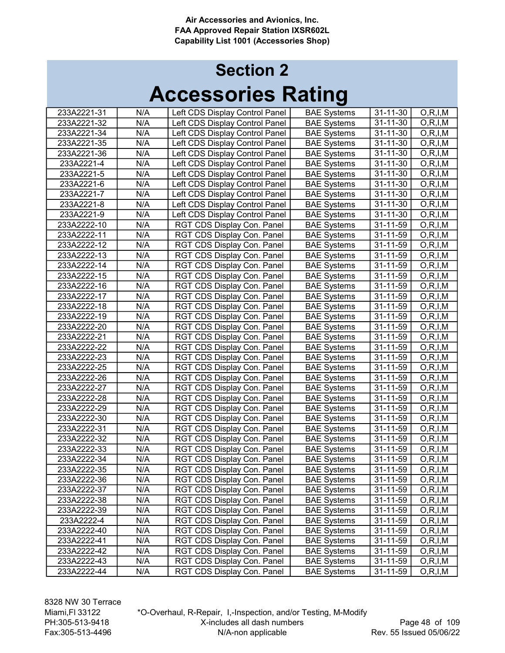|                            |            |                                |                                          | $31 - 11 - 30$ |                          |
|----------------------------|------------|--------------------------------|------------------------------------------|----------------|--------------------------|
| 233A2221-31<br>233A2221-32 | N/A<br>N/A | Left CDS Display Control Panel | <b>BAE Systems</b><br><b>BAE Systems</b> | 31-11-30       | O, R, I, M<br>O, R, I, M |
|                            |            | Left CDS Display Control Panel |                                          |                |                          |
| 233A2221-34                | N/A        | Left CDS Display Control Panel | <b>BAE Systems</b>                       | 31-11-30       | O, R, I, M               |
| 233A2221-35                | N/A        | Left CDS Display Control Panel | <b>BAE Systems</b>                       | $31 - 11 - 30$ | O, R, I, M               |
| 233A2221-36                | N/A        | Left CDS Display Control Panel | <b>BAE Systems</b>                       | $31 - 11 - 30$ | O, R, I, M               |
| 233A2221-4                 | N/A        | Left CDS Display Control Panel | <b>BAE Systems</b>                       | $31 - 11 - 30$ | O, R, I, M               |
| 233A2221-5                 | N/A        | Left CDS Display Control Panel | <b>BAE Systems</b>                       | 31-11-30       | O, R, I, M               |
| 233A2221-6                 | N/A        | Left CDS Display Control Panel | <b>BAE Systems</b>                       | 31-11-30       | O, R, I, M               |
| 233A2221-7                 | N/A        | Left CDS Display Control Panel | <b>BAE Systems</b>                       | 31-11-30       | O, R, I, M               |
| 233A2221-8                 | N/A        | Left CDS Display Control Panel | <b>BAE Systems</b>                       | 31-11-30       | O, R, I, M               |
| 233A2221-9                 | N/A        | Left CDS Display Control Panel | <b>BAE Systems</b>                       | 31-11-30       | O, R, I, M               |
| 233A2222-10                | N/A        | RGT CDS Display Con. Panel     | <b>BAE Systems</b>                       | 31-11-59       | O, R, I, M               |
| 233A2222-11                | N/A        | RGT CDS Display Con. Panel     | <b>BAE Systems</b>                       | 31-11-59       | O, R, I, M               |
| 233A2222-12                | N/A        | RGT CDS Display Con. Panel     | <b>BAE Systems</b>                       | 31-11-59       | O, R, I, M               |
| 233A2222-13                | N/A        | RGT CDS Display Con. Panel     | <b>BAE Systems</b>                       | 31-11-59       | O, R, I, M               |
| 233A2222-14                | N/A        | RGT CDS Display Con. Panel     | <b>BAE Systems</b>                       | 31-11-59       | O, R, I, M               |
| 233A2222-15                | N/A        | RGT CDS Display Con. Panel     | <b>BAE Systems</b>                       | 31-11-59       | O, R, I, M               |
| 233A2222-16                | N/A        | RGT CDS Display Con. Panel     | <b>BAE Systems</b>                       | 31-11-59       | O, R, I, M               |
| 233A2222-17                | N/A        | RGT CDS Display Con. Panel     | <b>BAE Systems</b>                       | 31-11-59       | O, R, I, M               |
| 233A2222-18                | N/A        | RGT CDS Display Con. Panel     | <b>BAE Systems</b>                       | 31-11-59       | O, R, I, M               |
| 233A2222-19                | N/A        | RGT CDS Display Con. Panel     | <b>BAE Systems</b>                       | 31-11-59       | O, R, I, M               |
| 233A2222-20                | N/A        | RGT CDS Display Con. Panel     | <b>BAE Systems</b>                       | 31-11-59       | O, R, I, M               |
| 233A2222-21                | N/A        | RGT CDS Display Con. Panel     | <b>BAE Systems</b>                       | 31-11-59       | O, R, I, M               |
| 233A2222-22                | N/A        | RGT CDS Display Con. Panel     | <b>BAE Systems</b>                       | 31-11-59       | O, R, I, M               |
| 233A2222-23                | N/A        | RGT CDS Display Con. Panel     | <b>BAE Systems</b>                       | 31-11-59       | O, R, I, M               |
| 233A2222-25                | N/A        | RGT CDS Display Con. Panel     | <b>BAE Systems</b>                       | 31-11-59       | O, R, I, M               |
| 233A2222-26                | N/A        | RGT CDS Display Con. Panel     | <b>BAE Systems</b>                       | 31-11-59       | O, R, I, M               |
| 233A2222-27                | N/A        | RGT CDS Display Con. Panel     | <b>BAE Systems</b>                       | 31-11-59       | O, R, I, M               |
| 233A2222-28                | N/A        | RGT CDS Display Con. Panel     | <b>BAE Systems</b>                       | 31-11-59       | O, R, I, M               |
| 233A2222-29                | N/A        | RGT CDS Display Con. Panel     | <b>BAE Systems</b>                       | 31-11-59       | O, R, I, M               |
| 233A2222-30                | N/A        | RGT CDS Display Con. Panel     | <b>BAE Systems</b>                       | 31-11-59       | O, R, I, M               |
| 233A2222-31                | N/A        | RGT CDS Display Con. Panel     | <b>BAE Systems</b>                       | 31-11-59       | O, R, I, M               |
| 233A2222-32                | N/A        | RGT CDS Display Con. Panel     | <b>BAE Systems</b>                       | 31-11-59       | O, R, I, M               |
| 233A2222-33                | N/A        | RGT CDS Display Con. Panel     | <b>BAE Systems</b>                       | 31-11-59       | O, R, I, M               |
| 233A2222-34                | N/A        | RGT CDS Display Con. Panel     | <b>BAE Systems</b>                       | 31-11-59       | O, R, I, M               |
| 233A2222-35                | N/A        | RGT CDS Display Con. Panel     | <b>BAE Systems</b>                       | 31-11-59       | O, R, I, M               |
| 233A2222-36                | N/A        | RGT CDS Display Con. Panel     | <b>BAE Systems</b>                       | 31-11-59       | O, R, I, M               |
| 233A2222-37                | N/A        | RGT CDS Display Con. Panel     | <b>BAE Systems</b>                       | $31 - 11 - 59$ | O, R, I, M               |
| 233A2222-38                | N/A        | RGT CDS Display Con. Panel     | <b>BAE Systems</b>                       | 31-11-59       | O, R, I, M               |
| 233A2222-39                | N/A        | RGT CDS Display Con. Panel     | <b>BAE Systems</b>                       | 31-11-59       | O, R, I, M               |
| 233A2222-4                 | N/A        | RGT CDS Display Con. Panel     | <b>BAE Systems</b>                       | 31-11-59       | O, R, I, M               |
| 233A2222-40                | N/A        | RGT CDS Display Con. Panel     | <b>BAE Systems</b>                       | $31 - 11 - 59$ | O, R, I, M               |
| 233A2222-41                | N/A        | RGT CDS Display Con. Panel     | <b>BAE Systems</b>                       | 31-11-59       | O, R, I, M               |
| 233A2222-42                | N/A        | RGT CDS Display Con. Panel     | <b>BAE Systems</b>                       | 31-11-59       | O, R, I, M               |
| 233A2222-43                | N/A        | RGT CDS Display Con. Panel     | <b>BAE Systems</b>                       | 31-11-59       | O, R, I, M               |
| 233A2222-44                | N/A        | RGT CDS Display Con. Panel     | <b>BAE Systems</b>                       | $31 - 11 - 59$ | O, R, I, M               |
|                            |            |                                |                                          |                |                          |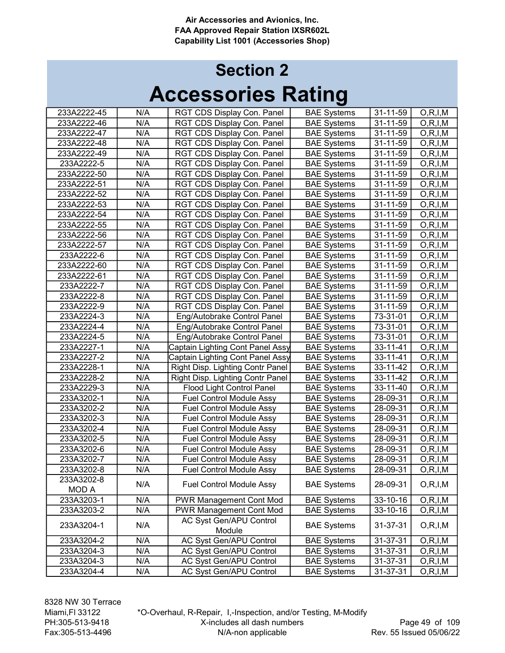| 233A2222-45  | N/A | RGT CDS Display Con. Panel       | <b>BAE Systems</b> | 31-11-59 | O, R, I, M |
|--------------|-----|----------------------------------|--------------------|----------|------------|
| 233A2222-46  | N/A | RGT CDS Display Con. Panel       | <b>BAE Systems</b> | 31-11-59 | O, R, I, M |
| 233A2222-47  | N/A | RGT CDS Display Con. Panel       | <b>BAE Systems</b> | 31-11-59 | O, R, I, M |
| 233A2222-48  | N/A | RGT CDS Display Con. Panel       | <b>BAE Systems</b> | 31-11-59 | O, R, I, M |
| 233A2222-49  | N/A | RGT CDS Display Con. Panel       | <b>BAE Systems</b> | 31-11-59 | O, R, I, M |
| 233A2222-5   | N/A | RGT CDS Display Con. Panel       | <b>BAE Systems</b> | 31-11-59 | O, R, I, M |
| 233A2222-50  | N/A | RGT CDS Display Con. Panel       | <b>BAE Systems</b> | 31-11-59 | O, R, I, M |
| 233A2222-51  | N/A | RGT CDS Display Con. Panel       | <b>BAE Systems</b> | 31-11-59 | O, R, I, M |
| 233A2222-52  | N/A | RGT CDS Display Con. Panel       | <b>BAE Systems</b> | 31-11-59 | O, R, I, M |
| 233A2222-53  | N/A | RGT CDS Display Con. Panel       | <b>BAE Systems</b> | 31-11-59 | O, R, I, M |
| 233A2222-54  | N/A | RGT CDS Display Con. Panel       | <b>BAE Systems</b> | 31-11-59 | O, R, I, M |
| 233A2222-55  | N/A | RGT CDS Display Con. Panel       | <b>BAE Systems</b> | 31-11-59 | O, R, I, M |
| 233A2222-56  | N/A | RGT CDS Display Con. Panel       | <b>BAE Systems</b> | 31-11-59 | O, R, I, M |
| 233A2222-57  | N/A | RGT CDS Display Con. Panel       | <b>BAE Systems</b> | 31-11-59 | O, R, I, M |
| 233A2222-6   | N/A | RGT CDS Display Con. Panel       | <b>BAE Systems</b> | 31-11-59 | O, R, I, M |
| 233A2222-60  | N/A | RGT CDS Display Con. Panel       | <b>BAE Systems</b> | 31-11-59 | O, R, I, M |
| 233A2222-61  | N/A | RGT CDS Display Con. Panel       | <b>BAE Systems</b> | 31-11-59 | O, R, I, M |
| 233A2222-7   | N/A | RGT CDS Display Con. Panel       | <b>BAE Systems</b> | 31-11-59 | O, R, I, M |
| 233A2222-8   | N/A | RGT CDS Display Con. Panel       | <b>BAE Systems</b> | 31-11-59 | O, R, I, M |
| 233A2222-9   | N/A | RGT CDS Display Con. Panel       | <b>BAE Systems</b> | 31-11-59 | O, R, I, M |
| 233A2224-3   | N/A | Eng/Autobrake Control Panel      | <b>BAE Systems</b> | 73-31-01 | O, R, I, M |
| 233A2224-4   | N/A | Eng/Autobrake Control Panel      | <b>BAE Systems</b> | 73-31-01 | O, R, I, M |
| 233A2224-5   | N/A | Eng/Autobrake Control Panel      | <b>BAE Systems</b> | 73-31-01 | O, R, I, M |
| 233A2227-1   | N/A | Captain Lighting Cont Panel Assy | <b>BAE Systems</b> | 33-11-41 | O, R, I, M |
| 233A2227-2   | N/A | Captain Lighting Cont Panel Assy | <b>BAE Systems</b> | 33-11-41 | O, R, I, M |
| 233A2228-1   | N/A | Right Disp. Lighting Contr Panel | <b>BAE Systems</b> | 33-11-42 | O, R, I, M |
| 233A2228-2   | N/A | Right Disp. Lighting Contr Panel | <b>BAE Systems</b> | 33-11-42 | O, R, I, M |
| 233A2229-3   | N/A | <b>Flood Light Control Panel</b> | <b>BAE Systems</b> | 33-11-40 | O, R, I, M |
| 233A3202-1   | N/A | <b>Fuel Control Module Assy</b>  | <b>BAE Systems</b> | 28-09-31 | O, R, I, M |
| 233A3202-2   | N/A | <b>Fuel Control Module Assy</b>  | <b>BAE Systems</b> | 28-09-31 | O, R, I, M |
| 233A3202-3   | N/A | <b>Fuel Control Module Assy</b>  | <b>BAE Systems</b> | 28-09-31 | O, R, I, M |
| 233A3202-4   | N/A | <b>Fuel Control Module Assy</b>  | <b>BAE Systems</b> | 28-09-31 | O, R, I, M |
| 233A3202-5   | N/A | Fuel Control Module Assy         | <b>BAE Systems</b> | 28-09-31 | O, R, I, M |
| 233A3202-6   | N/A | <b>Fuel Control Module Assy</b>  | <b>BAE Systems</b> | 28-09-31 | O, R, I, M |
| 233A3202-7   | N/A | <b>Fuel Control Module Assy</b>  | <b>BAE Systems</b> | 28-09-31 | O, R, I, M |
| 233A3202-8   | N/A | <b>Fuel Control Module Assy</b>  | <b>BAE Systems</b> | 28-09-31 | O, R, I, M |
| 233A3202-8   | N/A | Fuel Control Module Assy         | <b>BAE Systems</b> | 28-09-31 | O, R, I, M |
| <b>MOD A</b> |     |                                  |                    |          |            |
| 233A3203-1   | N/A | <b>PWR Management Cont Mod</b>   | <b>BAE Systems</b> | 33-10-16 | O, R, I, M |
| 233A3203-2   | N/A | <b>PWR Management Cont Mod</b>   | <b>BAE Systems</b> | 33-10-16 | O, R, I, M |
| 233A3204-1   | N/A | <b>AC Syst Gen/APU Control</b>   | <b>BAE Systems</b> | 31-37-31 | O, R, I, M |
|              |     | Module                           |                    |          |            |
| 233A3204-2   | N/A | AC Syst Gen/APU Control          | <b>BAE Systems</b> | 31-37-31 | O, R, I, M |
| 233A3204-3   | N/A | AC Syst Gen/APU Control          | <b>BAE Systems</b> | 31-37-31 | O, R, I, M |
| 233A3204-3   | N/A | AC Syst Gen/APU Control          | <b>BAE Systems</b> | 31-37-31 | O, R, I, M |
| 233A3204-4   | N/A | AC Syst Gen/APU Control          | <b>BAE Systems</b> | 31-37-31 | O, R, I, M |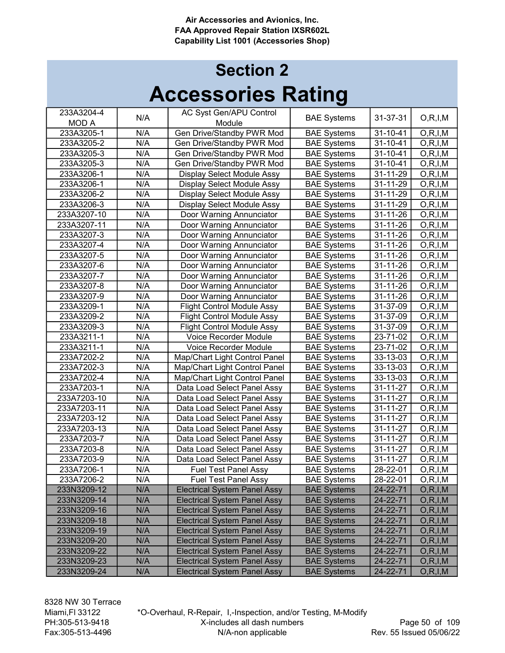| 233A3204-4   |     | AC Syst Gen/APU Control             |                    |                |            |
|--------------|-----|-------------------------------------|--------------------|----------------|------------|
| <b>MOD A</b> | N/A | Module                              | <b>BAE Systems</b> | 31-37-31       | O, R, I, M |
| 233A3205-1   | N/A | Gen Drive/Standby PWR Mod           | <b>BAE Systems</b> | 31-10-41       | O, R, I, M |
| 233A3205-2   | N/A | Gen Drive/Standby PWR Mod           | <b>BAE Systems</b> | 31-10-41       | O, R, I, M |
| 233A3205-3   | N/A | Gen Drive/Standby PWR Mod           | <b>BAE</b> Systems | 31-10-41       | O, R, I, M |
| 233A3205-3   | N/A | Gen Drive/Standby PWR Mod           | <b>BAE Systems</b> | 31-10-41       | O, R, I, M |
| 233A3206-1   | N/A | Display Select Module Assy          | <b>BAE Systems</b> | 31-11-29       | O, R, I, M |
| 233A3206-1   | N/A | Display Select Module Assy          | <b>BAE Systems</b> | 31-11-29       | O, R, I, M |
| 233A3206-2   | N/A | Display Select Module Assy          | <b>BAE Systems</b> | 31-11-29       | O, R, I, M |
| 233A3206-3   | N/A | Display Select Module Assy          | <b>BAE Systems</b> | 31-11-29       | O, R, I, M |
| 233A3207-10  | N/A | Door Warning Annunciator            | <b>BAE Systems</b> | 31-11-26       | O, R, I, M |
| 233A3207-11  | N/A | Door Warning Annunciator            | <b>BAE Systems</b> | 31-11-26       | O, R, I, M |
| 233A3207-3   | N/A | Door Warning Annunciator            | <b>BAE Systems</b> | 31-11-26       | O, R, I, M |
| 233A3207-4   | N/A | Door Warning Annunciator            | <b>BAE Systems</b> | 31-11-26       | O, R, I, M |
| 233A3207-5   | N/A | Door Warning Annunciator            | <b>BAE Systems</b> | 31-11-26       | O, R, I, M |
| 233A3207-6   | N/A | Door Warning Annunciator            | <b>BAE Systems</b> | 31-11-26       | O, R, I, M |
| 233A3207-7   | N/A | Door Warning Annunciator            | <b>BAE Systems</b> | 31-11-26       | O, R, I, M |
| 233A3207-8   | N/A | Door Warning Annunciator            | <b>BAE Systems</b> | 31-11-26       | O, R, I, M |
| 233A3207-9   | N/A | Door Warning Annunciator            | <b>BAE Systems</b> | 31-11-26       | O, R, I, M |
| 233A3209-1   | N/A | <b>Flight Control Module Assy</b>   | <b>BAE Systems</b> | 31-37-09       | O, R, I, M |
| 233A3209-2   | N/A | <b>Flight Control Module Assy</b>   | <b>BAE Systems</b> | 31-37-09       | O, R, I, M |
| 233A3209-3   | N/A | <b>Flight Control Module Assy</b>   | <b>BAE</b> Systems | 31-37-09       | O, R, I, M |
| 233A3211-1   | N/A | Voice Recorder Module               | <b>BAE Systems</b> | 23-71-02       | O, R, I, M |
| 233A3211-1   | N/A | Voice Recorder Module               | <b>BAE Systems</b> | 23-71-02       | O, R, I, M |
| 233A7202-2   | N/A | Map/Chart Light Control Panel       | <b>BAE Systems</b> | 33-13-03       | O, R, I, M |
| 233A7202-3   | N/A | Map/Chart Light Control Panel       | <b>BAE Systems</b> | 33-13-03       | O, R, I, M |
| 233A7202-4   | N/A | Map/Chart Light Control Panel       | <b>BAE Systems</b> | $33 - 13 - 03$ | O, R, I, M |
| 233A7203-1   | N/A | Data Load Select Panel Assy         | <b>BAE Systems</b> | 31-11-27       | O, R, I, M |
| 233A7203-10  | N/A | Data Load Select Panel Assy         | <b>BAE Systems</b> | 31-11-27       | O, R, I, M |
| 233A7203-11  | N/A | Data Load Select Panel Assy         | <b>BAE Systems</b> | 31-11-27       | O, R, I, M |
| 233A7203-12  | N/A | Data Load Select Panel Assy         | <b>BAE Systems</b> | 31-11-27       | O, R, I, M |
| 233A7203-13  | N/A | Data Load Select Panel Assy         | <b>BAE Systems</b> | 31-11-27       | O, R, I, M |
| 233A7203-7   | N/A | Data Load Select Panel Assy         | <b>BAE Systems</b> | 31-11-27       | O, R, I, M |
| 233A7203-8   | N/A | Data Load Select Panel Assy         | <b>BAE Systems</b> | 31-11-27       | O, R, I, M |
| 233A7203-9   | N/A | Data Load Select Panel Assy         | <b>BAE Systems</b> | 31-11-27       | O, R, I, M |
| 233A7206-1   | N/A | <b>Fuel Test Panel Assy</b>         | <b>BAE Systems</b> | 28-22-01       | O, R, I, M |
| 233A7206-2   | N/A | <b>Fuel Test Panel Assy</b>         | <b>BAE Systems</b> | 28-22-01       | O, R, I, M |
| 233N3209-12  | N/A | <b>Electrical System Panel Assy</b> | <b>BAE Systems</b> | 24-22-71       | O, R, I, M |
| 233N3209-14  | N/A | <b>Electrical System Panel Assy</b> | <b>BAE Systems</b> | 24-22-71       | O, R, I, M |
| 233N3209-16  | N/A | <b>Electrical System Panel Assy</b> | <b>BAE Systems</b> | 24-22-71       | O, R, I, M |
| 233N3209-18  | N/A | <b>Electrical System Panel Assy</b> | <b>BAE Systems</b> | 24-22-71       | O, R, I, M |
| 233N3209-19  | N/A | <b>Electrical System Panel Assy</b> | <b>BAE Systems</b> | 24-22-71       | O, R, I, M |
| 233N3209-20  | N/A | <b>Electrical System Panel Assy</b> | <b>BAE Systems</b> | 24-22-71       | O, R, I, M |
| 233N3209-22  | N/A | <b>Electrical System Panel Assy</b> | <b>BAE Systems</b> | 24-22-71       | O, R, I, M |
| 233N3209-23  | N/A | <b>Electrical System Panel Assy</b> | <b>BAE Systems</b> | 24-22-71       | O, R, I, M |
| 233N3209-24  | N/A | <b>Electrical System Panel Assy</b> | <b>BAE Systems</b> | 24-22-71       | O, R, I, M |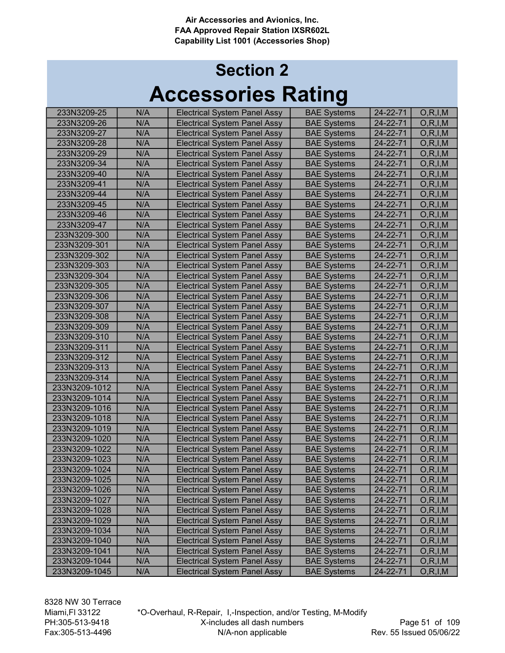# Accessories Rating Section 2

| 233N3209-25   | N/A<br>N/A | <b>Electrical System Panel Assy</b><br><b>Electrical System Panel Assy</b> | <b>BAE Systems</b><br><b>BAE Systems</b> | 24-22-71<br>24-22-71 | O, R, I, M |
|---------------|------------|----------------------------------------------------------------------------|------------------------------------------|----------------------|------------|
| 233N3209-26   |            |                                                                            |                                          |                      | O, R, I, M |
| 233N3209-27   | N/A        | <b>Electrical System Panel Assy</b>                                        | <b>BAE Systems</b>                       | 24-22-71             | O, R, I, M |
| 233N3209-28   | N/A        | <b>Electrical System Panel Assy</b>                                        | <b>BAE Systems</b>                       | 24-22-71             | O, R, I, M |
| 233N3209-29   | N/A        | <b>Electrical System Panel Assy</b>                                        | <b>BAE Systems</b>                       | 24-22-71             | O, R, I, M |
| 233N3209-34   | N/A        | <b>Electrical System Panel Assy</b>                                        | <b>BAE Systems</b>                       | 24-22-71             | O, R, I, M |
| 233N3209-40   | N/A        | <b>Electrical System Panel Assy</b>                                        | <b>BAE Systems</b>                       | 24-22-71             | O, R, I, M |
| 233N3209-41   | N/A        | <b>Electrical System Panel Assy</b>                                        | <b>BAE Systems</b>                       | 24-22-71             | O, R, I, M |
| 233N3209-44   | N/A        | <b>Electrical System Panel Assy</b>                                        | <b>BAE Systems</b>                       | 24-22-71             | O, R, I, M |
| 233N3209-45   | N/A        | <b>Electrical System Panel Assy</b>                                        | <b>BAE Systems</b>                       | 24-22-71             | O, R, I, M |
| 233N3209-46   | N/A        | <b>Electrical System Panel Assy</b>                                        | <b>BAE Systems</b>                       | 24-22-71             | O, R, I, M |
| 233N3209-47   | N/A        | <b>Electrical System Panel Assy</b>                                        | <b>BAE Systems</b>                       | 24-22-71             | O, R, I, M |
| 233N3209-300  | N/A        | <b>Electrical System Panel Assy</b>                                        | <b>BAE Systems</b>                       | 24-22-71             | O, R, I, M |
| 233N3209-301  | N/A        | <b>Electrical System Panel Assy</b>                                        | <b>BAE Systems</b>                       | 24-22-71             | O, R, I, M |
| 233N3209-302  | N/A        | <b>Electrical System Panel Assy</b>                                        | <b>BAE Systems</b>                       | 24-22-71             | O, R, I, M |
| 233N3209-303  | N/A        | <b>Electrical System Panel Assy</b>                                        | <b>BAE Systems</b>                       | 24-22-71             | O, R, I, M |
| 233N3209-304  | N/A        | <b>Electrical System Panel Assy</b>                                        | <b>BAE Systems</b>                       | 24-22-71             | O, R, I, M |
| 233N3209-305  | N/A        | <b>Electrical System Panel Assy</b>                                        | <b>BAE</b> Systems                       | 24-22-71             | O, R, I, M |
| 233N3209-306  | N/A        | <b>Electrical System Panel Assy</b>                                        | <b>BAE Systems</b>                       | 24-22-71             | O, R, I, M |
| 233N3209-307  | N/A        | <b>Electrical System Panel Assy</b>                                        | <b>BAE Systems</b>                       | 24-22-71             | O, R, I, M |
| 233N3209-308  | N/A        | <b>Electrical System Panel Assy</b>                                        | <b>BAE Systems</b>                       | 24-22-71             | O, R, I, M |
| 233N3209-309  | N/A        | <b>Electrical System Panel Assy</b>                                        | <b>BAE Systems</b>                       | 24-22-71             | O, R, I, M |
| 233N3209-310  | N/A        | <b>Electrical System Panel Assy</b>                                        | <b>BAE Systems</b>                       | 24-22-71             | O, R, I, M |
| 233N3209-311  | N/A        | <b>Electrical System Panel Assy</b>                                        | <b>BAE Systems</b>                       | 24-22-71             | O, R, I, M |
| 233N3209-312  | N/A        | <b>Electrical System Panel Assy</b>                                        | <b>BAE Systems</b>                       | 24-22-71             | O, R, I, M |
| 233N3209-313  | N/A        | <b>Electrical System Panel Assy</b>                                        | <b>BAE Systems</b>                       | 24-22-71             | O, R, I, M |
| 233N3209-314  | N/A        | <b>Electrical System Panel Assy</b>                                        | <b>BAE Systems</b>                       | 24-22-71             | O, R, I, M |
| 233N3209-1012 | N/A        | <b>Electrical System Panel Assy</b>                                        | <b>BAE Systems</b>                       | 24-22-71             | O, R, I, M |
| 233N3209-1014 | N/A        | <b>Electrical System Panel Assy</b>                                        | <b>BAE Systems</b>                       | 24-22-71             | O, R, I, M |
| 233N3209-1016 | N/A        | <b>Electrical System Panel Assy</b>                                        | <b>BAE Systems</b>                       | 24-22-71             | O, R, I, M |
| 233N3209-1018 | N/A        | <b>Electrical System Panel Assy</b>                                        | <b>BAE Systems</b>                       | 24-22-71             | O, R, I, M |
| 233N3209-1019 | N/A        | <b>Electrical System Panel Assy</b>                                        | <b>BAE Systems</b>                       | 24-22-71             | O, R, I, M |
| 233N3209-1020 | N/A        | <b>Electrical System Panel Assy</b>                                        | <b>BAE Systems</b>                       | 24-22-71             | O, R, I, M |
| 233N3209-1022 | N/A        | <b>Electrical System Panel Assy</b>                                        | <b>BAE Systems</b>                       | 24-22-71             | O, R, I, M |
| 233N3209-1023 | N/A        | <b>Electrical System Panel Assy</b>                                        | <b>BAE Systems</b>                       | 24-22-71             | O, R, I, M |
| 233N3209-1024 | N/A        | <b>Electrical System Panel Assy</b>                                        | <b>BAE Systems</b>                       | 24-22-71             | O, R, I, M |
| 233N3209-1025 | N/A        | <b>Electrical System Panel Assy</b>                                        | <b>BAE Systems</b>                       | 24-22-71             | O, R, I, M |
| 233N3209-1026 | N/A        | <b>Electrical System Panel Assy</b>                                        | <b>BAE Systems</b>                       | 24-22-71             | O, R, I, M |
| 233N3209-1027 | N/A        | <b>Electrical System Panel Assy</b>                                        | <b>BAE Systems</b>                       | 24-22-71             | O, R, I, M |
| 233N3209-1028 | N/A        | <b>Electrical System Panel Assy</b>                                        | <b>BAE Systems</b>                       | 24-22-71             | O, R, I, M |
| 233N3209-1029 | N/A        | <b>Electrical System Panel Assy</b>                                        | <b>BAE Systems</b>                       | 24-22-71             | O, R, I, M |
| 233N3209-1034 | N/A        | <b>Electrical System Panel Assy</b>                                        | <b>BAE Systems</b>                       | 24-22-71             | O, R, I, M |
| 233N3209-1040 | N/A        | <b>Electrical System Panel Assy</b>                                        | <b>BAE Systems</b>                       | 24-22-71             | O, R, I, M |
| 233N3209-1041 | N/A        | <b>Electrical System Panel Assy</b>                                        | <b>BAE Systems</b>                       | 24-22-71             | O, R, I, M |
| 233N3209-1044 | N/A        | <b>Electrical System Panel Assy</b>                                        | <b>BAE Systems</b>                       | 24-22-71             | O, R, I, M |
| 233N3209-1045 | N/A        | <b>Electrical System Panel Assy</b>                                        | <b>BAE Systems</b>                       | 24-22-71             | O, R, I, M |
|               |            |                                                                            |                                          |                      |            |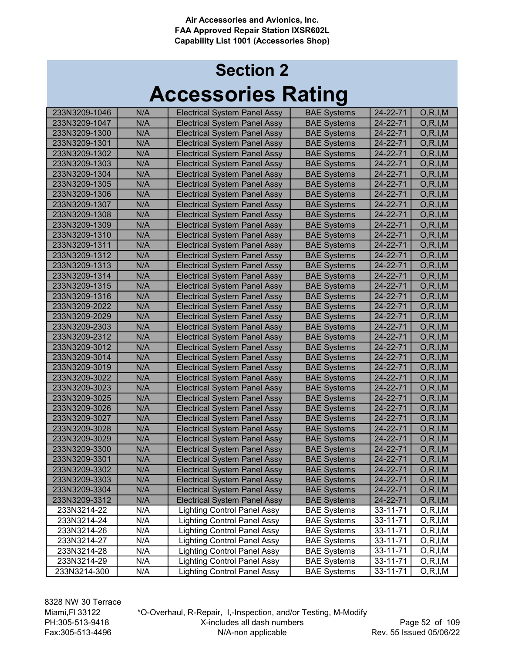# Accessories Rating Section 2

| 233N3209-1046 | N/A | <b>Electrical System Panel Assy</b> | <b>BAE Systems</b> | $24 - 22 - 71$ | O, R, I, M |
|---------------|-----|-------------------------------------|--------------------|----------------|------------|
| 233N3209-1047 | N/A | <b>Electrical System Panel Assy</b> | <b>BAE Systems</b> | 24-22-71       | O, R, I, M |
| 233N3209-1300 | N/A | <b>Electrical System Panel Assy</b> | <b>BAE Systems</b> | 24-22-71       | O, R, I, M |
| 233N3209-1301 | N/A | <b>Electrical System Panel Assy</b> | <b>BAE Systems</b> | 24-22-71       | O, R, I, M |
| 233N3209-1302 | N/A | <b>Electrical System Panel Assy</b> | <b>BAE Systems</b> | 24-22-71       | O, R, I, M |
| 233N3209-1303 | N/A | <b>Electrical System Panel Assy</b> | <b>BAE Systems</b> | 24-22-71       | O, R, I, M |
| 233N3209-1304 | N/A | <b>Electrical System Panel Assy</b> | <b>BAE Systems</b> | 24-22-71       | O, R, I, M |
| 233N3209-1305 | N/A | <b>Electrical System Panel Assy</b> | <b>BAE Systems</b> | 24-22-71       | O, R, I, M |
| 233N3209-1306 | N/A | <b>Electrical System Panel Assy</b> | <b>BAE Systems</b> | 24-22-71       | O, R, I, M |
| 233N3209-1307 | N/A | <b>Electrical System Panel Assy</b> | <b>BAE Systems</b> | 24-22-71       | O, R, I, M |
| 233N3209-1308 | N/A | Electrical System Panel Assy        | <b>BAE Systems</b> | 24-22-71       | O, R, I, M |
| 233N3209-1309 | N/A | Electrical System Panel Assy        | <b>BAE Systems</b> | 24-22-71       | O, R, I, M |
| 233N3209-1310 | N/A | Electrical System Panel Assy        | <b>BAE Systems</b> | 24-22-71       | O, R, I, M |
| 233N3209-1311 | N/A | <b>Electrical System Panel Assy</b> | <b>BAE Systems</b> | 24-22-71       | O, R, I, M |
| 233N3209-1312 | N/A | <b>Electrical System Panel Assy</b> | <b>BAE Systems</b> | 24-22-71       | O, R, I, M |
| 233N3209-1313 | N/A | <b>Electrical System Panel Assy</b> | <b>BAE Systems</b> | 24-22-71       | O, R, I, M |
| 233N3209-1314 | N/A | <b>Electrical System Panel Assy</b> | <b>BAE Systems</b> | 24-22-71       | O, R, I, M |
| 233N3209-1315 | N/A | <b>Electrical System Panel Assy</b> | <b>BAE Systems</b> | 24-22-71       | O, R, I, M |
| 233N3209-1316 | N/A | <b>Electrical System Panel Assy</b> | <b>BAE Systems</b> | 24-22-71       | O, R, I, M |
| 233N3209-2022 | N/A | <b>Electrical System Panel Assy</b> | <b>BAE Systems</b> | 24-22-71       | O, R, I, M |
| 233N3209-2029 | N/A | <b>Electrical System Panel Assy</b> | <b>BAE Systems</b> | 24-22-71       | O, R, I, M |
| 233N3209-2303 | N/A | <b>Electrical System Panel Assy</b> | <b>BAE Systems</b> | 24-22-71       | O, R, I, M |
| 233N3209-2312 | N/A | <b>Electrical System Panel Assy</b> | <b>BAE Systems</b> | 24-22-71       | O, R, I, M |
| 233N3209-3012 | N/A | <b>Electrical System Panel Assy</b> | <b>BAE Systems</b> | 24-22-71       | O, R, I, M |
| 233N3209-3014 | N/A | <b>Electrical System Panel Assy</b> | <b>BAE Systems</b> | 24-22-71       | O, R, I, M |
| 233N3209-3019 | N/A | <b>Electrical System Panel Assy</b> | <b>BAE Systems</b> | 24-22-71       | O, R, I, M |
| 233N3209-3022 | N/A | <b>Electrical System Panel Assy</b> | <b>BAE Systems</b> | 24-22-71       | O, R, I, M |
| 233N3209-3023 | N/A | <b>Electrical System Panel Assy</b> | <b>BAE Systems</b> | $24 - 22 - 71$ | O, R, I, M |
| 233N3209-3025 | N/A | <b>Electrical System Panel Assy</b> | <b>BAE Systems</b> | 24-22-71       | O, R, I, M |
| 233N3209-3026 | N/A | <b>Electrical System Panel Assy</b> | <b>BAE Systems</b> | 24-22-71       | O, R, I, M |
| 233N3209-3027 | N/A | <b>Electrical System Panel Assy</b> | <b>BAE Systems</b> | 24-22-71       | O, R, I, M |
| 233N3209-3028 | N/A | <b>Electrical System Panel Assy</b> | <b>BAE Systems</b> | 24-22-71       | O, R, I, M |
| 233N3209-3029 | N/A | <b>Electrical System Panel Assy</b> | <b>BAE Systems</b> | 24-22-71       | O, R, I, M |
| 233N3209-3300 | N/A | <b>Electrical System Panel Assy</b> | <b>BAE Systems</b> | 24-22-71       | O, R, I, M |
| 233N3209-3301 | N/A | <b>Electrical System Panel Assy</b> | <b>BAE Systems</b> | 24-22-71       | O, R, I, M |
| 233N3209-3302 | N/A | <b>Electrical System Panel Assy</b> | <b>BAE Systems</b> | 24-22-71       | O, R, I, M |
| 233N3209-3303 | N/A | <b>Electrical System Panel Assy</b> | <b>BAE Systems</b> | 24-22-71       | O, R, I, M |
| 233N3209-3304 | N/A | <b>Electrical System Panel Assy</b> | <b>BAE Systems</b> | 24-22-71       | O, R, I, M |
| 233N3209-3312 | N/A | <b>Electrical System Panel Assy</b> | <b>BAE Systems</b> | 24-22-71       | O, R, I, M |
| 233N3214-22   | N/A | <b>Lighting Control Panel Assy</b>  | <b>BAE Systems</b> | 33-11-71       | O, R, I, M |
| 233N3214-24   | N/A | <b>Lighting Control Panel Assy</b>  | <b>BAE Systems</b> | 33-11-71       | O, R, I, M |
| 233N3214-26   | N/A | <b>Lighting Control Panel Assy</b>  | <b>BAE Systems</b> | 33-11-71       | O, R, I, M |
| 233N3214-27   | N/A | <b>Lighting Control Panel Assy</b>  | <b>BAE Systems</b> | 33-11-71       | O, R, I, M |
| 233N3214-28   | N/A | <b>Lighting Control Panel Assy</b>  | <b>BAE Systems</b> | 33-11-71       | O, R, I, M |
| 233N3214-29   | N/A | <b>Lighting Control Panel Assy</b>  | <b>BAE Systems</b> | 33-11-71       | O, R, I, M |
| 233N3214-300  | N/A | <b>Lighting Control Panel Assy</b>  | <b>BAE Systems</b> | 33-11-71       | O,R,I,M    |
|               |     |                                     |                    |                |            |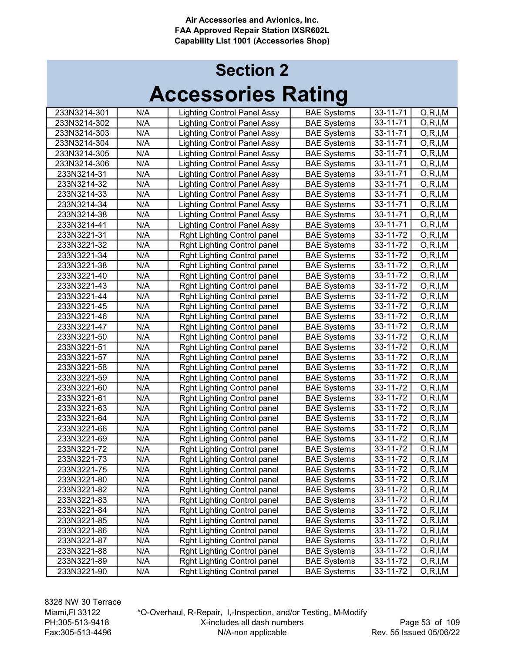# Accessories Rating Section 2

| 233N3214-301 | N/A | <b>Lighting Control Panel Assy</b> | <b>BAE Systems</b> | 33-11-71       | O, R, I, M              |
|--------------|-----|------------------------------------|--------------------|----------------|-------------------------|
| 233N3214-302 | N/A | <b>Lighting Control Panel Assy</b> | <b>BAE Systems</b> | 33-11-71       | O, R, I, M              |
| 233N3214-303 | N/A | <b>Lighting Control Panel Assy</b> | <b>BAE Systems</b> | 33-11-71       | $\overline{O}, R, I, M$ |
| 233N3214-304 | N/A | <b>Lighting Control Panel Assy</b> | <b>BAE Systems</b> | 33-11-71       | O, R, I, M              |
| 233N3214-305 | N/A | <b>Lighting Control Panel Assy</b> | <b>BAE Systems</b> | $33 - 11 - 71$ | O, R, I, M              |
| 233N3214-306 | N/A | <b>Lighting Control Panel Assy</b> | <b>BAE Systems</b> | $33 - 11 - 71$ | O, R, I, M              |
| 233N3214-31  | N/A | <b>Lighting Control Panel Assy</b> | <b>BAE Systems</b> | 33-11-71       | O, R, I, M              |
| 233N3214-32  | N/A | <b>Lighting Control Panel Assy</b> | <b>BAE Systems</b> | 33-11-71       | O, R, I, M              |
| 233N3214-33  | N/A | <b>Lighting Control Panel Assy</b> | <b>BAE Systems</b> | 33-11-71       | O, R, I, M              |
| 233N3214-34  | N/A | <b>Lighting Control Panel Assy</b> | <b>BAE Systems</b> | 33-11-71       | O, R, I, M              |
| 233N3214-38  | N/A | <b>Lighting Control Panel Assy</b> | <b>BAE Systems</b> | 33-11-71       | O, R, I, M              |
| 233N3214-41  | N/A | <b>Lighting Control Panel Assy</b> | <b>BAE Systems</b> | 33-11-71       | O, R, I, M              |
| 233N3221-31  | N/A | Rght Lighting Control panel        | <b>BAE Systems</b> | 33-11-72       | O, R, I, M              |
| 233N3221-32  | N/A | Rght Lighting Control panel        | <b>BAE Systems</b> | 33-11-72       | O, R, I, M              |
| 233N3221-34  | N/A | Rght Lighting Control panel        | <b>BAE Systems</b> | 33-11-72       | O, R, I, M              |
| 233N3221-38  | N/A | Rght Lighting Control panel        | <b>BAE Systems</b> | 33-11-72       | O, R, I, M              |
| 233N3221-40  | N/A | Rght Lighting Control panel        | <b>BAE Systems</b> | 33-11-72       | O, R, I, M              |
| 233N3221-43  | N/A | Rght Lighting Control panel        | <b>BAE Systems</b> | 33-11-72       | O, R, I, M              |
| 233N3221-44  | N/A | Rght Lighting Control panel        | <b>BAE Systems</b> | 33-11-72       | O, R, I, M              |
| 233N3221-45  | N/A | Rght Lighting Control panel        | <b>BAE Systems</b> | 33-11-72       | O, R, I, M              |
| 233N3221-46  | N/A | Rght Lighting Control panel        | <b>BAE Systems</b> | 33-11-72       | O, R, I, M              |
| 233N3221-47  | N/A | Rght Lighting Control panel        | <b>BAE Systems</b> | 33-11-72       | O, R, I, M              |
| 233N3221-50  | N/A | Rght Lighting Control panel        | <b>BAE Systems</b> | 33-11-72       | O, R, I, M              |
| 233N3221-51  | N/A | Rght Lighting Control panel        | <b>BAE Systems</b> | 33-11-72       | O, R, I, M              |
| 233N3221-57  | N/A | Rght Lighting Control panel        | <b>BAE Systems</b> | 33-11-72       | O, R, I, M              |
| 233N3221-58  | N/A | Rght Lighting Control panel        | <b>BAE Systems</b> | 33-11-72       | O, R, I, M              |
| 233N3221-59  | N/A | Rght Lighting Control panel        | <b>BAE Systems</b> | 33-11-72       | O, R, I, M              |
| 233N3221-60  | N/A | Rght Lighting Control panel        | <b>BAE Systems</b> | 33-11-72       | O, R, I, M              |
| 233N3221-61  | N/A | Rght Lighting Control panel        | <b>BAE Systems</b> | 33-11-72       | O, R, I, M              |
| 233N3221-63  | N/A | Rght Lighting Control panel        | <b>BAE Systems</b> | 33-11-72       | O, R, I, M              |
| 233N3221-64  | N/A | Rght Lighting Control panel        | <b>BAE Systems</b> | 33-11-72       | O, R, I, M              |
| 233N3221-66  | N/A | Rght Lighting Control panel        | <b>BAE Systems</b> | 33-11-72       | O, R, I, M              |
| 233N3221-69  | N/A | Rght Lighting Control panel        | <b>BAE Systems</b> | 33-11-72       | O, R, I, M              |
| 233N3221-72  | N/A | Rght Lighting Control panel        | <b>BAE Systems</b> | 33-11-72       | O, R, I, M              |
| 233N3221-73  | N/A | Rght Lighting Control panel        | <b>BAE Systems</b> | 33-11-72       | O, R, I, M              |
| 233N3221-75  | N/A | <b>Rght Lighting Control panel</b> | <b>BAE Systems</b> | 33-11-72       | O, R, I, M              |
| 233N3221-80  | N/A | Rght Lighting Control panel        | <b>BAE Systems</b> | 33-11-72       | O, R, I, M              |
| 233N3221-82  | N/A | <b>Rght Lighting Control panel</b> | <b>BAE Systems</b> | 33-11-72       | O, R, I, M              |
| 233N3221-83  | N/A | Rght Lighting Control panel        | <b>BAE Systems</b> | 33-11-72       | O,R,I,M                 |
| 233N3221-84  | N/A | Rght Lighting Control panel        | <b>BAE Systems</b> | 33-11-72       | O, R, I, M              |
| 233N3221-85  | N/A | Rght Lighting Control panel        | <b>BAE Systems</b> | 33-11-72       | O,R,I,M                 |
| 233N3221-86  | N/A | Rght Lighting Control panel        | <b>BAE Systems</b> | 33-11-72       | O, R, I, M              |
| 233N3221-87  | N/A | Rght Lighting Control panel        | <b>BAE Systems</b> | 33-11-72       | O, R, I, M              |
| 233N3221-88  | N/A | Rght Lighting Control panel        | <b>BAE Systems</b> | 33-11-72       | O, R, I, M              |
| 233N3221-89  | N/A | Rght Lighting Control panel        | <b>BAE Systems</b> | 33-11-72       | O,R,I,M                 |
| 233N3221-90  | N/A | Rght Lighting Control panel        | <b>BAE Systems</b> | 33-11-72       | O, R, I, M              |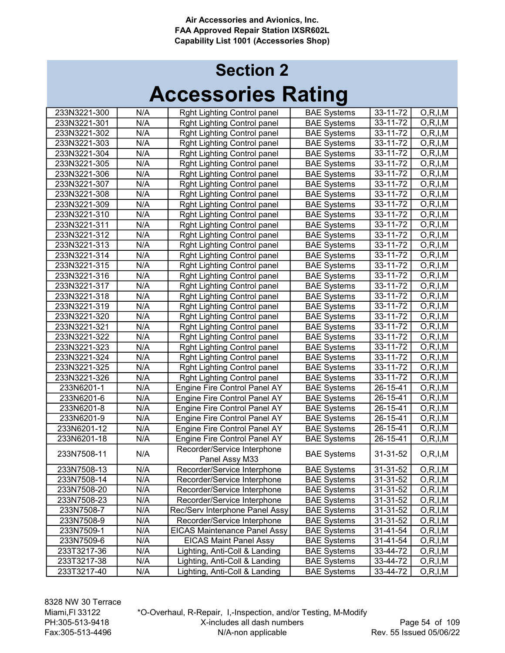| N/A<br><b>Rght Lighting Control panel</b><br><b>BAE Systems</b><br>33-11-72<br>O, R, I, M<br>233N3221-301<br>$33 - 11 - 72$<br>N/A<br>O, R, I, M<br>Rght Lighting Control panel<br><b>BAE Systems</b><br>233N3221-302<br>Rght Lighting Control panel<br><b>BAE Systems</b><br>33-11-72<br>O, R, I, M<br>233N3221-303<br>N/A<br><b>BAE Systems</b><br>33-11-72<br>O, R, I, M<br>233N3221-304<br>N/A<br>Rght Lighting Control panel<br>N/A<br><b>BAE Systems</b><br>33-11-72<br>O, R, I, M<br>233N3221-305<br>Rght Lighting Control panel<br>N/A<br>33-11-72<br>233N3221-306<br>Rght Lighting Control panel<br><b>BAE Systems</b><br>O, R, I, M<br>N/A<br>33-11-72<br>O, R, I, M<br>233N3221-307<br>Rght Lighting Control panel<br><b>BAE Systems</b><br>N/A<br>33-11-72<br>O, R, I, M<br>233N3221-308<br><b>BAE Systems</b><br>Rght Lighting Control panel<br>N/A<br>33-11-72<br><b>BAE Systems</b><br>O, R, I, M<br>233N3221-309<br>Rght Lighting Control panel<br>N/A<br>33-11-72<br><b>BAE Systems</b><br>O, R, I, M<br>233N3221-310<br>Rght Lighting Control panel<br>N/A<br>Rght Lighting Control panel<br><b>BAE Systems</b><br>33-11-72<br>O, R, I, M<br>233N3221-311<br>33-11-72<br>O, R, I, M<br>233N3221-312<br>N/A<br>Rght Lighting Control panel<br><b>BAE Systems</b><br>N/A<br>33-11-72<br>233N3221-313<br>Rght Lighting Control panel<br><b>BAE Systems</b><br>O, R, I, M<br>N/A<br>33-11-72<br>O, R, I, M<br>233N3221-314<br>Rght Lighting Control panel<br><b>BAE Systems</b><br>N/A<br><b>BAE Systems</b><br>33-11-72<br>233N3221-315<br>Rght Lighting Control panel<br>O, R, I, M<br>N/A<br>233N3221-316<br>Rght Lighting Control panel<br><b>BAE Systems</b><br>33-11-72<br>O, R, I, M<br>N/A<br><b>BAE Systems</b><br>233N3221-317<br>Rght Lighting Control panel<br>33-11-72<br>O, R, I, M<br>N/A<br><b>BAE Systems</b><br>233N3221-318<br>Rght Lighting Control panel<br>33-11-72<br>O, R, I, M<br>N/A<br><b>BAE Systems</b><br>233N3221-319<br>Rght Lighting Control panel<br>33-11-72<br>O, R, I, M<br>N/A<br><b>BAE</b> Systems<br>233N3221-320<br>Rght Lighting Control panel<br>33-11-72<br>O, R, I, M<br>N/A<br><b>BAE Systems</b><br>233N3221-321<br>Rght Lighting Control panel<br>33-11-72<br>O, R, I, M<br>N/A<br><b>BAE Systems</b><br>233N3221-322<br>Rght Lighting Control panel<br>33-11-72<br>O, R, I, M<br>N/A<br>Rght Lighting Control panel<br><b>BAE Systems</b><br>33-11-72<br>233N3221-323<br>O, R, I, M<br>N/A<br><b>BAE Systems</b><br>33-11-72<br>O, R, I, M<br>233N3221-324<br>Rght Lighting Control panel<br>N/A<br>33-11-72<br>233N3221-325<br>Rght Lighting Control panel<br><b>BAE Systems</b><br>O, R, I, M<br>N/A<br>33-11-72<br>233N3221-326<br>Rght Lighting Control panel<br><b>BAE Systems</b><br>O, R, I, M<br>26-15-41<br>N/A<br>Engine Fire Control Panel AY<br><b>BAE Systems</b><br>O, R, I, M<br>233N6201-1<br>26-15-41<br>O, R, I, M<br>233N6201-6<br>N/A<br>Engine Fire Control Panel AY<br><b>BAE Systems</b><br>N/A<br>26-15-41<br>O, R, I, M<br>233N6201-8<br>Engine Fire Control Panel AY<br><b>BAE Systems</b><br>233N6201-9<br>N/A<br><b>BAE Systems</b><br>26-15-41<br>O, R, I, M<br>Engine Fire Control Panel AY<br>233N6201-12<br>N/A<br>26-15-41<br>O, R, I, M<br>Engine Fire Control Panel AY<br><b>BAE Systems</b><br>26-15-41<br>N/A<br>O, R, I, M<br>233N6201-18<br>Engine Fire Control Panel AY<br><b>BAE Systems</b><br>Recorder/Service Interphone<br>233N7508-11<br>N/A<br><b>BAE Systems</b><br>31-31-52<br>O, R, I, M<br>Panel Assy M33<br>N/A<br>Recorder/Service Interphone<br><b>BAE Systems</b><br>31-31-52<br>O, R, I, M<br>233N7508-13<br>N/A<br>Recorder/Service Interphone<br><b>BAE Systems</b><br>31-31-52<br>O, R, I, M<br>233N7508-14<br>N/A<br>233N7508-20<br>Recorder/Service Interphone<br><b>BAE Systems</b><br>31-31-52<br>O, R, I, M<br>N/A<br>Recorder/Service Interphone<br>233N7508-23<br><b>BAE Systems</b><br>31-31-52<br>O, R, I, M<br>N/A<br>Rec/Serv Interphone Panel Assy<br>233N7508-7<br><b>BAE Systems</b><br>31-31-52<br>O, R, I, M<br>N/A<br>Recorder/Service Interphone<br>233N7508-9<br><b>BAE Systems</b><br>31-31-52<br>O, R, I, M<br>N/A<br><b>EICAS Maintenance Panel Assy</b><br>233N7509-1<br><b>BAE Systems</b><br>31-41-54<br>O, R, I, M<br>N/A<br>233N7509-6<br><b>EICAS Maint Panel Assy</b><br><b>BAE Systems</b><br>31-41-54<br>O, R, I, M<br>N/A<br>Lighting, Anti-Coll & Landing<br>233T3217-36<br><b>BAE Systems</b><br>33-44-72<br>O, R, I, M<br>N/A<br>Lighting, Anti-Coll & Landing<br><b>BAE Systems</b><br>33-44-72<br>233T3217-38<br>O, R, I, M |              |     |                               |                    |          |            |
|---------------------------------------------------------------------------------------------------------------------------------------------------------------------------------------------------------------------------------------------------------------------------------------------------------------------------------------------------------------------------------------------------------------------------------------------------------------------------------------------------------------------------------------------------------------------------------------------------------------------------------------------------------------------------------------------------------------------------------------------------------------------------------------------------------------------------------------------------------------------------------------------------------------------------------------------------------------------------------------------------------------------------------------------------------------------------------------------------------------------------------------------------------------------------------------------------------------------------------------------------------------------------------------------------------------------------------------------------------------------------------------------------------------------------------------------------------------------------------------------------------------------------------------------------------------------------------------------------------------------------------------------------------------------------------------------------------------------------------------------------------------------------------------------------------------------------------------------------------------------------------------------------------------------------------------------------------------------------------------------------------------------------------------------------------------------------------------------------------------------------------------------------------------------------------------------------------------------------------------------------------------------------------------------------------------------------------------------------------------------------------------------------------------------------------------------------------------------------------------------------------------------------------------------------------------------------------------------------------------------------------------------------------------------------------------------------------------------------------------------------------------------------------------------------------------------------------------------------------------------------------------------------------------------------------------------------------------------------------------------------------------------------------------------------------------------------------------------------------------------------------------------------------------------------------------------------------------------------------------------------------------------------------------------------------------------------------------------------------------------------------------------------------------------------------------------------------------------------------------------------------------------------------------------------------------------------------------------------------------------------------------------------------------------------------------------------------------------------------------------------------------------------------------------------------------------------------------------------------------------------------------------------------------------------------------------------------------------------------------------------------------------------------------------------------------------------------------------------------------------------------------------------------------------------------------------------------------------------------------------------------------------------------------------------------------------------------------------------------------------------------------------------------------------------------------------------------------------------------------------------------------------------------------------------------------------------------------------|--------------|-----|-------------------------------|--------------------|----------|------------|
|                                                                                                                                                                                                                                                                                                                                                                                                                                                                                                                                                                                                                                                                                                                                                                                                                                                                                                                                                                                                                                                                                                                                                                                                                                                                                                                                                                                                                                                                                                                                                                                                                                                                                                                                                                                                                                                                                                                                                                                                                                                                                                                                                                                                                                                                                                                                                                                                                                                                                                                                                                                                                                                                                                                                                                                                                                                                                                                                                                                                                                                                                                                                                                                                                                                                                                                                                                                                                                                                                                                                                                                                                                                                                                                                                                                                                                                                                                                                                                                                                                                                                                                                                                                                                                                                                                                                                                                                                                                                                                                                                                                             | 233N3221-300 | N/A | Rght Lighting Control panel   | <b>BAE Systems</b> | 33-11-72 | O, R, I, M |
|                                                                                                                                                                                                                                                                                                                                                                                                                                                                                                                                                                                                                                                                                                                                                                                                                                                                                                                                                                                                                                                                                                                                                                                                                                                                                                                                                                                                                                                                                                                                                                                                                                                                                                                                                                                                                                                                                                                                                                                                                                                                                                                                                                                                                                                                                                                                                                                                                                                                                                                                                                                                                                                                                                                                                                                                                                                                                                                                                                                                                                                                                                                                                                                                                                                                                                                                                                                                                                                                                                                                                                                                                                                                                                                                                                                                                                                                                                                                                                                                                                                                                                                                                                                                                                                                                                                                                                                                                                                                                                                                                                                             |              |     |                               |                    |          |            |
|                                                                                                                                                                                                                                                                                                                                                                                                                                                                                                                                                                                                                                                                                                                                                                                                                                                                                                                                                                                                                                                                                                                                                                                                                                                                                                                                                                                                                                                                                                                                                                                                                                                                                                                                                                                                                                                                                                                                                                                                                                                                                                                                                                                                                                                                                                                                                                                                                                                                                                                                                                                                                                                                                                                                                                                                                                                                                                                                                                                                                                                                                                                                                                                                                                                                                                                                                                                                                                                                                                                                                                                                                                                                                                                                                                                                                                                                                                                                                                                                                                                                                                                                                                                                                                                                                                                                                                                                                                                                                                                                                                                             |              |     |                               |                    |          |            |
|                                                                                                                                                                                                                                                                                                                                                                                                                                                                                                                                                                                                                                                                                                                                                                                                                                                                                                                                                                                                                                                                                                                                                                                                                                                                                                                                                                                                                                                                                                                                                                                                                                                                                                                                                                                                                                                                                                                                                                                                                                                                                                                                                                                                                                                                                                                                                                                                                                                                                                                                                                                                                                                                                                                                                                                                                                                                                                                                                                                                                                                                                                                                                                                                                                                                                                                                                                                                                                                                                                                                                                                                                                                                                                                                                                                                                                                                                                                                                                                                                                                                                                                                                                                                                                                                                                                                                                                                                                                                                                                                                                                             |              |     |                               |                    |          |            |
|                                                                                                                                                                                                                                                                                                                                                                                                                                                                                                                                                                                                                                                                                                                                                                                                                                                                                                                                                                                                                                                                                                                                                                                                                                                                                                                                                                                                                                                                                                                                                                                                                                                                                                                                                                                                                                                                                                                                                                                                                                                                                                                                                                                                                                                                                                                                                                                                                                                                                                                                                                                                                                                                                                                                                                                                                                                                                                                                                                                                                                                                                                                                                                                                                                                                                                                                                                                                                                                                                                                                                                                                                                                                                                                                                                                                                                                                                                                                                                                                                                                                                                                                                                                                                                                                                                                                                                                                                                                                                                                                                                                             |              |     |                               |                    |          |            |
|                                                                                                                                                                                                                                                                                                                                                                                                                                                                                                                                                                                                                                                                                                                                                                                                                                                                                                                                                                                                                                                                                                                                                                                                                                                                                                                                                                                                                                                                                                                                                                                                                                                                                                                                                                                                                                                                                                                                                                                                                                                                                                                                                                                                                                                                                                                                                                                                                                                                                                                                                                                                                                                                                                                                                                                                                                                                                                                                                                                                                                                                                                                                                                                                                                                                                                                                                                                                                                                                                                                                                                                                                                                                                                                                                                                                                                                                                                                                                                                                                                                                                                                                                                                                                                                                                                                                                                                                                                                                                                                                                                                             |              |     |                               |                    |          |            |
|                                                                                                                                                                                                                                                                                                                                                                                                                                                                                                                                                                                                                                                                                                                                                                                                                                                                                                                                                                                                                                                                                                                                                                                                                                                                                                                                                                                                                                                                                                                                                                                                                                                                                                                                                                                                                                                                                                                                                                                                                                                                                                                                                                                                                                                                                                                                                                                                                                                                                                                                                                                                                                                                                                                                                                                                                                                                                                                                                                                                                                                                                                                                                                                                                                                                                                                                                                                                                                                                                                                                                                                                                                                                                                                                                                                                                                                                                                                                                                                                                                                                                                                                                                                                                                                                                                                                                                                                                                                                                                                                                                                             |              |     |                               |                    |          |            |
|                                                                                                                                                                                                                                                                                                                                                                                                                                                                                                                                                                                                                                                                                                                                                                                                                                                                                                                                                                                                                                                                                                                                                                                                                                                                                                                                                                                                                                                                                                                                                                                                                                                                                                                                                                                                                                                                                                                                                                                                                                                                                                                                                                                                                                                                                                                                                                                                                                                                                                                                                                                                                                                                                                                                                                                                                                                                                                                                                                                                                                                                                                                                                                                                                                                                                                                                                                                                                                                                                                                                                                                                                                                                                                                                                                                                                                                                                                                                                                                                                                                                                                                                                                                                                                                                                                                                                                                                                                                                                                                                                                                             |              |     |                               |                    |          |            |
|                                                                                                                                                                                                                                                                                                                                                                                                                                                                                                                                                                                                                                                                                                                                                                                                                                                                                                                                                                                                                                                                                                                                                                                                                                                                                                                                                                                                                                                                                                                                                                                                                                                                                                                                                                                                                                                                                                                                                                                                                                                                                                                                                                                                                                                                                                                                                                                                                                                                                                                                                                                                                                                                                                                                                                                                                                                                                                                                                                                                                                                                                                                                                                                                                                                                                                                                                                                                                                                                                                                                                                                                                                                                                                                                                                                                                                                                                                                                                                                                                                                                                                                                                                                                                                                                                                                                                                                                                                                                                                                                                                                             |              |     |                               |                    |          |            |
|                                                                                                                                                                                                                                                                                                                                                                                                                                                                                                                                                                                                                                                                                                                                                                                                                                                                                                                                                                                                                                                                                                                                                                                                                                                                                                                                                                                                                                                                                                                                                                                                                                                                                                                                                                                                                                                                                                                                                                                                                                                                                                                                                                                                                                                                                                                                                                                                                                                                                                                                                                                                                                                                                                                                                                                                                                                                                                                                                                                                                                                                                                                                                                                                                                                                                                                                                                                                                                                                                                                                                                                                                                                                                                                                                                                                                                                                                                                                                                                                                                                                                                                                                                                                                                                                                                                                                                                                                                                                                                                                                                                             |              |     |                               |                    |          |            |
|                                                                                                                                                                                                                                                                                                                                                                                                                                                                                                                                                                                                                                                                                                                                                                                                                                                                                                                                                                                                                                                                                                                                                                                                                                                                                                                                                                                                                                                                                                                                                                                                                                                                                                                                                                                                                                                                                                                                                                                                                                                                                                                                                                                                                                                                                                                                                                                                                                                                                                                                                                                                                                                                                                                                                                                                                                                                                                                                                                                                                                                                                                                                                                                                                                                                                                                                                                                                                                                                                                                                                                                                                                                                                                                                                                                                                                                                                                                                                                                                                                                                                                                                                                                                                                                                                                                                                                                                                                                                                                                                                                                             |              |     |                               |                    |          |            |
|                                                                                                                                                                                                                                                                                                                                                                                                                                                                                                                                                                                                                                                                                                                                                                                                                                                                                                                                                                                                                                                                                                                                                                                                                                                                                                                                                                                                                                                                                                                                                                                                                                                                                                                                                                                                                                                                                                                                                                                                                                                                                                                                                                                                                                                                                                                                                                                                                                                                                                                                                                                                                                                                                                                                                                                                                                                                                                                                                                                                                                                                                                                                                                                                                                                                                                                                                                                                                                                                                                                                                                                                                                                                                                                                                                                                                                                                                                                                                                                                                                                                                                                                                                                                                                                                                                                                                                                                                                                                                                                                                                                             |              |     |                               |                    |          |            |
|                                                                                                                                                                                                                                                                                                                                                                                                                                                                                                                                                                                                                                                                                                                                                                                                                                                                                                                                                                                                                                                                                                                                                                                                                                                                                                                                                                                                                                                                                                                                                                                                                                                                                                                                                                                                                                                                                                                                                                                                                                                                                                                                                                                                                                                                                                                                                                                                                                                                                                                                                                                                                                                                                                                                                                                                                                                                                                                                                                                                                                                                                                                                                                                                                                                                                                                                                                                                                                                                                                                                                                                                                                                                                                                                                                                                                                                                                                                                                                                                                                                                                                                                                                                                                                                                                                                                                                                                                                                                                                                                                                                             |              |     |                               |                    |          |            |
|                                                                                                                                                                                                                                                                                                                                                                                                                                                                                                                                                                                                                                                                                                                                                                                                                                                                                                                                                                                                                                                                                                                                                                                                                                                                                                                                                                                                                                                                                                                                                                                                                                                                                                                                                                                                                                                                                                                                                                                                                                                                                                                                                                                                                                                                                                                                                                                                                                                                                                                                                                                                                                                                                                                                                                                                                                                                                                                                                                                                                                                                                                                                                                                                                                                                                                                                                                                                                                                                                                                                                                                                                                                                                                                                                                                                                                                                                                                                                                                                                                                                                                                                                                                                                                                                                                                                                                                                                                                                                                                                                                                             |              |     |                               |                    |          |            |
|                                                                                                                                                                                                                                                                                                                                                                                                                                                                                                                                                                                                                                                                                                                                                                                                                                                                                                                                                                                                                                                                                                                                                                                                                                                                                                                                                                                                                                                                                                                                                                                                                                                                                                                                                                                                                                                                                                                                                                                                                                                                                                                                                                                                                                                                                                                                                                                                                                                                                                                                                                                                                                                                                                                                                                                                                                                                                                                                                                                                                                                                                                                                                                                                                                                                                                                                                                                                                                                                                                                                                                                                                                                                                                                                                                                                                                                                                                                                                                                                                                                                                                                                                                                                                                                                                                                                                                                                                                                                                                                                                                                             |              |     |                               |                    |          |            |
|                                                                                                                                                                                                                                                                                                                                                                                                                                                                                                                                                                                                                                                                                                                                                                                                                                                                                                                                                                                                                                                                                                                                                                                                                                                                                                                                                                                                                                                                                                                                                                                                                                                                                                                                                                                                                                                                                                                                                                                                                                                                                                                                                                                                                                                                                                                                                                                                                                                                                                                                                                                                                                                                                                                                                                                                                                                                                                                                                                                                                                                                                                                                                                                                                                                                                                                                                                                                                                                                                                                                                                                                                                                                                                                                                                                                                                                                                                                                                                                                                                                                                                                                                                                                                                                                                                                                                                                                                                                                                                                                                                                             |              |     |                               |                    |          |            |
|                                                                                                                                                                                                                                                                                                                                                                                                                                                                                                                                                                                                                                                                                                                                                                                                                                                                                                                                                                                                                                                                                                                                                                                                                                                                                                                                                                                                                                                                                                                                                                                                                                                                                                                                                                                                                                                                                                                                                                                                                                                                                                                                                                                                                                                                                                                                                                                                                                                                                                                                                                                                                                                                                                                                                                                                                                                                                                                                                                                                                                                                                                                                                                                                                                                                                                                                                                                                                                                                                                                                                                                                                                                                                                                                                                                                                                                                                                                                                                                                                                                                                                                                                                                                                                                                                                                                                                                                                                                                                                                                                                                             |              |     |                               |                    |          |            |
|                                                                                                                                                                                                                                                                                                                                                                                                                                                                                                                                                                                                                                                                                                                                                                                                                                                                                                                                                                                                                                                                                                                                                                                                                                                                                                                                                                                                                                                                                                                                                                                                                                                                                                                                                                                                                                                                                                                                                                                                                                                                                                                                                                                                                                                                                                                                                                                                                                                                                                                                                                                                                                                                                                                                                                                                                                                                                                                                                                                                                                                                                                                                                                                                                                                                                                                                                                                                                                                                                                                                                                                                                                                                                                                                                                                                                                                                                                                                                                                                                                                                                                                                                                                                                                                                                                                                                                                                                                                                                                                                                                                             |              |     |                               |                    |          |            |
|                                                                                                                                                                                                                                                                                                                                                                                                                                                                                                                                                                                                                                                                                                                                                                                                                                                                                                                                                                                                                                                                                                                                                                                                                                                                                                                                                                                                                                                                                                                                                                                                                                                                                                                                                                                                                                                                                                                                                                                                                                                                                                                                                                                                                                                                                                                                                                                                                                                                                                                                                                                                                                                                                                                                                                                                                                                                                                                                                                                                                                                                                                                                                                                                                                                                                                                                                                                                                                                                                                                                                                                                                                                                                                                                                                                                                                                                                                                                                                                                                                                                                                                                                                                                                                                                                                                                                                                                                                                                                                                                                                                             |              |     |                               |                    |          |            |
|                                                                                                                                                                                                                                                                                                                                                                                                                                                                                                                                                                                                                                                                                                                                                                                                                                                                                                                                                                                                                                                                                                                                                                                                                                                                                                                                                                                                                                                                                                                                                                                                                                                                                                                                                                                                                                                                                                                                                                                                                                                                                                                                                                                                                                                                                                                                                                                                                                                                                                                                                                                                                                                                                                                                                                                                                                                                                                                                                                                                                                                                                                                                                                                                                                                                                                                                                                                                                                                                                                                                                                                                                                                                                                                                                                                                                                                                                                                                                                                                                                                                                                                                                                                                                                                                                                                                                                                                                                                                                                                                                                                             |              |     |                               |                    |          |            |
|                                                                                                                                                                                                                                                                                                                                                                                                                                                                                                                                                                                                                                                                                                                                                                                                                                                                                                                                                                                                                                                                                                                                                                                                                                                                                                                                                                                                                                                                                                                                                                                                                                                                                                                                                                                                                                                                                                                                                                                                                                                                                                                                                                                                                                                                                                                                                                                                                                                                                                                                                                                                                                                                                                                                                                                                                                                                                                                                                                                                                                                                                                                                                                                                                                                                                                                                                                                                                                                                                                                                                                                                                                                                                                                                                                                                                                                                                                                                                                                                                                                                                                                                                                                                                                                                                                                                                                                                                                                                                                                                                                                             |              |     |                               |                    |          |            |
|                                                                                                                                                                                                                                                                                                                                                                                                                                                                                                                                                                                                                                                                                                                                                                                                                                                                                                                                                                                                                                                                                                                                                                                                                                                                                                                                                                                                                                                                                                                                                                                                                                                                                                                                                                                                                                                                                                                                                                                                                                                                                                                                                                                                                                                                                                                                                                                                                                                                                                                                                                                                                                                                                                                                                                                                                                                                                                                                                                                                                                                                                                                                                                                                                                                                                                                                                                                                                                                                                                                                                                                                                                                                                                                                                                                                                                                                                                                                                                                                                                                                                                                                                                                                                                                                                                                                                                                                                                                                                                                                                                                             |              |     |                               |                    |          |            |
|                                                                                                                                                                                                                                                                                                                                                                                                                                                                                                                                                                                                                                                                                                                                                                                                                                                                                                                                                                                                                                                                                                                                                                                                                                                                                                                                                                                                                                                                                                                                                                                                                                                                                                                                                                                                                                                                                                                                                                                                                                                                                                                                                                                                                                                                                                                                                                                                                                                                                                                                                                                                                                                                                                                                                                                                                                                                                                                                                                                                                                                                                                                                                                                                                                                                                                                                                                                                                                                                                                                                                                                                                                                                                                                                                                                                                                                                                                                                                                                                                                                                                                                                                                                                                                                                                                                                                                                                                                                                                                                                                                                             |              |     |                               |                    |          |            |
|                                                                                                                                                                                                                                                                                                                                                                                                                                                                                                                                                                                                                                                                                                                                                                                                                                                                                                                                                                                                                                                                                                                                                                                                                                                                                                                                                                                                                                                                                                                                                                                                                                                                                                                                                                                                                                                                                                                                                                                                                                                                                                                                                                                                                                                                                                                                                                                                                                                                                                                                                                                                                                                                                                                                                                                                                                                                                                                                                                                                                                                                                                                                                                                                                                                                                                                                                                                                                                                                                                                                                                                                                                                                                                                                                                                                                                                                                                                                                                                                                                                                                                                                                                                                                                                                                                                                                                                                                                                                                                                                                                                             |              |     |                               |                    |          |            |
|                                                                                                                                                                                                                                                                                                                                                                                                                                                                                                                                                                                                                                                                                                                                                                                                                                                                                                                                                                                                                                                                                                                                                                                                                                                                                                                                                                                                                                                                                                                                                                                                                                                                                                                                                                                                                                                                                                                                                                                                                                                                                                                                                                                                                                                                                                                                                                                                                                                                                                                                                                                                                                                                                                                                                                                                                                                                                                                                                                                                                                                                                                                                                                                                                                                                                                                                                                                                                                                                                                                                                                                                                                                                                                                                                                                                                                                                                                                                                                                                                                                                                                                                                                                                                                                                                                                                                                                                                                                                                                                                                                                             |              |     |                               |                    |          |            |
|                                                                                                                                                                                                                                                                                                                                                                                                                                                                                                                                                                                                                                                                                                                                                                                                                                                                                                                                                                                                                                                                                                                                                                                                                                                                                                                                                                                                                                                                                                                                                                                                                                                                                                                                                                                                                                                                                                                                                                                                                                                                                                                                                                                                                                                                                                                                                                                                                                                                                                                                                                                                                                                                                                                                                                                                                                                                                                                                                                                                                                                                                                                                                                                                                                                                                                                                                                                                                                                                                                                                                                                                                                                                                                                                                                                                                                                                                                                                                                                                                                                                                                                                                                                                                                                                                                                                                                                                                                                                                                                                                                                             |              |     |                               |                    |          |            |
|                                                                                                                                                                                                                                                                                                                                                                                                                                                                                                                                                                                                                                                                                                                                                                                                                                                                                                                                                                                                                                                                                                                                                                                                                                                                                                                                                                                                                                                                                                                                                                                                                                                                                                                                                                                                                                                                                                                                                                                                                                                                                                                                                                                                                                                                                                                                                                                                                                                                                                                                                                                                                                                                                                                                                                                                                                                                                                                                                                                                                                                                                                                                                                                                                                                                                                                                                                                                                                                                                                                                                                                                                                                                                                                                                                                                                                                                                                                                                                                                                                                                                                                                                                                                                                                                                                                                                                                                                                                                                                                                                                                             |              |     |                               |                    |          |            |
|                                                                                                                                                                                                                                                                                                                                                                                                                                                                                                                                                                                                                                                                                                                                                                                                                                                                                                                                                                                                                                                                                                                                                                                                                                                                                                                                                                                                                                                                                                                                                                                                                                                                                                                                                                                                                                                                                                                                                                                                                                                                                                                                                                                                                                                                                                                                                                                                                                                                                                                                                                                                                                                                                                                                                                                                                                                                                                                                                                                                                                                                                                                                                                                                                                                                                                                                                                                                                                                                                                                                                                                                                                                                                                                                                                                                                                                                                                                                                                                                                                                                                                                                                                                                                                                                                                                                                                                                                                                                                                                                                                                             |              |     |                               |                    |          |            |
|                                                                                                                                                                                                                                                                                                                                                                                                                                                                                                                                                                                                                                                                                                                                                                                                                                                                                                                                                                                                                                                                                                                                                                                                                                                                                                                                                                                                                                                                                                                                                                                                                                                                                                                                                                                                                                                                                                                                                                                                                                                                                                                                                                                                                                                                                                                                                                                                                                                                                                                                                                                                                                                                                                                                                                                                                                                                                                                                                                                                                                                                                                                                                                                                                                                                                                                                                                                                                                                                                                                                                                                                                                                                                                                                                                                                                                                                                                                                                                                                                                                                                                                                                                                                                                                                                                                                                                                                                                                                                                                                                                                             |              |     |                               |                    |          |            |
|                                                                                                                                                                                                                                                                                                                                                                                                                                                                                                                                                                                                                                                                                                                                                                                                                                                                                                                                                                                                                                                                                                                                                                                                                                                                                                                                                                                                                                                                                                                                                                                                                                                                                                                                                                                                                                                                                                                                                                                                                                                                                                                                                                                                                                                                                                                                                                                                                                                                                                                                                                                                                                                                                                                                                                                                                                                                                                                                                                                                                                                                                                                                                                                                                                                                                                                                                                                                                                                                                                                                                                                                                                                                                                                                                                                                                                                                                                                                                                                                                                                                                                                                                                                                                                                                                                                                                                                                                                                                                                                                                                                             |              |     |                               |                    |          |            |
|                                                                                                                                                                                                                                                                                                                                                                                                                                                                                                                                                                                                                                                                                                                                                                                                                                                                                                                                                                                                                                                                                                                                                                                                                                                                                                                                                                                                                                                                                                                                                                                                                                                                                                                                                                                                                                                                                                                                                                                                                                                                                                                                                                                                                                                                                                                                                                                                                                                                                                                                                                                                                                                                                                                                                                                                                                                                                                                                                                                                                                                                                                                                                                                                                                                                                                                                                                                                                                                                                                                                                                                                                                                                                                                                                                                                                                                                                                                                                                                                                                                                                                                                                                                                                                                                                                                                                                                                                                                                                                                                                                                             |              |     |                               |                    |          |            |
|                                                                                                                                                                                                                                                                                                                                                                                                                                                                                                                                                                                                                                                                                                                                                                                                                                                                                                                                                                                                                                                                                                                                                                                                                                                                                                                                                                                                                                                                                                                                                                                                                                                                                                                                                                                                                                                                                                                                                                                                                                                                                                                                                                                                                                                                                                                                                                                                                                                                                                                                                                                                                                                                                                                                                                                                                                                                                                                                                                                                                                                                                                                                                                                                                                                                                                                                                                                                                                                                                                                                                                                                                                                                                                                                                                                                                                                                                                                                                                                                                                                                                                                                                                                                                                                                                                                                                                                                                                                                                                                                                                                             |              |     |                               |                    |          |            |
|                                                                                                                                                                                                                                                                                                                                                                                                                                                                                                                                                                                                                                                                                                                                                                                                                                                                                                                                                                                                                                                                                                                                                                                                                                                                                                                                                                                                                                                                                                                                                                                                                                                                                                                                                                                                                                                                                                                                                                                                                                                                                                                                                                                                                                                                                                                                                                                                                                                                                                                                                                                                                                                                                                                                                                                                                                                                                                                                                                                                                                                                                                                                                                                                                                                                                                                                                                                                                                                                                                                                                                                                                                                                                                                                                                                                                                                                                                                                                                                                                                                                                                                                                                                                                                                                                                                                                                                                                                                                                                                                                                                             |              |     |                               |                    |          |            |
|                                                                                                                                                                                                                                                                                                                                                                                                                                                                                                                                                                                                                                                                                                                                                                                                                                                                                                                                                                                                                                                                                                                                                                                                                                                                                                                                                                                                                                                                                                                                                                                                                                                                                                                                                                                                                                                                                                                                                                                                                                                                                                                                                                                                                                                                                                                                                                                                                                                                                                                                                                                                                                                                                                                                                                                                                                                                                                                                                                                                                                                                                                                                                                                                                                                                                                                                                                                                                                                                                                                                                                                                                                                                                                                                                                                                                                                                                                                                                                                                                                                                                                                                                                                                                                                                                                                                                                                                                                                                                                                                                                                             |              |     |                               |                    |          |            |
|                                                                                                                                                                                                                                                                                                                                                                                                                                                                                                                                                                                                                                                                                                                                                                                                                                                                                                                                                                                                                                                                                                                                                                                                                                                                                                                                                                                                                                                                                                                                                                                                                                                                                                                                                                                                                                                                                                                                                                                                                                                                                                                                                                                                                                                                                                                                                                                                                                                                                                                                                                                                                                                                                                                                                                                                                                                                                                                                                                                                                                                                                                                                                                                                                                                                                                                                                                                                                                                                                                                                                                                                                                                                                                                                                                                                                                                                                                                                                                                                                                                                                                                                                                                                                                                                                                                                                                                                                                                                                                                                                                                             |              |     |                               |                    |          |            |
|                                                                                                                                                                                                                                                                                                                                                                                                                                                                                                                                                                                                                                                                                                                                                                                                                                                                                                                                                                                                                                                                                                                                                                                                                                                                                                                                                                                                                                                                                                                                                                                                                                                                                                                                                                                                                                                                                                                                                                                                                                                                                                                                                                                                                                                                                                                                                                                                                                                                                                                                                                                                                                                                                                                                                                                                                                                                                                                                                                                                                                                                                                                                                                                                                                                                                                                                                                                                                                                                                                                                                                                                                                                                                                                                                                                                                                                                                                                                                                                                                                                                                                                                                                                                                                                                                                                                                                                                                                                                                                                                                                                             |              |     |                               |                    |          |            |
|                                                                                                                                                                                                                                                                                                                                                                                                                                                                                                                                                                                                                                                                                                                                                                                                                                                                                                                                                                                                                                                                                                                                                                                                                                                                                                                                                                                                                                                                                                                                                                                                                                                                                                                                                                                                                                                                                                                                                                                                                                                                                                                                                                                                                                                                                                                                                                                                                                                                                                                                                                                                                                                                                                                                                                                                                                                                                                                                                                                                                                                                                                                                                                                                                                                                                                                                                                                                                                                                                                                                                                                                                                                                                                                                                                                                                                                                                                                                                                                                                                                                                                                                                                                                                                                                                                                                                                                                                                                                                                                                                                                             |              |     |                               |                    |          |            |
|                                                                                                                                                                                                                                                                                                                                                                                                                                                                                                                                                                                                                                                                                                                                                                                                                                                                                                                                                                                                                                                                                                                                                                                                                                                                                                                                                                                                                                                                                                                                                                                                                                                                                                                                                                                                                                                                                                                                                                                                                                                                                                                                                                                                                                                                                                                                                                                                                                                                                                                                                                                                                                                                                                                                                                                                                                                                                                                                                                                                                                                                                                                                                                                                                                                                                                                                                                                                                                                                                                                                                                                                                                                                                                                                                                                                                                                                                                                                                                                                                                                                                                                                                                                                                                                                                                                                                                                                                                                                                                                                                                                             |              |     |                               |                    |          |            |
|                                                                                                                                                                                                                                                                                                                                                                                                                                                                                                                                                                                                                                                                                                                                                                                                                                                                                                                                                                                                                                                                                                                                                                                                                                                                                                                                                                                                                                                                                                                                                                                                                                                                                                                                                                                                                                                                                                                                                                                                                                                                                                                                                                                                                                                                                                                                                                                                                                                                                                                                                                                                                                                                                                                                                                                                                                                                                                                                                                                                                                                                                                                                                                                                                                                                                                                                                                                                                                                                                                                                                                                                                                                                                                                                                                                                                                                                                                                                                                                                                                                                                                                                                                                                                                                                                                                                                                                                                                                                                                                                                                                             |              |     |                               |                    |          |            |
|                                                                                                                                                                                                                                                                                                                                                                                                                                                                                                                                                                                                                                                                                                                                                                                                                                                                                                                                                                                                                                                                                                                                                                                                                                                                                                                                                                                                                                                                                                                                                                                                                                                                                                                                                                                                                                                                                                                                                                                                                                                                                                                                                                                                                                                                                                                                                                                                                                                                                                                                                                                                                                                                                                                                                                                                                                                                                                                                                                                                                                                                                                                                                                                                                                                                                                                                                                                                                                                                                                                                                                                                                                                                                                                                                                                                                                                                                                                                                                                                                                                                                                                                                                                                                                                                                                                                                                                                                                                                                                                                                                                             |              |     |                               |                    |          |            |
|                                                                                                                                                                                                                                                                                                                                                                                                                                                                                                                                                                                                                                                                                                                                                                                                                                                                                                                                                                                                                                                                                                                                                                                                                                                                                                                                                                                                                                                                                                                                                                                                                                                                                                                                                                                                                                                                                                                                                                                                                                                                                                                                                                                                                                                                                                                                                                                                                                                                                                                                                                                                                                                                                                                                                                                                                                                                                                                                                                                                                                                                                                                                                                                                                                                                                                                                                                                                                                                                                                                                                                                                                                                                                                                                                                                                                                                                                                                                                                                                                                                                                                                                                                                                                                                                                                                                                                                                                                                                                                                                                                                             |              |     |                               |                    |          |            |
|                                                                                                                                                                                                                                                                                                                                                                                                                                                                                                                                                                                                                                                                                                                                                                                                                                                                                                                                                                                                                                                                                                                                                                                                                                                                                                                                                                                                                                                                                                                                                                                                                                                                                                                                                                                                                                                                                                                                                                                                                                                                                                                                                                                                                                                                                                                                                                                                                                                                                                                                                                                                                                                                                                                                                                                                                                                                                                                                                                                                                                                                                                                                                                                                                                                                                                                                                                                                                                                                                                                                                                                                                                                                                                                                                                                                                                                                                                                                                                                                                                                                                                                                                                                                                                                                                                                                                                                                                                                                                                                                                                                             |              |     |                               |                    |          |            |
|                                                                                                                                                                                                                                                                                                                                                                                                                                                                                                                                                                                                                                                                                                                                                                                                                                                                                                                                                                                                                                                                                                                                                                                                                                                                                                                                                                                                                                                                                                                                                                                                                                                                                                                                                                                                                                                                                                                                                                                                                                                                                                                                                                                                                                                                                                                                                                                                                                                                                                                                                                                                                                                                                                                                                                                                                                                                                                                                                                                                                                                                                                                                                                                                                                                                                                                                                                                                                                                                                                                                                                                                                                                                                                                                                                                                                                                                                                                                                                                                                                                                                                                                                                                                                                                                                                                                                                                                                                                                                                                                                                                             |              |     |                               |                    |          |            |
|                                                                                                                                                                                                                                                                                                                                                                                                                                                                                                                                                                                                                                                                                                                                                                                                                                                                                                                                                                                                                                                                                                                                                                                                                                                                                                                                                                                                                                                                                                                                                                                                                                                                                                                                                                                                                                                                                                                                                                                                                                                                                                                                                                                                                                                                                                                                                                                                                                                                                                                                                                                                                                                                                                                                                                                                                                                                                                                                                                                                                                                                                                                                                                                                                                                                                                                                                                                                                                                                                                                                                                                                                                                                                                                                                                                                                                                                                                                                                                                                                                                                                                                                                                                                                                                                                                                                                                                                                                                                                                                                                                                             |              |     |                               |                    |          |            |
|                                                                                                                                                                                                                                                                                                                                                                                                                                                                                                                                                                                                                                                                                                                                                                                                                                                                                                                                                                                                                                                                                                                                                                                                                                                                                                                                                                                                                                                                                                                                                                                                                                                                                                                                                                                                                                                                                                                                                                                                                                                                                                                                                                                                                                                                                                                                                                                                                                                                                                                                                                                                                                                                                                                                                                                                                                                                                                                                                                                                                                                                                                                                                                                                                                                                                                                                                                                                                                                                                                                                                                                                                                                                                                                                                                                                                                                                                                                                                                                                                                                                                                                                                                                                                                                                                                                                                                                                                                                                                                                                                                                             |              |     |                               |                    |          |            |
|                                                                                                                                                                                                                                                                                                                                                                                                                                                                                                                                                                                                                                                                                                                                                                                                                                                                                                                                                                                                                                                                                                                                                                                                                                                                                                                                                                                                                                                                                                                                                                                                                                                                                                                                                                                                                                                                                                                                                                                                                                                                                                                                                                                                                                                                                                                                                                                                                                                                                                                                                                                                                                                                                                                                                                                                                                                                                                                                                                                                                                                                                                                                                                                                                                                                                                                                                                                                                                                                                                                                                                                                                                                                                                                                                                                                                                                                                                                                                                                                                                                                                                                                                                                                                                                                                                                                                                                                                                                                                                                                                                                             | 233T3217-40  | N/A | Lighting, Anti-Coll & Landing | <b>BAE Systems</b> | 33-44-72 | O, R, I, M |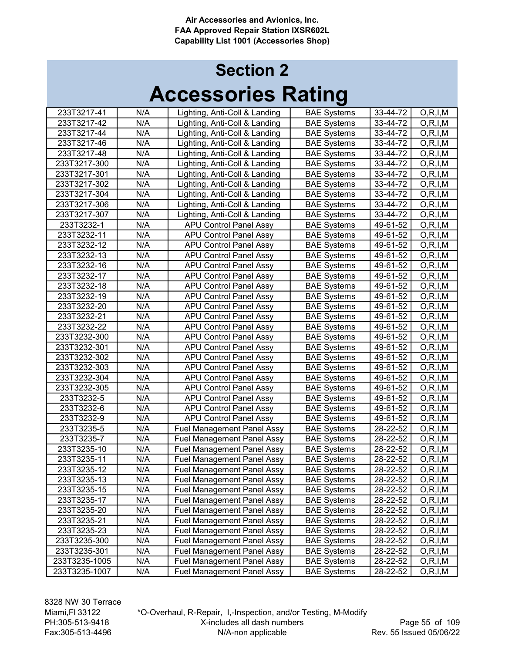| 233T3217-41   | N/A | Lighting, Anti-Coll & Landing     | <b>BAE Systems</b> | 33-44-72 | O, R, I, M |
|---------------|-----|-----------------------------------|--------------------|----------|------------|
| 233T3217-42   | N/A | Lighting, Anti-Coll & Landing     | <b>BAE Systems</b> | 33-44-72 | O, R, I, M |
| 233T3217-44   | N/A | Lighting, Anti-Coll & Landing     | <b>BAE Systems</b> | 33-44-72 | O, R, I, M |
| 233T3217-46   | N/A | Lighting, Anti-Coll & Landing     | <b>BAE Systems</b> | 33-44-72 | O, R, I, M |
| 233T3217-48   | N/A | Lighting, Anti-Coll & Landing     | <b>BAE Systems</b> | 33-44-72 | O, R, I, M |
| 233T3217-300  | N/A | Lighting, Anti-Coll & Landing     | <b>BAE Systems</b> | 33-44-72 | O, R, I, M |
| 233T3217-301  | N/A | Lighting, Anti-Coll & Landing     | <b>BAE Systems</b> | 33-44-72 | O, R, I, M |
| 233T3217-302  | N/A | Lighting, Anti-Coll & Landing     | <b>BAE Systems</b> | 33-44-72 | O, R, I, M |
| 233T3217-304  | N/A | Lighting, Anti-Coll & Landing     | <b>BAE Systems</b> | 33-44-72 | O, R, I, M |
| 233T3217-306  | N/A | Lighting, Anti-Coll & Landing     | <b>BAE Systems</b> | 33-44-72 | O, R, I, M |
| 233T3217-307  | N/A | Lighting, Anti-Coll & Landing     | <b>BAE Systems</b> | 33-44-72 | O, R, I, M |
| 233T3232-1    | N/A | <b>APU Control Panel Assy</b>     | <b>BAE Systems</b> | 49-61-52 | O, R, I, M |
| 233T3232-11   | N/A | <b>APU Control Panel Assy</b>     | <b>BAE Systems</b> | 49-61-52 | O, R, I, M |
| 233T3232-12   | N/A | <b>APU Control Panel Assy</b>     | <b>BAE Systems</b> | 49-61-52 | O, R, I, M |
| 233T3232-13   | N/A | <b>APU Control Panel Assy</b>     | <b>BAE Systems</b> | 49-61-52 | O, R, I, M |
| 233T3232-16   | N/A | <b>APU Control Panel Assy</b>     | <b>BAE Systems</b> | 49-61-52 | O, R, I, M |
| 233T3232-17   | N/A | <b>APU Control Panel Assy</b>     | <b>BAE Systems</b> | 49-61-52 | O, R, I, M |
| 233T3232-18   | N/A | <b>APU Control Panel Assy</b>     | <b>BAE Systems</b> | 49-61-52 | O, R, I, M |
| 233T3232-19   | N/A | <b>APU Control Panel Assy</b>     | <b>BAE Systems</b> | 49-61-52 | O, R, I, M |
| 233T3232-20   | N/A | <b>APU Control Panel Assy</b>     | <b>BAE Systems</b> | 49-61-52 | O, R, I, M |
| 233T3232-21   | N/A | <b>APU Control Panel Assy</b>     | <b>BAE Systems</b> | 49-61-52 | O, R, I, M |
| 233T3232-22   | N/A | <b>APU Control Panel Assy</b>     | <b>BAE Systems</b> | 49-61-52 | O, R, I, M |
| 233T3232-300  | N/A | <b>APU Control Panel Assy</b>     | <b>BAE Systems</b> | 49-61-52 | O, R, I, M |
| 233T3232-301  | N/A | <b>APU Control Panel Assy</b>     | <b>BAE</b> Systems | 49-61-52 | O, R, I, M |
| 233T3232-302  | N/A | <b>APU Control Panel Assy</b>     | <b>BAE Systems</b> | 49-61-52 | O, R, I, M |
| 233T3232-303  | N/A | <b>APU Control Panel Assy</b>     | <b>BAE Systems</b> | 49-61-52 | O, R, I, M |
| 233T3232-304  | N/A | <b>APU Control Panel Assy</b>     | <b>BAE Systems</b> | 49-61-52 | O, R, I, M |
| 233T3232-305  | N/A | <b>APU Control Panel Assy</b>     | <b>BAE Systems</b> | 49-61-52 | O, R, I, M |
| 233T3232-5    | N/A | <b>APU Control Panel Assy</b>     | <b>BAE Systems</b> | 49-61-52 | O, R, I, M |
| 233T3232-6    | N/A | <b>APU Control Panel Assy</b>     | <b>BAE Systems</b> | 49-61-52 | O, R, I, M |
| 233T3232-9    | N/A | <b>APU Control Panel Assy</b>     | <b>BAE Systems</b> | 49-61-52 | O, R, I, M |
| 233T3235-5    | N/A | <b>Fuel Management Panel Assy</b> | <b>BAE Systems</b> | 28-22-52 | O, R, I, M |
| 233T3235-7    | N/A | <b>Fuel Management Panel Assy</b> | <b>BAE Systems</b> | 28-22-52 | O, R, I, M |
| 233T3235-10   | N/A | <b>Fuel Management Panel Assy</b> | <b>BAE Systems</b> | 28-22-52 | O, R, I, M |
| 233T3235-11   | N/A | <b>Fuel Management Panel Assy</b> | <b>BAE Systems</b> | 28-22-52 | O, R, I, M |
| 233T3235-12   | N/A | <b>Fuel Management Panel Assy</b> | <b>BAE Systems</b> | 28-22-52 | O, R, I, M |
| 233T3235-13   | N/A | <b>Fuel Management Panel Assy</b> | <b>BAE Systems</b> | 28-22-52 | O, R, I, M |
| 233T3235-15   | N/A | <b>Fuel Management Panel Assy</b> | <b>BAE Systems</b> | 28-22-52 | O, R, I, M |
| 233T3235-17   | N/A | <b>Fuel Management Panel Assy</b> | <b>BAE Systems</b> | 28-22-52 | O, R, I, M |
| 233T3235-20   | N/A | <b>Fuel Management Panel Assy</b> | <b>BAE Systems</b> | 28-22-52 | O, R, I, M |
| 233T3235-21   | N/A | <b>Fuel Management Panel Assy</b> | <b>BAE Systems</b> | 28-22-52 | O, R, I, M |
| 233T3235-23   | N/A | <b>Fuel Management Panel Assy</b> | <b>BAE Systems</b> | 28-22-52 | O, R, I, M |
| 233T3235-300  | N/A | <b>Fuel Management Panel Assy</b> | <b>BAE Systems</b> | 28-22-52 | O, R, I, M |
| 233T3235-301  | N/A | <b>Fuel Management Panel Assy</b> | <b>BAE Systems</b> | 28-22-52 | O, R, I, M |
| 233T3235-1005 | N/A | <b>Fuel Management Panel Assy</b> | <b>BAE Systems</b> | 28-22-52 | O, R, I, M |
| 233T3235-1007 | N/A | <b>Fuel Management Panel Assy</b> | <b>BAE Systems</b> | 28-22-52 | O,R,I,M    |
|               |     |                                   |                    |          |            |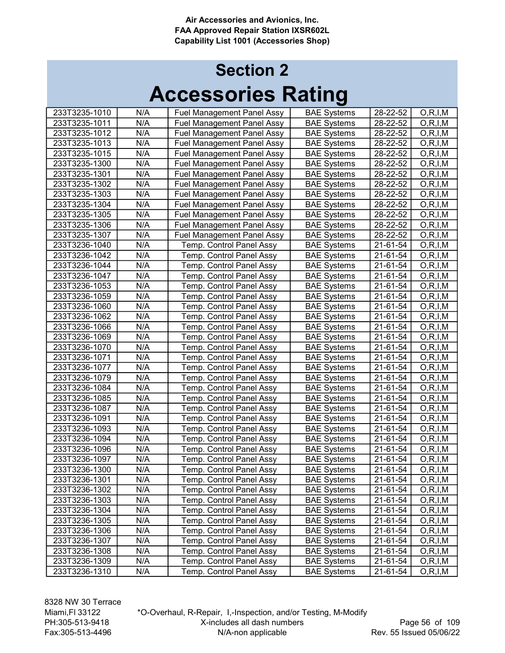| 233T3235-1010 | N/A | <b>Fuel Management Panel Assy</b> | <b>BAE Systems</b> | 28-22-52 | O, R, I, M |
|---------------|-----|-----------------------------------|--------------------|----------|------------|
| 233T3235-1011 | N/A | <b>Fuel Management Panel Assy</b> | <b>BAE Systems</b> | 28-22-52 | O, R, I, M |
| 233T3235-1012 | N/A | <b>Fuel Management Panel Assy</b> | <b>BAE Systems</b> | 28-22-52 | O, R, I, M |
| 233T3235-1013 | N/A | <b>Fuel Management Panel Assy</b> | <b>BAE Systems</b> | 28-22-52 | O, R, I, M |
| 233T3235-1015 | N/A | <b>Fuel Management Panel Assy</b> | <b>BAE Systems</b> | 28-22-52 | O, R, I, M |
| 233T3235-1300 | N/A | <b>Fuel Management Panel Assy</b> | <b>BAE Systems</b> | 28-22-52 | O, R, I, M |
| 233T3235-1301 | N/A | <b>Fuel Management Panel Assy</b> | <b>BAE Systems</b> | 28-22-52 | O, R, I, M |
| 233T3235-1302 | N/A | <b>Fuel Management Panel Assy</b> | <b>BAE Systems</b> | 28-22-52 | O, R, I, M |
| 233T3235-1303 | N/A | <b>Fuel Management Panel Assy</b> | <b>BAE Systems</b> | 28-22-52 | O, R, I, M |
| 233T3235-1304 | N/A | <b>Fuel Management Panel Assy</b> | <b>BAE Systems</b> | 28-22-52 | O, R, I, M |
| 233T3235-1305 | N/A | <b>Fuel Management Panel Assy</b> | <b>BAE Systems</b> | 28-22-52 | O, R, I, M |
| 233T3235-1306 | N/A | <b>Fuel Management Panel Assy</b> | <b>BAE Systems</b> | 28-22-52 | O, R, I, M |
| 233T3235-1307 | N/A | <b>Fuel Management Panel Assy</b> | <b>BAE Systems</b> | 28-22-52 | O, R, I, M |
| 233T3236-1040 | N/A | Temp. Control Panel Assy          | <b>BAE Systems</b> | 21-61-54 | O, R, I, M |
| 233T3236-1042 | N/A | Temp. Control Panel Assy          | <b>BAE Systems</b> | 21-61-54 | O, R, I, M |
| 233T3236-1044 | N/A | Temp. Control Panel Assy          | <b>BAE Systems</b> | 21-61-54 | O, R, I, M |
| 233T3236-1047 | N/A | Temp. Control Panel Assy          | <b>BAE Systems</b> | 21-61-54 | O, R, I, M |
| 233T3236-1053 | N/A | Temp. Control Panel Assy          | <b>BAE Systems</b> | 21-61-54 | O, R, I, M |
| 233T3236-1059 | N/A | Temp. Control Panel Assy          | <b>BAE Systems</b> | 21-61-54 | O, R, I, M |
| 233T3236-1060 | N/A | Temp. Control Panel Assy          | <b>BAE Systems</b> | 21-61-54 | O, R, I, M |
| 233T3236-1062 | N/A | Temp. Control Panel Assy          | <b>BAE Systems</b> | 21-61-54 | O, R, I, M |
| 233T3236-1066 | N/A | Temp. Control Panel Assy          | <b>BAE Systems</b> | 21-61-54 | O, R, I, M |
| 233T3236-1069 | N/A | Temp. Control Panel Assy          | <b>BAE Systems</b> | 21-61-54 | O, R, I, M |
| 233T3236-1070 | N/A | Temp. Control Panel Assy          | <b>BAE Systems</b> | 21-61-54 | O, R, I, M |
| 233T3236-1071 | N/A | Temp. Control Panel Assy          | <b>BAE Systems</b> | 21-61-54 | O, R, I, M |
| 233T3236-1077 | N/A | Temp. Control Panel Assy          | <b>BAE Systems</b> | 21-61-54 | O, R, I, M |
| 233T3236-1079 | N/A | Temp. Control Panel Assy          | <b>BAE Systems</b> | 21-61-54 | O, R, I, M |
| 233T3236-1084 | N/A | Temp. Control Panel Assy          | <b>BAE Systems</b> | 21-61-54 | O, R, I, M |
| 233T3236-1085 | N/A | Temp. Control Panel Assy          | <b>BAE Systems</b> | 21-61-54 | O, R, I, M |
| 233T3236-1087 | N/A | Temp. Control Panel Assy          | <b>BAE Systems</b> | 21-61-54 | O, R, I, M |
| 233T3236-1091 | N/A | Temp. Control Panel Assy          | <b>BAE Systems</b> | 21-61-54 | O, R, I, M |
| 233T3236-1093 | N/A | Temp. Control Panel Assy          | <b>BAE Systems</b> | 21-61-54 | O, R, I, M |
| 233T3236-1094 | N/A | Temp. Control Panel Assy          | <b>BAE Systems</b> | 21-61-54 | O, R, I, M |
| 233T3236-1096 | N/A | Temp. Control Panel Assy          | <b>BAE Systems</b> | 21-61-54 | O, R, I, M |
| 233T3236-1097 | N/A | Temp. Control Panel Assy          | <b>BAE Systems</b> | 21-61-54 | O, R, I, M |
| 233T3236-1300 | N/A | Temp. Control Panel Assy          | <b>BAE Systems</b> | 21-61-54 | O, R, I, M |
| 233T3236-1301 | N/A | Temp. Control Panel Assy          | <b>BAE Systems</b> | 21-61-54 | O, R, I, M |
| 233T3236-1302 | N/A | Temp. Control Panel Assy          | <b>BAE Systems</b> | 21-61-54 | O, R, I, M |
| 233T3236-1303 | N/A | Temp. Control Panel Assy          | <b>BAE Systems</b> | 21-61-54 | O, R, I, M |
| 233T3236-1304 | N/A | Temp. Control Panel Assy          | <b>BAE Systems</b> | 21-61-54 | O, R, I, M |
| 233T3236-1305 | N/A | Temp. Control Panel Assy          | <b>BAE Systems</b> | 21-61-54 | O, R, I, M |
| 233T3236-1306 | N/A | Temp. Control Panel Assy          | <b>BAE Systems</b> | 21-61-54 | O, R, I, M |
| 233T3236-1307 | N/A | Temp. Control Panel Assy          | <b>BAE Systems</b> | 21-61-54 | O, R, I, M |
| 233T3236-1308 | N/A | Temp. Control Panel Assy          | <b>BAE Systems</b> | 21-61-54 | O,R,I,M    |
| 233T3236-1309 | N/A | Temp. Control Panel Assy          | <b>BAE Systems</b> | 21-61-54 | O, R, I, M |
| 233T3236-1310 | N/A | Temp. Control Panel Assy          | <b>BAE Systems</b> | 21-61-54 | O, R, I, M |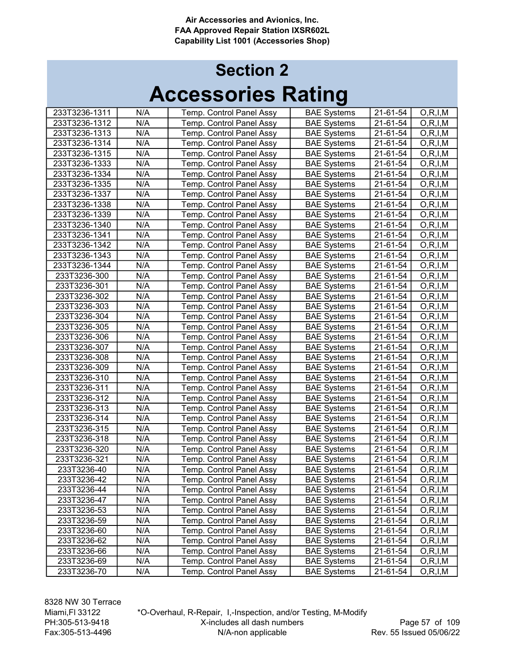| 233T3236-1311 | N/A | Temp. Control Panel Assy | <b>BAE Systems</b> | 21-61-54 | O, R, I, M |
|---------------|-----|--------------------------|--------------------|----------|------------|
| 233T3236-1312 | N/A | Temp. Control Panel Assy | <b>BAE Systems</b> | 21-61-54 | O, R, I, M |
| 233T3236-1313 | N/A | Temp. Control Panel Assy | <b>BAE Systems</b> | 21-61-54 | O, R, I, M |
| 233T3236-1314 | N/A | Temp. Control Panel Assy | <b>BAE Systems</b> | 21-61-54 | O, R, I, M |
| 233T3236-1315 | N/A | Temp. Control Panel Assy | <b>BAE Systems</b> | 21-61-54 | O, R, I, M |
| 233T3236-1333 | N/A | Temp. Control Panel Assy | <b>BAE Systems</b> | 21-61-54 | O, R, I, M |
| 233T3236-1334 | N/A | Temp. Control Panel Assy | <b>BAE Systems</b> | 21-61-54 | O, R, I, M |
| 233T3236-1335 | N/A | Temp. Control Panel Assy | <b>BAE Systems</b> | 21-61-54 | O, R, I, M |
| 233T3236-1337 | N/A | Temp. Control Panel Assy | <b>BAE Systems</b> | 21-61-54 | O, R, I, M |
| 233T3236-1338 | N/A | Temp. Control Panel Assy | <b>BAE Systems</b> | 21-61-54 | O, R, I, M |
| 233T3236-1339 | N/A | Temp. Control Panel Assy | <b>BAE Systems</b> | 21-61-54 | O, R, I, M |
| 233T3236-1340 | N/A | Temp. Control Panel Assy | <b>BAE Systems</b> | 21-61-54 | O, R, I, M |
| 233T3236-1341 | N/A | Temp. Control Panel Assy | <b>BAE Systems</b> | 21-61-54 | O, R, I, M |
| 233T3236-1342 | N/A | Temp. Control Panel Assy | <b>BAE Systems</b> | 21-61-54 | O, R, I, M |
| 233T3236-1343 | N/A | Temp. Control Panel Assy | <b>BAE Systems</b> | 21-61-54 | O, R, I, M |
| 233T3236-1344 | N/A | Temp. Control Panel Assy | <b>BAE Systems</b> | 21-61-54 | O, R, I, M |
| 233T3236-300  | N/A | Temp. Control Panel Assy | <b>BAE Systems</b> | 21-61-54 | O, R, I, M |
| 233T3236-301  | N/A | Temp. Control Panel Assy | <b>BAE Systems</b> | 21-61-54 | O, R, I, M |
| 233T3236-302  | N/A | Temp. Control Panel Assy | <b>BAE Systems</b> | 21-61-54 | O, R, I, M |
| 233T3236-303  | N/A | Temp. Control Panel Assy | <b>BAE Systems</b> | 21-61-54 | O, R, I, M |
| 233T3236-304  | N/A | Temp. Control Panel Assy | <b>BAE Systems</b> | 21-61-54 | O, R, I, M |
| 233T3236-305  | N/A | Temp. Control Panel Assy | <b>BAE Systems</b> | 21-61-54 | O, R, I, M |
| 233T3236-306  | N/A | Temp. Control Panel Assy | <b>BAE Systems</b> | 21-61-54 | O, R, I, M |
| 233T3236-307  | N/A | Temp. Control Panel Assy | <b>BAE Systems</b> | 21-61-54 | O, R, I, M |
| 233T3236-308  | N/A | Temp. Control Panel Assy | <b>BAE Systems</b> | 21-61-54 | O, R, I, M |
| 233T3236-309  | N/A | Temp. Control Panel Assy | <b>BAE Systems</b> | 21-61-54 | O, R, I, M |
| 233T3236-310  | N/A | Temp. Control Panel Assy | <b>BAE Systems</b> | 21-61-54 | O, R, I, M |
| 233T3236-311  | N/A | Temp. Control Panel Assy | <b>BAE Systems</b> | 21-61-54 | O, R, I, M |
| 233T3236-312  | N/A | Temp. Control Panel Assy | <b>BAE Systems</b> | 21-61-54 | O, R, I, M |
| 233T3236-313  | N/A | Temp. Control Panel Assy | <b>BAE Systems</b> | 21-61-54 | O, R, I, M |
| 233T3236-314  | N/A | Temp. Control Panel Assy | <b>BAE Systems</b> | 21-61-54 | O, R, I, M |
| 233T3236-315  | N/A | Temp. Control Panel Assy | <b>BAE Systems</b> | 21-61-54 | O, R, I, M |
| 233T3236-318  | N/A | Temp. Control Panel Assy | <b>BAE Systems</b> | 21-61-54 | O, R, I, M |
| 233T3236-320  | N/A | Temp. Control Panel Assy | <b>BAE Systems</b> | 21-61-54 | O, R, I, M |
| 233T3236-321  | N/A | Temp. Control Panel Assy | <b>BAE Systems</b> | 21-61-54 | O, R, I, M |
| 233T3236-40   | N/A | Temp. Control Panel Assy | <b>BAE Systems</b> | 21-61-54 | O, R, I, M |
| 233T3236-42   | N/A | Temp. Control Panel Assy | <b>BAE Systems</b> | 21-61-54 | O, R, I, M |
| 233T3236-44   | N/A | Temp. Control Panel Assy | <b>BAE Systems</b> | 21-61-54 | O, R, I, M |
| 233T3236-47   | N/A | Temp. Control Panel Assy | <b>BAE Systems</b> | 21-61-54 | O, R, I, M |
| 233T3236-53   | N/A | Temp. Control Panel Assy | <b>BAE Systems</b> | 21-61-54 | O, R, I, M |
| 233T3236-59   | N/A | Temp. Control Panel Assy | <b>BAE Systems</b> | 21-61-54 | O, R, I, M |
| 233T3236-60   | N/A | Temp. Control Panel Assy | <b>BAE Systems</b> | 21-61-54 | O, R, I, M |
| 233T3236-62   | N/A | Temp. Control Panel Assy | <b>BAE Systems</b> | 21-61-54 | O, R, I, M |
| 233T3236-66   | N/A | Temp. Control Panel Assy | <b>BAE Systems</b> | 21-61-54 | O,R,I,M    |
| 233T3236-69   | N/A | Temp. Control Panel Assy | <b>BAE Systems</b> | 21-61-54 | O, R, I, M |
| 233T3236-70   | N/A | Temp. Control Panel Assy | <b>BAE Systems</b> | 21-61-54 | O, R, I, M |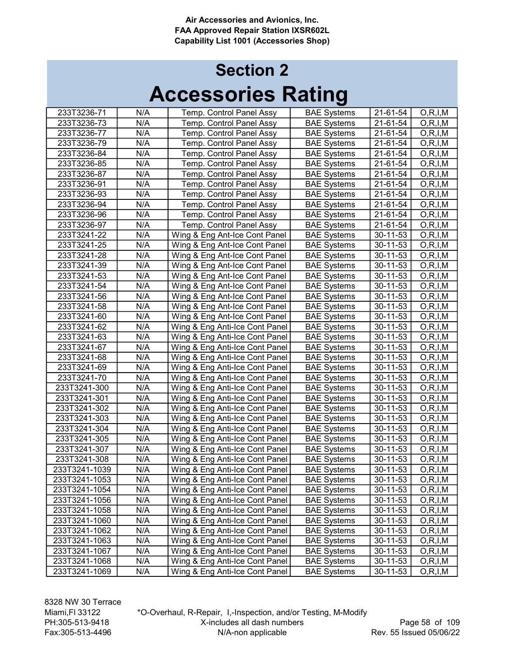| 233T3236-71   | N/A | Temp. Control Panel Assy       | <b>BAE Systems</b> | 21-61-54 |                          |
|---------------|-----|--------------------------------|--------------------|----------|--------------------------|
| 233T3236-73   | N/A | Temp. Control Panel Assy       | <b>BAE Systems</b> | 21-61-54 | O, R, I, M<br>O, R, I, M |
| 233T3236-77   | N/A | Temp. Control Panel Assy       | <b>BAE Systems</b> | 21-61-54 | O, R, I, M               |
| 233T3236-79   | N/A |                                | <b>BAE Systems</b> | 21-61-54 |                          |
| 233T3236-84   | N/A | Temp. Control Panel Assy       |                    |          | O, R, I, M               |
|               |     | Temp. Control Panel Assy       | <b>BAE Systems</b> | 21-61-54 | O, R, I, M               |
| 233T3236-85   | N/A | Temp. Control Panel Assy       | <b>BAE Systems</b> | 21-61-54 | O, R, I, M               |
| 233T3236-87   | N/A | Temp. Control Panel Assy       | <b>BAE Systems</b> | 21-61-54 | O, R, I, M               |
| 233T3236-91   | N/A | Temp. Control Panel Assy       | <b>BAE Systems</b> | 21-61-54 | O, R, I, M               |
| 233T3236-93   | N/A | Temp. Control Panel Assy       | <b>BAE Systems</b> | 21-61-54 | O, R, I, M               |
| 233T3236-94   | N/A | Temp. Control Panel Assy       | <b>BAE Systems</b> | 21-61-54 | O, R, I, M               |
| 233T3236-96   | N/A | Temp. Control Panel Assy       | <b>BAE Systems</b> | 21-61-54 | O, R, I, M               |
| 233T3236-97   | N/A | Temp. Control Panel Assy       | <b>BAE Systems</b> | 21-61-54 | O, R, I, M               |
| 233T3241-22   | N/A | Wing & Eng Ant-Ice Cont Panel  | <b>BAE Systems</b> | 30-11-53 | O, R, I, M               |
| 233T3241-25   | N/A | Wing & Eng Ant-Ice Cont Panel  | <b>BAE Systems</b> | 30-11-53 | O, R, I, M               |
| 233T3241-28   | N/A | Wing & Eng Ant-Ice Cont Panel  | <b>BAE Systems</b> | 30-11-53 | O, R, I, M               |
| 233T3241-39   | N/A | Wing & Eng Ant-Ice Cont Panel  | <b>BAE Systems</b> | 30-11-53 | O, R, I, M               |
| 233T3241-53   | N/A | Wing & Eng Ant-Ice Cont Panel  | <b>BAE Systems</b> | 30-11-53 | O, R, I, M               |
| 233T3241-54   | N/A | Wing & Eng Ant-Ice Cont Panel  | <b>BAE Systems</b> | 30-11-53 | O, R, I, M               |
| 233T3241-56   | N/A | Wing & Eng Ant-Ice Cont Panel  | <b>BAE Systems</b> | 30-11-53 | O, R, I, M               |
| 233T3241-58   | N/A | Wing & Eng Ant-Ice Cont Panel  | <b>BAE Systems</b> | 30-11-53 | O, R, I, M               |
| 233T3241-60   | N/A | Wing & Eng Ant-Ice Cont Panel  | <b>BAE Systems</b> | 30-11-53 | O, R, I, M               |
| 233T3241-62   | N/A | Wing & Eng Anti-Ice Cont Panel | <b>BAE Systems</b> | 30-11-53 | O, R, I, M               |
| 233T3241-63   | N/A | Wing & Eng Anti-Ice Cont Panel | <b>BAE Systems</b> | 30-11-53 | O, R, I, M               |
| 233T3241-67   | N/A | Wing & Eng Anti-Ice Cont Panel | <b>BAE Systems</b> | 30-11-53 | O, R, I, M               |
| 233T3241-68   | N/A | Wing & Eng Anti-Ice Cont Panel | <b>BAE Systems</b> | 30-11-53 | O, R, I, M               |
| 233T3241-69   | N/A | Wing & Eng Anti-Ice Cont Panel | <b>BAE Systems</b> | 30-11-53 | O, R, I, M               |
| 233T3241-70   | N/A | Wing & Eng Anti-Ice Cont Panel | <b>BAE Systems</b> | 30-11-53 | O, R, I, M               |
| 233T3241-300  | N/A | Wing & Eng Anti-Ice Cont Panel | <b>BAE Systems</b> | 30-11-53 | O, R, I, M               |
| 233T3241-301  | N/A | Wing & Eng Anti-Ice Cont Panel | <b>BAE Systems</b> | 30-11-53 | O, R, I, M               |
| 233T3241-302  | N/A | Wing & Eng Anti-Ice Cont Panel | <b>BAE Systems</b> | 30-11-53 | O, R, I, M               |
| 233T3241-303  | N/A | Wing & Eng Anti-Ice Cont Panel | <b>BAE Systems</b> | 30-11-53 | O, R, I, M               |
| 233T3241-304  | N/A | Wing & Eng Anti-Ice Cont Panel | <b>BAE Systems</b> | 30-11-53 | O, R, I, M               |
| 233T3241-305  | N/A | Wing & Eng Anti-Ice Cont Panel | <b>BAE Systems</b> | 30-11-53 | O, R, I, M               |
| 233T3241-307  | N/A | Wing & Eng Anti-Ice Cont Panel | <b>BAE Systems</b> | 30-11-53 | O, R, I, M               |
| 233T3241-308  | N/A | Wing & Eng Anti-Ice Cont Panel | <b>BAE Systems</b> | 30-11-53 | O, R, I, M               |
| 233T3241-1039 | N/A | Wing & Eng Anti-Ice Cont Panel | <b>BAE Systems</b> | 30-11-53 | O, R, I, M               |
| 233T3241-1053 | N/A | Wing & Eng Anti-Ice Cont Panel | <b>BAE Systems</b> | 30-11-53 | O, R, I, M               |
| 233T3241-1054 | N/A | Wing & Eng Anti-Ice Cont Panel | <b>BAE Systems</b> | 30-11-53 | O, R, I, M               |
| 233T3241-1056 | N/A | Wing & Eng Anti-Ice Cont Panel | <b>BAE Systems</b> | 30-11-53 | O, R, I, M               |
| 233T3241-1058 | N/A | Wing & Eng Anti-Ice Cont Panel | <b>BAE Systems</b> | 30-11-53 | O, R, I, M               |
| 233T3241-1060 | N/A | Wing & Eng Anti-Ice Cont Panel | <b>BAE Systems</b> | 30-11-53 | O, R, I, M               |
| 233T3241-1062 | N/A | Wing & Eng Anti-Ice Cont Panel | <b>BAE Systems</b> | 30-11-53 | O, R, I, M               |
| 233T3241-1063 | N/A | Wing & Eng Anti-Ice Cont Panel | <b>BAE Systems</b> | 30-11-53 | O, R, I, M               |
| 233T3241-1067 | N/A | Wing & Eng Anti-Ice Cont Panel | <b>BAE Systems</b> | 30-11-53 | O, R, I, M               |
| 233T3241-1068 | N/A | Wing & Eng Anti-Ice Cont Panel | <b>BAE Systems</b> | 30-11-53 | O, R, I, M               |
| 233T3241-1069 | N/A | Wing & Eng Anti-Ice Cont Panel | <b>BAE Systems</b> | 30-11-53 | O, R, I, M               |
|               |     |                                |                    |          |                          |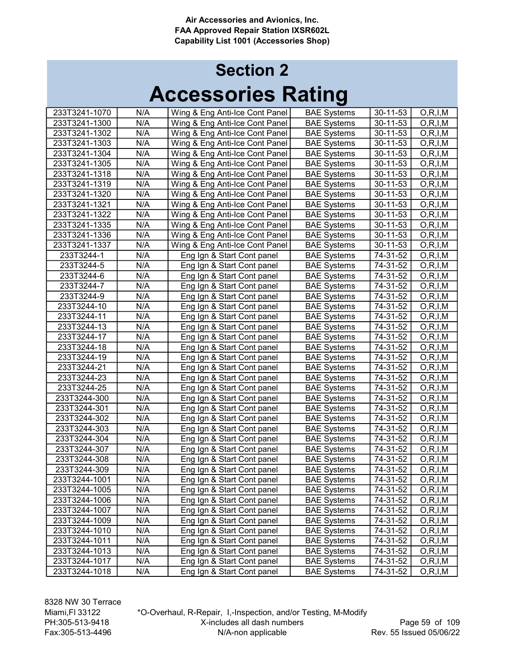| 233T3241-1070 | N/A | Wing & Eng Anti-Ice Cont Panel | <b>BAE Systems</b> | 30-11-53 | O, R, I, M |
|---------------|-----|--------------------------------|--------------------|----------|------------|
| 233T3241-1300 | N/A | Wing & Eng Anti-Ice Cont Panel | <b>BAE Systems</b> | 30-11-53 | O, R, I, M |
| 233T3241-1302 | N/A | Wing & Eng Anti-Ice Cont Panel | <b>BAE Systems</b> | 30-11-53 | O, R, I, M |
| 233T3241-1303 | N/A | Wing & Eng Anti-Ice Cont Panel | <b>BAE Systems</b> | 30-11-53 | O, R, I, M |
| 233T3241-1304 | N/A | Wing & Eng Anti-Ice Cont Panel | <b>BAE Systems</b> | 30-11-53 | O, R, I, M |
| 233T3241-1305 | N/A | Wing & Eng Anti-Ice Cont Panel | <b>BAE Systems</b> | 30-11-53 | O, R, I, M |
| 233T3241-1318 | N/A | Wing & Eng Anti-Ice Cont Panel | <b>BAE Systems</b> | 30-11-53 | O, R, I, M |
| 233T3241-1319 | N/A | Wing & Eng Anti-Ice Cont Panel | <b>BAE Systems</b> | 30-11-53 | O, R, I, M |
| 233T3241-1320 | N/A | Wing & Eng Anti-Ice Cont Panel | <b>BAE Systems</b> | 30-11-53 | O, R, I, M |
| 233T3241-1321 | N/A | Wing & Eng Anti-Ice Cont Panel | <b>BAE Systems</b> | 30-11-53 | O, R, I, M |
| 233T3241-1322 | N/A | Wing & Eng Anti-Ice Cont Panel | <b>BAE Systems</b> | 30-11-53 | O, R, I, M |
| 233T3241-1335 | N/A | Wing & Eng Anti-Ice Cont Panel | <b>BAE Systems</b> | 30-11-53 | O, R, I, M |
| 233T3241-1336 | N/A | Wing & Eng Anti-Ice Cont Panel | <b>BAE Systems</b> | 30-11-53 | O, R, I, M |
| 233T3241-1337 | N/A | Wing & Eng Anti-Ice Cont Panel | <b>BAE Systems</b> | 30-11-53 | O, R, I, M |
| 233T3244-1    | N/A | Eng Ign & Start Cont panel     | <b>BAE Systems</b> | 74-31-52 | O, R, I, M |
| 233T3244-5    | N/A | Eng Ign & Start Cont panel     | <b>BAE Systems</b> | 74-31-52 | O, R, I, M |
| 233T3244-6    | N/A | Eng Ign & Start Cont panel     | <b>BAE Systems</b> | 74-31-52 | O, R, I, M |
| 233T3244-7    | N/A | Eng Ign & Start Cont panel     | <b>BAE Systems</b> | 74-31-52 | O, R, I, M |
| 233T3244-9    | N/A | Eng Ign & Start Cont panel     | <b>BAE Systems</b> | 74-31-52 | O, R, I, M |
| 233T3244-10   | N/A | Eng Ign & Start Cont panel     | <b>BAE Systems</b> | 74-31-52 | O, R, I, M |
| 233T3244-11   | N/A | Eng Ign & Start Cont panel     | <b>BAE Systems</b> | 74-31-52 | O, R, I, M |
| 233T3244-13   | N/A | Eng Ign & Start Cont panel     | <b>BAE Systems</b> | 74-31-52 | O, R, I, M |
| 233T3244-17   | N/A | Eng Ign & Start Cont panel     | <b>BAE Systems</b> | 74-31-52 | O, R, I, M |
| 233T3244-18   | N/A | Eng Ign & Start Cont panel     | <b>BAE Systems</b> | 74-31-52 | O, R, I, M |
| 233T3244-19   | N/A | Eng Ign & Start Cont panel     | <b>BAE Systems</b> | 74-31-52 | O, R, I, M |
| 233T3244-21   | N/A | Eng Ign & Start Cont panel     | <b>BAE Systems</b> | 74-31-52 | O, R, I, M |
| 233T3244-23   | N/A | Eng Ign & Start Cont panel     | <b>BAE Systems</b> | 74-31-52 | O, R, I, M |
| 233T3244-25   | N/A | Eng Ign & Start Cont panel     | <b>BAE Systems</b> | 74-31-52 | O, R, I, M |
| 233T3244-300  | N/A | Eng Ign & Start Cont panel     | <b>BAE Systems</b> | 74-31-52 | O, R, I, M |
| 233T3244-301  | N/A | Eng Ign & Start Cont panel     | <b>BAE Systems</b> | 74-31-52 | O, R, I, M |
| 233T3244-302  | N/A | Eng Ign & Start Cont panel     | <b>BAE Systems</b> | 74-31-52 | O, R, I, M |
| 233T3244-303  | N/A | Eng Ign & Start Cont panel     | <b>BAE Systems</b> | 74-31-52 | O, R, I, M |
| 233T3244-304  | N/A | Eng Ign & Start Cont panel     | <b>BAE Systems</b> | 74-31-52 | O, R, I, M |
| 233T3244-307  | N/A | Eng Ign & Start Cont panel     | <b>BAE Systems</b> | 74-31-52 | O, R, I, M |
| 233T3244-308  | N/A | Eng Ign & Start Cont panel     | <b>BAE Systems</b> | 74-31-52 | O, R, I, M |
| 233T3244-309  | N/A | Eng Ign & Start Cont panel     | <b>BAE Systems</b> | 74-31-52 | O, R, I, M |
| 233T3244-1001 | N/A | Eng Ign & Start Cont panel     | <b>BAE Systems</b> | 74-31-52 | O, R, I, M |
| 233T3244-1005 | N/A | Eng Ign & Start Cont panel     | <b>BAE Systems</b> | 74-31-52 | O, R, I, M |
| 233T3244-1006 | N/A | Eng Ign & Start Cont panel     | <b>BAE Systems</b> | 74-31-52 | O, R, I, M |
| 233T3244-1007 | N/A | Eng Ign & Start Cont panel     | <b>BAE Systems</b> | 74-31-52 | O, R, I, M |
| 233T3244-1009 | N/A | Eng Ign & Start Cont panel     | <b>BAE Systems</b> | 74-31-52 | O, R, I, M |
| 233T3244-1010 | N/A | Eng Ign & Start Cont panel     | <b>BAE Systems</b> | 74-31-52 | O, R, I, M |
| 233T3244-1011 | N/A | Eng Ign & Start Cont panel     | <b>BAE Systems</b> | 74-31-52 | O, R, I, M |
| 233T3244-1013 | N/A | Eng Ign & Start Cont panel     | <b>BAE Systems</b> | 74-31-52 | O, R, I, M |
| 233T3244-1017 | N/A | Eng Ign & Start Cont panel     | <b>BAE Systems</b> | 74-31-52 | O, R, I, M |
| 233T3244-1018 | N/A | Eng Ign & Start Cont panel     | <b>BAE Systems</b> | 74-31-52 | O, R, I, M |
|               |     |                                |                    |          |            |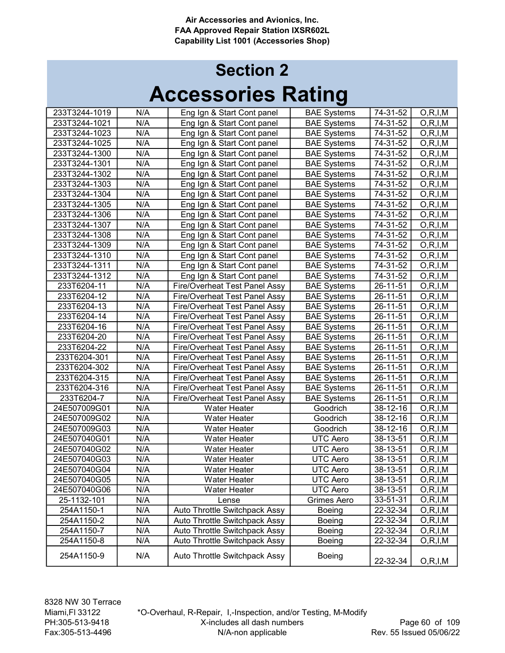| 233T3244-1019 | N/A | Eng Ign & Start Cont panel    | <b>BAE Systems</b> | 74-31-52 | O, R, I, M |
|---------------|-----|-------------------------------|--------------------|----------|------------|
| 233T3244-1021 | N/A | Eng Ign & Start Cont panel    | <b>BAE Systems</b> | 74-31-52 | O, R, I, M |
| 233T3244-1023 | N/A | Eng Ign & Start Cont panel    | <b>BAE Systems</b> | 74-31-52 | O, R, I, M |
| 233T3244-1025 | N/A | Eng Ign & Start Cont panel    | <b>BAE Systems</b> | 74-31-52 | O, R, I, M |
| 233T3244-1300 | N/A | Eng Ign & Start Cont panel    | <b>BAE Systems</b> | 74-31-52 | O, R, I, M |
| 233T3244-1301 | N/A | Eng Ign & Start Cont panel    | <b>BAE Systems</b> | 74-31-52 | O, R, I, M |
| 233T3244-1302 | N/A | Eng Ign & Start Cont panel    | <b>BAE Systems</b> | 74-31-52 | O, R, I, M |
| 233T3244-1303 | N/A | Eng Ign & Start Cont panel    | <b>BAE Systems</b> | 74-31-52 | O, R, I, M |
| 233T3244-1304 | N/A | Eng Ign & Start Cont panel    | <b>BAE Systems</b> | 74-31-52 | O, R, I, M |
| 233T3244-1305 | N/A | Eng Ign & Start Cont panel    | <b>BAE Systems</b> | 74-31-52 | O, R, I, M |
| 233T3244-1306 | N/A | Eng Ign & Start Cont panel    | <b>BAE Systems</b> | 74-31-52 | O, R, I, M |
| 233T3244-1307 | N/A | Eng Ign & Start Cont panel    | <b>BAE Systems</b> | 74-31-52 | O, R, I, M |
| 233T3244-1308 | N/A | Eng Ign & Start Cont panel    | <b>BAE Systems</b> | 74-31-52 | O, R, I, M |
| 233T3244-1309 | N/A | Eng Ign & Start Cont panel    | <b>BAE Systems</b> | 74-31-52 | O, R, I, M |
| 233T3244-1310 | N/A | Eng Ign & Start Cont panel    | <b>BAE Systems</b> | 74-31-52 | O, R, I, M |
| 233T3244-1311 | N/A | Eng Ign & Start Cont panel    | <b>BAE</b> Systems | 74-31-52 | O, R, I, M |
| 233T3244-1312 | N/A | Eng Ign & Start Cont panel    | <b>BAE Systems</b> | 74-31-52 | O, R, I, M |
| 233T6204-11   | N/A | Fire/Overheat Test Panel Assy | <b>BAE Systems</b> | 26-11-51 | O, R, I, M |
| 233T6204-12   | N/A | Fire/Overheat Test Panel Assy | <b>BAE Systems</b> | 26-11-51 | O, R, I, M |
| 233T6204-13   | N/A | Fire/Overheat Test Panel Assy | <b>BAE Systems</b> | 26-11-51 | O, R, I, M |
| 233T6204-14   | N/A | Fire/Overheat Test Panel Assy | <b>BAE Systems</b> | 26-11-51 | O, R, I, M |
| 233T6204-16   | N/A | Fire/Overheat Test Panel Assy | <b>BAE Systems</b> | 26-11-51 | O, R, I, M |
| 233T6204-20   | N/A | Fire/Overheat Test Panel Assy | <b>BAE Systems</b> | 26-11-51 | O, R, I, M |
| 233T6204-22   | N/A | Fire/Overheat Test Panel Assy | <b>BAE Systems</b> | 26-11-51 | O, R, I, M |
| 233T6204-301  | N/A | Fire/Overheat Test Panel Assy | <b>BAE Systems</b> | 26-11-51 | O, R, I, M |
| 233T6204-302  | N/A | Fire/Overheat Test Panel Assy | <b>BAE Systems</b> | 26-11-51 | O, R, I, M |
| 233T6204-315  | N/A | Fire/Overheat Test Panel Assy | <b>BAE Systems</b> | 26-11-51 | O, R, I, M |
| 233T6204-316  | N/A | Fire/Overheat Test Panel Assy | <b>BAE Systems</b> | 26-11-51 | O, R, I, M |
| 233T6204-7    | N/A | Fire/Overheat Test Panel Assy | <b>BAE Systems</b> | 26-11-51 | O, R, I, M |
| 24E507009G01  | N/A | Water Heater                  | Goodrich           | 38-12-16 | O, R, I, M |
| 24E507009G02  | N/A | Water Heater                  | Goodrich           | 38-12-16 | O, R, I, M |
| 24E507009G03  | N/A | Water Heater                  | Goodrich           | 38-12-16 | O, R, I, M |
| 24E507040G01  | N/A | Water Heater                  | <b>UTC Aero</b>    | 38-13-51 | O, R, I, M |
| 24E507040G02  | N/A | Water Heater                  | <b>UTC Aero</b>    | 38-13-51 | O, R, I, M |
| 24E507040G03  | N/A | <b>Water Heater</b>           | UTC Aero           | 38-13-51 | O, R, I, M |
| 24E507040G04  | N/A | <b>Water Heater</b>           | <b>UTC Aero</b>    | 38-13-51 | O, R, I, M |
| 24E507040G05  | N/A | Water Heater                  | <b>UTC Aero</b>    | 38-13-51 | O, R, I, M |
| 24E507040G06  | N/A | Water Heater                  | <b>UTC Aero</b>    | 38-13-51 | O, R, I, M |
| 25-1132-101   | N/A | Lense                         | Grimes Aero        | 33-51-31 | O, R, I, M |
| 254A1150-1    | N/A | Auto Throttle Switchpack Assy | Boeing             | 22-32-34 | O, R, I, M |
| 254A1150-2    | N/A | Auto Throttle Switchpack Assy | Boeing             | 22-32-34 | O, R, I, M |
| 254A1150-7    | N/A | Auto Throttle Switchpack Assy | Boeing             | 22-32-34 | O, R, I, M |
| 254A1150-8    | N/A | Auto Throttle Switchpack Assy | Boeing             | 22-32-34 | O, R, I, M |
| 254A1150-9    | N/A | Auto Throttle Switchpack Assy | <b>Boeing</b>      | 22-32-34 | O, R, I, M |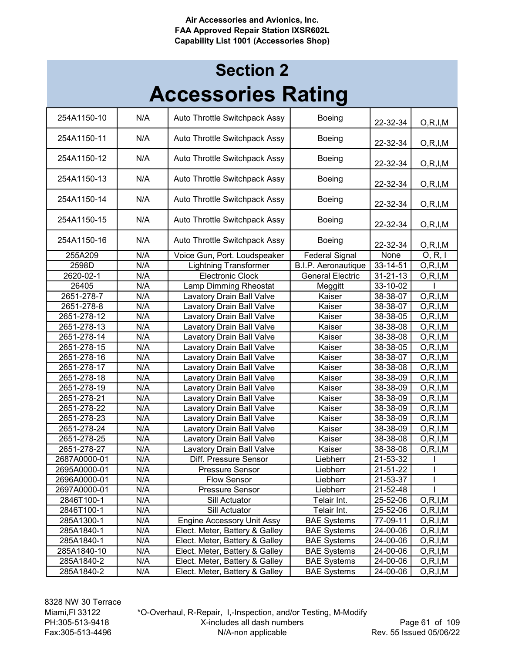## Accessories Rating Section 2

| N/A<br>254A1150-10<br>Auto Throttle Switchpack Assy<br><b>Boeing</b><br>22-32-34<br>O, R, I, M<br>N/A<br>Auto Throttle Switchpack Assy<br>254A1150-11<br><b>Boeing</b><br>22-32-34<br>O, R, I, M<br>254A1150-12<br>N/A<br>Auto Throttle Switchpack Assy<br><b>Boeing</b><br>22-32-34<br>O, R, I, M<br>N/A<br>Auto Throttle Switchpack Assy<br>254A1150-13<br><b>Boeing</b><br>22-32-34<br>O, R, I, M<br>N/A<br>254A1150-14<br>Auto Throttle Switchpack Assy<br>Boeing<br>22-32-34<br>O, R, I, M<br>N/A<br>254A1150-15<br>Auto Throttle Switchpack Assy<br><b>Boeing</b><br>22-32-34<br>O, R, I, M<br>N/A<br>254A1150-16<br>Auto Throttle Switchpack Assy<br><b>Boeing</b><br>22-32-34<br>O, R, I, M<br>None<br>N/A<br>O, R, I<br>255A209<br>Voice Gun, Port. Loudspeaker<br><b>Federal Signal</b><br>N/A<br>2598D<br><b>Lightning Transformer</b><br>$33 - 14 - 51$<br>O, R, I, M<br>B.I.P. Aeronautique<br>N/A<br><b>Electronic Clock</b><br><b>General Electric</b><br>2620-02-1<br>$31 - 21 - 13$<br>O, R, I, M<br>26405<br>N/A<br>Lamp Dimming Rheostat<br>Meggitt<br>33-10-02<br>2651-278-7<br>N/A<br>Lavatory Drain Ball Valve<br>Kaiser<br>38-38-07<br>O, R, I, M<br>N/A<br>O, R, I, M<br>2651-278-8<br>Lavatory Drain Ball Valve<br>Kaiser<br>38-38-07<br>N/A<br><b>Lavatory Drain Ball Valve</b><br>38-38-05<br>O, R, I, M<br>2651-278-12<br>Kaiser<br>N/A<br>2651-278-13<br><b>Lavatory Drain Ball Valve</b><br>38-38-08<br>O, R, I, M<br>Kaiser<br>2651-278-14<br>N/A<br><b>Lavatory Drain Ball Valve</b><br>38-38-08<br>O, R, I, M<br>Kaiser<br>N/A<br>2651-278-15<br><b>Lavatory Drain Ball Valve</b><br>38-38-05<br>O, R, I, M<br>Kaiser<br>N/A<br>Lavatory Drain Ball Valve<br>38-38-07<br>O, R, I, M<br>2651-278-16<br>Kaiser<br>N/A<br>2651-278-17<br><b>Lavatory Drain Ball Valve</b><br>Kaiser<br>38-38-08<br>O, R, I, M<br>N/A<br>38-38-09<br>2651-278-18<br>Lavatory Drain Ball Valve<br>Kaiser<br>O, R, I, M<br>N/A<br>2651-278-19<br>Lavatory Drain Ball Valve<br>Kaiser<br>38-38-09<br>O, R, I, M<br>N/A<br>O, R, I, M<br>2651-278-21<br><b>Lavatory Drain Ball Valve</b><br>Kaiser<br>38-38-09<br>N/A<br>2651-278-22<br>Kaiser<br>O, R, I, M<br><b>Lavatory Drain Ball Valve</b><br>38-38-09<br>N/A<br>38-38-09<br>O, R, I, M<br>2651-278-23<br><b>Lavatory Drain Ball Valve</b><br>Kaiser<br>N/A<br>Kaiser<br>38-38-09<br>2651-278-24<br><b>Lavatory Drain Ball Valve</b><br>O, R, I, M<br>N/A<br>O, R, I, M<br>2651-278-25<br><b>Lavatory Drain Ball Valve</b><br>Kaiser<br>38-38-08<br>N/A<br>Kaiser<br>38-38-08<br>2651-278-27<br>Lavatory Drain Ball Valve<br>O, R, I, M<br>2687A0000-01<br>N/A<br>Liebherr<br>21-53-32<br>Diff. Pressure Sensor<br>N/A<br>21-51-22<br>2695A0000-01<br>Pressure Sensor<br>Liebherr<br>N/A<br>2696A0000-01<br>Liebherr<br>21-53-37<br><b>Flow Sensor</b><br>N/A<br>Pressure Sensor<br>Liebherr<br>21-52-48<br>2697A0000-01<br>N/A<br>25-52-06<br>O, R, I, M<br>2846T100-1<br>Sill Actuator<br>Telair Int.<br>N/A<br>Sill Actuator<br>2846T100-1<br>Telair Int.<br>25-52-06<br>O, R, I, M<br>N/A<br><b>BAE Systems</b><br><b>Engine Accessory Unit Assy</b><br>285A1300-1<br>77-09-11<br>O, R, I, M<br>N/A<br>Elect. Meter, Battery & Galley<br>285A1840-1<br><b>BAE Systems</b><br>24-00-06<br>O, R, I, M<br>N/A<br>Elect. Meter, Battery & Galley<br>285A1840-1<br><b>BAE Systems</b><br>24-00-06<br>O, R, I, M<br>N/A<br>Elect. Meter, Battery & Galley<br>285A1840-10<br><b>BAE Systems</b><br>24-00-06<br>O, R, I, M<br>285A1840-2<br>N/A<br>Elect. Meter, Battery & Galley<br><b>BAE Systems</b><br>24-00-06<br>O, R, I, M<br>Elect. Meter, Battery & Galley<br>285A1840-2<br>N/A<br><b>BAE Systems</b><br>24-00-06<br>O, R, I, M |  | IJ |  |
|-----------------------------------------------------------------------------------------------------------------------------------------------------------------------------------------------------------------------------------------------------------------------------------------------------------------------------------------------------------------------------------------------------------------------------------------------------------------------------------------------------------------------------------------------------------------------------------------------------------------------------------------------------------------------------------------------------------------------------------------------------------------------------------------------------------------------------------------------------------------------------------------------------------------------------------------------------------------------------------------------------------------------------------------------------------------------------------------------------------------------------------------------------------------------------------------------------------------------------------------------------------------------------------------------------------------------------------------------------------------------------------------------------------------------------------------------------------------------------------------------------------------------------------------------------------------------------------------------------------------------------------------------------------------------------------------------------------------------------------------------------------------------------------------------------------------------------------------------------------------------------------------------------------------------------------------------------------------------------------------------------------------------------------------------------------------------------------------------------------------------------------------------------------------------------------------------------------------------------------------------------------------------------------------------------------------------------------------------------------------------------------------------------------------------------------------------------------------------------------------------------------------------------------------------------------------------------------------------------------------------------------------------------------------------------------------------------------------------------------------------------------------------------------------------------------------------------------------------------------------------------------------------------------------------------------------------------------------------------------------------------------------------------------------------------------------------------------------------------------------------------------------------------------------------------------------------------------------------------------------------------------------------------------------------------------------------------------------------------------------------------------------------------------------------------------------------------------------------------------------------------------------------------------------------------------------------------------------------------------------------------------------------------------------------------------------------------|--|----|--|
|                                                                                                                                                                                                                                                                                                                                                                                                                                                                                                                                                                                                                                                                                                                                                                                                                                                                                                                                                                                                                                                                                                                                                                                                                                                                                                                                                                                                                                                                                                                                                                                                                                                                                                                                                                                                                                                                                                                                                                                                                                                                                                                                                                                                                                                                                                                                                                                                                                                                                                                                                                                                                                                                                                                                                                                                                                                                                                                                                                                                                                                                                                                                                                                                                                                                                                                                                                                                                                                                                                                                                                                                                                                                                                     |  |    |  |
|                                                                                                                                                                                                                                                                                                                                                                                                                                                                                                                                                                                                                                                                                                                                                                                                                                                                                                                                                                                                                                                                                                                                                                                                                                                                                                                                                                                                                                                                                                                                                                                                                                                                                                                                                                                                                                                                                                                                                                                                                                                                                                                                                                                                                                                                                                                                                                                                                                                                                                                                                                                                                                                                                                                                                                                                                                                                                                                                                                                                                                                                                                                                                                                                                                                                                                                                                                                                                                                                                                                                                                                                                                                                                                     |  |    |  |
|                                                                                                                                                                                                                                                                                                                                                                                                                                                                                                                                                                                                                                                                                                                                                                                                                                                                                                                                                                                                                                                                                                                                                                                                                                                                                                                                                                                                                                                                                                                                                                                                                                                                                                                                                                                                                                                                                                                                                                                                                                                                                                                                                                                                                                                                                                                                                                                                                                                                                                                                                                                                                                                                                                                                                                                                                                                                                                                                                                                                                                                                                                                                                                                                                                                                                                                                                                                                                                                                                                                                                                                                                                                                                                     |  |    |  |
|                                                                                                                                                                                                                                                                                                                                                                                                                                                                                                                                                                                                                                                                                                                                                                                                                                                                                                                                                                                                                                                                                                                                                                                                                                                                                                                                                                                                                                                                                                                                                                                                                                                                                                                                                                                                                                                                                                                                                                                                                                                                                                                                                                                                                                                                                                                                                                                                                                                                                                                                                                                                                                                                                                                                                                                                                                                                                                                                                                                                                                                                                                                                                                                                                                                                                                                                                                                                                                                                                                                                                                                                                                                                                                     |  |    |  |
|                                                                                                                                                                                                                                                                                                                                                                                                                                                                                                                                                                                                                                                                                                                                                                                                                                                                                                                                                                                                                                                                                                                                                                                                                                                                                                                                                                                                                                                                                                                                                                                                                                                                                                                                                                                                                                                                                                                                                                                                                                                                                                                                                                                                                                                                                                                                                                                                                                                                                                                                                                                                                                                                                                                                                                                                                                                                                                                                                                                                                                                                                                                                                                                                                                                                                                                                                                                                                                                                                                                                                                                                                                                                                                     |  |    |  |
|                                                                                                                                                                                                                                                                                                                                                                                                                                                                                                                                                                                                                                                                                                                                                                                                                                                                                                                                                                                                                                                                                                                                                                                                                                                                                                                                                                                                                                                                                                                                                                                                                                                                                                                                                                                                                                                                                                                                                                                                                                                                                                                                                                                                                                                                                                                                                                                                                                                                                                                                                                                                                                                                                                                                                                                                                                                                                                                                                                                                                                                                                                                                                                                                                                                                                                                                                                                                                                                                                                                                                                                                                                                                                                     |  |    |  |
|                                                                                                                                                                                                                                                                                                                                                                                                                                                                                                                                                                                                                                                                                                                                                                                                                                                                                                                                                                                                                                                                                                                                                                                                                                                                                                                                                                                                                                                                                                                                                                                                                                                                                                                                                                                                                                                                                                                                                                                                                                                                                                                                                                                                                                                                                                                                                                                                                                                                                                                                                                                                                                                                                                                                                                                                                                                                                                                                                                                                                                                                                                                                                                                                                                                                                                                                                                                                                                                                                                                                                                                                                                                                                                     |  |    |  |
|                                                                                                                                                                                                                                                                                                                                                                                                                                                                                                                                                                                                                                                                                                                                                                                                                                                                                                                                                                                                                                                                                                                                                                                                                                                                                                                                                                                                                                                                                                                                                                                                                                                                                                                                                                                                                                                                                                                                                                                                                                                                                                                                                                                                                                                                                                                                                                                                                                                                                                                                                                                                                                                                                                                                                                                                                                                                                                                                                                                                                                                                                                                                                                                                                                                                                                                                                                                                                                                                                                                                                                                                                                                                                                     |  |    |  |
|                                                                                                                                                                                                                                                                                                                                                                                                                                                                                                                                                                                                                                                                                                                                                                                                                                                                                                                                                                                                                                                                                                                                                                                                                                                                                                                                                                                                                                                                                                                                                                                                                                                                                                                                                                                                                                                                                                                                                                                                                                                                                                                                                                                                                                                                                                                                                                                                                                                                                                                                                                                                                                                                                                                                                                                                                                                                                                                                                                                                                                                                                                                                                                                                                                                                                                                                                                                                                                                                                                                                                                                                                                                                                                     |  |    |  |
|                                                                                                                                                                                                                                                                                                                                                                                                                                                                                                                                                                                                                                                                                                                                                                                                                                                                                                                                                                                                                                                                                                                                                                                                                                                                                                                                                                                                                                                                                                                                                                                                                                                                                                                                                                                                                                                                                                                                                                                                                                                                                                                                                                                                                                                                                                                                                                                                                                                                                                                                                                                                                                                                                                                                                                                                                                                                                                                                                                                                                                                                                                                                                                                                                                                                                                                                                                                                                                                                                                                                                                                                                                                                                                     |  |    |  |
|                                                                                                                                                                                                                                                                                                                                                                                                                                                                                                                                                                                                                                                                                                                                                                                                                                                                                                                                                                                                                                                                                                                                                                                                                                                                                                                                                                                                                                                                                                                                                                                                                                                                                                                                                                                                                                                                                                                                                                                                                                                                                                                                                                                                                                                                                                                                                                                                                                                                                                                                                                                                                                                                                                                                                                                                                                                                                                                                                                                                                                                                                                                                                                                                                                                                                                                                                                                                                                                                                                                                                                                                                                                                                                     |  |    |  |
|                                                                                                                                                                                                                                                                                                                                                                                                                                                                                                                                                                                                                                                                                                                                                                                                                                                                                                                                                                                                                                                                                                                                                                                                                                                                                                                                                                                                                                                                                                                                                                                                                                                                                                                                                                                                                                                                                                                                                                                                                                                                                                                                                                                                                                                                                                                                                                                                                                                                                                                                                                                                                                                                                                                                                                                                                                                                                                                                                                                                                                                                                                                                                                                                                                                                                                                                                                                                                                                                                                                                                                                                                                                                                                     |  |    |  |
|                                                                                                                                                                                                                                                                                                                                                                                                                                                                                                                                                                                                                                                                                                                                                                                                                                                                                                                                                                                                                                                                                                                                                                                                                                                                                                                                                                                                                                                                                                                                                                                                                                                                                                                                                                                                                                                                                                                                                                                                                                                                                                                                                                                                                                                                                                                                                                                                                                                                                                                                                                                                                                                                                                                                                                                                                                                                                                                                                                                                                                                                                                                                                                                                                                                                                                                                                                                                                                                                                                                                                                                                                                                                                                     |  |    |  |
|                                                                                                                                                                                                                                                                                                                                                                                                                                                                                                                                                                                                                                                                                                                                                                                                                                                                                                                                                                                                                                                                                                                                                                                                                                                                                                                                                                                                                                                                                                                                                                                                                                                                                                                                                                                                                                                                                                                                                                                                                                                                                                                                                                                                                                                                                                                                                                                                                                                                                                                                                                                                                                                                                                                                                                                                                                                                                                                                                                                                                                                                                                                                                                                                                                                                                                                                                                                                                                                                                                                                                                                                                                                                                                     |  |    |  |
|                                                                                                                                                                                                                                                                                                                                                                                                                                                                                                                                                                                                                                                                                                                                                                                                                                                                                                                                                                                                                                                                                                                                                                                                                                                                                                                                                                                                                                                                                                                                                                                                                                                                                                                                                                                                                                                                                                                                                                                                                                                                                                                                                                                                                                                                                                                                                                                                                                                                                                                                                                                                                                                                                                                                                                                                                                                                                                                                                                                                                                                                                                                                                                                                                                                                                                                                                                                                                                                                                                                                                                                                                                                                                                     |  |    |  |
|                                                                                                                                                                                                                                                                                                                                                                                                                                                                                                                                                                                                                                                                                                                                                                                                                                                                                                                                                                                                                                                                                                                                                                                                                                                                                                                                                                                                                                                                                                                                                                                                                                                                                                                                                                                                                                                                                                                                                                                                                                                                                                                                                                                                                                                                                                                                                                                                                                                                                                                                                                                                                                                                                                                                                                                                                                                                                                                                                                                                                                                                                                                                                                                                                                                                                                                                                                                                                                                                                                                                                                                                                                                                                                     |  |    |  |
|                                                                                                                                                                                                                                                                                                                                                                                                                                                                                                                                                                                                                                                                                                                                                                                                                                                                                                                                                                                                                                                                                                                                                                                                                                                                                                                                                                                                                                                                                                                                                                                                                                                                                                                                                                                                                                                                                                                                                                                                                                                                                                                                                                                                                                                                                                                                                                                                                                                                                                                                                                                                                                                                                                                                                                                                                                                                                                                                                                                                                                                                                                                                                                                                                                                                                                                                                                                                                                                                                                                                                                                                                                                                                                     |  |    |  |
|                                                                                                                                                                                                                                                                                                                                                                                                                                                                                                                                                                                                                                                                                                                                                                                                                                                                                                                                                                                                                                                                                                                                                                                                                                                                                                                                                                                                                                                                                                                                                                                                                                                                                                                                                                                                                                                                                                                                                                                                                                                                                                                                                                                                                                                                                                                                                                                                                                                                                                                                                                                                                                                                                                                                                                                                                                                                                                                                                                                                                                                                                                                                                                                                                                                                                                                                                                                                                                                                                                                                                                                                                                                                                                     |  |    |  |
|                                                                                                                                                                                                                                                                                                                                                                                                                                                                                                                                                                                                                                                                                                                                                                                                                                                                                                                                                                                                                                                                                                                                                                                                                                                                                                                                                                                                                                                                                                                                                                                                                                                                                                                                                                                                                                                                                                                                                                                                                                                                                                                                                                                                                                                                                                                                                                                                                                                                                                                                                                                                                                                                                                                                                                                                                                                                                                                                                                                                                                                                                                                                                                                                                                                                                                                                                                                                                                                                                                                                                                                                                                                                                                     |  |    |  |
|                                                                                                                                                                                                                                                                                                                                                                                                                                                                                                                                                                                                                                                                                                                                                                                                                                                                                                                                                                                                                                                                                                                                                                                                                                                                                                                                                                                                                                                                                                                                                                                                                                                                                                                                                                                                                                                                                                                                                                                                                                                                                                                                                                                                                                                                                                                                                                                                                                                                                                                                                                                                                                                                                                                                                                                                                                                                                                                                                                                                                                                                                                                                                                                                                                                                                                                                                                                                                                                                                                                                                                                                                                                                                                     |  |    |  |
|                                                                                                                                                                                                                                                                                                                                                                                                                                                                                                                                                                                                                                                                                                                                                                                                                                                                                                                                                                                                                                                                                                                                                                                                                                                                                                                                                                                                                                                                                                                                                                                                                                                                                                                                                                                                                                                                                                                                                                                                                                                                                                                                                                                                                                                                                                                                                                                                                                                                                                                                                                                                                                                                                                                                                                                                                                                                                                                                                                                                                                                                                                                                                                                                                                                                                                                                                                                                                                                                                                                                                                                                                                                                                                     |  |    |  |
|                                                                                                                                                                                                                                                                                                                                                                                                                                                                                                                                                                                                                                                                                                                                                                                                                                                                                                                                                                                                                                                                                                                                                                                                                                                                                                                                                                                                                                                                                                                                                                                                                                                                                                                                                                                                                                                                                                                                                                                                                                                                                                                                                                                                                                                                                                                                                                                                                                                                                                                                                                                                                                                                                                                                                                                                                                                                                                                                                                                                                                                                                                                                                                                                                                                                                                                                                                                                                                                                                                                                                                                                                                                                                                     |  |    |  |
|                                                                                                                                                                                                                                                                                                                                                                                                                                                                                                                                                                                                                                                                                                                                                                                                                                                                                                                                                                                                                                                                                                                                                                                                                                                                                                                                                                                                                                                                                                                                                                                                                                                                                                                                                                                                                                                                                                                                                                                                                                                                                                                                                                                                                                                                                                                                                                                                                                                                                                                                                                                                                                                                                                                                                                                                                                                                                                                                                                                                                                                                                                                                                                                                                                                                                                                                                                                                                                                                                                                                                                                                                                                                                                     |  |    |  |
|                                                                                                                                                                                                                                                                                                                                                                                                                                                                                                                                                                                                                                                                                                                                                                                                                                                                                                                                                                                                                                                                                                                                                                                                                                                                                                                                                                                                                                                                                                                                                                                                                                                                                                                                                                                                                                                                                                                                                                                                                                                                                                                                                                                                                                                                                                                                                                                                                                                                                                                                                                                                                                                                                                                                                                                                                                                                                                                                                                                                                                                                                                                                                                                                                                                                                                                                                                                                                                                                                                                                                                                                                                                                                                     |  |    |  |
|                                                                                                                                                                                                                                                                                                                                                                                                                                                                                                                                                                                                                                                                                                                                                                                                                                                                                                                                                                                                                                                                                                                                                                                                                                                                                                                                                                                                                                                                                                                                                                                                                                                                                                                                                                                                                                                                                                                                                                                                                                                                                                                                                                                                                                                                                                                                                                                                                                                                                                                                                                                                                                                                                                                                                                                                                                                                                                                                                                                                                                                                                                                                                                                                                                                                                                                                                                                                                                                                                                                                                                                                                                                                                                     |  |    |  |
|                                                                                                                                                                                                                                                                                                                                                                                                                                                                                                                                                                                                                                                                                                                                                                                                                                                                                                                                                                                                                                                                                                                                                                                                                                                                                                                                                                                                                                                                                                                                                                                                                                                                                                                                                                                                                                                                                                                                                                                                                                                                                                                                                                                                                                                                                                                                                                                                                                                                                                                                                                                                                                                                                                                                                                                                                                                                                                                                                                                                                                                                                                                                                                                                                                                                                                                                                                                                                                                                                                                                                                                                                                                                                                     |  |    |  |
|                                                                                                                                                                                                                                                                                                                                                                                                                                                                                                                                                                                                                                                                                                                                                                                                                                                                                                                                                                                                                                                                                                                                                                                                                                                                                                                                                                                                                                                                                                                                                                                                                                                                                                                                                                                                                                                                                                                                                                                                                                                                                                                                                                                                                                                                                                                                                                                                                                                                                                                                                                                                                                                                                                                                                                                                                                                                                                                                                                                                                                                                                                                                                                                                                                                                                                                                                                                                                                                                                                                                                                                                                                                                                                     |  |    |  |
|                                                                                                                                                                                                                                                                                                                                                                                                                                                                                                                                                                                                                                                                                                                                                                                                                                                                                                                                                                                                                                                                                                                                                                                                                                                                                                                                                                                                                                                                                                                                                                                                                                                                                                                                                                                                                                                                                                                                                                                                                                                                                                                                                                                                                                                                                                                                                                                                                                                                                                                                                                                                                                                                                                                                                                                                                                                                                                                                                                                                                                                                                                                                                                                                                                                                                                                                                                                                                                                                                                                                                                                                                                                                                                     |  |    |  |
|                                                                                                                                                                                                                                                                                                                                                                                                                                                                                                                                                                                                                                                                                                                                                                                                                                                                                                                                                                                                                                                                                                                                                                                                                                                                                                                                                                                                                                                                                                                                                                                                                                                                                                                                                                                                                                                                                                                                                                                                                                                                                                                                                                                                                                                                                                                                                                                                                                                                                                                                                                                                                                                                                                                                                                                                                                                                                                                                                                                                                                                                                                                                                                                                                                                                                                                                                                                                                                                                                                                                                                                                                                                                                                     |  |    |  |
|                                                                                                                                                                                                                                                                                                                                                                                                                                                                                                                                                                                                                                                                                                                                                                                                                                                                                                                                                                                                                                                                                                                                                                                                                                                                                                                                                                                                                                                                                                                                                                                                                                                                                                                                                                                                                                                                                                                                                                                                                                                                                                                                                                                                                                                                                                                                                                                                                                                                                                                                                                                                                                                                                                                                                                                                                                                                                                                                                                                                                                                                                                                                                                                                                                                                                                                                                                                                                                                                                                                                                                                                                                                                                                     |  |    |  |
|                                                                                                                                                                                                                                                                                                                                                                                                                                                                                                                                                                                                                                                                                                                                                                                                                                                                                                                                                                                                                                                                                                                                                                                                                                                                                                                                                                                                                                                                                                                                                                                                                                                                                                                                                                                                                                                                                                                                                                                                                                                                                                                                                                                                                                                                                                                                                                                                                                                                                                                                                                                                                                                                                                                                                                                                                                                                                                                                                                                                                                                                                                                                                                                                                                                                                                                                                                                                                                                                                                                                                                                                                                                                                                     |  |    |  |
|                                                                                                                                                                                                                                                                                                                                                                                                                                                                                                                                                                                                                                                                                                                                                                                                                                                                                                                                                                                                                                                                                                                                                                                                                                                                                                                                                                                                                                                                                                                                                                                                                                                                                                                                                                                                                                                                                                                                                                                                                                                                                                                                                                                                                                                                                                                                                                                                                                                                                                                                                                                                                                                                                                                                                                                                                                                                                                                                                                                                                                                                                                                                                                                                                                                                                                                                                                                                                                                                                                                                                                                                                                                                                                     |  |    |  |
|                                                                                                                                                                                                                                                                                                                                                                                                                                                                                                                                                                                                                                                                                                                                                                                                                                                                                                                                                                                                                                                                                                                                                                                                                                                                                                                                                                                                                                                                                                                                                                                                                                                                                                                                                                                                                                                                                                                                                                                                                                                                                                                                                                                                                                                                                                                                                                                                                                                                                                                                                                                                                                                                                                                                                                                                                                                                                                                                                                                                                                                                                                                                                                                                                                                                                                                                                                                                                                                                                                                                                                                                                                                                                                     |  |    |  |
|                                                                                                                                                                                                                                                                                                                                                                                                                                                                                                                                                                                                                                                                                                                                                                                                                                                                                                                                                                                                                                                                                                                                                                                                                                                                                                                                                                                                                                                                                                                                                                                                                                                                                                                                                                                                                                                                                                                                                                                                                                                                                                                                                                                                                                                                                                                                                                                                                                                                                                                                                                                                                                                                                                                                                                                                                                                                                                                                                                                                                                                                                                                                                                                                                                                                                                                                                                                                                                                                                                                                                                                                                                                                                                     |  |    |  |
|                                                                                                                                                                                                                                                                                                                                                                                                                                                                                                                                                                                                                                                                                                                                                                                                                                                                                                                                                                                                                                                                                                                                                                                                                                                                                                                                                                                                                                                                                                                                                                                                                                                                                                                                                                                                                                                                                                                                                                                                                                                                                                                                                                                                                                                                                                                                                                                                                                                                                                                                                                                                                                                                                                                                                                                                                                                                                                                                                                                                                                                                                                                                                                                                                                                                                                                                                                                                                                                                                                                                                                                                                                                                                                     |  |    |  |
|                                                                                                                                                                                                                                                                                                                                                                                                                                                                                                                                                                                                                                                                                                                                                                                                                                                                                                                                                                                                                                                                                                                                                                                                                                                                                                                                                                                                                                                                                                                                                                                                                                                                                                                                                                                                                                                                                                                                                                                                                                                                                                                                                                                                                                                                                                                                                                                                                                                                                                                                                                                                                                                                                                                                                                                                                                                                                                                                                                                                                                                                                                                                                                                                                                                                                                                                                                                                                                                                                                                                                                                                                                                                                                     |  |    |  |
|                                                                                                                                                                                                                                                                                                                                                                                                                                                                                                                                                                                                                                                                                                                                                                                                                                                                                                                                                                                                                                                                                                                                                                                                                                                                                                                                                                                                                                                                                                                                                                                                                                                                                                                                                                                                                                                                                                                                                                                                                                                                                                                                                                                                                                                                                                                                                                                                                                                                                                                                                                                                                                                                                                                                                                                                                                                                                                                                                                                                                                                                                                                                                                                                                                                                                                                                                                                                                                                                                                                                                                                                                                                                                                     |  |    |  |
|                                                                                                                                                                                                                                                                                                                                                                                                                                                                                                                                                                                                                                                                                                                                                                                                                                                                                                                                                                                                                                                                                                                                                                                                                                                                                                                                                                                                                                                                                                                                                                                                                                                                                                                                                                                                                                                                                                                                                                                                                                                                                                                                                                                                                                                                                                                                                                                                                                                                                                                                                                                                                                                                                                                                                                                                                                                                                                                                                                                                                                                                                                                                                                                                                                                                                                                                                                                                                                                                                                                                                                                                                                                                                                     |  |    |  |
|                                                                                                                                                                                                                                                                                                                                                                                                                                                                                                                                                                                                                                                                                                                                                                                                                                                                                                                                                                                                                                                                                                                                                                                                                                                                                                                                                                                                                                                                                                                                                                                                                                                                                                                                                                                                                                                                                                                                                                                                                                                                                                                                                                                                                                                                                                                                                                                                                                                                                                                                                                                                                                                                                                                                                                                                                                                                                                                                                                                                                                                                                                                                                                                                                                                                                                                                                                                                                                                                                                                                                                                                                                                                                                     |  |    |  |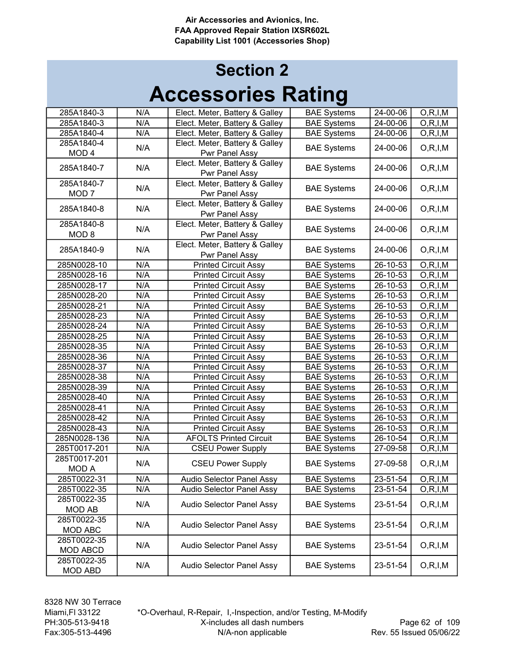| 285A1840-3       | N/A | Elect. Meter, Battery & Galley   | <b>BAE Systems</b> | 24-00-06                  | O, R, I, M |
|------------------|-----|----------------------------------|--------------------|---------------------------|------------|
| 285A1840-3       | N/A | Elect. Meter, Battery & Galley   | <b>BAE Systems</b> | 24-00-06                  | O, R, I, M |
| 285A1840-4       | N/A | Elect. Meter, Battery & Galley   | <b>BAE Systems</b> | 24-00-06                  | O, R, I, M |
| 285A1840-4       | N/A | Elect. Meter, Battery & Galley   | <b>BAE Systems</b> | 24-00-06                  | O, R, I, M |
| MOD <sub>4</sub> |     | Pwr Panel Assy                   |                    |                           |            |
| 285A1840-7       | N/A | Elect. Meter, Battery & Galley   |                    | 24-00-06                  |            |
|                  |     | Pwr Panel Assy                   | <b>BAE Systems</b> |                           | O, R, I, M |
| 285A1840-7       |     | Elect. Meter, Battery & Galley   |                    | 24-00-06                  |            |
| MOD <sub>7</sub> | N/A | Pwr Panel Assy                   | <b>BAE Systems</b> |                           | O, R, I, M |
|                  |     | Elect. Meter, Battery & Galley   |                    | 24-00-06                  |            |
| 285A1840-8       | N/A | Pwr Panel Assy                   | <b>BAE Systems</b> |                           | O, R, I, M |
| 285A1840-8       |     | Elect. Meter, Battery & Galley   |                    |                           |            |
| MOD <sub>8</sub> | N/A | Pwr Panel Assy                   | <b>BAE Systems</b> | 24-00-06                  | O, R, I, M |
|                  |     | Elect. Meter, Battery & Galley   |                    |                           |            |
| 285A1840-9       | N/A | Pwr Panel Assy                   | <b>BAE Systems</b> | 24-00-06                  | O, R, I, M |
| 285N0028-10      | N/A | <b>Printed Circuit Assy</b>      | <b>BAE Systems</b> | 26-10-53                  | O, R, I, M |
| 285N0028-16      | N/A | <b>Printed Circuit Assy</b>      | <b>BAE Systems</b> | 26-10-53                  | O, R, I, M |
| 285N0028-17      | N/A | <b>Printed Circuit Assy</b>      | <b>BAE</b> Systems | $\overline{26} - 10 - 53$ | O, R, I, M |
| 285N0028-20      | N/A | <b>Printed Circuit Assy</b>      | <b>BAE Systems</b> | 26-10-53                  | O, R, I, M |
| 285N0028-21      | N/A | <b>Printed Circuit Assy</b>      | <b>BAE Systems</b> | 26-10-53                  | O, R, I, M |
| 285N0028-23      | N/A | <b>Printed Circuit Assy</b>      | <b>BAE Systems</b> | 26-10-53                  | O, R, I, M |
| 285N0028-24      | N/A | <b>Printed Circuit Assy</b>      | <b>BAE Systems</b> | 26-10-53                  | O, R, I, M |
| 285N0028-25      | N/A | <b>Printed Circuit Assy</b>      | <b>BAE Systems</b> | 26-10-53                  | O, R, I, M |
| 285N0028-35      | N/A | <b>Printed Circuit Assy</b>      | <b>BAE Systems</b> | 26-10-53                  | O, R, I, M |
| 285N0028-36      | N/A | <b>Printed Circuit Assy</b>      | <b>BAE Systems</b> | 26-10-53                  | O, R, I, M |
| 285N0028-37      | N/A | <b>Printed Circuit Assy</b>      | <b>BAE Systems</b> | 26-10-53                  | O, R, I, M |
| 285N0028-38      | N/A | <b>Printed Circuit Assy</b>      | <b>BAE Systems</b> | 26-10-53                  | O, R, I, M |
| 285N0028-39      | N/A | <b>Printed Circuit Assy</b>      | <b>BAE Systems</b> | 26-10-53                  | O, R, I, M |
| 285N0028-40      | N/A | <b>Printed Circuit Assy</b>      | <b>BAE Systems</b> | 26-10-53                  | O, R, I, M |
| 285N0028-41      | N/A | <b>Printed Circuit Assy</b>      | <b>BAE Systems</b> | $26 - 10 - 53$            | O, R, I, M |
| 285N0028-42      | N/A | <b>Printed Circuit Assy</b>      | <b>BAE Systems</b> | 26-10-53                  | O, R, I, M |
| 285N0028-43      | N/A | <b>Printed Circuit Assy</b>      | <b>BAE Systems</b> | 26-10-53                  | O, R, I, M |
| 285N0028-136     | N/A | <b>AFOLTS Printed Circuit</b>    | <b>BAE Systems</b> | 26-10-54                  | O, R, I, M |
| 285T0017-201     | N/A | <b>CSEU Power Supply</b>         | <b>BAE Systems</b> | 27-09-58                  | O, R, I, M |
| 285T0017-201     | N/A | <b>CSEU Power Supply</b>         | <b>BAE Systems</b> | 27-09-58                  | O, R, I, M |
| <b>MOD A</b>     |     |                                  |                    |                           |            |
| 285T0022-31      | N/A | Audio Selector Panel Assy        | <b>BAE Systems</b> | 23-51-54                  | O, R, I, M |
| 285T0022-35      | N/A | <b>Audio Selector Panel Assy</b> | <b>BAE Systems</b> | 23-51-54                  | O, R, I, M |
| 285T0022-35      | N/A | <b>Audio Selector Panel Assy</b> | <b>BAE Systems</b> | 23-51-54                  | O, R, I, M |
| MOD AB           |     |                                  |                    |                           |            |
| 285T0022-35      | N/A | Audio Selector Panel Assy        | <b>BAE Systems</b> | 23-51-54                  | O, R, I, M |
| MOD ABC          |     |                                  |                    |                           |            |
| 285T0022-35      | N/A | Audio Selector Panel Assy        | <b>BAE Systems</b> | 23-51-54                  | O, R, I, M |
| MOD ABCD         |     |                                  |                    |                           |            |
| 285T0022-35      | N/A | Audio Selector Panel Assy        | <b>BAE Systems</b> |                           | O, R, I, M |
| <b>MOD ABD</b>   |     |                                  |                    | 23-51-54                  |            |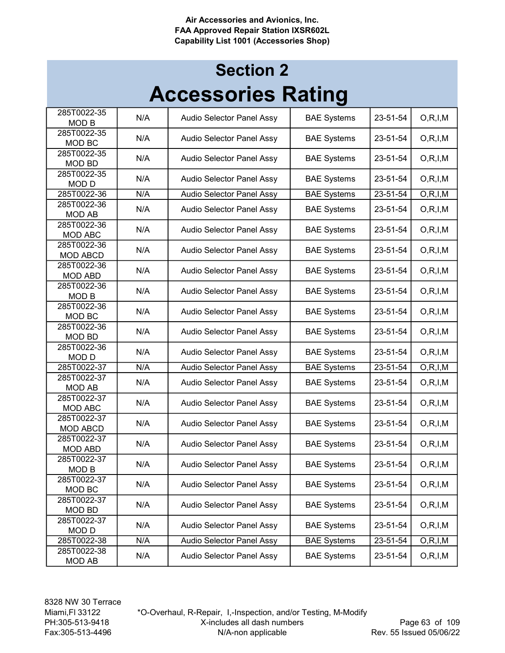| 285T0022-35<br><b>MOD B</b>    | N/A | Audio Selector Panel Assy        | <b>BAE Systems</b> | 23-51-54 | O, R, I, M |
|--------------------------------|-----|----------------------------------|--------------------|----------|------------|
| 285T0022-35<br>MOD BC          | N/A | Audio Selector Panel Assy        | <b>BAE Systems</b> | 23-51-54 | O, R, I, M |
| 285T0022-35<br><b>MOD BD</b>   | N/A | Audio Selector Panel Assy        | <b>BAE Systems</b> | 23-51-54 | O, R, I, M |
| 285T0022-35<br><b>MODD</b>     | N/A | Audio Selector Panel Assy        | <b>BAE Systems</b> | 23-51-54 | O, R, I, M |
| 285T0022-36                    | N/A | Audio Selector Panel Assy        | <b>BAE Systems</b> | 23-51-54 | O, R, I, M |
| 285T0022-36<br><b>MOD AB</b>   | N/A | <b>Audio Selector Panel Assy</b> | <b>BAE Systems</b> | 23-51-54 | O, R, I, M |
| 285T0022-36<br>MOD ABC         | N/A | Audio Selector Panel Assy        | <b>BAE Systems</b> | 23-51-54 | O, R, I, M |
| 285T0022-36<br><b>MOD ABCD</b> | N/A | Audio Selector Panel Assy        | <b>BAE Systems</b> | 23-51-54 | O, R, I, M |
| 285T0022-36<br><b>MOD ABD</b>  | N/A | Audio Selector Panel Assy        | <b>BAE Systems</b> | 23-51-54 | O, R, I, M |
| 285T0022-36<br><b>MOD B</b>    | N/A | Audio Selector Panel Assy        | <b>BAE Systems</b> | 23-51-54 | O, R, I, M |
| 285T0022-36<br>MOD BC          | N/A | Audio Selector Panel Assy        | <b>BAE Systems</b> | 23-51-54 | O, R, I, M |
| 285T0022-36<br><b>MOD BD</b>   | N/A | Audio Selector Panel Assy        | <b>BAE Systems</b> | 23-51-54 | O, R, I, M |
| 285T0022-36<br><b>MODD</b>     | N/A | Audio Selector Panel Assy        | <b>BAE Systems</b> | 23-51-54 | O, R, I, M |
| 285T0022-37                    | N/A | Audio Selector Panel Assy        | <b>BAE Systems</b> | 23-51-54 | O, R, I, M |
| 285T0022-37<br><b>MOD AB</b>   | N/A | Audio Selector Panel Assy        | <b>BAE Systems</b> | 23-51-54 | O, R, I, M |
| 285T0022-37<br>MOD ABC         | N/A | Audio Selector Panel Assy        | <b>BAE Systems</b> | 23-51-54 | O, R, I, M |
| 285T0022-37<br>MOD ABCD        | N/A | Audio Selector Panel Assy        | <b>BAE Systems</b> | 23-51-54 | O, R, I, M |
| 285T0022-37<br><b>MOD ABD</b>  | N/A | Audio Selector Panel Assy        | <b>BAE Systems</b> | 23-51-54 | O, R, I, M |
| 285T0022-37<br>MOD B           | N/A | <b>Audio Selector Panel Assy</b> | <b>BAE Systems</b> | 23-51-54 | O, R, I, M |
| 285T0022-37<br>MOD BC          | N/A | Audio Selector Panel Assy        | <b>BAE Systems</b> | 23-51-54 | O, R, I, M |
| 285T0022-37<br>MOD BD          | N/A | Audio Selector Panel Assy        | <b>BAE Systems</b> | 23-51-54 | O, R, I, M |
| 285T0022-37<br><b>MODD</b>     | N/A | Audio Selector Panel Assy        | <b>BAE Systems</b> | 23-51-54 | O, R, I, M |
| 285T0022-38                    | N/A | Audio Selector Panel Assy        | <b>BAE Systems</b> | 23-51-54 | O, R, I, M |
| 285T0022-38<br><b>MOD AB</b>   | N/A | Audio Selector Panel Assy        | <b>BAE Systems</b> | 23-51-54 | O, R, I, M |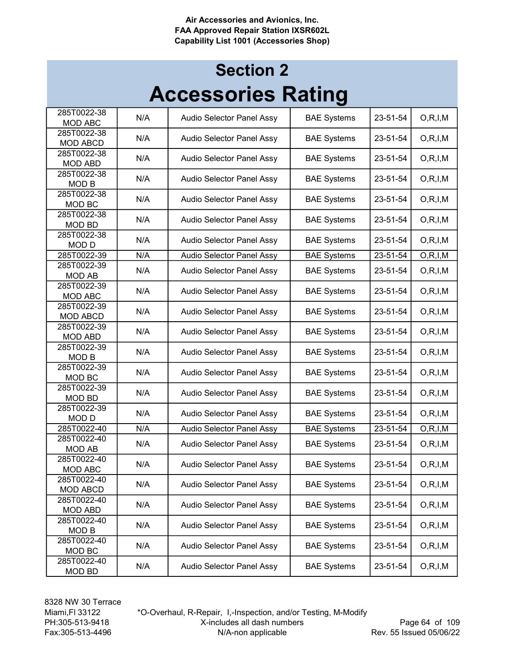|                                 |     |                                  | IJ                 |          |            |
|---------------------------------|-----|----------------------------------|--------------------|----------|------------|
| 285T0022-38<br>MOD ABC          | N/A | Audio Selector Panel Assy        | <b>BAE Systems</b> | 23-51-54 | O, R, I, M |
| 285T0022-38<br><b>MOD ABCD</b>  | N/A | Audio Selector Panel Assy        | <b>BAE Systems</b> | 23-51-54 | O, R, I, M |
| 285T0022-38<br><b>MOD ABD</b>   | N/A | Audio Selector Panel Assy        | <b>BAE Systems</b> | 23-51-54 | O, R, I, M |
| 285T0022-38<br><b>MOD B</b>     | N/A | Audio Selector Panel Assy        | <b>BAE Systems</b> | 23-51-54 | O, R, I, M |
| 285T0022-38<br>MOD BC           | N/A | Audio Selector Panel Assy        | <b>BAE Systems</b> | 23-51-54 | O, R, I, M |
| 285T0022-38<br><b>MOD BD</b>    | N/A | Audio Selector Panel Assy        | <b>BAE Systems</b> | 23-51-54 | O, R, I, M |
| 285T0022-38                     | N/A | Audio Selector Panel Assy        | <b>BAE Systems</b> | 23-51-54 | O, R, I, M |
| <b>MODD</b><br>285T0022-39      | N/A | Audio Selector Panel Assy        | <b>BAE Systems</b> | 23-51-54 | O, R, I, M |
| 285T0022-39<br><b>MOD AB</b>    | N/A | Audio Selector Panel Assy        | <b>BAE Systems</b> | 23-51-54 | O, R, I, M |
| 285T0022-39<br>MOD ABC          | N/A | Audio Selector Panel Assy        | <b>BAE Systems</b> | 23-51-54 | O, R, I, M |
| 285T0022-39<br><b>MOD ABCD</b>  | N/A | Audio Selector Panel Assy        | <b>BAE Systems</b> | 23-51-54 | O, R, I, M |
| 285T0022-39<br><b>MOD ABD</b>   | N/A | Audio Selector Panel Assy        | <b>BAE Systems</b> | 23-51-54 | O, R, I, M |
| 285T0022-39<br><b>MOD B</b>     | N/A | Audio Selector Panel Assy        | <b>BAE Systems</b> | 23-51-54 | O, R, I, M |
| 285T0022-39<br>MOD BC           | N/A | Audio Selector Panel Assy        | <b>BAE Systems</b> | 23-51-54 | O, R, I, M |
| 285T0022-39<br><b>MOD BD</b>    | N/A | Audio Selector Panel Assy        | <b>BAE Systems</b> | 23-51-54 | O, R, I, M |
| 285T0022-39<br><b>MODD</b>      | N/A | Audio Selector Panel Assy        | <b>BAE Systems</b> | 23-51-54 | O, R, I, M |
| 285T0022-40                     | N/A | <b>Audio Selector Panel Assy</b> | <b>BAE Systems</b> | 23-51-54 | O, R, I, M |
| 285T0022-40<br><b>MOD AB</b>    | N/A | Audio Selector Panel Assy        | <b>BAE Systems</b> | 23-51-54 | O, R, I, M |
| 285T0022-40<br><b>MOD ABC</b>   | N/A | Audio Selector Panel Assy        | <b>BAE Systems</b> | 23-51-54 | O, R, I, M |
| 285T0022-40<br>MOD ABCD         | N/A | Audio Selector Panel Assy        | <b>BAE Systems</b> | 23-51-54 | O, R, I, M |
| 285T0022-40<br>MOD ABD          | N/A | Audio Selector Panel Assy        | <b>BAE Systems</b> | 23-51-54 | O, R, I, M |
| 285T0022-40<br>MOD <sub>B</sub> | N/A | Audio Selector Panel Assy        | <b>BAE Systems</b> | 23-51-54 | O, R, I, M |
| 285T0022-40<br>MOD BC           | N/A | Audio Selector Panel Assy        | <b>BAE Systems</b> | 23-51-54 | O, R, I, M |
| 285T0022-40<br><b>MOD BD</b>    | N/A | Audio Selector Panel Assy        | <b>BAE Systems</b> | 23-51-54 | O, R, I, M |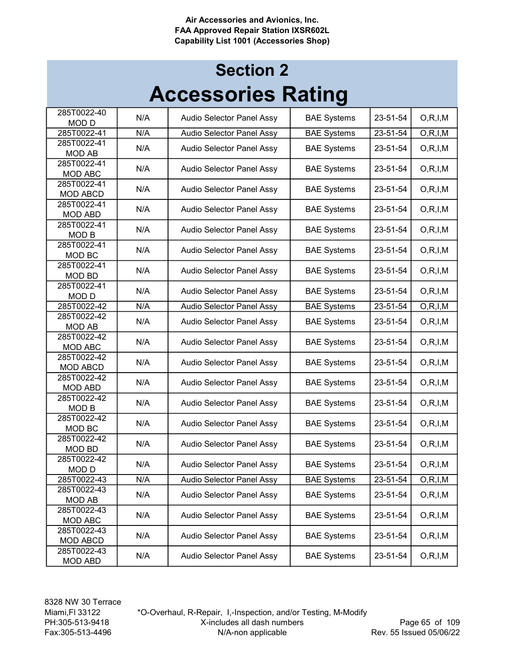| 285T0022-40<br><b>MODD</b>    | N/A | Audio Selector Panel Assy | <b>BAE Systems</b> | 23-51-54 | O, R, I, M |
|-------------------------------|-----|---------------------------|--------------------|----------|------------|
| 285T0022-41                   | N/A | Audio Selector Panel Assy | <b>BAE Systems</b> | 23-51-54 | O, R, I, M |
| 285T0022-41                   | N/A |                           |                    |          |            |
| <b>MOD AB</b>                 |     | Audio Selector Panel Assy | <b>BAE Systems</b> | 23-51-54 | O, R, I, M |
| 285T0022-41                   | N/A | Audio Selector Panel Assy | <b>BAE Systems</b> | 23-51-54 | O, R, I, M |
| MOD ABC                       |     |                           |                    |          |            |
| 285T0022-41                   | N/A | Audio Selector Panel Assy | <b>BAE Systems</b> | 23-51-54 | O, R, I, M |
| <b>MOD ABCD</b>               |     |                           |                    |          |            |
| 285T0022-41                   | N/A | Audio Selector Panel Assy | <b>BAE Systems</b> | 23-51-54 | O, R, I, M |
| <b>MOD ABD</b><br>285T0022-41 |     |                           |                    |          |            |
| <b>MOD B</b>                  | N/A | Audio Selector Panel Assy | <b>BAE Systems</b> | 23-51-54 | O, R, I, M |
| 285T0022-41                   |     |                           |                    |          |            |
| MOD BC                        | N/A | Audio Selector Panel Assy | <b>BAE Systems</b> | 23-51-54 | O, R, I, M |
| 285T0022-41                   |     |                           |                    |          |            |
| <b>MOD BD</b>                 | N/A | Audio Selector Panel Assy | <b>BAE Systems</b> | 23-51-54 | O, R, I, M |
| 285T0022-41                   |     |                           |                    |          |            |
| <b>MODD</b>                   | N/A | Audio Selector Panel Assy | <b>BAE Systems</b> | 23-51-54 | O, R, I, M |
| 285T0022-42                   | N/A | Audio Selector Panel Assy | <b>BAE Systems</b> | 23-51-54 | O, R, I, M |
| 285T0022-42                   | N/A | Audio Selector Panel Assy | <b>BAE Systems</b> | 23-51-54 | O, R, I, M |
| <b>MOD AB</b>                 |     |                           |                    |          |            |
| 285T0022-42                   | N/A | Audio Selector Panel Assy | <b>BAE Systems</b> | 23-51-54 | O, R, I, M |
| MOD ABC                       |     |                           |                    |          |            |
| 285T0022-42                   | N/A | Audio Selector Panel Assy | <b>BAE Systems</b> | 23-51-54 | O, R, I, M |
| MOD ABCD<br>285T0022-42       |     |                           |                    |          |            |
| <b>MOD ABD</b>                | N/A | Audio Selector Panel Assy | <b>BAE Systems</b> | 23-51-54 | O, R, I, M |
| 285T0022-42                   |     |                           |                    |          |            |
| <b>MOD B</b>                  | N/A | Audio Selector Panel Assy | <b>BAE Systems</b> | 23-51-54 | O, R, I, M |
| 285T0022-42                   |     |                           |                    |          |            |
| MOD BC                        | N/A | Audio Selector Panel Assy | <b>BAE Systems</b> | 23-51-54 | O, R, I, M |
| 285T0022-42                   | N/A | Audio Selector Panel Assy | <b>BAE Systems</b> | 23-51-54 | O, R, I, M |
| <b>MOD BD</b>                 |     |                           |                    |          |            |
| 285T0022-42                   | N/A | Audio Selector Panel Assy | <b>BAE Systems</b> | 23-51-54 | O, R, I, M |
| <b>MODD</b>                   |     |                           |                    |          |            |
| 285T0022-43                   | N/A | Audio Selector Panel Assy | <b>BAE Systems</b> | 23-51-54 | O, R, I, M |
| 285T0022-43                   | N/A | Audio Selector Panel Assy | <b>BAE Systems</b> | 23-51-54 | O, R, I, M |
| MOD AB                        |     |                           |                    |          |            |
| 285T0022-43<br>MOD ABC        | N/A | Audio Selector Panel Assy | <b>BAE Systems</b> | 23-51-54 | O, R, I, M |
| 285T0022-43                   |     |                           |                    |          |            |
| MOD ABCD                      | N/A | Audio Selector Panel Assy | <b>BAE Systems</b> | 23-51-54 | O, R, I, M |
| 285T0022-43                   |     |                           |                    |          |            |
| MOD ABD                       | N/A | Audio Selector Panel Assy | <b>BAE Systems</b> | 23-51-54 | O, R, I, M |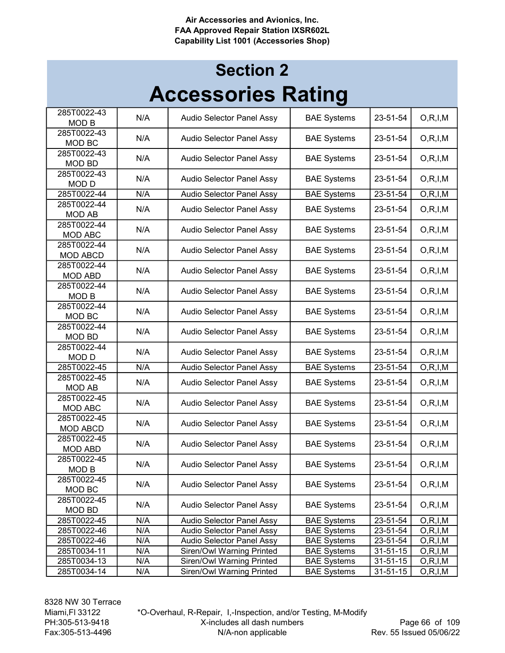| 285T0022-43<br><b>MOD B</b>     | N/A | Audio Selector Panel Assy | <b>BAE Systems</b> | 23-51-54       | O, R, I, M |
|---------------------------------|-----|---------------------------|--------------------|----------------|------------|
| 285T0022-43<br>MOD BC           | N/A | Audio Selector Panel Assy | <b>BAE Systems</b> | 23-51-54       | O, R, I, M |
| 285T0022-43<br><b>MOD BD</b>    | N/A | Audio Selector Panel Assy | <b>BAE Systems</b> | 23-51-54       | O, R, I, M |
| 285T0022-43<br>MOD <sub>D</sub> | N/A | Audio Selector Panel Assy | <b>BAE Systems</b> | 23-51-54       | O, R, I, M |
| 285T0022-44                     | N/A | Audio Selector Panel Assy | <b>BAE Systems</b> | 23-51-54       | O, R, I, M |
| 285T0022-44<br><b>MOD AB</b>    | N/A | Audio Selector Panel Assy | <b>BAE Systems</b> | 23-51-54       | O, R, I, M |
| 285T0022-44<br><b>MOD ABC</b>   | N/A | Audio Selector Panel Assy | <b>BAE Systems</b> | 23-51-54       | O, R, I, M |
| 285T0022-44<br><b>MOD ABCD</b>  | N/A | Audio Selector Panel Assy | <b>BAE Systems</b> | 23-51-54       | O, R, I, M |
| 285T0022-44<br><b>MOD ABD</b>   | N/A | Audio Selector Panel Assy | <b>BAE Systems</b> | 23-51-54       | O, R, I, M |
| 285T0022-44<br>MOD <sub>B</sub> | N/A | Audio Selector Panel Assy | <b>BAE Systems</b> | 23-51-54       | O, R, I, M |
| 285T0022-44<br>MOD BC           | N/A | Audio Selector Panel Assy | <b>BAE Systems</b> | 23-51-54       | O, R, I, M |
| 285T0022-44<br><b>MOD BD</b>    | N/A | Audio Selector Panel Assy | <b>BAE Systems</b> | 23-51-54       | O, R, I, M |
| 285T0022-44<br><b>MODD</b>      | N/A | Audio Selector Panel Assy | <b>BAE Systems</b> | 23-51-54       | O, R, I, M |
| 285T0022-45                     | N/A | Audio Selector Panel Assy | <b>BAE Systems</b> | 23-51-54       | O, R, I, M |
| 285T0022-45<br><b>MOD AB</b>    | N/A | Audio Selector Panel Assy | <b>BAE Systems</b> | 23-51-54       | O, R, I, M |
| 285T0022-45<br><b>MOD ABC</b>   | N/A | Audio Selector Panel Assy | <b>BAE Systems</b> | 23-51-54       | O, R, I, M |
| 285T0022-45<br><b>MOD ABCD</b>  | N/A | Audio Selector Panel Assy | <b>BAE Systems</b> | 23-51-54       | O, R, I, M |
| 285T0022-45<br><b>MOD ABD</b>   | N/A | Audio Selector Panel Assy | <b>BAE Systems</b> | 23-51-54       | O, R, I, M |
| 285T0022-45<br><b>MOD B</b>     | N/A | Audio Selector Panel Assy | <b>BAE Systems</b> | 23-51-54       | O, R, I, M |
| 285T0022-45<br>MOD BC           | N/A | Audio Selector Panel Assy | <b>BAE Systems</b> | 23-51-54       | O, R, I, M |
| 285T0022-45<br>MOD BD           | N/A | Audio Selector Panel Assy | <b>BAE Systems</b> | 23-51-54       | O, R, I, M |
| 285T0022-45                     | N/A | Audio Selector Panel Assy | <b>BAE Systems</b> | 23-51-54       | O, R, I, M |
| 285T0022-46                     | N/A | Audio Selector Panel Assy | <b>BAE Systems</b> | 23-51-54       | O, R, I, M |
| 285T0022-46                     | N/A | Audio Selector Panel Assy | <b>BAE Systems</b> | 23-51-54       | O, R, I, M |
| 285T0034-11                     | N/A | Siren/Owl Warning Printed | <b>BAE Systems</b> | 31-51-15       | O, R, I, M |
| 285T0034-13                     | N/A | Siren/Owl Warning Printed | <b>BAE Systems</b> | 31-51-15       | O, R, I, M |
| 285T0034-14                     | N/A | Siren/Owl Warning Printed | <b>BAE Systems</b> | $31 - 51 - 15$ | O, R, I, M |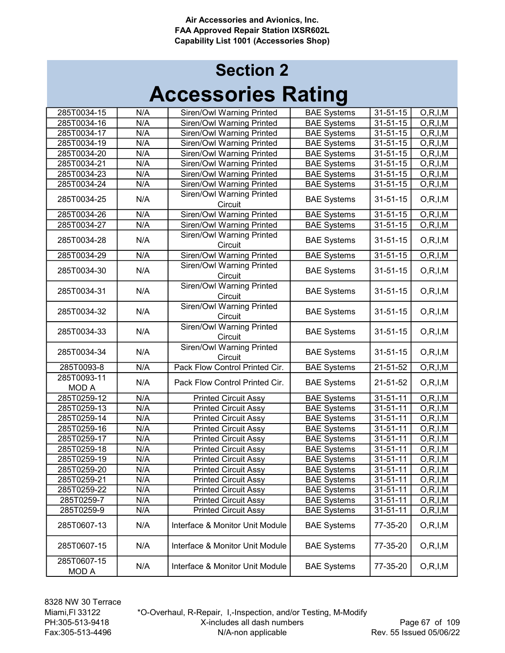| 285T0034-15                 | N/A | Siren/Owl Warning Printed                   | <b>BAE Systems</b> | $31 - 51 - 15$ | O, R, I, M              |
|-----------------------------|-----|---------------------------------------------|--------------------|----------------|-------------------------|
| 285T0034-16                 | N/A | Siren/Owl Warning Printed                   | <b>BAE Systems</b> | $31 - 51 - 15$ | $\overline{O, R, I, M}$ |
| 285T0034-17                 | N/A | Siren/Owl Warning Printed                   | <b>BAE Systems</b> | $31 - 51 - 15$ | O, R, I, M              |
| 285T0034-19                 | N/A | Siren/Owl Warning Printed                   | <b>BAE Systems</b> | $31 - 51 - 15$ | O, R, I, M              |
| 285T0034-20                 | N/A | Siren/Owl Warning Printed                   | <b>BAE Systems</b> | $31 - 51 - 15$ | O, R, I, M              |
| 285T0034-21                 | N/A | Siren/Owl Warning Printed                   | <b>BAE Systems</b> | $31 - 51 - 15$ | O, R, I, M              |
| 285T0034-23                 | N/A | Siren/Owl Warning Printed                   | <b>BAE Systems</b> | 31-51-15       | O, R, I, M              |
| 285T0034-24                 | N/A | Siren/Owl Warning Printed                   | <b>BAE Systems</b> | $31 - 51 - 15$ | O, R, I, M              |
| 285T0034-25                 | N/A | Siren/Owl Warning Printed<br>Circuit        | <b>BAE Systems</b> | $31 - 51 - 15$ | O, R, I, M              |
| 285T0034-26                 | N/A | Siren/Owl Warning Printed                   | <b>BAE Systems</b> | 31-51-15       | O, R, I, M              |
| 285T0034-27                 | N/A | Siren/Owl Warning Printed                   | <b>BAE Systems</b> | $31 - 51 - 15$ | O, R, I, M              |
| 285T0034-28                 | N/A | Siren/Owl Warning Printed<br>Circuit        | <b>BAE Systems</b> | 31-51-15       | O, R, I, M              |
| 285T0034-29                 | N/A | Siren/Owl Warning Printed                   | <b>BAE Systems</b> | $31 - 51 - 15$ | O, R, I, M              |
| 285T0034-30                 | N/A | Siren/Owl Warning Printed<br>Circuit        | <b>BAE Systems</b> | $31 - 51 - 15$ | O, R, I, M              |
| 285T0034-31                 | N/A | Siren/Owl Warning Printed<br>Circuit        | <b>BAE Systems</b> | $31 - 51 - 15$ | O, R, I, M              |
| 285T0034-32                 | N/A | Siren/Owl Warning Printed<br>Circuit        | <b>BAE Systems</b> | $31 - 51 - 15$ | O, R, I, M              |
| 285T0034-33                 | N/A | <b>Siren/Owl Warning Printed</b><br>Circuit | <b>BAE Systems</b> | $31 - 51 - 15$ | O, R, I, M              |
| 285T0034-34                 | N/A | Siren/Owl Warning Printed<br>Circuit        | <b>BAE Systems</b> | $31 - 51 - 15$ | O, R, I, M              |
| 285T0093-8                  | N/A | Pack Flow Control Printed Cir.              | <b>BAE Systems</b> | $21 - 51 - 52$ | O, R, I, M              |
| 285T0093-11<br><b>MOD A</b> | N/A | Pack Flow Control Printed Cir.              | <b>BAE Systems</b> | 21-51-52       | O, R, I, M              |
| 285T0259-12                 | N/A | <b>Printed Circuit Assy</b>                 | <b>BAE Systems</b> | $31 - 51 - 11$ | O, R, I, M              |
| 285T0259-13                 | N/A | <b>Printed Circuit Assy</b>                 | <b>BAE Systems</b> | $31 - 51 - 11$ | O, R, I, M              |
| 285T0259-14                 | N/A | <b>Printed Circuit Assy</b>                 | <b>BAE Systems</b> | $31 - 51 - 11$ | O, R, I, M              |
| 285T0259-16                 | N/A | <b>Printed Circuit Assy</b>                 | <b>BAE Systems</b> | $31 - 51 - 11$ | O, R, I, M              |
| 285T0259-17                 | N/A | <b>Printed Circuit Assy</b>                 | <b>BAE Systems</b> | $31 - 51 - 11$ | O, R, I, M              |
| 285T0259-18                 | N/A | <b>Printed Circuit Assy</b>                 | <b>BAE Systems</b> | $31 - 51 - 11$ | O, R, I, M              |
| 285T0259-19                 | N/A | <b>Printed Circuit Assy</b>                 | <b>BAE Systems</b> | $31 - 51 - 11$ | O, R, I, M              |
| 285T0259-20                 | N/A | <b>Printed Circuit Assy</b>                 | <b>BAE Systems</b> | $31 - 51 - 11$ | O, R, I, M              |
| 285T0259-21                 | N/A | <b>Printed Circuit Assy</b>                 | <b>BAE Systems</b> | 31-51-11       | O, R, I, M              |
| 285T0259-22                 | N/A | <b>Printed Circuit Assy</b>                 | <b>BAE Systems</b> | $31 - 51 - 11$ | O, R, I, M              |
| 285T0259-7                  | N/A | <b>Printed Circuit Assy</b>                 | <b>BAE Systems</b> | $31 - 51 - 11$ | O, R, I, M              |
| 285T0259-9                  | N/A | <b>Printed Circuit Assy</b>                 | <b>BAE Systems</b> | $31 - 51 - 11$ | O, R, I, M              |
| 285T0607-13                 | N/A | Interface & Monitor Unit Module             | <b>BAE Systems</b> | 77-35-20       | O, R, I, M              |
| 285T0607-15                 | N/A | Interface & Monitor Unit Module             | <b>BAE Systems</b> | 77-35-20       | O, R, I, M              |
| 285T0607-15<br><b>MODA</b>  | N/A | Interface & Monitor Unit Module             | <b>BAE Systems</b> | 77-35-20       | O, R, I, M              |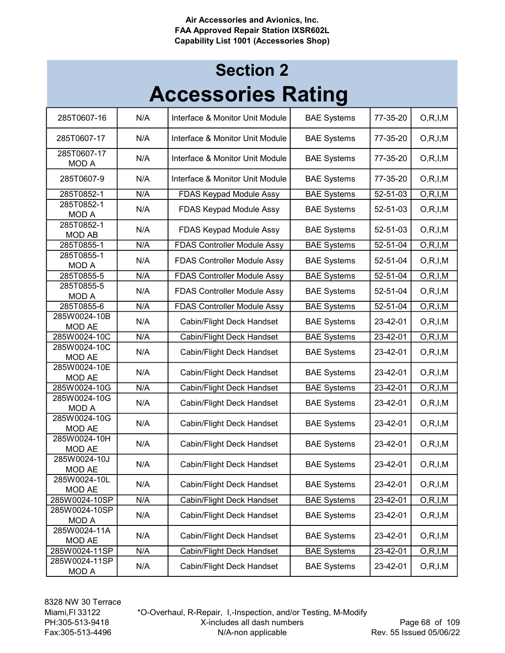| 285T0607-16                   | N/A | Interface & Monitor Unit Module    | <b>BAE Systems</b> | 77-35-20 | O, R, I, M |
|-------------------------------|-----|------------------------------------|--------------------|----------|------------|
| 285T0607-17                   | N/A | Interface & Monitor Unit Module    | <b>BAE Systems</b> | 77-35-20 | O, R, I, M |
| 285T0607-17<br><b>MOD A</b>   | N/A | Interface & Monitor Unit Module    | <b>BAE Systems</b> | 77-35-20 | O, R, I, M |
| 285T0607-9                    | N/A | Interface & Monitor Unit Module    | <b>BAE Systems</b> | 77-35-20 | O, R, I, M |
| 285T0852-1                    | N/A | FDAS Keypad Module Assy            | <b>BAE Systems</b> | 52-51-03 | O, R, I, M |
| 285T0852-1<br><b>MOD A</b>    | N/A | FDAS Keypad Module Assy            | <b>BAE Systems</b> | 52-51-03 | O, R, I, M |
| 285T0852-1<br><b>MOD AB</b>   | N/A | FDAS Keypad Module Assy            | <b>BAE Systems</b> | 52-51-03 | O, R, I, M |
| 285T0855-1                    | N/A | <b>FDAS Controller Module Assy</b> | <b>BAE Systems</b> | 52-51-04 | O, R, I, M |
| 285T0855-1<br><b>MOD A</b>    | N/A | <b>FDAS Controller Module Assy</b> | <b>BAE Systems</b> | 52-51-04 | O, R, I, M |
| 285T0855-5                    | N/A | FDAS Controller Module Assy        | <b>BAE Systems</b> | 52-51-04 | O, R, I, M |
| 285T0855-5<br><b>MOD A</b>    | N/A | FDAS Controller Module Assy        | <b>BAE Systems</b> | 52-51-04 | O, R, I, M |
| 285T0855-6                    | N/A | <b>FDAS Controller Module Assy</b> | <b>BAE Systems</b> | 52-51-04 | O, R, I, M |
| 285W0024-10B<br><b>MOD AE</b> | N/A | Cabin/Flight Deck Handset          | <b>BAE Systems</b> | 23-42-01 | O, R, I, M |
| 285W0024-10C                  | N/A | Cabin/Flight Deck Handset          | <b>BAE Systems</b> | 23-42-01 | O, R, I, M |
| 285W0024-10C<br><b>MOD AE</b> | N/A | Cabin/Flight Deck Handset          | <b>BAE Systems</b> | 23-42-01 | O, R, I, M |
| 285W0024-10E<br><b>MOD AE</b> | N/A | Cabin/Flight Deck Handset          | <b>BAE Systems</b> | 23-42-01 | O, R, I, M |
| 285W0024-10G                  | N/A | Cabin/Flight Deck Handset          | <b>BAE Systems</b> | 23-42-01 | O, R, I, M |
| 285W0024-10G<br><b>MODA</b>   | N/A | Cabin/Flight Deck Handset          | <b>BAE Systems</b> | 23-42-01 | O, R, I, M |
| 285W0024-10G<br><b>MOD AE</b> | N/A | Cabin/Flight Deck Handset          | <b>BAE Systems</b> | 23-42-01 | O, R, I, M |
| 285W0024-10H<br>MOD AE        | N/A | Cabin/Flight Deck Handset          | <b>BAE Systems</b> | 23-42-01 | O, R, I, M |
| 285W0024-10J<br><b>MOD AE</b> | N/A | Cabin/Flight Deck Handset          | <b>BAE Systems</b> | 23-42-01 | O, R, I, M |
| 285W0024-10L<br>MOD AE        | N/A | Cabin/Flight Deck Handset          | <b>BAE Systems</b> | 23-42-01 | O, R, I, M |
| 285W0024-10SP                 | N/A | Cabin/Flight Deck Handset          | <b>BAE Systems</b> | 23-42-01 | O, R, I, M |
| 285W0024-10SP<br><b>MOD A</b> | N/A | Cabin/Flight Deck Handset          | <b>BAE Systems</b> | 23-42-01 | O, R, I, M |
| 285W0024-11A<br>MOD AE        | N/A | Cabin/Flight Deck Handset          | <b>BAE Systems</b> | 23-42-01 | O, R, I, M |
| 285W0024-11SP                 | N/A | Cabin/Flight Deck Handset          | <b>BAE Systems</b> | 23-42-01 | O, R, I, M |
| 285W0024-11SP<br><b>MOD A</b> | N/A | Cabin/Flight Deck Handset          | <b>BAE Systems</b> | 23-42-01 | O, R, I, M |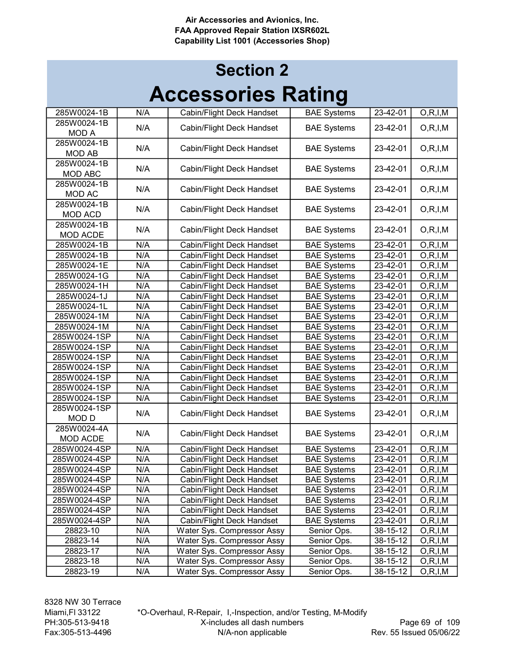| 285W0024-1B     | N/A | Cabin/Flight Deck Handset  | <b>BAE Systems</b> | 23-42-01       | O, R, I, M |
|-----------------|-----|----------------------------|--------------------|----------------|------------|
| 285W0024-1B     | N/A | Cabin/Flight Deck Handset  | <b>BAE Systems</b> | 23-42-01       | O, R, I, M |
| <b>MOD A</b>    |     |                            |                    |                |            |
| 285W0024-1B     | N/A | Cabin/Flight Deck Handset  | <b>BAE Systems</b> | 23-42-01       | O, R, I, M |
| <b>MOD AB</b>   |     |                            |                    |                |            |
| 285W0024-1B     | N/A | Cabin/Flight Deck Handset  | <b>BAE Systems</b> | 23-42-01       | O, R, I, M |
| <b>MOD ABC</b>  |     |                            |                    |                |            |
| 285W0024-1B     | N/A | Cabin/Flight Deck Handset  | <b>BAE Systems</b> | 23-42-01       | O, R, I, M |
| <b>MOD AC</b>   |     |                            |                    |                |            |
| 285W0024-1B     | N/A | Cabin/Flight Deck Handset  | <b>BAE Systems</b> | 23-42-01       | O, R, I, M |
| <b>MOD ACD</b>  |     |                            |                    |                |            |
| 285W0024-1B     | N/A | Cabin/Flight Deck Handset  | <b>BAE Systems</b> | 23-42-01       | O, R, I, M |
| MOD ACDE        |     |                            |                    |                |            |
| 285W0024-1B     | N/A | Cabin/Flight Deck Handset  | <b>BAE Systems</b> | 23-42-01       | O, R, I, M |
| 285W0024-1B     | N/A | Cabin/Flight Deck Handset  | <b>BAE Systems</b> | 23-42-01       | O, R, I, M |
| 285W0024-1E     | N/A | Cabin/Flight Deck Handset  | <b>BAE Systems</b> | 23-42-01       | O, R, I, M |
| 285W0024-1G     | N/A | Cabin/Flight Deck Handset  | <b>BAE Systems</b> | 23-42-01       | O, R, I, M |
| 285W0024-1H     | N/A | Cabin/Flight Deck Handset  | <b>BAE</b> Systems | 23-42-01       | O, R, I, M |
| 285W0024-1J     | N/A | Cabin/Flight Deck Handset  | <b>BAE Systems</b> | 23-42-01       | O, R, I, M |
| 285W0024-1L     | N/A | Cabin/Flight Deck Handset  | <b>BAE Systems</b> | 23-42-01       | O, R, I, M |
| 285W0024-1M     | N/A | Cabin/Flight Deck Handset  | <b>BAE Systems</b> | 23-42-01       | O, R, I, M |
| 285W0024-1M     | N/A | Cabin/Flight Deck Handset  | <b>BAE</b> Systems | $23 - 42 - 01$ | O, R, I, M |
| 285W0024-1SP    | N/A | Cabin/Flight Deck Handset  | <b>BAE Systems</b> | 23-42-01       | O, R, I, M |
| 285W0024-1SP    | N/A | Cabin/Flight Deck Handset  | <b>BAE Systems</b> | 23-42-01       | O, R, I, M |
| 285W0024-1SP    | N/A | Cabin/Flight Deck Handset  | <b>BAE Systems</b> | 23-42-01       | O, R, I, M |
| 285W0024-1SP    | N/A | Cabin/Flight Deck Handset  | <b>BAE Systems</b> | $23 - 42 - 01$ | O, R, I, M |
| 285W0024-1SP    | N/A | Cabin/Flight Deck Handset  | <b>BAE Systems</b> | 23-42-01       | O, R, I, M |
| 285W0024-1SP    | N/A | Cabin/Flight Deck Handset  | <b>BAE Systems</b> | 23-42-01       | O, R, I, M |
| 285W0024-1SP    | N/A | Cabin/Flight Deck Handset  | <b>BAE Systems</b> | 23-42-01       | O, R, I, M |
| 285W0024-1SP    | N/A | Cabin/Flight Deck Handset  | <b>BAE Systems</b> | 23-42-01       | O, R, I, M |
| <b>MODD</b>     |     |                            |                    |                |            |
| 285W0024-4A     | N/A | Cabin/Flight Deck Handset  | <b>BAE Systems</b> | 23-42-01       | O, R, I, M |
| <b>MOD ACDE</b> |     |                            |                    |                |            |
| 285W0024-4SP    | N/A | Cabin/Flight Deck Handset  | <b>BAE Systems</b> | 23-42-01       | O, R, I, M |
| 285W0024-4SP    | N/A | Cabin/Flight Deck Handset  | <b>BAE Systems</b> | 23-42-01       | O, R, I, M |
| 285W0024-4SP    | N/A | Cabin/Flight Deck Handset  | <b>BAE</b> Systems | 23-42-01       | O, R, I, M |
| 285W0024-4SP    | N/A | Cabin/Flight Deck Handset  | <b>BAE Systems</b> | 23-42-01       | O, R, I, M |
| 285W0024-4SP    | N/A | Cabin/Flight Deck Handset  | <b>BAE Systems</b> | 23-42-01       | O, R, I, M |
| 285W0024-4SP    | N/A | Cabin/Flight Deck Handset  | <b>BAE Systems</b> | 23-42-01       | O, R, I, M |
| 285W0024-4SP    | N/A | Cabin/Flight Deck Handset  | <b>BAE Systems</b> | 23-42-01       | O, R, I, M |
| 285W0024-4SP    | N/A | Cabin/Flight Deck Handset  | <b>BAE Systems</b> | 23-42-01       | O, R, I, M |
| 28823-10        | N/A | Water Sys. Compressor Assy | Senior Ops.        | 38-15-12       | O, R, I, M |
| 28823-14        | N/A | Water Sys. Compressor Assy | Senior Ops.        | 38-15-12       | O, R, I, M |
| 28823-17        | N/A | Water Sys. Compressor Assy | Senior Ops.        | 38-15-12       | O, R, I, M |
| 28823-18        | N/A | Water Sys. Compressor Assy | Senior Ops.        | 38-15-12       | O, R, I, M |
| 28823-19        | N/A | Water Sys. Compressor Assy | Senior Ops.        | 38-15-12       | O, R, I, M |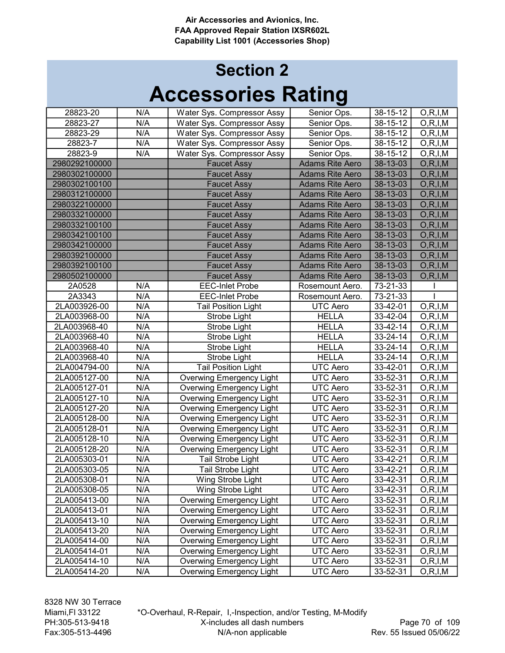| 28823-20      | N/A | Water Sys. Compressor Assy      | Senior Ops.            | $38 - 15 - 12$ | O, R, I, M |
|---------------|-----|---------------------------------|------------------------|----------------|------------|
| 28823-27      | N/A | Water Sys. Compressor Assy      | Senior Ops.            | 38-15-12       | O, R, I, M |
| 28823-29      | N/A | Water Sys. Compressor Assy      | Senior Ops.            | $38 - 15 - 12$ | O, R, I, M |
| 28823-7       | N/A | Water Sys. Compressor Assy      | Senior Ops.            | 38-15-12       | O, R, I, M |
| 28823-9       | N/A | Water Sys. Compressor Assy      | Senior Ops.            | 38-15-12       | O, R, I, M |
| 2980292100000 |     | <b>Faucet Assy</b>              | <b>Adams Rite Aero</b> | 38-13-03       | O, R, I, M |
| 2980302100000 |     | <b>Faucet Assy</b>              | <b>Adams Rite Aero</b> | 38-13-03       | O, R, I, M |
| 2980302100100 |     | <b>Faucet Assy</b>              | <b>Adams Rite Aero</b> | 38-13-03       | O, R, I, M |
| 2980312100000 |     | <b>Faucet Assy</b>              | <b>Adams Rite Aero</b> | 38-13-03       | O, R, I, M |
| 2980322100000 |     | <b>Faucet Assy</b>              | <b>Adams Rite Aero</b> | 38-13-03       | O, R, I, M |
| 2980332100000 |     | <b>Faucet Assy</b>              | <b>Adams Rite Aero</b> | 38-13-03       | O, R, I, M |
| 2980332100100 |     | <b>Faucet Assy</b>              | <b>Adams Rite Aero</b> | 38-13-03       | O, R, I, M |
| 2980342100100 |     | <b>Faucet Assy</b>              | <b>Adams Rite Aero</b> | 38-13-03       | O, R, I, M |
| 2980342100000 |     | <b>Faucet Assy</b>              | <b>Adams Rite Aero</b> | 38-13-03       | O, R, I, M |
| 2980392100000 |     | <b>Faucet Assy</b>              | <b>Adams Rite Aero</b> | 38-13-03       | O, R, I, M |
| 2980392100100 |     | <b>Faucet Assy</b>              | <b>Adams Rite Aero</b> | 38-13-03       | O, R, I, M |
| 2980502100000 |     | <b>Faucet Assy</b>              | <b>Adams Rite Aero</b> | 38-13-03       | O, R, I, M |
| 2A0528        | N/A | <b>EEC-Inlet Probe</b>          | Rosemount Aero.        | 73-21-33       |            |
| 2A3343        | N/A | <b>EEC-Inlet Probe</b>          | Rosemount Aero.        | 73-21-33       |            |
| 2LA003926-00  | N/A | <b>Tail Position Light</b>      | UTC Aero               | 33-42-01       | O, R, I, M |
| 2LA003968-00  | N/A | Strobe Light                    | <b>HELLA</b>           | 33-42-04       | O, R, I, M |
| 2LA003968-40  | N/A | Strobe Light                    | <b>HELLA</b>           | 33-42-14       | O, R, I, M |
| 2LA003968-40  | N/A | Strobe Light                    | <b>HELLA</b>           | $33 - 24 - 14$ | O, R, I, M |
| 2LA003968-40  | N/A | Strobe Light                    | <b>HELLA</b>           | 33-24-14       | O, R, I, M |
| 2LA003968-40  | N/A | Strobe Light                    | <b>HELLA</b>           | 33-24-14       | O, R, I, M |
| 2LA004794-00  | N/A | <b>Tail Position Light</b>      | <b>UTC Aero</b>        | 33-42-01       | O, R, I, M |
| 2LA005127-00  | N/A | <b>Overwing Emergency Light</b> | <b>UTC Aero</b>        | 33-52-31       | O, R, I, M |
| 2LA005127-01  | N/A | <b>Overwing Emergency Light</b> | <b>UTC Aero</b>        | 33-52-31       | O, R, I, M |
| 2LA005127-10  | N/A | <b>Overwing Emergency Light</b> | <b>UTC Aero</b>        | 33-52-31       | O, R, I, M |
| 2LA005127-20  | N/A | <b>Overwing Emergency Light</b> | <b>UTC Aero</b>        | 33-52-31       | O, R, I, M |
| 2LA005128-00  | N/A | <b>Overwing Emergency Light</b> | <b>UTC Aero</b>        | 33-52-31       | O, R, I, M |
| 2LA005128-01  | N/A | <b>Overwing Emergency Light</b> | <b>UTC Aero</b>        | 33-52-31       | O, R, I, M |
| 2LA005128-10  | N/A | <b>Overwing Emergency Light</b> | <b>UTC Aero</b>        | 33-52-31       | O, R, I, M |
| 2LA005128-20  | N/A | <b>Overwing Emergency Light</b> | UTC Aero               | 33-52-31       | O, R, I, M |
| 2LA005303-01  | N/A | Tail Strobe Light               | UTC Aero               | 33-42-21       | O, R, I, M |
| 2LA005303-05  | N/A | <b>Tail Strobe Light</b>        | <b>UTC Aero</b>        | 33-42-21       | O, R, I, M |
| 2LA005308-01  | N/A | Wing Strobe Light               | UTC Aero               | 33-42-31       | O, R, I, M |
| 2LA005308-05  | N/A | Wing Strobe Light               | UTC Aero               | 33-42-31       | O, R, I, M |
| 2LA005413-00  | N/A | <b>Overwing Emergency Light</b> | UTC Aero               | 33-52-31       | O, R, I, M |
| 2LA005413-01  | N/A | <b>Overwing Emergency Light</b> | UTC Aero               | 33-52-31       | O, R, I, M |
| 2LA005413-10  | N/A | <b>Overwing Emergency Light</b> | UTC Aero               | 33-52-31       | O, R, I, M |
| 2LA005413-20  | N/A | <b>Overwing Emergency Light</b> | UTC Aero               | 33-52-31       | O, R, I, M |
| 2LA005414-00  | N/A | <b>Overwing Emergency Light</b> | <b>UTC Aero</b>        | 33-52-31       | O, R, I, M |
| 2LA005414-01  | N/A | <b>Overwing Emergency Light</b> | <b>UTC Aero</b>        | 33-52-31       | O, R, I, M |
| 2LA005414-10  | N/A | Overwing Emergency Light        | <b>UTC Aero</b>        | 33-52-31       | O, R, I, M |
| 2LA005414-20  | N/A | <b>Overwing Emergency Light</b> | <b>UTC Aero</b>        | 33-52-31       | O, R, I, M |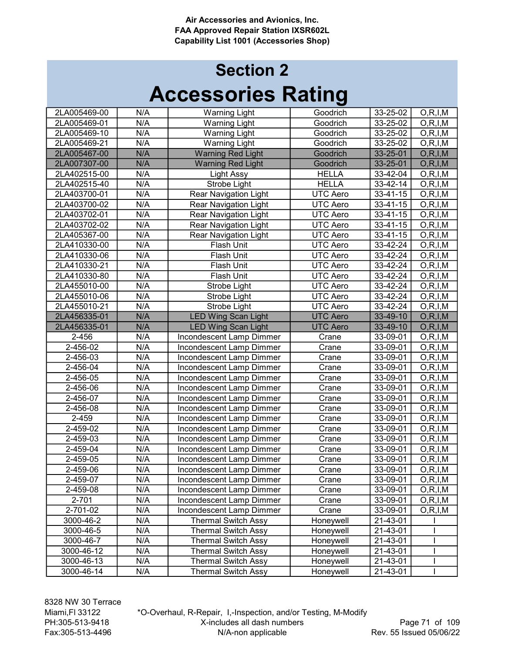| 2LA005469-00 | N/A | <b>Warning Light</b>         | Goodrich        | 33-25-02       | O, R, I, M |
|--------------|-----|------------------------------|-----------------|----------------|------------|
| 2LA005469-01 | N/A | <b>Warning Light</b>         | Goodrich        | 33-25-02       | O, R, I, M |
| 2LA005469-10 | N/A | <b>Warning Light</b>         | Goodrich        | 33-25-02       | O, R, I, M |
| 2LA005469-21 | N/A | <b>Warning Light</b>         | Goodrich        | 33-25-02       | O, R, I, M |
| 2LA005467-00 | N/A | <b>Warning Red Light</b>     | Goodrich        | 33-25-01       | O, R, I, M |
| 2LA007307-00 | N/A | <b>Warning Red Light</b>     | Goodrich        | 33-25-01       | O, R, I, M |
| 2LA402515-00 | N/A | <b>Light Assy</b>            | <b>HELLA</b>    | 33-42-04       | O, R, I, M |
| 2LA402515-40 | N/A | Strobe Light                 | <b>HELLA</b>    | 33-42-14       | O, R, I, M |
| 2LA403700-01 | N/A | <b>Rear Navigation Light</b> | <b>UTC Aero</b> | 33-41-15       | O, R, I, M |
| 2LA403700-02 | N/A | <b>Rear Navigation Light</b> | <b>UTC Aero</b> | 33-41-15       | O, R, I, M |
| 2LA403702-01 | N/A | <b>Rear Navigation Light</b> | <b>UTC Aero</b> | 33-41-15       | O, R, I, M |
| 2LA403702-02 | N/A | <b>Rear Navigation Light</b> | <b>UTC Aero</b> | 33-41-15       | O, R, I, M |
| 2LA405367-00 | N/A | Rear Navigation Light        | <b>UTC Aero</b> | 33-41-15       | O, R, I, M |
| 2LA410330-00 | N/A | Flash Unit                   | UTC Aero        | 33-42-24       | O, R, I, M |
| 2LA410330-06 | N/A | Flash Unit                   | <b>UTC Aero</b> | 33-42-24       | O, R, I, M |
| 2LA410330-21 | N/A | Flash Unit                   | UTC Aero        | 33-42-24       | O, R, I, M |
| 2LA410330-80 | N/A | Flash Unit                   | <b>UTC</b> Aero | 33-42-24       | O, R, I, M |
| 2LA455010-00 | N/A | Strobe Light                 | UTC Aero        | 33-42-24       | O, R, I, M |
| 2LA455010-06 | N/A | Strobe Light                 | UTC Aero        | 33-42-24       | O, R, I, M |
| 2LA455010-21 | N/A | Strobe Light                 | <b>UTC Aero</b> | $33 - 42 - 24$ | O, R, I, M |
| 2LA456335-01 | N/A | <b>LED Wing Scan Light</b>   | <b>UTC</b> Aero | 33-49-10       | O, R, I, M |
| 2LA456335-01 | N/A | <b>LED Wing Scan Light</b>   | <b>UTC Aero</b> | 33-49-10       | O, R, I, M |
| 2-456        | N/A | Incondescent Lamp Dimmer     | Crane           | 33-09-01       | O, R, I, M |
| 2-456-02     | N/A | Incondescent Lamp Dimmer     | Crane           | 33-09-01       | O, R, I, M |
| 2-456-03     | N/A | Incondescent Lamp Dimmer     | Crane           | 33-09-01       | O, R, I, M |
| 2-456-04     | N/A | Incondescent Lamp Dimmer     | Crane           | 33-09-01       | O, R, I, M |
| 2-456-05     | N/A | Incondescent Lamp Dimmer     | Crane           | 33-09-01       | O, R, I, M |
| 2-456-06     | N/A | Incondescent Lamp Dimmer     | Crane           | 33-09-01       | O, R, I, M |
| 2-456-07     | N/A | Incondescent Lamp Dimmer     | Crane           | 33-09-01       | O, R, I, M |
| 2-456-08     | N/A | Incondescent Lamp Dimmer     | Crane           | 33-09-01       | O, R, I, M |
| 2-459        | N/A | Incondescent Lamp Dimmer     | Crane           | 33-09-01       | O, R, I, M |
| 2-459-02     | N/A | Incondescent Lamp Dimmer     | Crane           | 33-09-01       | O, R, I, M |
| 2-459-03     | N/A | Incondescent Lamp Dimmer     | Crane           | 33-09-01       | O, R, I, M |
| 2-459-04     | N/A | Incondescent Lamp Dimmer     | Crane           | 33-09-01       | O, R, I, M |
| 2-459-05     | N/A | Incondescent Lamp Dimmer     | Crane           | 33-09-01       | O, R, I, M |
| 2-459-06     | N/A | Incondescent Lamp Dimmer     | Crane           | 33-09-01       | O, R, I, M |
| 2-459-07     | N/A | Incondescent Lamp Dimmer     | Crane           | 33-09-01       | O, R, I, M |
| 2-459-08     | N/A | Incondescent Lamp Dimmer     | Crane           | 33-09-01       | O, R, I, M |
| 2-701        | N/A | Incondescent Lamp Dimmer     | Crane           | 33-09-01       | O, R, I, M |
| 2-701-02     | N/A | Incondescent Lamp Dimmer     | Crane           | 33-09-01       | O, R, I, M |
| 3000-46-2    | N/A | <b>Thermal Switch Assy</b>   | Honeywell       | 21-43-01       |            |
| 3000-46-5    | N/A | <b>Thermal Switch Assy</b>   | Honeywell       | 21-43-01       |            |
| 3000-46-7    | N/A | <b>Thermal Switch Assy</b>   | Honeywell       | 21-43-01       |            |
| 3000-46-12   | N/A | <b>Thermal Switch Assy</b>   | Honeywell       | 21-43-01       |            |
|              | N/A | Thermal Switch Assy          | Honeywell       |                |            |
| 3000-46-13   |     |                              |                 | 21-43-01       | I          |
| 3000-46-14   | N/A | <b>Thermal Switch Assy</b>   | Honeywell       | 21-43-01       |            |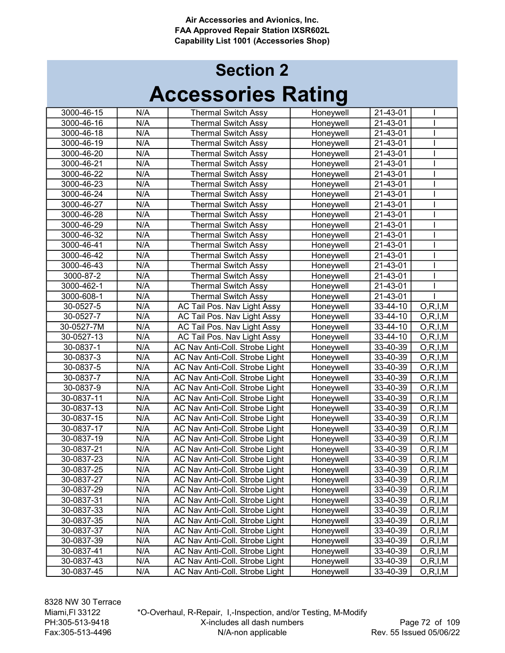# Accessories Rating Section 2

| 3000-46-15 | N/A              | <b>Thermal Switch Assy</b>     | Honeywell | 21-43-01 |            |
|------------|------------------|--------------------------------|-----------|----------|------------|
| 3000-46-16 | N/A              | <b>Thermal Switch Assy</b>     | Honeywell | 21-43-01 |            |
| 3000-46-18 | N/A              | <b>Thermal Switch Assy</b>     | Honeywell | 21-43-01 |            |
| 3000-46-19 | N/A              | <b>Thermal Switch Assy</b>     | Honeywell | 21-43-01 |            |
| 3000-46-20 | N/A              | <b>Thermal Switch Assy</b>     | Honeywell | 21-43-01 |            |
| 3000-46-21 | N/A              | <b>Thermal Switch Assy</b>     | Honeywell | 21-43-01 |            |
| 3000-46-22 | N/A              | <b>Thermal Switch Assy</b>     | Honeywell | 21-43-01 |            |
| 3000-46-23 | N/A              | <b>Thermal Switch Assy</b>     | Honeywell | 21-43-01 |            |
| 3000-46-24 | N/A              | <b>Thermal Switch Assy</b>     | Honeywell | 21-43-01 |            |
| 3000-46-27 | N/A              | <b>Thermal Switch Assy</b>     | Honeywell | 21-43-01 |            |
| 3000-46-28 | N/A              | <b>Thermal Switch Assy</b>     | Honeywell | 21-43-01 |            |
| 3000-46-29 | N/A              | <b>Thermal Switch Assy</b>     | Honeywell | 21-43-01 |            |
| 3000-46-32 | N/A              | <b>Thermal Switch Assy</b>     | Honeywell | 21-43-01 |            |
| 3000-46-41 | N/A              | <b>Thermal Switch Assy</b>     | Honeywell | 21-43-01 |            |
| 3000-46-42 | N/A              | <b>Thermal Switch Assy</b>     | Honeywell | 21-43-01 |            |
| 3000-46-43 | N/A              | <b>Thermal Switch Assy</b>     | Honeywell | 21-43-01 |            |
| 3000-87-2  | N/A              | <b>Thermal Switch Assy</b>     | Honeywell | 21-43-01 |            |
| 3000-462-1 | N/A              | <b>Thermal Switch Assy</b>     | Honeywell | 21-43-01 |            |
| 3000-608-1 | N/A              | <b>Thermal Switch Assy</b>     | Honeywell | 21-43-01 |            |
| 30-0527-5  | $\overline{N}/A$ | AC Tail Pos. Nav Light Assy    | Honeywell | 33-44-10 | O, R, I, M |
| 30-0527-7  | N/A              | AC Tail Pos. Nav Light Assy    | Honeywell | 33-44-10 | O, R, I, M |
| 30-0527-7M | N/A              | AC Tail Pos. Nav Light Assy    | Honeywell | 33-44-10 | O, R, I, M |
| 30-0527-13 | N/A              | AC Tail Pos. Nav Light Assy    | Honeywell | 33-44-10 | O, R, I, M |
| 30-0837-1  | N/A              | AC Nav Anti-Coll. Strobe Light | Honeywell | 33-40-39 | O, R, I, M |
| 30-0837-3  | N/A              | AC Nav Anti-Coll. Strobe Light | Honeywell | 33-40-39 | O, R, I, M |
| 30-0837-5  | N/A              | AC Nav Anti-Coll. Strobe Light | Honeywell | 33-40-39 | O, R, I, M |
| 30-0837-7  | N/A              | AC Nav Anti-Coll. Strobe Light | Honeywell | 33-40-39 | O, R, I, M |
| 30-0837-9  | N/A              | AC Nav Anti-Coll. Strobe Light | Honeywell | 33-40-39 | O, R, I, M |
| 30-0837-11 | N/A              | AC Nav Anti-Coll. Strobe Light | Honeywell | 33-40-39 | O, R, I, M |
| 30-0837-13 | N/A              | AC Nav Anti-Coll. Strobe Light | Honeywell | 33-40-39 | O, R, I, M |
| 30-0837-15 | N/A              | AC Nav Anti-Coll. Strobe Light | Honeywell | 33-40-39 | O, R, I, M |
| 30-0837-17 | N/A              | AC Nav Anti-Coll. Strobe Light | Honeywell | 33-40-39 | O, R, I, M |
| 30-0837-19 | N/A              | AC Nav Anti-Coll. Strobe Light | Honeywell | 33-40-39 | O, R, I, M |
| 30-0837-21 | N/A              | AC Nav Anti-Coll. Strobe Light | Honeywell | 33-40-39 | O, R, I, M |
| 30-0837-23 | N/A              | AC Nav Anti-Coll. Strobe Light | Honeywell | 33-40-39 | O, R, I, M |
| 30-0837-25 | N/A              | AC Nav Anti-Coll. Strobe Light | Honeywell | 33-40-39 | O, R, I, M |
| 30-0837-27 | N/A              | AC Nav Anti-Coll. Strobe Light | Honeywell | 33-40-39 | O, R, I, M |
| 30-0837-29 | N/A              | AC Nav Anti-Coll. Strobe Light | Honeywell | 33-40-39 | O, R, I, M |
| 30-0837-31 | N/A              | AC Nav Anti-Coll. Strobe Light | Honeywell | 33-40-39 | O, R, I, M |
| 30-0837-33 | N/A              | AC Nav Anti-Coll. Strobe Light | Honeywell | 33-40-39 | O, R, I, M |
| 30-0837-35 | N/A              | AC Nav Anti-Coll. Strobe Light | Honeywell | 33-40-39 | O, R, I, M |
| 30-0837-37 | N/A              | AC Nav Anti-Coll. Strobe Light | Honeywell | 33-40-39 | O, R, I, M |
| 30-0837-39 | N/A              | AC Nav Anti-Coll. Strobe Light | Honeywell | 33-40-39 | O, R, I, M |
| 30-0837-41 | N/A              | AC Nav Anti-Coll. Strobe Light | Honeywell | 33-40-39 | O, R, I, M |
| 30-0837-43 | N/A              | AC Nav Anti-Coll. Strobe Light | Honeywell | 33-40-39 | O, R, I, M |
| 30-0837-45 | N/A              | AC Nav Anti-Coll. Strobe Light | Honeywell | 33-40-39 | O, R, I, M |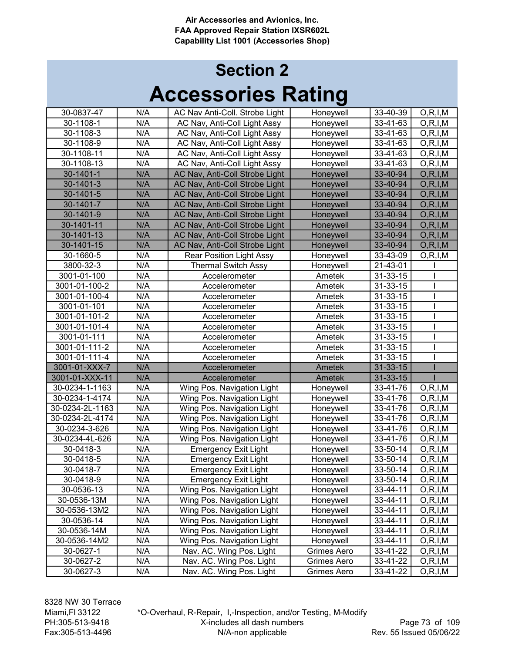| 30-0837-47      | N/A              | AC Nav Anti-Coll. Strobe Light | Honeywell     | 33-40-39       | O, R, I, M |
|-----------------|------------------|--------------------------------|---------------|----------------|------------|
| 30-1108-1       | N/A              | AC Nav, Anti-Coll Light Assy   | Honeywell     | 33-41-63       | O, R, I, M |
| 30-1108-3       | N/A              | AC Nav, Anti-Coll Light Assy   | Honeywell     | 33-41-63       | O, R, I, M |
| 30-1108-9       | N/A              | AC Nav, Anti-Coll Light Assy   | Honeywell     | 33-41-63       | O, R, I, M |
| 30-1108-11      | N/A              | AC Nav, Anti-Coll Light Assy   | Honeywell     | 33-41-63       | O, R, I, M |
| 30-1108-13      | N/A              | AC Nav, Anti-Coll Light Assy   | Honeywell     | 33-41-63       | O, R, I, M |
| 30-1401-1       | N/A              | AC Nav, Anti-Coll Strobe Light | Honeywell     | 33-40-94       | O, R, I, M |
| 30-1401-3       | N/A              | AC Nav, Anti-Coll Strobe Light | Honeywell     | 33-40-94       | O, R, I, M |
| 30-1401-5       | N/A              | AC Nav, Anti-Coll Strobe Light | Honeywell     | 33-40-94       | O, R, I, M |
| 30-1401-7       | N/A              | AC Nav, Anti-Coll Strobe Light | Honeywell     | 33-40-94       | O, R, I, M |
| 30-1401-9       | N/A              | AC Nav, Anti-Coll Strobe Light | Honeywell     | 33-40-94       | O, R, I, M |
| 30-1401-11      | N/A              | AC Nav, Anti-Coll Strobe Light | Honeywell     | 33-40-94       | O, R, I, M |
| 30-1401-13      | N/A              | AC Nav, Anti-Coll Strobe Light | Honeywell     | 33-40-94       | O, R, I, M |
| 30-1401-15      | N/A              | AC Nav, Anti-Coll Strobe Light | Honeywell     | 33-40-94       | O, R, I, M |
| 30-1660-5       | N/A              | Rear Position Light Assy       | Honeywell     | 33-43-09       | O, R, I, M |
| 3800-32-3       | N/A              | <b>Thermal Switch Assy</b>     | Honeywell     | 21-43-01       |            |
| 3001-01-100     | N/A              | Accelerometer                  | Ametek        | 31-33-15       |            |
| 3001-01-100-2   | N/A              | Accelerometer                  | Ametek        | 31-33-15       |            |
| 3001-01-100-4   | N/A              | Accelerometer                  | Ametek        | 31-33-15       |            |
| 3001-01-101     | N/A              | Accelerometer                  | Ametek        | 31-33-15       |            |
| 3001-01-101-2   | N/A              | Accelerometer                  | Ametek        | 31-33-15       |            |
| 3001-01-101-4   | N/A              | Accelerometer                  | Ametek        | 31-33-15       |            |
| 3001-01-111     | $\overline{N/A}$ | Accelerometer                  | Ametek        | 31-33-15       |            |
| 3001-01-111-2   | N/A              | Accelerometer                  | Ametek        | 31-33-15       |            |
| 3001-01-111-4   | N/A              | Accelerometer                  | Ametek        | 31-33-15       |            |
| 3001-01-XXX-7   | N/A              | Accelerometer                  | Ametek        | $31 - 33 - 15$ |            |
| 3001-01-XXX-11  | N/A              | Accelerometer                  | <b>Ametek</b> | 31-33-15       |            |
| 30-0234-1-1163  | N/A              | Wing Pos. Navigation Light     | Honeywell     | 33-41-76       | O, R, I, M |
| 30-0234-1-4174  | N/A              | Wing Pos. Navigation Light     | Honeywell     | 33-41-76       | O, R, I, M |
| 30-0234-2L-1163 | N/A              | Wing Pos. Navigation Light     | Honeywell     | 33-41-76       | O, R, I, M |
| 30-0234-2L-4174 | N/A              | Wing Pos. Navigation Light     | Honeywell     | 33-41-76       | O, R, I, M |
| 30-0234-3-626   | N/A              | Wing Pos. Navigation Light     | Honeywell     | 33-41-76       | O, R, I, M |
| 30-0234-4L-626  | N/A              | Wing Pos. Navigation Light     | Honeywell     | 33-41-76       | O, R, I, M |
| 30-0418-3       | N/A              | <b>Emergency Exit Light</b>    | Honeywell     | 33-50-14       | O, R, I, M |
| 30-0418-5       | N/A              | <b>Emergency Exit Light</b>    | Honeywell     | 33-50-14       | O, R, I, M |
| 30-0418-7       | N/A              | <b>Emergency Exit Light</b>    | Honeywell     | 33-50-14       | O, R, I, M |
| 30-0418-9       | N/A              | <b>Emergency Exit Light</b>    | Honeywell     | 33-50-14       | O, R, I, M |
| 30-0536-13      | N/A              | Wing Pos. Navigation Light     | Honeywell     | 33-44-11       | O, R, I, M |
| 30-0536-13M     | N/A              | Wing Pos. Navigation Light     | Honeywell     | 33-44-11       | O, R, I, M |
| 30-0536-13M2    | N/A              | Wing Pos. Navigation Light     | Honeywell     | 33-44-11       | O, R, I, M |
| 30-0536-14      | N/A              | Wing Pos. Navigation Light     | Honeywell     | 33-44-11       | O, R, I, M |
| 30-0536-14M     | N/A              | Wing Pos. Navigation Light     | Honeywell     | 33-44-11       | O, R, I, M |
| 30-0536-14M2    | N/A              | Wing Pos. Navigation Light     | Honeywell     | 33-44-11       | O, R, I, M |
| 30-0627-1       | N/A              | Nav. AC. Wing Pos. Light       | Grimes Aero   | 33-41-22       | O, R, I, M |
| 30-0627-2       | N/A              | Nav. AC. Wing Pos. Light       | Grimes Aero   | 33-41-22       | O, R, I, M |
| 30-0627-3       | N/A              | Nav. AC. Wing Pos. Light       | Grimes Aero   | 33-41-22       | O, R, I, M |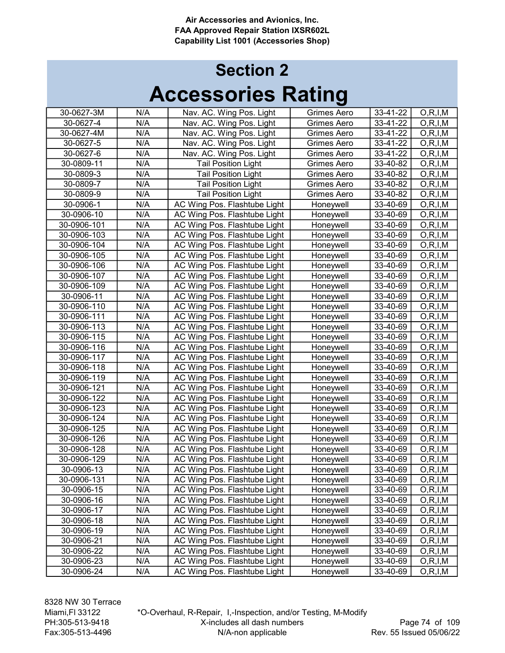| 30-0627-3M  | N/A | Nav. AC. Wing Pos. Light     | Grimes Aero | 33-41-22 | O, R, I, M |
|-------------|-----|------------------------------|-------------|----------|------------|
| 30-0627-4   | N/A | Nav. AC. Wing Pos. Light     | Grimes Aero | 33-41-22 | O, R, I, M |
| 30-0627-4M  | N/A | Nav. AC. Wing Pos. Light     | Grimes Aero | 33-41-22 | O, R, I, M |
| 30-0627-5   | N/A | Nav. AC. Wing Pos. Light     | Grimes Aero | 33-41-22 | O, R, I, M |
| 30-0627-6   | N/A | Nav. AC. Wing Pos. Light     | Grimes Aero | 33-41-22 | O, R, I, M |
| 30-0809-11  | N/A | <b>Tail Position Light</b>   | Grimes Aero | 33-40-82 | O, R, I, M |
| 30-0809-3   | N/A | <b>Tail Position Light</b>   | Grimes Aero | 33-40-82 | O, R, I, M |
| 30-0809-7   | N/A | <b>Tail Position Light</b>   | Grimes Aero | 33-40-82 | O, R, I, M |
| 30-0809-9   | N/A | <b>Tail Position Light</b>   | Grimes Aero | 33-40-82 | O, R, I, M |
| 30-0906-1   | N/A | AC Wing Pos. Flashtube Light | Honeywell   | 33-40-69 | O, R, I, M |
| 30-0906-10  | N/A | AC Wing Pos. Flashtube Light | Honeywell   | 33-40-69 | O, R, I, M |
| 30-0906-101 | N/A | AC Wing Pos. Flashtube Light | Honeywell   | 33-40-69 | O, R, I, M |
| 30-0906-103 | N/A | AC Wing Pos. Flashtube Light | Honeywell   | 33-40-69 | O, R, I, M |
| 30-0906-104 | N/A | AC Wing Pos. Flashtube Light | Honeywell   | 33-40-69 | O, R, I, M |
| 30-0906-105 | N/A | AC Wing Pos. Flashtube Light | Honeywell   | 33-40-69 | O, R, I, M |
| 30-0906-106 | N/A | AC Wing Pos. Flashtube Light | Honeywell   | 33-40-69 | O, R, I, M |
| 30-0906-107 | N/A | AC Wing Pos. Flashtube Light | Honeywell   | 33-40-69 | O, R, I, M |
| 30-0906-109 | N/A | AC Wing Pos. Flashtube Light | Honeywell   | 33-40-69 | O, R, I, M |
| 30-0906-11  | N/A | AC Wing Pos. Flashtube Light | Honeywell   | 33-40-69 | O, R, I, M |
| 30-0906-110 | N/A | AC Wing Pos. Flashtube Light | Honeywell   | 33-40-69 | O, R, I, M |
| 30-0906-111 | N/A | AC Wing Pos. Flashtube Light | Honeywell   | 33-40-69 | O, R, I, M |
| 30-0906-113 | N/A | AC Wing Pos. Flashtube Light | Honeywell   | 33-40-69 | O, R, I, M |
| 30-0906-115 | N/A | AC Wing Pos. Flashtube Light | Honeywell   | 33-40-69 | O, R, I, M |
| 30-0906-116 | N/A | AC Wing Pos. Flashtube Light | Honeywell   | 33-40-69 | O, R, I, M |
| 30-0906-117 | N/A | AC Wing Pos. Flashtube Light | Honeywell   | 33-40-69 | O, R, I, M |
| 30-0906-118 | N/A | AC Wing Pos. Flashtube Light | Honeywell   | 33-40-69 | O, R, I, M |
| 30-0906-119 | N/A | AC Wing Pos. Flashtube Light | Honeywell   | 33-40-69 | O, R, I, M |
| 30-0906-121 | N/A | AC Wing Pos. Flashtube Light | Honeywell   | 33-40-69 | O, R, I, M |
| 30-0906-122 | N/A | AC Wing Pos. Flashtube Light | Honeywell   | 33-40-69 | O, R, I, M |
| 30-0906-123 | N/A | AC Wing Pos. Flashtube Light | Honeywell   | 33-40-69 | O, R, I, M |
| 30-0906-124 | N/A | AC Wing Pos. Flashtube Light | Honeywell   | 33-40-69 | O, R, I, M |
| 30-0906-125 | N/A | AC Wing Pos. Flashtube Light | Honeywell   | 33-40-69 | O, R, I, M |
| 30-0906-126 | N/A | AC Wing Pos. Flashtube Light | Honeywell   | 33-40-69 | O, R, I, M |
| 30-0906-128 | N/A | AC Wing Pos. Flashtube Light | Honeywell   | 33-40-69 | O, R, I, M |
| 30-0906-129 | N/A | AC Wing Pos. Flashtube Light | Honeywell   | 33-40-69 | O, R, I, M |
| 30-0906-13  | N/A | AC Wing Pos. Flashtube Light | Honeywell   | 33-40-69 | O, R, I, M |
| 30-0906-131 | N/A | AC Wing Pos. Flashtube Light | Honeywell   | 33-40-69 | O, R, I, M |
| 30-0906-15  | N/A | AC Wing Pos. Flashtube Light | Honeywell   | 33-40-69 | O, R, I, M |
| 30-0906-16  | N/A | AC Wing Pos. Flashtube Light | Honeywell   | 33-40-69 | O, R, I, M |
| 30-0906-17  | N/A | AC Wing Pos. Flashtube Light | Honeywell   | 33-40-69 | O, R, I, M |
| 30-0906-18  | N/A | AC Wing Pos. Flashtube Light | Honeywell   | 33-40-69 | O, R, I, M |
| 30-0906-19  | N/A | AC Wing Pos. Flashtube Light | Honeywell   | 33-40-69 | O, R, I, M |
| 30-0906-21  | N/A | AC Wing Pos. Flashtube Light | Honeywell   | 33-40-69 | O, R, I, M |
| 30-0906-22  | N/A | AC Wing Pos. Flashtube Light | Honeywell   | 33-40-69 | O, R, I, M |
| 30-0906-23  | N/A | AC Wing Pos. Flashtube Light | Honeywell   | 33-40-69 | O, R, I, M |
| 30-0906-24  | N/A | AC Wing Pos. Flashtube Light | Honeywell   | 33-40-69 | O, R, I, M |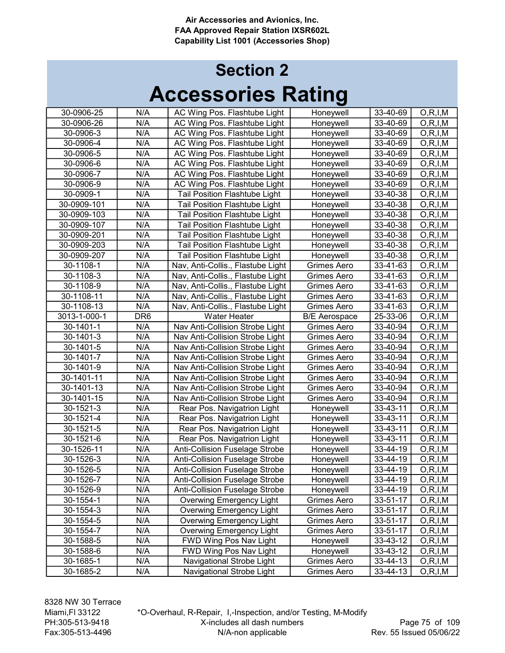| 30-0906-25   | N/A             | AC Wing Pos. Flashtube Light          | Honeywell            | 33-40-69 | O, R, I, M |
|--------------|-----------------|---------------------------------------|----------------------|----------|------------|
| 30-0906-26   | N/A             | AC Wing Pos. Flashtube Light          | Honeywell            | 33-40-69 | O, R, I, M |
| 30-0906-3    | N/A             | AC Wing Pos. Flashtube Light          | Honeywell            | 33-40-69 | O, R, I, M |
| 30-0906-4    | N/A             | AC Wing Pos. Flashtube Light          | Honeywell            | 33-40-69 | O, R, I, M |
| 30-0906-5    | N/A             | AC Wing Pos. Flashtube Light          | Honeywell            | 33-40-69 | O, R, I, M |
| 30-0906-6    | N/A             | AC Wing Pos. Flashtube Light          | Honeywell            | 33-40-69 | O, R, I, M |
| 30-0906-7    | N/A             | AC Wing Pos. Flashtube Light          | Honeywell            | 33-40-69 | O, R, I, M |
| 30-0906-9    | N/A             | AC Wing Pos. Flashtube Light          | Honeywell            | 33-40-69 | O, R, I, M |
| 30-0909-1    | N/A             | Tail Position Flashtube Light         | Honeywell            | 33-40-38 | O, R, I, M |
| 30-0909-101  | N/A             | Tail Position Flashtube Light         | Honeywell            | 33-40-38 | O, R, I, M |
| 30-0909-103  | N/A             | Tail Position Flashtube Light         | Honeywell            | 33-40-38 | O, R, I, M |
| 30-0909-107  | N/A             | Tail Position Flashtube Light         | Honeywell            | 33-40-38 | O, R, I, M |
| 30-0909-201  | N/A             | Tail Position Flashtube Light         | Honeywell            | 33-40-38 | O, R, I, M |
| 30-0909-203  | N/A             | Tail Position Flashtube Light         | Honeywell            | 33-40-38 | O, R, I, M |
| 30-0909-207  | N/A             | Tail Position Flashtube Light         | Honeywell            | 33-40-38 | O, R, I, M |
| 30-1108-1    | N/A             | Nav, Anti-Collis., Flastube Light     | Grimes Aero          | 33-41-63 | O, R, I, M |
| 30-1108-3    | N/A             | Nav, Anti-Collis., Flastube Light     | Grimes Aero          | 33-41-63 | O, R, I, M |
| 30-1108-9    | N/A             | Nav, Anti-Collis., Flastube Light     | Grimes Aero          | 33-41-63 | O, R, I, M |
| 30-1108-11   | N/A             | Nav, Anti-Collis., Flastube Light     | Grimes Aero          | 33-41-63 | O, R, I, M |
| 30-1108-13   | N/A             | Nav, Anti-Collis., Flastube Light     | Grimes Aero          | 33-41-63 | O, R, I, M |
| 3013-1-000-1 | DR <sub>6</sub> | <b>Water Heater</b>                   | <b>B/E</b> Aerospace | 25-33-06 | O, R, I, M |
| 30-1401-1    | N/A             | Nav Anti-Collision Strobe Light       | <b>Grimes Aero</b>   | 33-40-94 | O, R, I, M |
| 30-1401-3    | N/A             | Nav Anti-Collision Strobe Light       | Grimes Aero          | 33-40-94 | O, R, I, M |
| 30-1401-5    | N/A             | Nav Anti-Collision Strobe Light       | Grimes Aero          | 33-40-94 | O, R, I, M |
| 30-1401-7    | N/A             | Nav Anti-Collision Strobe Light       | Grimes Aero          | 33-40-94 | O, R, I, M |
| 30-1401-9    | N/A             | Nav Anti-Collision Strobe Light       | Grimes Aero          | 33-40-94 | O, R, I, M |
| 30-1401-11   | N/A             | Nav Anti-Collision Strobe Light       | Grimes Aero          | 33-40-94 | O, R, I, M |
| 30-1401-13   | N/A             | Nav Anti-Collision Strobe Light       | Grimes Aero          | 33-40-94 | O, R, I, M |
| 30-1401-15   | N/A             | Nav Anti-Collision Strobe Light       | Grimes Aero          | 33-40-94 | O, R, I, M |
| 30-1521-3    | N/A             | Rear Pos. Navigatrion Light           | Honeywell            | 33-43-11 | O, R, I, M |
| 30-1521-4    | N/A             | Rear Pos. Navigatrion Light           | Honeywell            | 33-43-11 | O, R, I, M |
| 30-1521-5    | N/A             | Rear Pos. Navigatrion Light           | Honeywell            | 33-43-11 | O, R, I, M |
| 30-1521-6    | N/A             | Rear Pos. Navigatrion Light           | Honeywell            | 33-43-11 | O, R, I, M |
| 30-1526-11   | N/A             | Anti-Collision Fuselage Strobe        | Honeywell            | 33-44-19 | O, R, I, M |
| 30-1526-3    | N/A             | <b>Anti-Collision Fuselage Strobe</b> | Honeywell            | 33-44-19 | O, R, I, M |
| 30-1526-5    | N/A             | <b>Anti-Collision Fuselage Strobe</b> | Honeywell            | 33-44-19 | O, R, I, M |
| 30-1526-7    | N/A             | <b>Anti-Collision Fuselage Strobe</b> | Honeywell            | 33-44-19 | O, R, I, M |
| 30-1526-9    | N/A             | <b>Anti-Collision Fuselage Strobe</b> | Honeywell            | 33-44-19 | O, R, I, M |
| 30-1554-1    | N/A             | <b>Overwing Emergency Light</b>       | Grimes Aero          | 33-51-17 | O, R, I, M |
| 30-1554-3    | N/A             | <b>Overwing Emergency Light</b>       | <b>Grimes Aero</b>   | 33-51-17 | O, R, I, M |
| 30-1554-5    | N/A             | <b>Overwing Emergency Light</b>       | Grimes Aero          | 33-51-17 | O, R, I, M |
| 30-1554-7    | N/A             | <b>Overwing Emergency Light</b>       | Grimes Aero          | 33-51-17 | O, R, I, M |
| 30-1588-5    | N/A             | FWD Wing Pos Nav Light                | Honeywell            | 33-43-12 | O, R, I, M |
| 30-1588-6    | N/A             | FWD Wing Pos Nav Light                | Honeywell            | 33-43-12 | O, R, I, M |
| 30-1685-1    | N/A             | Navigational Strobe Light             | Grimes Aero          | 33-44-13 | O, R, I, M |
| 30-1685-2    | N/A             | Navigational Strobe Light             | Grimes Aero          | 33-44-13 | O, R, I, M |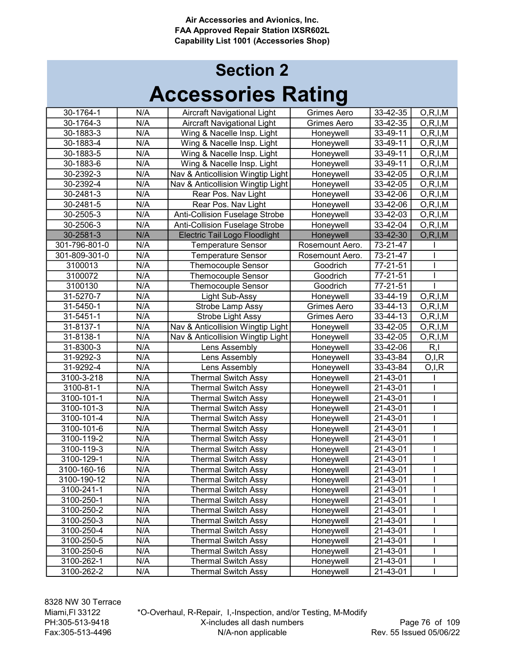| 30-1764-1     | N/A | Aircraft Navigational Light           | Grimes Aero        | 33-42-35 | O, R, I, M            |
|---------------|-----|---------------------------------------|--------------------|----------|-----------------------|
| 30-1764-3     | N/A | Aircraft Navigational Light           | Grimes Aero        | 33-42-35 | O, R, I, M            |
| 30-1883-3     | N/A | Wing & Nacelle Insp. Light            | Honeywell          | 33-49-11 | O, R, I, M            |
| 30-1883-4     | N/A | Wing & Nacelle Insp. Light            | Honeywell          | 33-49-11 | O, R, I, M            |
| 30-1883-5     | N/A | Wing & Nacelle Insp. Light            | Honeywell          | 33-49-11 | O, R, I, M            |
| 30-1883-6     | N/A | Wing & Nacelle Insp. Light            | Honeywell          | 33-49-11 | O, R, I, M            |
| 30-2392-3     | N/A | Nav & Anticollision Wingtip Light     | Honeywell          | 33-42-05 | O, R, I, M            |
| 30-2392-4     | N/A | Nav & Anticollision Wingtip Light     | Honeywell          | 33-42-05 | O, R, I, M            |
| 30-2481-3     | N/A | Rear Pos. Nav Light                   | Honeywell          | 33-42-06 | O, R, I, M            |
| 30-2481-5     | N/A | Rear Pos. Nav Light                   | Honeywell          | 33-42-06 | O, R, I, M            |
| 30-2505-3     | N/A | <b>Anti-Collision Fuselage Strobe</b> | Honeywell          | 33-42-03 | O, R, I, M            |
| 30-2506-3     | N/A | <b>Anti-Collision Fuselage Strobe</b> | Honeywell          | 33-42-04 | O, R, I, M            |
| 30-2581-3     | N/A | <b>Electric Tail Logo Floodlight</b>  | Honeywell          | 33-42-30 | O, R, I, M            |
| 301-796-801-0 | N/A | <b>Temperature Sensor</b>             | Rosemount Aero.    | 73-21-47 |                       |
| 301-809-301-0 | N/A | <b>Temperature Sensor</b>             | Rosemount Aero.    | 73-21-47 |                       |
| 3100013       | N/A | <b>Themocouple Sensor</b>             | Goodrich           | 77-21-51 |                       |
| 3100072       | N/A | <b>Themocouple Sensor</b>             | Goodrich           | 77-21-51 |                       |
| 3100130       | N/A | <b>Themocouple Sensor</b>             | Goodrich           | 77-21-51 |                       |
| 31-5270-7     | N/A | Light Sub-Assy                        | Honeywell          | 33-44-19 | O, R, I, M            |
| 31-5450-1     | N/A | Strobe Lamp Assy                      | <b>Grimes Aero</b> | 33-44-13 | O, R, I, M            |
| 31-5451-1     | N/A | Strobe Light Assy                     | Grimes Aero        | 33-44-13 | O, R, I, M            |
| 31-8137-1     | N/A | Nav & Anticollision Wingtip Light     | Honeywell          | 33-42-05 | O, R, I, M            |
| 31-8138-1     | N/A | Nav & Anticollision Wingtip Light     | Honeywell          | 33-42-05 | O, R, I, M            |
| 31-8300-3     | N/A | Lens Assembly                         | Honeywell          | 33-42-06 | R, I                  |
| 31-9292-3     | N/A | Lens Assembly                         | Honeywell          | 33-43-84 | $\overline{O}$ , I, R |
| 31-9292-4     | N/A | Lens Assembly                         | Honeywell          | 33-43-84 | O,I,R                 |
| 3100-3-218    | N/A | <b>Thermal Switch Assy</b>            | Honeywell          | 21-43-01 |                       |
| 3100-81-1     | N/A | <b>Thermal Switch Assy</b>            | Honeywell          | 21-43-01 |                       |
| 3100-101-1    | N/A | <b>Thermal Switch Assy</b>            | Honeywell          | 21-43-01 |                       |
| 3100-101-3    | N/A | <b>Thermal Switch Assy</b>            | Honeywell          | 21-43-01 |                       |
| 3100-101-4    | N/A | <b>Thermal Switch Assy</b>            | Honeywell          | 21-43-01 |                       |
| 3100-101-6    | N/A | <b>Thermal Switch Assy</b>            | Honeywell          | 21-43-01 |                       |
| 3100-119-2    | N/A | <b>Thermal Switch Assy</b>            | Honeywell          | 21-43-01 |                       |
| 3100-119-3    | N/A | <b>Thermal Switch Assy</b>            | Honeywell          | 21-43-01 |                       |
| 3100-129-1    | N/A | <b>Thermal Switch Assy</b>            | Honeywell          | 21-43-01 |                       |
| 3100-160-16   | N/A | <b>Thermal Switch Assy</b>            | Honeywell          | 21-43-01 |                       |
| 3100-190-12   | N/A | <b>Thermal Switch Assy</b>            | Honeywell          | 21-43-01 |                       |
| 3100-241-1    | N/A | <b>Thermal Switch Assy</b>            | Honeywell          | 21-43-01 |                       |
| 3100-250-1    | N/A | <b>Thermal Switch Assy</b>            | Honeywell          | 21-43-01 |                       |
| 3100-250-2    | N/A | <b>Thermal Switch Assy</b>            | Honeywell          | 21-43-01 | I                     |
| 3100-250-3    | N/A | <b>Thermal Switch Assy</b>            | Honeywell          | 21-43-01 |                       |
| 3100-250-4    | N/A | <b>Thermal Switch Assy</b>            | Honeywell          | 21-43-01 | I                     |
| 3100-250-5    | N/A | <b>Thermal Switch Assy</b>            | Honeywell          | 21-43-01 |                       |
| 3100-250-6    | N/A | <b>Thermal Switch Assy</b>            | Honeywell          | 21-43-01 |                       |
| 3100-262-1    | N/A | <b>Thermal Switch Assy</b>            | Honeywell          | 21-43-01 |                       |
| 3100-262-2    | N/A | <b>Thermal Switch Assy</b>            | Honeywell          | 21-43-01 |                       |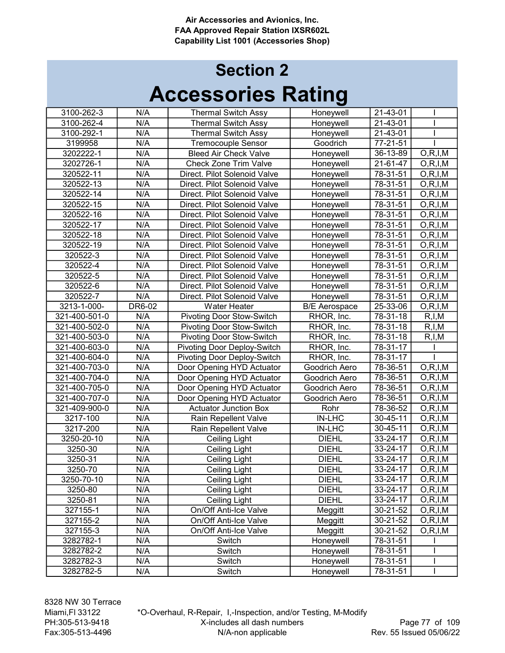## Accessories Rating Section 2

| 3100-262-3    | N/A    | <b>Thermal Switch Assy</b>         | Honeywell            | 21-43-01       |            |
|---------------|--------|------------------------------------|----------------------|----------------|------------|
| 3100-262-4    | N/A    | <b>Thermal Switch Assy</b>         | Honeywell            | 21-43-01       |            |
| 3100-292-1    | N/A    | <b>Thermal Switch Assy</b>         | Honeywell            | 21-43-01       |            |
| 3199958       | N/A    | <b>Tremocouple Sensor</b>          | Goodrich             | 77-21-51       |            |
| 3202222-1     | N/A    | <b>Bleed Air Check Valve</b>       | Honeywell            | 36-13-89       | O, R, I, M |
| 3202726-1     | N/A    | <b>Check Zone Trim Valve</b>       | Honeywell            | 21-61-47       | O, R, I, M |
| 320522-11     | N/A    | Direct. Pilot Solenoid Valve       | Honeywell            | 78-31-51       | O, R, I, M |
| 320522-13     | N/A    | Direct. Pilot Solenoid Valve       | Honeywell            | 78-31-51       | O, R, I, M |
| 320522-14     | N/A    | Direct. Pilot Solenoid Valve       | Honeywell            | 78-31-51       | O, R, I, M |
| 320522-15     | N/A    | Direct. Pilot Solenoid Valve       | Honeywell            | 78-31-51       | O, R, I, M |
| 320522-16     | N/A    | Direct. Pilot Solenoid Valve       | Honeywell            | 78-31-51       | O, R, I, M |
| 320522-17     | N/A    | Direct. Pilot Solenoid Valve       | Honeywell            | 78-31-51       | O, R, I, M |
| 320522-18     | N/A    | Direct. Pilot Solenoid Valve       | Honeywell            | 78-31-51       | O, R, I, M |
| 320522-19     | N/A    | Direct. Pilot Solenoid Valve       | Honeywell            | 78-31-51       | O, R, I, M |
| 320522-3      | N/A    | Direct. Pilot Solenoid Valve       | Honeywell            | 78-31-51       | O, R, I, M |
| 320522-4      | N/A    | Direct. Pilot Solenoid Valve       | Honeywell            | 78-31-51       | O, R, I, M |
| 320522-5      | N/A    | Direct. Pilot Solenoid Valve       | Honeywell            | 78-31-51       | O, R, I, M |
| 320522-6      | N/A    | Direct. Pilot Solenoid Valve       | Honeywell            | 78-31-51       | O, R, I, M |
| 320522-7      | N/A    | Direct. Pilot Solenoid Valve       | Honeywell            | 78-31-51       | O, R, I, M |
| 3213-1-000-   | DR6-02 | <b>Water Heater</b>                | <b>B/E</b> Aerospace | 25-33-06       | O, R, I, M |
| 321-400-501-0 | N/A    | <b>Pivoting Door Stow-Switch</b>   | RHOR, Inc.           | 78-31-18       | R, I, M    |
| 321-400-502-0 | N/A    | <b>Pivoting Door Stow-Switch</b>   | RHOR, Inc.           | 78-31-18       | R, I, M    |
| 321-400-503-0 | N/A    | <b>Pivoting Door Stow-Switch</b>   | RHOR, Inc.           | 78-31-18       | R, I, M    |
| 321-400-603-0 | N/A    | <b>Pivoting Door Deploy-Switch</b> | RHOR, Inc.           | 78-31-17       |            |
| 321-400-604-0 | N/A    | <b>Pivoting Door Deploy-Switch</b> | RHOR, Inc.           | 78-31-17       |            |
| 321-400-703-0 | N/A    | Door Opening HYD Actuator          | Goodrich Aero        | 78-36-51       | O, R, I, M |
| 321-400-704-0 | N/A    | Door Opening HYD Actuator          | Goodrich Aero        | 78-36-51       | O, R, I, M |
| 321-400-705-0 | N/A    | Door Opening HYD Actuator          | Goodrich Aero        | 78-36-51       | O, R, I, M |
| 321-400-707-0 | N/A    | Door Opening HYD Actuator          | Goodrich Aero        | 78-36-51       | O, R, I, M |
| 321-409-900-0 | N/A    | <b>Actuator Junction Box</b>       | Rohr                 | 78-36-52       | O, R, I, M |
| 3217-100      | N/A    | Rain Repellent Valve               | <b>IN-LHC</b>        | 30-45-11       | O, R, I, M |
| 3217-200      | N/A    | Rain Repellent Valve               | <b>IN-LHC</b>        | $30 - 45 - 11$ | O, R, I, M |
| 3250-20-10    | N/A    | <b>Ceiling Light</b>               | <b>DIEHL</b>         | 33-24-17       | O, R, I, M |
| 3250-30       | N/A    | Ceiling Light                      | <b>DIEHL</b>         | 33-24-17       | O, R, I, M |
| 3250-31       | N/A    | Ceiling Light                      | <b>DIEHL</b>         | 33-24-17       | O, R, I, M |
| 3250-70       | N/A    | Ceiling Light                      | <b>DIEHL</b>         | 33-24-17       | O, R, I, M |
| 3250-70-10    | N/A    | Ceiling Light                      | <b>DIEHL</b>         | 33-24-17       | O, R, I, M |
| 3250-80       | N/A    | Ceiling Light                      | <b>DIEHL</b>         | 33-24-17       | O, R, I, M |
| 3250-81       | N/A    | Ceiling Light                      | <b>DIEHL</b>         | 33-24-17       | O, R, I, M |
| 327155-1      | N/A    | On/Off Anti-Ice Valve              | Meggitt              | 30-21-52       | O, R, I, M |
| 327155-2      | N/A    | On/Off Anti-Ice Valve              | Meggitt              | 30-21-52       | O, R, I, M |
| 327155-3      | N/A    | On/Off Anti-Ice Valve              | Meggitt              | 30-21-52       | O, R, I, M |
| 3282782-1     | N/A    | Switch                             | Honeywell            | 78-31-51       |            |
| 3282782-2     | N/A    | Switch                             | Honeywell            | 78-31-51       |            |
| 3282782-3     | N/A    | Switch                             | Honeywell            | 78-31-51       |            |
| 3282782-5     | N/A    | Switch                             | Honeywell            | 78-31-51       |            |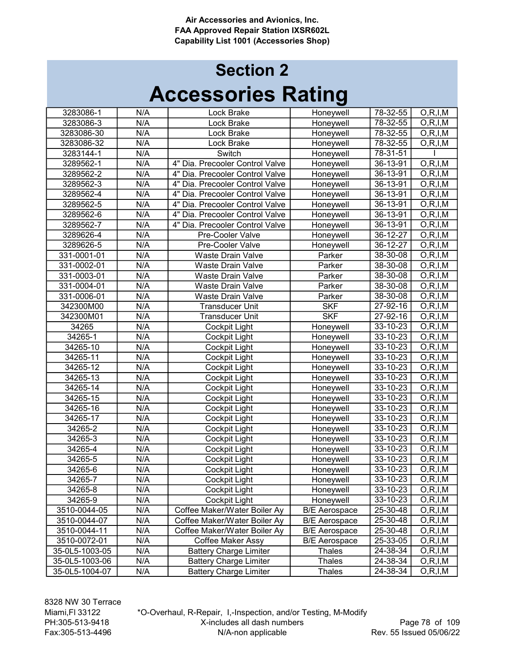## Accessories Rating Section 2

| 78-32-55<br>N/A<br>O, R, I, M<br>3283086-1<br>Lock Brake<br>Honeywell<br>N/A<br>78-32-55<br>O, R, I, M<br>3283086-3<br>Lock Brake<br>Honeywell<br>N/A<br>78-32-55<br>O, R, I, M<br>3283086-30<br>Lock Brake<br>Honeywell<br>78-32-55<br>$\overline{O,R}$ , I, M<br>N/A<br>3283086-32<br>Lock Brake<br>Honeywell<br>78-31-51<br>N/A<br>Switch<br>3283144-1<br>Honeywell<br>36-13-91<br>O, R, I, M<br>3289562-1<br>N/A<br>4" Dia. Precooler Control Valve<br>Honeywell<br>N/A<br>36-13-91<br>O, R, I, M<br>3289562-2<br>4" Dia. Precooler Control Valve<br>Honeywell<br>N/A<br>36-13-91<br>O, R, I, M<br>Honeywell<br>3289562-3<br>4" Dia. Precooler Control Valve<br>N/A<br>36-13-91<br>O, R, I, M<br>Honeywell<br>3289562-4<br>4" Dia. Precooler Control Valve<br>N/A<br>36-13-91<br>O, R, I, M<br>3289562-5<br>4" Dia. Precooler Control Valve<br>Honeywell<br>36-13-91<br>N/A<br>O, R, I, M<br>3289562-6<br>4" Dia. Precooler Control Valve<br>Honeywell<br>N/A<br>36-13-91<br>O, R, I, M<br>3289562-7<br>4" Dia. Precooler Control Valve<br>Honeywell<br>36-12-27<br>N/A<br>3289626-4<br>Pre-Cooler Valve<br>Honeywell<br>O, R, I, M<br>36-12-27<br>N/A<br>O, R, I, M<br>3289626-5<br>Pre-Cooler Valve<br>Honeywell<br>N/A<br>38-30-08<br>O, R, I, M<br>331-0001-01<br><b>Waste Drain Valve</b><br>Parker<br>N/A<br>331-0002-01<br>Parker<br>38-30-08<br>O, R, I, M<br><b>Waste Drain Valve</b><br>N/A<br>38-30-08<br>331-0003-01<br><b>Waste Drain Valve</b><br>Parker<br>O, R, I, M<br>N/A<br>331-0004-01<br>Parker<br>38-30-08<br><b>Waste Drain Valve</b><br>O, R, I, M<br>N/A<br>331-0006-01<br>38-30-08<br><b>Waste Drain Valve</b><br>Parker<br>O, R, I, M<br>$\overline{\mathsf{SKF}}$<br>N/A<br>342300M00<br>27-92-16<br><b>Transducer Unit</b><br>O, R, I, M<br><b>SKF</b><br>N/A<br>27-92-16<br>342300M01<br><b>Transducer Unit</b><br>O, R, I, M<br>N/A<br>34265<br>Cockpit Light<br>33-10-23<br>Honeywell<br>O, R, I, M<br>34265-1<br>N/A<br>33-10-23<br>Cockpit Light<br>Honeywell<br>O, R, I, M<br>N/A<br>34265-10<br>33-10-23<br>Cockpit Light<br>Honeywell<br>O, R, I, M<br>N/A<br>33-10-23<br>34265-11<br>Honeywell<br>O, R, I, M<br>Cockpit Light<br>N/A<br>33-10-23<br>34265-12 |
|--------------------------------------------------------------------------------------------------------------------------------------------------------------------------------------------------------------------------------------------------------------------------------------------------------------------------------------------------------------------------------------------------------------------------------------------------------------------------------------------------------------------------------------------------------------------------------------------------------------------------------------------------------------------------------------------------------------------------------------------------------------------------------------------------------------------------------------------------------------------------------------------------------------------------------------------------------------------------------------------------------------------------------------------------------------------------------------------------------------------------------------------------------------------------------------------------------------------------------------------------------------------------------------------------------------------------------------------------------------------------------------------------------------------------------------------------------------------------------------------------------------------------------------------------------------------------------------------------------------------------------------------------------------------------------------------------------------------------------------------------------------------------------------------------------------------------------------------------------------------------------------------------------------------------------------------------------------------------------------------------------------------------------------------------------------------------------------------------------------------------------------------------------------------------------------------------------|
|                                                                                                                                                                                                                                                                                                                                                                                                                                                                                                                                                                                                                                                                                                                                                                                                                                                                                                                                                                                                                                                                                                                                                                                                                                                                                                                                                                                                                                                                                                                                                                                                                                                                                                                                                                                                                                                                                                                                                                                                                                                                                                                                                                                                        |
|                                                                                                                                                                                                                                                                                                                                                                                                                                                                                                                                                                                                                                                                                                                                                                                                                                                                                                                                                                                                                                                                                                                                                                                                                                                                                                                                                                                                                                                                                                                                                                                                                                                                                                                                                                                                                                                                                                                                                                                                                                                                                                                                                                                                        |
|                                                                                                                                                                                                                                                                                                                                                                                                                                                                                                                                                                                                                                                                                                                                                                                                                                                                                                                                                                                                                                                                                                                                                                                                                                                                                                                                                                                                                                                                                                                                                                                                                                                                                                                                                                                                                                                                                                                                                                                                                                                                                                                                                                                                        |
|                                                                                                                                                                                                                                                                                                                                                                                                                                                                                                                                                                                                                                                                                                                                                                                                                                                                                                                                                                                                                                                                                                                                                                                                                                                                                                                                                                                                                                                                                                                                                                                                                                                                                                                                                                                                                                                                                                                                                                                                                                                                                                                                                                                                        |
|                                                                                                                                                                                                                                                                                                                                                                                                                                                                                                                                                                                                                                                                                                                                                                                                                                                                                                                                                                                                                                                                                                                                                                                                                                                                                                                                                                                                                                                                                                                                                                                                                                                                                                                                                                                                                                                                                                                                                                                                                                                                                                                                                                                                        |
|                                                                                                                                                                                                                                                                                                                                                                                                                                                                                                                                                                                                                                                                                                                                                                                                                                                                                                                                                                                                                                                                                                                                                                                                                                                                                                                                                                                                                                                                                                                                                                                                                                                                                                                                                                                                                                                                                                                                                                                                                                                                                                                                                                                                        |
|                                                                                                                                                                                                                                                                                                                                                                                                                                                                                                                                                                                                                                                                                                                                                                                                                                                                                                                                                                                                                                                                                                                                                                                                                                                                                                                                                                                                                                                                                                                                                                                                                                                                                                                                                                                                                                                                                                                                                                                                                                                                                                                                                                                                        |
|                                                                                                                                                                                                                                                                                                                                                                                                                                                                                                                                                                                                                                                                                                                                                                                                                                                                                                                                                                                                                                                                                                                                                                                                                                                                                                                                                                                                                                                                                                                                                                                                                                                                                                                                                                                                                                                                                                                                                                                                                                                                                                                                                                                                        |
|                                                                                                                                                                                                                                                                                                                                                                                                                                                                                                                                                                                                                                                                                                                                                                                                                                                                                                                                                                                                                                                                                                                                                                                                                                                                                                                                                                                                                                                                                                                                                                                                                                                                                                                                                                                                                                                                                                                                                                                                                                                                                                                                                                                                        |
|                                                                                                                                                                                                                                                                                                                                                                                                                                                                                                                                                                                                                                                                                                                                                                                                                                                                                                                                                                                                                                                                                                                                                                                                                                                                                                                                                                                                                                                                                                                                                                                                                                                                                                                                                                                                                                                                                                                                                                                                                                                                                                                                                                                                        |
|                                                                                                                                                                                                                                                                                                                                                                                                                                                                                                                                                                                                                                                                                                                                                                                                                                                                                                                                                                                                                                                                                                                                                                                                                                                                                                                                                                                                                                                                                                                                                                                                                                                                                                                                                                                                                                                                                                                                                                                                                                                                                                                                                                                                        |
|                                                                                                                                                                                                                                                                                                                                                                                                                                                                                                                                                                                                                                                                                                                                                                                                                                                                                                                                                                                                                                                                                                                                                                                                                                                                                                                                                                                                                                                                                                                                                                                                                                                                                                                                                                                                                                                                                                                                                                                                                                                                                                                                                                                                        |
|                                                                                                                                                                                                                                                                                                                                                                                                                                                                                                                                                                                                                                                                                                                                                                                                                                                                                                                                                                                                                                                                                                                                                                                                                                                                                                                                                                                                                                                                                                                                                                                                                                                                                                                                                                                                                                                                                                                                                                                                                                                                                                                                                                                                        |
|                                                                                                                                                                                                                                                                                                                                                                                                                                                                                                                                                                                                                                                                                                                                                                                                                                                                                                                                                                                                                                                                                                                                                                                                                                                                                                                                                                                                                                                                                                                                                                                                                                                                                                                                                                                                                                                                                                                                                                                                                                                                                                                                                                                                        |
|                                                                                                                                                                                                                                                                                                                                                                                                                                                                                                                                                                                                                                                                                                                                                                                                                                                                                                                                                                                                                                                                                                                                                                                                                                                                                                                                                                                                                                                                                                                                                                                                                                                                                                                                                                                                                                                                                                                                                                                                                                                                                                                                                                                                        |
|                                                                                                                                                                                                                                                                                                                                                                                                                                                                                                                                                                                                                                                                                                                                                                                                                                                                                                                                                                                                                                                                                                                                                                                                                                                                                                                                                                                                                                                                                                                                                                                                                                                                                                                                                                                                                                                                                                                                                                                                                                                                                                                                                                                                        |
|                                                                                                                                                                                                                                                                                                                                                                                                                                                                                                                                                                                                                                                                                                                                                                                                                                                                                                                                                                                                                                                                                                                                                                                                                                                                                                                                                                                                                                                                                                                                                                                                                                                                                                                                                                                                                                                                                                                                                                                                                                                                                                                                                                                                        |
|                                                                                                                                                                                                                                                                                                                                                                                                                                                                                                                                                                                                                                                                                                                                                                                                                                                                                                                                                                                                                                                                                                                                                                                                                                                                                                                                                                                                                                                                                                                                                                                                                                                                                                                                                                                                                                                                                                                                                                                                                                                                                                                                                                                                        |
|                                                                                                                                                                                                                                                                                                                                                                                                                                                                                                                                                                                                                                                                                                                                                                                                                                                                                                                                                                                                                                                                                                                                                                                                                                                                                                                                                                                                                                                                                                                                                                                                                                                                                                                                                                                                                                                                                                                                                                                                                                                                                                                                                                                                        |
|                                                                                                                                                                                                                                                                                                                                                                                                                                                                                                                                                                                                                                                                                                                                                                                                                                                                                                                                                                                                                                                                                                                                                                                                                                                                                                                                                                                                                                                                                                                                                                                                                                                                                                                                                                                                                                                                                                                                                                                                                                                                                                                                                                                                        |
|                                                                                                                                                                                                                                                                                                                                                                                                                                                                                                                                                                                                                                                                                                                                                                                                                                                                                                                                                                                                                                                                                                                                                                                                                                                                                                                                                                                                                                                                                                                                                                                                                                                                                                                                                                                                                                                                                                                                                                                                                                                                                                                                                                                                        |
|                                                                                                                                                                                                                                                                                                                                                                                                                                                                                                                                                                                                                                                                                                                                                                                                                                                                                                                                                                                                                                                                                                                                                                                                                                                                                                                                                                                                                                                                                                                                                                                                                                                                                                                                                                                                                                                                                                                                                                                                                                                                                                                                                                                                        |
|                                                                                                                                                                                                                                                                                                                                                                                                                                                                                                                                                                                                                                                                                                                                                                                                                                                                                                                                                                                                                                                                                                                                                                                                                                                                                                                                                                                                                                                                                                                                                                                                                                                                                                                                                                                                                                                                                                                                                                                                                                                                                                                                                                                                        |
|                                                                                                                                                                                                                                                                                                                                                                                                                                                                                                                                                                                                                                                                                                                                                                                                                                                                                                                                                                                                                                                                                                                                                                                                                                                                                                                                                                                                                                                                                                                                                                                                                                                                                                                                                                                                                                                                                                                                                                                                                                                                                                                                                                                                        |
|                                                                                                                                                                                                                                                                                                                                                                                                                                                                                                                                                                                                                                                                                                                                                                                                                                                                                                                                                                                                                                                                                                                                                                                                                                                                                                                                                                                                                                                                                                                                                                                                                                                                                                                                                                                                                                                                                                                                                                                                                                                                                                                                                                                                        |
|                                                                                                                                                                                                                                                                                                                                                                                                                                                                                                                                                                                                                                                                                                                                                                                                                                                                                                                                                                                                                                                                                                                                                                                                                                                                                                                                                                                                                                                                                                                                                                                                                                                                                                                                                                                                                                                                                                                                                                                                                                                                                                                                                                                                        |
| Honeywell<br>O, R, I, M<br>Cockpit Light<br>$33 - 10 - 23$                                                                                                                                                                                                                                                                                                                                                                                                                                                                                                                                                                                                                                                                                                                                                                                                                                                                                                                                                                                                                                                                                                                                                                                                                                                                                                                                                                                                                                                                                                                                                                                                                                                                                                                                                                                                                                                                                                                                                                                                                                                                                                                                             |
| N/A<br>O, R, I, M<br>34265-13<br>Honeywell<br>Cockpit Light                                                                                                                                                                                                                                                                                                                                                                                                                                                                                                                                                                                                                                                                                                                                                                                                                                                                                                                                                                                                                                                                                                                                                                                                                                                                                                                                                                                                                                                                                                                                                                                                                                                                                                                                                                                                                                                                                                                                                                                                                                                                                                                                            |
| N/A<br>$33 - 10 - 23$<br>O, R, I, M<br>34265-14<br>Cockpit Light<br>Honeywell                                                                                                                                                                                                                                                                                                                                                                                                                                                                                                                                                                                                                                                                                                                                                                                                                                                                                                                                                                                                                                                                                                                                                                                                                                                                                                                                                                                                                                                                                                                                                                                                                                                                                                                                                                                                                                                                                                                                                                                                                                                                                                                          |
| 33-10-23<br>N/A<br>O, R, I, M<br>34265-15<br>Cockpit Light<br>Honeywell                                                                                                                                                                                                                                                                                                                                                                                                                                                                                                                                                                                                                                                                                                                                                                                                                                                                                                                                                                                                                                                                                                                                                                                                                                                                                                                                                                                                                                                                                                                                                                                                                                                                                                                                                                                                                                                                                                                                                                                                                                                                                                                                |
| 33-10-23<br>N/A<br>O, R, I, M<br>34265-16<br>Cockpit Light<br>Honeywell                                                                                                                                                                                                                                                                                                                                                                                                                                                                                                                                                                                                                                                                                                                                                                                                                                                                                                                                                                                                                                                                                                                                                                                                                                                                                                                                                                                                                                                                                                                                                                                                                                                                                                                                                                                                                                                                                                                                                                                                                                                                                                                                |
| 33-10-23<br>34265-17<br>N/A<br>O, R, I, M<br>Cockpit Light<br>Honeywell                                                                                                                                                                                                                                                                                                                                                                                                                                                                                                                                                                                                                                                                                                                                                                                                                                                                                                                                                                                                                                                                                                                                                                                                                                                                                                                                                                                                                                                                                                                                                                                                                                                                                                                                                                                                                                                                                                                                                                                                                                                                                                                                |
| N/A<br>$33 - 10 - 23$<br>34265-2<br>O, R, I, M<br>Cockpit Light<br>Honeywell                                                                                                                                                                                                                                                                                                                                                                                                                                                                                                                                                                                                                                                                                                                                                                                                                                                                                                                                                                                                                                                                                                                                                                                                                                                                                                                                                                                                                                                                                                                                                                                                                                                                                                                                                                                                                                                                                                                                                                                                                                                                                                                           |
| N/A<br>33-10-23<br>O, R, I, M<br>34265-3<br>Honeywell<br>Cockpit Light                                                                                                                                                                                                                                                                                                                                                                                                                                                                                                                                                                                                                                                                                                                                                                                                                                                                                                                                                                                                                                                                                                                                                                                                                                                                                                                                                                                                                                                                                                                                                                                                                                                                                                                                                                                                                                                                                                                                                                                                                                                                                                                                 |
| N/A<br>33-10-23<br>O, R, I, M<br>34265-4<br>Cockpit Light<br>Honeywell                                                                                                                                                                                                                                                                                                                                                                                                                                                                                                                                                                                                                                                                                                                                                                                                                                                                                                                                                                                                                                                                                                                                                                                                                                                                                                                                                                                                                                                                                                                                                                                                                                                                                                                                                                                                                                                                                                                                                                                                                                                                                                                                 |
| N/A<br>33-10-23<br>34265-5<br>O, R, I, M<br>Cockpit Light<br>Honeywell                                                                                                                                                                                                                                                                                                                                                                                                                                                                                                                                                                                                                                                                                                                                                                                                                                                                                                                                                                                                                                                                                                                                                                                                                                                                                                                                                                                                                                                                                                                                                                                                                                                                                                                                                                                                                                                                                                                                                                                                                                                                                                                                 |
| 33-10-23<br>34265-6<br>N/A<br>O, R, I, M<br>Cockpit Light<br>Honeywell                                                                                                                                                                                                                                                                                                                                                                                                                                                                                                                                                                                                                                                                                                                                                                                                                                                                                                                                                                                                                                                                                                                                                                                                                                                                                                                                                                                                                                                                                                                                                                                                                                                                                                                                                                                                                                                                                                                                                                                                                                                                                                                                 |
| N/A<br>Cockpit Light<br>Honeywell<br>33-10-23<br>O, R, I, M<br>34265-7                                                                                                                                                                                                                                                                                                                                                                                                                                                                                                                                                                                                                                                                                                                                                                                                                                                                                                                                                                                                                                                                                                                                                                                                                                                                                                                                                                                                                                                                                                                                                                                                                                                                                                                                                                                                                                                                                                                                                                                                                                                                                                                                 |
| N/A<br>Cockpit Light<br>33-10-23<br>O, R, I, M<br>34265-8<br>Honeywell                                                                                                                                                                                                                                                                                                                                                                                                                                                                                                                                                                                                                                                                                                                                                                                                                                                                                                                                                                                                                                                                                                                                                                                                                                                                                                                                                                                                                                                                                                                                                                                                                                                                                                                                                                                                                                                                                                                                                                                                                                                                                                                                 |
| N/A<br>33-10-23<br>O, R, I, M<br>34265-9<br>Cockpit Light<br>Honeywell                                                                                                                                                                                                                                                                                                                                                                                                                                                                                                                                                                                                                                                                                                                                                                                                                                                                                                                                                                                                                                                                                                                                                                                                                                                                                                                                                                                                                                                                                                                                                                                                                                                                                                                                                                                                                                                                                                                                                                                                                                                                                                                                 |
| $25 - 30 - 48$<br>3510-0044-05<br>N/A<br>Coffee Maker/Water Boiler Ay<br>O, R, I, M<br><b>B/E</b> Aerospace                                                                                                                                                                                                                                                                                                                                                                                                                                                                                                                                                                                                                                                                                                                                                                                                                                                                                                                                                                                                                                                                                                                                                                                                                                                                                                                                                                                                                                                                                                                                                                                                                                                                                                                                                                                                                                                                                                                                                                                                                                                                                            |
| N/A<br>3510-0044-07<br>Coffee Maker/Water Boiler Ay<br><b>B/E</b> Aerospace<br>25-30-48<br>O, R, I, M                                                                                                                                                                                                                                                                                                                                                                                                                                                                                                                                                                                                                                                                                                                                                                                                                                                                                                                                                                                                                                                                                                                                                                                                                                                                                                                                                                                                                                                                                                                                                                                                                                                                                                                                                                                                                                                                                                                                                                                                                                                                                                  |
| N/A<br>Coffee Maker/Water Boiler Ay<br><b>B/E</b> Aerospace<br>3510-0044-11<br>25-30-48<br>O, R, I, M                                                                                                                                                                                                                                                                                                                                                                                                                                                                                                                                                                                                                                                                                                                                                                                                                                                                                                                                                                                                                                                                                                                                                                                                                                                                                                                                                                                                                                                                                                                                                                                                                                                                                                                                                                                                                                                                                                                                                                                                                                                                                                  |
| N/A<br>Coffee Maker Assy<br><b>B/E</b> Aerospace<br>3510-0072-01<br>25-33-05<br>O, R, I, M                                                                                                                                                                                                                                                                                                                                                                                                                                                                                                                                                                                                                                                                                                                                                                                                                                                                                                                                                                                                                                                                                                                                                                                                                                                                                                                                                                                                                                                                                                                                                                                                                                                                                                                                                                                                                                                                                                                                                                                                                                                                                                             |
| N/A<br><b>Battery Charge Limiter</b><br>35-0L5-1003-05<br><b>Thales</b><br>24-38-34<br>O, R, I, M                                                                                                                                                                                                                                                                                                                                                                                                                                                                                                                                                                                                                                                                                                                                                                                                                                                                                                                                                                                                                                                                                                                                                                                                                                                                                                                                                                                                                                                                                                                                                                                                                                                                                                                                                                                                                                                                                                                                                                                                                                                                                                      |
| N/A<br><b>Battery Charge Limiter</b><br><b>Thales</b><br>35-0L5-1003-06<br>24-38-34<br>O, R, I, M                                                                                                                                                                                                                                                                                                                                                                                                                                                                                                                                                                                                                                                                                                                                                                                                                                                                                                                                                                                                                                                                                                                                                                                                                                                                                                                                                                                                                                                                                                                                                                                                                                                                                                                                                                                                                                                                                                                                                                                                                                                                                                      |
| <b>Battery Charge Limiter</b><br>35-0L5-1004-07<br>N/A<br>Thales<br>24-38-34<br>O, R, I, M                                                                                                                                                                                                                                                                                                                                                                                                                                                                                                                                                                                                                                                                                                                                                                                                                                                                                                                                                                                                                                                                                                                                                                                                                                                                                                                                                                                                                                                                                                                                                                                                                                                                                                                                                                                                                                                                                                                                                                                                                                                                                                             |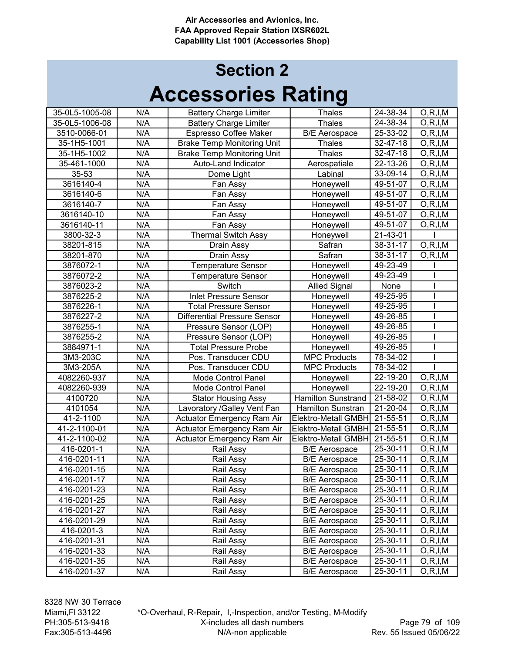| 35-0L5-1005-08 | N/A | <b>Battery Charge Limiter</b>       | <b>Thales</b>             | 24-38-34       | O, R, I, M |
|----------------|-----|-------------------------------------|---------------------------|----------------|------------|
| 35-0L5-1006-08 | N/A | <b>Battery Charge Limiter</b>       | <b>Thales</b>             | 24-38-34       | O, R, I, M |
| 3510-0066-01   | N/A | <b>Espresso Coffee Maker</b>        | <b>B/E</b> Aerospace      | $25 - 33 - 02$ | O, R, I, M |
| 35-1H5-1001    | N/A | <b>Brake Temp Monitoring Unit</b>   | <b>Thales</b>             | 32-47-18       | O, R, I, M |
| 35-1H5-1002    | N/A | <b>Brake Temp Monitoring Unit</b>   | <b>Thales</b>             | 32-47-18       | O, R, I, M |
| 35-461-1000    | N/A | Auto-Land Indicator                 | Aerospatiale              | $22 - 13 - 26$ | O, R, I, M |
| 35-53          | N/A | Dome Light                          | Labinal                   | 33-09-14       | O, R, I, M |
| 3616140-4      | N/A | Fan Assy                            | Honeywell                 | 49-51-07       | O, R, I, M |
| 3616140-6      | N/A | Fan Assy                            | Honeywell                 | 49-51-07       | O, R, I, M |
| 3616140-7      | N/A | Fan Assy                            | Honeywell                 | $49 - 51 - 07$ | O, R, I, M |
| 3616140-10     | N/A | Fan Assy                            | Honeywell                 | 49-51-07       | O, R, I, M |
| 3616140-11     | N/A | Fan Assy                            | Honeywell                 | 49-51-07       | O, R, I, M |
| 3800-32-3      | N/A | Thermal Switch Assy                 | Honeywell                 | 21-43-01       |            |
| 38201-815      | N/A | Drain Assy                          | Safran                    | 38-31-17       | O, R, I, M |
| 38201-870      | N/A | Drain Assy                          | Safran                    | 38-31-17       | O, R, I, M |
| 3876072-1      | N/A | <b>Temperature Sensor</b>           | Honeywell                 | 49-23-49       |            |
| 3876072-2      | N/A | <b>Temperature Sensor</b>           | Honeywell                 | 49-23-49       |            |
| 3876023-2      | N/A | Switch                              | <b>Allied Signal</b>      | None           |            |
| 3876225-2      | N/A | <b>Inlet Pressure Sensor</b>        | Honeywell                 | 49-25-95       |            |
| 3876226-1      | N/A | <b>Total Pressure Sensor</b>        | Honeywell                 | 49-25-95       |            |
| 3876227-2      | N/A | <b>Differential Pressure Sensor</b> | Honeywell                 | 49-26-85       |            |
| 3876255-1      | N/A | Pressure Sensor (LOP)               | Honeywell                 | 49-26-85       |            |
| 3876255-2      | N/A | Pressure Sensor (LOP)               | Honeywell                 | 49-26-85       |            |
| 3884971-1      | N/A | <b>Total Pressure Probe</b>         | Honeywell                 | 49-26-85       |            |
| 3M3-203C       | N/A | Pos. Transducer CDU                 | <b>MPC Products</b>       | 78-34-02       |            |
| 3M3-205A       | N/A | Pos. Transducer CDU                 | <b>MPC Products</b>       | 78-34-02       |            |
| 4082260-937    | N/A | <b>Mode Control Panel</b>           | Honeywell                 | $22 - 19 - 20$ | O, R, I, M |
| 4082260-939    | N/A | Mode Control Panel                  | Honeywell                 | 22-19-20       | O, R, I, M |
| 4100720        | N/A | <b>Stator Housing Assy</b>          | <b>Hamilton Sunstrand</b> | 21-58-02       | O, R, I, M |
| 4101054        | N/A | Lavoratory / Galley Vent Fan        | Hamilton Sunstran         | 21-20-04       | O, R, I, M |
| 41-2-1100      | N/A | Actuator Emergency Ram Air          | Elektro-Metall GMBH       | 21-55-51       | O, R, I, M |
| 41-2-1100-01   | N/A | Actuator Emergency Ram Air          | Elektro-Metall GMBH       | 21-55-51       | O, R, I, M |
| 41-2-1100-02   | N/A | Actuator Emergency Ram Air          | Elektro-Metall GMBH       | $21 - 55 - 51$ | O, R, I, M |
| 416-0201-1     | N/A | Rail Assy                           | <b>B/E</b> Aerospace      | 25-30-11       | O, R, I, M |
| 416-0201-11    | N/A | Rail Assy                           | <b>B/E</b> Aerospace      | 25-30-11       | O, R, I, M |
| 416-0201-15    | N/A | Rail Assy                           | <b>B/E</b> Aerospace      | 25-30-11       | O, R, I, M |
| 416-0201-17    | N/A | Rail Assy                           | <b>B/E</b> Aerospace      | 25-30-11       | O, R, I, M |
| 416-0201-23    | N/A | Rail Assy                           | <b>B/E Aerospace</b>      | 25-30-11       | O, R, I, M |
| 416-0201-25    | N/A | Rail Assy                           | <b>B/E</b> Aerospace      | 25-30-11       | O, R, I, M |
| 416-0201-27    | N/A | Rail Assy                           | <b>B/E Aerospace</b>      | 25-30-11       | O, R, I, M |
| 416-0201-29    | N/A | Rail Assy                           | <b>B/E</b> Aerospace      | 25-30-11       | O, R, I, M |
| 416-0201-3     | N/A | Rail Assy                           | <b>B/E Aerospace</b>      | 25-30-11       | O, R, I, M |
| 416-0201-31    | N/A | Rail Assy                           | <b>B/E Aerospace</b>      | 25-30-11       | O, R, I, M |
| 416-0201-33    | N/A | Rail Assy                           | <b>B/E</b> Aerospace      | 25-30-11       | O, R, I, M |
| 416-0201-35    | N/A | Rail Assy                           | <b>B/E</b> Aerospace      | 25-30-11       | O, R, I, M |
| 416-0201-37    | N/A | Rail Assy                           | <b>B/E</b> Aerospace      | 25-30-11       | O, R, I, M |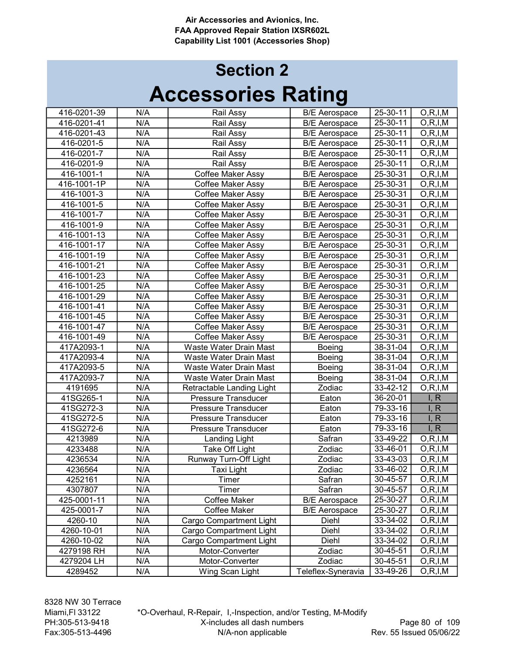| 416-0201-39 | N/A | Rail Assy                  | <b>B/E</b> Aerospace | $25-30-11$     | O, R, I, M |
|-------------|-----|----------------------------|----------------------|----------------|------------|
| 416-0201-41 | N/A | Rail Assy                  | <b>B/E</b> Aerospace | $25 - 30 - 11$ | O, R, I, M |
| 416-0201-43 | N/A | Rail Assy                  | <b>B/E Aerospace</b> | 25-30-11       | O, R, I, M |
| 416-0201-5  | N/A | Rail Assy                  | <b>B/E</b> Aerospace | 25-30-11       | O, R, I, M |
| 416-0201-7  | N/A | Rail Assy                  | <b>B/E</b> Aerospace | 25-30-11       | O, R, I, M |
| 416-0201-9  | N/A | Rail Assy                  | <b>B/E Aerospace</b> | 25-30-11       | O, R, I, M |
| 416-1001-1  | N/A | Coffee Maker Assy          | <b>B/E</b> Aerospace | 25-30-31       | O, R, I, M |
| 416-1001-1P | N/A | Coffee Maker Assy          | <b>B/E</b> Aerospace | 25-30-31       | O, R, I, M |
| 416-1001-3  | N/A | <b>Coffee Maker Assy</b>   | <b>B/E</b> Aerospace | 25-30-31       | O, R, I, M |
| 416-1001-5  | N/A | Coffee Maker Assy          | <b>B/E</b> Aerospace | 25-30-31       | O, R, I, M |
| 416-1001-7  | N/A | Coffee Maker Assy          | <b>B/E</b> Aerospace | 25-30-31       | O, R, I, M |
| 416-1001-9  | N/A | Coffee Maker Assy          | <b>B/E</b> Aerospace | 25-30-31       | O, R, I, M |
| 416-1001-13 | N/A | Coffee Maker Assy          | <b>B/E</b> Aerospace | 25-30-31       | O, R, I, M |
| 416-1001-17 | N/A | Coffee Maker Assy          | <b>B/E</b> Aerospace | 25-30-31       | O, R, I, M |
| 416-1001-19 | N/A | Coffee Maker Assy          | <b>B/E</b> Aerospace | 25-30-31       | O, R, I, M |
| 416-1001-21 | N/A | Coffee Maker Assy          | <b>B/E</b> Aerospace | 25-30-31       | O, R, I, M |
| 416-1001-23 | N/A | <b>Coffee Maker Assy</b>   | <b>B/E</b> Aerospace | 25-30-31       | O, R, I, M |
| 416-1001-25 | N/A | Coffee Maker Assy          | <b>B/E</b> Aerospace | 25-30-31       | O, R, I, M |
| 416-1001-29 | N/A | Coffee Maker Assy          | <b>B/E</b> Aerospace | 25-30-31       | O, R, I, M |
| 416-1001-41 | N/A | Coffee Maker Assy          | <b>B/E</b> Aerospace | 25-30-31       | O, R, I, M |
| 416-1001-45 | N/A | Coffee Maker Assy          | <b>B/E</b> Aerospace | 25-30-31       | O, R, I, M |
| 416-1001-47 | N/A | Coffee Maker Assy          | <b>B/E</b> Aerospace | 25-30-31       | O, R, I, M |
| 416-1001-49 | N/A | <b>Coffee Maker Assy</b>   | <b>B/E</b> Aerospace | 25-30-31       | O, R, I, M |
| 417A2093-1  | N/A | Waste Water Drain Mast     | <b>Boeing</b>        | 38-31-04       | O, R, I, M |
| 417A2093-4  | N/A | Waste Water Drain Mast     | Boeing               | 38-31-04       | O, R, I, M |
| 417A2093-5  | N/A | Waste Water Drain Mast     | Boeing               | 38-31-04       | O, R, I, M |
| 417A2093-7  | N/A | Waste Water Drain Mast     | <b>Boeing</b>        | 38-31-04       | O, R, I, M |
| 4191695     | N/A | Retractable Landing Light  | Zodiac               | 33-42-12       | O, R, I, M |
| 41SG265-1   | N/A | <b>Pressure Transducer</b> | Eaton                | 36-20-01       | I, R       |
| 41SG272-3   | N/A | <b>Pressure Transducer</b> | Eaton                | 79-33-16       | I, R       |
| 41SG272-5   | N/A | Pressure Transducer        | Eaton                | 79-33-16       | I, R       |
| 41SG272-6   | N/A | <b>Pressure Transducer</b> | Eaton                | 79-33-16       | I, R       |
| 4213989     | N/A | Landing Light              | Safran               | 33-49-22       | O, R, I, M |
| 4233488     | N/A | Take Off Light             | Zodiac               | 33-46-01       | O, R, I, M |
| 4236534     | N/A | Runway Turn-Off Light      | Zodiac               | 33-43-03       | O, R, I, M |
| 4236564     | N/A | <b>Taxi Light</b>          | Zodiac               | 33-46-02       | O, R, I, M |
| 4252161     | N/A | Timer                      | Safran               | 30-45-57       | O, R, I, M |
| 4307807     | N/A | Timer                      | Safran               | 30-45-57       | O, R, I, M |
| 425-0001-11 | N/A | Coffee Maker               | <b>B/E Aerospace</b> | 25-30-27       | O, R, I, M |
| 425-0001-7  | N/A | Coffee Maker               | <b>B/E</b> Aerospace | 25-30-27       | O, R, I, M |
| 4260-10     | N/A | Cargo Compartment Light    | Diehl                | 33-34-02       | O, R, I, M |
| 4260-10-01  | N/A | Cargo Compartment Light    | Diehl                | 33-34-02       | O, R, I, M |
| 4260-10-02  | N/A | Cargo Compartment Light    | Diehl                | 33-34-02       | O, R, I, M |
| 4279198 RH  | N/A | Motor-Converter            | Zodiac               | 30-45-51       | O, R, I, M |
| 4279204 LH  | N/A | Motor-Converter            | Zodiac               | 30-45-51       | O, R, I, M |
| 4289452     | N/A | Wing Scan Light            | Teleflex-Syneravia   | 33-49-26       | O, R, I, M |
|             |     |                            |                      |                |            |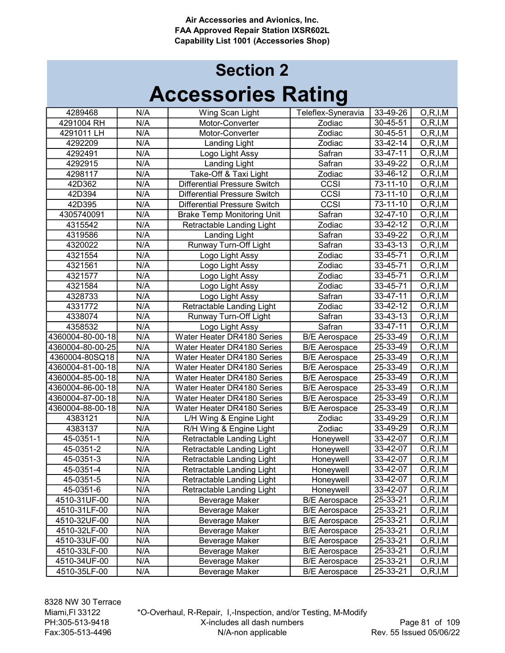## Accessories Rating Section 2

| 4289468          | N/A | Wing Scan Light                     | Teleflex-Syneravia   | $33 - 49 - 26$ | O, R, I, M               |
|------------------|-----|-------------------------------------|----------------------|----------------|--------------------------|
| 4291004 RH       | N/A | Motor-Converter                     | Zodiac               | 30-45-51       | O, R, I, M               |
| 4291011 LH       | N/A | Motor-Converter                     | Zodiac               | 30-45-51       | $\overline{O,R}$ , I, M  |
| 4292209          | N/A | <b>Landing Light</b>                | Zodiac               | 33-42-14       | O, R, I, M               |
| 4292491          | N/A | Logo Light Assy                     | Safran               | 33-47-11       | O, R, I, M               |
| 4292915          | N/A | <b>Landing Light</b>                | Safran               | $33 - 49 - 22$ | $\overline{O,R}$ , I, M  |
| 4298117          | N/A | Take-Off & Taxi Light               | Zodiac               | 33-46-12       | O, R, I, M               |
| 42D362           | N/A | <b>Differential Pressure Switch</b> | CCSI                 | 73-11-10       | O, R, I, M               |
| 42D394           | N/A | <b>Differential Pressure Switch</b> | CCSI                 | 73-11-10       | O, R, I, M               |
| 42D395           | N/A | <b>Differential Pressure Switch</b> | CCSI                 | 73-11-10       | $\overline{O}$ , R, I, M |
| 4305740091       | N/A | <b>Brake Temp Monitoring Unit</b>   | Safran               | 32-47-10       | O, R, I, M               |
| 4315542          | N/A | Retractable Landing Light           | Zodiac               | 33-42-12       | O, R, I, M               |
| 4319586          | N/A | <b>Landing Light</b>                | Safran               | 33-49-22       | O, R, I, M               |
| 4320022          | N/A | Runway Turn-Off Light               | Safran               | 33-43-13       | O, R, I, M               |
| 4321554          | N/A | Logo Light Assy                     | Zodiac               | 33-45-71       | O, R, I, M               |
| 4321561          | N/A | Logo Light Assy                     | Zodiac               | 33-45-71       | O, R, I, M               |
| 4321577          | N/A | Logo Light Assy                     | Zodiac               | 33-45-71       | O, R, I, M               |
| 4321584          | N/A | Logo Light Assy                     | Zodiac               | 33-45-71       | O, R, I, M               |
| 4328733          | N/A | Logo Light Assy                     | Safran               | 33-47-11       | O, R, I, M               |
| 4331772          | N/A | Retractable Landing Light           | Zodiac               | 33-42-12       | O, R, I, M               |
| 4338074          | N/A | <b>Runway Turn-Off Light</b>        | Safran               | 33-43-13       | O, R, I, M               |
| 4358532          | N/A | Logo Light Assy                     | Safran               | 33-47-11       | O, R, I, M               |
| 4360004-80-00-18 | N/A | Water Heater DR4180 Series          | <b>B/E</b> Aerospace | 25-33-49       | O, R, I, M               |
| 4360004-80-00-25 | N/A | Water Heater DR4180 Series          | <b>B/E</b> Aerospace | 25-33-49       | O, R, I, M               |
| 4360004-80SQ18   | N/A | Water Heater DR4180 Series          | <b>B/E</b> Aerospace | 25-33-49       | O, R, I, M               |
| 4360004-81-00-18 | N/A | Water Heater DR4180 Series          | <b>B/E</b> Aerospace | 25-33-49       | O, R, I, M               |
| 4360004-85-00-18 | N/A | Water Heater DR4180 Series          | <b>B/E</b> Aerospace | 25-33-49       | O, R, I, M               |
| 4360004-86-00-18 | N/A | Water Heater DR4180 Series          | <b>B/E</b> Aerospace | 25-33-49       | O, R, I, M               |
| 4360004-87-00-18 | N/A | Water Heater DR4180 Series          | <b>B/E</b> Aerospace | 25-33-49       | O, R, I, M               |
| 4360004-88-00-18 | N/A | Water Heater DR4180 Series          | <b>B/E</b> Aerospace | 25-33-49       | O, R, I, M               |
| 4383121          | N/A | L/H Wing & Engine Light             | Zodiac               | 33-49-29       | O, R, I, M               |
| 4383137          | N/A | R/H Wing & Engine Light             | Zodiac               | 33-49-29       | O, R, I, M               |
| 45-0351-1        | N/A | Retractable Landing Light           | Honeywell            | 33-42-07       | O, R, I, M               |
| 45-0351-2        | N/A | Retractable Landing Light           | Honeywell            | 33-42-07       | O, R, I, M               |
| 45-0351-3        | N/A | Retractable Landing Light           | Honeywell            | 33-42-07       | O, R, I, M               |
| 45-0351-4        | N/A | Retractable Landing Light           | Honeywell            | 33-42-07       | O, R, I, M               |
| $45 - 0351 - 5$  | N/A | Retractable Landing Light           | Honeywell            | 33-42-07       | O, R, I, M               |
| 45-0351-6        | N/A | Retractable Landing Light           | Honeywell            | 33-42-07       | O, R, I, M               |
| 4510-31UF-00     | N/A | Beverage Maker                      | <b>B/E Aerospace</b> | 25-33-21       | O, R, I, M               |
| 4510-31LF-00     | N/A | Beverage Maker                      | <b>B/E</b> Aerospace | 25-33-21       | O, R, I, M               |
| 4510-32UF-00     | N/A | <b>Beverage Maker</b>               | <b>B/E Aerospace</b> | 25-33-21       | O, R, I, M               |
| 4510-32LF-00     | N/A | Beverage Maker                      | <b>B/E Aerospace</b> | 25-33-21       | O, R, I, M               |
| 4510-33UF-00     | N/A | Beverage Maker                      | <b>B/E Aerospace</b> | 25-33-21       | O, R, I, M               |
| 4510-33LF-00     | N/A | Beverage Maker                      | <b>B/E</b> Aerospace | 25-33-21       | O, R, I, M               |
| 4510-34UF-00     | N/A | Beverage Maker                      | <b>B/E Aerospace</b> | 25-33-21       | O, R, I, M               |
| 4510-35LF-00     | N/A | Beverage Maker                      | <b>B/E</b> Aerospace | 25-33-21       | O, R, I, M               |

\*O-Overhaul, R-Repair, I,-Inspection, and/or Testing, M-Modify X-includes all dash numbers N/A-non applicable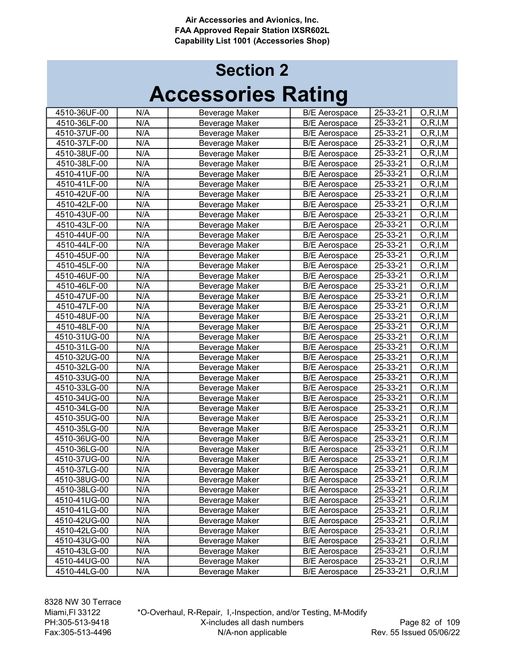## Accessories Rating Section 2

| 4510-36UF-00 | N/A              | Beverage Maker        | <b>B/E Aerospace</b> | 25-33-21       | O, R, I, M |
|--------------|------------------|-----------------------|----------------------|----------------|------------|
| 4510-36LF-00 | N/A              | Beverage Maker        | <b>B/E</b> Aerospace | 25-33-21       | O, R, I, M |
| 4510-37UF-00 | N/A              | Beverage Maker        | <b>B/E Aerospace</b> | 25-33-21       | O, R, I, M |
| 4510-37LF-00 | N/A              | Beverage Maker        | <b>B/E Aerospace</b> | 25-33-21       | O, R, I, M |
| 4510-38UF-00 | N/A              | Beverage Maker        | <b>B/E Aerospace</b> | 25-33-21       | O, R, I, M |
| 4510-38LF-00 | N/A              | Beverage Maker        | <b>B/E Aerospace</b> | 25-33-21       | O, R, I, M |
| 4510-41UF-00 | N/A              | Beverage Maker        | <b>B/E Aerospace</b> | 25-33-21       | O, R, I, M |
| 4510-41LF-00 | N/A              | Beverage Maker        | <b>B/E</b> Aerospace | 25-33-21       | O, R, I, M |
| 4510-42UF-00 | N/A              | Beverage Maker        | <b>B/E Aerospace</b> | 25-33-21       | O, R, I, M |
| 4510-42LF-00 | N/A              | Beverage Maker        | <b>B/E Aerospace</b> | 25-33-21       | O, R, I, M |
| 4510-43UF-00 | N/A              | Beverage Maker        | <b>B/E Aerospace</b> | 25-33-21       | O, R, I, M |
| 4510-43LF-00 | N/A              | <b>Beverage Maker</b> | <b>B/E Aerospace</b> | 25-33-21       | O, R, I, M |
| 4510-44UF-00 | N/A              | <b>Beverage Maker</b> | <b>B/E Aerospace</b> | 25-33-21       | O, R, I, M |
| 4510-44LF-00 | N/A              | Beverage Maker        | <b>B/E Aerospace</b> | 25-33-21       | O, R, I, M |
| 4510-45UF-00 | N/A              | Beverage Maker        | <b>B/E Aerospace</b> | 25-33-21       | O, R, I, M |
| 4510-45LF-00 | N/A              | Beverage Maker        | <b>B/E Aerospace</b> | 25-33-21       | O, R, I, M |
| 4510-46UF-00 | N/A              | Beverage Maker        | <b>B/E Aerospace</b> | 25-33-21       | O, R, I, M |
| 4510-46LF-00 | $\overline{N}/A$ | <b>Beverage Maker</b> | <b>B/E</b> Aerospace | 25-33-21       | O, R, I, M |
| 4510-47UF-00 | N/A              | <b>Beverage Maker</b> | <b>B/E Aerospace</b> | 25-33-21       | O, R, I, M |
| 4510-47LF-00 | N/A              | Beverage Maker        | <b>B/E</b> Aerospace | 25-33-21       | O, R, I, M |
| 4510-48UF-00 | N/A              | Beverage Maker        | <b>B/E Aerospace</b> | 25-33-21       | O, R, I, M |
| 4510-48LF-00 | N/A              | <b>Beverage Maker</b> | <b>B/E</b> Aerospace | 25-33-21       | O, R, I, M |
| 4510-31UG-00 | N/A              | Beverage Maker        | <b>B/E</b> Aerospace | $25 - 33 - 21$ | O, R, I, M |
| 4510-31LG-00 | N/A              | Beverage Maker        | <b>B/E Aerospace</b> | $25 - 33 - 21$ | O, R, I, M |
| 4510-32UG-00 | N/A              | Beverage Maker        | <b>B/E Aerospace</b> | 25-33-21       | O, R, I, M |
| 4510-32LG-00 | N/A              | Beverage Maker        | <b>B/E</b> Aerospace | 25-33-21       | O, R, I, M |
| 4510-33UG-00 | N/A              | Beverage Maker        | <b>B/E Aerospace</b> | 25-33-21       | O, R, I, M |
| 4510-33LG-00 | N/A              | Beverage Maker        | <b>B/E</b> Aerospace | $25 - 33 - 21$ | O, R, I, M |
| 4510-34UG-00 | N/A              | Beverage Maker        | <b>B/E</b> Aerospace | 25-33-21       | O, R, I, M |
| 4510-34LG-00 | N/A              | Beverage Maker        | <b>B/E Aerospace</b> | 25-33-21       | O, R, I, M |
| 4510-35UG-00 | N/A              | Beverage Maker        | <b>B/E Aerospace</b> | 25-33-21       | O, R, I, M |
| 4510-35LG-00 | N/A              | Beverage Maker        | <b>B/E</b> Aerospace | 25-33-21       | O, R, I, M |
| 4510-36UG-00 | N/A              | Beverage Maker        | <b>B/E</b> Aerospace | 25-33-21       | O, R, I, M |
| 4510-36LG-00 | $\overline{N/A}$ | <b>Beverage Maker</b> | <b>B/E Aerospace</b> | 25-33-21       | O, R, I, M |
| 4510-37UG-00 | N/A              | Beverage Maker        | <b>B/E</b> Aerospace | 25-33-21       | O, R, I, M |
| 4510-37LG-00 | N/A              | Beverage Maker        | <b>B/E</b> Aerospace | 25-33-21       | O, R, I, M |
| 4510-38UG-00 | N/A              | Beverage Maker        | <b>B/E Aerospace</b> | 25-33-21       | O, R, I, M |
| 4510-38LG-00 | N/A              | Beverage Maker        | <b>B/E Aerospace</b> | 25-33-21       | O, R, I, M |
| 4510-41UG-00 | N/A              | Beverage Maker        | <b>B/E</b> Aerospace | 25-33-21       | O, R, I, M |
| 4510-41LG-00 | N/A              | Beverage Maker        | <b>B/E Aerospace</b> | 25-33-21       | O, R, I, M |
| 4510-42UG-00 | N/A              | Beverage Maker        | <b>B/E Aerospace</b> | 25-33-21       | O, R, I, M |
| 4510-42LG-00 | N/A              | Beverage Maker        | <b>B/E</b> Aerospace | 25-33-21       | O, R, I, M |
| 4510-43UG-00 | N/A              | Beverage Maker        | <b>B/E Aerospace</b> | 25-33-21       | O, R, I, M |
| 4510-43LG-00 | N/A              | <b>Beverage Maker</b> | <b>B/E</b> Aerospace | 25-33-21       | O, R, I, M |
| 4510-44UG-00 | N/A              | <b>Beverage Maker</b> | <b>B/E</b> Aerospace | 25-33-21       | O, R, I, M |
| 4510-44LG-00 | N/A              | Beverage Maker        | <b>B/E Aerospace</b> | 25-33-21       | O, R, I, M |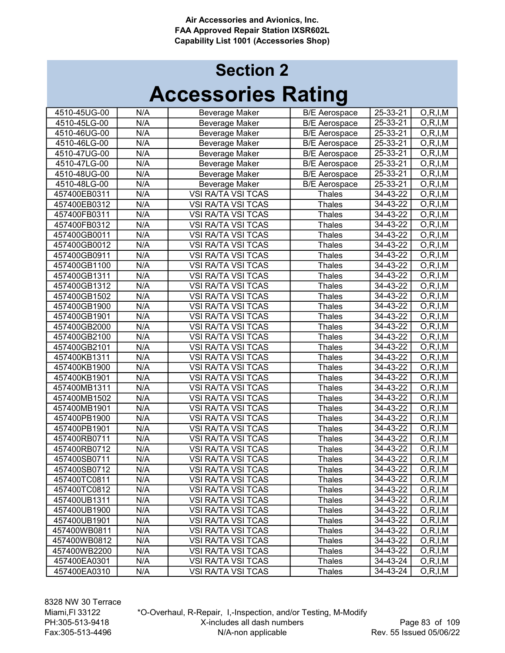## Accessories Rating Section 2

| 4510-45UG-00 | N/A | Beverage Maker            | <b>B/E Aerospace</b> | 25-33-21       | O, R, I, M              |
|--------------|-----|---------------------------|----------------------|----------------|-------------------------|
| 4510-45LG-00 | N/A | <b>Beverage Maker</b>     | <b>B/E</b> Aerospace | 25-33-21       | $\overline{O,R}$ , I, M |
| 4510-46UG-00 | N/A | Beverage Maker            | <b>B/E</b> Aerospace | 25-33-21       | $\overline{O,R}$ , I, M |
| 4510-46LG-00 | N/A | Beverage Maker            | <b>B/E Aerospace</b> | 25-33-21       | O, R, I, M              |
| 4510-47UG-00 | N/A | Beverage Maker            | <b>B/E</b> Aerospace | 25-33-21       | O, R, I, M              |
| 4510-47LG-00 | N/A | <b>Beverage Maker</b>     | <b>B/E</b> Aerospace | 25-33-21       | O, R, I, M              |
| 4510-48UG-00 | N/A | <b>Beverage Maker</b>     | <b>B/E</b> Aerospace | 25-33-21       | O, R, I, M              |
| 4510-48LG-00 | N/A | <b>Beverage Maker</b>     | <b>B/E</b> Aerospace | 25-33-21       | O, R, I, M              |
| 457400EB0311 | N/A | VSI RA/TA VSI TCAS        | <b>Thales</b>        | $34 - 43 - 22$ | O, R, I, M              |
| 457400EB0312 | N/A | VSI RA/TA VSI TCAS        | Thales               | 34-43-22       | O, R, I, M              |
| 457400FB0311 | N/A | VSI RA/TA VSI TCAS        | Thales               | $34 - 43 - 22$ | O, R, I, M              |
| 457400FB0312 | N/A | <b>VSI RA/TA VSI TCAS</b> | Thales               | 34-43-22       | O, R, I, M              |
| 457400GB0011 | N/A | VSI RA/TA VSI TCAS        | <b>Thales</b>        | 34-43-22       | O, R, I, M              |
| 457400GB0012 | N/A | VSI RA/TA VSI TCAS        | Thales               | $34 - 43 - 22$ | O, R, I, M              |
| 457400GB0911 | N/A | <b>VSI RA/TA VSI TCAS</b> | <b>Thales</b>        | $34 - 43 - 22$ | O, R, I, M              |
| 457400GB1100 | N/A | <b>VSI RA/TA VSI TCAS</b> | <b>Thales</b>        | $34 - 43 - 22$ | O, R, I, M              |
| 457400GB1311 | N/A | <b>VSI RA/TA VSI TCAS</b> | Thales               | 34-43-22       | O, R, I, M              |
| 457400GB1312 | N/A | <b>VSI RA/TA VSI TCAS</b> | <b>Thales</b>        | 34-43-22       | O, R, I, M              |
| 457400GB1502 | N/A | <b>VSI RA/TA VSI TCAS</b> | Thales               | $34 - 43 - 22$ | O, R, I, M              |
| 457400GB1900 | N/A | <b>VSI RA/TA VSI TCAS</b> | <b>Thales</b>        | 34-43-22       | O, R, I, M              |
| 457400GB1901 | N/A | VSI RA/TA VSI TCAS        | <b>Thales</b>        | 34-43-22       | O, R, I, M              |
| 457400GB2000 | N/A | <b>VSI RA/TA VSI TCAS</b> | <b>Thales</b>        | 34-43-22       | O, R, I, M              |
| 457400GB2100 | N/A | VSI RA/TA VSI TCAS        | <b>Thales</b>        | 34-43-22       | O, R, I, M              |
| 457400GB2101 | N/A | <b>VSI RA/TA VSI TCAS</b> | Thales               | $34 - 43 - 22$ | O, R, I, M              |
| 457400KB1311 | N/A | <b>VSI RA/TA VSI TCAS</b> | <b>Thales</b>        | 34-43-22       | O, R, I, M              |
| 457400KB1900 | N/A | <b>VSI RA/TA VSI TCAS</b> | <b>Thales</b>        | 34-43-22       | O, R, I, M              |
| 457400KB1901 | N/A | <b>VSI RA/TA VSI TCAS</b> | <b>Thales</b>        | 34-43-22       | O, R, I, M              |
| 457400MB1311 | N/A | VSI RA/TA VSI TCAS        | Thales               | 34-43-22       | $\overline{O,R,I,M}$    |
| 457400MB1502 | N/A | VSI RA/TA VSI TCAS        | Thales               | 34-43-22       | O, R, I, M              |
| 457400MB1901 | N/A | VSI RA/TA VSI TCAS        | Thales               | 34-43-22       | O, R, I, M              |
| 457400PB1900 | N/A | VSI RA/TA VSI TCAS        | Thales               | $34 - 43 - 22$ | O, R, I, M              |
| 457400PB1901 | N/A | <b>VSI RA/TA VSI TCAS</b> | <b>Thales</b>        | $34 - 43 - 22$ | O, R, I, M              |
| 457400RB0711 | N/A | VSI RA/TA VSI TCAS        | <b>Thales</b>        | $34 - 43 - 22$ | O, R, I, M              |
| 457400RB0712 | N/A | <b>VSI RA/TA VSI TCAS</b> | <b>Thales</b>        | 34-43-22       | $\overline{O, R, I, M}$ |
| 457400SB0711 | N/A | <b>VSI RA/TA VSI TCAS</b> | <b>Thales</b>        | 34-43-22       | O, R, I, M              |
| 457400SB0712 | N/A | <b>VSI RA/TA VSI TCAS</b> | <b>Thales</b>        | 34-43-22       | O, R, I, M              |
| 457400TC0811 | N/A | VSI RA/TA VSI TCAS        | <b>Thales</b>        | 34-43-22       | O, R, I, M              |
| 457400TC0812 | N/A | VSI RA/TA VSI TCAS        | <b>Thales</b>        | 34-43-22       | O, R, I, M              |
| 457400UB1311 | N/A | <b>VSI RA/TA VSI TCAS</b> | <b>Thales</b>        | 34-43-22       | O, R, I, M              |
| 457400UB1900 | N/A | VSI RA/TA VSI TCAS        | <b>Thales</b>        | 34-43-22       | O, R, I, M              |
| 457400UB1901 | N/A | VSI RA/TA VSI TCAS        | <b>Thales</b>        | 34-43-22       | O, R, I, M              |
| 457400WB0811 | N/A | VSI RA/TA VSI TCAS        | <b>Thales</b>        | 34-43-22       | O, R, I, M              |
| 457400WB0812 | N/A | VSI RA/TA VSI TCAS        | Thales               | 34-43-22       | O, R, I, M              |
| 457400WB2200 | N/A | VSI RA/TA VSI TCAS        | Thales               | 34-43-22       | O, R, I, M              |
| 457400EA0301 | N/A | <b>VSI RA/TA VSI TCAS</b> | Thales               | 34-43-24       | O, R, I, M              |
| 457400EA0310 | N/A | VSI RA/TA VSI TCAS        | Thales               | 34-43-24       | O, R, I, M              |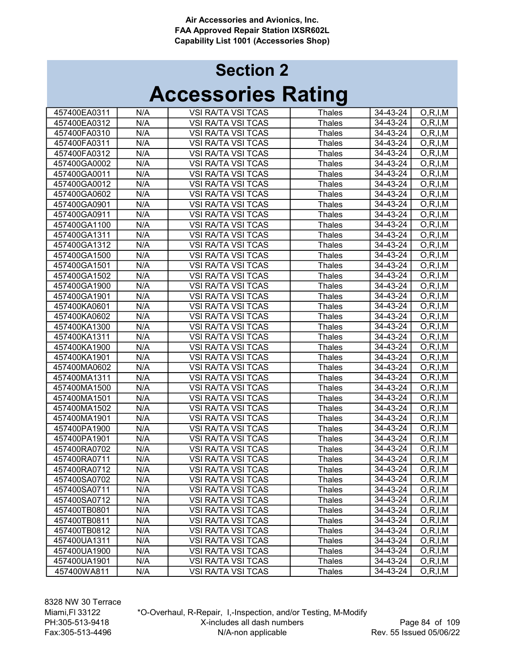# Accessories Rating Section 2

| 457400EA0311 | N/A | <b>VSI RA/TA VSI TCAS</b> | Thales        | 34-43-24       | O, R, I, M |
|--------------|-----|---------------------------|---------------|----------------|------------|
| 457400EA0312 | N/A | <b>VSI RA/TA VSI TCAS</b> | <b>Thales</b> | 34-43-24       | O, R, I, M |
| 457400FA0310 | N/A | <b>VSI RA/TA VSI TCAS</b> | <b>Thales</b> | 34-43-24       | O, R, I, M |
| 457400FA0311 | N/A | <b>VSI RA/TA VSI TCAS</b> | <b>Thales</b> | 34-43-24       | O, R, I, M |
| 457400FA0312 | N/A | <b>VSI RA/TA VSI TCAS</b> | <b>Thales</b> | 34-43-24       | O, R, I, M |
| 457400GA0002 | N/A | VSI RA/TA VSI TCAS        | <b>Thales</b> | 34-43-24       | O, R, I, M |
| 457400GA0011 | N/A | <b>VSI RA/TA VSI TCAS</b> | <b>Thales</b> | 34-43-24       | O, R, I, M |
| 457400GA0012 | N/A | <b>VSI RA/TA VSI TCAS</b> | Thales        | 34-43-24       | O, R, I, M |
| 457400GA0602 | N/A | <b>VSI RA/TA VSI TCAS</b> | <b>Thales</b> | 34-43-24       | O, R, I, M |
| 457400GA0901 | N/A | <b>VSI RA/TA VSI TCAS</b> | Thales        | 34-43-24       | O, R, I, M |
| 457400GA0911 | N/A | <b>VSI RA/TA VSI TCAS</b> | Thales        | 34-43-24       | O, R, I, M |
| 457400GA1100 | N/A | <b>VSI RA/TA VSI TCAS</b> | Thales        | 34-43-24       | O, R, I, M |
| 457400GA1311 | N/A | <b>VSI RA/TA VSI TCAS</b> | <b>Thales</b> | 34-43-24       | O, R, I, M |
| 457400GA1312 | N/A | <b>VSI RA/TA VSI TCAS</b> | <b>Thales</b> | 34-43-24       | O, R, I, M |
| 457400GA1500 | N/A | <b>VSI RA/TA VSI TCAS</b> | <b>Thales</b> | $34 - 43 - 24$ | O, R, I, M |
| 457400GA1501 | N/A | <b>VSI RA/TA VSI TCAS</b> | <b>Thales</b> | 34-43-24       | O, R, I, M |
| 457400GA1502 | N/A | <b>VSI RA/TA VSI TCAS</b> | <b>Thales</b> | 34-43-24       | O, R, I, M |
| 457400GA1900 | N/A | <b>VSI RA/TA VSI TCAS</b> | <b>Thales</b> | 34-43-24       | O, R, I, M |
| 457400GA1901 | N/A | <b>VSI RA/TA VSI TCAS</b> | <b>Thales</b> | 34-43-24       | O, R, I, M |
| 457400KA0601 | N/A | <b>VSI RA/TA VSI TCAS</b> | <b>Thales</b> | 34-43-24       | O, R, I, M |
| 457400KA0602 | N/A | <b>VSI RA/TA VSI TCAS</b> | <b>Thales</b> | 34-43-24       | O, R, I, M |
| 457400KA1300 | N/A | <b>VSI RA/TA VSI TCAS</b> | <b>Thales</b> | 34-43-24       | O, R, I, M |
| 457400KA1311 | N/A | <b>VSI RA/TA VSI TCAS</b> | <b>Thales</b> | 34-43-24       | O, R, I, M |
| 457400KA1900 | N/A | <b>VSI RA/TA VSI TCAS</b> | <b>Thales</b> | 34-43-24       | O, R, I, M |
| 457400KA1901 | N/A | <b>VSI RA/TA VSI TCAS</b> | Thales        | 34-43-24       | O, R, I, M |
| 457400MA0602 | N/A | <b>VSI RA/TA VSI TCAS</b> | <b>Thales</b> | 34-43-24       | O, R, I, M |
| 457400MA1311 | N/A | <b>VSI RA/TA VSI TCAS</b> | <b>Thales</b> | 34-43-24       | O, R, I, M |
| 457400MA1500 | N/A | <b>VSI RA/TA VSI TCAS</b> | <b>Thales</b> | 34-43-24       | O, R, I, M |
| 457400MA1501 | N/A | <b>VSI RA/TA VSI TCAS</b> | <b>Thales</b> | 34-43-24       | O, R, I, M |
| 457400MA1502 | N/A | <b>VSI RA/TA VSI TCAS</b> | <b>Thales</b> | 34-43-24       | O, R, I, M |
| 457400MA1901 | N/A | <b>VSI RA/TA VSI TCAS</b> | <b>Thales</b> | 34-43-24       | O, R, I, M |
| 457400PA1900 | N/A | <b>VSI RA/TA VSI TCAS</b> | <b>Thales</b> | $34 - 43 - 24$ | O, R, I, M |
| 457400PA1901 | N/A | <b>VSI RA/TA VSI TCAS</b> | <b>Thales</b> | 34-43-24       | O, R, I, M |
| 457400RA0702 | N/A | <b>VSI RA/TA VSI TCAS</b> | <b>Thales</b> | 34-43-24       | O, R, I, M |
| 457400RA0711 | N/A | <b>VSI RA/TA VSI TCAS</b> | <b>Thales</b> | 34-43-24       | O, R, I, M |
| 457400RA0712 | N/A | <b>VSI RA/TA VSI TCAS</b> | Thales        | 34-43-24       | O.R.I.M    |
| 457400SA0702 | N/A | VSI RA/TA VSI TCAS        | <b>Thales</b> | 34-43-24       | O, R, I, M |
| 457400SA0711 | N/A | VSI RA/TA VSI TCAS        | <b>Thales</b> | 34-43-24       | O, R, I, M |
| 457400SA0712 | N/A | VSI RA/TA VSI TCAS        | <b>Thales</b> | 34-43-24       | O, R, I, M |
| 457400TB0801 | N/A | VSI RA/TA VSI TCAS        | Thales        | 34-43-24       | O, R, I, M |
| 457400TB0811 | N/A | VSI RA/TA VSI TCAS        | Thales        | 34-43-24       | O, R, I, M |
| 457400TB0812 | N/A | <b>VSI RA/TA VSI TCAS</b> | Thales        | 34-43-24       | O, R, I, M |
| 457400UA1311 | N/A | <b>VSI RA/TA VSI TCAS</b> | Thales        | 34-43-24       | O, R, I, M |
| 457400UA1900 | N/A | <b>VSI RA/TA VSI TCAS</b> | Thales        | 34-43-24       | O, R, I, M |
| 457400UA1901 | N/A | <b>VSI RA/TA VSI TCAS</b> | Thales        | 34-43-24       | O, R, I, M |
| 457400WA811  | N/A | <b>VSI RA/TA VSI TCAS</b> | <b>Thales</b> | 34-43-24       | O, R, I, M |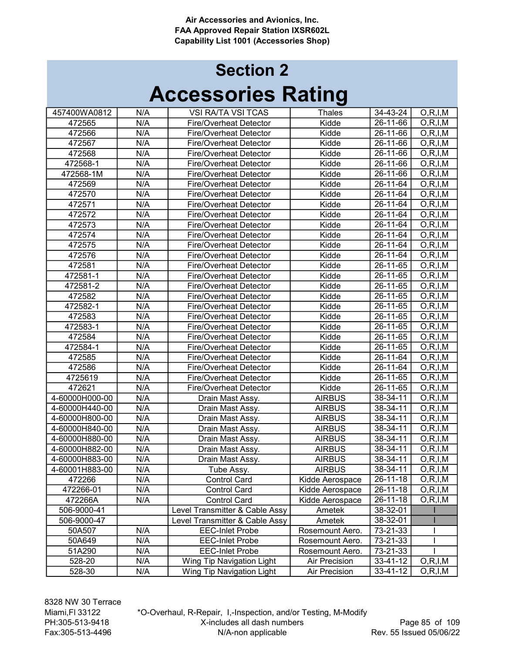| 457400WA0812   | N/A | VSI RA/TA VSI TCAS             | <b>Thales</b>   | 34-43-24       | O, R, I, M |
|----------------|-----|--------------------------------|-----------------|----------------|------------|
| 472565         | N/A | <b>Fire/Overheat Detector</b>  | Kidde           | $26 - 11 - 66$ | O, R, I, M |
| 472566         | N/A | <b>Fire/Overheat Detector</b>  | Kidde           | 26-11-66       | O, R, I, M |
| 472567         | N/A | <b>Fire/Overheat Detector</b>  | Kidde           | 26-11-66       | O, R, I, M |
| 472568         | N/A | Fire/Overheat Detector         | Kidde           | 26-11-66       | O, R, I, M |
| 472568-1       | N/A | <b>Fire/Overheat Detector</b>  | Kidde           | 26-11-66       | O, R, I, M |
| 472568-1M      | N/A | <b>Fire/Overheat Detector</b>  | Kidde           | 26-11-66       | O, R, I, M |
| 472569         | N/A | <b>Fire/Overheat Detector</b>  | Kidde           | 26-11-64       | O, R, I, M |
| 472570         | N/A | <b>Fire/Overheat Detector</b>  | Kidde           | 26-11-64       | O, R, I, M |
| 472571         | N/A | Fire/Overheat Detector         | Kidde           | 26-11-64       | O, R, I, M |
| 472572         | N/A | <b>Fire/Overheat Detector</b>  | Kidde           | 26-11-64       | O, R, I, M |
| 472573         | N/A | Fire/Overheat Detector         | Kidde           | 26-11-64       | O, R, I, M |
| 472574         | N/A | <b>Fire/Overheat Detector</b>  | Kidde           | 26-11-64       | O, R, I, M |
| 472575         | N/A | Fire/Overheat Detector         | Kidde           | 26-11-64       | O, R, I, M |
| 472576         | N/A | <b>Fire/Overheat Detector</b>  | Kidde           | 26-11-64       | O, R, I, M |
| 472581         | N/A | <b>Fire/Overheat Detector</b>  | Kidde           | 26-11-65       | O, R, I, M |
| 472581-1       | N/A | <b>Fire/Overheat Detector</b>  | Kidde           | 26-11-65       | O, R, I, M |
| 472581-2       | N/A | Fire/Overheat Detector         | Kidde           | 26-11-65       | O, R, I, M |
| 472582         | N/A | Fire/Overheat Detector         | Kidde           | 26-11-65       | O, R, I, M |
| 472582-1       | N/A | <b>Fire/Overheat Detector</b>  | Kidde           | 26-11-65       | O, R, I, M |
| 472583         | N/A | <b>Fire/Overheat Detector</b>  | Kidde           | 26-11-65       | O, R, I, M |
| 472583-1       | N/A | <b>Fire/Overheat Detector</b>  | Kidde           | 26-11-65       | O, R, I, M |
| 472584         | N/A | Fire/Overheat Detector         | Kidde           | 26-11-65       | O, R, I, M |
| 472584-1       | N/A | <b>Fire/Overheat Detector</b>  | Kidde           | 26-11-65       | O, R, I, M |
| 472585         | N/A | <b>Fire/Overheat Detector</b>  | Kidde           | 26-11-64       | O, R, I, M |
| 472586         | N/A | Fire/Overheat Detector         | Kidde           | 26-11-64       | O, R, I, M |
| 4725619        | N/A | Fire/Overheat Detector         | Kidde           | 26-11-65       | O, R, I, M |
| 472621         | N/A | <b>Fire/Overheat Detector</b>  | Kidde           | 26-11-65       | O, R, I, M |
| 4-60000H000-00 | N/A | Drain Mast Assy.               | <b>AIRBUS</b>   | 38-34-11       | O, R, I, M |
| 4-60000H440-00 | N/A | Drain Mast Assy.               | <b>AIRBUS</b>   | 38-34-11       | O, R, I, M |
| 4-60000H800-00 | N/A | Drain Mast Assy.               | <b>AIRBUS</b>   | $38 - 34 - 11$ | O, R, I, M |
| 4-60000H840-00 | N/A | Drain Mast Assy.               | <b>AIRBUS</b>   | 38-34-11       | O, R, I, M |
| 4-60000H880-00 | N/A | Drain Mast Assy.               | <b>AIRBUS</b>   | 38-34-11       | O, R, I, M |
| 4-60000H882-00 | N/A | Drain Mast Assy.               | <b>AIRBUS</b>   | 38-34-11       | O, R, I, M |
| 4-60000H883-00 | N/A | Drain Mast Assy.               | <b>AIRBUS</b>   | 38-34-11       | O, R, I, M |
| 4-60001H883-00 | N/A | Tube Assy.                     | <b>AIRBUS</b>   | 38-34-11       | O, R, I, M |
| 472266         | N/A | <b>Control Card</b>            | Kidde Aerospace | 26-11-18       | O, R, I, M |
| 472266-01      | N/A | <b>Control Card</b>            | Kidde Aerospace | 26-11-18       | O, R, I, M |
| 472266A        | N/A | <b>Control Card</b>            | Kidde Aerospace | 26-11-18       | O, R, I, M |
| 506-9000-41    |     | Level Transmitter & Cable Assy | Ametek          | 38-32-01       |            |
| 506-9000-47    |     | Level Transmitter & Cable Assy | Ametek          | 38-32-01       |            |
| 50A507         | N/A | <b>EEC-Inlet Probe</b>         | Rosemount Aero. | 73-21-33       |            |
| 50A649         | N/A | <b>EEC-Inlet Probe</b>         | Rosemount Aero. | 73-21-33       |            |
| 51A290         | N/A | <b>EEC-Inlet Probe</b>         | Rosemount Aero. | 73-21-33       |            |
| 528-20         | N/A | Wing Tip Navigation Light      | Air Precision   | 33-41-12       | O, R, I, M |
| 528-30         | N/A | Wing Tip Navigation Light      | Air Precision   | 33-41-12       | O, R, I, M |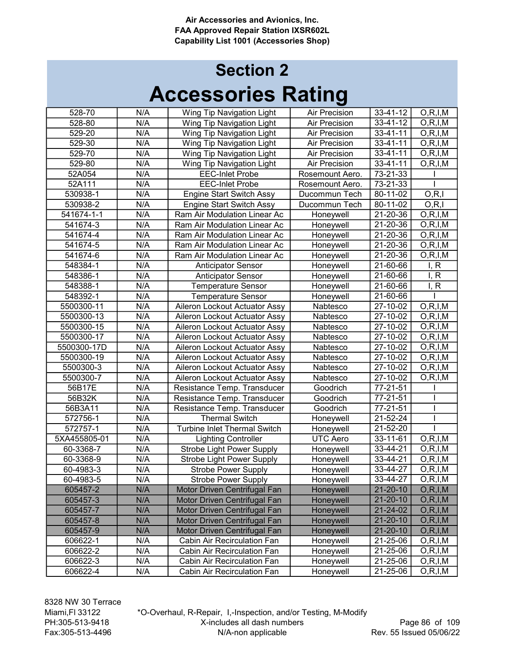| 528-70       | N/A | Wing Tip Navigation Light           | Air Precision        | 33-41-12       | O, R, I, M               |
|--------------|-----|-------------------------------------|----------------------|----------------|--------------------------|
| 528-80       | N/A | Wing Tip Navigation Light           | <b>Air Precision</b> | 33-41-12       | O, R, I, M               |
| 529-20       | N/A | Wing Tip Navigation Light           | <b>Air Precision</b> | $33 - 41 - 11$ | $\overline{O,R}$ , I, M  |
| 529-30       | N/A | Wing Tip Navigation Light           | <b>Air Precision</b> | $33 - 41 - 11$ | O, R, I, M               |
| 529-70       | N/A | Wing Tip Navigation Light           | <b>Air Precision</b> | $33 - 41 - 11$ | O, R, I, M               |
| 529-80       | N/A | Wing Tip Navigation Light           | <b>Air Precision</b> | 33-41-11       | O, R, I, M               |
| 52A054       | N/A | <b>EEC-Inlet Probe</b>              | Rosemount Aero.      | 73-21-33       |                          |
| 52A111       | N/A | <b>EEC-Inlet Probe</b>              | Rosemount Aero.      | 73-21-33       |                          |
| 530938-1     | N/A | <b>Engine Start Switch Assy</b>     | Ducommun Tech        | 80-11-02       | O, R, I                  |
| 530938-2     | N/A | <b>Engine Start Switch Assy</b>     | Ducommun Tech        | 80-11-02       | O, R, I                  |
| 541674-1-1   | N/A | Ram Air Modulation Linear Ac        | Honeywell            | 21-20-36       | O, R, I, M               |
| 541674-3     | N/A | Ram Air Modulation Linear Ac        | Honeywell            | 21-20-36       | O, R, I, M               |
| 541674-4     | N/A | Ram Air Modulation Linear Ac        | Honeywell            | 21-20-36       | O, R, I, M               |
| 541674-5     | N/A | Ram Air Modulation Linear Ac        | Honeywell            | 21-20-36       | O, R, I, M               |
| 541674-6     | N/A | Ram Air Modulation Linear Ac        | Honeywell            | $21 - 20 - 36$ | $\overline{O}$ , R, I, M |
| 548384-1     | N/A | <b>Anticipator Sensor</b>           | Honeywell            | 21-60-66       | I, R                     |
| 548386-1     | N/A | <b>Anticipator Sensor</b>           | Honeywell            | 21-60-66       | I, R                     |
| 548388-1     | N/A | <b>Temperature Sensor</b>           | Honeywell            | 21-60-66       | I, R                     |
| 548392-1     | N/A | <b>Temperature Sensor</b>           | Honeywell            | 21-60-66       |                          |
| 5500300-11   | N/A | Aileron Lockout Actuator Assy       | Nabtesco             | 27-10-02       | O, R, I, M               |
| 5500300-13   | N/A | Aileron Lockout Actuator Assy       | Nabtesco             | 27-10-02       | O, R, I, M               |
| 5500300-15   | N/A | Aileron Lockout Actuator Assy       | Nabtesco             | 27-10-02       | $\overline{O}$ , R, I, M |
| 5500300-17   | N/A | Aileron Lockout Actuator Assy       | Nabtesco             | 27-10-02       | O, R, I, M               |
| 5500300-17D  | N/A | Aileron Lockout Actuator Assy       | Nabtesco             | 27-10-02       | O, R, I, M               |
| 5500300-19   | N/A | Aileron Lockout Actuator Assy       | Nabtesco             | 27-10-02       | O, R, I, M               |
| 5500300-3    | N/A | Aileron Lockout Actuator Assy       | Nabtesco             | 27-10-02       | O, R, I, M               |
| 5500300-7    | N/A | Aileron Lockout Actuator Assy       | Nabtesco             | 27-10-02       | O, R, I, M               |
| 56B17E       | N/A | Resistance Temp. Transducer         | Goodrich             | 77-21-51       |                          |
| 56B32K       | N/A | Resistance Temp. Transducer         | Goodrich             | 77-21-51       |                          |
| 56B3A11      | N/A | Resistance Temp. Transducer         | Goodrich             | 77-21-51       |                          |
| 572756-1     | N/A | <b>Thermal Switch</b>               | Honeywell            | 21-52-24       |                          |
| 572757-1     | N/A | <b>Turbine Inlet Thermal Switch</b> | Honeywell            | $21 - 52 - 20$ |                          |
| 5XA455805-01 | N/A | <b>Lighting Controller</b>          | <b>UTC Aero</b>      | $33 - 11 - 61$ | O, R, I, M               |
|              | N/A | <b>Strobe Light Power Supply</b>    |                      | 33-44-21       | O, R, I, M               |
| 60-3368-7    | N/A |                                     | Honeywell            | 33-44-21       | O, R, I, M               |
| 60-3368-9    | N/A | <b>Strobe Light Power Supply</b>    | Honeywell            |                |                          |
| 60-4983-3    |     | <b>Strobe Power Supply</b>          | Honeywell            | 33-44-27       | O, R, I, M               |
| 60-4983-5    | N/A | <b>Strobe Power Supply</b>          | Honeywell            | 33-44-27       | O, R, I, M               |
| 605457-2     | N/A | Motor Driven Centrifugal Fan        | Honeywell            | 21-20-10       | O, R, I, M               |
| 605457-3     | N/A | Motor Driven Centrifugal Fan        | Honeywell            | 21-20-10       | O, R, I, M               |
| 605457-7     | N/A | Motor Driven Centrifugal Fan        | Honeywell            | 21-24-02       | O, R, I, M               |
| 605457-8     | N/A | Motor Driven Centrifugal Fan        | Honeywell            | 21-20-10       | O, R, I, M               |
| 605457-9     | N/A | Motor Driven Centrifugal Fan        | Honeywell            | $21 - 20 - 10$ | O, R, I, M               |
| 606622-1     | N/A | Cabin Air Recirculation Fan         | Honeywell            | 21-25-06       | O, R, I, M               |
| 606622-2     | N/A | Cabin Air Recirculation Fan         | Honeywell            | 21-25-06       | O,R,I,M                  |
| 606622-3     | N/A | Cabin Air Recirculation Fan         | Honeywell            | 21-25-06       | O, R, I, M               |
| 606622-4     | N/A | Cabin Air Recirculation Fan         | Honeywell            | 21-25-06       | O, R, I, M               |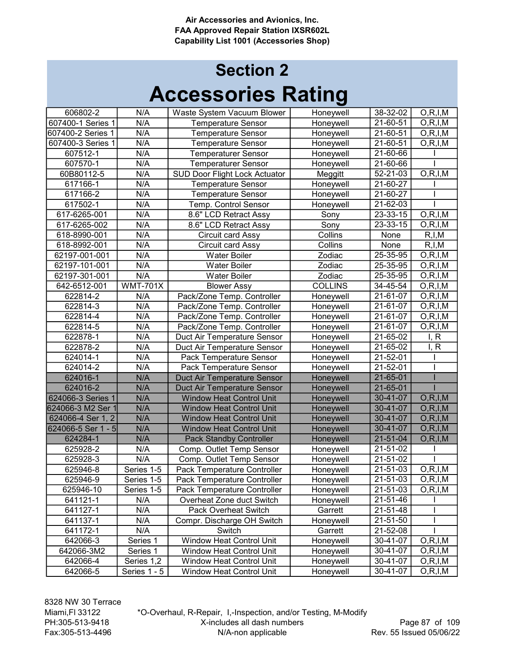| 606802-2           | N/A             | Waste System Vacuum Blower           | Honeywell      | 38-32-02               | $\overline{O,R}$ , I, M  |
|--------------------|-----------------|--------------------------------------|----------------|------------------------|--------------------------|
| 607400-1 Series 1  | N/A             | <b>Temperature Sensor</b>            | Honeywell      | 21-60-51               | O, R, I, M               |
| 607400-2 Series 1  | N/A             | <b>Temperature Sensor</b>            | Honeywell      | 21-60-51               | O, R, I, M               |
| 607400-3 Series 1  | N/A             | <b>Temperature Sensor</b>            | Honeywell      | 21-60-51               | $\overline{O,R}$ , I, M  |
| 607512-1           | N/A             | <b>Temperaturer Sensor</b>           | Honeywell      | 21-60-66               |                          |
| 607570-1           | N/A             | <b>Temperaturer Sensor</b>           | Honeywell      | 21-60-66               |                          |
| 60B80112-5         | N/A             | <b>SUD Door Flight Lock Actuator</b> | Meggitt        | 52-21-03               | O, R, I, M               |
| 617166-1           | N/A             | <b>Temperature Sensor</b>            | Honeywell      | 21-60-27               |                          |
| 617166-2           | N/A             | <b>Temperature Sensor</b>            | Honeywell      | 21-60-27               |                          |
| 617502-1           | N/A             | Temp. Control Sensor                 | Honeywell      | 21-62-03               |                          |
| 617-6265-001       | N/A             | 8.6" LCD Retract Assy                | Sony           | 23-33-15               | O, R, I, M               |
| 617-6265-002       | N/A             | 8.6" LCD Retract Assy                | Sony           | 23-33-15               | O, R, I, M               |
| 618-8990-001       | N/A             | Circuit card Assy                    | Collins        | None                   | R, I, M                  |
| 618-8992-001       | N/A             | Circuit card Assy                    | Collins        | None                   | R, I, M                  |
| 62197-001-001      | N/A             | <b>Water Boiler</b>                  | Zodiac         | 25-35-95               | O, R, I, M               |
| 62197-101-001      | N/A             | <b>Water Boiler</b>                  | Zodiac         | $25 - 35 - 95$         | O, R, I, M               |
| 62197-301-001      | N/A             | <b>Water Boiler</b>                  | Zodiac         | $25 - 35 - 95$         | $\overline{O}$ , R, I, M |
| 642-6512-001       | <b>WMT-701X</b> | <b>Blower Assy</b>                   | <b>COLLINS</b> | 34-45-54               | O, R, I, M               |
| 622814-2           | N/A             | Pack/Zone Temp. Controller           | Honeywell      | 21-61-07               | O, R, I, M               |
| 622814-3           | N/A             | Pack/Zone Temp. Controller           | Honeywell      | $\overline{2}$ 1-61-07 | O, R, I, M               |
| 622814-4           | N/A             | Pack/Zone Temp. Controller           | Honeywell      | 21-61-07               | O, R, I, M               |
| 622814-5           | N/A             | Pack/Zone Temp. Controller           | Honeywell      | 21-61-07               | O, R, I, M               |
| 622878-1           | N/A             | Duct Air Temperature Sensor          | Honeywell      | 21-65-02               | I, R                     |
| 622878-2           | N/A             | Duct Air Temperature Sensor          | Honeywell      | 21-65-02               | I, R                     |
| 624014-1           | N/A             | Pack Temperature Sensor              | Honeywell      | $21 - 52 - 01$         |                          |
| 624014-2           | N/A             | Pack Temperature Sensor              | Honeywell      | $21 - 52 - 01$         |                          |
| 624016-1           | N/A             | Duct Air Temperature Sensor          | Honeywell      | $21 - 65 - 01$         |                          |
| 624016-2           | N/A             | Duct Air Temperature Sensor          | Honeywell      | $21 - 65 - 01$         |                          |
| 624066-3 Series 1  | N/A             | <b>Window Heat Control Unit</b>      | Honeywell      | $30 - 41 - 07$         | O, R, I, M               |
| 624066-3 M2 Ser 1  | N/A             | <b>Window Heat Control Unit</b>      | Honeywell      | 30-41-07               | O, R, I, M               |
| 624066-4 Ser 1, 2  | N/A             | <b>Window Heat Control Unit</b>      | Honeywell      | 30-41-07               | $\overline{O,R}$ , I, M  |
| 624066-5 Ser 1 - 5 | N/A             | <b>Window Heat Control Unit</b>      | Honeywell      | 30-41-07               | O, R, I, M               |
| 624284-1           | N/A             | <b>Pack Standby Controller</b>       | Honeywell      | $21 - 51 - 04$         | $\overline{O,R}$ , I, M  |
| 625928-2           | N/A             | Comp. Outlet Temp Sensor             | Honeywell      | 21-51-02               |                          |
| 625928-3           | N/A             | Comp. Outlet Temp Sensor             | Honeywell      | 21-51-02               |                          |
| 625946-8           | Series 1-5      | Pack Temperature Controller          | Honeywell      | 21-51-03               | O, R, I, M               |
| 625946-9           | Series 1-5      | Pack Temperature Controller          | Honeywell      | 21-51-03               | O, R, I, M               |
| 625946-10          | Series 1-5      | Pack Temperature Controller          | Honeywell      | 21-51-03               | O, R, I, M               |
| 641121-1           | N/A             | Overheat Zone duct Switch            | Honeywell      | 21-51-46               |                          |
| 641127-1           | N/A             | <b>Pack Overheat Switch</b>          | Garrett        | 21-51-48               |                          |
| 641137-1           | N/A             | Compr. Discharge OH Switch           | Honeywell      | 21-51-50               |                          |
| 641172-1           | N/A             | Switch                               | Garrett        | 21-52-08               |                          |
| 642066-3           | Series 1        | <b>Window Heat Control Unit</b>      | Honeywell      | 30-41-07               | O, R, I, M               |
| 642066-3M2         | Series 1        | <b>Window Heat Control Unit</b>      | Honeywell      | 30-41-07               | O, R, I, M               |
| 642066-4           | Series 1,2      | <b>Window Heat Control Unit</b>      | Honeywell      | 30-41-07               | O, R, I, M               |
| 642066-5           | Series 1 - 5    | <b>Window Heat Control Unit</b>      | Honeywell      | 30-41-07               | O, R, I, M               |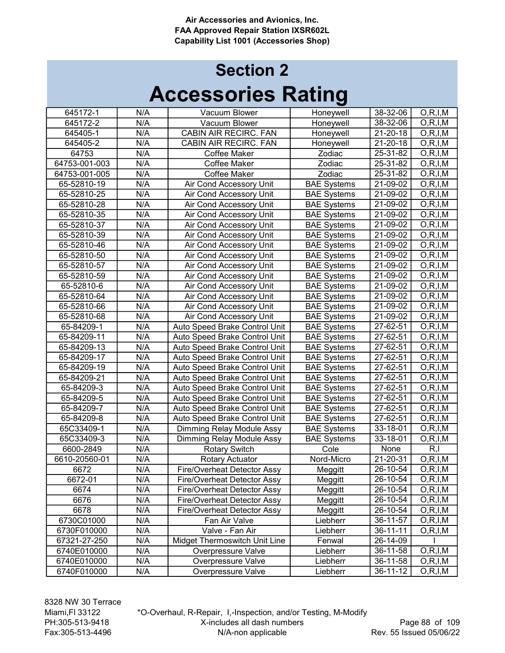# Accessories Rating Section 2

| 645172-1      | N/A                         | Vacuum Blower                 | Honeywell          | 38-32-06       | O, R, I, M |
|---------------|-----------------------------|-------------------------------|--------------------|----------------|------------|
| 645172-2      | N/A                         | Vacuum Blower                 | Honeywell          | 38-32-06       | O, R, I, M |
| 645405-1      | N/A                         | CABIN AIR RECIRC. FAN         | Honeywell          | 21-20-18       | O, R, I, M |
| 645405-2      | N/A                         | CABIN AIR RECIRC. FAN         | Honeywell          | 21-20-18       | O, R, I, M |
| 64753         | N/A                         | Coffee Maker                  | Zodiac             | 25-31-82       | O, R, I, M |
| 64753-001-003 | N/A                         | <b>Coffee Maker</b>           | Zodiac             | 25-31-82       | O, R, I, M |
| 64753-001-005 | N/A                         | <b>Coffee Maker</b>           | Zodiac             | 25-31-82       | O, R, I, M |
| 65-52810-19   | N/A                         | Air Cond Accessory Unit       | <b>BAE Systems</b> | 21-09-02       | O, R, I, M |
| 65-52810-25   | N/A                         | Air Cond Accessory Unit       | <b>BAE Systems</b> | 21-09-02       | O, R, I, M |
| 65-52810-28   | N/A                         | Air Cond Accessory Unit       | <b>BAE Systems</b> | 21-09-02       | O, R, I, M |
| 65-52810-35   | N/A                         | Air Cond Accessory Unit       | <b>BAE Systems</b> | 21-09-02       | O, R, I, M |
| 65-52810-37   | N/A                         | Air Cond Accessory Unit       | <b>BAE Systems</b> | 21-09-02       | O, R, I, M |
| 65-52810-39   | N/A                         | Air Cond Accessory Unit       | <b>BAE Systems</b> | 21-09-02       | O, R, I, M |
| 65-52810-46   | N/A                         | Air Cond Accessory Unit       | <b>BAE Systems</b> | 21-09-02       | O, R, I, M |
| 65-52810-50   | N/A                         | Air Cond Accessory Unit       | <b>BAE Systems</b> | 21-09-02       | O, R, I, M |
| 65-52810-57   | N/A                         | Air Cond Accessory Unit       | <b>BAE Systems</b> | 21-09-02       | O, R, I, M |
| 65-52810-59   | N/A                         | Air Cond Accessory Unit       | <b>BAE Systems</b> | 21-09-02       | O, R, I, M |
| 65-52810-6    | N/A                         | Air Cond Accessory Unit       | <b>BAE Systems</b> | 21-09-02       | O, R, I, M |
| 65-52810-64   | N/A                         | Air Cond Accessory Unit       | <b>BAE Systems</b> | 21-09-02       | O, R, I, M |
| 65-52810-66   | N/A                         | Air Cond Accessory Unit       | <b>BAE Systems</b> | 21-09-02       | O, R, I, M |
| 65-52810-68   | N/A                         | Air Cond Accessory Unit       | <b>BAE Systems</b> | 21-09-02       | O, R, I, M |
| 65-84209-1    | N/A                         | Auto Speed Brake Control Unit | <b>BAE</b> Systems | 27-62-51       | O, R, I, M |
| 65-84209-11   | N/A                         | Auto Speed Brake Control Unit | <b>BAE Systems</b> | 27-62-51       | O, R, I, M |
| 65-84209-13   | N/A                         | Auto Speed Brake Control Unit | <b>BAE Systems</b> | 27-62-51       | O, R, I, M |
| 65-84209-17   | N/A                         | Auto Speed Brake Control Unit | <b>BAE Systems</b> | 27-62-51       | O, R, I, M |
| 65-84209-19   | N/A                         | Auto Speed Brake Control Unit | <b>BAE Systems</b> | 27-62-51       | O, R, I, M |
| 65-84209-21   | N/A                         | Auto Speed Brake Control Unit | <b>BAE Systems</b> | 27-62-51       | O, R, I, M |
| 65-84209-3    | N/A                         | Auto Speed Brake Control Unit | <b>BAE Systems</b> | 27-62-51       | O, R, I, M |
| 65-84209-5    | N/A                         | Auto Speed Brake Control Unit | <b>BAE Systems</b> | 27-62-51       | O, R, I, M |
| 65-84209-7    | N/A                         | Auto Speed Brake Control Unit | <b>BAE Systems</b> | 27-62-51       | O, R, I, M |
| 65-84209-8    | N/A                         | Auto Speed Brake Control Unit | <b>BAE Systems</b> | 27-62-51       | O, R, I, M |
| 65C33409-1    | N/A                         | Dimming Relay Module Assy     | <b>BAE Systems</b> | 33-18-01       | O, R, I, M |
| 65C33409-3    | N/A                         | Dimming Relay Module Assy     | <b>BAE Systems</b> | 33-18-01       | O, R, I, M |
| 6600-2849     | N/A                         | <b>Rotary Switch</b>          | Cole               | None           | R, I       |
| 6610-20560-01 | N/A                         | Rotary Actuator               | Nord-Micro         | 21-20-31       | O, R, I, M |
| 6672          | N/A                         | Fire/Overheat Detector Assy   | Meggitt            | 26-10-54       | O, R, I, M |
| 6672-01       | N/A                         | Fire/Overheat Detector Assy   | Meggitt            | 26-10-54       | O, R, I, M |
| 6674          | N/A                         | Fire/Overheat Detector Assy   | Meggitt            | 26-10-54       | O, R, I, M |
| 6676          | N/A                         | Fire/Overheat Detector Assy   | Meggitt            | 26-10-54       | O, R, I, M |
| 6678          | N/A                         | Fire/Overheat Detector Assy   | Meggitt            | 26-10-54       | O, R, I, M |
| 6730C01000    | $\overline{N}/\overline{A}$ | Fan Air Valve                 | Liebherr           | 36-11-57       | O, R, I, M |
| 6730F010000   | N/A                         | Valve - Fan Air               | Liebherr           | $36 - 11 - 11$ | O, R, I, M |
| 67321-27-250  | N/A                         | Midget Thermoswitch Unit Line | Fenwal             | 26-14-09       |            |
| 6740E010000   | N/A                         | Overpressure Valve            | Liebherr           | 36-11-58       | O, R, I, M |
| 6740E010000   | $\overline{N/A}$            | Overpressure Valve            | Liebherr           | 36-11-58       | O, R, I, M |
| 6740F010000   | N/A                         | Overpressure Valve            | Liebherr           | 36-11-12       | O, R, I, M |
|               |                             |                               |                    |                |            |

\*O-Overhaul, R-Repair, I,-Inspection, and/or Testing, M-Modify X-includes all dash numbers N/A-non applicable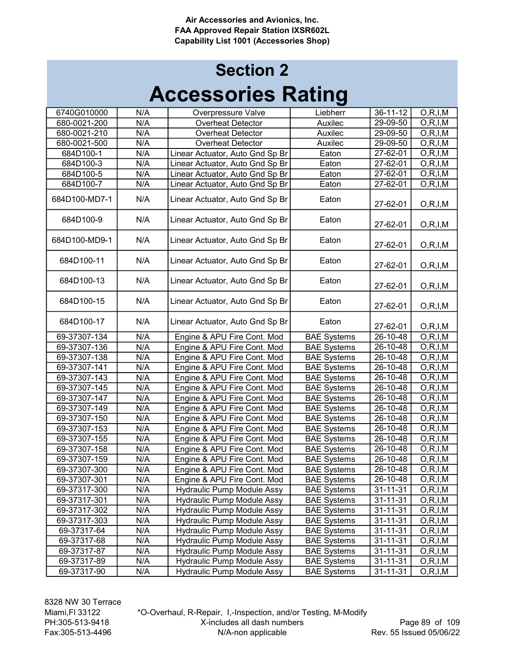## Accessories Rating Section 2

| 6740G010000   | N/A | Overpressure Valve                | Liebherr           | 36-11-12       | O, R, I, M |
|---------------|-----|-----------------------------------|--------------------|----------------|------------|
| 680-0021-200  | N/A | <b>Overheat Detector</b>          | Auxilec            | 29-09-50       | O, R, I, M |
| 680-0021-210  | N/A | <b>Overheat Detector</b>          | Auxilec            | 29-09-50       | O, R, I, M |
| 680-0021-500  | N/A | <b>Overheat Detector</b>          | Auxilec            | 29-09-50       | O, R, I, M |
| 684D100-1     | N/A | Linear Actuator, Auto Gnd Sp Br   | Eaton              | 27-62-01       | O, R, I, M |
| 684D100-3     | N/A | Linear Actuator, Auto Gnd Sp Br   | Eaton              | 27-62-01       | O, R, I, M |
| 684D100-5     | N/A | Linear Actuator, Auto Gnd Sp Br   | Eaton              | 27-62-01       | O, R, I, M |
| 684D100-7     | N/A | Linear Actuator, Auto Gnd Sp Br   | Eaton              | 27-62-01       | O, R, I, M |
| 684D100-MD7-1 | N/A | Linear Actuator, Auto Gnd Sp Br   | Eaton              | 27-62-01       | O, R, I, M |
| 684D100-9     | N/A | Linear Actuator, Auto Gnd Sp Br   | Eaton              | 27-62-01       | O, R, I, M |
| 684D100-MD9-1 | N/A | Linear Actuator, Auto Gnd Sp Br   | Eaton              | 27-62-01       | O, R, I, M |
| 684D100-11    | N/A | Linear Actuator, Auto Gnd Sp Br   | Eaton              | 27-62-01       | O, R, I, M |
| 684D100-13    | N/A | Linear Actuator, Auto Gnd Sp Br   | Eaton              | 27-62-01       | O, R, I, M |
| 684D100-15    | N/A | Linear Actuator, Auto Gnd Sp Br   | Eaton              | 27-62-01       | O, R, I, M |
| 684D100-17    | N/A | Linear Actuator, Auto Gnd Sp Br   | Eaton              | 27-62-01       | O, R, I, M |
| 69-37307-134  | N/A | Engine & APU Fire Cont. Mod       | <b>BAE Systems</b> | $26 - 10 - 48$ | O, R, I, M |
| 69-37307-136  | N/A | Engine & APU Fire Cont. Mod       | <b>BAE Systems</b> | 26-10-48       | O, R, I, M |
| 69-37307-138  | N/A | Engine & APU Fire Cont. Mod       | <b>BAE Systems</b> | $26 - 10 - 48$ | O, R, I, M |
| 69-37307-141  | N/A | Engine & APU Fire Cont. Mod       | <b>BAE Systems</b> | 26-10-48       | O, R, I, M |
| 69-37307-143  | N/A | Engine & APU Fire Cont. Mod       | <b>BAE Systems</b> | 26-10-48       | O, R, I, M |
| 69-37307-145  | N/A | Engine & APU Fire Cont. Mod       | <b>BAE Systems</b> | 26-10-48       | O, R, I, M |
| 69-37307-147  | N/A | Engine & APU Fire Cont. Mod       | <b>BAE Systems</b> | 26-10-48       | O, R, I, M |
| 69-37307-149  | N/A | Engine & APU Fire Cont. Mod       | <b>BAE Systems</b> | 26-10-48       | O, R, I, M |
| 69-37307-150  | N/A | Engine & APU Fire Cont. Mod       | <b>BAE Systems</b> | 26-10-48       | O, R, I, M |
| 69-37307-153  | N/A | Engine & APU Fire Cont. Mod       | <b>BAE Systems</b> | 26-10-48       | O, R, I, M |
| 69-37307-155  | N/A | Engine & APU Fire Cont. Mod       | <b>BAE Systems</b> | $26 - 10 - 48$ | O, R, I, M |
| 69-37307-158  | N/A | Engine & APU Fire Cont. Mod       | <b>BAE Systems</b> | 26-10-48       | O, R, I, M |
| 69-37307-159  | N/A | Engine & APU Fire Cont. Mod       | <b>BAE Systems</b> | 26-10-48       | O, R, I, M |
| 69-37307-300  | N/A | Engine & APU Fire Cont. Mod       | <b>BAE Systems</b> | 26-10-48       | O, R, I, M |
| 69-37307-301  | N/A | Engine & APU Fire Cont. Mod       | <b>BAE Systems</b> | 26-10-48       | O, R, I, M |
| 69-37317-300  | N/A | Hydraulic Pump Module Assy        | <b>BAE Systems</b> | 31-11-31       | O, R, I, M |
| 69-37317-301  | N/A | <b>Hydraulic Pump Module Assy</b> | <b>BAE Systems</b> | 31-11-31       | O, R, I, M |
| 69-37317-302  | N/A | <b>Hydraulic Pump Module Assy</b> | <b>BAE Systems</b> | 31-11-31       | O, R, I, M |
| 69-37317-303  | N/A | Hydraulic Pump Module Assy        | <b>BAE Systems</b> | 31-11-31       | O, R, I, M |
| 69-37317-64   | N/A | Hydraulic Pump Module Assy        | <b>BAE Systems</b> | $31 - 11 - 31$ | O, R, I, M |
| 69-37317-68   | N/A | Hydraulic Pump Module Assy        | <b>BAE Systems</b> | $31 - 11 - 31$ | O, R, I, M |
| 69-37317-87   | N/A | <b>Hydraulic Pump Module Assy</b> | <b>BAE Systems</b> | $31 - 11 - 31$ | O, R, I, M |
| 69-37317-89   | N/A | <b>Hydraulic Pump Module Assy</b> | <b>BAE Systems</b> | $31 - 11 - 31$ | O, R, I, M |
| 69-37317-90   | N/A | <b>Hydraulic Pump Module Assy</b> | <b>BAE Systems</b> | $31 - 11 - 31$ | O, R, I, M |

\*O-Overhaul, R-Repair, I,-Inspection, and/or Testing, M-Modify X-includes all dash numbers N/A-non applicable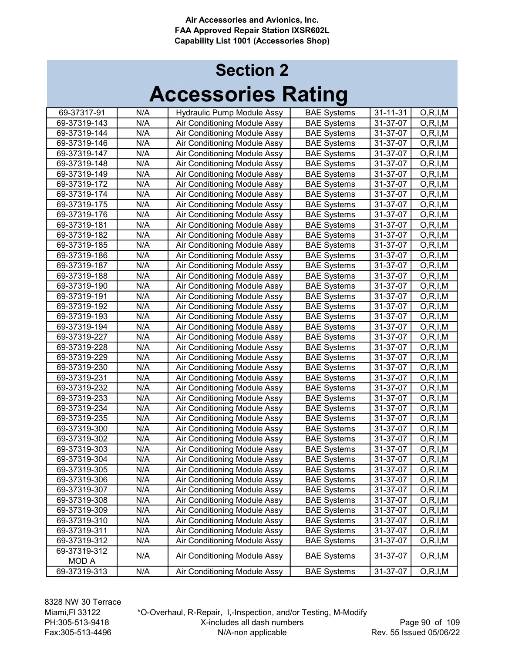| 69-37317-91  | N/A | <b>Hydraulic Pump Module Assy</b> | <b>BAE Systems</b> | $31 - 11 - 31$ | O, R, I, M |
|--------------|-----|-----------------------------------|--------------------|----------------|------------|
| 69-37319-143 | N/A | Air Conditioning Module Assy      | <b>BAE Systems</b> | 31-37-07       | O, R, I, M |
| 69-37319-144 | N/A | Air Conditioning Module Assy      | <b>BAE Systems</b> | 31-37-07       | O, R, I, M |
| 69-37319-146 | N/A | Air Conditioning Module Assy      | <b>BAE Systems</b> | 31-37-07       | O, R, I, M |
| 69-37319-147 | N/A | Air Conditioning Module Assy      | <b>BAE Systems</b> | 31-37-07       | O, R, I, M |
| 69-37319-148 | N/A | Air Conditioning Module Assy      | <b>BAE Systems</b> | 31-37-07       | O, R, I, M |
| 69-37319-149 | N/A | Air Conditioning Module Assy      | <b>BAE Systems</b> | 31-37-07       | O, R, I, M |
| 69-37319-172 | N/A | Air Conditioning Module Assy      | <b>BAE Systems</b> | 31-37-07       | O, R, I, M |
| 69-37319-174 | N/A | Air Conditioning Module Assy      | <b>BAE Systems</b> | 31-37-07       | O, R, I, M |
| 69-37319-175 | N/A | Air Conditioning Module Assy      | <b>BAE Systems</b> | 31-37-07       | O, R, I, M |
| 69-37319-176 | N/A | Air Conditioning Module Assy      | <b>BAE Systems</b> | 31-37-07       | O, R, I, M |
| 69-37319-181 | N/A | Air Conditioning Module Assy      | <b>BAE Systems</b> | 31-37-07       | O, R, I, M |
| 69-37319-182 | N/A | Air Conditioning Module Assy      | <b>BAE Systems</b> | 31-37-07       | O, R, I, M |
| 69-37319-185 | N/A | Air Conditioning Module Assy      | <b>BAE Systems</b> | 31-37-07       | O, R, I, M |
| 69-37319-186 | N/A | Air Conditioning Module Assy      | <b>BAE Systems</b> | 31-37-07       | O, R, I, M |
| 69-37319-187 | N/A | Air Conditioning Module Assy      | <b>BAE Systems</b> | 31-37-07       | O, R, I, M |
| 69-37319-188 | N/A | Air Conditioning Module Assy      | <b>BAE Systems</b> | 31-37-07       | O, R, I, M |
| 69-37319-190 | N/A | Air Conditioning Module Assy      | <b>BAE Systems</b> | 31-37-07       | O, R, I, M |
| 69-37319-191 | N/A | Air Conditioning Module Assy      | <b>BAE Systems</b> | 31-37-07       | O, R, I, M |
| 69-37319-192 | N/A | Air Conditioning Module Assy      | <b>BAE Systems</b> | 31-37-07       | O, R, I, M |
| 69-37319-193 | N/A | Air Conditioning Module Assy      | <b>BAE Systems</b> | 31-37-07       | O, R, I, M |
| 69-37319-194 | N/A | Air Conditioning Module Assy      | <b>BAE Systems</b> | 31-37-07       | O, R, I, M |
| 69-37319-227 | N/A | Air Conditioning Module Assy      | <b>BAE Systems</b> | 31-37-07       | O, R, I, M |
| 69-37319-228 | N/A | Air Conditioning Module Assy      | <b>BAE Systems</b> | 31-37-07       | O, R, I, M |
| 69-37319-229 | N/A | Air Conditioning Module Assy      | <b>BAE Systems</b> | 31-37-07       | O, R, I, M |
| 69-37319-230 | N/A | Air Conditioning Module Assy      | <b>BAE Systems</b> | 31-37-07       | O, R, I, M |
| 69-37319-231 | N/A | Air Conditioning Module Assy      | <b>BAE Systems</b> | 31-37-07       | O, R, I, M |
| 69-37319-232 | N/A | Air Conditioning Module Assy      | <b>BAE Systems</b> | 31-37-07       | O, R, I, M |
| 69-37319-233 | N/A | Air Conditioning Module Assy      | <b>BAE Systems</b> | 31-37-07       | O, R, I, M |
| 69-37319-234 | N/A | Air Conditioning Module Assy      | <b>BAE Systems</b> | 31-37-07       | O, R, I, M |
| 69-37319-235 | N/A | Air Conditioning Module Assy      | <b>BAE Systems</b> | 31-37-07       | O, R, I, M |
| 69-37319-300 | N/A | Air Conditioning Module Assy      | <b>BAE Systems</b> | 31-37-07       | O, R, I, M |
| 69-37319-302 | N/A | Air Conditioning Module Assy      | <b>BAE Systems</b> | 31-37-07       | O, R, I, M |
| 69-37319-303 | N/A | Air Conditioning Module Assy      | <b>BAE Systems</b> | 31-37-07       | O, R, I, M |
| 69-37319-304 | N/A | Air Conditioning Module Assy      | <b>BAE Systems</b> | 31-37-07       | O, R, I, M |
| 69-37319-305 | N/A | Air Conditioning Module Assy      | <b>BAE Systems</b> | 31-37-07       | O, R, I, M |
| 69-37319-306 | N/A | Air Conditioning Module Assy      | <b>BAE Systems</b> | 31-37-07       | O, R, I, M |
| 69-37319-307 | N/A | Air Conditioning Module Assy      | <b>BAE Systems</b> | 31-37-07       | O, R, I, M |
| 69-37319-308 | N/A | Air Conditioning Module Assy      | <b>BAE Systems</b> | 31-37-07       | O, R, I, M |
| 69-37319-309 | N/A | Air Conditioning Module Assy      | <b>BAE Systems</b> | 31-37-07       | O, R, I, M |
| 69-37319-310 | N/A | Air Conditioning Module Assy      | <b>BAE Systems</b> | 31-37-07       | O, R, I, M |
| 69-37319-311 | N/A | Air Conditioning Module Assy      | <b>BAE Systems</b> | 31-37-07       | O, R, I, M |
| 69-37319-312 | N/A | Air Conditioning Module Assy      | <b>BAE Systems</b> | 31-37-07       | O, R, I, M |
| 69-37319-312 |     |                                   |                    |                |            |
| MOD A        | N/A | Air Conditioning Module Assy      | <b>BAE Systems</b> | 31-37-07       | O, R, I, M |
| 69-37319-313 | N/A | Air Conditioning Module Assy      | <b>BAE Systems</b> | 31-37-07       | O, R, I, M |
|              |     |                                   |                    |                |            |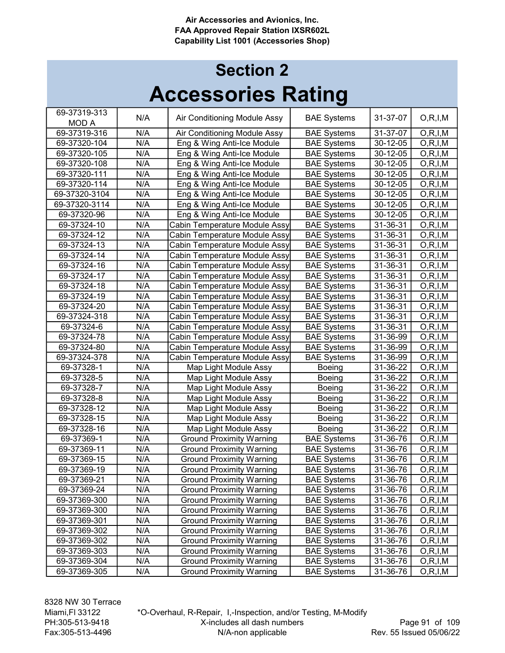| 69-37319-313  |     |                                 |                    |          |            |
|---------------|-----|---------------------------------|--------------------|----------|------------|
| <b>MOD A</b>  | N/A | Air Conditioning Module Assy    | <b>BAE Systems</b> | 31-37-07 | O, R, I, M |
| 69-37319-316  | N/A | Air Conditioning Module Assy    | <b>BAE Systems</b> | 31-37-07 | O, R, I, M |
| 69-37320-104  | N/A | Eng & Wing Anti-Ice Module      | <b>BAE Systems</b> | 30-12-05 | O, R, I, M |
| 69-37320-105  | N/A | Eng & Wing Anti-Ice Module      | <b>BAE Systems</b> | 30-12-05 | O, R, I, M |
| 69-37320-108  | N/A | Eng & Wing Anti-Ice Module      | <b>BAE Systems</b> | 30-12-05 | O, R, I, M |
| 69-37320-111  | N/A | Eng & Wing Anti-Ice Module      | <b>BAE Systems</b> | 30-12-05 | O, R, I, M |
| 69-37320-114  | N/A | Eng & Wing Anti-Ice Module      | <b>BAE Systems</b> | 30-12-05 | O, R, I, M |
| 69-37320-3104 | N/A | Eng & Wing Anti-Ice Module      | <b>BAE Systems</b> | 30-12-05 | O, R, I, M |
| 69-37320-3114 | N/A | Eng & Wing Anti-Ice Module      | <b>BAE Systems</b> | 30-12-05 | O, R, I, M |
| 69-37320-96   | N/A | Eng & Wing Anti-Ice Module      | <b>BAE Systems</b> | 30-12-05 | O, R, I, M |
| 69-37324-10   | N/A | Cabin Temperature Module Assy   | <b>BAE Systems</b> | 31-36-31 | O, R, I, M |
| 69-37324-12   | N/A | Cabin Temperature Module Assy   | <b>BAE Systems</b> | 31-36-31 | O, R, I, M |
| 69-37324-13   | N/A | Cabin Temperature Module Assy   | <b>BAE Systems</b> | 31-36-31 | O, R, I, M |
| 69-37324-14   | N/A | Cabin Temperature Module Assy   | <b>BAE Systems</b> | 31-36-31 | O, R, I, M |
| 69-37324-16   | N/A | Cabin Temperature Module Assy   | <b>BAE Systems</b> | 31-36-31 | O, R, I, M |
| 69-37324-17   | N/A | Cabin Temperature Module Assy   | <b>BAE Systems</b> | 31-36-31 | O, R, I, M |
| 69-37324-18   | N/A | Cabin Temperature Module Assy   | <b>BAE Systems</b> | 31-36-31 | O, R, I, M |
| 69-37324-19   | N/A | Cabin Temperature Module Assy   | <b>BAE Systems</b> | 31-36-31 | O, R, I, M |
| 69-37324-20   | N/A | Cabin Temperature Module Assy   | <b>BAE Systems</b> | 31-36-31 | O, R, I, M |
| 69-37324-318  | N/A | Cabin Temperature Module Assy   | <b>BAE Systems</b> | 31-36-31 | O, R, I, M |
| 69-37324-6    | N/A | Cabin Temperature Module Assy   | <b>BAE Systems</b> | 31-36-31 | O, R, I, M |
| 69-37324-78   | N/A | Cabin Temperature Module Assy   | <b>BAE Systems</b> | 31-36-99 | O, R, I, M |
| 69-37324-80   | N/A | Cabin Temperature Module Assy   | <b>BAE Systems</b> | 31-36-99 | O, R, I, M |
| 69-37324-378  | N/A | Cabin Temperature Module Assy   | <b>BAE Systems</b> | 31-36-99 | O, R, I, M |
| 69-37328-1    | N/A | Map Light Module Assy           | Boeing             | 31-36-22 | O, R, I, M |
| 69-37328-5    | N/A | Map Light Module Assy           | Boeing             | 31-36-22 | O, R, I, M |
| 69-37328-7    | N/A | Map Light Module Assy           | Boeing             | 31-36-22 | O, R, I, M |
| 69-37328-8    | N/A | Map Light Module Assy           | Boeing             | 31-36-22 | O, R, I, M |
| 69-37328-12   | N/A | Map Light Module Assy           | Boeing             | 31-36-22 | O, R, I, M |
| 69-37328-15   | N/A | Map Light Module Assy           | <b>Boeing</b>      | 31-36-22 | O, R, I, M |
| 69-37328-16   | N/A | Map Light Module Assy           | <b>Boeing</b>      | 31-36-22 | O, R, I, M |
| 69-37369-1    | N/A | <b>Ground Proximity Warning</b> | <b>BAE Systems</b> | 31-36-76 | O, R, I, M |
| 69-37369-11   | N/A | <b>Ground Proximity Warning</b> | <b>BAE Systems</b> | 31-36-76 | O, R, I, M |
| 69-37369-15   | N/A | <b>Ground Proximity Warning</b> | <b>BAE Systems</b> | 31-36-76 | O, R, I, M |
| 69-37369-19   | N/A | <b>Ground Proximity Warning</b> | <b>BAE Systems</b> | 31-36-76 | O, R, I, M |
| 69-37369-21   | N/A | <b>Ground Proximity Warning</b> | <b>BAE Systems</b> | 31-36-76 | O, R, I, M |
| 69-37369-24   | N/A | <b>Ground Proximity Warning</b> | <b>BAE Systems</b> | 31-36-76 | O, R, I, M |
| 69-37369-300  | N/A | <b>Ground Proximity Warning</b> | <b>BAE Systems</b> | 31-36-76 | O, R, I, M |
| 69-37369-300  | N/A | <b>Ground Proximity Warning</b> | <b>BAE Systems</b> | 31-36-76 | O, R, I, M |
| 69-37369-301  | N/A | <b>Ground Proximity Warning</b> | <b>BAE Systems</b> | 31-36-76 | O, R, I, M |
| 69-37369-302  | N/A | <b>Ground Proximity Warning</b> | <b>BAE Systems</b> | 31-36-76 | O, R, I, M |
| 69-37369-302  | N/A | <b>Ground Proximity Warning</b> | <b>BAE Systems</b> | 31-36-76 | O, R, I, M |
| 69-37369-303  | N/A | <b>Ground Proximity Warning</b> | <b>BAE Systems</b> | 31-36-76 | O, R, I, M |
| 69-37369-304  | N/A | <b>Ground Proximity Warning</b> | <b>BAE Systems</b> | 31-36-76 | O, R, I, M |
| 69-37369-305  | N/A | <b>Ground Proximity Warning</b> | <b>BAE Systems</b> | 31-36-76 | O, R, I, M |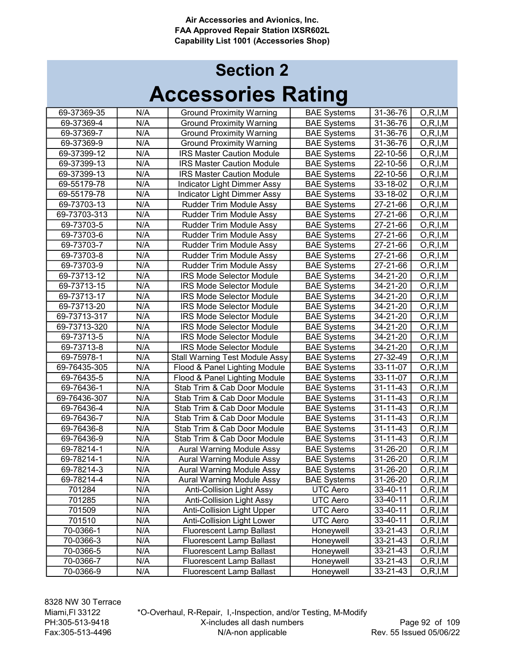| 69-37369-35  | N/A | <b>Ground Proximity Warning</b>       | <b>BAE Systems</b> | 31-36-76 | O, R, I, M |
|--------------|-----|---------------------------------------|--------------------|----------|------------|
| 69-37369-4   | N/A | <b>Ground Proximity Warning</b>       | <b>BAE Systems</b> | 31-36-76 | O, R, I, M |
| 69-37369-7   | N/A | <b>Ground Proximity Warning</b>       | <b>BAE Systems</b> | 31-36-76 | O, R, I, M |
| 69-37369-9   | N/A | <b>Ground Proximity Warning</b>       | <b>BAE Systems</b> | 31-36-76 | O, R, I, M |
| 69-37399-12  | N/A | <b>IRS Master Caution Module</b>      | <b>BAE Systems</b> | 22-10-56 | O, R, I, M |
| 69-37399-13  | N/A | <b>IRS Master Caution Module</b>      | <b>BAE Systems</b> | 22-10-56 | O, R, I, M |
| 69-37399-13  | N/A | <b>IRS Master Caution Module</b>      | <b>BAE Systems</b> | 22-10-56 | O, R, I, M |
| 69-55179-78  | N/A | <b>Indicator Light Dimmer Assy</b>    | <b>BAE Systems</b> | 33-18-02 | O, R, I, M |
| 69-55179-78  | N/A | Indicator Light Dimmer Assy           | <b>BAE Systems</b> | 33-18-02 | O, R, I, M |
| 69-73703-13  | N/A | Rudder Trim Module Assy               | <b>BAE Systems</b> | 27-21-66 | O, R, I, M |
| 69-73703-313 | N/A | Rudder Trim Module Assy               | <b>BAE Systems</b> | 27-21-66 | O, R, I, M |
| 69-73703-5   | N/A | Rudder Trim Module Assy               | <b>BAE Systems</b> | 27-21-66 | O, R, I, M |
| 69-73703-6   | N/A | Rudder Trim Module Assy               | <b>BAE Systems</b> | 27-21-66 | O, R, I, M |
| 69-73703-7   | N/A | Rudder Trim Module Assy               | <b>BAE Systems</b> | 27-21-66 | O, R, I, M |
| 69-73703-8   | N/A | Rudder Trim Module Assy               | <b>BAE Systems</b> | 27-21-66 | O, R, I, M |
| 69-73703-9   | N/A | Rudder Trim Module Assy               | <b>BAE Systems</b> | 27-21-66 | O, R, I, M |
| 69-73713-12  | N/A | IRS Mode Selector Module              | <b>BAE Systems</b> | 34-21-20 | O, R, I, M |
| 69-73713-15  | N/A | <b>IRS Mode Selector Module</b>       | <b>BAE Systems</b> | 34-21-20 | O, R, I, M |
| 69-73713-17  | N/A | <b>IRS Mode Selector Module</b>       | <b>BAE Systems</b> | 34-21-20 | O, R, I, M |
| 69-73713-20  | N/A | <b>IRS Mode Selector Module</b>       | <b>BAE Systems</b> | 34-21-20 | O, R, I, M |
| 69-73713-317 | N/A | <b>IRS Mode Selector Module</b>       | <b>BAE Systems</b> | 34-21-20 | O, R, I, M |
| 69-73713-320 | N/A | <b>IRS Mode Selector Module</b>       | <b>BAE Systems</b> | 34-21-20 | O, R, I, M |
| 69-73713-5   | N/A | <b>IRS Mode Selector Module</b>       | <b>BAE Systems</b> | 34-21-20 | O, R, I, M |
| 69-73713-8   | N/A | <b>IRS Mode Selector Module</b>       | <b>BAE Systems</b> | 34-21-20 | O, R, I, M |
| 69-75978-1   | N/A | <b>Stall Warning Test Module Assy</b> | <b>BAE Systems</b> | 27-32-49 | O, R, I, M |
| 69-76435-305 | N/A | Flood & Panel Lighting Module         | <b>BAE Systems</b> | 33-11-07 | O, R, I, M |
| 69-76435-5   | N/A | Flood & Panel Lighting Module         | <b>BAE Systems</b> | 33-11-07 | O, R, I, M |
| 69-76436-1   | N/A | Stab Trim & Cab Door Module           | <b>BAE Systems</b> | 31-11-43 | O, R, I, M |
| 69-76436-307 | N/A | Stab Trim & Cab Door Module           | <b>BAE Systems</b> | 31-11-43 | O, R, I, M |
| 69-76436-4   | N/A | Stab Trim & Cab Door Module           | <b>BAE Systems</b> | 31-11-43 | O, R, I, M |
| 69-76436-7   | N/A | Stab Trim & Cab Door Module           | <b>BAE Systems</b> | 31-11-43 | O, R, I, M |
| 69-76436-8   | N/A | Stab Trim & Cab Door Module           | <b>BAE Systems</b> | 31-11-43 | O, R, I, M |
| 69-76436-9   | N/A | Stab Trim & Cab Door Module           | <b>BAE Systems</b> | 31-11-43 | O, R, I, M |
| 69-78214-1   | N/A | Aural Warning Module Assy             | <b>BAE Systems</b> | 31-26-20 | O, R, I, M |
| 69-78214-1   | N/A | Aural Warning Module Assy             | <b>BAE Systems</b> | 31-26-20 | O, R, I, M |
| 69-78214-3   | N/A | <b>Aural Warning Module Assy</b>      | <b>BAE Systems</b> | 31-26-20 | O, R, I, M |
| 69-78214-4   | N/A | Aural Warning Module Assy             | <b>BAE Systems</b> | 31-26-20 | O, R, I, M |
| 701284       | N/A | Anti-Collision Light Assy             | UTC Aero           | 33-40-11 | O, R, I, M |
| 701285       | N/A | Anti-Collision Light Assy             | UTC Aero           | 33-40-11 | O, R, I, M |
| 701509       | N/A | <b>Anti-Collision Light Upper</b>     | UTC Aero           | 33-40-11 | O, R, I, M |
| 701510       | N/A | <b>Anti-Collision Light Lower</b>     | UTC Aero           | 33-40-11 | O, R, I, M |
| 70-0366-1    | N/A | <b>Fluorescent Lamp Ballast</b>       | Honeywell          | 33-21-43 | O, R, I, M |
| 70-0366-3    | N/A | <b>Fluorescent Lamp Ballast</b>       | Honeywell          | 33-21-43 | O, R, I, M |
| 70-0366-5    | N/A | <b>Fluorescent Lamp Ballast</b>       | Honeywell          | 33-21-43 | O, R, I, M |
| 70-0366-7    | N/A | <b>Fluorescent Lamp Ballast</b>       | Honeywell          | 33-21-43 | O, R, I, M |
| 70-0366-9    | N/A | <b>Fluorescent Lamp Ballast</b>       | Honeywell          | 33-21-43 | O, R, I, M |
|              |     |                                       |                    |          |            |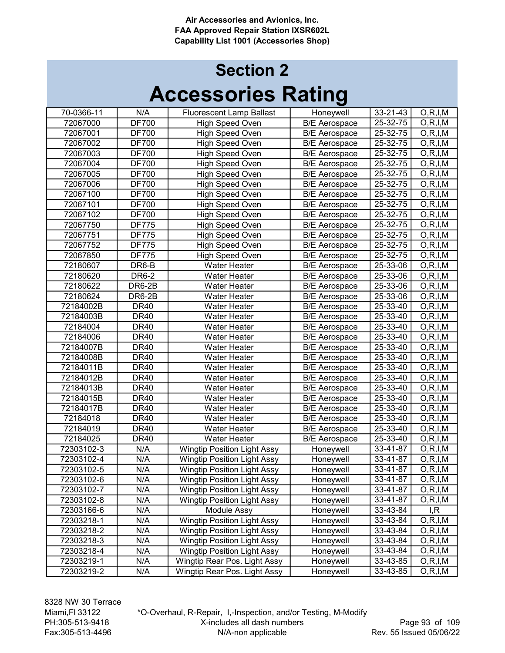## Accessories Rating Section 2

| 70-0366-11 | N/A              | <b>Fluorescent Lamp Ballast</b>    | Honeywell            | 33-21-43       | O, R, I, M              |
|------------|------------------|------------------------------------|----------------------|----------------|-------------------------|
| 72067000   | <b>DF700</b>     | High Speed Oven                    | <b>B/E</b> Aerospace | 25-32-75       | O, R, I, M              |
| 72067001   | <b>DF700</b>     | High Speed Oven                    | <b>B/E</b> Aerospace | 25-32-75       | O, R, I, M              |
| 72067002   | <b>DF700</b>     | High Speed Oven                    | <b>B/E Aerospace</b> | 25-32-75       | O, R, I, M              |
| 72067003   | <b>DF700</b>     | <b>High Speed Oven</b>             | <b>B/E Aerospace</b> | 25-32-75       | O, R, I, M              |
| 72067004   | <b>DF700</b>     | <b>High Speed Oven</b>             | <b>B/E</b> Aerospace | 25-32-75       | $\overline{O,R}$ , I, M |
| 72067005   | <b>DF700</b>     | High Speed Oven                    | <b>B/E</b> Aerospace | 25-32-75       | O, R, I, M              |
| 72067006   | <b>DF700</b>     | <b>High Speed Oven</b>             | <b>B/E Aerospace</b> | 25-32-75       | O, R, I, M              |
| 72067100   | <b>DF700</b>     | High Speed Oven                    | <b>B/E</b> Aerospace | 25-32-75       | O, R, I, M              |
| 72067101   | <b>DF700</b>     | High Speed Oven                    | <b>B/E Aerospace</b> | $25 - 32 - 75$ | O, R, I, M              |
| 72067102   | <b>DF700</b>     | <b>High Speed Oven</b>             | <b>B/E</b> Aerospace | 25-32-75       | O, R, I, M              |
| 72067750   | <b>DF775</b>     | <b>High Speed Oven</b>             | <b>B/E Aerospace</b> | 25-32-75       | O, R, I, M              |
| 72067751   | <b>DF775</b>     | High Speed Oven                    | <b>B/E Aerospace</b> | 25-32-75       | O, R, I, M              |
| 72067752   | <b>DF775</b>     | High Speed Oven                    | <b>B/E</b> Aerospace | 25-32-75       | O, R, I, M              |
| 72067850   | <b>DF775</b>     | High Speed Oven                    | <b>B/E</b> Aerospace | 25-32-75       | O, R, I, M              |
| 72180607   | DR6-B            | <b>Water Heater</b>                | <b>B/E Aerospace</b> | 25-33-06       | O, R, I, M              |
| 72180620   | DR6-2            | Water Heater                       | <b>B/E Aerospace</b> | $25 - 33 - 06$ | O, R, I, M              |
| 72180622   | DR6-2B           | <b>Water Heater</b>                | <b>B/E</b> Aerospace | 25-33-06       | O, R, I, M              |
| 72180624   | <b>DR6-2B</b>    | <b>Water Heater</b>                | <b>B/E</b> Aerospace | 25-33-06       | O, R, I, M              |
| 72184002B  | <b>DR40</b>      | <b>Water Heater</b>                | <b>B/E</b> Aerospace | 25-33-40       | O, R, I, M              |
| 72184003B  | <b>DR40</b>      | <b>Water Heater</b>                | <b>B/E</b> Aerospace | 25-33-40       | O, R, I, M              |
| 72184004   | <b>DR40</b>      | <b>Water Heater</b>                | <b>B/E Aerospace</b> | 25-33-40       | O, R, I, M              |
| 72184006   | <b>DR40</b>      | <b>Water Heater</b>                | <b>B/E Aerospace</b> | 25-33-40       | O, R, I, M              |
| 72184007B  | <b>DR40</b>      | Water Heater                       | <b>B/E</b> Aerospace | 25-33-40       | O, R, I, M              |
| 72184008B  | <b>DR40</b>      | <b>Water Heater</b>                | <b>B/E Aerospace</b> | 25-33-40       | O, R, I, M              |
| 72184011B  | <b>DR40</b>      | <b>Water Heater</b>                | <b>B/E</b> Aerospace | 25-33-40       | O, R, I, M              |
| 72184012B  | <b>DR40</b>      | <b>Water Heater</b>                | <b>B/E</b> Aerospace | 25-33-40       | O, R, I, M              |
| 72184013B  | <b>DR40</b>      | Water Heater                       | <b>B/E</b> Aerospace | 25-33-40       | O, R, I, M              |
| 72184015B  | <b>DR40</b>      | Water Heater                       | <b>B/E Aerospace</b> | 25-33-40       | O, R, I, M              |
| 72184017B  | <b>DR40</b>      | Water Heater                       | <b>B/E</b> Aerospace | 25-33-40       | O, R, I, M              |
| 72184018   | DR <sub>40</sub> | <b>Water Heater</b>                | <b>B/E Aerospace</b> | 25-33-40       | O, R, I, M              |
| 72184019   | <b>DR40</b>      | <b>Water Heater</b>                | <b>B/E Aerospace</b> | 25-33-40       | O, R, I, M              |
| 72184025   | <b>DR40</b>      | <b>Water Heater</b>                | <b>B/E</b> Aerospace | 25-33-40       | O, R, I, M              |
| 72303102-3 | N/A              | <b>Wingtip Position Light Assy</b> | Honeywell            | 33-41-87       | O, R, I, M              |
| 72303102-4 | N/A              | <b>Wingtip Position Light Assy</b> | Honeywell            | 33-41-87       | O, R, I, M              |
| 72303102-5 | N/A              | <b>Wingtip Position Light Assy</b> | Honeywell            | 33-41-87       | O, R, I, M              |
| 72303102-6 | N/A              | <b>Wingtip Position Light Assy</b> | Honeywell            | 33-41-87       | O, R, I, M              |
| 72303102-7 | N/A              | <b>Wingtip Position Light Assy</b> | Honeywell            | 33-41-87       | O, R, I, M              |
| 72303102-8 | N/A              | <b>Wingtip Position Light Assy</b> | Honeywell            | 33-41-87       | O, R, I, M              |
| 72303166-6 | N/A              | Module Assy                        | Honeywell            | 33-43-84       | I,R                     |
| 72303218-1 | N/A              | <b>Wingtip Position Light Assy</b> | Honeywell            | 33-43-84       | O, R, I, M              |
| 72303218-2 | N/A              | <b>Wingtip Position Light Assy</b> | Honeywell            | 33-43-84       | O, R, I, M              |
| 72303218-3 | N/A              | <b>Wingtip Position Light Assy</b> | Honeywell            | 33-43-84       | O, R, I, M              |
| 72303218-4 | N/A              | <b>Wingtip Position Light Assy</b> | Honeywell            | 33-43-84       | O, R, I, M              |
| 72303219-1 | N/A              | Wingtip Rear Pos. Light Assy       | Honeywell            | 33-43-85       | O, R, I, M              |
| 72303219-2 | N/A              | Wingtip Rear Pos. Light Assy       | Honeywell            | 33-43-85       | O, R, I, M              |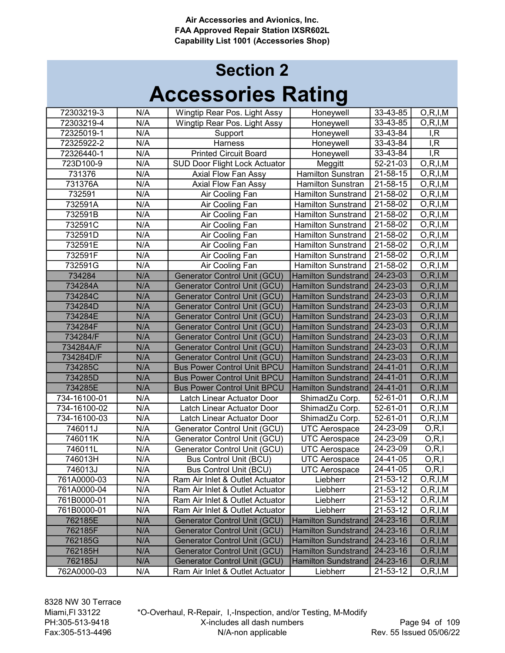| 72303219-3   | N/A | Wingtip Rear Pos. Light Assy         | Honeywell                  | 33-43-85       | O, R, I, M |
|--------------|-----|--------------------------------------|----------------------------|----------------|------------|
| 72303219-4   | N/A | Wingtip Rear Pos. Light Assy         | Honeywell                  | 33-43-85       | O, R, I, M |
| 72325019-1   | N/A | Support                              | Honeywell                  | 33-43-84       | I, R       |
| 72325922-2   | N/A | Harness                              | Honeywell                  | 33-43-84       | I, R       |
| 72326440-1   | N/A | <b>Printed Circuit Board</b>         | Honeywell                  | 33-43-84       | I, R       |
| 723D100-9    | N/A | <b>SUD Door Flight Lock Actuator</b> | Meggitt                    | 52-21-03       | O, R, I, M |
| 731376       | N/A | Axial Flow Fan Assy                  | <b>Hamilton Sunstran</b>   | 21-58-15       | O, R, I, M |
| 731376A      | N/A | Axial Flow Fan Assy                  | Hamilton Sunstran          | 21-58-15       | O, R, I, M |
| 732591       | N/A | Air Cooling Fan                      | <b>Hamilton Sunstrand</b>  | 21-58-02       | O, R, I, M |
| 732591A      | N/A | Air Cooling Fan                      | Hamilton Sunstrand         | 21-58-02       | O, R, I, M |
| 732591B      | N/A | Air Cooling Fan                      | <b>Hamilton Sunstrand</b>  | 21-58-02       | O, R, I, M |
| 732591C      | N/A | Air Cooling Fan                      | <b>Hamilton Sunstrand</b>  | 21-58-02       | O, R, I, M |
| 732591D      | N/A | Air Cooling Fan                      | <b>Hamilton Sunstrand</b>  | 21-58-02       | O, R, I, M |
| 732591E      | N/A | Air Cooling Fan                      | <b>Hamilton Sunstrand</b>  | 21-58-02       | O, R, I, M |
| 732591F      | N/A | Air Cooling Fan                      | <b>Hamilton Sunstrand</b>  | 21-58-02       | O, R, I, M |
| 732591G      | N/A | Air Cooling Fan                      | <b>Hamilton Sunstrand</b>  | 21-58-02       | O, R, I, M |
| 734284       | N/A | <b>Generator Control Unit (GCU)</b>  | Hamilton Sundstrand        | 24-23-03       | O, R, I, M |
| 734284A      | N/A | <b>Generator Control Unit (GCU)</b>  | Hamilton Sundstrand        | 24-23-03       | O, R, I, M |
| 734284C      | N/A | <b>Generator Control Unit (GCU)</b>  | Hamilton Sundstrand        | 24-23-03       | O, R, I, M |
| 734284D      | N/A | <b>Generator Control Unit (GCU)</b>  | <b>Hamilton Sundstrand</b> | 24-23-03       | O, R, I, M |
| 734284E      | N/A | Generator Control Unit (GCU)         | <b>Hamilton Sundstrand</b> | 24-23-03       | O, R, I, M |
| 734284F      | N/A | <b>Generator Control Unit (GCU)</b>  | Hamilton Sundstrand        | 24-23-03       | O, R, I, M |
| 734284/F     | N/A | <b>Generator Control Unit (GCU)</b>  | Hamilton Sundstrand        | 24-23-03       | O, R, I, M |
| 734284A/F    | N/A | <b>Generator Control Unit (GCU)</b>  | Hamilton Sundstrand        | 24-23-03       | O, R, I, M |
| 734284D/F    | N/A | <b>Generator Control Unit (GCU)</b>  | <b>Hamilton Sundstrand</b> | 24-23-03       | O, R, I, M |
| 734285C      | N/A | <b>Bus Power Control Unit BPCU</b>   | <b>Hamilton Sundstrand</b> | 24-41-01       | O, R, I, M |
| 734285D      | N/A | <b>Bus Power Control Unit BPCU</b>   | Hamilton Sundstrand        | 24-41-01       | O, R, I, M |
| 734285E      | N/A | <b>Bus Power Control Unit BPCU</b>   | Hamilton Sundstrand        | 24-41-01       | O, R, I, M |
| 734-16100-01 | N/A | Latch Linear Actuator Door           | ShimadZu Corp.             | 52-61-01       | O, R, I, M |
| 734-16100-02 | N/A | Latch Linear Actuator Door           | ShimadZu Corp.             | 52-61-01       | O, R, I, M |
| 734-16100-03 | N/A | Latch Linear Actuator Door           | ShimadZu Corp.             | 52-61-01       | O, R, I, M |
| 746011J      | N/A | Generator Control Unit (GCU)         | <b>UTC Aerospace</b>       | 24-23-09       | O, R, I    |
| 746011K      | N/A | Generator Control Unit (GCU)         | <b>UTC Aerospace</b>       | 24-23-09       | O, R, I    |
| 746011L      | N/A | Generator Control Unit (GCU)         | <b>UTC Aerospace</b>       | 24-23-09       | O, R, I    |
| 746013H      | N/A | <b>Bus Control Unit (BCU)</b>        | <b>UTC Aerospace</b>       | 24-41-05       | O, R, I    |
| 746013J      | N/A | <b>Bus Control Unit (BCU)</b>        | <b>UTC Aerospace</b>       | $24 - 41 - 05$ | O, R, I    |
| 761A0000-03  | N/A | Ram Air Inlet & Outlet Actuator      | Liebherr                   | 21-53-12       | O, R, I, M |
| 761A0000-04  | N/A | Ram Air Inlet & Outlet Actuator      | Liebherr                   | 21-53-12       | O, R, I, M |
| 761B0000-01  | N/A | Ram Air Inlet & Outlet Actuator      | Liebherr                   | 21-53-12       | O, R, I, M |
| 761B0000-01  | N/A | Ram Air Inlet & Outlet Actuator      | Liebherr                   | 21-53-12       | O, R, I, M |
| 762185E      | N/A | Generator Control Unit (GCU)         | Hamilton Sundstrand        | 24-23-16       | O, R, I, M |
| 762185F      | N/A | <b>Generator Control Unit (GCU)</b>  | Hamilton Sundstrand        | 24-23-16       | O, R, I, M |
| 762185G      | N/A | <b>Generator Control Unit (GCU)</b>  | Hamilton Sundstrand        | 24-23-16       | O, R, I, M |
| 762185H      | N/A | <b>Generator Control Unit (GCU)</b>  | <b>Hamilton Sundstrand</b> | 24-23-16       | O, R, I, M |
| 762185J      | N/A | <b>Generator Control Unit (GCU)</b>  | Hamilton Sundstrand        | 24-23-16       | O, R, I, M |
| 762A0000-03  | N/A | Ram Air Inlet & Outlet Actuator      | Liebherr                   | 21-53-12       | O, R, I, M |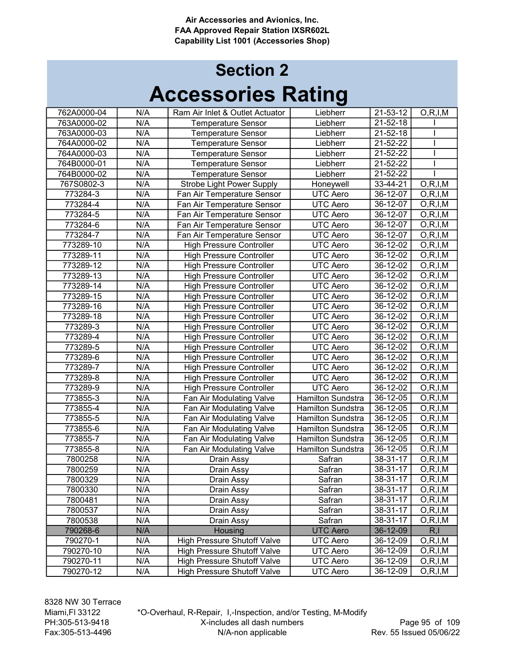| 762A0000-04 | N/A | Ram Air Inlet & Outlet Actuator    | Liebherr                 | 21-53-12                         | O, R, I, M |
|-------------|-----|------------------------------------|--------------------------|----------------------------------|------------|
| 763A0000-02 | N/A | <b>Temperature Sensor</b>          | Liebherr                 | $21 - 52 - 18$<br>$21 - 52 - 18$ |            |
| 763A0000-03 | N/A | <b>Temperature Sensor</b>          | Liebherr                 |                                  |            |
| 764A0000-02 | N/A | <b>Temperature Sensor</b>          | Liebherr                 | 21-52-22                         |            |
| 764A0000-03 | N/A | <b>Temperature Sensor</b>          | Liebherr                 | 21-52-22                         |            |
| 764B0000-01 | N/A | <b>Temperature Sensor</b>          | Liebherr                 | 21-52-22                         |            |
| 764B0000-02 | N/A | <b>Temperature Sensor</b>          | Liebherr                 | 21-52-22                         |            |
| 767S0802-3  | N/A | <b>Strobe Light Power Supply</b>   | Honeywell                | 33-44-21                         | O, R, I, M |
| 773284-3    | N/A | Fan Air Temperature Sensor         | <b>UTC Aero</b>          | 36-12-07                         | O, R, I, M |
| 773284-4    | N/A | Fan Air Temperature Sensor         | UTC Aero                 | 36-12-07                         | O, R, I, M |
| 773284-5    | N/A | Fan Air Temperature Sensor         | <b>UTC Aero</b>          | 36-12-07                         | O, R, I, M |
| 773284-6    | N/A | Fan Air Temperature Sensor         | UTC Aero                 | 36-12-07                         | O, R, I, M |
| 773284-7    | N/A | Fan Air Temperature Sensor         | <b>UTC Aero</b>          | 36-12-07                         | O, R, I, M |
| 773289-10   | N/A | <b>High Pressure Controller</b>    | <b>UTC Aero</b>          | 36-12-02                         | O, R, I, M |
| 773289-11   | N/A | <b>High Pressure Controller</b>    | <b>UTC Aero</b>          | 36-12-02                         | O, R, I, M |
| 773289-12   | N/A | <b>High Pressure Controller</b>    | <b>UTC Aero</b>          | 36-12-02                         | O, R, I, M |
| 773289-13   | N/A | <b>High Pressure Controller</b>    | UTC Aero                 | 36-12-02                         | O, R, I, M |
| 773289-14   | N/A | <b>High Pressure Controller</b>    | <b>UTC Aero</b>          | 36-12-02                         | O, R, I, M |
| 773289-15   | N/A | <b>High Pressure Controller</b>    | <b>UTC Aero</b>          | $36 - 12 - 02$                   | O, R, I, M |
| 773289-16   | N/A | <b>High Pressure Controller</b>    | <b>UTC Aero</b>          | 36-12-02                         | O, R, I, M |
| 773289-18   | N/A | <b>High Pressure Controller</b>    | UTC Aero                 | 36-12-02                         | O, R, I, M |
| 773289-3    | N/A | <b>High Pressure Controller</b>    | <b>UTC Aero</b>          | 36-12-02                         | O, R, I, M |
| 773289-4    | N/A | <b>High Pressure Controller</b>    | <b>UTC Aero</b>          | 36-12-02                         | O, R, I, M |
| 773289-5    | N/A | <b>High Pressure Controller</b>    | <b>UTC Aero</b>          | 36-12-02                         | O, R, I, M |
| 773289-6    | N/A | <b>High Pressure Controller</b>    | <b>UTC Aero</b>          | 36-12-02                         | O, R, I, M |
| 773289-7    | N/A | <b>High Pressure Controller</b>    | <b>UTC Aero</b>          | 36-12-02                         | O, R, I, M |
| 773289-8    | N/A | <b>High Pressure Controller</b>    | <b>UTC Aero</b>          | 36-12-02                         | O, R, I, M |
| 773289-9    | N/A | <b>High Pressure Controller</b>    | UTC Aero                 | 36-12-02                         | O, R, I, M |
| 773855-3    | N/A | Fan Air Modulating Valve           | <b>Hamilton Sundstra</b> | 36-12-05                         | O, R, I, M |
| 773855-4    | N/A | Fan Air Modulating Valve           | <b>Hamilton Sundstra</b> | 36-12-05                         | O, R, I, M |
| 773855-5    | N/A | Fan Air Modulating Valve           | <b>Hamilton Sundstra</b> | 36-12-05                         | O, R, I, M |
| 773855-6    | N/A | Fan Air Modulating Valve           | <b>Hamilton Sundstra</b> | 36-12-05                         | O, R, I, M |
| 773855-7    | N/A | Fan Air Modulating Valve           | Hamilton Sundstra        | 36-12-05                         | O, R, I, M |
| 773855-8    | N/A | Fan Air Modulating Valve           | Hamilton Sundstra        | 36-12-05                         | O, R, I, M |
| 7800258     | N/A | Drain Assy                         | Safran                   | 38-31-17                         | O, R, I, M |
| 7800259     | N/A | Drain Assy                         | Safran                   | 38-31-17                         | O, R, I, M |
| 7800329     | N/A | Drain Assy                         | Safran                   | 38-31-17                         | O, R, I, M |
| 7800330     | N/A | Drain Assy                         | Safran                   | 38-31-17                         | O, R, I, M |
| 7800481     | N/A | Drain Assy                         | Safran                   | 38-31-17                         | O, R, I, M |
| 7800537     | N/A | Drain Assy                         | Safran                   | 38-31-17                         | O, R, I, M |
| 7800538     | N/A | Drain Assy                         | Safran                   | 38-31-17                         | O, R, I, M |
| 790268-6    | N/A | Housing                            | <b>UTC Aero</b>          | 36-12-09                         | R, I       |
| 790270-1    | N/A | <b>High Pressure Shutoff Valve</b> | <b>UTC Aero</b>          | 36-12-09                         | O, R, I, M |
| 790270-10   | N/A | <b>High Pressure Shutoff Valve</b> | UTC Aero                 | 36-12-09                         | O, R, I, M |
| 790270-11   | N/A | <b>High Pressure Shutoff Valve</b> | <b>UTC Aero</b>          | 36-12-09                         | O, R, I, M |
| 790270-12   | N/A | <b>High Pressure Shutoff Valve</b> | <b>UTC Aero</b>          | 36-12-09                         | O, R, I, M |
|             |     |                                    |                          |                                  |            |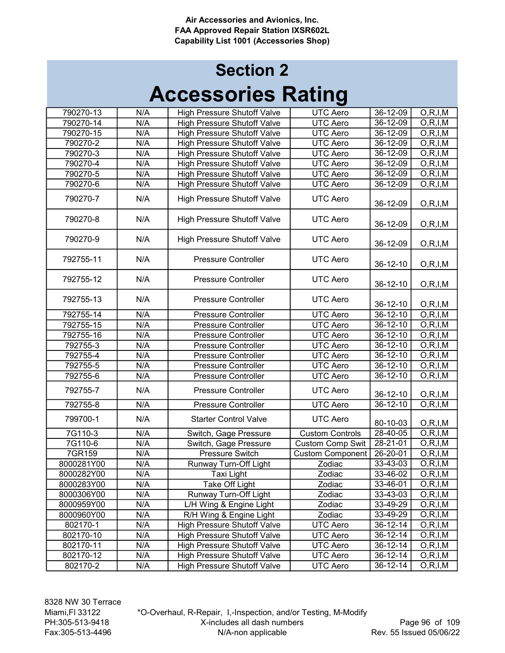| 790270-13  | N/A | <b>High Pressure Shutoff Valve</b> | <b>UTC</b> Aero         | 36-12-09       | $\overline{O,R}$ , I, M  |
|------------|-----|------------------------------------|-------------------------|----------------|--------------------------|
| 790270-14  | N/A | <b>High Pressure Shutoff Valve</b> | <b>UTC Aero</b>         | 36-12-09       | O, R, I, M               |
| 790270-15  | N/A | <b>High Pressure Shutoff Valve</b> | <b>UTC Aero</b>         | 36-12-09       | O, R, I, M               |
| 790270-2   | N/A | <b>High Pressure Shutoff Valve</b> | <b>UTC Aero</b>         | 36-12-09       | O, R, I, M               |
| 790270-3   | N/A | <b>High Pressure Shutoff Valve</b> | UTC Aero                | 36-12-09       | O, R, I, M               |
| 790270-4   | N/A | <b>High Pressure Shutoff Valve</b> | <b>UTC Aero</b>         | 36-12-09       | O, R, I, M               |
| 790270-5   | N/A | <b>High Pressure Shutoff Valve</b> | <b>UTC Aero</b>         | 36-12-09       | O, R, I, M               |
| 790270-6   | N/A | <b>High Pressure Shutoff Valve</b> | <b>UTC Aero</b>         | 36-12-09       | O, R, I, M               |
|            |     |                                    |                         |                |                          |
| 790270-7   | N/A | <b>High Pressure Shutoff Valve</b> | <b>UTC Aero</b>         | 36-12-09       | O, R, I, M               |
|            |     |                                    |                         |                |                          |
| 790270-8   | N/A | <b>High Pressure Shutoff Valve</b> | <b>UTC Aero</b>         | 36-12-09       | O, R, I, M               |
|            |     |                                    |                         |                |                          |
| 790270-9   | N/A | <b>High Pressure Shutoff Valve</b> | <b>UTC Aero</b>         | 36-12-09       | O, R, I, M               |
|            |     |                                    |                         |                |                          |
| 792755-11  | N/A | <b>Pressure Controller</b>         | <b>UTC Aero</b>         | 36-12-10       | O, R, I, M               |
|            |     |                                    |                         |                |                          |
| 792755-12  | N/A | <b>Pressure Controller</b>         | <b>UTC Aero</b>         | 36-12-10       | O, R, I, M               |
|            |     |                                    |                         |                |                          |
| 792755-13  | N/A | <b>Pressure Controller</b>         | <b>UTC Aero</b>         | 36-12-10       | O, R, I, M               |
| 792755-14  | N/A | <b>Pressure Controller</b>         | <b>UTC Aero</b>         | 36-12-10       | O, R, I, M               |
| 792755-15  | N/A | <b>Pressure Controller</b>         | <b>UTC Aero</b>         | 36-12-10       | $\overline{O}$ , R, I, M |
| 792755-16  | N/A | <b>Pressure Controller</b>         | <b>UTC Aero</b>         | 36-12-10       | O, R, I, M               |
| 792755-3   | N/A | <b>Pressure Controller</b>         | <b>UTC Aero</b>         | 36-12-10       | $\overline{O}$ , R, I, M |
| 792755-4   | N/A | <b>Pressure Controller</b>         | <b>UTC Aero</b>         | 36-12-10       | O, R, I, M               |
| 792755-5   | N/A | <b>Pressure Controller</b>         | <b>UTC Aero</b>         | 36-12-10       | O, R, I, M               |
|            |     |                                    |                         |                |                          |
| 792755-6   | N/A | <b>Pressure Controller</b>         | <b>UTC Aero</b>         | 36-12-10       | O, R, I, M               |
| 792755-7   | N/A | <b>Pressure Controller</b>         | <b>UTC Aero</b>         | 36-12-10       | O, R, I, M               |
| 792755-8   | N/A | <b>Pressure Controller</b>         | <b>UTC Aero</b>         | $36 - 12 - 10$ | O, R, I, M               |
|            |     |                                    |                         |                |                          |
| 799700-1   | N/A | <b>Starter Control Valve</b>       | <b>UTC Aero</b>         | 80-10-03       | O, R, I, M               |
| 7G110-3    | N/A | Switch, Gage Pressure              | <b>Custom Controls</b>  | 28-40-05       | O, R, I, M               |
| 7G110-6    | N/A | Switch, Gage Pressure              | <b>Custom Comp Swit</b> | 28-21-01       | O, R, I, M               |
| 7GR159     | N/A | Pressure Switch                    | <b>Custom Component</b> | 26-20-01       | O, R, I, M               |
| 8000281Y00 | N/A | Runway Turn-Off Light              | Zodiac                  | 33-43-03       | $\overline{O, R, I, M}$  |
|            |     |                                    | Zodiac                  |                |                          |
| 8000282Y00 | N/A | Taxi Light                         |                         | 33-46-02       | O, R, I, M               |
| 8000283Y00 | N/A | Take Off Light                     | Zodiac                  | 33-46-01       | O, R, I, M               |
| 8000306Y00 | N/A | Runway Turn-Off Light              | Zodiac                  | 33-43-03       | O, R, I, M               |
| 8000959Y00 | N/A | L/H Wing & Engine Light            | Zodiac                  | 33-49-29       | O, R, I, M               |
| 8000960Y00 | N/A | R/H Wing & Engine Light            | Zodiac                  | 33-49-29       | O, R, I, M               |
| 802170-1   | N/A | <b>High Pressure Shutoff Valve</b> | <b>UTC Aero</b>         | 36-12-14       | O, R, I, M               |
| 802170-10  | N/A | <b>High Pressure Shutoff Valve</b> | <b>UTC Aero</b>         | 36-12-14       | O, R, I, M               |
| 802170-11  | N/A | <b>High Pressure Shutoff Valve</b> | UTC Aero                | 36-12-14       | O, R, I, M               |
| 802170-12  | N/A | <b>High Pressure Shutoff Valve</b> | <b>UTC Aero</b>         | 36-12-14       | O, R, I, M               |
| 802170-2   | N/A | <b>High Pressure Shutoff Valve</b> | <b>UTC Aero</b>         | 36-12-14       | O, R, I, M               |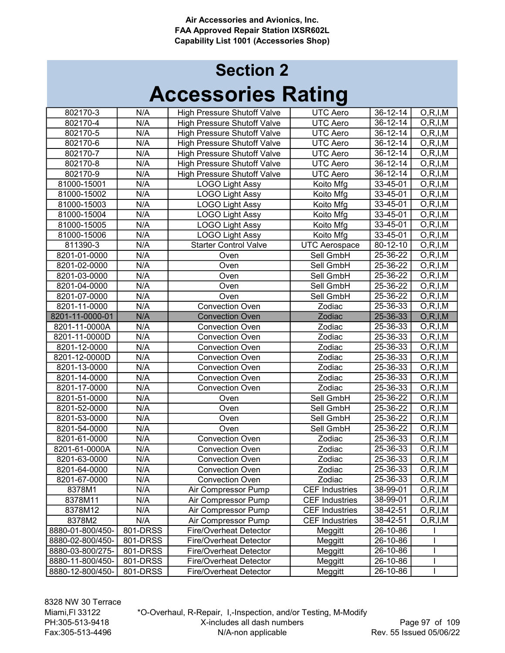## Accessories Rating Section 2

| 802170-3         | N/A      | <b>High Pressure Shutoff Valve</b> | <b>UTC Aero</b>       | $36 - 12 - 14$ | O, R, I, M               |
|------------------|----------|------------------------------------|-----------------------|----------------|--------------------------|
| 802170-4         | N/A      | <b>High Pressure Shutoff Valve</b> | <b>UTC</b> Aero       | 36-12-14       | O, R, I, M               |
| 802170-5         | N/A      | <b>High Pressure Shutoff Valve</b> | <b>UTC Aero</b>       | 36-12-14       | O, R, I, M               |
| 802170-6         | N/A      | <b>High Pressure Shutoff Valve</b> | UTC Aero              | 36-12-14       | O, R, I, M               |
| 802170-7         | N/A      | <b>High Pressure Shutoff Valve</b> | <b>UTC Aero</b>       | 36-12-14       | O, R, I, M               |
| 802170-8         | N/A      | <b>High Pressure Shutoff Valve</b> | <b>UTC Aero</b>       | 36-12-14       | O, R, I, M               |
| 802170-9         | N/A      | <b>High Pressure Shutoff Valve</b> | UTC Aero              | 36-12-14       | O, R, I, M               |
| 81000-15001      | N/A      | <b>LOGO Light Assy</b>             | Koito Mfg             | 33-45-01       | $\overline{O, R, I, M}$  |
| 81000-15002      | N/A      | <b>LOGO Light Assy</b>             | Koito Mfg             | 33-45-01       | O, R, I, M               |
| 81000-15003      | N/A      | <b>LOGO Light Assy</b>             | Koito Mfg             | 33-45-01       | O, R, I, M               |
| 81000-15004      | N/A      | <b>LOGO Light Assy</b>             | Koito Mfg             | 33-45-01       | O, R, I, M               |
| 81000-15005      | N/A      | <b>LOGO Light Assy</b>             | Koito Mfg             | 33-45-01       | O, R, I, M               |
| 81000-15006      | N/A      | <b>LOGO Light Assy</b>             | Koito Mfg             | 33-45-01       | O, R, I, M               |
| 811390-3         | N/A      | <b>Starter Control Valve</b>       | <b>UTC Aerospace</b>  | 80-12-10       | O, R, I, M               |
| 8201-01-0000     | N/A      | Oven                               | Sell GmbH             | 25-36-22       | O, R, I, M               |
| 8201-02-0000     | N/A      | Oven                               | Sell GmbH             | 25-36-22       | O, R, I, M               |
| 8201-03-0000     | N/A      | Oven                               | Sell GmbH             | 25-36-22       | O, R, I, M               |
| 8201-04-0000     | N/A      | Oven                               | Sell GmbH             | 25-36-22       | $\overline{O}$ , R, I, M |
| 8201-07-0000     | N/A      | Oven                               | Sell GmbH             | 25-36-22       | O, R, I, M               |
| 8201-11-0000     | N/A      | <b>Convection Oven</b>             | Zodiac                | 25-36-33       | O, R, I, M               |
| 8201-11-0000-01  | N/A      | <b>Convection Oven</b>             | Zodiac                | 25-36-33       | O, R, I, M               |
| 8201-11-0000A    | N/A      | <b>Convection Oven</b>             | Zodiac                | 25-36-33       | O, R, I, M               |
| 8201-11-0000D    | N/A      | <b>Convection Oven</b>             | Zodiac                | 25-36-33       | O, R, I, M               |
| 8201-12-0000     | N/A      | <b>Convection Oven</b>             | Zodiac                | 25-36-33       | O, R, I, M               |
| 8201-12-0000D    | N/A      | <b>Convection Oven</b>             | Zodiac                | 25-36-33       | O, R, I, M               |
| 8201-13-0000     | N/A      | <b>Convection Oven</b>             | Zodiac                | 25-36-33       | O, R, I, M               |
| 8201-14-0000     | N/A      | <b>Convection Oven</b>             | Zodiac                | $25 - 36 - 33$ | O, R, I, M               |
| 8201-17-0000     | N/A      | <b>Convection Oven</b>             | Zodiac                | 25-36-33       | O, R, I, M               |
| 8201-51-0000     | N/A      | Oven                               | Sell GmbH             | 25-36-22       | O, R, I, M               |
| 8201-52-0000     | N/A      | Oven                               | Sell GmbH             | 25-36-22       | O, R, I, M               |
| 8201-53-0000     | N/A      | Oven                               | Sell GmbH             | 25-36-22       | O, R, I, M               |
| 8201-54-0000     | N/A      | Oven                               | Sell GmbH             | 25-36-22       | O, R, I, M               |
| 8201-61-0000     | N/A      | <b>Convection Oven</b>             | Zodiac                | 25-36-33       | O, R, I, M               |
| 8201-61-0000A    | N/A      | <b>Convection Oven</b>             | Zodiac                | 25-36-33       | O, R, I, M               |
| 8201-63-0000     | N/A      | <b>Convection Oven</b>             | Zodiac                | 25-36-33       | O, R, I, M               |
| 8201-64-0000     | N/A      | <b>Convection Oven</b>             | Zodiac                | 25-36-33       | O, R, I, M               |
| 8201-67-0000     | N/A      | <b>Convection Oven</b>             | Zodiac                | 25-36-33       | O, R, I, M               |
| 8378M1           | N/A      | Air Compressor Pump                | <b>CEF Industries</b> | 38-99-01       | O, R, I, M               |
| 8378M11          | N/A      | Air Compressor Pump                | <b>CEF Industries</b> | 38-99-01       | O, R, I, M               |
| 8378M12          | N/A      | Air Compressor Pump                | <b>CEF Industries</b> | 38-42-51       | O, R, I, M               |
| 8378M2           | N/A      | Air Compressor Pump                | <b>CEF Industries</b> | 38-42-51       | O, R, I, M               |
| 8880-01-800/450- | 801-DRSS | <b>Fire/Overheat Detector</b>      | Meggitt               | 26-10-86       |                          |
| 8880-02-800/450- | 801-DRSS | <b>Fire/Overheat Detector</b>      | Meggitt               | 26-10-86       |                          |
| 8880-03-800/275- | 801-DRSS | Fire/Overheat Detector             | Meggitt               | 26-10-86       |                          |
| 8880-11-800/450- | 801-DRSS | <b>Fire/Overheat Detector</b>      | Meggitt               | 26-10-86       |                          |
| 8880-12-800/450- | 801-DRSS | Fire/Overheat Detector             | Meggitt               | 26-10-86       |                          |

8328 NW 30 Terrace Miami,Fl 33122 PH:305-513-9418 Fax:305-513-4496

\*O-Overhaul, R-Repair, I,-Inspection, and/or Testing, M-Modify X-includes all dash numbers N/A-non applicable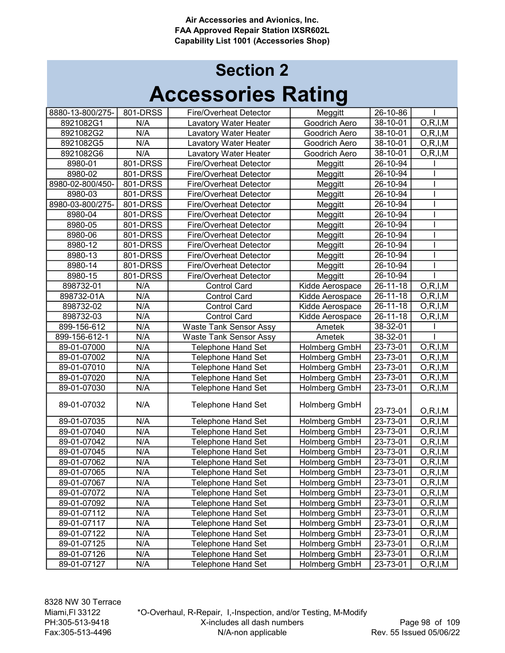| 8880-13-800/275- | 801-DRSS | <b>Fire/Overheat Detector</b> | Meggitt         | 26-10-86       |                          |
|------------------|----------|-------------------------------|-----------------|----------------|--------------------------|
| 8921082G1        | N/A      | Lavatory Water Heater         | Goodrich Aero   | 38-10-01       | O, R, I, M               |
| 8921082G2        | N/A      | Lavatory Water Heater         | Goodrich Aero   | 38-10-01       | O, R, I, M               |
| 8921082G5        | N/A      | Lavatory Water Heater         | Goodrich Aero   | 38-10-01       | O, R, I, M               |
| 8921082G6        | N/A      | Lavatory Water Heater         | Goodrich Aero   | 38-10-01       | O, R, I, M               |
| 8980-01          | 801-DRSS | <b>Fire/Overheat Detector</b> | Meggitt         | 26-10-94       |                          |
| 8980-02          | 801-DRSS | <b>Fire/Overheat Detector</b> | Meggitt         | 26-10-94       |                          |
| 8980-02-800/450- | 801-DRSS | <b>Fire/Overheat Detector</b> | Meggitt         | 26-10-94       |                          |
| 8980-03          | 801-DRSS | <b>Fire/Overheat Detector</b> | Meggitt         | 26-10-94       |                          |
| 8980-03-800/275- | 801-DRSS | <b>Fire/Overheat Detector</b> | Meggitt         | 26-10-94       |                          |
| 8980-04          | 801-DRSS | <b>Fire/Overheat Detector</b> | Meggitt         | 26-10-94       |                          |
| 8980-05          | 801-DRSS | Fire/Overheat Detector        | Meggitt         | 26-10-94       |                          |
| 8980-06          | 801-DRSS | <b>Fire/Overheat Detector</b> | Meggitt         | 26-10-94       |                          |
| 8980-12          | 801-DRSS | <b>Fire/Overheat Detector</b> | Meggitt         | 26-10-94       |                          |
| 8980-13          | 801-DRSS | <b>Fire/Overheat Detector</b> | Meggitt         | 26-10-94       |                          |
| 8980-14          | 801-DRSS | <b>Fire/Overheat Detector</b> | Meggitt         | 26-10-94       |                          |
| 8980-15          | 801-DRSS | <b>Fire/Overheat Detector</b> | Meggitt         | 26-10-94       |                          |
| 898732-01        | N/A      | <b>Control Card</b>           | Kidde Aerospace | 26-11-18       | O, R, I, M               |
| 898732-01A       | N/A      | <b>Control Card</b>           | Kidde Aerospace | $26 - 11 - 18$ | O, R, I, M               |
| 898732-02        | N/A      | <b>Control Card</b>           | Kidde Aerospace | 26-11-18       | O, R, I, M               |
| 898732-03        | N/A      | <b>Control Card</b>           | Kidde Aerospace | $26 - 11 - 18$ | O, R, I, M               |
| 899-156-612      | N/A      | <b>Waste Tank Sensor Assy</b> | Ametek          | 38-32-01       |                          |
| 899-156-612-1    | N/A      | <b>Waste Tank Sensor Assy</b> | Ametek          | 38-32-01       |                          |
| 89-01-07000      | N/A      | <b>Telephone Hand Set</b>     | Holmberg GmbH   | 23-73-01       | O, R, I, M               |
| 89-01-07002      | N/A      | <b>Telephone Hand Set</b>     | Holmberg GmbH   | 23-73-01       | O, R, I, M               |
| 89-01-07010      | N/A      | <b>Telephone Hand Set</b>     | Holmberg GmbH   | $23 - 73 - 01$ | O, R, I, M               |
| 89-01-07020      | N/A      | <b>Telephone Hand Set</b>     | Holmberg GmbH   | 23-73-01       | O, R, I, M               |
| 89-01-07030      | N/A      | <b>Telephone Hand Set</b>     | Holmberg GmbH   | 23-73-01       | O, R, I, M               |
| 89-01-07032      | N/A      | <b>Telephone Hand Set</b>     | Holmberg GmbH   | 23-73-01       | O, R, I, M               |
| 89-01-07035      | N/A      | Telephone Hand Set            | Holmberg GmbH   | 23-73-01       | O, R, I, M               |
| 89-01-07040      | N/A      | Telephone Hand Set            | Holmberg GmbH   | $23 - 73 - 01$ | O, R, I, M               |
| 89-01-07042      | N/A      | <b>Telephone Hand Set</b>     | Holmberg GmbH   | 23-73-01       | O, R, I, M               |
| 89-01-07045      | N/A      | <b>Telephone Hand Set</b>     | Holmberg GmbH   | 23-73-01       | O, R, I, M               |
| 89-01-07062      | N/A      | <b>Telephone Hand Set</b>     | Holmberg GmbH   | 23-73-01       | $\overline{O}$ , R, I, M |
| 89-01-07065      | N/A      | Telephone Hand Set            | Holmberg GmbH   | 23-73-01       | O, R, I, M               |
| 89-01-07067      | N/A      | Telephone Hand Set            | Holmberg GmbH   | 23-73-01       | O, R, I, M               |
| 89-01-07072      | N/A      | <b>Telephone Hand Set</b>     | Holmberg GmbH   | 23-73-01       | O, R, I, M               |
| 89-01-07092      | N/A      | <b>Telephone Hand Set</b>     | Holmberg GmbH   | 23-73-01       | O, R, I, M               |
| 89-01-07112      | N/A      | <b>Telephone Hand Set</b>     | Holmberg GmbH   | 23-73-01       | O, R, I, M               |
| 89-01-07117      | N/A      | <b>Telephone Hand Set</b>     | Holmberg GmbH   | 23-73-01       | O, R, I, M               |
| 89-01-07122      | N/A      | <b>Telephone Hand Set</b>     | Holmberg GmbH   | 23-73-01       | O, R, I, M               |
| 89-01-07125      | N/A      | <b>Telephone Hand Set</b>     | Holmberg GmbH   | 23-73-01       | O, R, I, M               |
| 89-01-07126      | N/A      | <b>Telephone Hand Set</b>     | Holmberg GmbH   | 23-73-01       | O, R, I, M               |
| 89-01-07127      | N/A      | <b>Telephone Hand Set</b>     | Holmberg GmbH   | 23-73-01       | O, R, I, M               |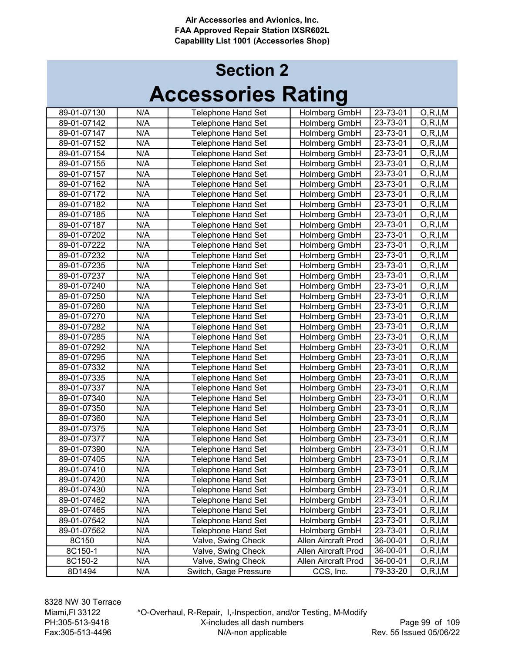# Accessories Rating Section 2

| 89-01-07130 | N/A | <b>Telephone Hand Set</b> | Holmberg GmbH       | 23-73-01 | O, R, I, M |
|-------------|-----|---------------------------|---------------------|----------|------------|
| 89-01-07142 | N/A | <b>Telephone Hand Set</b> | Holmberg GmbH       | 23-73-01 | O, R, I, M |
| 89-01-07147 | N/A | <b>Telephone Hand Set</b> | Holmberg GmbH       | 23-73-01 | O, R, I, M |
| 89-01-07152 | N/A | <b>Telephone Hand Set</b> | Holmberg GmbH       | 23-73-01 | O, R, I, M |
| 89-01-07154 | N/A | Telephone Hand Set        | Holmberg GmbH       | 23-73-01 | O, R, I, M |
| 89-01-07155 | N/A | <b>Telephone Hand Set</b> | Holmberg GmbH       | 23-73-01 | O, R, I, M |
| 89-01-07157 | N/A | <b>Telephone Hand Set</b> | Holmberg GmbH       | 23-73-01 | O, R, I, M |
| 89-01-07162 | N/A | <b>Telephone Hand Set</b> | Holmberg GmbH       | 23-73-01 | O, R, I, M |
| 89-01-07172 | N/A | Telephone Hand Set        | Holmberg GmbH       | 23-73-01 | O, R, I, M |
| 89-01-07182 | N/A | Telephone Hand Set        | Holmberg GmbH       | 23-73-01 | O, R, I, M |
| 89-01-07185 | N/A | <b>Telephone Hand Set</b> | Holmberg GmbH       | 23-73-01 | O, R, I, M |
| 89-01-07187 | N/A | <b>Telephone Hand Set</b> | Holmberg GmbH       | 23-73-01 | O, R, I, M |
| 89-01-07202 | N/A | <b>Telephone Hand Set</b> | Holmberg GmbH       | 23-73-01 | O, R, I, M |
| 89-01-07222 | N/A | <b>Telephone Hand Set</b> | Holmberg GmbH       | 23-73-01 | O, R, I, M |
| 89-01-07232 | N/A | <b>Telephone Hand Set</b> | Holmberg GmbH       | 23-73-01 | O, R, I, M |
| 89-01-07235 | N/A | Telephone Hand Set        | Holmberg GmbH       | 23-73-01 | O, R, I, M |
| 89-01-07237 | N/A | Telephone Hand Set        | Holmberg GmbH       | 23-73-01 | O, R, I, M |
| 89-01-07240 | N/A | Telephone Hand Set        | Holmberg GmbH       | 23-73-01 | O, R, I, M |
| 89-01-07250 | N/A | <b>Telephone Hand Set</b> | Holmberg GmbH       | 23-73-01 | O, R, I, M |
| 89-01-07260 | N/A | <b>Telephone Hand Set</b> | Holmberg GmbH       | 23-73-01 | O, R, I, M |
| 89-01-07270 | N/A | <b>Telephone Hand Set</b> | Holmberg GmbH       | 23-73-01 | O, R, I, M |
| 89-01-07282 | N/A | <b>Telephone Hand Set</b> | Holmberg GmbH       | 23-73-01 | O, R, I, M |
| 89-01-07285 | N/A | <b>Telephone Hand Set</b> | Holmberg GmbH       | 23-73-01 | O, R, I, M |
| 89-01-07292 | N/A | <b>Telephone Hand Set</b> | Holmberg GmbH       | 23-73-01 | O, R, I, M |
| 89-01-07295 | N/A | <b>Telephone Hand Set</b> | Holmberg GmbH       | 23-73-01 | O, R, I, M |
| 89-01-07332 | N/A | <b>Telephone Hand Set</b> | Holmberg GmbH       | 23-73-01 | O, R, I, M |
| 89-01-07335 | N/A | <b>Telephone Hand Set</b> | Holmberg GmbH       | 23-73-01 | O,R,I,M    |
| 89-01-07337 | N/A | <b>Telephone Hand Set</b> | Holmberg GmbH       | 23-73-01 | O, R, I, M |
| 89-01-07340 | N/A | <b>Telephone Hand Set</b> | Holmberg GmbH       | 23-73-01 | O, R, I, M |
| 89-01-07350 | N/A | Telephone Hand Set        | Holmberg GmbH       | 23-73-01 | O, R, I, M |
| 89-01-07360 | N/A | <b>Telephone Hand Set</b> | Holmberg GmbH       | 23-73-01 | O, R, I, M |
| 89-01-07375 | N/A | <b>Telephone Hand Set</b> | Holmberg GmbH       | 23-73-01 | O, R, I, M |
| 89-01-07377 | N/A | <b>Telephone Hand Set</b> | Holmberg GmbH       | 23-73-01 | O, R, I, M |
| 89-01-07390 | N/A | Telephone Hand Set        | Holmberg GmbH       | 23-73-01 | O, R, I, M |
| 89-01-07405 | N/A | <b>Telephone Hand Set</b> | Holmberg GmbH       | 23-73-01 | O, R, I, M |
| 89-01-07410 | N/A | <b>Telephone Hand Set</b> | Holmberg GmbH       | 23-73-01 | O, R, I, M |
| 89-01-07420 | N/A | <b>Telephone Hand Set</b> | Holmberg GmbH       | 23-73-01 | O, R, I, M |
| 89-01-07430 | N/A | <b>Telephone Hand Set</b> | Holmberg GmbH       | 23-73-01 | O, R, I, M |
| 89-01-07462 | N/A | <b>Telephone Hand Set</b> | Holmberg GmbH       | 23-73-01 | O, R, I, M |
| 89-01-07465 | N/A | <b>Telephone Hand Set</b> | Holmberg GmbH       | 23-73-01 | O, R, I, M |
| 89-01-07542 | N/A | <b>Telephone Hand Set</b> | Holmberg GmbH       | 23-73-01 | O, R, I, M |
| 89-01-07562 | N/A | <b>Telephone Hand Set</b> | Holmberg GmbH       | 23-73-01 | O,R,I,M    |
| 8C150       | N/A | Valve, Swing Check        | Allen Aircraft Prod | 36-00-01 | O, R, I, M |
| 8C150-1     | N/A | Valve, Swing Check        | Allen Aircraft Prod | 36-00-01 | O,R,I,M    |
| 8C150-2     | N/A | Valve, Swing Check        | Allen Aircraft Prod | 36-00-01 | O, R, I, M |
| 8D1494      | N/A | Switch, Gage Pressure     | CCS, Inc.           | 79-33-20 | O, R, I, M |
|             |     |                           |                     |          |            |

\*O-Overhaul, R-Repair, I,-Inspection, and/or Testing, M-Modify X-includes all dash numbers N/A-non applicable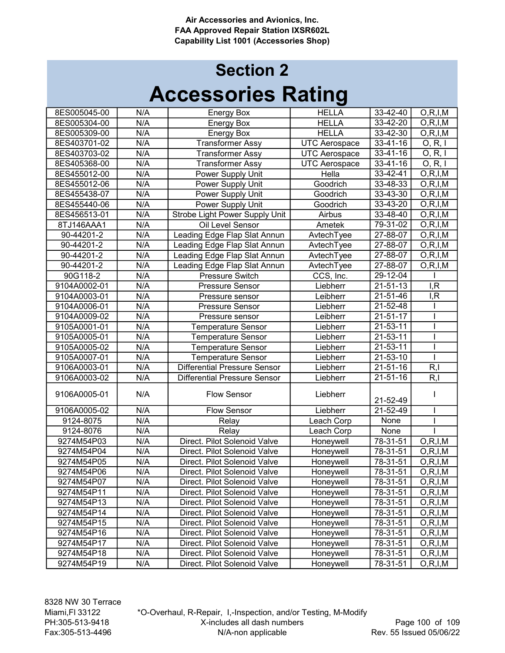| 8ES005045-00 | N/A | <b>Energy Box</b>                   | <b>HELLA</b>         | $33 - 42 - 40$       | $\overline{O,R}$ , I, M  |
|--------------|-----|-------------------------------------|----------------------|----------------------|--------------------------|
| 8ES005304-00 | N/A | <b>Energy Box</b>                   | <b>HELLA</b>         | 33-42-20             | O, R, I, M               |
| 8ES005309-00 | N/A | <b>Energy Box</b>                   | <b>HELLA</b>         | 33-42-30             | O, R, I, M               |
| 8ES403701-02 | N/A | <b>Transformer Assy</b>             | <b>UTC Aerospace</b> | $33 - 41 - 16$       | O, R, I                  |
| 8ES403703-02 | N/A | <b>Transformer Assy</b>             | <b>UTC Aerospace</b> | 33-41-16             | O, R, I                  |
| 8ES405368-00 | N/A | <b>Transformer Assy</b>             | <b>UTC Aerospace</b> | $33 - 41 - 16$       | O, R, I                  |
| 8ES455012-00 | N/A | Power Supply Unit                   | Hella                | 33-42-41             | $\overline{O, R, I, M}$  |
| 8ES455012-06 | N/A | Power Supply Unit                   | Goodrich             | 33-48-33             | O, R, I, M               |
| 8ES455438-07 | N/A | Power Supply Unit                   | Goodrich             | 33-43-30             | O, R, I, M               |
| 8ES455440-06 | N/A | Power Supply Unit                   | Goodrich             | 33-43-20             | O, R, I, M               |
| 8ES456513-01 | N/A | Strobe Light Power Supply Unit      | Airbus               | 33-48-40             | O, R, I, M               |
| 8TJ146AAA1   | N/A | Oil Level Sensor                    | Ametek               | $79-31-02$           | O, R, I, M               |
| 90-44201-2   | N/A | Leading Edge Flap Slat Annun        | AvtechTyee           | $27 - 88 - 07$       | O, R, I, M               |
| 90-44201-2   | N/A | Leading Edge Flap Slat Annun        | AvtechTyee           | 27-88-07             | O, R, I, M               |
| 90-44201-2   | N/A | Leading Edge Flap Slat Annun        | AvtechTyee           | 27-88-07             | O, R, I, M               |
| 90-44201-2   | N/A | Leading Edge Flap Slat Annun        | AvtechTyee           | 27-88-07             | $\overline{O}$ , R, I, M |
| 90G118-2     | N/A | Pressure Switch                     | CCS, Inc.            | 29-12-04             |                          |
| 9104A0002-01 | N/A | Pressure Sensor                     | Liebherr             | $21 - 51 - 13$       | I, R                     |
| 9104A0003-01 | N/A | Pressure sensor                     | Leibherr             | 21-51-46             | I, R                     |
| 9104A0006-01 | N/A | <b>Pressure Sensor</b>              | Liebherr             | 21-52-48             |                          |
| 9104A0009-02 | N/A | Pressure sensor                     | Leibherr             | $21 - 51 - 17$       |                          |
| 9105A0001-01 | N/A | <b>Temperature Sensor</b>           | Liebherr             | 21-53-11             |                          |
| 9105A0005-01 | N/A | <b>Temperature Sensor</b>           | Liebherr             | $21 - 53 - 11$       |                          |
| 9105A0005-02 | N/A | <b>Temperature Sensor</b>           | Liebherr             | 21-53-11             |                          |
| 9105A0007-01 | N/A | <b>Temperature Sensor</b>           | Liebherr             | $21 - 53 - 10$       |                          |
| 9106A0003-01 | N/A | <b>Differential Pressure Sensor</b> | Liebherr             | $21 - 51 - 16$       | R, I                     |
| 9106A0003-02 | N/A | <b>Differential Pressure Sensor</b> | Liebherr             | $21 - 51 - 16$       | R, I                     |
| 9106A0005-01 | N/A | <b>Flow Sensor</b>                  | Liebherr             | 21-52-49             |                          |
| 9106A0005-02 | N/A | <b>Flow Sensor</b>                  | Liebherr             | 21-52-49             |                          |
| 9124-8075    | N/A | Relay                               | Leach Corp           | None                 |                          |
| 9124-8076    | N/A | Relay                               | Leach Corp           | None                 |                          |
| 9274M54P03   | N/A | Direct. Pilot Solenoid Valve        | Honeywell            | 78-31-51             | O, R, I, M               |
| 9274M54P04   | N/A | Direct. Pilot Solenoid Valve        | Honeywell            | 78-31-51             | O, R, I, M               |
| 9274M54P05   | N/A | Direct. Pilot Solenoid Valve        | Honeywell            | 78-31-51             | $\overline{O}$ , R, I, M |
| 9274M54P06   | N/A | Direct. Pilot Solenoid Valve        | Honeywell            | 78-31-51             | O, R, I, M               |
| 9274M54P07   | N/A | Direct. Pilot Solenoid Valve        |                      |                      |                          |
| 9274M54P11   | N/A | Direct. Pilot Solenoid Valve        | Honeywell            | 78-31-51             | O, R, I, M               |
|              | N/A | Direct. Pilot Solenoid Valve        | Honeywell            | 78-31-51<br>78-31-51 | O, R, I, M               |
| 9274M54P13   |     |                                     | Honeywell            |                      | O, R, I, M               |
| 9274M54P14   | N/A | Direct. Pilot Solenoid Valve        | Honeywell            | 78-31-51             | O, R, I, M               |
| 9274M54P15   | N/A | Direct. Pilot Solenoid Valve        | Honeywell            | 78-31-51             | O, R, I, M               |
| 9274M54P16   | N/A | Direct. Pilot Solenoid Valve        | Honeywell            | 78-31-51             | O, R, I, M               |
| 9274M54P17   | N/A | Direct. Pilot Solenoid Valve        | Honeywell            | 78-31-51             | O, R, I, M               |
| 9274M54P18   | N/A | Direct. Pilot Solenoid Valve        | Honeywell            | 78-31-51             | O, R, I, M               |
| 9274M54P19   | N/A | Direct. Pilot Solenoid Valve        | Honeywell            | 78-31-51             | O, R, I, M               |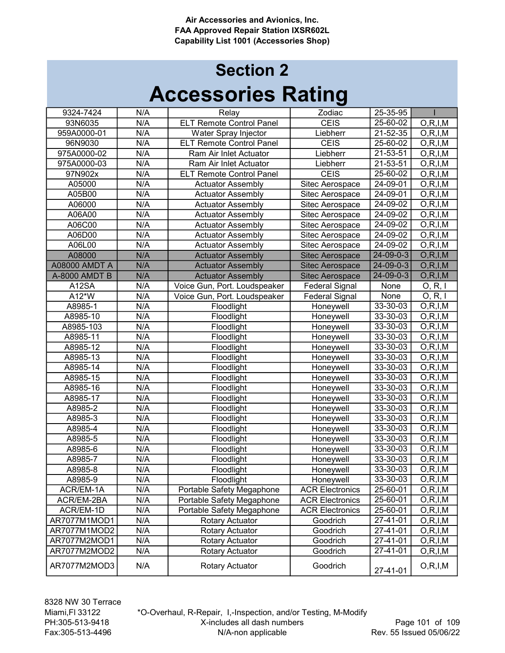| 9324-7424            | N/A | Relay                           | Zodiac                 | 25-35-95          |                         |
|----------------------|-----|---------------------------------|------------------------|-------------------|-------------------------|
| 93N6035              | N/A | <b>ELT Remote Control Panel</b> | <b>CEIS</b>            | 25-60-02          | O, R, I, M              |
| 959A0000-01          | N/A | Water Spray Injector            | Liebherr               | 21-52-35          | O, R, I, M              |
| 96N9030              | N/A | <b>ELT Remote Control Panel</b> | <b>CEIS</b>            | 25-60-02          | O, R, I, M              |
| 975A0000-02          | N/A | Ram Air Inlet Actuator          | Liebherr               | 21-53-51          | O, R, I, M              |
| 975A0000-03          | N/A | Ram Air Inlet Actuator          | Liebherr               | 21-53-51          | O, R, I, M              |
| 97N902x              | N/A | <b>ELT Remote Control Panel</b> | <b>CEIS</b>            | 25-60-02          | O, R, I, M              |
| A05000               | N/A | <b>Actuator Assembly</b>        | Sitec Aerospace        | 24-09-01          | O, R, I, M              |
| A05B00               | N/A | <b>Actuator Assembly</b>        | Sitec Aerospace        | 24-09-01          | O, R, I, M              |
| A06000               | N/A | <b>Actuator Assembly</b>        | Sitec Aerospace        | 24-09-02          | O, R, I, M              |
| A06A00               | N/A | <b>Actuator Assembly</b>        | Sitec Aerospace        | 24-09-02          | O, R, I, M              |
| A06C00               | N/A | <b>Actuator Assembly</b>        | Sitec Aerospace        | 24-09-02          | O, R, I, M              |
| A06D00               | N/A | <b>Actuator Assembly</b>        | Sitec Aerospace        | $24 - 09 - 02$    | O, R, I, M              |
| A06L00               | N/A | <b>Actuator Assembly</b>        | Sitec Aerospace        | 24-09-02          | O, R, I, M              |
| A08000               | N/A | <b>Actuator Assembly</b>        | <b>Sitec Aerospace</b> | $24 - 09 - 0 - 3$ | O, R, I, M              |
| <b>A08000 AMDT A</b> | N/A | <b>Actuator Assembly</b>        | <b>Sitec Aerospace</b> | 24-09-0-3         | O, R, I, M              |
| A-8000 AMDT B        | N/A | <b>Actuator Assembly</b>        | <b>Sitec Aerospace</b> | 24-09-0-3         | O, R, I, M              |
| A12SA                | N/A | Voice Gun, Port. Loudspeaker    | <b>Federal Signal</b>  | None              | O, R, I                 |
| A12*W                | N/A | Voice Gun, Port. Loudspeaker    | <b>Federal Signal</b>  | None              | O, R, I                 |
| A8985-1              | N/A | Floodlight                      |                        | 33-30-03          |                         |
|                      |     |                                 | Honeywell              |                   | O, R, I, M              |
| A8985-10             | N/A | Floodlight                      | Honeywell              | 33-30-03          | O, R, I, M              |
| A8985-103            | N/A | Floodlight                      | Honeywell              | 33-30-03          | O, R, I, M              |
| A8985-11             | N/A | Floodlight                      | Honeywell              | 33-30-03          | O, R, I, M              |
| A8985-12             | N/A | Floodlight                      | Honeywell              | 33-30-03          | O, R, I, M              |
| A8985-13             | N/A | Floodlight                      | Honeywell              | 33-30-03          | O, R, I, M              |
| A8985-14             | N/A | Floodlight                      | Honeywell              | 33-30-03          | $\overline{O},R,I,M$    |
| A8985-15             | N/A | Floodlight                      | Honeywell              | 33-30-03          | O, R, I, M              |
| A8985-16             | N/A | Floodlight                      | Honeywell              | 33-30-03          | O, R, I, M              |
| A8985-17             | N/A | Floodlight                      | Honeywell              | 33-30-03          | $\overline{O,R}$ , I, M |
| A8985-2              | N/A | Floodlight                      | Honeywell              | $33 - 30 - 03$    | O, R, I, M              |
| A8985-3              | N/A | Floodlight                      | Honeywell              | 33-30-03          | O, R, I, M              |
| A8985-4              | N/A | Floodlight                      | Honeywell              | 33-30-03          | O, R, I, M              |
| A8985-5              | N/A | Floodlight                      | Honeywell              | 33-30-03          | O, R, I, M              |
| A8985-6              | N/A | Floodlight                      | Honeywell              | 33-30-03          | O, R, I, M              |
| A8985-7              | N/A | Floodlight                      | Honeywell              | 33-30-03          | O, R, I, M              |
| A8985-8              | N/A | Floodlight                      | Honeywell              | 33-30-03          | O, R, I, M              |
| A8985-9              | N/A | Floodlight                      | Honeywell              | 33-30-03          | O, R, I, M              |
| ACR/EM-1A            | N/A | Portable Safety Megaphone       | <b>ACR Electronics</b> | 25-60-01          | O, R, I, M              |
| ACR/EM-2BA           | N/A | Portable Safety Megaphone       | <b>ACR Electronics</b> | 25-60-01          | O, R, I, M              |
| ACR/EM-1D            | N/A | Portable Safety Megaphone       | <b>ACR Electronics</b> | 25-60-01          | O, R, I, M              |
| AR7077M1MOD1         | N/A | <b>Rotary Actuator</b>          | Goodrich               | 27-41-01          | O, R, I, M              |
| AR7077M1MOD2         | N/A | Rotary Actuator                 | Goodrich               | 27-41-01          | O, R, I, M              |
| AR7077M2MOD1         | N/A | Rotary Actuator                 | Goodrich               | 27-41-01          | O, R, I, M              |
| AR7077M2MOD2         | N/A | Rotary Actuator                 | Goodrich               | 27-41-01          | O, R, I, M              |
| AR7077M2MOD3         | N/A | Rotary Actuator                 | Goodrich               | 27-41-01          | O, R, I, M              |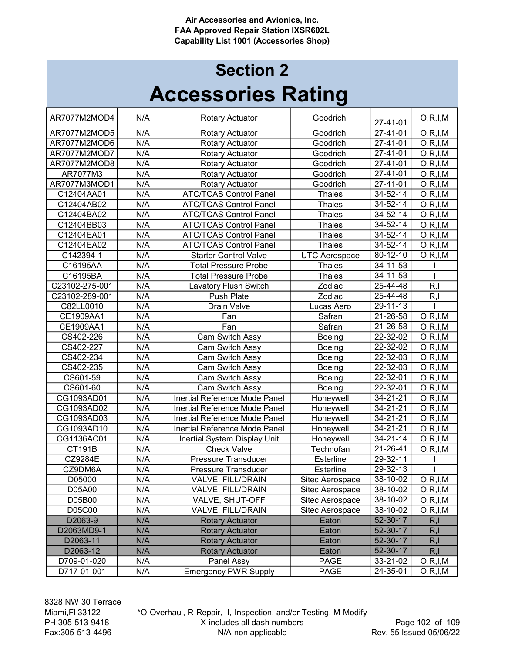# Accessories Rating Section 2

| AR7077M2MOD4   | N/A | <b>Rotary Actuator</b>        | Goodrich             | 27-41-01               | O, R, I, M |
|----------------|-----|-------------------------------|----------------------|------------------------|------------|
| AR7077M2MOD5   | N/A | Rotary Actuator               | Goodrich             | $27 - 41 - 01$         | O, R, I, M |
| AR7077M2MOD6   | N/A | Rotary Actuator               | Goodrich             | 27-41-01               | O, R, I, M |
| AR7077M2MOD7   | N/A | Rotary Actuator               | Goodrich             | 27-41-01               | O, R, I, M |
| AR7077M2MOD8   | N/A | Rotary Actuator               | Goodrich             | 27-41-01               | O, R, I, M |
| AR7077M3       | N/A | Rotary Actuator               | Goodrich             | 27-41-01               | O, R, I, M |
| AR7077M3MOD1   | N/A | Rotary Actuator               | Goodrich             | $27 - 41 - 01$         | O, R, I, M |
| C12404AA01     | N/A | <b>ATC/TCAS Control Panel</b> | <b>Thales</b>        | $34 - 52 - 14$         | O, R, I, M |
| C12404AB02     | N/A | <b>ATC/TCAS Control Panel</b> | <b>Thales</b>        | $34 - 52 - 14$         | O, R, I, M |
| C12404BA02     | N/A | <b>ATC/TCAS Control Panel</b> | <b>Thales</b>        | 34-52-14               | O, R, I, M |
| C12404BB03     | N/A | <b>ATC/TCAS Control Panel</b> | <b>Thales</b>        | 34-52-14               | O, R, I, M |
| C12404EA01     | N/A | <b>ATC/TCAS Control Panel</b> | <b>Thales</b>        | 34-52-14               | O, R, I, M |
| C12404EA02     | N/A | <b>ATC/TCAS Control Panel</b> | <b>Thales</b>        | 34-52-14               | O, R, I, M |
| C142394-1      | N/A | <b>Starter Control Valve</b>  | <b>UTC Aerospace</b> | 80-12-10               | O, R, I, M |
| C16195AA       | N/A | <b>Total Pressure Probe</b>   | <b>Thales</b>        | 34-11-53               |            |
| C16195BA       | N/A | <b>Total Pressure Probe</b>   | <b>Thales</b>        | 34-11-53               |            |
| C23102-275-001 | N/A | <b>Lavatory Flush Switch</b>  | Zodiac               | 25-44-48               | R, I       |
| C23102-289-001 | N/A | Push Plate                    | Zodiac               | 25-44-48               | R, I       |
| C82LL0010      | N/A | <b>Drain Valve</b>            | Lucas Aero           | 29-11-13               |            |
| CE1909AA1      | N/A | Fan                           | Safran               | $\overline{2}$ 1-26-58 | O, R, I, M |
| CE1909AA1      | N/A | Fan                           | Safran               | 21-26-58               | O, R, I, M |
| CS402-226      | N/A | Cam Switch Assy               | Boeing               | 22-32-02               | O, R, I, M |
| CS402-227      | N/A | Cam Switch Assy               | Boeing               | $22 - 32 - 02$         | O, R, I, M |
| CS402-234      | N/A | Cam Switch Assy               | Boeing               | 22-32-03               | O, R, I, M |
| CS402-235      | N/A | Cam Switch Assy               | Boeing               | 22-32-03               | O, R, I, M |
| CS601-59       | N/A | Cam Switch Assy               | Boeing               | 22-32-01               | O, R, I, M |
| CS601-60       | N/A | Cam Switch Assy               | Boeing               | 22-32-01               | O, R, I, M |
| CG1093AD01     | N/A | Inertial Reference Mode Panel | Honeywell            | $34 - 21 - 21$         | O, R, I, M |
| CG1093AD02     | N/A | Inertial Reference Mode Panel | Honeywell            | $34 - 21 - 21$         | O, R, I, M |
| CG1093AD03     | N/A | Inertial Reference Mode Panel | Honeywell            | $34 - 21 - 21$         | O, R, I, M |
| CG1093AD10     | N/A | Inertial Reference Mode Panel | Honeywell            | $34 - 21 - 21$         | O, R, I, M |
| CG1136AC01     | N/A | Inertial System Display Unit  | Honeywell            | 34-21-14               | O, R, I, M |
| CT191B         | N/A | <b>Check Valve</b>            | Technofan            | $21 - 26 - 41$         | O, R, I, M |
| CZ9284E        | N/A | <b>Pressure Transducer</b>    | Esterline            | 29-32-11               |            |
| CZ9DM6A        | N/A | Pressure Transducer           | Esterline            | 29-32-13               |            |
| D05000         | N/A | VALVE, FILL/DRAIN             | Sitec Aerospace      | 38-10-02               | O, R, I, M |
| D05A00         | N/A | VALVE, FILL/DRAIN             | Sitec Aerospace      | 38-10-02               | O, R, I, M |
| D05B00         | N/A | VALVE, SHUT-OFF               | Sitec Aerospace      | 38-10-02               | O, R, I, M |
| D05C00         | N/A | VALVE, FILL/DRAIN             | Sitec Aerospace      | 38-10-02               | O, R, I, M |
| D2063-9        | N/A | <b>Rotary Actuator</b>        | Eaton                | 52-30-17               | R, I       |
| D2063MD9-1     | N/A | <b>Rotary Actuator</b>        | Eaton                | 52-30-17               | R, I       |
| D2063-11       | N/A | <b>Rotary Actuator</b>        | Eaton                | 52-30-17               | R, I       |
| D2063-12       | N/A | <b>Rotary Actuator</b>        | Eaton                | 52-30-17               | R, I       |
| D709-01-020    | N/A | Panel Assy                    | <b>PAGE</b>          | 33-21-02               | O, R, I, M |
| D717-01-001    | N/A | <b>Emergency PWR Supply</b>   | PAGE                 | 24-35-01               | O, R, I, M |

\*O-Overhaul, R-Repair, I,-Inspection, and/or Testing, M-Modify X-includes all dash numbers N/A-non applicable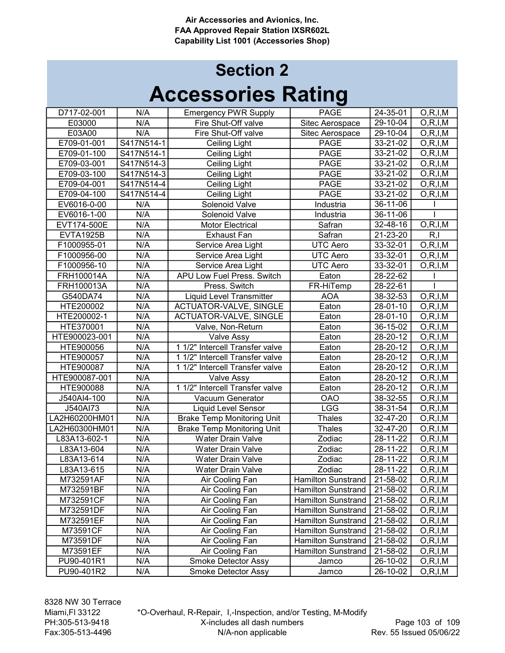# Accessories Rating Section 2

| D717-02-001      | N/A        | <b>Emergency PWR Supply</b>       | <b>PAGE</b>               | 24-35-01       | O, R, I, M |
|------------------|------------|-----------------------------------|---------------------------|----------------|------------|
| E03000           | N/A        | Fire Shut-Off valve               | Sitec Aerospace           | 29-10-04       | O, R, I, M |
| E03A00           | N/A        | Fire Shut-Off valve               | Sitec Aerospace           | 29-10-04       | O, R, I, M |
| E709-01-001      | S417N514-1 | Ceiling Light                     | <b>PAGE</b>               | 33-21-02       | O, R, I, M |
| E709-01-100      | S417N514-1 | Ceiling Light                     | <b>PAGE</b>               | 33-21-02       | O, R, I, M |
| E709-03-001      | S417N514-3 | <b>Ceiling Light</b>              | <b>PAGE</b>               | 33-21-02       | O, R, I, M |
| E709-03-100      | S417N514-3 | <b>Ceiling Light</b>              | <b>PAGE</b>               | 33-21-02       | O, R, I, M |
| E709-04-001      | S417N514-4 | <b>Ceiling Light</b>              | <b>PAGE</b>               | 33-21-02       | O, R, I, M |
| E709-04-100      | S417N514-4 | Ceiling Light                     | <b>PAGE</b>               | 33-21-02       | O, R, I, M |
| EV6016-0-00      | N/A        | Solenoid Valve                    | Industria                 | 36-11-06       |            |
| EV6016-1-00      | N/A        | Solenoid Valve                    | Industria                 | 36-11-06       |            |
| EVT174-500E      | N/A        | <b>Motor Electrical</b>           | Safran                    | 32-48-16       | O, R, I, M |
| <b>EVTA1925B</b> | N/A        | <b>Exhaust Fan</b>                | Safran                    | 21-23-20       | R, I       |
| F1000955-01      | N/A        | Service Area Light                | <b>UTC Aero</b>           | 33-32-01       | O, R, I, M |
| F1000956-00      | N/A        | Service Area Light                | <b>UTC Aero</b>           | $33 - 32 - 01$ | O, R, I, M |
| F1000956-10      | N/A        | Service Area Light                | <b>UTC Aero</b>           | 33-32-01       | O, R, I, M |
| FRH100014A       | N/A        | APU Low Fuel Press. Switch        | Eaton                     | 28-22-62       |            |
| FRH100013A       | N/A        | Press. Switch                     | FR-HiTemp                 | 28-22-61       |            |
| G540DA74         | N/A        | <b>Liquid Level Transmitter</b>   | <b>AOA</b>                | 38-32-53       | O, R, I, M |
| HTE200002        | N/A        | <b>ACTUATOR-VALVE, SINGLE</b>     | Eaton                     | 28-01-10       | O, R, I, M |
| HTE200002-1      | N/A        | <b>ACTUATOR-VALVE, SINGLE</b>     | Eaton                     | 28-01-10       | O, R, I. M |
| HTE370001        | N/A        | Valve, Non-Return                 | Eaton                     | 36-15-02       | O, R, I, M |
| HTE900023-001    | N/A        | Valve Assy                        | Eaton                     | 28-20-12       | O, R, I, M |
| HTE900056        | N/A        | 1 1/2" Intercell Transfer valve   | Eaton                     | 28-20-12       | O, R, I, M |
| HTE900057        | N/A        | 1 1/2" Intercell Transfer valve   | Eaton                     | 28-20-12       | O, R, I, M |
| HTE900087        | N/A        | 1 1/2" Intercell Transfer valve   | Eaton                     | 28-20-12       | O, R, I, M |
| HTE900087-001    | N/A        | Valve Assy                        | Eaton                     | 28-20-12       | O, R, I, M |
| HTE900088        | N/A        | 1 1/2" Intercell Transfer valve   | Eaton                     | 28-20-12       | O, R, I, M |
| J540AI4-100      | N/A        | Vacuum Generator                  | <b>OAO</b>                | 38-32-55       | O, R, I, M |
| J540AI73         | N/A        | <b>Liquid Level Sensor</b>        | <b>LGG</b>                | 38-31-54       | O, R, I, M |
| LA2H60200HM01    | N/A        | <b>Brake Temp Monitoring Unit</b> | <b>Thales</b>             | 32-47-20       | O, R, I, M |
| LA2H60300HM01    | N/A        | <b>Brake Temp Monitoring Unit</b> | Thales                    | 32-47-20       | O, R, I, M |
| L83A13-602-1     | N/A        | Water Drain Valve                 | Zodiac                    | 28-11-22       | O, R, I, M |
| L83A13-604       | N/A        | Water Drain Valve                 | Zodiac                    | 28-11-22       | O, R, I, M |
| L83A13-614       | N/A        | Water Drain Valve                 | Zodiac                    | 28-11-22       | O, R, I, M |
| L83A13-615       | N/A        | <b>Water Drain Valve</b>          | Zodiac                    | 28-11-22       | O, R, I, M |
| M732591AF        | N/A        | Air Cooling Fan                   | <b>Hamilton Sunstrand</b> | 21-58-02       | O, R, I, M |
| M732591BF        | N/A        | Air Cooling Fan                   | <b>Hamilton Sunstrand</b> | 21-58-02       | O, R, I, M |
| M732591CF        | N/A        | Air Cooling Fan                   | <b>Hamilton Sunstrand</b> | 21-58-02       | O, R, I, M |
| M732591DF        | N/A        | Air Cooling Fan                   | <b>Hamilton Sunstrand</b> | 21-58-02       | O, R, I, M |
| M732591EF        | N/A        | Air Cooling Fan                   | <b>Hamilton Sunstrand</b> | 21-58-02       | O, R, I, M |
| M73591CF         | N/A        | Air Cooling Fan                   | <b>Hamilton Sunstrand</b> | 21-58-02       | O, R, I, M |
| M73591DF         | N/A        | Air Cooling Fan                   | Hamilton Sunstrand        | 21-58-02       | O, R, I, M |
| M73591EF         | N/A        | Air Cooling Fan                   | <b>Hamilton Sunstrand</b> | 21-58-02       | O, R, I, M |
| PU90-401R1       | N/A        | Smoke Detector Assy               | Jamco                     | 26-10-02       | O, R, I, M |
| PU90-401R2       | N/A        | Smoke Detector Assy               | Jamco                     | 26-10-02       | O, R, I, M |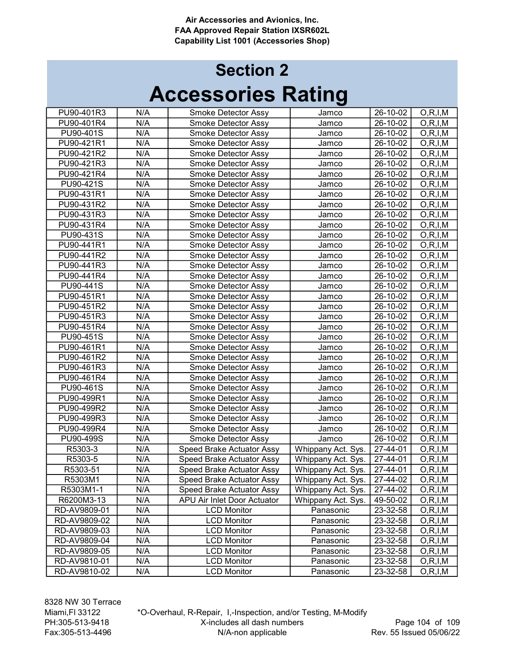# Accessories Rating Section 2

| PU90-401R3<br>N/A<br>26-10-02<br>Smoke Detector Assy<br>O, R, I, M<br>Jamco<br>N/A<br>PU90-401R4<br>26-10-02<br>O, R, I, M<br>Smoke Detector Assy<br>Jamco<br>PU90-401S<br>N/A<br>26-10-02<br>Smoke Detector Assy<br>O, R, I, M<br>Jamco<br>N/A<br>PU90-421R1<br>26-10-02<br>O, R, I, M<br>Smoke Detector Assy<br>Jamco<br>N/A<br>PU90-421R2<br>26-10-02<br>Smoke Detector Assy<br>O, R, I, M<br>Jamco<br>N/A<br>PU90-421R3<br>26-10-02<br>O, R, I, M<br>Smoke Detector Assy<br>Jamco<br>N/A<br>PU90-421R4<br>26-10-02<br>O, R, I, M<br>Smoke Detector Assy<br>Jamco<br>N/A<br>PU90-421S<br>Smoke Detector Assy<br>26-10-02<br>O, R, I, M<br>Jamco<br>N/A<br>PU90-431R1<br>Smoke Detector Assy<br>26-10-02<br>O, R, I, M<br>Jamco<br>PU90-431R2<br>N/A<br>26-10-02<br>Smoke Detector Assy<br>Jamco<br>O, R, I, M<br>PU90-431R3<br>N/A<br>26-10-02<br>O, R, I, M<br>Smoke Detector Assy<br>Jamco<br>N/A<br>PU90-431R4<br>26-10-02<br>O, R, I, M<br>Smoke Detector Assy<br>Jamco<br>N/A<br>PU90-431S<br>26-10-02<br>O, R, I, M<br>Smoke Detector Assy<br>Jamco<br>N/A<br>PU90-441R1<br>26-10-02<br>O, R, I, M<br>Smoke Detector Assy<br>Jamco<br>N/A<br>PU90-441R2<br>26-10-02<br>O, R, I, M<br>Smoke Detector Assy<br>Jamco<br>N/A<br>PU90-441R3<br>26-10-02<br>O, R, I, M<br>Smoke Detector Assy<br>Jamco<br>N/A<br>26-10-02<br>PU90-441R4<br>Smoke Detector Assy<br>O, R, I, M<br>Jamco<br>N/A<br>PU90-441S<br>26-10-02<br>O, R, I, M<br>Smoke Detector Assy<br>Jamco<br>N/A<br>PU90-451R1<br>26-10-02<br>O, R, I, M<br>Smoke Detector Assy<br>Jamco<br>N/A<br>PU90-451R2<br>26-10-02<br>Smoke Detector Assy<br>O, R, I, M<br>Jamco<br>N/A<br>PU90-451R3<br>26-10-02<br>Smoke Detector Assy<br>O, R, I, M<br>Jamco<br>N/A<br>PU90-451R4<br>26-10-02<br>Smoke Detector Assy<br>O, R, I, M<br>Jamco<br>N/A<br>PU90-451S<br>26-10-02<br>O, R, I, M<br>Smoke Detector Assy<br>Jamco<br>N/A<br>PU90-461R1<br>Smoke Detector Assy<br>26-10-02<br>O, R, I, M<br>Jamco<br>N/A<br>PU90-461R2<br>26-10-02<br>Smoke Detector Assy<br>O, R, I, M<br>Jamco<br>N/A<br>26-10-02<br>PU90-461R3<br>Smoke Detector Assy<br>Jamco<br>O, R, I, M<br>PU90-461R4<br>N/A<br>Smoke Detector Assy<br>26-10-02<br>O, R, I, M<br>Jamco<br>N/A<br>PU90-461S<br>Smoke Detector Assy<br>26-10-02<br>O, R, I, M<br>Jamco<br>N/A<br>PU90-499R1<br>Smoke Detector Assy<br>26-10-02<br>O, R, I, M<br>Jamco<br>N/A<br>PU90-499R2<br>Smoke Detector Assy<br>26-10-02<br>O, R, I, M<br>Jamco<br>N/A<br>PU90-499R3<br>Smoke Detector Assy<br>26-10-02<br>O, R, I, M<br>Jamco<br>N/A<br>PU90-499R4<br>26-10-02<br>O, R, I, M<br>Smoke Detector Assy<br>Jamco<br>N/A<br>PU90-499S<br>26-10-02<br>O, R, I, M<br>Smoke Detector Assy<br>Jamco<br>27-44-01<br>R5303-3<br>N/A<br>O, R, I, M<br>Speed Brake Actuator Assy<br>Whippany Act. Sys.<br>27-44-01<br>R5303-5<br>N/A<br>Speed Brake Actuator Assy<br>O, R, I, M<br>Whippany Act. Sys.<br>R5303-51<br>N/A<br>27-44-01<br>O, R, I, M<br>Speed Brake Actuator Assy<br>Whippany Act. Sys.<br>N/A<br>R5303M1<br>Speed Brake Actuator Assy<br>Whippany Act. Sys.<br>27-44-02<br>O, R, I, M<br>N/A<br>R5303M1-1<br>Speed Brake Actuator Assy<br>Whippany Act. Sys.<br>27-44-02<br>O, R, I, M<br>N/A<br>APU Air Inlet Door Actuator<br>Whippany Act. Sys.<br>R6200M3-13<br>49-50-02<br>O, R, I, M<br>N/A<br>Panasonic<br>RD-AV9809-01<br>23-32-58<br><b>LCD Monitor</b><br>O, R, I, M<br>N/A<br>RD-AV9809-02<br><b>LCD Monitor</b><br>Panasonic<br>23-32-58<br>O, R, I, M<br>N/A<br>RD-AV9809-03<br><b>LCD Monitor</b><br>Panasonic<br>23-32-58<br>O, R, I, M<br>N/A<br><b>LCD Monitor</b><br>RD-AV9809-04<br>Panasonic<br>23-32-58<br>O, R, I, M<br>RD-AV9809-05<br>N/A<br><b>LCD Monitor</b><br>Panasonic<br>23-32-58<br>O, R, I, M<br>RD-AV9810-01<br>N/A<br><b>LCD Monitor</b><br>Panasonic<br>23-32-58<br>O, R, I, M<br>RD-AV9810-02<br>N/A<br><b>LCD Monitor</b><br>Panasonic<br>23-32-58<br>O, R, I, M |  |  |  |
|--------------------------------------------------------------------------------------------------------------------------------------------------------------------------------------------------------------------------------------------------------------------------------------------------------------------------------------------------------------------------------------------------------------------------------------------------------------------------------------------------------------------------------------------------------------------------------------------------------------------------------------------------------------------------------------------------------------------------------------------------------------------------------------------------------------------------------------------------------------------------------------------------------------------------------------------------------------------------------------------------------------------------------------------------------------------------------------------------------------------------------------------------------------------------------------------------------------------------------------------------------------------------------------------------------------------------------------------------------------------------------------------------------------------------------------------------------------------------------------------------------------------------------------------------------------------------------------------------------------------------------------------------------------------------------------------------------------------------------------------------------------------------------------------------------------------------------------------------------------------------------------------------------------------------------------------------------------------------------------------------------------------------------------------------------------------------------------------------------------------------------------------------------------------------------------------------------------------------------------------------------------------------------------------------------------------------------------------------------------------------------------------------------------------------------------------------------------------------------------------------------------------------------------------------------------------------------------------------------------------------------------------------------------------------------------------------------------------------------------------------------------------------------------------------------------------------------------------------------------------------------------------------------------------------------------------------------------------------------------------------------------------------------------------------------------------------------------------------------------------------------------------------------------------------------------------------------------------------------------------------------------------------------------------------------------------------------------------------------------------------------------------------------------------------------------------------------------------------------------------------------------------------------------------------------------------------------------------------------------------------------------------------------------------------------------------------------------------------------------------------------------------------------------------------------------------------------------------------------------------------------------------------------------------|--|--|--|
|                                                                                                                                                                                                                                                                                                                                                                                                                                                                                                                                                                                                                                                                                                                                                                                                                                                                                                                                                                                                                                                                                                                                                                                                                                                                                                                                                                                                                                                                                                                                                                                                                                                                                                                                                                                                                                                                                                                                                                                                                                                                                                                                                                                                                                                                                                                                                                                                                                                                                                                                                                                                                                                                                                                                                                                                                                                                                                                                                                                                                                                                                                                                                                                                                                                                                                                                                                                                                                                                                                                                                                                                                                                                                                                                                                                                                                                                                                                    |  |  |  |
|                                                                                                                                                                                                                                                                                                                                                                                                                                                                                                                                                                                                                                                                                                                                                                                                                                                                                                                                                                                                                                                                                                                                                                                                                                                                                                                                                                                                                                                                                                                                                                                                                                                                                                                                                                                                                                                                                                                                                                                                                                                                                                                                                                                                                                                                                                                                                                                                                                                                                                                                                                                                                                                                                                                                                                                                                                                                                                                                                                                                                                                                                                                                                                                                                                                                                                                                                                                                                                                                                                                                                                                                                                                                                                                                                                                                                                                                                                                    |  |  |  |
|                                                                                                                                                                                                                                                                                                                                                                                                                                                                                                                                                                                                                                                                                                                                                                                                                                                                                                                                                                                                                                                                                                                                                                                                                                                                                                                                                                                                                                                                                                                                                                                                                                                                                                                                                                                                                                                                                                                                                                                                                                                                                                                                                                                                                                                                                                                                                                                                                                                                                                                                                                                                                                                                                                                                                                                                                                                                                                                                                                                                                                                                                                                                                                                                                                                                                                                                                                                                                                                                                                                                                                                                                                                                                                                                                                                                                                                                                                                    |  |  |  |
|                                                                                                                                                                                                                                                                                                                                                                                                                                                                                                                                                                                                                                                                                                                                                                                                                                                                                                                                                                                                                                                                                                                                                                                                                                                                                                                                                                                                                                                                                                                                                                                                                                                                                                                                                                                                                                                                                                                                                                                                                                                                                                                                                                                                                                                                                                                                                                                                                                                                                                                                                                                                                                                                                                                                                                                                                                                                                                                                                                                                                                                                                                                                                                                                                                                                                                                                                                                                                                                                                                                                                                                                                                                                                                                                                                                                                                                                                                                    |  |  |  |
|                                                                                                                                                                                                                                                                                                                                                                                                                                                                                                                                                                                                                                                                                                                                                                                                                                                                                                                                                                                                                                                                                                                                                                                                                                                                                                                                                                                                                                                                                                                                                                                                                                                                                                                                                                                                                                                                                                                                                                                                                                                                                                                                                                                                                                                                                                                                                                                                                                                                                                                                                                                                                                                                                                                                                                                                                                                                                                                                                                                                                                                                                                                                                                                                                                                                                                                                                                                                                                                                                                                                                                                                                                                                                                                                                                                                                                                                                                                    |  |  |  |
|                                                                                                                                                                                                                                                                                                                                                                                                                                                                                                                                                                                                                                                                                                                                                                                                                                                                                                                                                                                                                                                                                                                                                                                                                                                                                                                                                                                                                                                                                                                                                                                                                                                                                                                                                                                                                                                                                                                                                                                                                                                                                                                                                                                                                                                                                                                                                                                                                                                                                                                                                                                                                                                                                                                                                                                                                                                                                                                                                                                                                                                                                                                                                                                                                                                                                                                                                                                                                                                                                                                                                                                                                                                                                                                                                                                                                                                                                                                    |  |  |  |
|                                                                                                                                                                                                                                                                                                                                                                                                                                                                                                                                                                                                                                                                                                                                                                                                                                                                                                                                                                                                                                                                                                                                                                                                                                                                                                                                                                                                                                                                                                                                                                                                                                                                                                                                                                                                                                                                                                                                                                                                                                                                                                                                                                                                                                                                                                                                                                                                                                                                                                                                                                                                                                                                                                                                                                                                                                                                                                                                                                                                                                                                                                                                                                                                                                                                                                                                                                                                                                                                                                                                                                                                                                                                                                                                                                                                                                                                                                                    |  |  |  |
|                                                                                                                                                                                                                                                                                                                                                                                                                                                                                                                                                                                                                                                                                                                                                                                                                                                                                                                                                                                                                                                                                                                                                                                                                                                                                                                                                                                                                                                                                                                                                                                                                                                                                                                                                                                                                                                                                                                                                                                                                                                                                                                                                                                                                                                                                                                                                                                                                                                                                                                                                                                                                                                                                                                                                                                                                                                                                                                                                                                                                                                                                                                                                                                                                                                                                                                                                                                                                                                                                                                                                                                                                                                                                                                                                                                                                                                                                                                    |  |  |  |
|                                                                                                                                                                                                                                                                                                                                                                                                                                                                                                                                                                                                                                                                                                                                                                                                                                                                                                                                                                                                                                                                                                                                                                                                                                                                                                                                                                                                                                                                                                                                                                                                                                                                                                                                                                                                                                                                                                                                                                                                                                                                                                                                                                                                                                                                                                                                                                                                                                                                                                                                                                                                                                                                                                                                                                                                                                                                                                                                                                                                                                                                                                                                                                                                                                                                                                                                                                                                                                                                                                                                                                                                                                                                                                                                                                                                                                                                                                                    |  |  |  |
|                                                                                                                                                                                                                                                                                                                                                                                                                                                                                                                                                                                                                                                                                                                                                                                                                                                                                                                                                                                                                                                                                                                                                                                                                                                                                                                                                                                                                                                                                                                                                                                                                                                                                                                                                                                                                                                                                                                                                                                                                                                                                                                                                                                                                                                                                                                                                                                                                                                                                                                                                                                                                                                                                                                                                                                                                                                                                                                                                                                                                                                                                                                                                                                                                                                                                                                                                                                                                                                                                                                                                                                                                                                                                                                                                                                                                                                                                                                    |  |  |  |
|                                                                                                                                                                                                                                                                                                                                                                                                                                                                                                                                                                                                                                                                                                                                                                                                                                                                                                                                                                                                                                                                                                                                                                                                                                                                                                                                                                                                                                                                                                                                                                                                                                                                                                                                                                                                                                                                                                                                                                                                                                                                                                                                                                                                                                                                                                                                                                                                                                                                                                                                                                                                                                                                                                                                                                                                                                                                                                                                                                                                                                                                                                                                                                                                                                                                                                                                                                                                                                                                                                                                                                                                                                                                                                                                                                                                                                                                                                                    |  |  |  |
|                                                                                                                                                                                                                                                                                                                                                                                                                                                                                                                                                                                                                                                                                                                                                                                                                                                                                                                                                                                                                                                                                                                                                                                                                                                                                                                                                                                                                                                                                                                                                                                                                                                                                                                                                                                                                                                                                                                                                                                                                                                                                                                                                                                                                                                                                                                                                                                                                                                                                                                                                                                                                                                                                                                                                                                                                                                                                                                                                                                                                                                                                                                                                                                                                                                                                                                                                                                                                                                                                                                                                                                                                                                                                                                                                                                                                                                                                                                    |  |  |  |
|                                                                                                                                                                                                                                                                                                                                                                                                                                                                                                                                                                                                                                                                                                                                                                                                                                                                                                                                                                                                                                                                                                                                                                                                                                                                                                                                                                                                                                                                                                                                                                                                                                                                                                                                                                                                                                                                                                                                                                                                                                                                                                                                                                                                                                                                                                                                                                                                                                                                                                                                                                                                                                                                                                                                                                                                                                                                                                                                                                                                                                                                                                                                                                                                                                                                                                                                                                                                                                                                                                                                                                                                                                                                                                                                                                                                                                                                                                                    |  |  |  |
|                                                                                                                                                                                                                                                                                                                                                                                                                                                                                                                                                                                                                                                                                                                                                                                                                                                                                                                                                                                                                                                                                                                                                                                                                                                                                                                                                                                                                                                                                                                                                                                                                                                                                                                                                                                                                                                                                                                                                                                                                                                                                                                                                                                                                                                                                                                                                                                                                                                                                                                                                                                                                                                                                                                                                                                                                                                                                                                                                                                                                                                                                                                                                                                                                                                                                                                                                                                                                                                                                                                                                                                                                                                                                                                                                                                                                                                                                                                    |  |  |  |
|                                                                                                                                                                                                                                                                                                                                                                                                                                                                                                                                                                                                                                                                                                                                                                                                                                                                                                                                                                                                                                                                                                                                                                                                                                                                                                                                                                                                                                                                                                                                                                                                                                                                                                                                                                                                                                                                                                                                                                                                                                                                                                                                                                                                                                                                                                                                                                                                                                                                                                                                                                                                                                                                                                                                                                                                                                                                                                                                                                                                                                                                                                                                                                                                                                                                                                                                                                                                                                                                                                                                                                                                                                                                                                                                                                                                                                                                                                                    |  |  |  |
|                                                                                                                                                                                                                                                                                                                                                                                                                                                                                                                                                                                                                                                                                                                                                                                                                                                                                                                                                                                                                                                                                                                                                                                                                                                                                                                                                                                                                                                                                                                                                                                                                                                                                                                                                                                                                                                                                                                                                                                                                                                                                                                                                                                                                                                                                                                                                                                                                                                                                                                                                                                                                                                                                                                                                                                                                                                                                                                                                                                                                                                                                                                                                                                                                                                                                                                                                                                                                                                                                                                                                                                                                                                                                                                                                                                                                                                                                                                    |  |  |  |
|                                                                                                                                                                                                                                                                                                                                                                                                                                                                                                                                                                                                                                                                                                                                                                                                                                                                                                                                                                                                                                                                                                                                                                                                                                                                                                                                                                                                                                                                                                                                                                                                                                                                                                                                                                                                                                                                                                                                                                                                                                                                                                                                                                                                                                                                                                                                                                                                                                                                                                                                                                                                                                                                                                                                                                                                                                                                                                                                                                                                                                                                                                                                                                                                                                                                                                                                                                                                                                                                                                                                                                                                                                                                                                                                                                                                                                                                                                                    |  |  |  |
|                                                                                                                                                                                                                                                                                                                                                                                                                                                                                                                                                                                                                                                                                                                                                                                                                                                                                                                                                                                                                                                                                                                                                                                                                                                                                                                                                                                                                                                                                                                                                                                                                                                                                                                                                                                                                                                                                                                                                                                                                                                                                                                                                                                                                                                                                                                                                                                                                                                                                                                                                                                                                                                                                                                                                                                                                                                                                                                                                                                                                                                                                                                                                                                                                                                                                                                                                                                                                                                                                                                                                                                                                                                                                                                                                                                                                                                                                                                    |  |  |  |
|                                                                                                                                                                                                                                                                                                                                                                                                                                                                                                                                                                                                                                                                                                                                                                                                                                                                                                                                                                                                                                                                                                                                                                                                                                                                                                                                                                                                                                                                                                                                                                                                                                                                                                                                                                                                                                                                                                                                                                                                                                                                                                                                                                                                                                                                                                                                                                                                                                                                                                                                                                                                                                                                                                                                                                                                                                                                                                                                                                                                                                                                                                                                                                                                                                                                                                                                                                                                                                                                                                                                                                                                                                                                                                                                                                                                                                                                                                                    |  |  |  |
|                                                                                                                                                                                                                                                                                                                                                                                                                                                                                                                                                                                                                                                                                                                                                                                                                                                                                                                                                                                                                                                                                                                                                                                                                                                                                                                                                                                                                                                                                                                                                                                                                                                                                                                                                                                                                                                                                                                                                                                                                                                                                                                                                                                                                                                                                                                                                                                                                                                                                                                                                                                                                                                                                                                                                                                                                                                                                                                                                                                                                                                                                                                                                                                                                                                                                                                                                                                                                                                                                                                                                                                                                                                                                                                                                                                                                                                                                                                    |  |  |  |
|                                                                                                                                                                                                                                                                                                                                                                                                                                                                                                                                                                                                                                                                                                                                                                                                                                                                                                                                                                                                                                                                                                                                                                                                                                                                                                                                                                                                                                                                                                                                                                                                                                                                                                                                                                                                                                                                                                                                                                                                                                                                                                                                                                                                                                                                                                                                                                                                                                                                                                                                                                                                                                                                                                                                                                                                                                                                                                                                                                                                                                                                                                                                                                                                                                                                                                                                                                                                                                                                                                                                                                                                                                                                                                                                                                                                                                                                                                                    |  |  |  |
|                                                                                                                                                                                                                                                                                                                                                                                                                                                                                                                                                                                                                                                                                                                                                                                                                                                                                                                                                                                                                                                                                                                                                                                                                                                                                                                                                                                                                                                                                                                                                                                                                                                                                                                                                                                                                                                                                                                                                                                                                                                                                                                                                                                                                                                                                                                                                                                                                                                                                                                                                                                                                                                                                                                                                                                                                                                                                                                                                                                                                                                                                                                                                                                                                                                                                                                                                                                                                                                                                                                                                                                                                                                                                                                                                                                                                                                                                                                    |  |  |  |
|                                                                                                                                                                                                                                                                                                                                                                                                                                                                                                                                                                                                                                                                                                                                                                                                                                                                                                                                                                                                                                                                                                                                                                                                                                                                                                                                                                                                                                                                                                                                                                                                                                                                                                                                                                                                                                                                                                                                                                                                                                                                                                                                                                                                                                                                                                                                                                                                                                                                                                                                                                                                                                                                                                                                                                                                                                                                                                                                                                                                                                                                                                                                                                                                                                                                                                                                                                                                                                                                                                                                                                                                                                                                                                                                                                                                                                                                                                                    |  |  |  |
|                                                                                                                                                                                                                                                                                                                                                                                                                                                                                                                                                                                                                                                                                                                                                                                                                                                                                                                                                                                                                                                                                                                                                                                                                                                                                                                                                                                                                                                                                                                                                                                                                                                                                                                                                                                                                                                                                                                                                                                                                                                                                                                                                                                                                                                                                                                                                                                                                                                                                                                                                                                                                                                                                                                                                                                                                                                                                                                                                                                                                                                                                                                                                                                                                                                                                                                                                                                                                                                                                                                                                                                                                                                                                                                                                                                                                                                                                                                    |  |  |  |
|                                                                                                                                                                                                                                                                                                                                                                                                                                                                                                                                                                                                                                                                                                                                                                                                                                                                                                                                                                                                                                                                                                                                                                                                                                                                                                                                                                                                                                                                                                                                                                                                                                                                                                                                                                                                                                                                                                                                                                                                                                                                                                                                                                                                                                                                                                                                                                                                                                                                                                                                                                                                                                                                                                                                                                                                                                                                                                                                                                                                                                                                                                                                                                                                                                                                                                                                                                                                                                                                                                                                                                                                                                                                                                                                                                                                                                                                                                                    |  |  |  |
|                                                                                                                                                                                                                                                                                                                                                                                                                                                                                                                                                                                                                                                                                                                                                                                                                                                                                                                                                                                                                                                                                                                                                                                                                                                                                                                                                                                                                                                                                                                                                                                                                                                                                                                                                                                                                                                                                                                                                                                                                                                                                                                                                                                                                                                                                                                                                                                                                                                                                                                                                                                                                                                                                                                                                                                                                                                                                                                                                                                                                                                                                                                                                                                                                                                                                                                                                                                                                                                                                                                                                                                                                                                                                                                                                                                                                                                                                                                    |  |  |  |
|                                                                                                                                                                                                                                                                                                                                                                                                                                                                                                                                                                                                                                                                                                                                                                                                                                                                                                                                                                                                                                                                                                                                                                                                                                                                                                                                                                                                                                                                                                                                                                                                                                                                                                                                                                                                                                                                                                                                                                                                                                                                                                                                                                                                                                                                                                                                                                                                                                                                                                                                                                                                                                                                                                                                                                                                                                                                                                                                                                                                                                                                                                                                                                                                                                                                                                                                                                                                                                                                                                                                                                                                                                                                                                                                                                                                                                                                                                                    |  |  |  |
|                                                                                                                                                                                                                                                                                                                                                                                                                                                                                                                                                                                                                                                                                                                                                                                                                                                                                                                                                                                                                                                                                                                                                                                                                                                                                                                                                                                                                                                                                                                                                                                                                                                                                                                                                                                                                                                                                                                                                                                                                                                                                                                                                                                                                                                                                                                                                                                                                                                                                                                                                                                                                                                                                                                                                                                                                                                                                                                                                                                                                                                                                                                                                                                                                                                                                                                                                                                                                                                                                                                                                                                                                                                                                                                                                                                                                                                                                                                    |  |  |  |
|                                                                                                                                                                                                                                                                                                                                                                                                                                                                                                                                                                                                                                                                                                                                                                                                                                                                                                                                                                                                                                                                                                                                                                                                                                                                                                                                                                                                                                                                                                                                                                                                                                                                                                                                                                                                                                                                                                                                                                                                                                                                                                                                                                                                                                                                                                                                                                                                                                                                                                                                                                                                                                                                                                                                                                                                                                                                                                                                                                                                                                                                                                                                                                                                                                                                                                                                                                                                                                                                                                                                                                                                                                                                                                                                                                                                                                                                                                                    |  |  |  |
|                                                                                                                                                                                                                                                                                                                                                                                                                                                                                                                                                                                                                                                                                                                                                                                                                                                                                                                                                                                                                                                                                                                                                                                                                                                                                                                                                                                                                                                                                                                                                                                                                                                                                                                                                                                                                                                                                                                                                                                                                                                                                                                                                                                                                                                                                                                                                                                                                                                                                                                                                                                                                                                                                                                                                                                                                                                                                                                                                                                                                                                                                                                                                                                                                                                                                                                                                                                                                                                                                                                                                                                                                                                                                                                                                                                                                                                                                                                    |  |  |  |
|                                                                                                                                                                                                                                                                                                                                                                                                                                                                                                                                                                                                                                                                                                                                                                                                                                                                                                                                                                                                                                                                                                                                                                                                                                                                                                                                                                                                                                                                                                                                                                                                                                                                                                                                                                                                                                                                                                                                                                                                                                                                                                                                                                                                                                                                                                                                                                                                                                                                                                                                                                                                                                                                                                                                                                                                                                                                                                                                                                                                                                                                                                                                                                                                                                                                                                                                                                                                                                                                                                                                                                                                                                                                                                                                                                                                                                                                                                                    |  |  |  |
|                                                                                                                                                                                                                                                                                                                                                                                                                                                                                                                                                                                                                                                                                                                                                                                                                                                                                                                                                                                                                                                                                                                                                                                                                                                                                                                                                                                                                                                                                                                                                                                                                                                                                                                                                                                                                                                                                                                                                                                                                                                                                                                                                                                                                                                                                                                                                                                                                                                                                                                                                                                                                                                                                                                                                                                                                                                                                                                                                                                                                                                                                                                                                                                                                                                                                                                                                                                                                                                                                                                                                                                                                                                                                                                                                                                                                                                                                                                    |  |  |  |
|                                                                                                                                                                                                                                                                                                                                                                                                                                                                                                                                                                                                                                                                                                                                                                                                                                                                                                                                                                                                                                                                                                                                                                                                                                                                                                                                                                                                                                                                                                                                                                                                                                                                                                                                                                                                                                                                                                                                                                                                                                                                                                                                                                                                                                                                                                                                                                                                                                                                                                                                                                                                                                                                                                                                                                                                                                                                                                                                                                                                                                                                                                                                                                                                                                                                                                                                                                                                                                                                                                                                                                                                                                                                                                                                                                                                                                                                                                                    |  |  |  |
|                                                                                                                                                                                                                                                                                                                                                                                                                                                                                                                                                                                                                                                                                                                                                                                                                                                                                                                                                                                                                                                                                                                                                                                                                                                                                                                                                                                                                                                                                                                                                                                                                                                                                                                                                                                                                                                                                                                                                                                                                                                                                                                                                                                                                                                                                                                                                                                                                                                                                                                                                                                                                                                                                                                                                                                                                                                                                                                                                                                                                                                                                                                                                                                                                                                                                                                                                                                                                                                                                                                                                                                                                                                                                                                                                                                                                                                                                                                    |  |  |  |
|                                                                                                                                                                                                                                                                                                                                                                                                                                                                                                                                                                                                                                                                                                                                                                                                                                                                                                                                                                                                                                                                                                                                                                                                                                                                                                                                                                                                                                                                                                                                                                                                                                                                                                                                                                                                                                                                                                                                                                                                                                                                                                                                                                                                                                                                                                                                                                                                                                                                                                                                                                                                                                                                                                                                                                                                                                                                                                                                                                                                                                                                                                                                                                                                                                                                                                                                                                                                                                                                                                                                                                                                                                                                                                                                                                                                                                                                                                                    |  |  |  |
|                                                                                                                                                                                                                                                                                                                                                                                                                                                                                                                                                                                                                                                                                                                                                                                                                                                                                                                                                                                                                                                                                                                                                                                                                                                                                                                                                                                                                                                                                                                                                                                                                                                                                                                                                                                                                                                                                                                                                                                                                                                                                                                                                                                                                                                                                                                                                                                                                                                                                                                                                                                                                                                                                                                                                                                                                                                                                                                                                                                                                                                                                                                                                                                                                                                                                                                                                                                                                                                                                                                                                                                                                                                                                                                                                                                                                                                                                                                    |  |  |  |
|                                                                                                                                                                                                                                                                                                                                                                                                                                                                                                                                                                                                                                                                                                                                                                                                                                                                                                                                                                                                                                                                                                                                                                                                                                                                                                                                                                                                                                                                                                                                                                                                                                                                                                                                                                                                                                                                                                                                                                                                                                                                                                                                                                                                                                                                                                                                                                                                                                                                                                                                                                                                                                                                                                                                                                                                                                                                                                                                                                                                                                                                                                                                                                                                                                                                                                                                                                                                                                                                                                                                                                                                                                                                                                                                                                                                                                                                                                                    |  |  |  |
|                                                                                                                                                                                                                                                                                                                                                                                                                                                                                                                                                                                                                                                                                                                                                                                                                                                                                                                                                                                                                                                                                                                                                                                                                                                                                                                                                                                                                                                                                                                                                                                                                                                                                                                                                                                                                                                                                                                                                                                                                                                                                                                                                                                                                                                                                                                                                                                                                                                                                                                                                                                                                                                                                                                                                                                                                                                                                                                                                                                                                                                                                                                                                                                                                                                                                                                                                                                                                                                                                                                                                                                                                                                                                                                                                                                                                                                                                                                    |  |  |  |
|                                                                                                                                                                                                                                                                                                                                                                                                                                                                                                                                                                                                                                                                                                                                                                                                                                                                                                                                                                                                                                                                                                                                                                                                                                                                                                                                                                                                                                                                                                                                                                                                                                                                                                                                                                                                                                                                                                                                                                                                                                                                                                                                                                                                                                                                                                                                                                                                                                                                                                                                                                                                                                                                                                                                                                                                                                                                                                                                                                                                                                                                                                                                                                                                                                                                                                                                                                                                                                                                                                                                                                                                                                                                                                                                                                                                                                                                                                                    |  |  |  |
|                                                                                                                                                                                                                                                                                                                                                                                                                                                                                                                                                                                                                                                                                                                                                                                                                                                                                                                                                                                                                                                                                                                                                                                                                                                                                                                                                                                                                                                                                                                                                                                                                                                                                                                                                                                                                                                                                                                                                                                                                                                                                                                                                                                                                                                                                                                                                                                                                                                                                                                                                                                                                                                                                                                                                                                                                                                                                                                                                                                                                                                                                                                                                                                                                                                                                                                                                                                                                                                                                                                                                                                                                                                                                                                                                                                                                                                                                                                    |  |  |  |
|                                                                                                                                                                                                                                                                                                                                                                                                                                                                                                                                                                                                                                                                                                                                                                                                                                                                                                                                                                                                                                                                                                                                                                                                                                                                                                                                                                                                                                                                                                                                                                                                                                                                                                                                                                                                                                                                                                                                                                                                                                                                                                                                                                                                                                                                                                                                                                                                                                                                                                                                                                                                                                                                                                                                                                                                                                                                                                                                                                                                                                                                                                                                                                                                                                                                                                                                                                                                                                                                                                                                                                                                                                                                                                                                                                                                                                                                                                                    |  |  |  |
|                                                                                                                                                                                                                                                                                                                                                                                                                                                                                                                                                                                                                                                                                                                                                                                                                                                                                                                                                                                                                                                                                                                                                                                                                                                                                                                                                                                                                                                                                                                                                                                                                                                                                                                                                                                                                                                                                                                                                                                                                                                                                                                                                                                                                                                                                                                                                                                                                                                                                                                                                                                                                                                                                                                                                                                                                                                                                                                                                                                                                                                                                                                                                                                                                                                                                                                                                                                                                                                                                                                                                                                                                                                                                                                                                                                                                                                                                                                    |  |  |  |
|                                                                                                                                                                                                                                                                                                                                                                                                                                                                                                                                                                                                                                                                                                                                                                                                                                                                                                                                                                                                                                                                                                                                                                                                                                                                                                                                                                                                                                                                                                                                                                                                                                                                                                                                                                                                                                                                                                                                                                                                                                                                                                                                                                                                                                                                                                                                                                                                                                                                                                                                                                                                                                                                                                                                                                                                                                                                                                                                                                                                                                                                                                                                                                                                                                                                                                                                                                                                                                                                                                                                                                                                                                                                                                                                                                                                                                                                                                                    |  |  |  |
|                                                                                                                                                                                                                                                                                                                                                                                                                                                                                                                                                                                                                                                                                                                                                                                                                                                                                                                                                                                                                                                                                                                                                                                                                                                                                                                                                                                                                                                                                                                                                                                                                                                                                                                                                                                                                                                                                                                                                                                                                                                                                                                                                                                                                                                                                                                                                                                                                                                                                                                                                                                                                                                                                                                                                                                                                                                                                                                                                                                                                                                                                                                                                                                                                                                                                                                                                                                                                                                                                                                                                                                                                                                                                                                                                                                                                                                                                                                    |  |  |  |
|                                                                                                                                                                                                                                                                                                                                                                                                                                                                                                                                                                                                                                                                                                                                                                                                                                                                                                                                                                                                                                                                                                                                                                                                                                                                                                                                                                                                                                                                                                                                                                                                                                                                                                                                                                                                                                                                                                                                                                                                                                                                                                                                                                                                                                                                                                                                                                                                                                                                                                                                                                                                                                                                                                                                                                                                                                                                                                                                                                                                                                                                                                                                                                                                                                                                                                                                                                                                                                                                                                                                                                                                                                                                                                                                                                                                                                                                                                                    |  |  |  |
|                                                                                                                                                                                                                                                                                                                                                                                                                                                                                                                                                                                                                                                                                                                                                                                                                                                                                                                                                                                                                                                                                                                                                                                                                                                                                                                                                                                                                                                                                                                                                                                                                                                                                                                                                                                                                                                                                                                                                                                                                                                                                                                                                                                                                                                                                                                                                                                                                                                                                                                                                                                                                                                                                                                                                                                                                                                                                                                                                                                                                                                                                                                                                                                                                                                                                                                                                                                                                                                                                                                                                                                                                                                                                                                                                                                                                                                                                                                    |  |  |  |

8328 NW 30 Terrace Miami,Fl 33122 PH:305-513-9418 Fax:305-513-4496

\*O-Overhaul, R-Repair, I,-Inspection, and/or Testing, M-Modify X-includes all dash numbers N/A-non applicable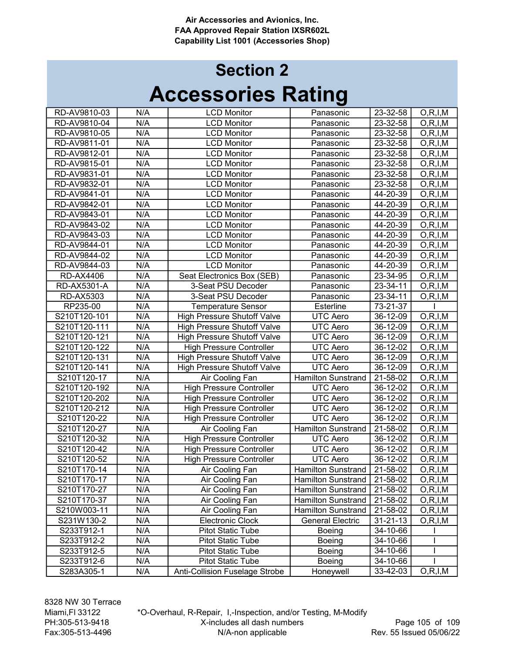## Accessories Rating Section 2

| RD-AV9810-03     | N/A | <b>LCD Monitor</b>                 | Panasonic                 | 23-32-58       | O, R, I, M |
|------------------|-----|------------------------------------|---------------------------|----------------|------------|
| RD-AV9810-04     | N/A | <b>LCD Monitor</b>                 | Panasonic                 | 23-32-58       | O, R, I, M |
| RD-AV9810-05     | N/A | <b>LCD Monitor</b>                 | Panasonic                 | 23-32-58       | O, R, I, M |
| RD-AV9811-01     | N/A | <b>LCD Monitor</b>                 | Panasonic                 | 23-32-58       | O, R, I, M |
| RD-AV9812-01     | N/A | <b>LCD Monitor</b>                 | Panasonic                 | 23-32-58       | O, R, I, M |
| RD-AV9815-01     | N/A | <b>LCD Monitor</b>                 | Panasonic                 | 23-32-58       | O, R, I, M |
| RD-AV9831-01     | N/A | <b>LCD Monitor</b>                 | Panasonic                 | 23-32-58       | O, R, I, M |
| RD-AV9832-01     | N/A | <b>LCD Monitor</b>                 | Panasonic                 | 23-32-58       | O, R, I, M |
| RD-AV9841-01     | N/A | <b>LCD Monitor</b>                 | Panasonic                 | 44-20-39       | O, R, I, M |
| RD-AV9842-01     | N/A | <b>LCD Monitor</b>                 | Panasonic                 | 44-20-39       | O, R, I, M |
| RD-AV9843-01     | N/A | <b>LCD Monitor</b>                 | Panasonic                 | 44-20-39       | O, R, I, M |
| RD-AV9843-02     | N/A | <b>LCD Monitor</b>                 | Panasonic                 | 44-20-39       | O, R, I, M |
| RD-AV9843-03     | N/A | <b>LCD Monitor</b>                 | Panasonic                 | 44-20-39       | O, R, I, M |
| RD-AV9844-01     | N/A | <b>LCD Monitor</b>                 | Panasonic                 | 44-20-39       | O, R, I, M |
| RD-AV9844-02     | N/A | <b>LCD Monitor</b>                 | Panasonic                 | 44-20-39       | O, R, I, M |
| RD-AV9844-03     | N/A | <b>LCD Monitor</b>                 | Panasonic                 | 44-20-39       | O, R, I, M |
| <b>RD-AX4406</b> | N/A | Seat Electronics Box (SEB)         | Panasonic                 | 23-34-95       | O, R, I, M |
| RD-AX5301-A      | N/A | 3-Seat PSU Decoder                 | Panasonic                 | 23-34-11       | O, R, I, M |
| RD-AX5303        | N/A | 3-Seat PSU Decoder                 | Panasonic                 | 23-34-11       | O, R, I, M |
| RP235-00         | N/A | <b>Temperature Sensor</b>          | Esterline                 | 73-21-37       |            |
| S210T120-101     | N/A | <b>High Pressure Shutoff Valve</b> | <b>UTC</b> Aero           | 36-12-09       | O, R, I, M |
| S210T120-111     | N/A | <b>High Pressure Shutoff Valve</b> | <b>UTC Aero</b>           | 36-12-09       | O, R, I, M |
| S210T120-121     | N/A | <b>High Pressure Shutoff Valve</b> | <b>UTC Aero</b>           | 36-12-09       | O, R, I, M |
| S210T120-122     | N/A | <b>High Pressure Controller</b>    | <b>UTC Aero</b>           | 36-12-02       | O, R, I, M |
| S210T120-131     | N/A | <b>High Pressure Shutoff Valve</b> | <b>UTC Aero</b>           | 36-12-09       | O, R, I, M |
| S210T120-141     | N/A | <b>High Pressure Shutoff Valve</b> | <b>UTC Aero</b>           | 36-12-09       | O, R, I, M |
| S210T120-17      | N/A | Air Cooling Fan                    | <b>Hamilton Sunstrand</b> | 21-58-02       | O, R, I, M |
| S210T120-192     | N/A | <b>High Pressure Controller</b>    | UTC Aero                  | 36-12-02       | O, R, I, M |
| S210T120-202     | N/A | <b>High Pressure Controller</b>    | <b>UTC Aero</b>           | 36-12-02       | O, R, I, M |
| S210T120-212     | N/A | <b>High Pressure Controller</b>    | <b>UTC Aero</b>           | 36-12-02       | O, R, I, M |
| S210T120-22      | N/A | <b>High Pressure Controller</b>    | <b>UTC Aero</b>           | 36-12-02       | O, R, I, M |
| S210T120-27      | N/A | Air Cooling Fan                    | Hamilton Sunstrand        | 21-58-02       | O, R, I, M |
| S210T120-32      | N/A | <b>High Pressure Controller</b>    | <b>UTC Aero</b>           | 36-12-02       | O, R, I, M |
| S210T120-42      | N/A | <b>High Pressure Controller</b>    | UTC Aero                  | 36-12-02       | O, R, I, M |
| S210T120-52      | N/A | <b>High Pressure Controller</b>    | <b>UTC Aero</b>           | 36-12-02       | O, R, I, M |
| S210T170-14      | N/A | Air Cooling Fan                    | <b>Hamilton Sunstrand</b> | 21-58-02       | O, R, I, M |
| S210T170-17      | N/A | Air Cooling Fan                    | <b>Hamilton Sunstrand</b> | 21-58-02       | O, R, I, M |
| S210T170-27      | N/A | Air Cooling Fan                    | <b>Hamilton Sunstrand</b> | 21-58-02       | O, R, I, M |
| S210T170-37      | N/A | Air Cooling Fan                    | Hamilton Sunstrand        | 21-58-02       | O, R, I, M |
| S210W003-11      | N/A | Air Cooling Fan                    | <b>Hamilton Sunstrand</b> | 21-58-02       | O, R, I, M |
| S231W130-2       | N/A | Electronic Clock                   | <b>General Electric</b>   | $31 - 21 - 13$ | O, R, I, M |
| S233T912-1       | N/A | <b>Pitot Static Tube</b>           | Boeing                    | 34-10-66       |            |
| S233T912-2       | N/A | <b>Pitot Static Tube</b>           | Boeing                    | 34-10-66       |            |
| S233T912-5       | N/A | <b>Pitot Static Tube</b>           | <b>Boeing</b>             | 34-10-66       |            |
| S233T912-6       | N/A | <b>Pitot Static Tube</b>           | <b>Boeing</b>             | 34-10-66       |            |
| S283A305-1       | N/A | Anti-Collision Fuselage Strobe     | Honeywell                 | 33-42-03       | O, R, I, M |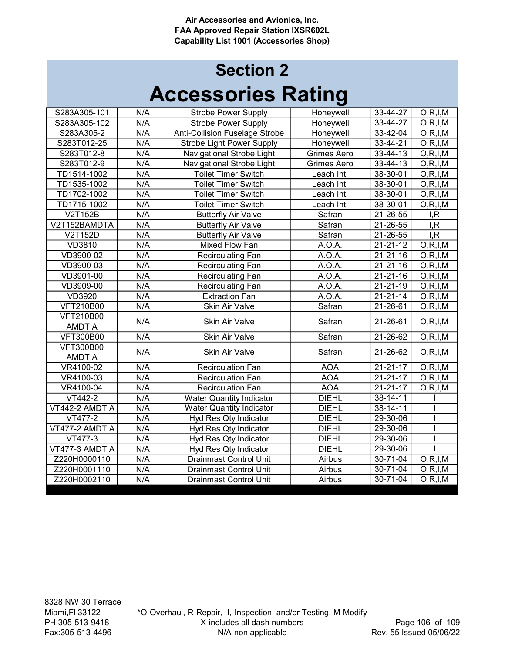| 33-44-27<br>S283A305-101<br>N/A<br>O, R, I, M<br><b>Strobe Power Supply</b><br>Honeywell<br>N/A<br>33-44-27<br>O, R, I, M<br><b>Strobe Power Supply</b><br>S283A305-102<br>Honeywell<br>N/A<br>33-42-04<br>O, R, I, M<br><b>Anti-Collision Fuselage Strobe</b><br>S283A305-2<br>Honeywell<br>N/A<br>33-44-21<br>O, R, I, M<br>S283T012-25<br><b>Strobe Light Power Supply</b><br>Honeywell<br>N/A<br>Navigational Strobe Light<br>$33 - 44 - 13$<br>S283T012-8<br>Grimes Aero<br>O, R, I, M<br>N/A<br>Navigational Strobe Light<br>33-44-13<br>O, R, I, M<br>S283T012-9<br>Grimes Aero<br>N/A<br><b>Toilet Timer Switch</b><br>38-30-01<br>O, R, I, M<br>TD1514-1002<br>Leach Int.<br>N/A<br><b>Toilet Timer Switch</b><br>38-30-01<br>O, R, I, M<br>TD1535-1002<br>Leach Int.<br>N/A<br>38-30-01<br>TD1702-1002<br><b>Toilet Timer Switch</b><br>Leach Int.<br>O, R, I, M<br>N/A<br>TD1715-1002<br><b>Toilet Timer Switch</b><br>38-30-01<br>O, R, I, M<br>Leach Int.<br>V2T152B<br>N/A<br><b>Butterfly Air Valve</b><br>21-26-55<br>Safran<br>I, R<br>N/A<br>$21 - 26 - 55$<br>I, R<br>V2T152BAMDTA<br><b>Butterfly Air Valve</b><br>Safran<br>N/A<br>V2T152D<br><b>Butterfly Air Valve</b><br>Safran<br>21-26-55<br>I, R<br>N/A<br>$21 - 21 - 12$<br>O, R, I, M<br><b>VD3810</b><br>Mixed Flow Fan<br>A.O.A.<br>VD3900-02<br>N/A<br>$21 - 21 - 16$<br>A.O.A.<br>O, R, I, M<br>Recirculating Fan<br>N/A<br>VD3900-03<br>A.O.A.<br>$21 - 21 - 16$<br>O, R, I, M<br><b>Recirculating Fan</b><br>N/A<br>VD3901-00<br>A.O.A.<br>$21 - 21 - 16$<br>O, R, I, M<br>Recirculating Fan<br>N/A<br>A.O.A.<br>21-21-19<br>VD3909-00<br>Recirculating Fan<br>O, R, I, M<br><b>VD3920</b><br>N/A<br>A.O.A.<br>$21 - 21 - 14$<br><b>Extraction Fan</b><br>O, R, I, M<br>Safran<br>$21 - 26 - 61$<br><b>VFT210B00</b><br>N/A<br>Skin Air Valve<br>O, R, I, M<br><b>VFT210B00</b><br>N/A<br>Safran<br>21-26-61<br>O, R, I, M<br><b>Skin Air Valve</b><br><b>AMDT A</b><br>N/A<br><b>Skin Air Valve</b><br>Safran<br>21-26-62<br><b>VFT300B00</b><br>O, R, I, M<br><b>VFT300B00</b><br>N/A<br>Safran<br><b>Skin Air Valve</b><br>21-26-62<br>O, R, I, M<br><b>AMDT A</b><br>N/A<br><b>AOA</b><br>$21 - 21 - 17$<br>VR4100-02<br><b>Recirculation Fan</b><br>O, R, I, M<br>N/A<br><b>AOA</b><br>$21 - 21 - 17$<br>VR4100-03<br><b>Recirculation Fan</b><br>O, R, I, M<br>N/A<br><b>AOA</b><br>$21 - 21 - 17$<br>VR4100-04<br><b>Recirculation Fan</b><br>O, R, I, M<br>N/A<br><b>DIEHL</b><br>$38 - 14 - 11$<br>VT442-2<br><b>Water Quantity Indicator</b><br>N/A<br>38-14-11<br>VT442-2 AMDT A<br><b>Water Quantity Indicator</b><br><b>DIEHL</b><br>N/A<br><b>DIEHL</b><br>29-30-06<br>VT477-2<br>Hyd Res Qty Indicator<br>N/A<br><b>DIEHL</b><br>29-30-06<br>VT477-2 AMDT A<br>Hyd Res Qty Indicator<br>N/A<br>Hyd Res Qty Indicator<br><b>DIEHL</b><br>29-30-06<br>VT477-3<br>N/A<br>29-30-06<br>VT477-3 AMDT A<br>Hyd Res Qty Indicator<br><b>DIEHL</b><br>N/A<br><b>Drainmast Control Unit</b><br>30-71-04<br>O, R, I, M<br>Z220H0000110<br>Airbus<br>N/A<br>Airbus<br>30-71-04<br>O, R, I, M<br>Z220H0001110<br><b>Drainmast Control Unit</b> |              |     |                               |        |          |            |
|-------------------------------------------------------------------------------------------------------------------------------------------------------------------------------------------------------------------------------------------------------------------------------------------------------------------------------------------------------------------------------------------------------------------------------------------------------------------------------------------------------------------------------------------------------------------------------------------------------------------------------------------------------------------------------------------------------------------------------------------------------------------------------------------------------------------------------------------------------------------------------------------------------------------------------------------------------------------------------------------------------------------------------------------------------------------------------------------------------------------------------------------------------------------------------------------------------------------------------------------------------------------------------------------------------------------------------------------------------------------------------------------------------------------------------------------------------------------------------------------------------------------------------------------------------------------------------------------------------------------------------------------------------------------------------------------------------------------------------------------------------------------------------------------------------------------------------------------------------------------------------------------------------------------------------------------------------------------------------------------------------------------------------------------------------------------------------------------------------------------------------------------------------------------------------------------------------------------------------------------------------------------------------------------------------------------------------------------------------------------------------------------------------------------------------------------------------------------------------------------------------------------------------------------------------------------------------------------------------------------------------------------------------------------------------------------------------------------------------------------------------------------------------------------------------------------------------------------------------------------------------------------------------------------------------------------------------------------------------------------------------------------------------------------------------------------------------------------------------------------------------------|--------------|-----|-------------------------------|--------|----------|------------|
|                                                                                                                                                                                                                                                                                                                                                                                                                                                                                                                                                                                                                                                                                                                                                                                                                                                                                                                                                                                                                                                                                                                                                                                                                                                                                                                                                                                                                                                                                                                                                                                                                                                                                                                                                                                                                                                                                                                                                                                                                                                                                                                                                                                                                                                                                                                                                                                                                                                                                                                                                                                                                                                                                                                                                                                                                                                                                                                                                                                                                                                                                                                                     |              |     |                               |        |          |            |
|                                                                                                                                                                                                                                                                                                                                                                                                                                                                                                                                                                                                                                                                                                                                                                                                                                                                                                                                                                                                                                                                                                                                                                                                                                                                                                                                                                                                                                                                                                                                                                                                                                                                                                                                                                                                                                                                                                                                                                                                                                                                                                                                                                                                                                                                                                                                                                                                                                                                                                                                                                                                                                                                                                                                                                                                                                                                                                                                                                                                                                                                                                                                     |              |     |                               |        |          |            |
|                                                                                                                                                                                                                                                                                                                                                                                                                                                                                                                                                                                                                                                                                                                                                                                                                                                                                                                                                                                                                                                                                                                                                                                                                                                                                                                                                                                                                                                                                                                                                                                                                                                                                                                                                                                                                                                                                                                                                                                                                                                                                                                                                                                                                                                                                                                                                                                                                                                                                                                                                                                                                                                                                                                                                                                                                                                                                                                                                                                                                                                                                                                                     |              |     |                               |        |          |            |
|                                                                                                                                                                                                                                                                                                                                                                                                                                                                                                                                                                                                                                                                                                                                                                                                                                                                                                                                                                                                                                                                                                                                                                                                                                                                                                                                                                                                                                                                                                                                                                                                                                                                                                                                                                                                                                                                                                                                                                                                                                                                                                                                                                                                                                                                                                                                                                                                                                                                                                                                                                                                                                                                                                                                                                                                                                                                                                                                                                                                                                                                                                                                     |              |     |                               |        |          |            |
|                                                                                                                                                                                                                                                                                                                                                                                                                                                                                                                                                                                                                                                                                                                                                                                                                                                                                                                                                                                                                                                                                                                                                                                                                                                                                                                                                                                                                                                                                                                                                                                                                                                                                                                                                                                                                                                                                                                                                                                                                                                                                                                                                                                                                                                                                                                                                                                                                                                                                                                                                                                                                                                                                                                                                                                                                                                                                                                                                                                                                                                                                                                                     |              |     |                               |        |          |            |
|                                                                                                                                                                                                                                                                                                                                                                                                                                                                                                                                                                                                                                                                                                                                                                                                                                                                                                                                                                                                                                                                                                                                                                                                                                                                                                                                                                                                                                                                                                                                                                                                                                                                                                                                                                                                                                                                                                                                                                                                                                                                                                                                                                                                                                                                                                                                                                                                                                                                                                                                                                                                                                                                                                                                                                                                                                                                                                                                                                                                                                                                                                                                     |              |     |                               |        |          |            |
|                                                                                                                                                                                                                                                                                                                                                                                                                                                                                                                                                                                                                                                                                                                                                                                                                                                                                                                                                                                                                                                                                                                                                                                                                                                                                                                                                                                                                                                                                                                                                                                                                                                                                                                                                                                                                                                                                                                                                                                                                                                                                                                                                                                                                                                                                                                                                                                                                                                                                                                                                                                                                                                                                                                                                                                                                                                                                                                                                                                                                                                                                                                                     |              |     |                               |        |          |            |
|                                                                                                                                                                                                                                                                                                                                                                                                                                                                                                                                                                                                                                                                                                                                                                                                                                                                                                                                                                                                                                                                                                                                                                                                                                                                                                                                                                                                                                                                                                                                                                                                                                                                                                                                                                                                                                                                                                                                                                                                                                                                                                                                                                                                                                                                                                                                                                                                                                                                                                                                                                                                                                                                                                                                                                                                                                                                                                                                                                                                                                                                                                                                     |              |     |                               |        |          |            |
|                                                                                                                                                                                                                                                                                                                                                                                                                                                                                                                                                                                                                                                                                                                                                                                                                                                                                                                                                                                                                                                                                                                                                                                                                                                                                                                                                                                                                                                                                                                                                                                                                                                                                                                                                                                                                                                                                                                                                                                                                                                                                                                                                                                                                                                                                                                                                                                                                                                                                                                                                                                                                                                                                                                                                                                                                                                                                                                                                                                                                                                                                                                                     |              |     |                               |        |          |            |
|                                                                                                                                                                                                                                                                                                                                                                                                                                                                                                                                                                                                                                                                                                                                                                                                                                                                                                                                                                                                                                                                                                                                                                                                                                                                                                                                                                                                                                                                                                                                                                                                                                                                                                                                                                                                                                                                                                                                                                                                                                                                                                                                                                                                                                                                                                                                                                                                                                                                                                                                                                                                                                                                                                                                                                                                                                                                                                                                                                                                                                                                                                                                     |              |     |                               |        |          |            |
|                                                                                                                                                                                                                                                                                                                                                                                                                                                                                                                                                                                                                                                                                                                                                                                                                                                                                                                                                                                                                                                                                                                                                                                                                                                                                                                                                                                                                                                                                                                                                                                                                                                                                                                                                                                                                                                                                                                                                                                                                                                                                                                                                                                                                                                                                                                                                                                                                                                                                                                                                                                                                                                                                                                                                                                                                                                                                                                                                                                                                                                                                                                                     |              |     |                               |        |          |            |
|                                                                                                                                                                                                                                                                                                                                                                                                                                                                                                                                                                                                                                                                                                                                                                                                                                                                                                                                                                                                                                                                                                                                                                                                                                                                                                                                                                                                                                                                                                                                                                                                                                                                                                                                                                                                                                                                                                                                                                                                                                                                                                                                                                                                                                                                                                                                                                                                                                                                                                                                                                                                                                                                                                                                                                                                                                                                                                                                                                                                                                                                                                                                     |              |     |                               |        |          |            |
|                                                                                                                                                                                                                                                                                                                                                                                                                                                                                                                                                                                                                                                                                                                                                                                                                                                                                                                                                                                                                                                                                                                                                                                                                                                                                                                                                                                                                                                                                                                                                                                                                                                                                                                                                                                                                                                                                                                                                                                                                                                                                                                                                                                                                                                                                                                                                                                                                                                                                                                                                                                                                                                                                                                                                                                                                                                                                                                                                                                                                                                                                                                                     |              |     |                               |        |          |            |
|                                                                                                                                                                                                                                                                                                                                                                                                                                                                                                                                                                                                                                                                                                                                                                                                                                                                                                                                                                                                                                                                                                                                                                                                                                                                                                                                                                                                                                                                                                                                                                                                                                                                                                                                                                                                                                                                                                                                                                                                                                                                                                                                                                                                                                                                                                                                                                                                                                                                                                                                                                                                                                                                                                                                                                                                                                                                                                                                                                                                                                                                                                                                     |              |     |                               |        |          |            |
|                                                                                                                                                                                                                                                                                                                                                                                                                                                                                                                                                                                                                                                                                                                                                                                                                                                                                                                                                                                                                                                                                                                                                                                                                                                                                                                                                                                                                                                                                                                                                                                                                                                                                                                                                                                                                                                                                                                                                                                                                                                                                                                                                                                                                                                                                                                                                                                                                                                                                                                                                                                                                                                                                                                                                                                                                                                                                                                                                                                                                                                                                                                                     |              |     |                               |        |          |            |
|                                                                                                                                                                                                                                                                                                                                                                                                                                                                                                                                                                                                                                                                                                                                                                                                                                                                                                                                                                                                                                                                                                                                                                                                                                                                                                                                                                                                                                                                                                                                                                                                                                                                                                                                                                                                                                                                                                                                                                                                                                                                                                                                                                                                                                                                                                                                                                                                                                                                                                                                                                                                                                                                                                                                                                                                                                                                                                                                                                                                                                                                                                                                     |              |     |                               |        |          |            |
|                                                                                                                                                                                                                                                                                                                                                                                                                                                                                                                                                                                                                                                                                                                                                                                                                                                                                                                                                                                                                                                                                                                                                                                                                                                                                                                                                                                                                                                                                                                                                                                                                                                                                                                                                                                                                                                                                                                                                                                                                                                                                                                                                                                                                                                                                                                                                                                                                                                                                                                                                                                                                                                                                                                                                                                                                                                                                                                                                                                                                                                                                                                                     |              |     |                               |        |          |            |
|                                                                                                                                                                                                                                                                                                                                                                                                                                                                                                                                                                                                                                                                                                                                                                                                                                                                                                                                                                                                                                                                                                                                                                                                                                                                                                                                                                                                                                                                                                                                                                                                                                                                                                                                                                                                                                                                                                                                                                                                                                                                                                                                                                                                                                                                                                                                                                                                                                                                                                                                                                                                                                                                                                                                                                                                                                                                                                                                                                                                                                                                                                                                     |              |     |                               |        |          |            |
|                                                                                                                                                                                                                                                                                                                                                                                                                                                                                                                                                                                                                                                                                                                                                                                                                                                                                                                                                                                                                                                                                                                                                                                                                                                                                                                                                                                                                                                                                                                                                                                                                                                                                                                                                                                                                                                                                                                                                                                                                                                                                                                                                                                                                                                                                                                                                                                                                                                                                                                                                                                                                                                                                                                                                                                                                                                                                                                                                                                                                                                                                                                                     |              |     |                               |        |          |            |
|                                                                                                                                                                                                                                                                                                                                                                                                                                                                                                                                                                                                                                                                                                                                                                                                                                                                                                                                                                                                                                                                                                                                                                                                                                                                                                                                                                                                                                                                                                                                                                                                                                                                                                                                                                                                                                                                                                                                                                                                                                                                                                                                                                                                                                                                                                                                                                                                                                                                                                                                                                                                                                                                                                                                                                                                                                                                                                                                                                                                                                                                                                                                     |              |     |                               |        |          |            |
|                                                                                                                                                                                                                                                                                                                                                                                                                                                                                                                                                                                                                                                                                                                                                                                                                                                                                                                                                                                                                                                                                                                                                                                                                                                                                                                                                                                                                                                                                                                                                                                                                                                                                                                                                                                                                                                                                                                                                                                                                                                                                                                                                                                                                                                                                                                                                                                                                                                                                                                                                                                                                                                                                                                                                                                                                                                                                                                                                                                                                                                                                                                                     |              |     |                               |        |          |            |
|                                                                                                                                                                                                                                                                                                                                                                                                                                                                                                                                                                                                                                                                                                                                                                                                                                                                                                                                                                                                                                                                                                                                                                                                                                                                                                                                                                                                                                                                                                                                                                                                                                                                                                                                                                                                                                                                                                                                                                                                                                                                                                                                                                                                                                                                                                                                                                                                                                                                                                                                                                                                                                                                                                                                                                                                                                                                                                                                                                                                                                                                                                                                     |              |     |                               |        |          |            |
|                                                                                                                                                                                                                                                                                                                                                                                                                                                                                                                                                                                                                                                                                                                                                                                                                                                                                                                                                                                                                                                                                                                                                                                                                                                                                                                                                                                                                                                                                                                                                                                                                                                                                                                                                                                                                                                                                                                                                                                                                                                                                                                                                                                                                                                                                                                                                                                                                                                                                                                                                                                                                                                                                                                                                                                                                                                                                                                                                                                                                                                                                                                                     |              |     |                               |        |          |            |
|                                                                                                                                                                                                                                                                                                                                                                                                                                                                                                                                                                                                                                                                                                                                                                                                                                                                                                                                                                                                                                                                                                                                                                                                                                                                                                                                                                                                                                                                                                                                                                                                                                                                                                                                                                                                                                                                                                                                                                                                                                                                                                                                                                                                                                                                                                                                                                                                                                                                                                                                                                                                                                                                                                                                                                                                                                                                                                                                                                                                                                                                                                                                     |              |     |                               |        |          |            |
|                                                                                                                                                                                                                                                                                                                                                                                                                                                                                                                                                                                                                                                                                                                                                                                                                                                                                                                                                                                                                                                                                                                                                                                                                                                                                                                                                                                                                                                                                                                                                                                                                                                                                                                                                                                                                                                                                                                                                                                                                                                                                                                                                                                                                                                                                                                                                                                                                                                                                                                                                                                                                                                                                                                                                                                                                                                                                                                                                                                                                                                                                                                                     |              |     |                               |        |          |            |
|                                                                                                                                                                                                                                                                                                                                                                                                                                                                                                                                                                                                                                                                                                                                                                                                                                                                                                                                                                                                                                                                                                                                                                                                                                                                                                                                                                                                                                                                                                                                                                                                                                                                                                                                                                                                                                                                                                                                                                                                                                                                                                                                                                                                                                                                                                                                                                                                                                                                                                                                                                                                                                                                                                                                                                                                                                                                                                                                                                                                                                                                                                                                     |              |     |                               |        |          |            |
|                                                                                                                                                                                                                                                                                                                                                                                                                                                                                                                                                                                                                                                                                                                                                                                                                                                                                                                                                                                                                                                                                                                                                                                                                                                                                                                                                                                                                                                                                                                                                                                                                                                                                                                                                                                                                                                                                                                                                                                                                                                                                                                                                                                                                                                                                                                                                                                                                                                                                                                                                                                                                                                                                                                                                                                                                                                                                                                                                                                                                                                                                                                                     |              |     |                               |        |          |            |
|                                                                                                                                                                                                                                                                                                                                                                                                                                                                                                                                                                                                                                                                                                                                                                                                                                                                                                                                                                                                                                                                                                                                                                                                                                                                                                                                                                                                                                                                                                                                                                                                                                                                                                                                                                                                                                                                                                                                                                                                                                                                                                                                                                                                                                                                                                                                                                                                                                                                                                                                                                                                                                                                                                                                                                                                                                                                                                                                                                                                                                                                                                                                     |              |     |                               |        |          |            |
|                                                                                                                                                                                                                                                                                                                                                                                                                                                                                                                                                                                                                                                                                                                                                                                                                                                                                                                                                                                                                                                                                                                                                                                                                                                                                                                                                                                                                                                                                                                                                                                                                                                                                                                                                                                                                                                                                                                                                                                                                                                                                                                                                                                                                                                                                                                                                                                                                                                                                                                                                                                                                                                                                                                                                                                                                                                                                                                                                                                                                                                                                                                                     |              |     |                               |        |          |            |
|                                                                                                                                                                                                                                                                                                                                                                                                                                                                                                                                                                                                                                                                                                                                                                                                                                                                                                                                                                                                                                                                                                                                                                                                                                                                                                                                                                                                                                                                                                                                                                                                                                                                                                                                                                                                                                                                                                                                                                                                                                                                                                                                                                                                                                                                                                                                                                                                                                                                                                                                                                                                                                                                                                                                                                                                                                                                                                                                                                                                                                                                                                                                     |              |     |                               |        |          |            |
|                                                                                                                                                                                                                                                                                                                                                                                                                                                                                                                                                                                                                                                                                                                                                                                                                                                                                                                                                                                                                                                                                                                                                                                                                                                                                                                                                                                                                                                                                                                                                                                                                                                                                                                                                                                                                                                                                                                                                                                                                                                                                                                                                                                                                                                                                                                                                                                                                                                                                                                                                                                                                                                                                                                                                                                                                                                                                                                                                                                                                                                                                                                                     |              |     |                               |        |          |            |
|                                                                                                                                                                                                                                                                                                                                                                                                                                                                                                                                                                                                                                                                                                                                                                                                                                                                                                                                                                                                                                                                                                                                                                                                                                                                                                                                                                                                                                                                                                                                                                                                                                                                                                                                                                                                                                                                                                                                                                                                                                                                                                                                                                                                                                                                                                                                                                                                                                                                                                                                                                                                                                                                                                                                                                                                                                                                                                                                                                                                                                                                                                                                     |              |     |                               |        |          |            |
|                                                                                                                                                                                                                                                                                                                                                                                                                                                                                                                                                                                                                                                                                                                                                                                                                                                                                                                                                                                                                                                                                                                                                                                                                                                                                                                                                                                                                                                                                                                                                                                                                                                                                                                                                                                                                                                                                                                                                                                                                                                                                                                                                                                                                                                                                                                                                                                                                                                                                                                                                                                                                                                                                                                                                                                                                                                                                                                                                                                                                                                                                                                                     |              |     |                               |        |          |            |
|                                                                                                                                                                                                                                                                                                                                                                                                                                                                                                                                                                                                                                                                                                                                                                                                                                                                                                                                                                                                                                                                                                                                                                                                                                                                                                                                                                                                                                                                                                                                                                                                                                                                                                                                                                                                                                                                                                                                                                                                                                                                                                                                                                                                                                                                                                                                                                                                                                                                                                                                                                                                                                                                                                                                                                                                                                                                                                                                                                                                                                                                                                                                     |              |     |                               |        |          |            |
|                                                                                                                                                                                                                                                                                                                                                                                                                                                                                                                                                                                                                                                                                                                                                                                                                                                                                                                                                                                                                                                                                                                                                                                                                                                                                                                                                                                                                                                                                                                                                                                                                                                                                                                                                                                                                                                                                                                                                                                                                                                                                                                                                                                                                                                                                                                                                                                                                                                                                                                                                                                                                                                                                                                                                                                                                                                                                                                                                                                                                                                                                                                                     |              |     |                               |        |          |            |
|                                                                                                                                                                                                                                                                                                                                                                                                                                                                                                                                                                                                                                                                                                                                                                                                                                                                                                                                                                                                                                                                                                                                                                                                                                                                                                                                                                                                                                                                                                                                                                                                                                                                                                                                                                                                                                                                                                                                                                                                                                                                                                                                                                                                                                                                                                                                                                                                                                                                                                                                                                                                                                                                                                                                                                                                                                                                                                                                                                                                                                                                                                                                     | Z220H0002110 | N/A | <b>Drainmast Control Unit</b> | Airbus | 30-71-04 | O, R, I, M |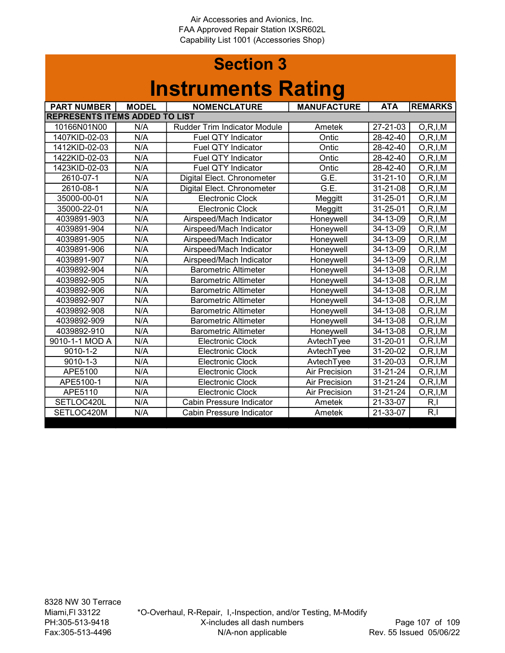#### Section 3 Instruments Rating

| <b>PART NUMBER</b>                    | <b>MODEL</b> | <b>NOMENCLATURE</b>                 | <b>MANUFACTURE</b>   | <b>ATA</b>     | <b>REMARKS</b> |
|---------------------------------------|--------------|-------------------------------------|----------------------|----------------|----------------|
| <b>REPRESENTS ITEMS ADDED TO LIST</b> |              |                                     |                      |                |                |
| 10166N01N00                           | N/A          | <b>Rudder Trim Indicator Module</b> | Ametek               | 27-21-03       | O, R, I, M     |
| 1407KID-02-03                         | N/A          | Fuel QTY Indicator                  | Ontic                | 28-42-40       | O, R, I, M     |
| 1412KID-02-03                         | N/A          | <b>Fuel QTY Indicator</b>           | Ontic                | 28-42-40       | O, R, I, M     |
| 1422KID-02-03                         | N/A          | Fuel QTY Indicator                  | Ontic                | 28-42-40       | O, R, I, M     |
| 1423KID-02-03                         | N/A          | Fuel QTY Indicator                  | Ontic                | 28-42-40       | O, R, I, M     |
| 2610-07-1                             | N/A          | Digital Elect. Chronometer          | G.E.                 | $31 - 21 - 10$ | O, R, I, M     |
| 2610-08-1                             | N/A          | Digital Elect. Chronometer          | G.E.                 | 31-21-08       | O, R, I, M     |
| 35000-00-01                           | N/A          | <b>Electronic Clock</b>             | Meggitt              | 31-25-01       | O, R, I, M     |
| 35000-22-01                           | N/A          | <b>Electronic Clock</b>             | Meggitt              | 31-25-01       | O, R, I, M     |
| 4039891-903                           | N/A          | Airspeed/Mach Indicator             | Honeywell            | 34-13-09       | O, R, I, M     |
| 4039891-904                           | N/A          | Airspeed/Mach Indicator             | Honeywell            | 34-13-09       | O, R, I, M     |
| 4039891-905                           | N/A          | Airspeed/Mach Indicator             | Honeywell            | 34-13-09       | O, R, I, M     |
| 4039891-906                           | N/A          | Airspeed/Mach Indicator             | Honeywell            | 34-13-09       | O, R, I, M     |
| 4039891-907                           | N/A          | Airspeed/Mach Indicator             | Honeywell            | 34-13-09       | O, R, I, M     |
| 4039892-904                           | N/A          | <b>Barometric Altimeter</b>         | Honeywell            | 34-13-08       | O, R, I, M     |
| 4039892-905                           | N/A          | <b>Barometric Altimeter</b>         | Honeywell            | 34-13-08       | O, R, I, M     |
| 4039892-906                           | N/A          | <b>Barometric Altimeter</b>         | Honeywell            | 34-13-08       | O, R, I, M     |
| 4039892-907                           | N/A          | <b>Barometric Altimeter</b>         | Honeywell            | 34-13-08       | O, R, I, M     |
| 4039892-908                           | N/A          | <b>Barometric Altimeter</b>         | Honeywell            | 34-13-08       | O, R, I, M     |
| 4039892-909                           | N/A          | <b>Barometric Altimeter</b>         | Honeywell            | 34-13-08       | O, R, I, M     |
| 4039892-910                           | N/A          | <b>Barometric Altimeter</b>         | Honeywell            | 34-13-08       | O, R, I, M     |
| 9010-1-1 MOD A                        | N/A          | <b>Electronic Clock</b>             | AvtechTyee           | 31-20-01       | O, R, I, M     |
| $9010 - 1 - 2$                        | N/A          | <b>Electronic Clock</b>             | AvtechTyee           | 31-20-02       | O, R, I, M     |
| $9010 - 1 - 3$                        | N/A          | <b>Electronic Clock</b>             | AvtechTyee           | 31-20-03       | O, R, I, M     |
| APE5100                               | N/A          | <b>Electronic Clock</b>             | <b>Air Precision</b> | 31-21-24       | O, R, I, M     |
| APE5100-1                             | N/A          | <b>Electronic Clock</b>             | <b>Air Precision</b> | 31-21-24       | O, R, I, M     |
| APE5110                               | N/A          | <b>Electronic Clock</b>             | <b>Air Precision</b> | 31-21-24       | O, R, I, M     |
| SETLOC420L                            | N/A          | Cabin Pressure Indicator            | Ametek               | 21-33-07       | R, I           |
| SETLOC420M                            | N/A          | Cabin Pressure Indicator            | Ametek               | 21-33-07       | R, I           |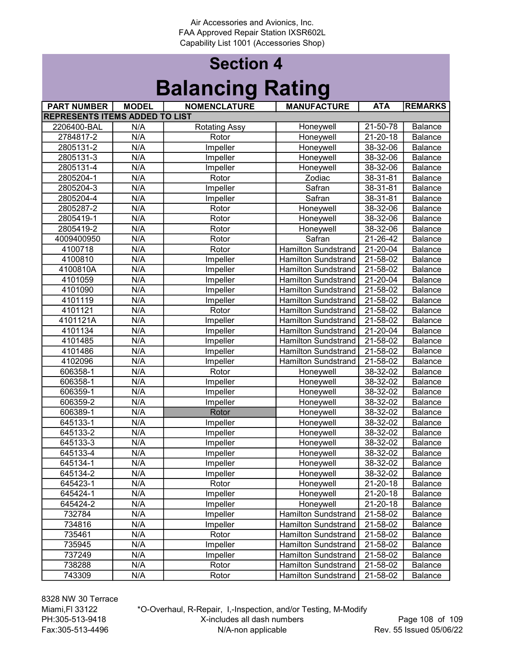# Section 4 Balancing Rating

| <b>PART NUMBER</b>                    | <b>MODEL</b>     | <b>NOMENCLATURE</b>  | <b>MANUFACTURE</b>         | <b>ATA</b>             | <b>REMARKS</b> |
|---------------------------------------|------------------|----------------------|----------------------------|------------------------|----------------|
| <b>REPRESENTS ITEMS ADDED TO LIST</b> |                  |                      |                            |                        |                |
| 2206400-BAL                           | N/A              | <b>Rotating Assy</b> | Honeywell                  | 21-50-78               | Balance        |
| 2784817-2                             | N/A              | Rotor                | Honeywell                  | $21 - 20 - 18$         | Balance        |
| 2805131-2                             | N/A              | Impeller             | Honeywell                  | 38-32-06               | Balance        |
| 2805131-3                             | N/A              | Impeller             | Honeywell                  | 38-32-06               | Balance        |
| 2805131-4                             | N/A              | Impeller             | Honeywell                  | 38-32-06               | Balance        |
| 2805204-1                             | N/A              | Rotor                | Zodiac                     | 38-31-81               | Balance        |
| 2805204-3                             | N/A              | Impeller             | Safran                     | 38-31-81               | Balance        |
| 2805204-4                             | N/A              | Impeller             | Safran                     | 38-31-81               | Balance        |
| 2805287-2                             | N/A              | Rotor                | Honeywell                  | 38-32-06               | Balance        |
| 2805419-1                             | N/A              | Rotor                | Honeywell                  | 38-32-06               | Balance        |
| 2805419-2                             | N/A              | Rotor                | Honeywell                  | 38-32-06               | Balance        |
| 4009400950                            | N/A              | Rotor                | Safran                     | 21-26-42               | Balance        |
| 4100718                               | N/A              | Rotor                | <b>Hamilton Sundstrand</b> | 21-20-04               | Balance        |
| 4100810                               | N/A              | Impeller             | <b>Hamilton Sundstrand</b> | 21-58-02               | Balance        |
| 4100810A                              | N/A              | Impeller             | <b>Hamilton Sundstrand</b> | 21-58-02               | Balance        |
| 4101059                               | N/A              | Impeller             | <b>Hamilton Sundstrand</b> | 21-20-04               | Balance        |
| 4101090                               | N/A              | Impeller             | <b>Hamilton Sundstrand</b> | 21-58-02               | Balance        |
| 4101119                               | N/A              | Impeller             | <b>Hamilton Sundstrand</b> | 21-58-02               | <b>Balance</b> |
| 4101121                               | N/A              | Rotor                | Hamilton Sundstrand        | 21-58-02               | Balance        |
| 4101121A                              | N/A              | Impeller             | <b>Hamilton Sundstrand</b> | 21-58-02               | Balance        |
| 4101134                               | N/A              | Impeller             | <b>Hamilton Sundstrand</b> | 21-20-04               | <b>Balance</b> |
| 4101485                               | N/A              | Impeller             | <b>Hamilton Sundstrand</b> | 21-58-02               | Balance        |
| 4101486                               | N/A              | Impeller             | <b>Hamilton Sundstrand</b> | 21-58-02               | <b>Balance</b> |
| 4102096                               | N/A              | Impeller             | Hamilton Sundstrand        | 21-58-02               | Balance        |
| 606358-1                              | N/A              | Rotor                | Honeywell                  | 38-32-02               | <b>Balance</b> |
| 606358-1                              | N/A              | Impeller             | Honeywell                  | 38-32-02               | <b>Balance</b> |
| 606359-1                              | N/A              | Impeller             | Honeywell                  | 38-32-02               | Balance        |
| 606359-2                              | N/A              | Impeller             | Honeywell                  | 38-32-02               | <b>Balance</b> |
| 606389-1                              | N/A              | Rotor                | Honeywell                  | 38-32-02               | <b>Balance</b> |
| 645133-1                              | $\overline{N/A}$ | Impeller             | Honeywell                  | 38-32-02               | Balance        |
| 645133-2                              | N/A              | Impeller             | Honeywell                  | 38-32-02               | Balance        |
| 645133-3                              | N/A              | Impeller             | Honeywell                  | 38-32-02               | Balance        |
| 645133-4                              | N/A              | Impeller             | Honeywell                  | 38-32-02               | Balance        |
| 645134-1                              | N/A              | Impeller             | Honeywell                  | 38-32-02               | Balance        |
| 645134-2                              | N/A              | Impeller             | Honeywell                  | 38-32-02               | Balance        |
| 645423-1                              | N/A              | Rotor                | Honeywell                  | 21-20-18               | <b>Balance</b> |
| 645424-1                              | N/A              | Impeller             | Honeywell                  | 21-20-18               | Balance        |
| 645424-2                              | N/A              | Impeller             | Honeywell                  | 21-20-18               | Balance        |
| 732784                                | N/A              | Impeller             | Hamilton Sundstrand        | 21-58-02               | <b>Balance</b> |
| 734816                                | N/A              | Impeller             | <b>Hamilton Sundstrand</b> | $\overline{2}$ 1-58-02 | <b>Balance</b> |
| 735461                                | N/A              | Rotor                | Hamilton Sundstrand        | 21-58-02               | <b>Balance</b> |
| 735945                                | N/A              | Impeller             | <b>Hamilton Sundstrand</b> | 21-58-02               | <b>Balance</b> |
| 737249                                | N/A              | Impeller             | <b>Hamilton Sundstrand</b> | $21 - 58 - 02$         | Balance        |
| 738288                                | N/A              | Rotor                | <b>Hamilton Sundstrand</b> | 21-58-02               | <b>Balance</b> |
| 743309                                | N/A              | Rotor                | <b>Hamilton Sundstrand</b> | 21-58-02               | Balance        |